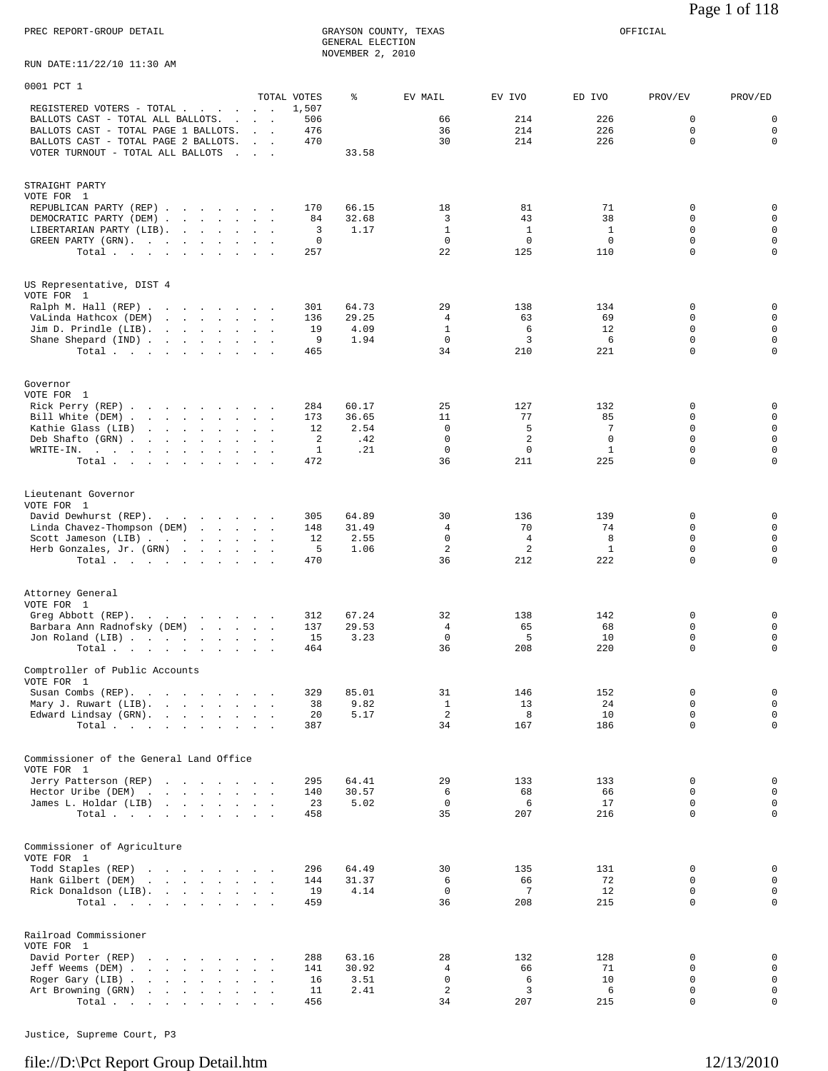PREC REPORT-GROUP DETAIL GRAYSON COUNTY, TEXAS OFFICIAL GRAYSON COUNTY, TEXAS<br>GENERAL ELECTION NOVEMBER 2, 2010

RUN DATE:11/22/10 11:30 AM

| 0001 PCT 1                                                                                                                                                                                                                                                                                                             |                                     |            |                |                             |                             |                             |                            |                            |
|------------------------------------------------------------------------------------------------------------------------------------------------------------------------------------------------------------------------------------------------------------------------------------------------------------------------|-------------------------------------|------------|----------------|-----------------------------|-----------------------------|-----------------------------|----------------------------|----------------------------|
| REGISTERED VOTERS - TOTAL<br>$\sim$                                                                                                                                                                                                                                                                                    | TOTAL VOTES<br>$\sim$ $\sim$ $\sim$ | 1,507      | ៖              | EV MAIL                     | EV IVO                      | ED IVO                      | PROV/EV                    | PROV/ED                    |
| BALLOTS CAST - TOTAL ALL BALLOTS.                                                                                                                                                                                                                                                                                      | <b>Contract Contract</b>            | 506        |                | 66                          | 214                         | 226                         | 0                          | $\mathbf 0$                |
| BALLOTS CAST - TOTAL PAGE 1 BALLOTS.<br>BALLOTS CAST - TOTAL PAGE 2 BALLOTS.                                                                                                                                                                                                                                           | <b>Sales State</b>                  | 476<br>470 |                | 36<br>30                    | 214<br>214                  | 226<br>226                  | $\mathbf 0$<br>0           | $\mathbf 0$<br>0           |
| VOTER TURNOUT - TOTAL ALL BALLOTS                                                                                                                                                                                                                                                                                      | <b>Contract Contract Contract</b>   |            | 33.58          |                             |                             |                             |                            |                            |
|                                                                                                                                                                                                                                                                                                                        |                                     |            |                |                             |                             |                             |                            |                            |
| STRAIGHT PARTY                                                                                                                                                                                                                                                                                                         |                                     |            |                |                             |                             |                             |                            |                            |
| VOTE FOR 1<br>REPUBLICAN PARTY (REP)                                                                                                                                                                                                                                                                                   |                                     | 170        | 66.15          | 18                          | 81                          | 71                          | 0                          | $\mathbf 0$                |
| DEMOCRATIC PARTY (DEM)                                                                                                                                                                                                                                                                                                 |                                     | 84         | 32.68          | 3                           | 43                          | 38                          | 0                          | $\mathbf 0$                |
| LIBERTARIAN PARTY (LIB).<br>and the contract of the state of<br>GREEN PARTY (GRN).                                                                                                                                                                                                                                     |                                     | 3<br>0     | 1.17           | $\mathbf{1}$<br>$\mathbf 0$ | $\mathbf{1}$<br>$\mathbf 0$ | $\mathbf{1}$<br>$\mathbf 0$ | 0<br>0                     | $\mathbf 0$<br>0           |
| Total                                                                                                                                                                                                                                                                                                                  |                                     | 257        |                | 22                          | 125                         | 110                         | $\mathbf 0$                | $\mathbf 0$                |
|                                                                                                                                                                                                                                                                                                                        |                                     |            |                |                             |                             |                             |                            |                            |
| US Representative, DIST 4                                                                                                                                                                                                                                                                                              |                                     |            |                |                             |                             |                             |                            |                            |
| VOTE FOR 1<br>Ralph M. Hall (REP)                                                                                                                                                                                                                                                                                      |                                     | 301        | 64.73          | 29                          | 138                         | 134                         | 0                          | $\mathbf 0$                |
| VaLinda Hathcox (DEM)                                                                                                                                                                                                                                                                                                  |                                     | 136        | 29.25          | 4                           | 63                          | 69                          | 0                          | 0                          |
| Jim D. Prindle (LIB).<br>Shane Shepard (IND)                                                                                                                                                                                                                                                                           |                                     | 19<br>9    | 4.09<br>1.94   | $\mathbf{1}$<br>$\mathbf 0$ | 6<br>3                      | 12<br>6                     | $\mathbf 0$<br>0           | $\mathbf 0$<br>0           |
| Total.                                                                                                                                                                                                                                                                                                                 |                                     | 465        |                | 34                          | 210                         | 221                         | $\Omega$                   | 0                          |
|                                                                                                                                                                                                                                                                                                                        |                                     |            |                |                             |                             |                             |                            |                            |
| Governor                                                                                                                                                                                                                                                                                                               |                                     |            |                |                             |                             |                             |                            |                            |
| VOTE FOR 1                                                                                                                                                                                                                                                                                                             |                                     | 284        | 60.17          | 25                          | 127                         | 132                         | 0                          | $\mathbf 0$                |
| Rick Perry (REP)<br>Bill White (DEM)                                                                                                                                                                                                                                                                                   |                                     | 173        | 36.65          | 11                          | 77                          | 85                          | 0                          | 0                          |
| Kathie Glass (LIB)                                                                                                                                                                                                                                                                                                     |                                     | 12         | 2.54           | $\mathbf 0$                 | 5                           | 7                           | $\mathbf 0$                | $\mathbf 0$                |
| Deb Shafto (GRN)<br>WRITE-IN.<br>the contract of the contract of the contract of                                                                                                                                                                                                                                       |                                     | 2<br>1     | .42<br>.21     | $\mathbf 0$<br>$\mathbf 0$  | 2<br>0                      | $\mathbf 0$<br>$\mathbf{1}$ | 0<br>0                     | 0<br>0                     |
| Total                                                                                                                                                                                                                                                                                                                  |                                     | 472        |                | 36                          | 211                         | 225                         | 0                          | $\Omega$                   |
|                                                                                                                                                                                                                                                                                                                        |                                     |            |                |                             |                             |                             |                            |                            |
| Lieutenant Governor<br>VOTE FOR 1                                                                                                                                                                                                                                                                                      |                                     |            |                |                             |                             |                             |                            |                            |
| David Dewhurst (REP).                                                                                                                                                                                                                                                                                                  |                                     | 305        | 64.89          | 30                          | 136                         | 139                         | 0                          | $\mathbf 0$                |
| Linda Chavez-Thompson (DEM)                                                                                                                                                                                                                                                                                            |                                     | 148        | 31.49          | 4<br>$\mathbf 0$            | 70                          | 74                          | 0                          | 0<br>$\mathbf 0$           |
| Scott Jameson (LIB)<br>Herb Gonzales, Jr. (GRN)                                                                                                                                                                                                                                                                        |                                     | 12<br>5    | 2.55<br>1.06   | 2                           | 4<br>2                      | 8<br>$\mathbf{1}$           | 0<br>0                     | 0                          |
| Total                                                                                                                                                                                                                                                                                                                  |                                     | 470        |                | 36                          | 212                         | 222                         | 0                          | $\mathbf 0$                |
|                                                                                                                                                                                                                                                                                                                        |                                     |            |                |                             |                             |                             |                            |                            |
| Attorney General<br>VOTE FOR 1                                                                                                                                                                                                                                                                                         |                                     |            |                |                             |                             |                             |                            |                            |
| Greg Abbott (REP).                                                                                                                                                                                                                                                                                                     |                                     | 312        | 67.24          | 32                          | 138                         | 142                         | 0                          | $\mathbf 0$                |
| Barbara Ann Radnofsky (DEM)                                                                                                                                                                                                                                                                                            |                                     | 137        | 29.53          | 4                           | 65                          | 68                          | 0                          | 0                          |
| Jon Roland (LIB)<br>Total                                                                                                                                                                                                                                                                                              |                                     | 15<br>464  | 3.23           | $\mathbf 0$<br>36           | 5<br>208                    | 10<br>220                   | $\mathbf 0$<br>0           | 0<br>0                     |
|                                                                                                                                                                                                                                                                                                                        |                                     |            |                |                             |                             |                             |                            |                            |
| Comptroller of Public Accounts<br>VOTE FOR 1                                                                                                                                                                                                                                                                           |                                     |            |                |                             |                             |                             |                            |                            |
| Susan Combs (REP).                                                                                                                                                                                                                                                                                                     |                                     | 329        | 85.01          | 31                          | 146                         | 152                         | 0                          | $\mathbf 0$<br>$\Omega$    |
| Mary J. Ruwart (LIB).<br>$\mathbf{r}$ . The set of the set of the set of the set of the set of the set of the set of the set of the set of the set of the set of the set of the set of the set of the set of the set of the set of the set of the set of t<br>Edward Lindsay (GRN).<br>the contract of the contract of | <b>Contract Contract</b>            | 38<br>20   | 9.82<br>5.17   | $\mathbf{1}$<br>2           | 13<br>8                     | 24<br>10                    | $\mathbf 0$<br>$\mathbf 0$ | $\mathbf 0$                |
| Total                                                                                                                                                                                                                                                                                                                  |                                     | 387        |                | 34                          | 167                         | 186                         | $\mathbf 0$                | $\mathbf 0$                |
|                                                                                                                                                                                                                                                                                                                        |                                     |            |                |                             |                             |                             |                            |                            |
| Commissioner of the General Land Office<br>VOTE FOR 1                                                                                                                                                                                                                                                                  |                                     |            |                |                             |                             |                             |                            |                            |
| Jerry Patterson (REP)<br>the contract of the contract of the                                                                                                                                                                                                                                                           |                                     | 295        | 64.41          | 29                          | 133                         | 133                         | 0                          | 0                          |
| Hector Uribe (DEM)                                                                                                                                                                                                                                                                                                     |                                     | 140        | 30.57          | 6                           | 68                          | 66                          | 0                          | $\mathsf 0$                |
| James L. Holdar (LIB)<br>and the contract of the contract of<br>Total.                                                                                                                                                                                                                                                 |                                     | 23<br>458  | 5.02           | $\mathbf 0$<br>35           | 6<br>207                    | 17<br>216                   | $\mathbf 0$<br>$\mathbf 0$ | $\mathbf 0$<br>$\mathbf 0$ |
|                                                                                                                                                                                                                                                                                                                        |                                     |            |                |                             |                             |                             |                            |                            |
| Commissioner of Agriculture                                                                                                                                                                                                                                                                                            |                                     |            |                |                             |                             |                             |                            |                            |
| VOTE FOR 1                                                                                                                                                                                                                                                                                                             |                                     |            |                |                             |                             |                             |                            |                            |
| Todd Staples (REP)<br>Hank Gilbert (DEM)<br>and the contract of the contract of the contract of the contract of the contract of the contract of the contract of the contract of the contract of the contract of the contract of the contract of the contract of the contra                                             |                                     | 296<br>144 | 64.49<br>31.37 | 30<br>6                     | 135<br>66                   | 131<br>72                   | 0<br>0                     | $\mathsf 0$<br>0           |
| Rick Donaldson (LIB).                                                                                                                                                                                                                                                                                                  |                                     | 19         | 4.14           | $\mathbf 0$                 | 7                           | 12                          | $\mathbf 0$                | $\mathbf 0$                |
| Total                                                                                                                                                                                                                                                                                                                  |                                     | 459        |                | 36                          | 208                         | 215                         | $\Omega$                   | $\mathbf 0$                |
|                                                                                                                                                                                                                                                                                                                        |                                     |            |                |                             |                             |                             |                            |                            |
| Railroad Commissioner<br>VOTE FOR 1                                                                                                                                                                                                                                                                                    |                                     |            |                |                             |                             |                             |                            |                            |
| David Porter (REP)                                                                                                                                                                                                                                                                                                     |                                     | 288        | 63.16          | 28                          | 132                         | 128                         | 0                          | 0                          |
| Jeff Weems (DEM)<br>Roger Gary (LIB)                                                                                                                                                                                                                                                                                   |                                     | 141<br>16  | 30.92<br>3.51  | 4<br>0                      | 66<br>6                     | 71<br>10                    | 0<br>$\mathbf 0$           | 0<br>$\Omega$              |
| Art Browning (GRN)<br>the contract of the contract                                                                                                                                                                                                                                                                     | $\sim$ $\sim$                       | 11         | 2.41           | 2                           | 3                           | 6                           | $\mathbf 0$                | $\mathbf 0$                |
| Total                                                                                                                                                                                                                                                                                                                  |                                     | 456        |                | 34                          | 207                         | 215                         | $\mathbf 0$                | $\mathbf 0$                |

Justice, Supreme Court, P3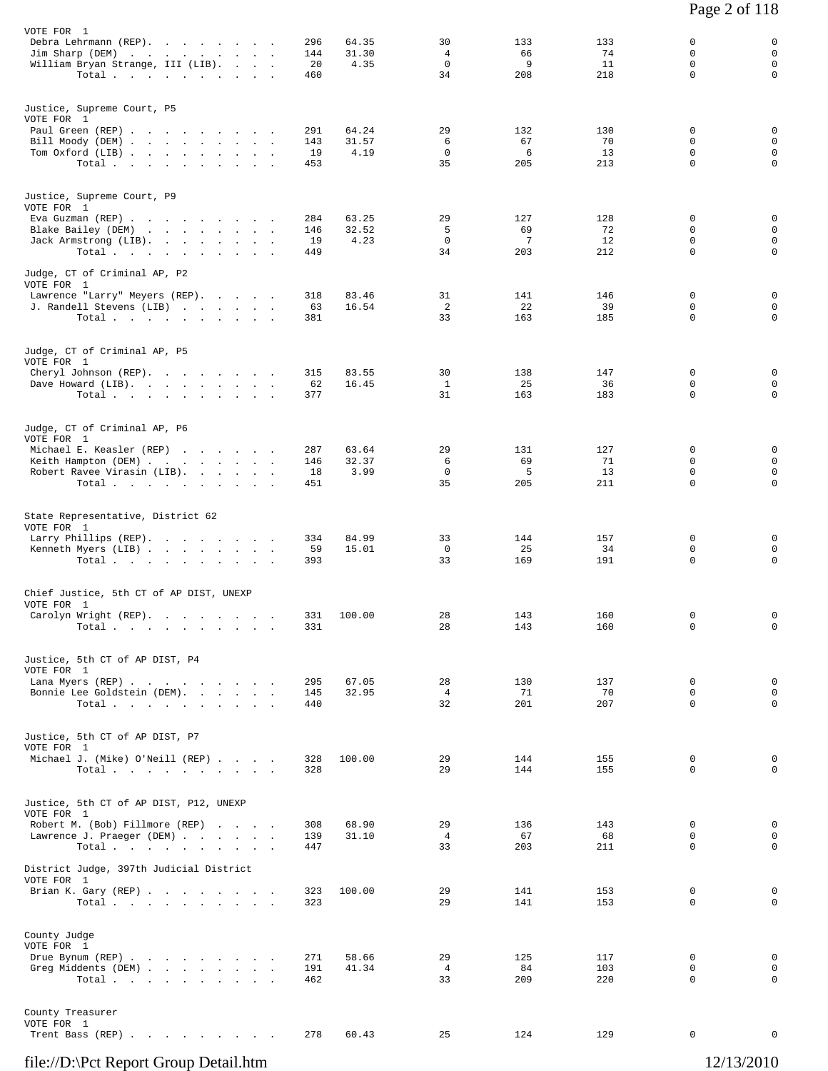| VOTE FOR 1<br>Debra Lehrmann (REP).<br>Jim Sharp (DEM)<br>William Bryan Strange, III (LIB).<br>Total                                                                                        | 296<br>144<br>20<br>460 | 64.35<br>31.30<br>4.35 | 30<br>$\overline{4}$<br>$\mathbf 0$<br>34 | 133<br>66<br>9<br>208 | 133<br>74<br>11<br>218 | 0<br>0<br>0<br>$\mathbf 0$   | 0<br>$\mathbf 0$<br>$\mathbf 0$<br>$\mathbf 0$           |
|---------------------------------------------------------------------------------------------------------------------------------------------------------------------------------------------|-------------------------|------------------------|-------------------------------------------|-----------------------|------------------------|------------------------------|----------------------------------------------------------|
| Justice, Supreme Court, P5                                                                                                                                                                  |                         |                        |                                           |                       |                        |                              |                                                          |
| VOTE FOR 1<br>Paul Green (REP)<br>Bill Moody (DEM)<br>Tom Oxford (LIB)<br>Total                                                                                                             | 291<br>143<br>19<br>453 | 64.24<br>31.57<br>4.19 | 29<br>6<br>$\mathbf 0$<br>35              | 132<br>67<br>6<br>205 | 130<br>70<br>13<br>213 | 0<br>0<br>$\mathbf 0$<br>0   | $\mathbf 0$<br>$\mathbf 0$<br>$\mathbf 0$<br>$\mathbf 0$ |
| Justice, Supreme Court, P9<br>VOTE FOR 1                                                                                                                                                    |                         |                        |                                           |                       |                        |                              |                                                          |
| Eva Guzman (REP)<br>Blake Bailey (DEM)<br>the contract of the contract of the contract of the contract of the contract of the contract of the contract of<br>Jack Armstrong (LIB).<br>Total | 284<br>146<br>19<br>449 | 63.25<br>32.52<br>4.23 | 29<br>5<br>$\mathbf 0$<br>34              | 127<br>69<br>7<br>203 | 128<br>72<br>12<br>212 | 0<br>0<br>0<br>$\mathbf 0$   | 0<br>$\mathbf 0$<br>$\mathbf 0$<br>$\mathbf 0$           |
| Judge, CT of Criminal AP, P2<br>VOTE FOR 1                                                                                                                                                  |                         |                        |                                           |                       |                        |                              |                                                          |
| Lawrence "Larry" Meyers (REP).<br>J. Randell Stevens (LIB)<br>Total.                                                                                                                        | 318<br>63<br>381        | 83.46<br>16.54         | 31<br>2<br>33                             | 141<br>22<br>163      | 146<br>39<br>185       | 0<br>0<br>0                  | 0<br>$\mathbf 0$<br>$\mathbf 0$                          |
| Judge, CT of Criminal AP, P5<br>VOTE FOR 1                                                                                                                                                  |                         |                        |                                           |                       |                        |                              |                                                          |
| Cheryl Johnson (REP).<br>Dave Howard (LIB).<br>Total                                                                                                                                        | 315<br>62<br>377        | 83.55<br>16.45         | 30<br>$\mathbf{1}$<br>31                  | 138<br>25<br>163      | 147<br>36<br>183       | 0<br>0<br>0                  | $\mathbf 0$<br>0<br>0                                    |
| Judge, CT of Criminal AP, P6<br>VOTE FOR 1                                                                                                                                                  |                         |                        |                                           |                       |                        |                              |                                                          |
| Michael E. Keasler (REP)<br>Keith Hampton (DEM)<br>Robert Ravee Virasin (LIB).<br>Total                                                                                                     | 287<br>146<br>18<br>451 | 63.64<br>32.37<br>3.99 | 29<br>6<br>$\mathbf 0$<br>35              | 131<br>69<br>5<br>205 | 127<br>71<br>13<br>211 | 0<br>0<br>0<br>0             | 0<br>$\mathbf 0$<br>$\mathbf 0$<br>0                     |
| State Representative, District 62<br>VOTE FOR 1                                                                                                                                             |                         |                        |                                           |                       |                        |                              |                                                          |
| Larry Phillips (REP).<br>Kenneth Myers (LIB)<br>Total.                                                                                                                                      | 334<br>59<br>393        | 84.99<br>15.01         | 33<br>0<br>33                             | 144<br>25<br>169      | 157<br>34<br>191       | $\mathbf 0$<br>0<br>0        | 0<br>$\mathbf 0$<br>0                                    |
| Chief Justice, 5th CT of AP DIST, UNEXP<br>VOTE FOR 1                                                                                                                                       |                         |                        |                                           |                       |                        |                              |                                                          |
| Carolyn Wright (REP).<br>Total.                                                                                                                                                             | 331<br>331              | 100.00                 | 28<br>28                                  | 143<br>143            | 160<br>160             | 0<br>0                       | 0<br>0                                                   |
| Justice, 5th CT of AP DIST, P4<br>VOTE FOR 1                                                                                                                                                |                         |                        |                                           |                       |                        |                              |                                                          |
| Lana Myers (REP)<br>Bonnie Lee Goldstein (DEM).<br>Total                                                                                                                                    | 295<br>145<br>440       | 67.05<br>32.95         | 28<br>$4\overline{ }$<br>32               | 130<br>71<br>201      | 137<br>70<br>207       | 0<br>0<br>$\Omega$           | $\mathbf 0$<br>$\mathbf 0$<br>$\Omega$                   |
| Justice, 5th CT of AP DIST, P7<br>VOTE FOR 1                                                                                                                                                |                         |                        |                                           |                       |                        |                              |                                                          |
| Michael J. (Mike) O'Neill (REP)<br>Total $\cdots$ $\cdots$ $\cdots$ $\cdots$                                                                                                                | 328<br>328              | 100.00                 | 29<br>29                                  | 144<br>144            | 155<br>155             | $\mathbf 0$<br>$\Omega$      | $\mathbf 0$<br>$\Omega$                                  |
| Justice, 5th CT of AP DIST, P12, UNEXP<br>VOTE FOR 1                                                                                                                                        |                         |                        |                                           |                       |                        |                              |                                                          |
| Robert M. (Bob) Fillmore (REP)<br>Lawrence J. Praeger (DEM)<br>Total.                                                                                                                       | 308<br>139<br>447       | 68.90<br>31.10         | 29<br>$\overline{4}$<br>33                | 136<br>67<br>203      | 143<br>68<br>211       | 0<br>$\mathbf 0$<br>$\Omega$ | 0<br>$\mathbf 0$<br>$\Omega$                             |
| District Judge, 397th Judicial District<br>VOTE FOR 1                                                                                                                                       |                         |                        |                                           |                       |                        |                              |                                                          |
| Brian K. Gary (REP)<br>Total                                                                                                                                                                | 323<br>323              | 100.00                 | 29<br>29                                  | 141<br>141            | 153<br>153             | 0<br>0                       | 0<br>$\Omega$                                            |
| County Judge<br>VOTE FOR 1<br>Drue Bynum (REP)                                                                                                                                              | 271                     | 58.66                  | 29                                        | 125                   | 117                    | 0                            | $\mathbf 0$                                              |
| Greg Middents (DEM)<br>Total $\cdots$                                                                                                                                                       | 191<br>462              | 41.34                  | $\overline{4}$<br>33                      | 84<br>209             | 103<br>220             | 0<br>$\Omega$                | $\mathbf 0$<br>$\Omega$                                  |
| County Treasurer<br>VOTE FOR 1<br>Trent Bass (REP)                                                                                                                                          | 278                     | 60.43                  | 25                                        | 124                   | 129                    | $\overline{0}$               | $\Omega$                                                 |
|                                                                                                                                                                                             |                         |                        |                                           |                       |                        |                              |                                                          |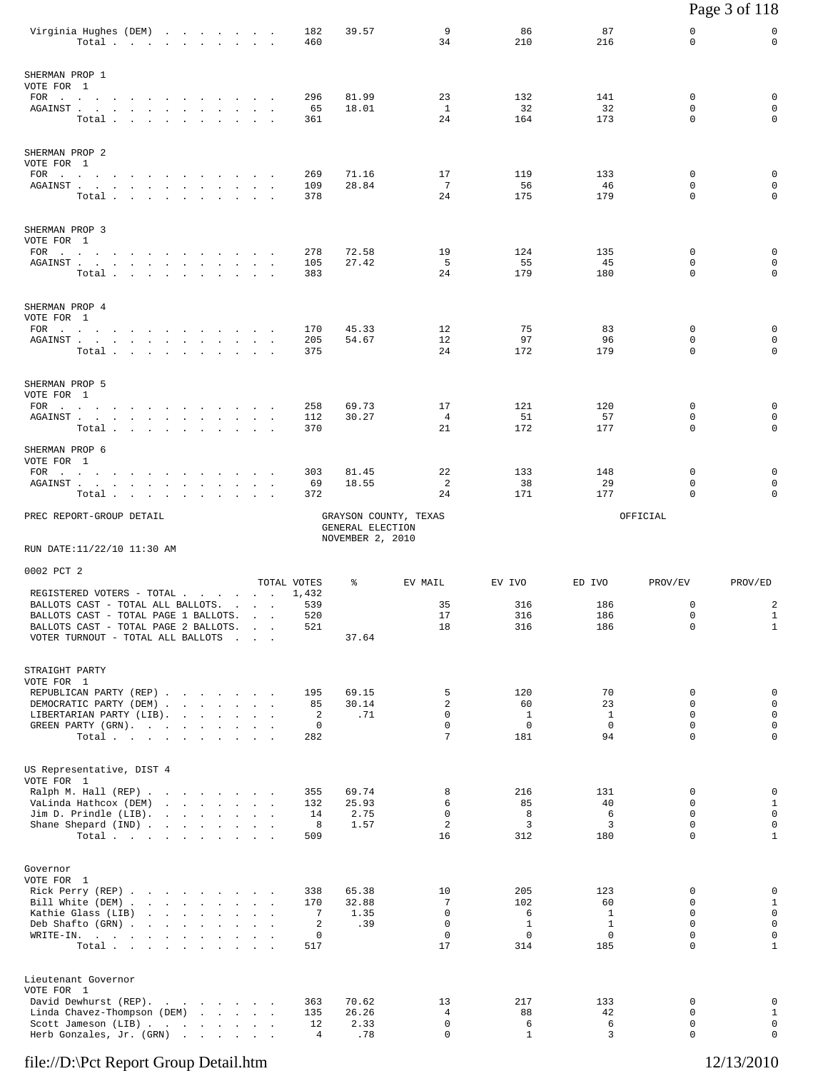|                                                                                                                                                                                                                                              |                                                          |                 |              |                                                                      |                                    |                                      |                             |                                    |                                    |                                           | Page 3 of 118                              |
|----------------------------------------------------------------------------------------------------------------------------------------------------------------------------------------------------------------------------------------------|----------------------------------------------------------|-----------------|--------------|----------------------------------------------------------------------|------------------------------------|--------------------------------------|-----------------------------|------------------------------------|------------------------------------|-------------------------------------------|--------------------------------------------|
| Virginia Hughes (DEM)                                                                                                                                                                                                                        | Total                                                    |                 |              |                                                                      | 182<br>460                         | 39.57                                | 9<br>34                     | 86<br>210                          | 87<br>216                          | 0<br>0                                    | 0<br>$\mathbf 0$                           |
| SHERMAN PROP 1                                                                                                                                                                                                                               |                                                          |                 |              |                                                                      |                                    |                                      |                             |                                    |                                    |                                           |                                            |
| VOTE FOR 1<br>FOR $\cdots$<br>AGAINST                                                                                                                                                                                                        | Total.                                                   |                 |              |                                                                      | 296<br>65<br>361                   | 81.99<br>18.01                       | 23<br>$\mathbf{1}$<br>24    | 132<br>32<br>164                   | 141<br>32<br>173                   | 0<br>0<br>0                               | 0<br>0<br>$\mathbf 0$                      |
| SHERMAN PROP 2<br>VOTE FOR 1                                                                                                                                                                                                                 |                                                          |                 |              |                                                                      |                                    |                                      |                             |                                    |                                    |                                           |                                            |
| FOR<br>AGAINST                                                                                                                                                                                                                               | Total                                                    |                 |              |                                                                      | 269<br>109<br>378                  | 71.16<br>28.84                       | 17<br>$7\phantom{.0}$<br>24 | 119<br>56<br>175                   | 133<br>46<br>179                   | 0<br>0<br>0                               | 0<br>0<br>0                                |
| SHERMAN PROP 3<br>VOTE FOR 1<br>FOR $\qquad \qquad \ldots \qquad \qquad \ldots \qquad \qquad \ldots \qquad \ldots$                                                                                                                           |                                                          |                 |              |                                                                      | 278                                | 72.58                                | 19                          | 124                                | 135                                | $\mathbf 0$                               | 0                                          |
| ${\tt AGAINST} \hspace{0.1in} . \hspace{0.1in} . \hspace{0.1in} . \hspace{0.1in} . \hspace{0.1in} . \hspace{0.1in} . \hspace{0.1in} . \hspace{0.1in} . \hspace{0.1in} . \hspace{0.1in} . \hspace{0.1in} . \hspace{0.1in} .$                  | Total                                                    |                 |              | $\sim$<br>$\sim$                                                     | 105<br>383                         | 27.42                                | 5<br>24                     | 55<br>179                          | 45<br>180                          | 0<br>0                                    | 0<br>$\mathbf 0$                           |
| SHERMAN PROP 4<br>VOTE FOR 1<br>FOR $\cdots$                                                                                                                                                                                                 |                                                          |                 |              |                                                                      | 170                                | 45.33                                | 12                          | 75                                 | 83                                 | 0                                         | 0                                          |
| ${\tt AGAINST} \hspace{1.5cm} . \hspace{1.5cm} . \hspace{1.5cm} . \hspace{1.5cm} . \hspace{1.5cm} . \hspace{1.5cm} . \hspace{1.5cm} . \hspace{1.5cm} . \hspace{1.5cm} . \hspace{1.5cm} . \hspace{1.5cm} . \hspace{1.5cm} . \hspace{1.5cm} .$ | Total                                                    |                 |              |                                                                      | 205<br>375                         | 54.67                                | 12<br>24                    | 97<br>172                          | 96<br>179                          | 0<br>0                                    | 0<br>0                                     |
| SHERMAN PROP 5<br>VOTE FOR 1<br>FOR $\cdots$                                                                                                                                                                                                 |                                                          |                 |              |                                                                      | 258                                | 69.73                                | 17                          | 121                                | 120                                | 0                                         | 0                                          |
| AGAINST                                                                                                                                                                                                                                      | Total                                                    |                 |              |                                                                      | 112<br>370                         | 30.27                                | $\overline{4}$<br>21        | 51<br>172                          | 57<br>177                          | 0<br>0                                    | $\mathbf 0$<br>0                           |
| SHERMAN PROP 6<br>VOTE FOR 1<br>$FOR$<br>AGAINST                                                                                                                                                                                             |                                                          |                 |              | $\sim$<br>$\sim$                                                     | 303<br>69                          | 81.45<br>18.55                       | 22<br>2                     | 133<br>38                          | 148<br>29                          | 0<br>$\Omega$                             | 0<br>0                                     |
| Total .                                                                                                                                                                                                                                      | $\sim$<br>and the state of the                           | $\sim 10^{-11}$ |              |                                                                      | 372                                |                                      | 24                          | 171                                | 177                                | $\mathbf 0$                               | 0                                          |
| PREC REPORT-GROUP DETAIL                                                                                                                                                                                                                     |                                                          |                 |              |                                                                      |                                    | GENERAL ELECTION<br>NOVEMBER 2, 2010 | GRAYSON COUNTY, TEXAS       |                                    |                                    | OFFICIAL                                  |                                            |
| RUN DATE:11/22/10 11:30 AM                                                                                                                                                                                                                   |                                                          |                 |              |                                                                      |                                    |                                      |                             |                                    |                                    |                                           |                                            |
| 0002 PCT 2                                                                                                                                                                                                                                   |                                                          |                 |              |                                                                      | TOTAL VOTES                        | ႜ                                    | EV MAIL                     | EV IVO                             | ED IVO                             | PROV/EV                                   | PROV/ED                                    |
| REGISTERED VOTERS - TOTAL<br>BALLOTS CAST - TOTAL ALL BALLOTS.                                                                                                                                                                               |                                                          |                 |              | $\mathcal{L}^{\text{max}}$                                           | 1,432<br>539                       |                                      | 35                          | 316                                | 186                                | 0                                         | 2                                          |
| BALLOTS CAST - TOTAL PAGE 1 BALLOTS.<br>BALLOTS CAST - TOTAL PAGE 2 BALLOTS.<br>VOTER TURNOUT - TOTAL ALL BALLOTS                                                                                                                            |                                                          |                 |              | $\sim$<br><b>Contract Contract Street</b><br>and the contract of the | 520<br>521                         | 37.64                                | 17<br>18                    | 316<br>316                         | 186<br>186                         | 0<br>$\mathbf 0$                          | $\mathbf{1}$<br>$\mathbf{1}$               |
| STRAIGHT PARTY<br>VOTE FOR 1<br>REPUBLICAN PARTY (REP)                                                                                                                                                                                       |                                                          |                 |              |                                                                      | 195                                | 69.15                                | 5                           | 120                                | 70                                 | 0                                         | 0                                          |
| DEMOCRATIC PARTY (DEM)<br>LIBERTARIAN PARTY (LIB).                                                                                                                                                                                           |                                                          |                 |              |                                                                      | 85<br>2                            | 30.14<br>.71                         | 2<br>0                      | 60<br>$\mathbf{1}$                 | 23<br>$\mathbf{1}$                 | $\mathbf 0$<br>$\mathbf 0$                | 0<br>0                                     |
| GREEN PARTY (GRN).                                                                                                                                                                                                                           | Total                                                    |                 |              |                                                                      | $\mathbf 0$<br>282                 |                                      | 0<br>7                      | $\mathbf 0$<br>181                 | $\mathbf 0$<br>94                  | $\mathbf 0$<br>0                          | $\mathsf 0$<br>0                           |
| US Representative, DIST 4<br>VOTE FOR 1                                                                                                                                                                                                      |                                                          |                 |              |                                                                      |                                    |                                      |                             |                                    |                                    |                                           |                                            |
| Ralph M. Hall (REP)<br>VaLinda Hathcox (DEM)                                                                                                                                                                                                 |                                                          |                 |              |                                                                      | 355<br>132                         | 69.74<br>25.93                       | 8<br>6                      | 216<br>85                          | 131<br>40                          | 0<br>$\mathbf 0$                          | 0<br>$\mathbf{1}$                          |
| Jim D. Prindle (LIB).<br>Shane Shepard (IND)                                                                                                                                                                                                 | Total $\cdots$ $\cdots$ $\cdots$                         |                 |              |                                                                      | 14<br>8<br>509                     | 2.75<br>1.57                         | 0<br>$\overline{c}$<br>16   | 8<br>3<br>312                      | 6<br>3<br>180                      | $\mathbf 0$<br>$\mathbf 0$<br>$\mathbf 0$ | 0<br>0<br>$\mathbf{1}$                     |
| Governor<br>VOTE FOR 1                                                                                                                                                                                                                       |                                                          |                 |              |                                                                      |                                    |                                      |                             |                                    |                                    |                                           |                                            |
| Rick Perry (REP)<br>Bill White (DEM)<br>Kathie Glass (LIB)                                                                                                                                                                                   | the contract of the contract of                          |                 |              |                                                                      | 338<br>170<br>7                    | 65.38<br>32.88<br>1.35               | 10<br>7<br>0                | 205<br>102<br>6                    | 123<br>60<br>$\mathbf{1}$          | 0<br>$\mathbf 0$<br>$\Omega$              | 0<br>$\mathbf{1}$<br>$\mathbf 0$           |
| Deb Shafto (GRN)<br>WRITE-IN.                                                                                                                                                                                                                | the contract of the contract of the contract of<br>Total | $\sim$          | $\mathbf{r}$ |                                                                      | 2<br>0<br>517                      | .39                                  | 0<br>0<br>17                | $\mathbf{1}$<br>$\mathbf 0$<br>314 | $\mathbf{1}$<br>$\mathbf 0$<br>185 | $\mathbf 0$<br>0<br>0                     | $\mathsf 0$<br>$\mathsf 0$<br>$\mathbf{1}$ |
| Lieutenant Governor<br>VOTE FOR 1                                                                                                                                                                                                            |                                                          |                 |              |                                                                      |                                    |                                      |                             |                                    |                                    |                                           |                                            |
| David Dewhurst (REP).<br>Linda Chavez-Thompson (DEM)<br>Scott Jameson (LIB)<br>Herb Gonzales, Jr. (GRN)                                                                                                                                      |                                                          |                 |              | $\sim$                                                               | 363<br>135<br>12<br>$\overline{4}$ | 70.62<br>26.26<br>2.33<br>.78        | 13<br>4<br>0<br>0           | 217<br>88<br>6<br>$\mathbf{1}$     | 133<br>42<br>6<br>3                | 0<br>0<br>0<br>0                          | 0<br>$\mathbf{1}$<br>$\mathsf 0$<br>0      |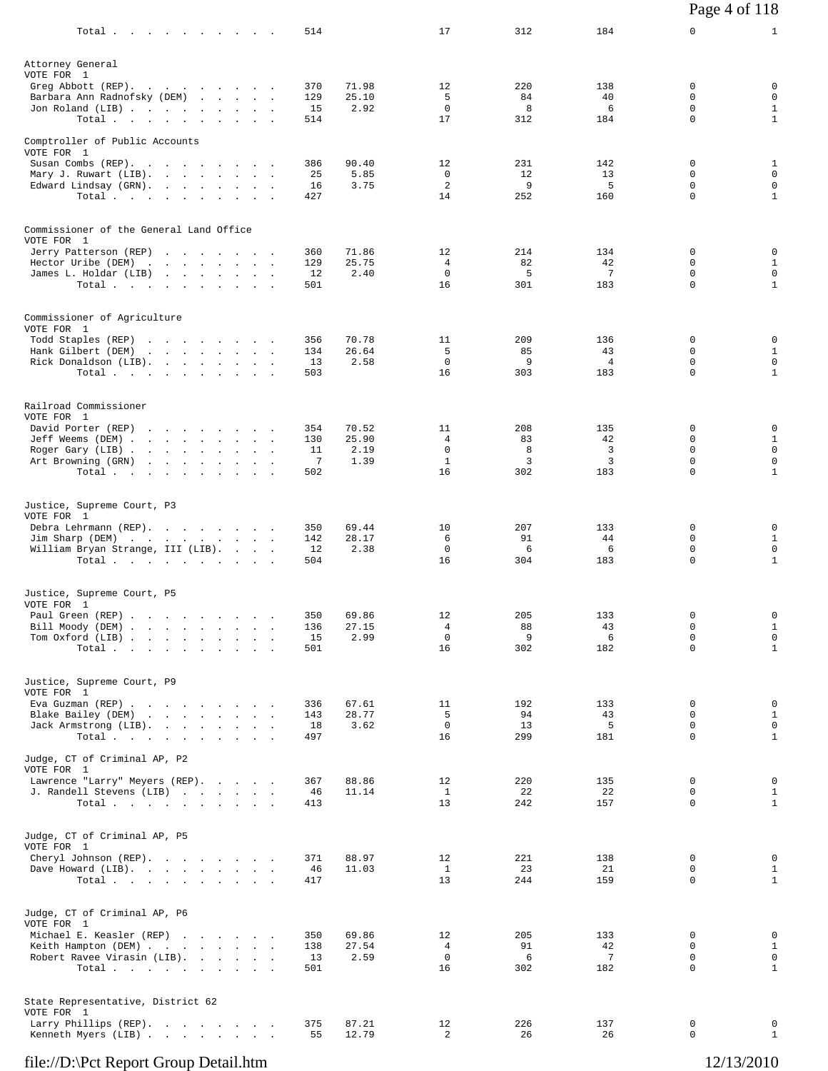| Total                                                                                                            |                                                                                                                                                                                                                                                                   |  |  | 514                          |                                | 17                                           | 312                        | 184                                | 0                                                   | $\mathbf{1}$                                                    |
|------------------------------------------------------------------------------------------------------------------|-------------------------------------------------------------------------------------------------------------------------------------------------------------------------------------------------------------------------------------------------------------------|--|--|------------------------------|--------------------------------|----------------------------------------------|----------------------------|------------------------------------|-----------------------------------------------------|-----------------------------------------------------------------|
| Attorney General<br>VOTE FOR 1<br>Greg Abbott (REP).<br>Barbara Ann Radnofsky (DEM)<br>Jon Roland (LIB)<br>Total |                                                                                                                                                                                                                                                                   |  |  | 370<br>129<br>15<br>514      | 71.98<br>25.10<br>2.92         | 12<br>5<br>$\mathbf 0$<br>17                 | 220<br>84<br>8<br>312      | 138<br>40<br>6<br>184              | 0<br>0<br>$\Omega$<br>$\mathbf 0$                   | 0<br>$\mathbf 0$<br>$\mathbf{1}$<br>$\mathbf{1}$                |
| Comptroller of Public Accounts<br>VOTE FOR 1                                                                     |                                                                                                                                                                                                                                                                   |  |  |                              |                                |                                              |                            |                                    |                                                     |                                                                 |
| Susan Combs (REP).<br>Mary J. Ruwart (LIB).<br>Edward Lindsay (GRN).<br>Total                                    |                                                                                                                                                                                                                                                                   |  |  | 386<br>25<br>16<br>427       | 90.40<br>5.85<br>3.75          | 12<br>0<br>$\overline{a}$<br>14              | 231<br>12<br>9<br>252      | 142<br>13<br>5<br>160              | 0<br>0<br>$\Omega$<br>$\mathbf 0$                   | $\mathbf{1}$<br>$\mathbf 0$<br>$\mathbf 0$<br>$\mathbf{1}$      |
| Commissioner of the General Land Office<br>VOTE FOR 1                                                            |                                                                                                                                                                                                                                                                   |  |  |                              |                                |                                              |                            |                                    |                                                     |                                                                 |
| Jerry Patterson (REP)<br>Hector Uribe (DEM)<br>James L. Holdar (LIB)<br>Total                                    |                                                                                                                                                                                                                                                                   |  |  | 360<br>129<br>12<br>501      | 71.86<br>25.75<br>2.40         | 12<br>4<br>$\mathbf 0$<br>16                 | 214<br>82<br>5<br>301      | 134<br>42<br>7<br>183              | 0<br>$\Omega$<br>$\mathbf 0$<br>$\Omega$            | 0<br>$\mathbf{1}$<br>$\mathbf 0$<br>$\mathbf{1}$                |
| Commissioner of Agriculture<br>VOTE FOR 1                                                                        |                                                                                                                                                                                                                                                                   |  |  |                              |                                |                                              |                            |                                    |                                                     |                                                                 |
| Todd Staples (REP)<br>Hank Gilbert (DEM)<br>Rick Donaldson (LIB).<br>Total                                       | and the contract of the contract of the contract of the contract of the contract of the contract of the contract of the contract of the contract of the contract of the contract of the contract of the contract of the contra<br>the contract of the contract of |  |  | 356<br>134<br>13<br>503      | 70.78<br>26.64<br>2.58         | 11<br>5<br>0<br>16                           | 209<br>85<br>9<br>303      | 136<br>43<br>$\overline{4}$<br>183 | 0<br>$\mathbf 0$<br>0<br>$\Omega$                   | 0<br>$\mathbf{1}$<br>$\mathsf 0$<br>$\mathbf{1}$                |
| Railroad Commissioner<br>VOTE FOR 1                                                                              |                                                                                                                                                                                                                                                                   |  |  |                              |                                |                                              |                            |                                    |                                                     |                                                                 |
| David Porter (REP)<br>Jeff Weems (DEM)<br>Roger Gary (LIB)<br>Art Browning (GRN)<br>Total                        |                                                                                                                                                                                                                                                                   |  |  | 354<br>130<br>11<br>7<br>502 | 70.52<br>25.90<br>2.19<br>1.39 | 11<br>4<br>$\mathbf 0$<br>$\mathbf{1}$<br>16 | 208<br>83<br>8<br>3<br>302 | 135<br>42<br>3<br>3<br>183         | 0<br>0<br>$\mathbf 0$<br>$\mathbf 0$<br>$\mathbf 0$ | 0<br>$\mathbf{1}$<br>$\mathsf 0$<br>$\mathbf 0$<br>$\mathbf{1}$ |
| Justice, Supreme Court, P3<br>VOTE FOR 1                                                                         |                                                                                                                                                                                                                                                                   |  |  |                              |                                |                                              |                            |                                    |                                                     |                                                                 |
| Debra Lehrmann (REP).<br>Jim Sharp (DEM)<br>William Bryan Strange, III (LIB).<br>Total                           |                                                                                                                                                                                                                                                                   |  |  | 350<br>142<br>12<br>504      | 69.44<br>28.17<br>2.38         | 10<br>6<br>$\mathbf 0$<br>16                 | 207<br>91<br>6<br>304      | 133<br>44<br>6<br>183              | 0<br>$\Omega$<br>0<br>0                             | 0<br>$\mathbf{1}$<br>$\mathbf 0$<br>$\mathbf{1}$                |
| Justice, Supreme Court, P5<br>VOTE FOR 1                                                                         |                                                                                                                                                                                                                                                                   |  |  |                              |                                |                                              |                            |                                    |                                                     |                                                                 |
| Paul Green (REP)<br>Bill Moody (DEM)<br>Tom Oxford (LIB)<br>Total                                                |                                                                                                                                                                                                                                                                   |  |  | 350<br>136<br>15<br>501      | 69.86<br>27.15<br>2.99         | 12<br>$\overline{4}$<br>0<br>16              | 205<br>88<br>9<br>302      | 133<br>43<br>6<br>182              | 0<br>$\Omega$<br>0<br>0                             | 0<br>$\mathbf{1}$<br>0<br>$\mathbf{1}$                          |
| Justice, Supreme Court, P9<br>VOTE FOR 1                                                                         |                                                                                                                                                                                                                                                                   |  |  |                              |                                |                                              |                            |                                    |                                                     |                                                                 |
| Eva Guzman (REP)<br>Blake Bailey (DEM)<br>Jack Armstrong (LIB).<br>Total                                         |                                                                                                                                                                                                                                                                   |  |  | 336<br>143<br>18<br>497      | 67.61<br>28.77<br>3.62         | 11<br>5<br>$\mathbf 0$<br>16                 | 192<br>94<br>13<br>299     | 133<br>43<br>5<br>181              | 0<br>$\Omega$<br>$\mathbf 0$<br>$\mathbf 0$         | 0<br>$\mathbf{1}$<br>$\mathbf 0$<br>$\mathbf{1}$                |
| Judge, CT of Criminal AP, P2<br>VOTE FOR 1                                                                       |                                                                                                                                                                                                                                                                   |  |  |                              |                                |                                              |                            |                                    |                                                     |                                                                 |
| Lawrence "Larry" Meyers (REP).<br>J. Randell Stevens (LIB)<br>Total.                                             |                                                                                                                                                                                                                                                                   |  |  | 367<br>46<br>413             | 88.86<br>11.14                 | 12<br>$\mathbf{1}$<br>13                     | 220<br>22<br>242           | 135<br>22<br>157                   | 0<br>0<br>$\Omega$                                  | 0<br>$\mathbf{1}$<br>$\mathbf{1}$                               |
| Judge, CT of Criminal AP, P5<br>VOTE FOR 1                                                                       |                                                                                                                                                                                                                                                                   |  |  |                              |                                |                                              |                            |                                    |                                                     |                                                                 |
| Cheryl Johnson (REP).<br>Dave Howard (LIB).<br>Total,                                                            |                                                                                                                                                                                                                                                                   |  |  | 371<br>46<br>417             | 88.97<br>11.03                 | 12<br>$\mathbf{1}$<br>13                     | 221<br>23<br>244           | 138<br>21<br>159                   | 0<br>0<br>$\mathbf 0$                               | 0<br>$\mathbf{1}$<br>$\mathbf{1}$                               |
| Judge, CT of Criminal AP, P6<br>VOTE FOR 1                                                                       |                                                                                                                                                                                                                                                                   |  |  |                              |                                |                                              |                            |                                    |                                                     |                                                                 |
| Michael E. Keasler (REP)<br>Keith Hampton (DEM)<br>Robert Ravee Virasin (LIB).<br>Total                          |                                                                                                                                                                                                                                                                   |  |  | 350<br>138<br>13<br>501      | 69.86<br>27.54<br>2.59         | 12<br>4<br>0<br>16                           | 205<br>91<br>6<br>302      | 133<br>42<br>7<br>182              | 0<br>0<br>$\mathbf 0$<br>$\Omega$                   | 0<br>$\mathbf{1}$<br>$\mathbf 0$<br>$\mathbf{1}$                |
| State Representative, District 62<br>VOTE FOR 1                                                                  |                                                                                                                                                                                                                                                                   |  |  |                              |                                |                                              |                            |                                    |                                                     |                                                                 |
| Larry Phillips (REP).<br>Kenneth Myers (LIB)                                                                     |                                                                                                                                                                                                                                                                   |  |  | 375<br>55                    | 87.21<br>12.79                 | 12<br>$\overline{a}$                         | 226<br>26                  | 137<br>26                          | 0<br>$\mathbf 0$                                    | 0<br>$\mathbf{1}$                                               |

Page 4 of 118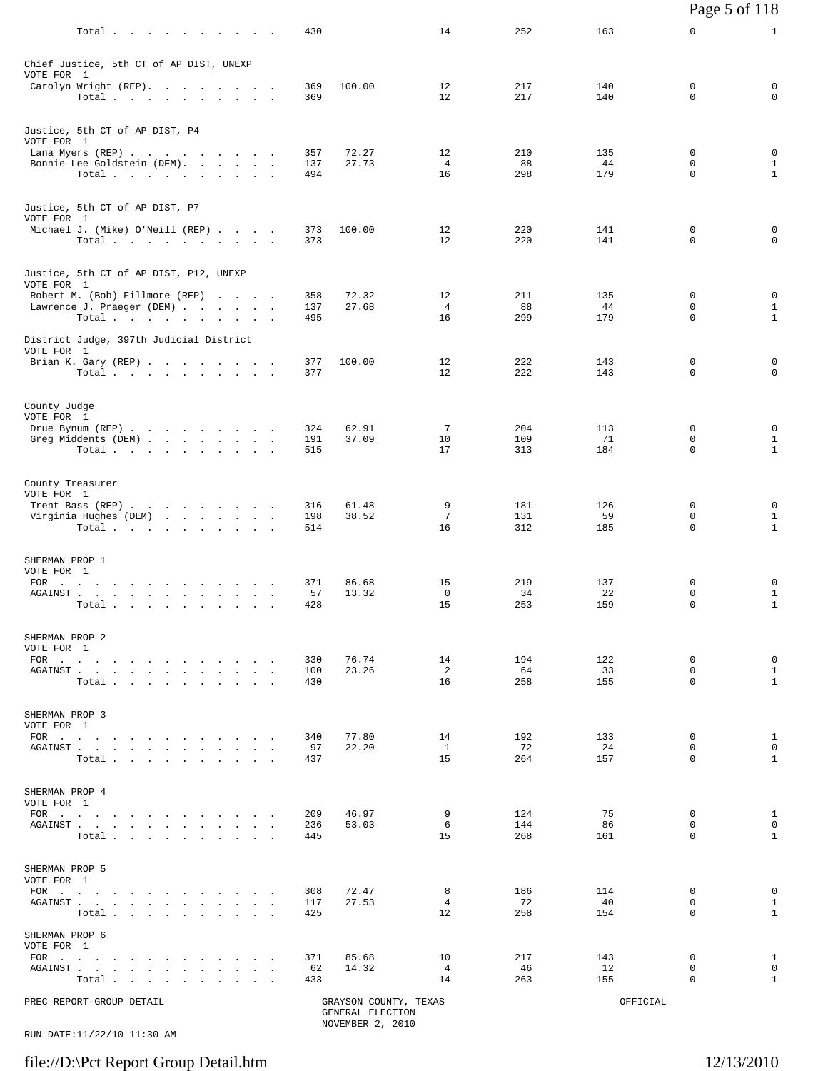|                              |                                                                                                                                                                                                                                                                                                                                                                                                                                                                                                                  |  |                   |                                                               |                           |                   |                  | Page 5 of 118                |                                             |
|------------------------------|------------------------------------------------------------------------------------------------------------------------------------------------------------------------------------------------------------------------------------------------------------------------------------------------------------------------------------------------------------------------------------------------------------------------------------------------------------------------------------------------------------------|--|-------------------|---------------------------------------------------------------|---------------------------|-------------------|------------------|------------------------------|---------------------------------------------|
|                              | Total $\cdots$                                                                                                                                                                                                                                                                                                                                                                                                                                                                                                   |  | 430               |                                                               | 14                        | 252               | 163              | 0                            | $\mathbf{1}$                                |
| VOTE FOR 1                   | Chief Justice, 5th CT of AP DIST, UNEXP                                                                                                                                                                                                                                                                                                                                                                                                                                                                          |  |                   |                                                               |                           |                   |                  |                              |                                             |
|                              | Carolyn Wright (REP).<br>Total                                                                                                                                                                                                                                                                                                                                                                                                                                                                                   |  | 369<br>369        | 100.00                                                        | 12<br>12                  | 217<br>217        | 140<br>140       | 0<br>0                       | 0<br>$\mathbf 0$                            |
| VOTE FOR 1                   | Justice, 5th CT of AP DIST, P4<br>Lana Myers (REP)                                                                                                                                                                                                                                                                                                                                                                                                                                                               |  | 357               | 72.27                                                         | 12                        | 210               | 135              | $\mathbf 0$                  | 0                                           |
|                              | Bonnie Lee Goldstein (DEM).<br>Total                                                                                                                                                                                                                                                                                                                                                                                                                                                                             |  | 137<br>494        | 27.73                                                         | $\overline{4}$<br>16      | 88<br>298         | 44<br>179        | 0<br>0                       | $\mathbf{1}$<br>$\mathbf{1}$                |
| VOTE FOR 1                   | Justice, 5th CT of AP DIST, P7                                                                                                                                                                                                                                                                                                                                                                                                                                                                                   |  |                   |                                                               |                           |                   |                  |                              |                                             |
|                              | Michael J. (Mike) O'Neill (REP)<br>Total                                                                                                                                                                                                                                                                                                                                                                                                                                                                         |  | 373<br>373        | 100.00                                                        | 12<br>12                  | 220<br>220        | 141<br>141       | 0<br>0                       | 0<br>$\mathbf 0$                            |
| VOTE FOR 1                   | Justice, 5th CT of AP DIST, P12, UNEXP<br>Robert M. (Bob) Fillmore (REP)                                                                                                                                                                                                                                                                                                                                                                                                                                         |  | 358               | 72.32                                                         | 12                        | 211               | 135              | 0                            | 0                                           |
|                              | Lawrence J. Praeger (DEM)<br>Total.                                                                                                                                                                                                                                                                                                                                                                                                                                                                              |  | 137<br>495        | 27.68                                                         | 4<br>16                   | 88<br>299         | 44<br>179        | 0<br>$\mathbf 0$             | $\mathbf{1}$<br>$\mathbf{1}$                |
| VOTE FOR 1                   | District Judge, 397th Judicial District<br>Brian K. Gary (REP)                                                                                                                                                                                                                                                                                                                                                                                                                                                   |  | 377               | 100.00                                                        | 12                        | 222               | 143              | 0                            | 0                                           |
|                              | Total $\cdots$ $\cdots$ $\cdots$ $\cdots$                                                                                                                                                                                                                                                                                                                                                                                                                                                                        |  | 377               |                                                               | 12                        | 222               | 143              | 0                            | $\mathbf 0$                                 |
| County Judge<br>VOTE FOR 1   | Drue Bynum (REP)                                                                                                                                                                                                                                                                                                                                                                                                                                                                                                 |  | 324               | 62.91                                                         | 7                         | 204               | 113              | 0                            | 0                                           |
|                              | Greg Middents (DEM)<br>Total                                                                                                                                                                                                                                                                                                                                                                                                                                                                                     |  | 191<br>515        | 37.09                                                         | 10<br>17                  | 109<br>313        | 71<br>184        | 0<br>$\mathbf 0$             | $\mathbf{1}$<br>$\mathbf{1}$                |
| VOTE FOR 1                   | County Treasurer<br>Trent Bass (REP)                                                                                                                                                                                                                                                                                                                                                                                                                                                                             |  | 316               | 61.48                                                         | 9                         | 181               | 126              | 0                            | 0                                           |
|                              | Virginia Hughes (DEM)<br>Total                                                                                                                                                                                                                                                                                                                                                                                                                                                                                   |  | 198<br>514        | 38.52                                                         | 7<br>16                   | 131<br>312        | 59<br>185        | 0<br>0                       | $\mathbf{1}$<br>$\mathbf{1}$                |
| SHERMAN PROP 1<br>VOTE FOR 1 | FOR $\cdots$ $\cdots$ $\cdots$ $\cdots$ $\cdots$                                                                                                                                                                                                                                                                                                                                                                                                                                                                 |  | 371               | 86.68                                                         | 15                        | 219               | 137              | 0                            | 0                                           |
|                              | AGAINST<br>Total<br>the contract of the contract of the contract of the contract of the contract of the contract of the contract of                                                                                                                                                                                                                                                                                                                                                                              |  | 57<br>428         | 13.32                                                         | $\mathbf 0$<br>15         | 34<br>253         | 22<br>159        | 0<br>0                       | $\mathbf{1}$<br>$\mathbf{1}$                |
| SHERMAN PROP 2<br>VOTE FOR 1 |                                                                                                                                                                                                                                                                                                                                                                                                                                                                                                                  |  |                   |                                                               |                           |                   |                  |                              |                                             |
|                              | FOR<br>AGAINST<br>Total                                                                                                                                                                                                                                                                                                                                                                                                                                                                                          |  | 330<br>100<br>430 | 76.74<br>23.26                                                | 14<br>2<br>16             | 194<br>64<br>258  | 122<br>33<br>155 | 0<br>$\mathbf 0$<br>$\Omega$ | 0<br>$\mathbf{1}$<br>$\mathbf{1}$           |
| SHERMAN PROP 3<br>VOTE FOR 1 |                                                                                                                                                                                                                                                                                                                                                                                                                                                                                                                  |  |                   |                                                               |                           |                   |                  |                              |                                             |
|                              | AGAINST<br>Total.                                                                                                                                                                                                                                                                                                                                                                                                                                                                                                |  | 340<br>97<br>437  | 77.80<br>22.20                                                | 14<br><sup>1</sup><br>15  | 192<br>72<br>264  | 133<br>24<br>157 | 0<br>$\mathbf 0$<br>$\Omega$ | $\mathbf{1}$<br>$\Omega$<br>$\mathbf{1}$    |
| SHERMAN PROP 4<br>VOTE FOR 1 |                                                                                                                                                                                                                                                                                                                                                                                                                                                                                                                  |  |                   |                                                               |                           |                   |                  |                              |                                             |
|                              | FOR $\cdots$<br>AGAINST<br>Total $\cdots$ $\cdots$ $\cdots$                                                                                                                                                                                                                                                                                                                                                                                                                                                      |  | 209<br>236<br>445 | 46.97<br>53.03                                                | 9<br>6<br>15              | 124<br>144<br>268 | 75<br>86<br>161  | 0<br>0<br>$\Omega$           | $\mathbf{1}$<br>$\mathbf 0$<br>$\mathbf{1}$ |
| SHERMAN PROP 5<br>VOTE FOR 1 |                                                                                                                                                                                                                                                                                                                                                                                                                                                                                                                  |  |                   |                                                               |                           |                   |                  |                              |                                             |
|                              | FOR<br>AGAINST<br>Total.                                                                                                                                                                                                                                                                                                                                                                                                                                                                                         |  | 308<br>117<br>425 | 72.47<br>27.53                                                | 8<br>$\overline{4}$<br>12 | 186<br>72<br>258  | 114<br>40<br>154 | 0<br>0<br>$\Omega$           | 0<br>$\mathbf{1}$<br>$\mathbf{1}$           |
| SHERMAN PROP 6<br>VOTE FOR 1 |                                                                                                                                                                                                                                                                                                                                                                                                                                                                                                                  |  |                   |                                                               |                           |                   |                  |                              |                                             |
|                              | $\text{FOR} \quad \text{.} \quad \text{.} \quad \text{.} \quad \text{.} \quad \text{.} \quad \text{.} \quad \text{.} \quad \text{.} \quad \text{.} \quad \text{.} \quad \text{.} \quad \text{.} \quad \text{.} \quad \text{.} \quad \text{.} \quad \text{.} \quad \text{.} \quad \text{.} \quad \text{.} \quad \text{.} \quad \text{.} \quad \text{.} \quad \text{.} \quad \text{.} \quad \text{.} \quad \text{.} \quad \text{.} \quad \text{.} \quad \text{.} \quad \text{.} \quad \text{$<br>AGAINST<br>Total. |  | 371<br>62<br>433  | 85.68<br>14.32                                                | 10<br>4<br>14             | 217<br>46<br>263  | 143<br>12<br>155 | 0<br>0<br>0                  | $\mathbf{1}$<br>$\mathbf 0$<br>$\mathbf{1}$ |
|                              | PREC REPORT-GROUP DETAIL                                                                                                                                                                                                                                                                                                                                                                                                                                                                                         |  |                   | GRAYSON COUNTY, TEXAS<br>GENERAL ELECTION<br>NOVEMBER 2, 2010 |                           |                   | OFFICIAL         |                              |                                             |

RUN DATE:11/22/10 11:30 AM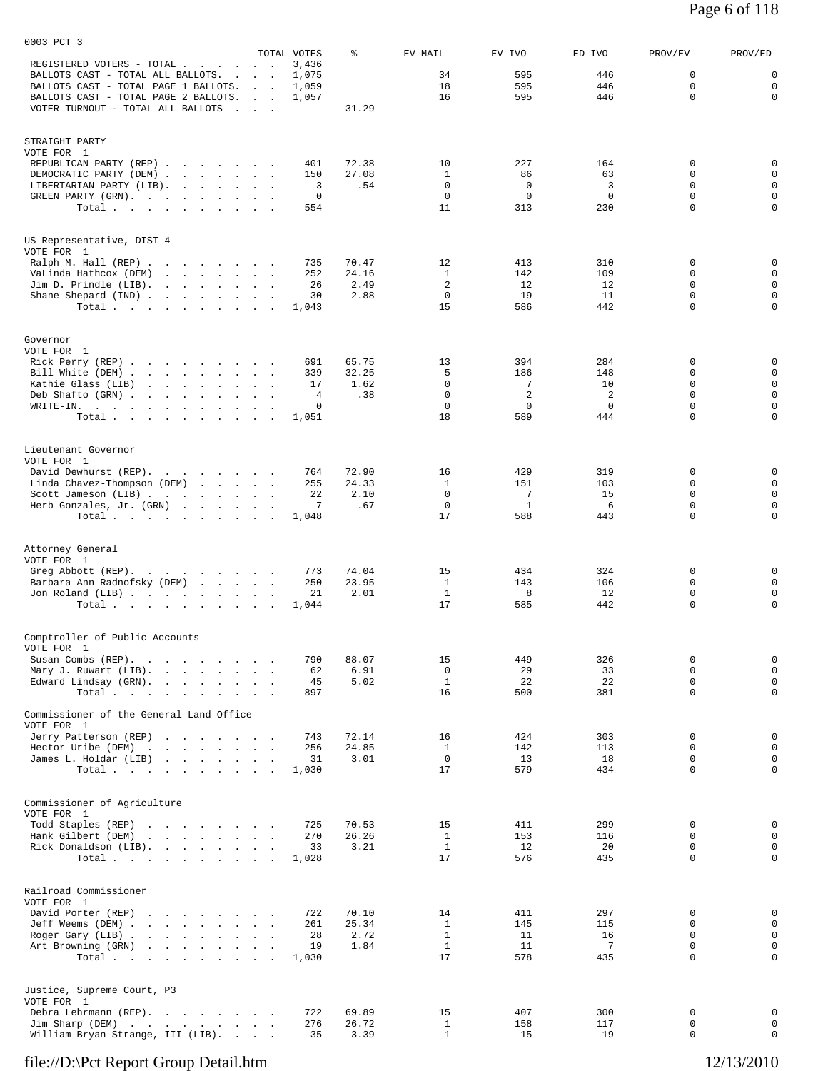|                                                                                           | TOTAL VOTES                                                            | ి              | EV MAIL                    | EV IVO            | ED IVO      | PROV/EV          | PROV/ED                    |
|-------------------------------------------------------------------------------------------|------------------------------------------------------------------------|----------------|----------------------------|-------------------|-------------|------------------|----------------------------|
| REGISTERED VOTERS - TOTAL .<br>and the contract of<br>BALLOTS CAST - TOTAL ALL BALLOTS. . | 3,436<br><b>Contract Contract</b><br>1,075<br><b>Contract Contract</b> |                | 34                         | 595               | 446         | $\overline{0}$   | 0                          |
| BALLOTS CAST - TOTAL PAGE 1 BALLOTS.                                                      | 1,059<br><b>Contract Contract</b>                                      |                | 18                         | 595               | 446         | 0                | $\mathbf 0$                |
| BALLOTS CAST - TOTAL PAGE 2 BALLOTS.                                                      | 1,057<br><b>Contract Contract</b>                                      |                | 16                         | 595               | 446         | $\mathbf 0$      | $\mathbf 0$                |
| VOTER TURNOUT - TOTAL ALL BALLOTS                                                         | and the contract of the                                                | 31.29          |                            |                   |             |                  |                            |
| STRAIGHT PARTY                                                                            |                                                                        |                |                            |                   |             |                  |                            |
| VOTE FOR 1                                                                                |                                                                        |                |                            |                   |             |                  |                            |
| REPUBLICAN PARTY (REP)                                                                    | 401                                                                    | 72.38          | 10                         | 227               | 164         | 0                | 0                          |
| DEMOCRATIC PARTY (DEM)<br>LIBERTARIAN PARTY (LIB).                                        | 150<br>3                                                               | 27.08<br>.54   | 1<br>$\mathbf 0$           | 86<br>$\mathbf 0$ | 63<br>3     | $\Omega$<br>0    | $\mathbf 0$<br>$\mathbf 0$ |
| GREEN PARTY (GRN).                                                                        | 0                                                                      |                | 0                          | 0                 | $\mathbf 0$ | 0                | $\mathsf 0$                |
| Total                                                                                     | 554                                                                    |                | 11                         | 313               | 230         | $\mathbf 0$      | $\mathbf 0$                |
|                                                                                           |                                                                        |                |                            |                   |             |                  |                            |
| US Representative, DIST 4<br>VOTE FOR 1                                                   |                                                                        |                |                            |                   |             |                  |                            |
| Ralph M. Hall (REP)                                                                       | 735                                                                    | 70.47          | 12                         | 413               | 310         | 0                | $\mathbf 0$                |
| VaLinda Hathcox (DEM)                                                                     | 252                                                                    | 24.16          | $\mathbf{1}$<br>2          | 142               | 109         | 0                | $\mathsf 0$                |
| Jim D. Prindle (LIB).<br>Shane Shepard (IND)                                              | 26<br>30                                                               | 2.49<br>2.88   | $\mathbf 0$                | 12<br>19          | 12<br>11    | 0<br>0           | $\mathsf 0$<br>$\mathbf 0$ |
| Total.                                                                                    | 1,043                                                                  |                | 15                         | 586               | 442         | 0                | $\mathbf 0$                |
|                                                                                           |                                                                        |                |                            |                   |             |                  |                            |
| Governor<br>VOTE FOR 1                                                                    |                                                                        |                |                            |                   |             |                  |                            |
| Rick Perry (REP)                                                                          | 691                                                                    | 65.75          | 13                         | 394               | 284         | 0                | 0                          |
| Bill White (DEM)                                                                          | 339                                                                    | 32.25          | 5                          | 186               | 148         | 0                | $\mathbf 0$                |
| Kathie Glass (LIB)<br>and a strategic control of the<br>Deb Shafto (GRN)                  | 17<br>4                                                                | 1.62<br>.38    | $\mathbf 0$<br>$\mathbf 0$ | 7<br>2            | 10<br>2     | 0<br>0           | $\mathbf 0$<br>$\mathbf 0$ |
| WRITE-IN.                                                                                 | 0                                                                      |                | $\mathbf 0$                | $\mathbf 0$       | $\mathbf 0$ | $\mathbf 0$      | $\mathsf 0$                |
| Total $\cdots$                                                                            | 1,051                                                                  |                | 18                         | 589               | 444         | $\Omega$         | $\Omega$                   |
|                                                                                           |                                                                        |                |                            |                   |             |                  |                            |
| Lieutenant Governor<br>VOTE FOR 1                                                         |                                                                        |                |                            |                   |             |                  |                            |
| David Dewhurst (REP).                                                                     | 764                                                                    | 72.90          | 16                         | 429               | 319         | 0                | 0                          |
| Linda Chavez-Thompson (DEM)<br>and the contract of the contract of the                    | 255                                                                    | 24.33          | 1<br>$\mathbf 0$           | 151<br>7          | 103<br>15   | $\Omega$<br>0    | 0<br>$\mathbf 0$           |
| Scott Jameson (LIB)<br>Herb Gonzales, Jr. (GRN)                                           | 22<br>7<br>$\ddot{\phantom{a}}$                                        | 2.10<br>.67    | $\mathbf 0$                | $\mathbf{1}$      | 6           | $\mathbf 0$      | $\mathsf 0$                |
| Total $\cdots$                                                                            | 1,048                                                                  |                | 17                         | 588               | 443         | $\mathbf 0$      | $\mathbf 0$                |
|                                                                                           |                                                                        |                |                            |                   |             |                  |                            |
| Attorney General<br>VOTE FOR 1                                                            |                                                                        |                |                            |                   |             |                  |                            |
| Greg Abbott (REP).                                                                        | 773                                                                    | 74.04          | 15                         | 434               | 324         | 0                | $\mathbf 0$                |
| Barbara Ann Radnofsky (DEM)<br>the contract of the contract of the contract of            | 250                                                                    | 23.95          | $\mathbf{1}$               | 143               | 106         | 0                | $\mathsf 0$                |
| Jon Roland (LIB)                                                                          | 21                                                                     | 2.01           | <sup>1</sup>               | 8                 | 12          | 0                | $\mathsf 0$                |
| Total                                                                                     | 1,044                                                                  |                | 17                         | 585               | 442         | $\Omega$         | 0                          |
| Comptroller of Public Accounts                                                            |                                                                        |                |                            |                   |             |                  |                            |
| VOTE FOR 1<br>Susan Combs (REP).                                                          | 790                                                                    | 88.07          | 15                         | 449               | 326         | 0                | $\mathsf{O}$               |
| Mary J. Ruwart (LIB).                                                                     | 62<br>$\sim$                                                           | 6.91           | 0                          | 29                | 33          | 0                | $\mathsf 0$                |
| Edward Lindsay (GRN).                                                                     | 45                                                                     | 5.02           | $\mathbf{1}$               | 22                | 22          | $\mathbf 0$      | $\mathsf{O}$               |
| Total<br>$\ddot{\phantom{a}}$                                                             | 897<br><b>Contract Contract</b>                                        |                | 16                         | 500               | 381         | $\mathbf 0$      | $\mathbf 0$                |
| Commissioner of the General Land Office<br>VOTE FOR 1                                     |                                                                        |                |                            |                   |             |                  |                            |
| Jerry Patterson (REP)                                                                     | 743                                                                    | 72.14          | 16                         | 424               | 303         | 0                | 0                          |
| Hector Uribe (DEM)                                                                        | 256                                                                    | 24.85          | $\mathbf{1}$               | 142               | 113         | 0                | $\mathbf 0$                |
| James L. Holdar (LIB)                                                                     | 31                                                                     | 3.01           | $\mathbf 0$                | 13                | 18          | $\mathbf 0$      | $\mathsf{O}$               |
| Total $\cdots$                                                                            | 1,030                                                                  |                | 17                         | 579               | 434         | $\Omega$         | $\mathbf 0$                |
| Commissioner of Agriculture                                                               |                                                                        |                |                            |                   |             |                  |                            |
| VOTE FOR 1                                                                                |                                                                        |                |                            |                   |             |                  |                            |
| Todd Staples (REP)<br>Hank Gilbert (DEM)<br>the company of the company of the company of  | 725<br>270                                                             | 70.53<br>26.26 | 15<br>$\mathbf{1}$         | 411<br>153        | 299<br>116  | 0<br>$\mathbf 0$ | $\mathbf 0$<br>$\mathbf 0$ |
| Rick Donaldson (LIB).                                                                     | 33                                                                     | 3.21           | $\mathbf{1}$               | 12                | 20          | 0                | $\mathsf{O}$               |
| Total $\cdots$                                                                            | 1,028                                                                  |                | 17                         | 576               | 435         | $\mathbf 0$      | $\mathbf 0$                |
|                                                                                           |                                                                        |                |                            |                   |             |                  |                            |
| Railroad Commissioner<br>VOTE FOR 1                                                       |                                                                        |                |                            |                   |             |                  |                            |
| David Porter (REP)                                                                        | 722                                                                    | 70.10          | 14                         | 411               | 297         | 0                | 0                          |
| Jeff Weems (DEM)                                                                          | 261                                                                    | 25.34          | $\mathbf{1}$               | 145               | 115         | 0                | $\mathbf 0$                |
| Roger Gary (LIB)                                                                          | 28                                                                     | 2.72           | $\mathbf{1}$               | 11                | 16<br>7     | $\mathbf 0$<br>0 | $\mathbf 0$<br>$\mathbf 0$ |
| Art Browning (GRN)<br>the contract of the contract of the contract of<br>Total $\cdots$   | 19<br>1,030                                                            | 1.84           | $\mathbf{1}$<br>17         | 11<br>578         | 435         | 0                | 0                          |
|                                                                                           |                                                                        |                |                            |                   |             |                  |                            |
| Justice, Supreme Court, P3                                                                |                                                                        |                |                            |                   |             |                  |                            |
| VOTE FOR 1<br>Debra Lehrmann (REP).                                                       | 722                                                                    | 69.89          | 15                         | 407               | 300         | 0                | 0                          |
| Jim Sharp (DEM)                                                                           | 276                                                                    | 26.72          | $\mathbf{1}$               | 158               | 117         | 0                | $\mathbf 0$                |
| William Bryan Strange, III (LIB).                                                         | 35<br>$\sim$ $\sim$ $\sim$ $\sim$                                      | 3.39           | $\mathbf{1}$               | 15                | 19          | 0                | 0                          |

0003 PCT 3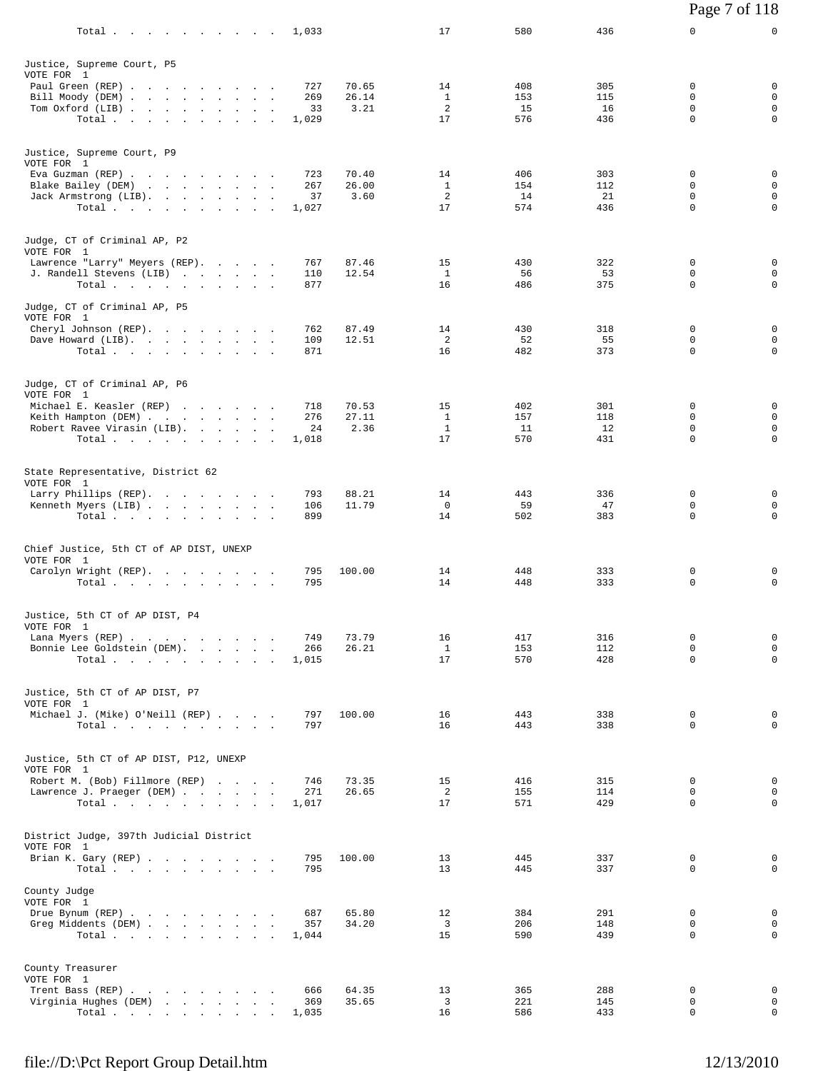| Total<br>1,033                                                                                 |                | 17                 | 580        | 436        | 0<br>0                                                |
|------------------------------------------------------------------------------------------------|----------------|--------------------|------------|------------|-------------------------------------------------------|
| Justice, Supreme Court, P5<br>VOTE FOR 1                                                       |                |                    |            |            |                                                       |
| Paul Green (REP)<br>727                                                                        | 70.65          | 14                 | 408        | 305        | 0<br>0                                                |
| Bill Moody (DEM)<br>269                                                                        | 26.14          | <sup>1</sup>       | 153        | 115        | $\mathbf 0$<br>$\Omega$                               |
| Tom Oxford (LIB)                                                                               | 3.21<br>33     | 2                  | 15         | 16         | $\mathbf 0$<br>$\mathbf 0$                            |
| Total<br>1,029                                                                                 |                | 17                 | 576        | 436        | $\mathbf 0$<br>$\Omega$                               |
| Justice, Supreme Court, P9<br>VOTE FOR 1                                                       |                |                    |            |            |                                                       |
| Eva Guzman (REP)<br>723                                                                        | 70.40          | 14                 | 406        | 303        | 0<br>0                                                |
| Blake Bailey (DEM)<br>267                                                                      | 26.00          | $\mathbf{1}$       | 154        | 112        | $\mathbf 0$<br>0                                      |
| Jack Armstrong (LIB).<br>Total $\cdots$ $\cdots$ $\cdots$<br>1,027                             | 3.60<br>37     | 2<br>17            | 14<br>574  | 21<br>436  | $\mathbf 0$<br>$\Omega$<br>$\mathbf 0$<br>$\mathbf 0$ |
|                                                                                                |                |                    |            |            |                                                       |
| Judge, CT of Criminal AP, P2<br>VOTE FOR 1                                                     |                |                    |            |            |                                                       |
| Lawrence "Larry" Meyers (REP).<br>767                                                          | 87.46          | 15                 | 430        | 322        | 0<br>0                                                |
| J. Randell Stevens (LIB)<br>110<br>877<br>Total                                                | 12.54          | $\mathbf{1}$<br>16 | 56<br>486  | 53<br>375  | $\Omega$<br>$\mathbf 0$<br>$\mathbf 0$<br>$\mathbf 0$ |
|                                                                                                |                |                    |            |            |                                                       |
| Judge, CT of Criminal AP, P5<br>VOTE FOR 1                                                     |                |                    |            |            |                                                       |
| 762<br>Cheryl Johnson (REP).<br>Dave Howard (LIB).<br>109                                      | 87.49<br>12.51 | 14<br>2            | 430<br>52  | 318<br>55  | 0<br>0<br>$\mathbf 0$<br>0                            |
| Total.<br>871                                                                                  |                | 16                 | 482        | 373        | $\Omega$<br>0                                         |
| Judge, CT of Criminal AP, P6                                                                   |                |                    |            |            |                                                       |
| VOTE FOR 1                                                                                     |                |                    |            |            |                                                       |
| Michael E. Keasler (REP)<br>718<br>276                                                         | 70.53<br>27.11 | 15<br><sup>1</sup> | 402<br>157 | 301<br>118 | 0<br>0<br>0<br>0                                      |
| Keith Hampton (DEM)<br>Robert Ravee Virasin (LIB).                                             | 24<br>2.36     | $\mathbf{1}$       | 11         | 12         | $\mathbf 0$<br>0                                      |
| Total<br>1,018                                                                                 |                | 17                 | 570        | 431        | $\mathbf 0$<br>0                                      |
| State Representative, District 62                                                              |                |                    |            |            |                                                       |
| VOTE FOR 1                                                                                     |                |                    |            |            |                                                       |
| Larry Phillips (REP).<br>793<br>Kenneth Myers (LIB)<br>106                                     | 88.21<br>11.79 | 14<br>$\mathbf{0}$ | 443<br>59  | 336<br>47  | 0<br>0<br>$\Omega$<br>0                               |
| Total<br>899                                                                                   |                | 14                 | 502        | 383        | $\mathbf 0$<br>0                                      |
|                                                                                                |                |                    |            |            |                                                       |
| Chief Justice, 5th CT of AP DIST, UNEXP<br>VOTE FOR 1                                          |                |                    |            |            |                                                       |
| Carolyn Wright (REP).<br>795                                                                   | 100.00         | 14                 | 448        | 333        | 0<br>0                                                |
| 795<br>Total.                                                                                  |                | 14                 | 448        | 333        | $\Omega$<br>0                                         |
| Justice, 5th CT of AP DIST, P4                                                                 |                |                    |            |            |                                                       |
| VOTE FOR 1<br>Lana Myers (REP)<br>749                                                          | 73.79          | 16                 | 417        | 316        | $\mathsf{O}$<br>0                                     |
| Bonnie Lee Goldstein (DEM).<br>266                                                             | 26.21          | <sup>1</sup>       | 153        | 112        | $\mathbf 0$<br>0                                      |
| Total.<br>1,015                                                                                |                | 17                 | 570        | 428        | $\mathbf 0$<br>$\Omega$                               |
| Justice, 5th CT of AP DIST, P7                                                                 |                |                    |            |            |                                                       |
| VOTE FOR 1<br>Michael J. (Mike) O'Neill (REP)<br>797                                           | 100.00         | 16                 | 443        | 338        | 0<br>0                                                |
| Total.<br>797                                                                                  |                | 16                 | 443        | 338        | 0<br>0                                                |
| Justice, 5th CT of AP DIST, P12, UNEXP                                                         |                |                    |            |            |                                                       |
| VOTE FOR 1                                                                                     |                |                    |            |            | $\mathbf 0$<br>$\Omega$                               |
| Robert M. (Bob) Fillmore (REP)<br>746<br>271<br>Lawrence J. Praeger (DEM)                      | 73.35<br>26.65 | 15<br>2            | 416<br>155 | 315<br>114 | $\mathbf 0$<br>0                                      |
| Total $\cdots$<br>1,017                                                                        |                | 17                 | 571        | 429        | $\Omega$<br>0                                         |
| District Judge, 397th Judicial District                                                        |                |                    |            |            |                                                       |
| VOTE FOR 1                                                                                     |                |                    |            |            |                                                       |
| Brian K. Gary (REP)<br>795<br>795<br>$Total \, . \, . \, . \, . \, . \, . \, . \, . \, . \, .$ | 100.00         | 13<br>13           | 445<br>445 | 337<br>337 | 0<br>0<br>0<br>0                                      |
| County Judge<br>VOTE FOR 1                                                                     |                |                    |            |            |                                                       |
| Drue Bynum (REP)<br>687                                                                        | 65.80          | 12                 | 384        | 291        | 0<br>0                                                |
| Greg Middents (DEM)<br>357<br>Total.<br>1,044                                                  | 34.20          | 3<br>15            | 206<br>590 | 148<br>439 | 0<br>0<br>$\mathsf{O}$<br>$\Omega$                    |
|                                                                                                |                |                    |            |            |                                                       |
| County Treasurer<br>VOTE FOR 1                                                                 |                |                    |            |            |                                                       |
| Trent Bass (REP)<br>666                                                                        | 64.35          | 13                 | 365        | 288        | 0<br>0<br>0<br>0                                      |
| Virginia Hughes (DEM)<br>369<br>1,035<br>Total                                                 | 35.65          | 3<br>16            | 221<br>586 | 145<br>433 | $\mathbf 0$<br>0                                      |

Page 7 of 118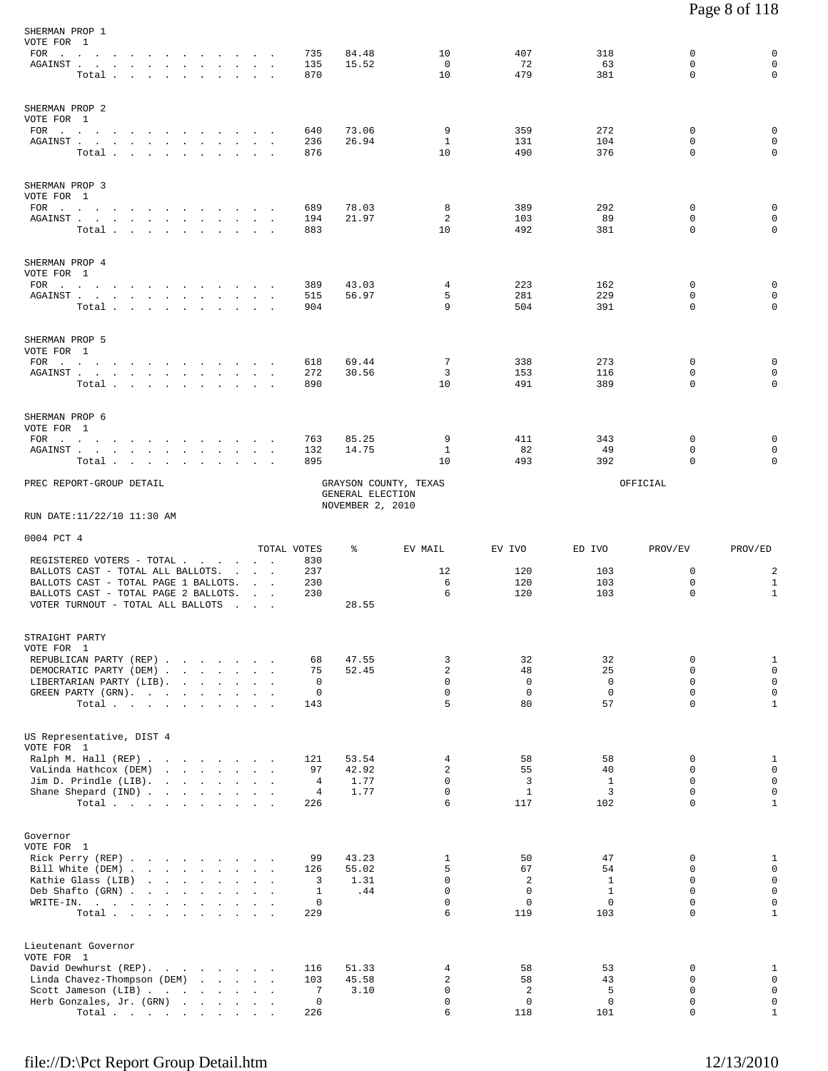| SHERMAN PROP 1<br>VOTE FOR 1<br>FOR<br>${\tt AGAINST} \hspace{1.5cm} . \hspace{1.5cm} . \hspace{1.5cm} . \hspace{1.5cm} . \hspace{1.5cm} . \hspace{1.5cm} . \hspace{1.5cm} . \hspace{1.5cm} . \hspace{1.5cm} . \hspace{1.5cm} . \hspace{1.5cm} . \hspace{1.5cm} . \hspace{1.5cm} .$<br>Total                  | the contract of the contract of the contract of the contract of the contract of the contract of the contract of |  |                          | 735<br>135<br>870          | 84.48<br>15.52                       | 10<br>$\mathbf 0$<br>10    | 407<br>72<br>479               | 318<br>63<br>381                 | 0<br>$\Omega$<br>$\mathbf 0$           | $\mathbf 0$<br>$\mathbf 0$<br>$\mathbf 0$ |
|---------------------------------------------------------------------------------------------------------------------------------------------------------------------------------------------------------------------------------------------------------------------------------------------------------------|-----------------------------------------------------------------------------------------------------------------|--|--------------------------|----------------------------|--------------------------------------|----------------------------|--------------------------------|----------------------------------|----------------------------------------|-------------------------------------------|
| SHERMAN PROP 2<br>VOTE FOR 1<br>${\tt AGAINST} \hspace{0.1in} . \hspace{0.1in} . \hspace{0.1in} . \hspace{0.1in} . \hspace{0.1in} . \hspace{0.1in} . \hspace{0.1in} . \hspace{0.1in} . \hspace{0.1in} . \hspace{0.1in} .$<br>Total                                                                            |                                                                                                                 |  |                          | 640<br>236<br>876          | 73.06<br>26.94                       | 9<br>1<br>10               | 359<br>131<br>490              | 272<br>104<br>376                | $\mathbf 0$<br>$\Omega$<br>$\mathbf 0$ | 0<br>$\mathbf 0$<br>$\mathbf 0$           |
| SHERMAN PROP 3<br>VOTE FOR 1<br>FOR<br>${\tt AGAINST} \hspace{0.1in} . \hspace{0.1in} . \hspace{0.1in} . \hspace{0.1in} . \hspace{0.1in} . \hspace{0.1in} . \hspace{0.1in} . \hspace{0.1in} . \hspace{0.1in} . \hspace{0.1in} . \hspace{0.1in} . \hspace{0.1in} . \hspace{0.1in} . \hspace{0.1in} .$<br>Total |                                                                                                                 |  |                          | 689<br>194<br>883          | 78.03<br>21.97                       | 8<br>2<br>10               | 389<br>103<br>492              | 292<br>89<br>381                 | 0<br>0<br>0                            | 0<br>$\mathbf 0$<br>$\mathbf 0$           |
| SHERMAN PROP 4<br>VOTE FOR 1<br>$FOR$<br>AGAINST<br>Total                                                                                                                                                                                                                                                     |                                                                                                                 |  |                          | 389<br>515<br>904          | 43.03<br>56.97                       | 4<br>5<br>9                | 223<br>281<br>504              | 162<br>229<br>391                | 0<br>0<br>0                            | 0<br>$\mathbf 0$<br>$\mathbf 0$           |
| SHERMAN PROP 5<br>VOTE FOR 1<br>FOR<br>AGAINST<br>Total.                                                                                                                                                                                                                                                      |                                                                                                                 |  |                          | 618<br>272<br>890          | 69.44<br>30.56                       | 7<br>3<br>10               | 338<br>153<br>491              | 273<br>116<br>389                | 0<br>0<br>$\Omega$                     | 0<br>$\mathbf 0$<br>$\Omega$              |
| SHERMAN PROP 6<br>VOTE FOR 1<br>FOR $\cdots$<br>AGAINST<br>Total                                                                                                                                                                                                                                              | <b>Service State</b>                                                                                            |  |                          | 763<br>132<br>895          | 85.25<br>14.75                       | 9<br>1<br>10               | 411<br>82<br>493               | 343<br>49<br>392                 | 0<br>0<br>$\Omega$                     | 0<br>$\mathbf 0$<br>$\Omega$              |
| PREC REPORT-GROUP DETAIL<br>RUN DATE:11/22/10 11:30 AM                                                                                                                                                                                                                                                        |                                                                                                                 |  |                          |                            | GENERAL ELECTION<br>NOVEMBER 2, 2010 | GRAYSON COUNTY, TEXAS      |                                |                                  | OFFICIAL                               |                                           |
|                                                                                                                                                                                                                                                                                                               |                                                                                                                 |  |                          |                            |                                      |                            |                                |                                  |                                        |                                           |
| 0004 PCT 4<br>REGISTERED VOTERS - TOTAL<br>BALLOTS CAST - TOTAL ALL BALLOTS. .<br>BALLOTS CAST - TOTAL PAGE 1 BALLOTS.<br>BALLOTS CAST - TOTAL PAGE 2 BALLOTS.                                                                                                                                                |                                                                                                                 |  | <b>Contract Contract</b> | TOTAL VOTES<br>830<br>237  | နွ                                   | EV MAIL<br>12              | EV IVO<br>120                  | ED IVO<br>103                    | PROV/EV<br>$\mathbf 0$                 | PROV/ED<br>2                              |
| VOTER TURNOUT - TOTAL ALL BALLOTS                                                                                                                                                                                                                                                                             |                                                                                                                 |  | <b>Contract Contract</b> | 230<br>230                 |                                      | 6<br>6                     | 120<br>120                     | 103<br>103                       | $\mathbf 0$<br>0                       | $\mathbf{1}$<br>$\mathbf{1}$              |
|                                                                                                                                                                                                                                                                                                               |                                                                                                                 |  | and the contract of      |                            | 28.55                                |                            |                                |                                  |                                        |                                           |
| STRAIGHT PARTY                                                                                                                                                                                                                                                                                                |                                                                                                                 |  |                          |                            |                                      |                            |                                |                                  |                                        |                                           |
| VOTE FOR 1<br>REPUBLICAN PARTY (REP)                                                                                                                                                                                                                                                                          |                                                                                                                 |  |                          | 68                         | 47.55                                | 3                          | 32                             | 32                               | 0                                      | $\mathbf{1}$                              |
| DEMOCRATIC PARTY (DEM)                                                                                                                                                                                                                                                                                        |                                                                                                                 |  |                          | 75                         | 52.45                                | $\overline{a}$             | 48                             | 25                               | 0                                      | $\mathsf 0$                               |
| LIBERTARIAN PARTY (LIB).<br>GREEN PARTY (GRN).                                                                                                                                                                                                                                                                |                                                                                                                 |  |                          | $\mathbf 0$<br>$\mathbf 0$ |                                      | $\mathbf 0$<br>$\Omega$    | $\overline{0}$<br>$\mathbf{0}$ | $\overline{0}$<br>$\overline{0}$ | $\mathbf 0$<br>$\Omega$                | $\mathsf 0$<br>$\mathsf 0$                |
| Total                                                                                                                                                                                                                                                                                                         |                                                                                                                 |  |                          | 143                        |                                      | 5                          | 80                             | 57                               | $\mathbf 0$                            | $\mathbf{1}$                              |
| US Representative, DIST 4                                                                                                                                                                                                                                                                                     |                                                                                                                 |  |                          |                            |                                      |                            |                                |                                  |                                        |                                           |
| VOTE FOR 1                                                                                                                                                                                                                                                                                                    |                                                                                                                 |  |                          |                            |                                      |                            |                                |                                  |                                        |                                           |
| Ralph M. Hall (REP)<br>VaLinda Hathcox (DEM)                                                                                                                                                                                                                                                                  |                                                                                                                 |  |                          | 121<br>97                  | 53.54<br>42.92                       | 4<br>2                     | 58<br>55                       | 58<br>40                         | 0<br>0                                 | $\mathbf{1}$<br>$\mathbf 0$               |
| Jim D. Prindle $(LIB)$ .                                                                                                                                                                                                                                                                                      |                                                                                                                 |  |                          | 4                          | 1.77                                 | $\mathbf 0$                | 3                              | $\mathbf{1}$                     | $\mathbf 0$                            | $\mathbf 0$                               |
| Shane Shepard (IND)<br>Total                                                                                                                                                                                                                                                                                  |                                                                                                                 |  |                          | 4<br>226                   | 1.77                                 | 0<br>6                     | $\mathbf{1}$<br>117            | 3<br>102                         | $\mathbf 0$<br>$\mathbf 0$             | $\mathsf{O}\xspace$<br>$\mathbf{1}$       |
| Governor                                                                                                                                                                                                                                                                                                      |                                                                                                                 |  |                          |                            |                                      |                            |                                |                                  |                                        |                                           |
| VOTE FOR 1                                                                                                                                                                                                                                                                                                    |                                                                                                                 |  |                          |                            |                                      |                            |                                |                                  |                                        |                                           |
| Rick Perry (REP)<br>Bill White (DEM)                                                                                                                                                                                                                                                                          |                                                                                                                 |  |                          | 99<br>126                  | 43.23<br>55.02                       | 1<br>5                     | 50<br>67                       | 47<br>54                         | 0<br>0                                 | $\mathbf{1}$<br>$\mathbf 0$               |
| Kathie Glass (LIB)                                                                                                                                                                                                                                                                                            | the contract of the contract of the contract of the contract of the contract of the contract of the contract of |  |                          | 3                          | 1.31                                 | $\mathbf 0$                | $\overline{2}$                 | $\mathbf{1}$                     | $\Omega$                               | $\mathsf 0$                               |
| Deb Shafto (GRN)<br>WRITE-IN.                                                                                                                                                                                                                                                                                 | the contract of the contract of the contract of the contract of the contract of the contract of the contract of |  |                          | 1<br>$\mathbf 0$           | .44                                  | $\mathbf 0$<br>$\mathbf 0$ | $\Omega$<br>$\mathbf 0$        | $\mathbf{1}$<br>$\mathbf{0}$     | $\Omega$<br>$\mathbf 0$                | $\mathsf 0$<br>$\mathsf 0$                |
| Total $\cdots$                                                                                                                                                                                                                                                                                                |                                                                                                                 |  |                          | 229                        |                                      | 6                          | 119                            | 103                              | 0                                      | $\mathbf{1}$                              |
| Lieutenant Governor                                                                                                                                                                                                                                                                                           |                                                                                                                 |  |                          |                            |                                      |                            |                                |                                  |                                        |                                           |
| VOTE FOR 1<br>David Dewhurst (REP).                                                                                                                                                                                                                                                                           |                                                                                                                 |  |                          | 116                        | 51.33                                | 4                          | 58                             | 53                               | 0                                      | $\mathbf{1}$                              |
| Linda Chavez-Thompson (DEM)                                                                                                                                                                                                                                                                                   |                                                                                                                 |  |                          | 103<br>7                   | 45.58                                | 2<br>$\mathbf 0$           | 58<br>$\overline{a}$           | 43<br>5                          | $\mathbf 0$<br>$\mathbf 0$             | $\mathsf 0$<br>$\mathsf 0$                |
| Scott Jameson (LIB)<br>Herb Gonzales, Jr. (GRN)<br>$\texttt{Total}~~.~~.~~.~~.~~.~~.~~.~~.~~.$                                                                                                                                                                                                                |                                                                                                                 |  |                          | $\mathbf 0$<br>226         | 3.10                                 | 0<br>6                     | $\mathbf 0$<br>118             | $\mathbf 0$<br>101               | 0<br>$\mathbf 0$                       | $\mathsf{O}$<br>$\mathbf{1}$              |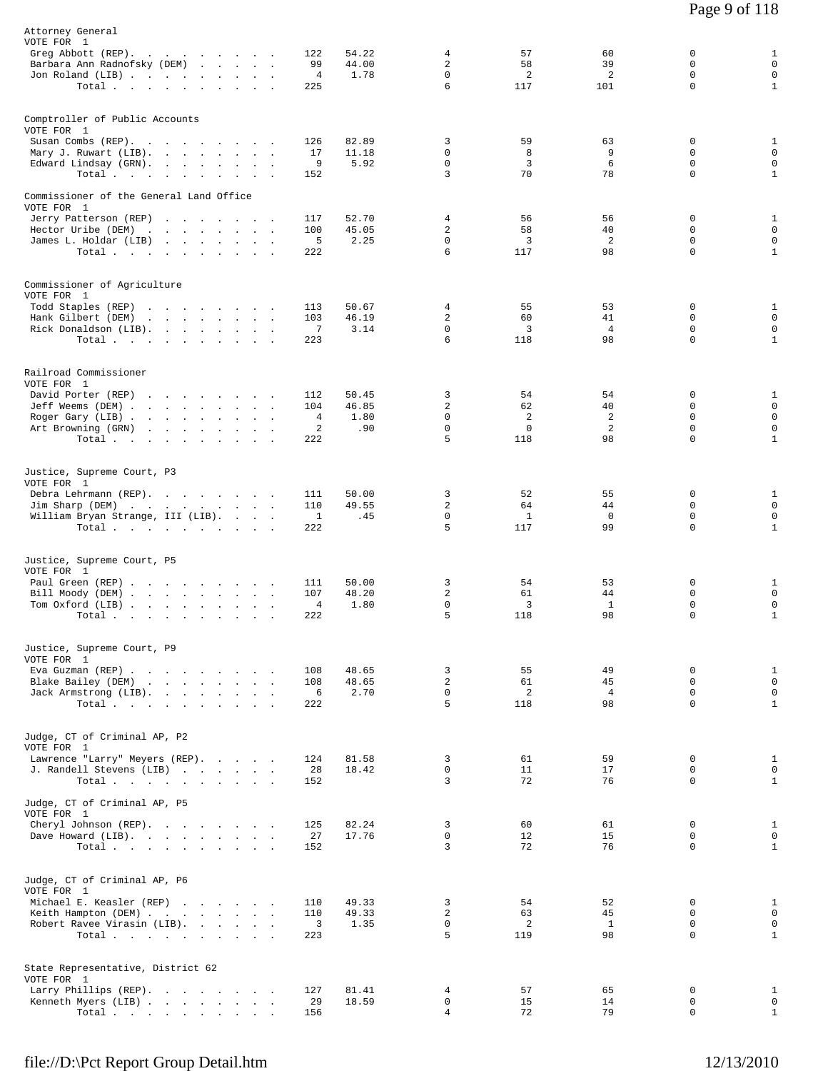| Attorney General<br>VOTE FOR 1<br>Greg Abbott (REP).<br>Barbara Ann Radnofsky (DEM)<br>Jon Roland (LIB)                       | Total                                                                                                                                       |        | 122<br>99<br>$\overline{4}$<br>225 | 54.22<br>44.00<br>1.78        | 4<br>$\overline{c}$<br>$\Omega$<br>6                   | 57<br>58<br>$\overline{2}$<br>117   | 60<br>39<br>2<br>101             | 0<br>0<br>$\Omega$<br>$\mathbf 0$                  | $\mathbf{1}$<br>$\mathsf 0$<br>$\mathbf 0$<br>$\mathbf{1}$                |
|-------------------------------------------------------------------------------------------------------------------------------|---------------------------------------------------------------------------------------------------------------------------------------------|--------|------------------------------------|-------------------------------|--------------------------------------------------------|-------------------------------------|----------------------------------|----------------------------------------------------|---------------------------------------------------------------------------|
| Comptroller of Public Accounts<br>VOTE FOR 1<br>Susan Combs (REP).<br>Mary J. Ruwart (LIB).<br>Edward Lindsay (GRN).          | Total                                                                                                                                       |        | 126<br>17<br>9<br>152              | 82.89<br>11.18<br>5.92        | 3<br>0<br>$\mathbf 0$<br>3                             | 59<br>8<br>3<br>70                  | 63<br>9<br>6<br>78               | 0<br>$\Omega$<br>$\mathbf 0$<br>0                  | $\mathbf{1}$<br>$\mathbf 0$<br>$\mathsf 0$<br>$\mathbf{1}$                |
| Commissioner of the General Land Office<br>VOTE FOR 1<br>Jerry Patterson (REP)<br>Hector Uribe (DEM)<br>James L. Holdar (LIB) | the contract of the contract of the contract of<br>Total.                                                                                   |        | 117<br>100<br>5<br>222             | 52.70<br>45.05<br>2.25        | 4<br>2<br>$\mathbf 0$<br>6                             | 56<br>58<br>3<br>117                | 56<br>40<br>2<br>98              | 0<br>$\Omega$<br>$\mathbf 0$<br>0                  | 1<br>$\mathbf 0$<br>$\mathsf 0$<br>$\mathbf{1}$                           |
| Commissioner of Agriculture<br>VOTE FOR 1<br>Todd Staples (REP)<br>Hank Gilbert (DEM)<br>Rick Donaldson (LIB).                | the contract of the contract of the<br>the contract of the contract of<br>Total                                                             |        | 113<br>103<br>7<br>223             | 50.67<br>46.19<br>3.14        | 4<br>2<br>0<br>6                                       | 55<br>60<br>3<br>118                | 53<br>41<br>$\overline{4}$<br>98 | 0<br>$\mathbf 0$<br>0<br>$\mathbf 0$               | $\mathbf{1}$<br>$\mathsf 0$<br>$\mathsf 0$<br>$\mathbf{1}$                |
| Railroad Commissioner<br>VOTE FOR 1<br>David Porter (REP)<br>Jeff Weems (DEM)<br>Roger Gary (LIB)<br>Art Browning (GRN)       | the contract of the contract of the contract of the contract of the contract of<br>the contract of the contract of the contract of<br>Total |        | 112<br>104<br>4<br>2<br>222        | 50.45<br>46.85<br>1.80<br>.90 | 3<br>$\overline{c}$<br>$\mathbf 0$<br>$\mathbf 0$<br>5 | 54<br>62<br>2<br>$\mathbf 0$<br>118 | 54<br>40<br>2<br>2<br>98         | 0<br>0<br>0<br>$\mathbf 0$<br>$\mathbf 0$          | $\mathbf{1}$<br>$\mathbf 0$<br>$\mathbf 0$<br>$\mathbf 0$<br>$\mathbf{1}$ |
| Justice, Supreme Court, P3<br>VOTE FOR 1<br>Debra Lehrmann (REP).<br>Jim Sharp (DEM)<br>William Bryan Strange, III (LIB).     | Total.                                                                                                                                      |        | 111<br>110<br>1<br>222             | 50.00<br>49.55<br>.45         | 3<br>$\overline{2}$<br>$\mathbf 0$<br>5                | 52<br>64<br>$\mathbf{1}$<br>117     | 55<br>44<br>0<br>99              | 0<br>$\Omega$<br>0<br>$\Omega$                     | $\mathbf{1}$<br>$\mathbf 0$<br>$\mathbf 0$<br>$\mathbf{1}$                |
| Justice, Supreme Court, P5<br>VOTE FOR 1<br>Paul Green (REP)<br>Bill Moody (DEM)<br>Tom Oxford (LIB)                          | Total $\cdots$ $\cdots$ $\cdots$                                                                                                            | $\sim$ | 111<br>107<br>4<br>222             | 50.00<br>48.20<br>1.80        | 3<br>$\overline{\mathbf{c}}$<br>0<br>5                 | 54<br>61<br>3<br>118                | 53<br>44<br>$\mathbf{1}$<br>98   | 0<br>$\mathbf 0$<br>0<br>$\mathbf 0$               | $\mathbf{1}$<br>$\mathbf 0$<br>$\mathsf 0$<br>$\mathbf{1}$                |
| Justice, Supreme Court, P9<br>VOTE FOR 1<br>Eva Guzman (REP)<br>Blake Bailey (DEM)<br>Jack Armstrong (LIB).                   | Total                                                                                                                                       |        | 108<br>108<br>6<br>222             | 48.65<br>48.65<br>2.70        | 3<br>$\overline{a}$<br>$\mathbf 0$<br>5                | 55<br>61<br>2<br>118                | 49<br>45<br>$\overline{4}$<br>98 | $\mathbf 0$<br>$\Omega$<br>$\mathbf 0$<br>$\Omega$ | $\mathbf{1}$<br>$\mathsf 0$<br>$\mathbf 0$<br>$\mathbf{1}$                |
| Judge, CT of Criminal AP, P2<br>VOTE FOR 1<br>Lawrence "Larry" Meyers (REP).<br>J. Randell Stevens (LIB)                      | Total $\cdots$ $\cdots$ $\cdots$ $\cdots$                                                                                                   |        | 124<br>28<br>152                   | 81.58<br>18.42                | 3<br>$\mathbf 0$<br>3                                  | 61<br>11<br>72                      | 59<br>17<br>76                   | $\mathbf 0$<br>$\mathbf 0$<br>$\Omega$             | $\mathbf{1}$<br>$\mathbf 0$<br>$\mathbf{1}$                               |
| Judge, CT of Criminal AP, P5<br>VOTE FOR 1<br>Cheryl Johnson (REP).<br>Dave Howard (LIB).                                     | Total.                                                                                                                                      |        | 125<br>27<br>152                   | 82.24<br>17.76                | 3<br>0<br>3                                            | 60<br>12<br>72                      | 61<br>15<br>76                   | 0<br>$\mathbf 0$<br>$\Omega$                       | $\mathbf{1}$<br>$\mathbf 0$<br>$\mathbf{1}$                               |
| Judge, CT of Criminal AP, P6<br>VOTE FOR 1<br>Michael E. Keasler (REP)<br>Keith Hampton (DEM)<br>Robert Ravee Virasin (LIB).  | Total                                                                                                                                       |        | 110<br>110<br>3<br>223             | 49.33<br>49.33<br>1.35        | 3<br>2<br>$\mathbf 0$<br>5                             | 54<br>63<br>2<br>119                | 52<br>45<br>$\mathbf{1}$<br>98   | $\Omega$<br>$\mathbf 0$<br>$\mathbf 0$<br>$\Omega$ | $\mathbf{1}$<br>$\mathbf 0$<br>$\mathbf 0$<br>$\mathbf{1}$                |
| State Representative, District 62<br>VOTE FOR 1<br>Larry Phillips (REP).<br>Kenneth Myers (LIB)                               | $\texttt{Total}~~.~~.~~.~~.~~.~~.~~.~~.~~.$                                                                                                 |        | 127<br>29<br>156                   | 81.41<br>18.59                | 4<br>0<br>4                                            | 57<br>15<br>72                      | 65<br>14<br>79                   | 0<br>0<br>$\Omega$                                 | $\mathbf{1}$<br>$\mathbf 0$<br>$\mathbf{1}$                               |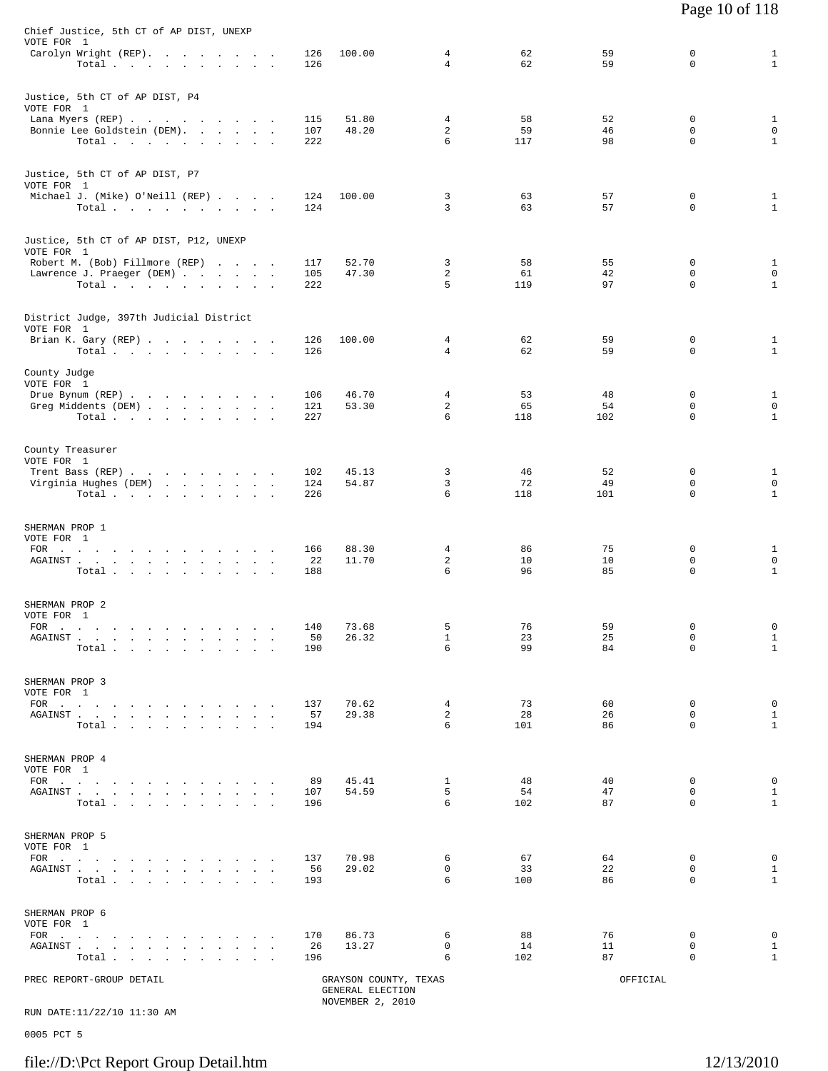| Chief Justice, 5th CT of AP DIST, UNEXP<br>VOTE FOR 1                                                                                                                                                                                                 |                   |                                           |                   |                 |                |                  |                                             |
|-------------------------------------------------------------------------------------------------------------------------------------------------------------------------------------------------------------------------------------------------------|-------------------|-------------------------------------------|-------------------|-----------------|----------------|------------------|---------------------------------------------|
| Carolyn Wright (REP).<br>Total                                                                                                                                                                                                                        | 126<br>126        | 100.00                                    | 4<br>4            | 62<br>62        | 59<br>59       | 0<br>$\mathbf 0$ | $\mathbf{1}$<br>$\mathbf{1}$                |
| Justice, 5th CT of AP DIST, P4<br>VOTE FOR 1                                                                                                                                                                                                          |                   |                                           |                   |                 |                |                  |                                             |
| Lana Myers (REP)<br>Bonnie Lee Goldstein (DEM).<br>Total                                                                                                                                                                                              | 115<br>107<br>222 | 51.80<br>48.20                            | 4<br>2<br>6       | 58<br>59<br>117 | 52<br>46<br>98 | 0<br>0<br>0      | $\mathbf{1}$<br>$\mathsf 0$<br>$\mathbf{1}$ |
| Justice, 5th CT of AP DIST, P7<br>VOTE FOR 1                                                                                                                                                                                                          |                   |                                           |                   |                 |                |                  |                                             |
| Michael J. (Mike) O'Neill (REP)<br>$Total \, . \, . \, . \, . \, . \, . \, . \, . \, . \, .$                                                                                                                                                          | 124<br>124        | 100.00                                    | 3<br>3            | 63<br>63        | 57<br>57       | 0<br>$\mathbf 0$ | $\mathbf{1}$<br>$\mathbf{1}$                |
| Justice, 5th CT of AP DIST, P12, UNEXP<br>VOTE FOR 1                                                                                                                                                                                                  |                   |                                           |                   |                 |                |                  |                                             |
| Robert M. (Bob) Fillmore (REP)<br>Lawrence J. Praeger (DEM)                                                                                                                                                                                           | 117<br>105        | 52.70<br>47.30                            | 3<br>2            | 58<br>61        | 55<br>42       | 0<br>0           | $\mathbf{1}$<br>$\mathbf 0$                 |
| Total $\cdots$ $\cdots$ $\cdots$ $\cdots$                                                                                                                                                                                                             | 222               |                                           | 5                 | 119             | 97             | 0                | $\mathbf{1}$                                |
| District Judge, 397th Judicial District<br>VOTE FOR 1                                                                                                                                                                                                 |                   |                                           |                   |                 |                |                  |                                             |
| Brian K. Gary (REP)<br>Total $\cdots$ $\cdots$ $\cdots$                                                                                                                                                                                               | 126<br>126        | 100.00                                    | 4<br>4            | 62<br>62        | 59<br>59       | 0<br>0           | $\mathbf{1}$<br>$\mathbf{1}$                |
| County Judge<br>VOTE FOR 1                                                                                                                                                                                                                            |                   |                                           |                   |                 |                |                  |                                             |
| Drue Bynum (REP)                                                                                                                                                                                                                                      | 106               | 46.70                                     | 4                 | 53              | 48             | 0                | $\mathbf{1}$                                |
| Greg Middents (DEM)<br>Total                                                                                                                                                                                                                          | 121<br>227        | 53.30                                     | 2<br>6            | 65<br>118       | 54<br>102      | 0<br>$\mathbf 0$ | $\mathsf 0$<br>$\mathbf{1}$                 |
| County Treasurer                                                                                                                                                                                                                                      |                   |                                           |                   |                 |                |                  |                                             |
| VOTE FOR 1<br>Trent Bass (REP)                                                                                                                                                                                                                        | 102               | 45.13                                     | 3                 | 46              | 52             | 0                | $\mathbf{1}$                                |
| Virginia Hughes (DEM)<br>Total $\cdots$ $\cdots$ $\cdots$ $\cdots$                                                                                                                                                                                    | 124<br>226        | 54.87                                     | 3<br>6            | 72<br>118       | 49<br>101      | 0<br>0           | $\mathbf 0$<br>$1\,$                        |
| SHERMAN PROP 1                                                                                                                                                                                                                                        |                   |                                           |                   |                 |                |                  |                                             |
| VOTE FOR 1<br>FOR<br>the contract of the contract of the contract of the contract of                                                                                                                                                                  | 166               | 88.30                                     | 4                 | 86              | 75             | 0                | $\mathbf{1}$                                |
| AGAINST.<br>the contract of the contract of the contract of<br>Total                                                                                                                                                                                  | 22<br>188         | 11.70                                     | 2<br>6            | 10<br>96        | 10<br>85       | 0<br>$\mathbf 0$ | $\mathbb O$<br>$1\,$                        |
| SHERMAN PROP 2                                                                                                                                                                                                                                        |                   |                                           |                   |                 |                |                  |                                             |
| VOTE FOR 1<br>FOR $\cdots$                                                                                                                                                                                                                            | 140               | 73.68                                     | 5                 | 76              | 59             | 0                | 0                                           |
| AGAINST.<br>the contract of the contract of the<br>$\sim$                                                                                                                                                                                             | 50<br>190         | 26.32                                     | $\mathbf{1}$<br>6 | 23<br>99        | 25<br>84       | 0<br>$\mathbf 0$ | $\mathbf{1}$<br>$\mathbf{1}$                |
| Total.<br>$\sim$                                                                                                                                                                                                                                      |                   |                                           |                   |                 |                |                  |                                             |
| SHERMAN PROP 3<br>VOTE FOR 1                                                                                                                                                                                                                          |                   |                                           |                   |                 |                |                  |                                             |
| FOR $\cdots$<br>${\tt AGAINST} \hspace{1.5cm} . \hspace{1.5cm} . \hspace{1.5cm} . \hspace{1.5cm} . \hspace{1.5cm} . \hspace{1.5cm} . \hspace{1.5cm} . \hspace{1.5cm} . \hspace{1.5cm} . \hspace{1.5cm} . \hspace{1.5cm} . \hspace{1.5cm} .$<br>$\sim$ | 137<br>57         | 70.62<br>29.38                            | 4<br>2            | 73<br>28        | 60<br>26       | 0<br>$\mathbf 0$ | $\mathsf 0$<br>$1\,$                        |
| Total                                                                                                                                                                                                                                                 | 194               |                                           | 6                 | 101             | 86             | 0                | $\mathbf{1}$                                |
| SHERMAN PROP 4<br>VOTE FOR 1                                                                                                                                                                                                                          |                   |                                           |                   |                 |                |                  |                                             |
| FOR $\cdots$ $\cdots$ $\cdots$ $\cdots$<br>AGAINST                                                                                                                                                                                                    | 89<br>107         | 45.41<br>54.59                            | $\mathbf{1}$<br>5 | 48<br>54        | 40<br>47       | 0<br>$\mathbf 0$ | $\mathsf 0$<br>$\mathbf{1}$                 |
| Total.                                                                                                                                                                                                                                                | 196               |                                           | 6                 | 102             | 87             | 0                | $\mathbf{1}$                                |
| SHERMAN PROP 5<br>VOTE FOR 1                                                                                                                                                                                                                          |                   |                                           |                   |                 |                |                  |                                             |
| $FOR$                                                                                                                                                                                                                                                 | 137               | 70.98                                     | 6                 | 67              | 64             | 0<br>$\mathbf 0$ | 0                                           |
| AGAINST<br>$\mathcal{L}^{\mathcal{L}}$<br>$\mathbf{r}$<br>Total                                                                                                                                                                                       | 56<br>193         | 29.02                                     | 0<br>6            | 33<br>100       | 22<br>86       | 0                | $1\,$<br>$\mathbf{1}$                       |
| SHERMAN PROP 6                                                                                                                                                                                                                                        |                   |                                           |                   |                 |                |                  |                                             |
| VOTE FOR 1<br>$FOR$                                                                                                                                                                                                                                   | 170               | 86.73                                     | 6                 | 88              | 76             | 0                | $\mathsf 0$                                 |
| AGAINST<br>$\sim$<br>$\ddot{\phantom{a}}$<br>$\cdot$<br>$\ddot{\phantom{a}}$<br>$\ddot{\phantom{a}}$<br>Total<br>$\sim$<br><b>Contract Contract</b>                                                                                                   | 26<br>196         | 13.27                                     | $\mathsf{O}$<br>6 | 14<br>102       | 11<br>87       | $\mathbf 0$<br>0 | $\mathbf{1}$<br>$\mathbf{1}$                |
| PREC REPORT-GROUP DETAIL                                                                                                                                                                                                                              |                   | GRAYSON COUNTY, TEXAS<br>GENERAL ELECTION |                   |                 | OFFICIAL       |                  |                                             |
|                                                                                                                                                                                                                                                       |                   | NOVEMBER 2, 2010                          |                   |                 |                |                  |                                             |

RUN DATE:11/22/10 11:30 AM

0005 PCT 5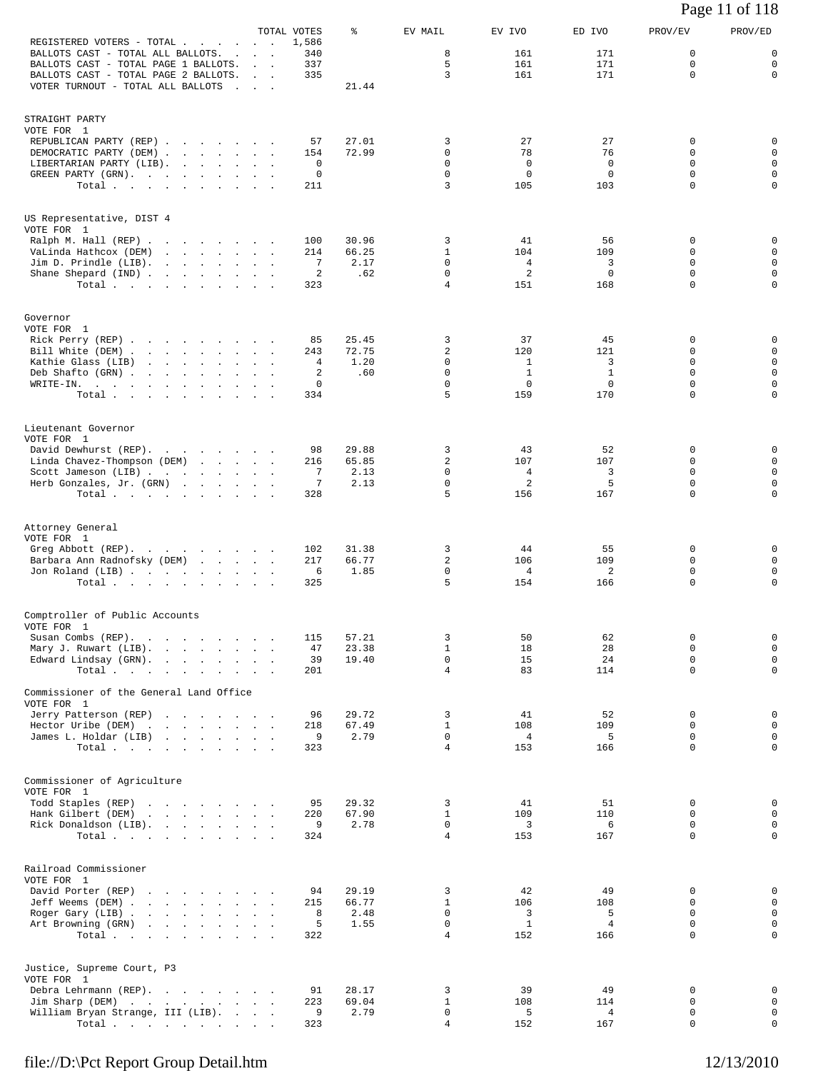| REGISTERED VOTERS - TOTAL<br>$\sim$                                                                                             | $\sim 10^{-1}$ km $^{-1}$                       | TOTAL VOTES<br>1,586 | ႜ              | EV MAIL                       | EV IVO             | ED IVO              | PROV/EV                      | PROV/ED                         |
|---------------------------------------------------------------------------------------------------------------------------------|-------------------------------------------------|----------------------|----------------|-------------------------------|--------------------|---------------------|------------------------------|---------------------------------|
| BALLOTS CAST - TOTAL ALL BALLOTS.<br>$\sim 100$<br>BALLOTS CAST - TOTAL PAGE 1 BALLOTS.<br>BALLOTS CAST - TOTAL PAGE 2 BALLOTS. | <b>Contract Contract</b><br><b>Sales Street</b> | 340<br>337<br>335    |                | 8<br>5<br>3                   | 161<br>161<br>161  | 171<br>171<br>171   | 0<br>$\Omega$<br>$\mathbf 0$ | $\mathsf 0$<br>0<br>$\mathbf 0$ |
| VOTER TURNOUT - TOTAL ALL BALLOTS                                                                                               |                                                 |                      | 21.44          |                               |                    |                     |                              |                                 |
| STRAIGHT PARTY                                                                                                                  |                                                 |                      |                |                               |                    |                     |                              |                                 |
| VOTE FOR 1<br>REPUBLICAN PARTY (REP)                                                                                            |                                                 | 57                   | 27.01          | 3<br>$\mathbf 0$              | 27                 | 27                  | 0<br>0                       | 0<br>$\mathsf 0$                |
| DEMOCRATIC PARTY (DEM)<br>LIBERTARIAN PARTY (LIB).                                                                              |                                                 | 154<br>0             | 72.99          | 0                             | 78<br>$\mathbf 0$  | 76<br>0             | 0                            | 0                               |
| GREEN PARTY (GRN).<br>Total                                                                                                     |                                                 | 0<br>211             |                | $\mathbf 0$<br>3              | $\mathbf 0$<br>105 | $\mathbf 0$<br>103  | $\Omega$<br>$\mathbf 0$      | 0<br>$\mathbf 0$                |
| US Representative, DIST 4<br>VOTE FOR 1                                                                                         |                                                 |                      |                |                               |                    |                     |                              |                                 |
| Ralph M. Hall (REP)<br>VaLinda Hathcox (DEM)                                                                                    |                                                 | 100<br>214           | 30.96<br>66.25 | 3<br>$\mathbf{1}$             | 41<br>104          | 56<br>109           | 0<br>0                       | 0<br>$\mathsf 0$                |
| Jim D. Prindle (LIB).<br>Shane Shepard (IND)                                                                                    |                                                 | 7<br>2               | 2.17<br>.62    | $\mathbf 0$<br>0              | 4<br>2             | 3<br>$\mathbf 0$    | 0<br>0                       | $\mathbf 0$<br>0                |
| Total $\cdots$                                                                                                                  |                                                 | 323                  |                | 4                             | 151                | 168                 | $\mathbf 0$                  | $\mathbf 0$                     |
| Governor<br>VOTE FOR 1                                                                                                          |                                                 |                      |                |                               |                    |                     |                              |                                 |
| Rick Perry (REP)<br>Bill White (DEM)                                                                                            |                                                 | 85<br>243            | 25.45<br>72.75 | 3<br>2                        | 37<br>120          | 45<br>121           | 0<br>0                       | 0<br>0                          |
| Kathie Glass (LIB)<br>Deb Shafto (GRN)                                                                                          |                                                 | 4<br>2               | 1.20<br>.60    | 0<br>0                        | 1<br>$\mathbf{1}$  | 3<br>$\mathbf{1}$   | 0<br>$\Omega$                | $\mathsf 0$<br>0                |
| WRITE-IN.<br>Total.                                                                                                             |                                                 | 0<br>334             |                | 0<br>5                        | $\mathbf 0$<br>159 | $\mathbf 0$<br>170  | $\mathbf 0$<br>$\Omega$      | $\mathbf 0$<br>0                |
| Lieutenant Governor                                                                                                             |                                                 |                      |                |                               |                    |                     |                              |                                 |
| VOTE FOR 1<br>David Dewhurst (REP).                                                                                             |                                                 | 98                   | 29.88          | 3                             | 43                 | 52                  | 0                            | 0                               |
| Linda Chavez-Thompson (DEM)<br>Scott Jameson (LIB)                                                                              |                                                 | 216<br>7             | 65.85<br>2.13  | $\overline{a}$<br>0           | 107<br>4           | 107<br>3            | 0<br>0                       | $\mathbf 0$<br>$\mathsf 0$      |
| Herb Gonzales, Jr. (GRN)<br>Total                                                                                               |                                                 | 7<br>328             | 2.13           | 0<br>5                        | 2<br>156           | 5<br>167            | $\mathbf 0$<br>$\Omega$      | $\mathbf 0$<br>0                |
| Attorney General<br>VOTE FOR 1                                                                                                  |                                                 |                      |                |                               |                    |                     |                              |                                 |
| Greg Abbott (REP).                                                                                                              |                                                 | 102<br>217           | 31.38<br>66.77 | 3<br>$\overline{a}$           | 44<br>106          | 55<br>109           | 0<br>0                       | 0<br>0                          |
| Barbara Ann Radnofsky (DEM)<br>Jon Roland (LIB)                                                                                 |                                                 | 6                    | 1.85           | $\mathbf 0$                   | 4                  | 2                   | 0                            | 0                               |
| Total $\cdots$                                                                                                                  |                                                 | 325                  |                | 5                             | 154                | 166                 | $\mathbf 0$                  | 0                               |
| Comptroller of Public Accounts<br>VOTE FOR 1                                                                                    |                                                 |                      | 57.21          |                               |                    |                     |                              |                                 |
| Susan Combs (REP).<br>Mary J. Ruwart (LIB).                                                                                     | $\sim$<br>$\sim$                                | 115<br>47            | 23.38          | 3<br>1                        | 50<br>18           | 62<br>28            | 0<br>0                       | 0<br>$\mathbf 0$                |
| Edward Lindsay (GRN).<br>Total $\cdots$ $\cdots$ $\cdots$                                                                       | $\sim 10^{-11}$ km $^{-1}$                      | 39<br>201            | 19.40          | $\mathbf 0$<br>$\overline{4}$ | 15<br>83           | 24<br>114           | $\mathbf 0$<br>$\mathbf 0$   | $\mathbf 0$<br>$\mathbf 0$      |
| Commissioner of the General Land Office<br>VOTE FOR 1                                                                           |                                                 |                      |                |                               |                    |                     |                              |                                 |
| Jerry Patterson (REP)                                                                                                           |                                                 | 96                   | 29.72          | 3                             | 41                 | 52                  | 0                            | $\mathsf 0$                     |
| Hector Uribe (DEM)<br>James L. Holdar (LIB)                                                                                     | $\ddot{\phantom{a}}$                            | 218<br>9             | 67.49<br>2.79  | $\mathbf{1}$<br>$\mathbf 0$   | 108<br>4           | 109<br>5            | 0<br>$\mathbf 0$             | $\mathsf 0$<br>$\mathbf 0$      |
| Total $\cdots$                                                                                                                  |                                                 | 323                  |                | 4                             | 153                | 166                 | 0                            | 0                               |
| Commissioner of Agriculture<br>VOTE FOR 1                                                                                       |                                                 |                      |                |                               |                    |                     |                              |                                 |
| Todd Staples (REP)<br>Hank Gilbert (DEM)                                                                                        |                                                 | 95<br>220            | 29.32<br>67.90 | 3<br>$\mathbf{1}$             | 41<br>109          | 51<br>110           | 0<br>0                       | $\mathsf 0$<br>$\mathsf 0$      |
| Rick Donaldson (LIB).                                                                                                           |                                                 | 9                    | 2.78           | 0<br>$\overline{4}$           | 3                  | 6                   | 0<br>$\mathbf 0$             | $\mathbf 0$<br>$\mathbf 0$      |
| Total, , , , , , , , ,                                                                                                          |                                                 | 324                  |                |                               | 153                | 167                 |                              |                                 |
| Railroad Commissioner<br>VOTE FOR 1<br>David Porter (REP)                                                                       |                                                 | 94                   | 29.19          | 3                             | 42                 | 49                  | 0                            | $\mathsf 0$                     |
| Jeff Weems (DEM)                                                                                                                |                                                 | 215                  | 66.77          | $\mathbf{1}$                  | 106                | 108                 | 0<br>$\mathbf 0$             | $\mathsf 0$                     |
| Roger Gary (LIB)<br>Art Browning (GRN)                                                                                          |                                                 | 8<br>5               | 2.48<br>1.55   | $\mathbf 0$<br>$\mathbf 0$    | 3<br>$\mathbf{1}$  | 5<br>$\overline{4}$ | $\Omega$                     | $\mathbf 0$<br>0                |
| Total $\cdots$                                                                                                                  |                                                 | 322                  |                | 4                             | 152                | 166                 | $\mathbf 0$                  | $\mathbf 0$                     |
| Justice, Supreme Court, P3<br>VOTE FOR 1                                                                                        |                                                 |                      |                |                               |                    |                     |                              |                                 |
| Debra Lehrmann (REP).<br>Jim Sharp (DEM)                                                                                        |                                                 | 91<br>223            | 28.17<br>69.04 | 3<br>$\mathbf{1}$             | 39<br>108          | 49<br>114           | 0<br>0                       | $\mathsf 0$<br>$\mathsf 0$      |
| William Bryan Strange, III (LIB).<br>Total $\cdots$ $\cdots$ $\cdots$                                                           |                                                 | 9<br>323             | 2.79           | $\mathbf 0$<br>4              | 5<br>152           | 4<br>167            | $\mathsf 0$<br>$\mathbf 0$   | $\mathbf 0$<br>$\mathbf 0$      |

Page 11 of 118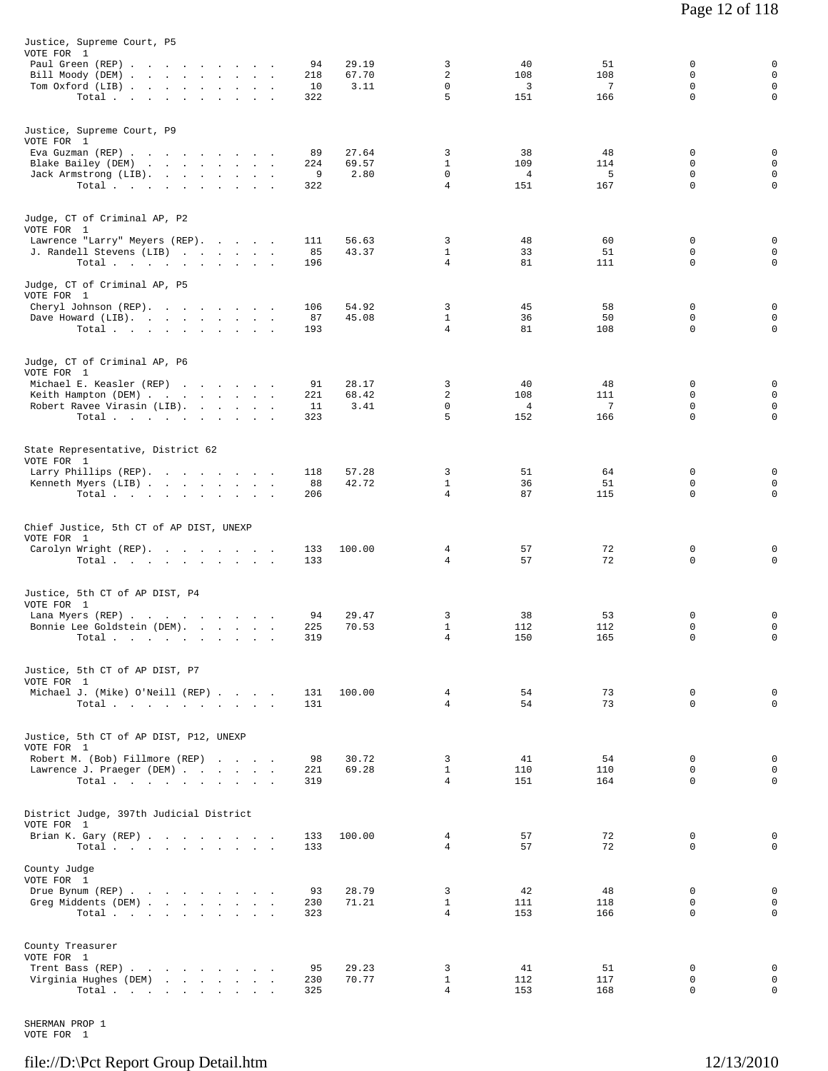| Justice, Supreme Court, P5<br>VOTE FOR 1                                                                     |                        |                        |                                          |                                    |                        |                                      |                                      |
|--------------------------------------------------------------------------------------------------------------|------------------------|------------------------|------------------------------------------|------------------------------------|------------------------|--------------------------------------|--------------------------------------|
| Paul Green (REP)<br>Bill Moody (DEM)<br>Tom Oxford (LIB)<br>Total $\cdots$ $\cdots$ $\cdots$                 | 94<br>218<br>10<br>322 | 29.19<br>67.70<br>3.11 | 3<br>2<br>0<br>5                         | 40<br>108<br>3<br>151              | 51<br>108<br>7<br>166  | 0<br>$\mathbf 0$<br>0<br>$\mathbf 0$ | 0<br>0<br>$\mathsf 0$<br>$\mathbf 0$ |
| Justice, Supreme Court, P9<br>VOTE FOR 1                                                                     |                        |                        |                                          |                                    |                        |                                      |                                      |
| Eva Guzman (REP)<br>Blake Bailey (DEM)<br>Jack Armstrong (LIB).<br>Total $\cdots$ $\cdots$ $\cdots$ $\cdots$ | 89<br>224<br>9<br>322  | 27.64<br>69.57<br>2.80 | 3<br>$\mathbf{1}$<br>0<br>$\overline{4}$ | 38<br>109<br>$\overline{4}$<br>151 | 48<br>114<br>5<br>167  | 0<br>0<br>$\mathbf 0$<br>$\mathbf 0$ | 0<br>0<br>0<br>$\mathbf 0$           |
| Judge, CT of Criminal AP, P2<br>VOTE FOR 1                                                                   |                        |                        |                                          |                                    |                        |                                      | 0                                    |
| Lawrence "Larry" Meyers (REP).<br>J. Randell Stevens (LIB)<br>Total                                          | 111<br>85<br>196       | 56.63<br>43.37         | 3<br>$\mathbf{1}$<br>4                   | 48<br>33<br>81                     | 60<br>51<br>111        | 0<br>$\mathbf 0$<br>$\mathbf 0$      | 0<br>$\mathbf 0$                     |
| Judge, CT of Criminal AP, P5<br>VOTE FOR 1<br>Cheryl Johnson (REP).<br>Dave Howard (LIB).                    | 106<br>87              | 54.92<br>45.08         | 3<br>$\mathbf{1}$                        | 45<br>36                           | 58<br>50               | $\mathbf 0$<br>0                     | 0<br>0                               |
| Total                                                                                                        | 193                    |                        | $\overline{4}$                           | 81                                 | 108                    | $\mathbf 0$                          | 0                                    |
| Judge, CT of Criminal AP, P6<br>VOTE FOR 1<br>Michael E. Keasler (REP)                                       | 91                     | 28.17                  | 3<br>2                                   | 40<br>108                          | 48<br>111              | $\mathbf 0$<br>$\mathbf 0$           | 0<br>0                               |
| Keith Hampton (DEM)<br>Robert Ravee Virasin (LIB).<br>Total $\cdots$ $\cdots$ $\cdots$                       | 221<br>11<br>323       | 68.42<br>3.41          | $\mathbf 0$<br>5                         | $\overline{4}$<br>152              | $7\phantom{.0}$<br>166 | $\mathbf 0$<br>$\mathbf 0$           | 0<br>0                               |
| State Representative, District 62<br>VOTE FOR 1<br>Larry Phillips (REP).                                     | 118                    | 57.28                  | 3                                        | 51                                 | 64                     | 0                                    | 0                                    |
| Kenneth Myers (LIB)<br>Total                                                                                 | 88<br>206              | 42.72                  | $\mathbf{1}$<br>4                        | 36<br>87                           | 51<br>115              | 0<br>0                               | $\mathbf 0$<br>0                     |
| Chief Justice, 5th CT of AP DIST, UNEXP<br>VOTE FOR 1                                                        |                        |                        |                                          |                                    |                        |                                      |                                      |
| Carolyn Wright (REP).<br>Total $\cdots$ $\cdots$ $\cdots$ $\cdots$                                           | 133<br>133             | 100.00                 | 4<br>4                                   | 57<br>57                           | 72<br>72               | 0<br>0                               | 0<br>0                               |
| Justice, 5th CT of AP DIST, P4<br>VOTE FOR 1<br>Lana Myers (REP)                                             | 94                     | 29.47                  | 3                                        | 38                                 | 53                     | 0                                    | 0                                    |
| Bonnie Lee Goldstein (DEM).<br>Total $\cdots$ $\cdots$ $\cdots$                                              | 225<br>319             | 70.53                  | $\mathbf{1}$<br>$\overline{4}$           | 112<br>150                         | 112<br>165             | 0<br>$\mathbf 0$                     | $\mathsf 0$<br>0                     |
| Justice, 5th CT of AP DIST, P7<br>VOTE FOR 1<br>Michael J. (Mike) O'Neill (REP)                              | 131                    | 100.00                 | $\overline{4}$                           | 54                                 | 73                     | $\mathbf 0$                          | 0                                    |
| Total                                                                                                        | 131                    |                        | $\overline{4}$                           | 54                                 | 73                     | $\Omega$                             | 0                                    |
| Justice, 5th CT of AP DIST, P12, UNEXP<br>VOTE FOR 1<br>Robert M. (Bob) Fillmore (REP)                       | 98                     | 30.72                  | 3                                        | 41                                 | 54                     | 0                                    | 0                                    |
| Lawrence J. Praeger (DEM)<br>Total.                                                                          | 221<br>319             | 69.28                  | $\mathbf{1}$<br>$\overline{4}$           | 110<br>151                         | 110<br>164             | $\Omega$<br>0                        | $\mathbf 0$<br>$\mathbf 0$           |
| District Judge, 397th Judicial District<br>VOTE FOR 1<br>Brian K. Gary (REP)                                 | 133                    | 100.00                 | 4                                        | 57                                 | 72                     | 0                                    | 0                                    |
| Total<br>County Judge                                                                                        | 133                    |                        | $\overline{4}$                           | 57                                 | 72                     | $\Omega$                             | $\Omega$                             |
| VOTE FOR 1<br>Drue Bynum (REP)<br>Greg Middents (DEM)<br>Total.                                              | 93<br>230<br>323       | 28.79<br>71.21         | 3<br>$\mathbf{1}$<br>$\overline{4}$      | 42<br>111<br>153                   | 48<br>118<br>166       | 0<br>0<br>0                          | 0<br>$\mathsf 0$<br>$\mathbf 0$      |
| County Treasurer<br>VOTE FOR 1                                                                               |                        |                        |                                          |                                    |                        |                                      |                                      |
| Trent Bass (REP)<br>Virginia Hughes (DEM)<br>Total.                                                          | 95<br>230<br>325       | 29.23<br>70.77         | 3<br>$\mathbf{1}$<br>$\overline{4}$      | 41<br>112<br>153                   | 51<br>117<br>168       | 0<br>0<br>$\mathbf 0$                | 0<br>$\mathsf 0$<br>0                |

SHERMAN PROP 1 VOTE FOR 1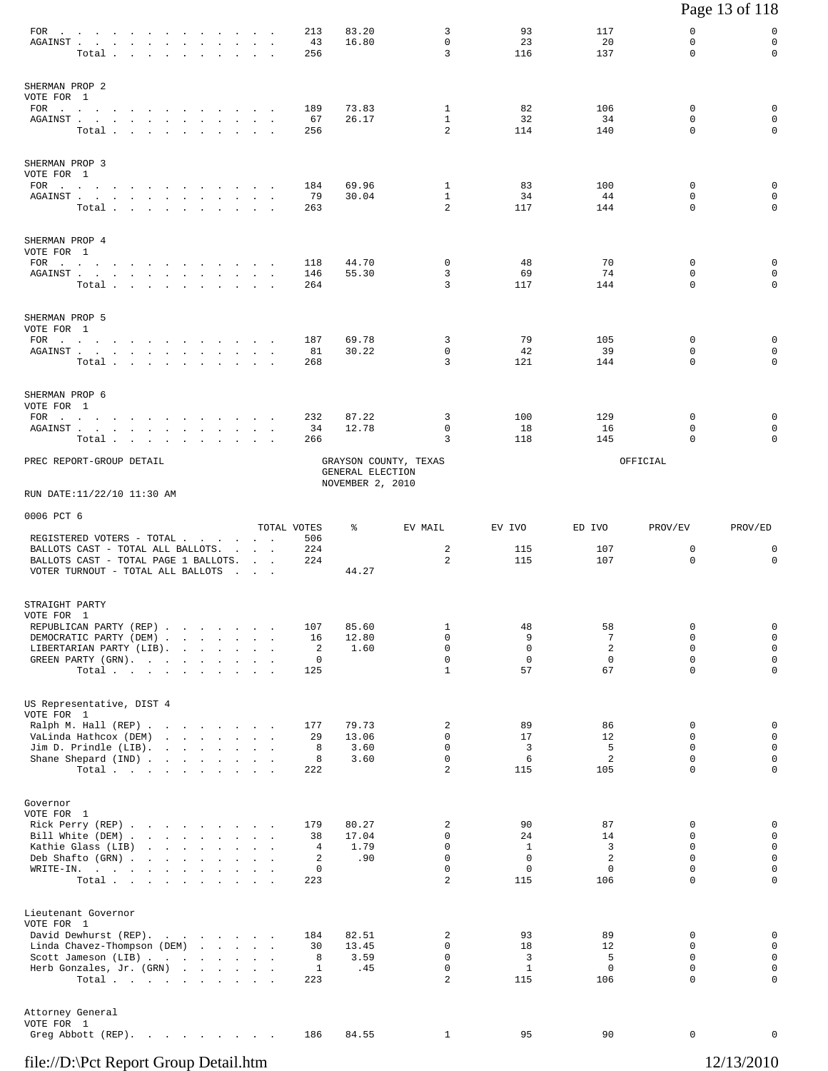|                                                                                                                                                                                                                                                                                                                                             |                                                                                                           |                                                               |                                                       |                                                     |                                |                                                       | Page 13 of 118                                                     |
|---------------------------------------------------------------------------------------------------------------------------------------------------------------------------------------------------------------------------------------------------------------------------------------------------------------------------------------------|-----------------------------------------------------------------------------------------------------------|---------------------------------------------------------------|-------------------------------------------------------|-----------------------------------------------------|--------------------------------|-------------------------------------------------------|--------------------------------------------------------------------|
| $\texttt{FOR} \quad . \qquad . \qquad . \qquad . \qquad . \qquad . \qquad . \qquad .$<br>$\sim$<br>AGAINST<br>Total .<br>the company of the company of the company                                                                                                                                                                          | 213<br>$\sim$<br>256                                                                                      | 83.20<br>16.80<br>43                                          | 3<br>$\mathbf 0$<br>3                                 | 93<br>23<br>116                                     | 117<br>20<br>137               | $\mathbf 0$<br>$\mathbf 0$<br>$\Omega$                | 0<br>$\mathbf 0$<br>0                                              |
| SHERMAN PROP 2<br>VOTE FOR 1<br>FOR $\cdots$<br>AGAINST<br>Total                                                                                                                                                                                                                                                                            | 189<br>256                                                                                                | 73.83<br>67<br>26.17                                          | 1<br>$\mathbf{1}$<br>2                                | 82<br>32<br>114                                     | 106<br>34<br>140               | 0<br>$\mathbf 0$<br>$\Omega$                          | 0<br>0<br>0                                                        |
| SHERMAN PROP 3<br>VOTE FOR 1<br>FOR $\cdots$<br>${\tt AGAINST} \hspace{0.1in} . \hspace{0.1in} . \hspace{0.1in} . \hspace{0.1in} . \hspace{0.1in} . \hspace{0.1in} . \hspace{0.1in} . \hspace{0.1in} . \hspace{0.1in} . \hspace{0.1in} . \hspace{0.1in} . \hspace{0.1in} . \hspace{0.1in} . \hspace{0.1in} . \hspace{0.1in} .$<br>Total     | 184<br>263                                                                                                | 69.96<br>79<br>30.04                                          | $\mathbf{1}$<br>$\mathbf{1}$<br>$\overline{a}$        | 83<br>34<br>117                                     | 100<br>44<br>144               | 0<br>$\mathbf 0$<br>$\mathbf 0$                       | 0<br>0<br>$\mathbf 0$                                              |
| SHERMAN PROP 4<br>VOTE FOR 1<br>FOR $\cdots$<br>${\tt AGAINST} \hspace{1.5cm} . \hspace{1.5cm} . \hspace{1.5cm} . \hspace{1.5cm} . \hspace{1.5cm} . \hspace{1.5cm} . \hspace{1.5cm} . \hspace{1.5cm} . \hspace{1.5cm} . \hspace{1.5cm} . \hspace{1.5cm} . \hspace{1.5cm} . \hspace{1.5cm} .$<br>Total $\cdots$ $\cdots$ $\cdots$            | 118<br>146<br>264                                                                                         | 44.70<br>55.30                                                | 0<br>3<br>3                                           | 48<br>69<br>117                                     | 70<br>74<br>144                | $\mathbf 0$<br>$\mathbf 0$<br>$\mathbf 0$             | 0<br>0<br>0                                                        |
| SHERMAN PROP 5<br>VOTE FOR 1<br>FOR $\cdots$<br>${\tt AGAINST} \hspace{0.1in} . \hspace{0.1in} . \hspace{0.1in} . \hspace{0.1in} . \hspace{0.1in} . \hspace{0.1in} . \hspace{0.1in} . \hspace{0.1in} . \hspace{0.1in} . \hspace{0.1in} . \hspace{0.1in} . \hspace{0.1in} . \hspace{0.1in} . \hspace{0.1in} . \hspace{0.1in} .$<br>Total     | 187<br>268                                                                                                | 69.78<br>81<br>30.22                                          | 3<br>0<br>3                                           | 79<br>42<br>121                                     | 105<br>39<br>144               | $\mathbf 0$<br>$\mathbf 0$<br>$\Omega$                | 0<br>0<br>0                                                        |
| SHERMAN PROP 6<br>VOTE FOR 1<br>FOR $\qquad \qquad \ldots \qquad \qquad \ldots \qquad \qquad \ldots \qquad \ldots$<br>${\tt AGAINST} \hspace{1.5cm} . \hspace{1.5cm} . \hspace{1.5cm} . \hspace{1.5cm} . \hspace{1.5cm} . \hspace{1.5cm} . \hspace{1.5cm} . \hspace{1.5cm} . \hspace{1.5cm} . \hspace{1.5cm} . \hspace{1.5cm} .$<br>Total . | 232<br>266                                                                                                | 87.22<br>34<br>12.78                                          | 3<br>0<br>3                                           | 100<br>18<br>118                                    | 129<br>16<br>145               | 0<br>0<br>0                                           | 0<br>0<br>0                                                        |
| PREC REPORT-GROUP DETAIL                                                                                                                                                                                                                                                                                                                    |                                                                                                           | GRAYSON COUNTY, TEXAS<br>GENERAL ELECTION<br>NOVEMBER 2, 2010 |                                                       |                                                     |                                | OFFICIAL                                              |                                                                    |
| RUN DATE:11/22/10 11:30 AM                                                                                                                                                                                                                                                                                                                  |                                                                                                           |                                                               |                                                       |                                                     |                                |                                                       |                                                                    |
| 0006 PCT 6                                                                                                                                                                                                                                                                                                                                  | TOTAL VOTES                                                                                               | ႜ                                                             | EV MAIL                                               | EV IVO                                              | ED IVO                         | PROV/EV                                               | PROV/ED                                                            |
| REGISTERED VOTERS - TOTAL<br>BALLOTS CAST - TOTAL ALL BALLOTS.<br>BALLOTS CAST - TOTAL PAGE 1 BALLOTS.<br>VOTER TURNOUT - TOTAL ALL BALLOTS                                                                                                                                                                                                 | 506<br>224<br><b>Contract Contract Contract</b><br>224<br><b>Contract Contract</b><br>and the contract of | 44.27                                                         | 2<br>2                                                | 115<br>115                                          | 107<br>107                     | 0<br>0                                                | 0<br>$\mathbf 0$                                                   |
| STRAIGHT PARTY<br>VOTE FOR 1<br>REPUBLICAN PARTY (REP)<br>DEMOCRATIC PARTY (DEM).<br>LIBERTARIAN PARTY (LIB).<br>$\sim 10^{-11}$<br>GREEN PARTY (GRN).<br>Total.                                                                                                                                                                            | 107<br>the contract of the contract of the contract of<br>the company of the company<br>125               | 85.60<br>12.80<br>16<br>2<br>1.60<br>0                        | 1<br>$\Omega$<br>$\mathbf 0$<br>0<br>$\mathbf{1}$     | 48<br>9<br>$\mathsf 0$<br>0<br>57                   | 58<br>7<br>2<br>0<br>67        | 0<br>$\Omega$<br>$\mathbf 0$<br>0<br>$\mathbf 0$      | 0<br>$\mathsf 0$<br>$\mathsf 0$<br>$\mathsf 0$<br>0                |
| US Representative, DIST 4<br>VOTE FOR 1<br>Ralph M. Hall (REP)<br>VaLinda Hathcox (DEM)<br>Jim D. Prindle $(LIB)$ .<br>Shane Shepard (IND)<br>Total $\cdots$ $\cdots$ $\cdots$                                                                                                                                                              | 177<br>222                                                                                                | 79.73<br>13.06<br>29<br>8<br>3.60<br>8<br>3.60                | 2<br>0<br>$\mathbf 0$<br>$\Omega$<br>$\overline{c}$   | 89<br>17<br>3<br>6<br>115                           | 86<br>12<br>5<br>2<br>105      | 0<br>0<br>$\mathbf 0$<br>$\Omega$<br>$\mathbf 0$      | 0<br>$\mathsf 0$<br>$\mathsf 0$<br>$\mathsf 0$<br>0                |
| Governor<br>VOTE FOR 1<br>Rick Perry (REP)<br>Bill White (DEM)<br>the contract of the contract of the<br>Kathie Glass (LIB)<br>Deb Shafto (GRN)<br>$\texttt{WRITE-IN.}$<br>Total.                                                                                                                                                           | 179<br>$\sim$<br>$\sim$                                                                                   | 80.27<br>17.04<br>38<br>1.79<br>4<br>2<br>.90<br>0<br>223     | 2<br>$\Omega$<br>$\mathbf 0$<br>$\mathbf 0$<br>0<br>2 | 90<br>24<br>$\mathbf{1}$<br>$\mathbf 0$<br>0<br>115 | 87<br>14<br>3<br>2<br>0<br>106 | 0<br>$\Omega$<br>$\mathbf 0$<br>0<br>0<br>$\mathbf 0$ | 0<br>$\mathbf 0$<br>$\mathsf 0$<br>0<br>$\mathsf 0$<br>$\mathbf 0$ |
| Lieutenant Governor<br>VOTE FOR 1<br>David Dewhurst (REP).<br>Linda Chavez-Thompson (DEM)<br>Scott Jameson (LIB)<br>Herb Gonzales, Jr. (GRN)<br>Total.                                                                                                                                                                                      | 184<br>and the contract of the contract of<br>223                                                         | 82.51<br>30<br>13.45<br>8<br>3.59<br>$\mathbf{1}$<br>.45      | 2<br>$\Omega$<br>$\mathbf 0$<br>0<br>$\overline{a}$   | 93<br>18<br>3<br>$\mathbf{1}$<br>115                | 89<br>12<br>5<br>0<br>106      | 0<br>$\Omega$<br>$\mathbf 0$<br>0<br>$\mathbf 0$      | 0<br>0<br>$\mathsf 0$<br>$\mathsf 0$<br>0                          |
| Attorney General<br>VOTE FOR 1<br>Greg Abbott (REP).                                                                                                                                                                                                                                                                                        | 186                                                                                                       | 84.55                                                         | 1                                                     | 95                                                  | 90                             | 0                                                     | 0                                                                  |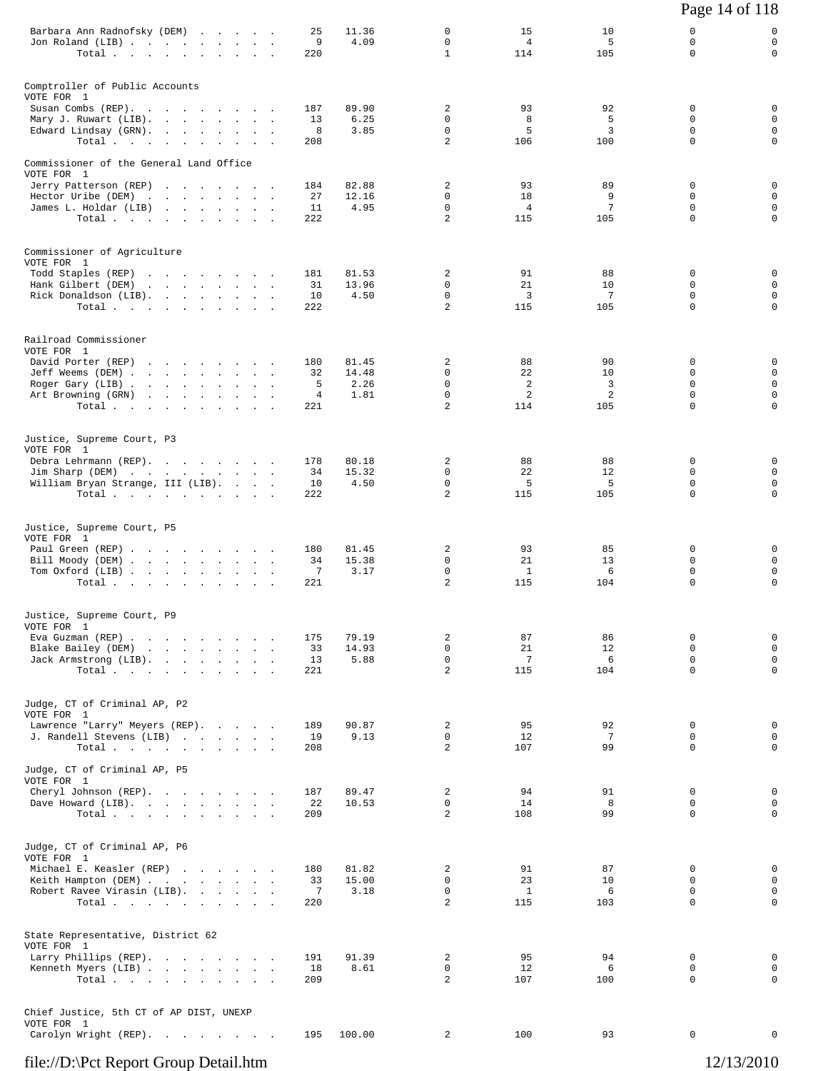|                                                                                                                      |                |                |                                              |                             |                | Page 14 of 118               |                                           |
|----------------------------------------------------------------------------------------------------------------------|----------------|----------------|----------------------------------------------|-----------------------------|----------------|------------------------------|-------------------------------------------|
| Barbara Ann Radnofsky (DEM)<br>Jon Roland (LIB)<br>Total.                                                            | 25<br>9<br>220 | 11.36<br>4.09  | 0<br>$\mathbf 0$<br>$\mathbf{1}$             | 15<br>$\overline{4}$<br>114 | 10<br>5<br>105 | 0<br>0<br>$\Omega$           | 0<br>$\mathbf 0$<br>0                     |
| Comptroller of Public Accounts<br>VOTE FOR 1                                                                         |                |                |                                              |                             |                |                              |                                           |
| Susan Combs (REP).                                                                                                   | 187            | 89.90          | 2                                            | 93                          | 92             | 0                            | 0                                         |
| Mary J. Ruwart (LIB).<br>Edward Lindsay (GRN).<br>Total                                                              | 13<br>8<br>208 | 6.25<br>3.85   | $\mathbf 0$<br>$\mathbf 0$<br>$\overline{a}$ | 8<br>5<br>106               | 5<br>3<br>100  | 0<br>$\Omega$<br>$\mathbf 0$ | $\mathbf 0$<br>$\mathbf 0$<br>$\mathbf 0$ |
| Commissioner of the General Land Office                                                                              |                |                |                                              |                             |                |                              |                                           |
| VOTE FOR 1<br>Jerry Patterson (REP)                                                                                  | 184            | 82.88          | 2                                            | 93                          | 89             | 0                            | 0                                         |
| Hector Uribe (DEM)                                                                                                   | 27             | 12.16          | 0                                            | 18                          | 9              | 0                            | $\mathbf 0$                               |
| James L. Holdar (LIB)<br>Total.                                                                                      | 11<br>222      | 4.95           | $\Omega$<br>$\overline{a}$                   | 4<br>115                    | 7<br>105       | $\Omega$<br>$\mathbf 0$      | $\mathbf 0$<br>$\mathbf 0$                |
| Commissioner of Agriculture<br>VOTE FOR 1                                                                            |                |                |                                              |                             |                |                              |                                           |
| Todd Staples (REP)                                                                                                   | 181            | 81.53          | 2                                            | 91                          | 88             | 0                            | 0                                         |
| Hank Gilbert (DEM)<br>$\mathbf{r}$ , and $\mathbf{r}$ , and $\mathbf{r}$ , and $\mathbf{r}$<br>Rick Donaldson (LIB). | 31<br>10       | 13.96<br>4.50  | 0<br>$\mathbf 0$                             | 21<br>3                     | 10<br>7        | $\Omega$<br>$\mathbf 0$      | $\mathbf 0$<br>$\mathbf 0$                |
| Total.                                                                                                               | 222            |                | 2                                            | 115                         | 105            | $\Omega$                     | $\mathbf 0$                               |
| Railroad Commissioner<br>VOTE FOR 1                                                                                  |                |                |                                              |                             |                |                              |                                           |
| David Porter (REP)<br>Jeff Weems (DEM)                                                                               | 180<br>32      | 81.45<br>14.48 | 2<br>$\mathbf 0$                             | 88<br>22                    | 90<br>10       | $\Omega$<br>$\Omega$         | 0<br>$\mathbf 0$                          |
| Roger Gary (LIB)<br>Art Browning (GRN)                                                                               | 5<br>4         | 2.26<br>1.81   | $\mathbf 0$<br>$\mathbf 0$                   | 2<br>2                      | 3<br>2         | $\Omega$<br>$\mathbf 0$      | $\mathbf 0$<br>$\mathsf{O}$               |
| Total                                                                                                                | 221            |                | $\overline{a}$                               | 114                         | 105            | $\Omega$                     | $\mathbf 0$                               |
| Justice, Supreme Court, P3<br>VOTE FOR 1                                                                             |                |                |                                              |                             |                |                              |                                           |
| Debra Lehrmann (REP).<br>Jim Sharp (DEM)                                                                             | 178<br>34      | 80.18<br>15.32 | 2<br>$\mathbf 0$                             | 88<br>22                    | 88<br>12       | 0<br>0                       | 0<br>$\mathbf 0$                          |
| William Bryan Strange, III (LIB).<br>Total.                                                                          | 10<br>222      | 4.50           | $\Omega$<br>$\overline{a}$                   | 5<br>115                    | 5<br>105       | $\Omega$<br>$\mathbf 0$      | $\mathbf 0$<br>$\mathbf 0$                |
| Justice, Supreme Court, P5                                                                                           |                |                |                                              |                             |                |                              |                                           |
| VOTE FOR 1<br>Paul Green (REP)                                                                                       | 180            | 81.45          | 2                                            | 93                          | 85             | 0                            | 0                                         |
| Bill Moody (DEM)<br>Tom Oxford (LIB)<br>$\mathcal{L}^{\text{max}}$ and                                               | 34<br>7        | 15.38<br>3.17  | 0<br>$\mathbf 0$                             | 21<br>$\mathbf{1}$          | 13<br>6        | $\Omega$<br>$\mathbf 0$      | $\mathbf 0$<br>$\mathbf 0$                |
| Total.                                                                                                               | 221            |                | 2                                            | 115                         | 104            | 0                            | $\mathsf 0$                               |
| Justice, Supreme Court, P9<br>VOTE FOR 1                                                                             |                |                |                                              |                             |                |                              |                                           |
| Eva Guzman (REP)<br>Blake Bailey (DEM)<br>the contract of the contract of the                                        | 175<br>33      | 79.19<br>14.93 | 2<br>$\mathbf 0$                             | 87<br>21                    | 86<br>12       | 0<br>$\mathbf 0$             | 0<br>$\mathbf 0$                          |
| Jack Armstrong (LIB).                                                                                                | 13             | 5.88           | $\mathsf{O}$                                 | 7                           | 6              | 0                            | $\mathbf 0$                               |
| Total.                                                                                                               | 221            |                | $\overline{a}$                               | 115                         | 104            | $\mathbf 0$                  | $\mathsf{O}$                              |
| Judge, CT of Criminal AP, P2<br>VOTE FOR 1                                                                           |                |                |                                              |                             |                |                              |                                           |
| Lawrence "Larry" Meyers (REP).<br>J. Randell Stevens (LIB)                                                           | 189<br>19      | 90.87<br>9.13  | 2<br>0                                       | 95<br>12                    | 92<br>7        | $\mathbf 0$<br>0             | $\mathbf 0$<br>$\mathbf 0$                |
| Total<br>Judge, CT of Criminal AP, P5                                                                                | 208            |                | $\overline{a}$                               | 107                         | 99             | $\Omega$                     | $\mathbf 0$                               |
| VOTE FOR 1                                                                                                           | 187            |                | 2                                            | 94                          | 91             | $\mathbf 0$                  | 0                                         |
| Cheryl Johnson (REP).<br>Dave Howard (LIB).                                                                          | 22             | 89.47<br>10.53 | $\mathbf 0$                                  | 14                          | 8              | $\mathbf 0$                  | $\mathbf 0$                               |
| Total $\cdots$ $\cdots$ $\cdots$ $\cdots$                                                                            | 209            |                | $\overline{2}$                               | 108                         | 99             | $\Omega$                     | $\mathbf 0$                               |
| Judge, CT of Criminal AP, P6<br>VOTE FOR 1                                                                           |                |                |                                              |                             |                |                              |                                           |
| Michael E. Keasler (REP)<br>Keith Hampton (DEM)                                                                      | 180<br>33      | 81.82<br>15.00 | 2<br>0                                       | 91<br>23                    | 87<br>10       | $\Omega$<br>$\Omega$         | 0<br>$\mathbf 0$                          |
| Robert Ravee Virasin (LIB).                                                                                          | 7              | 3.18           | $\mathsf{O}$                                 | $\mathbf{1}$                | 6              | 0                            | $\mathsf{O}$                              |
| Total                                                                                                                | 220            |                | $\overline{2}$                               | 115                         | 103            | 0                            | $\mathbf 0$                               |
| State Representative, District 62<br>VOTE FOR 1                                                                      |                |                |                                              |                             |                |                              |                                           |
| Larry Phillips (REP).<br>Kenneth Myers (LIB)                                                                         | 191<br>18      | 91.39<br>8.61  | $\overline{a}$<br>0                          | 95<br>12                    | 94<br>6        | $\mathbf 0$<br>$\mathbf 0$   | 0<br>0                                    |
| Total.                                                                                                               | 209            |                | $\overline{a}$                               | 107                         | 100            | 0                            | $\mathsf{O}$                              |
| Chief Justice, 5th CT of AP DIST, UNEXP<br>VOTE FOR 1                                                                |                |                |                                              |                             |                |                              |                                           |
| Carolyn Wright (REP).                                                                                                | 195            | 100.00         | 2                                            | 100                         | 93             | 0                            | 0                                         |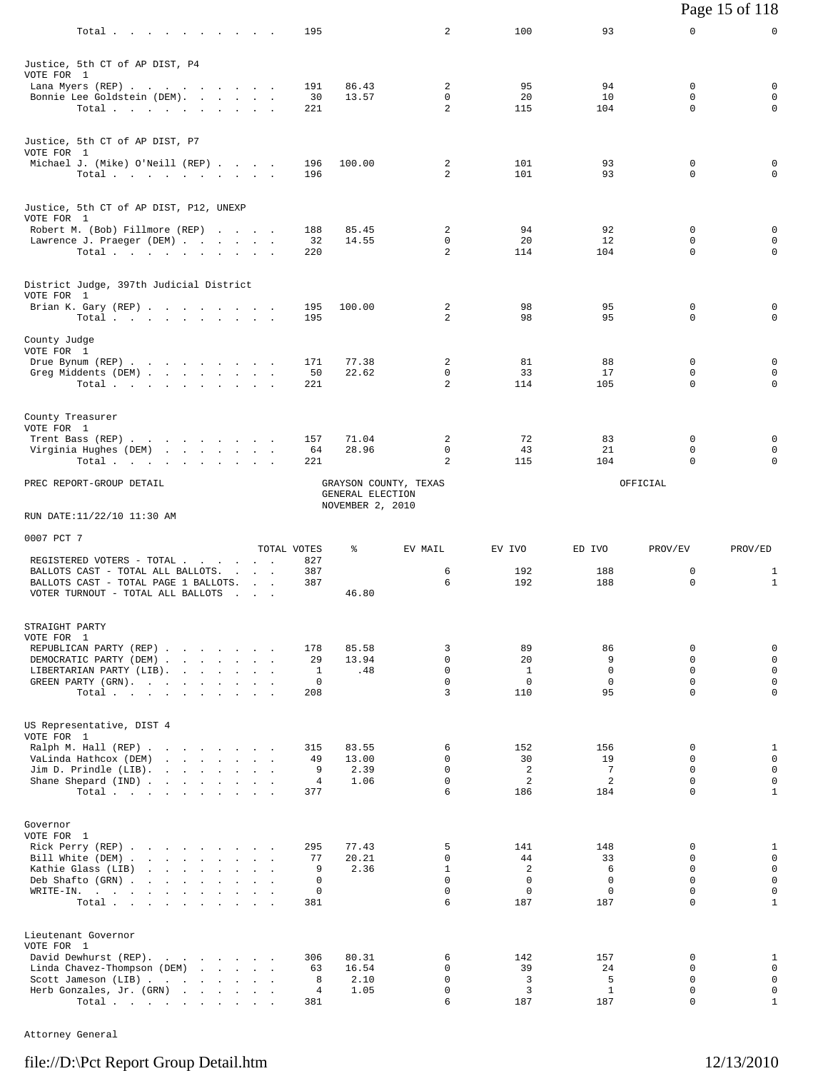|                                                                           |                                        |                       |                                      |                            |                      |                      |                         | Page 15 of 118               |
|---------------------------------------------------------------------------|----------------------------------------|-----------------------|--------------------------------------|----------------------------|----------------------|----------------------|-------------------------|------------------------------|
| Total                                                                     |                                        | 195                   |                                      | 2                          | 100                  | 93                   | 0                       | 0                            |
| Justice, 5th CT of AP DIST, P4<br>VOTE FOR 1                              |                                        |                       |                                      |                            |                      |                      |                         |                              |
| Lana Myers (REP)                                                          |                                        | 191                   | 86.43                                | 2                          | 95                   | 94                   | $\Omega$                | 0                            |
| Bonnie Lee Goldstein (DEM).<br>Total.                                     |                                        | 30<br>221             | 13.57                                | $\mathbf 0$<br>2           | 20<br>115            | 10<br>104            | 0<br>$\Omega$           | $\mathbf 0$<br>0             |
|                                                                           |                                        |                       |                                      |                            |                      |                      |                         |                              |
| Justice, 5th CT of AP DIST, P7<br>VOTE FOR 1                              |                                        |                       |                                      |                            |                      |                      |                         |                              |
| Michael J. (Mike) O'Neill (REP)<br>Total $\cdots$                         |                                        | 196<br>196            | 100.00                               | 2<br>$\overline{a}$        | 101<br>101           | 93<br>93             | 0<br>$\Omega$           | 0<br>$\mathbf 0$             |
|                                                                           |                                        |                       |                                      |                            |                      |                      |                         |                              |
| Justice, 5th CT of AP DIST, P12, UNEXP<br>VOTE FOR 1                      |                                        |                       |                                      |                            |                      |                      |                         |                              |
| Robert M. (Bob) Fillmore (REP)                                            |                                        | 188                   | 85.45                                | 2<br>$\mathbf 0$           | 94                   | 92                   | 0<br>0                  | 0                            |
| Lawrence J. Praeger (DEM)<br>Total $\cdots$ $\cdots$ $\cdots$             |                                        | 32<br>220             | 14.55                                | 2                          | 20<br>114            | 12<br>104            | $\Omega$                | 0<br>$\Omega$                |
| District Judge, 397th Judicial District                                   |                                        |                       |                                      |                            |                      |                      |                         |                              |
| VOTE FOR 1                                                                |                                        |                       |                                      |                            |                      |                      |                         |                              |
| Brian K. Gary (REP)<br>Total                                              |                                        | 195<br>195            | 100.00                               | 2<br>$\overline{2}$        | 98<br>98             | 95<br>95             | 0<br>$\Omega$           | 0<br>0                       |
| County Judge                                                              |                                        |                       |                                      |                            |                      |                      |                         |                              |
| VOTE FOR 1                                                                |                                        |                       |                                      |                            |                      |                      |                         |                              |
| Drue Bynum (REP)<br>Greg Middents (DEM)                                   |                                        | 171<br>50             | 77.38<br>22.62                       | 2<br>0                     | 81<br>33             | 88<br>17             | $\mathbf 0$<br>0        | 0<br>$\mathbf 0$             |
| Total.                                                                    |                                        | 221                   |                                      | 2                          | 114                  | 105                  | $\Omega$                | 0                            |
| County Treasurer                                                          |                                        |                       |                                      |                            |                      |                      |                         |                              |
| VOTE FOR 1                                                                |                                        |                       |                                      |                            |                      |                      |                         |                              |
| Trent Bass (REP)<br>Virginia Hughes (DEM)                                 |                                        | 157<br>64             | 71.04<br>28.96                       | 2<br>$\mathbf 0$           | 72<br>43             | 83<br>21             | $\mathbf 0$<br>0        | 0<br>$\mathbf 0$             |
| Total<br>the contract of the contract of the                              |                                        | 221                   |                                      | 2                          | 115                  | 104                  | 0                       | $\mathbf 0$                  |
| PREC REPORT-GROUP DETAIL                                                  |                                        |                       | GENERAL ELECTION<br>NOVEMBER 2, 2010 | GRAYSON COUNTY, TEXAS      |                      |                      | OFFICIAL                |                              |
| RUN DATE:11/22/10 11:30 AM                                                |                                        |                       |                                      |                            |                      |                      |                         |                              |
| 0007 PCT 7                                                                |                                        |                       |                                      |                            |                      |                      |                         |                              |
| REGISTERED VOTERS - TOTAL                                                 |                                        | TOTAL VOTES<br>827    | ႜ                                    | EV MAIL                    | EV IVO               | ED IVO               | PROV/EV                 | PROV/ED                      |
| BALLOTS CAST - TOTAL ALL BALLOTS.                                         | <b>Contract Contract</b>               | 387                   |                                      | 6                          | 192                  | 188                  | 0                       | $\mathbf{1}$                 |
| BALLOTS CAST - TOTAL PAGE 1 BALLOTS.<br>VOTER TURNOUT - TOTAL ALL BALLOTS | $\mathbf{r} = \mathbf{r} + \mathbf{r}$ | 387                   | 46.80                                | 6                          | 192                  | 188                  | 0                       | $\mathbf{1}$                 |
|                                                                           |                                        |                       |                                      |                            |                      |                      |                         |                              |
| STRAIGHT PARTY<br>VOTE FOR 1                                              |                                        |                       |                                      |                            |                      |                      |                         |                              |
| REPUBLICAN PARTY (REP)                                                    |                                        | 178                   | 85.58                                | 3                          | 89                   | 86                   | 0                       | $\mathbf 0$                  |
| DEMOCRATIC PARTY (DEM)<br>LIBERTARIAN PARTY (LIB).                        |                                        | 29<br>$\mathbf{1}$    | 13.94<br>.48                         | $\mathbf 0$<br>$\mathbf 0$ | 20<br>$\mathbf{1}$   | 9<br>$\mathbf 0$     | $\Omega$<br>$\Omega$    | $\mathsf 0$<br>$\mathbf 0$   |
| GREEN PARTY (GRN).                                                        |                                        | $\mathbf 0$           |                                      | $\Omega$                   | $\mathbf 0$          | $\mathbf 0$          | $\Omega$                | $\mathbf 0$                  |
| Total.                                                                    |                                        | 208                   |                                      | 3                          | 110                  | 95                   | $\Omega$                | $\mathbf 0$                  |
| US Representative, DIST 4                                                 |                                        |                       |                                      |                            |                      |                      |                         |                              |
| VOTE FOR 1<br>Ralph M. Hall (REP)                                         |                                        | 315                   | 83.55                                | 6                          | 152                  | 156                  | 0                       | 1                            |
| VaLinda Hathcox (DEM)                                                     |                                        | 49                    | 13.00                                | $\Omega$                   | 30                   | 19                   | $\Omega$                | $\mathbf 0$                  |
| Jim D. Prindle (LIB).<br>Shane Shepard (IND)                              |                                        | 9<br>4                | 2.39<br>1.06                         | $\mathbf 0$<br>$\mathbf 0$ | $\overline{a}$<br>2  | $7\phantom{.0}$<br>2 | $\mathbf 0$<br>$\Omega$ | $\mathsf 0$<br>$\mathbf 0$   |
| Total                                                                     |                                        | 377                   |                                      | 6                          | 186                  | 184                  | $\Omega$                | $\mathbf{1}$                 |
| Governor                                                                  |                                        |                       |                                      |                            |                      |                      |                         |                              |
| VOTE FOR 1                                                                |                                        |                       |                                      |                            |                      |                      |                         |                              |
|                                                                           |                                        |                       |                                      |                            |                      |                      |                         |                              |
| Rick Perry (REP)                                                          |                                        | 295                   | 77.43                                | 5<br>0                     | 141                  | 148                  | 0<br>$\Omega$           | 1                            |
| Bill White (DEM)<br>Kathie Glass (LIB)<br>the contract of the contract of |                                        | 77<br>9               | 20.21<br>2.36                        | $\mathbf{1}$               | 44<br>$\overline{c}$ | 33<br>6              | $\Omega$                | $\mathbf 0$<br>$\mathbf 0$   |
| Deb Shafto (GRN)                                                          |                                        | $\mathbf 0$           |                                      | $\Omega$                   | $\mathbf 0$          | $\mathbf 0$          | $\Omega$                | $\mathbf 0$                  |
| WRITE-IN.<br>Total                                                        |                                        | 0<br>381              |                                      | $\mathbf 0$<br>6           | 0<br>187             | 0<br>187             | 0<br>$\Omega$           | $\mathsf{O}$<br>$\mathbf{1}$ |
|                                                                           |                                        |                       |                                      |                            |                      |                      |                         |                              |
| Lieutenant Governor<br>VOTE FOR 1                                         |                                        |                       |                                      |                            |                      |                      |                         |                              |
| David Dewhurst (REP).                                                     |                                        | 306                   | 80.31                                | 6                          | 142                  | 157                  | 0                       | 1                            |
| Linda Chavez-Thompson (DEM)<br>Scott Jameson (LIB)                        |                                        | 63<br>8               | 16.54<br>2.10                        | 0<br>$\mathbf 0$           | 39<br>3              | 24<br>5              | 0<br>0                  | $\mathbf 0$<br>$\mathbf 0$   |
| Herb Gonzales, Jr. (GRN)<br>Total                                         |                                        | $\overline{4}$<br>381 | 1.05                                 | 0<br>6                     | 3<br>187             | $\mathbf{1}$<br>187  | $\Omega$<br>$\mathbf 0$ | $\mathbf 0$<br>$1\,$         |

Attorney General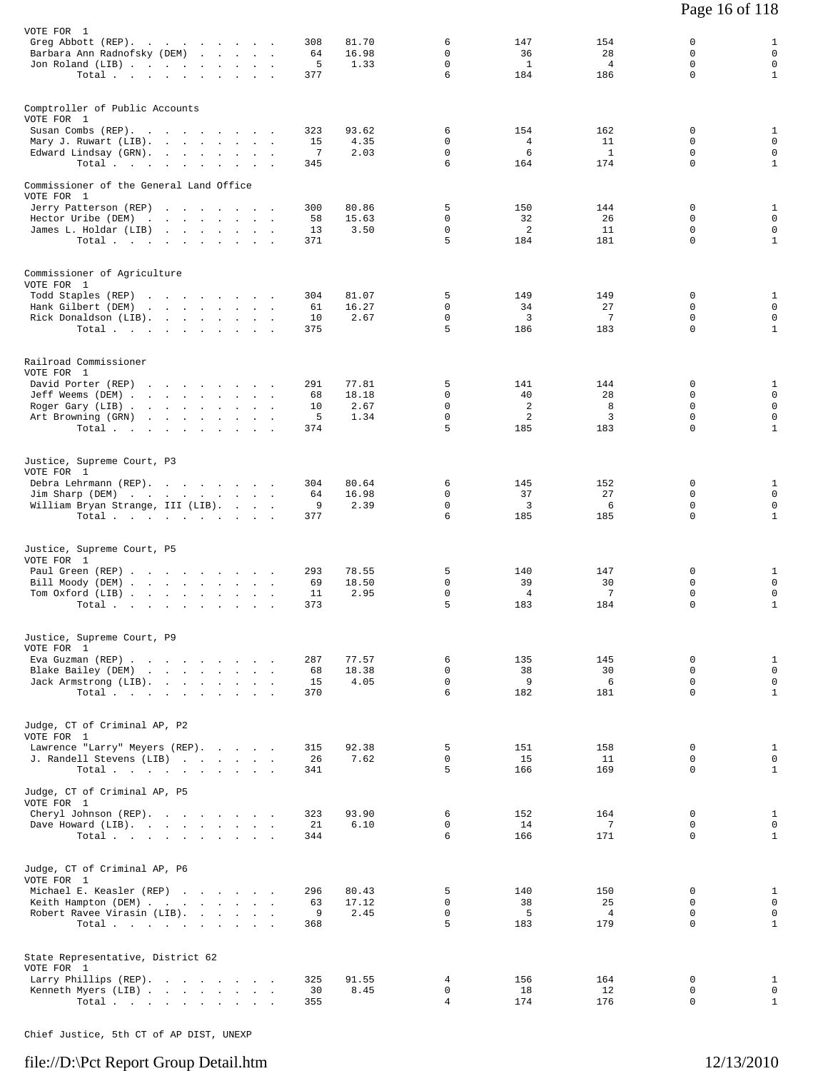| VOTE FOR 1                               |  |  |           |                |                  |                |                |                            |                             |
|------------------------------------------|--|--|-----------|----------------|------------------|----------------|----------------|----------------------------|-----------------------------|
| Greg Abbott (REP).                       |  |  | 308       | 81.70          | 6                | 147            | 154            | 0                          | $\mathbf{1}$                |
| Barbara Ann Radnofsky (DEM)              |  |  | 64        | 16.98          | 0                | 36             | 28             | 0                          | $\mathbf 0$                 |
| Jon Roland (LIB)                         |  |  | 5         | 1.33           | $\Omega$         | <sup>1</sup>   | $\overline{4}$ | $\Omega$                   | $\mathbf 0$                 |
| Total                                    |  |  | 377       |                | 6                | 184            | 186            | $\mathbf 0$                | $\mathbf{1}$                |
|                                          |  |  |           |                |                  |                |                |                            |                             |
| Comptroller of Public Accounts           |  |  |           |                |                  |                |                |                            |                             |
| VOTE FOR 1                               |  |  |           |                |                  |                |                |                            |                             |
| Susan Combs (REP).                       |  |  | 323       | 93.62          | 6                | 154            | 162            | 0                          | 1                           |
| Mary J. Ruwart (LIB).                    |  |  | 15        | 4.35           | 0                | $\overline{4}$ | 11             | $\Omega$                   | $\mathbf 0$                 |
| Edward Lindsay (GRN).                    |  |  | 7         | 2.03           | $\mathbf 0$      | 6              | <sup>1</sup>   | $\mathbf 0$                | $\mathbf 0$                 |
| Total $\cdots$                           |  |  | 345       |                | 6                | 164            | 174            | $\Omega$                   | $\mathbf{1}$                |
|                                          |  |  |           |                |                  |                |                |                            |                             |
| Commissioner of the General Land Office  |  |  |           |                |                  |                |                |                            |                             |
| VOTE FOR 1                               |  |  |           |                |                  |                |                |                            |                             |
| Jerry Patterson (REP)                    |  |  | 300       | 80.86          | 5                | 150            | 144            | $\mathbf 0$                | 1                           |
| Hector Uribe (DEM)                       |  |  | 58        | 15.63          | $\Omega$         | 32             | 26             | $\Omega$                   | $\mathbf 0$                 |
| James L. Holdar (LIB)                    |  |  | 13        | 3.50           | $\mathbf 0$      | 2              | 11             | $\mathbf 0$                | $\mathbf 0$                 |
|                                          |  |  | 371       |                | 5                | 184            | 181            | $\Omega$                   | $\mathbf{1}$                |
| Total $\cdots$                           |  |  |           |                |                  |                |                |                            |                             |
|                                          |  |  |           |                |                  |                |                |                            |                             |
|                                          |  |  |           |                |                  |                |                |                            |                             |
| Commissioner of Agriculture              |  |  |           |                |                  |                |                |                            |                             |
| VOTE FOR 1                               |  |  |           |                |                  |                |                |                            |                             |
| Todd Staples (REP)<br>Hank Gilbert (DEM) |  |  | 304       | 81.07<br>16.27 | 5<br>$\mathbf 0$ | 149            | 149<br>27      | $\mathbf 0$<br>$\mathbf 0$ | $\mathbf{1}$<br>$\mathbf 0$ |
| Rick Donaldson (LIB).                    |  |  | 61        |                | $\mathbf 0$      | 34<br>3        | 7              | 0                          | $\mathbf 0$                 |
|                                          |  |  | 10<br>375 | 2.67           | 5                | 186            | 183            | $\Omega$                   | $\mathbf{1}$                |
| Total                                    |  |  |           |                |                  |                |                |                            |                             |
|                                          |  |  |           |                |                  |                |                |                            |                             |
|                                          |  |  |           |                |                  |                |                |                            |                             |
| Railroad Commissioner                    |  |  |           |                |                  |                |                |                            |                             |
| VOTE FOR 1                               |  |  |           |                |                  |                |                |                            |                             |
| David Porter (REP)                       |  |  | 291       | 77.81<br>18.18 | 5<br>0           | 141<br>40      | 144<br>28      | 0<br>$\Omega$              | 1<br>$\mathbf 0$            |
| Jeff Weems (DEM)                         |  |  | 68        |                | $\mathbf 0$      | 2              | 8              | $\Omega$                   | $\mathbf 0$                 |
| Roger Gary (LIB)                         |  |  | 10        | 2.67           | $\mathbf 0$      | 2              |                | $\mathbf 0$                | $\mathbf 0$                 |
| Art Browning (GRN)                       |  |  | 5         | 1.34           | 5                |                | 3              | $\Omega$                   |                             |
| Total                                    |  |  | 374       |                |                  | 185            | 183            |                            | $\mathbf{1}$                |
|                                          |  |  |           |                |                  |                |                |                            |                             |
|                                          |  |  |           |                |                  |                |                |                            |                             |
| Justice, Supreme Court, P3               |  |  |           |                |                  |                |                |                            |                             |
| VOTE FOR 1                               |  |  |           |                |                  |                |                | 0                          |                             |
| Debra Lehrmann (REP).                    |  |  | 304       | 80.64          | 6<br>$\Omega$    | 145            | 152            | $\Omega$                   | 1<br>$\mathbf 0$            |
| Jim Sharp (DEM)                          |  |  | 64        | 16.98          |                  | 37             | 27             |                            |                             |
| William Bryan Strange, III (LIB).        |  |  | 9         | 2.39           | $\mathbf 0$<br>6 | $\overline{3}$ | 6              | $\mathbf 0$<br>$\Omega$    | $\mathbf 0$<br>$\mathbf{1}$ |
| Total $\cdots$                           |  |  | 377       |                |                  | 185            | 185            |                            |                             |
|                                          |  |  |           |                |                  |                |                |                            |                             |
|                                          |  |  |           |                |                  |                |                |                            |                             |
| Justice, Supreme Court, P5               |  |  |           |                |                  |                |                |                            |                             |
| VOTE FOR 1                               |  |  |           |                |                  |                |                |                            |                             |
| Paul Green (REP)                         |  |  | 293       | 78.55          | 5                | 140            | 147            | 0                          | $\mathbf{1}$                |
| Bill Moody (DEM)                         |  |  | 69        | 18.50          | $\mathbf 0$      | 39             | 30             | $\mathbf 0$                | $\mathbf 0$                 |
| Tom Oxford (LIB)                         |  |  | 11        | 2.95           | $\mathsf{O}$     | $\overline{4}$ | 7              | 0                          | $\mathsf 0$                 |
| Total                                    |  |  | 373       |                | 5                | 183            | 184            | 0                          | $\mathbf{1}$                |
|                                          |  |  |           |                |                  |                |                |                            |                             |
|                                          |  |  |           |                |                  |                |                |                            |                             |
| Justice, Supreme Court, P9               |  |  |           |                |                  |                |                |                            |                             |
| VOTE FOR 1                               |  |  |           |                |                  |                |                |                            |                             |
| Eva Guzman (REP)                         |  |  | 287       | 77.57          | 6                | 135            | 145            | 0                          | $\mathbf{1}$                |
| Blake Bailey (DEM)                       |  |  | 68        | 18.38          | 0                | 38             | 30             | 0                          | $\mathbf 0$                 |
| Jack Armstrong (LIB).                    |  |  | 15        | 4.05           | $\mathbf 0$      | 9              | 6              | $\mathbf 0$                | $\mathsf{O}$                |
| Total                                    |  |  | 370       |                | 6                | 182            | 181            | $\mathbf 0$                | $\mathbf{1}$                |
|                                          |  |  |           |                |                  |                |                |                            |                             |
|                                          |  |  |           |                |                  |                |                |                            |                             |
| Judge, CT of Criminal AP, P2             |  |  |           |                |                  |                |                |                            |                             |
| VOTE FOR 1                               |  |  |           |                |                  |                |                |                            |                             |
| Lawrence "Larry" Meyers (REP).           |  |  | 315       | 92.38          | 5                | 151            | 158            | 0                          | $\mathbf{1}$                |
| J. Randell Stevens (LIB)                 |  |  | 26        | 7.62           | $\mathsf{O}$     | 15             | 11             | 0                          | $\mathsf{O}$                |
| Total $\cdots$                           |  |  | 341       |                | 5                | 166            | 169            | $\Omega$                   | $\mathbf{1}$                |
|                                          |  |  |           |                |                  |                |                |                            |                             |
|                                          |  |  |           |                |                  |                |                |                            |                             |
| Judge, CT of Criminal AP, P5             |  |  |           |                |                  |                |                |                            |                             |
| VOTE FOR 1                               |  |  | 323       | 93.90          | 6                | 152            | 164            | 0                          | $\mathbf{1}$                |
| Cheryl Johnson (REP).                    |  |  |           |                |                  |                |                |                            |                             |
| Dave Howard (LIB).                       |  |  | 21        | 6.10           | 0                | 14             | 7              | 0                          | $\mathbf 0$                 |
| Total.                                   |  |  | 344       |                | 6                | 166            | 171            | $\Omega$                   | $\mathbf{1}$                |
|                                          |  |  |           |                |                  |                |                |                            |                             |
|                                          |  |  |           |                |                  |                |                |                            |                             |
| Judge, CT of Criminal AP, P6             |  |  |           |                |                  |                |                |                            |                             |
| VOTE FOR 1                               |  |  |           |                |                  |                |                |                            |                             |
| Michael E. Keasler (REP)                 |  |  | 296       | 80.43          | 5                | 140            | 150            | $\mathbf 0$                | $\mathbf{1}$                |
| Keith Hampton (DEM)                      |  |  | 63        | 17.12          | 0                | 38             | 25             | 0                          | $\overline{0}$              |
| Robert Ravee Virasin (LIB).              |  |  | 9         | 2.45           | $\mathsf{O}$     | 5              | $\overline{4}$ | 0                          | $\mathbf 0$                 |
| Total $\cdots$                           |  |  | 368       |                | 5                | 183            | 179            | $\Omega$                   | $\mathbf{1}$                |
|                                          |  |  |           |                |                  |                |                |                            |                             |
|                                          |  |  |           |                |                  |                |                |                            |                             |
| State Representative, District 62        |  |  |           |                |                  |                |                |                            |                             |
| VOTE FOR 1                               |  |  |           |                |                  |                |                |                            |                             |
| Larry Phillips (REP).                    |  |  | 325       | 91.55          | 4                | 156            | 164            | 0                          | 1                           |
| Kenneth Myers (LIB)                      |  |  | 30        | 8.45           | 0                | 18             | 12             | 0                          | $\mathbf 0$                 |
| Total                                    |  |  | 355       |                | 4                | 174            | 176            | 0                          | $\mathbf{1}$                |

Chief Justice, 5th CT of AP DIST, UNEXP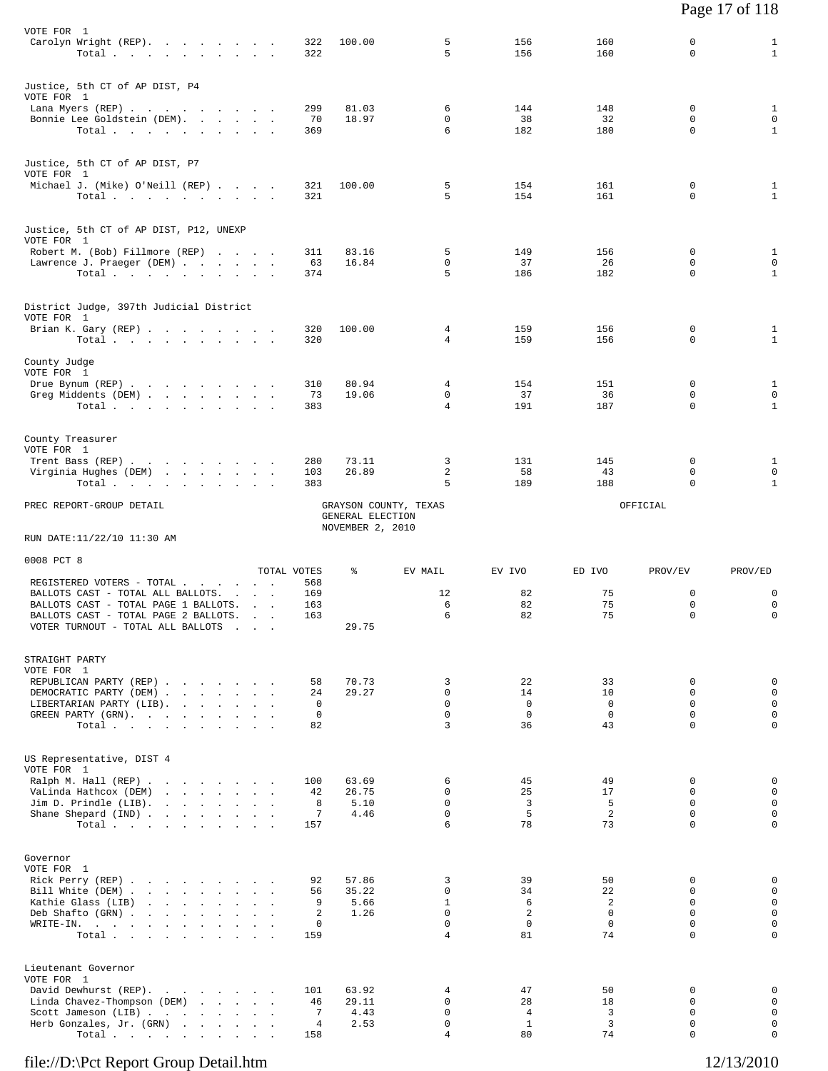| VOTE FOR 1<br>Carolyn Wright (REP).<br>Total $\cdots$ $\cdots$ $\cdots$                                                                                                             |  | $\sim$                                                                    | 322<br>322                     | 100.00                         | 5<br>5                                                        | 156<br>156                                | 160<br>160                                     | 0<br>$\Omega$                                                | $\mathbf{1}$<br>$\mathbf{1}$                             |
|-------------------------------------------------------------------------------------------------------------------------------------------------------------------------------------|--|---------------------------------------------------------------------------|--------------------------------|--------------------------------|---------------------------------------------------------------|-------------------------------------------|------------------------------------------------|--------------------------------------------------------------|----------------------------------------------------------|
| Justice, 5th CT of AP DIST, P4<br>VOTE FOR 1<br>Lana Myers (REP)<br>Bonnie Lee Goldstein (DEM).<br>Total.                                                                           |  |                                                                           | 299<br>70<br>369               | 81.03<br>18.97                 | 6<br>0<br>6                                                   | 144<br>38<br>182                          | 148<br>32<br>180                               | 0<br>$\mathbf 0$<br>0                                        | $\mathbf{1}$<br>$\mathbf 0$<br>$\mathbf{1}$              |
| Justice, 5th CT of AP DIST, P7<br>VOTE FOR 1<br>Michael J. (Mike) O'Neill (REP)<br>Total $\cdots$ $\cdots$ $\cdots$ $\cdots$                                                        |  |                                                                           | 321<br>321                     | 100.00                         | 5<br>5                                                        | 154<br>154                                | 161<br>161                                     | 0<br>$\mathbf 0$                                             | $\mathbf{1}$<br>$\mathbf{1}$                             |
| Justice, 5th CT of AP DIST, P12, UNEXP<br>VOTE FOR 1                                                                                                                                |  |                                                                           |                                |                                |                                                               |                                           |                                                |                                                              |                                                          |
| Robert M. (Bob) Fillmore (REP)<br>Lawrence J. Praeger (DEM)<br>Total                                                                                                                |  |                                                                           | 311<br>63<br>374               | 83.16<br>16.84                 | 5<br>0<br>5                                                   | 149<br>37<br>186                          | 156<br>26<br>182                               | $\mathbf 0$<br>0<br>$\mathbf 0$                              | $\mathbf{1}$<br>0<br>$\mathbf{1}$                        |
| District Judge, 397th Judicial District<br>VOTE FOR 1                                                                                                                               |  |                                                                           |                                |                                |                                                               |                                           |                                                |                                                              |                                                          |
| Brian K. Gary (REP)<br>Total $\cdots$ $\cdots$ $\cdots$                                                                                                                             |  |                                                                           | 320<br>320                     | 100.00                         | 4<br>4                                                        | 159<br>159                                | 156<br>156                                     | $\mathbf 0$<br>$\mathbf 0$                                   | 1<br>$\mathbf{1}$                                        |
| County Judge<br>VOTE FOR 1                                                                                                                                                          |  |                                                                           |                                |                                |                                                               |                                           |                                                |                                                              |                                                          |
| Drue Bynum (REP)<br>Greg Middents (DEM)<br>Total                                                                                                                                    |  |                                                                           | 310<br>73<br>383               | 80.94<br>19.06                 | 4<br>0<br>$\overline{4}$                                      | 154<br>37<br>191                          | 151<br>36<br>187                               | 0<br>0<br>$\Omega$                                           | $\mathbf{1}$<br>$\mathbf 0$<br>$\mathbf{1}$              |
| County Treasurer<br>VOTE FOR 1                                                                                                                                                      |  |                                                                           |                                |                                |                                                               |                                           |                                                |                                                              |                                                          |
| Trent Bass (REP)<br>Virginia Hughes (DEM)<br>Total                                                                                                                                  |  |                                                                           | 280<br>103<br>383              | 73.11<br>26.89                 | 3<br>2<br>5                                                   | 131<br>58<br>189                          | 145<br>43<br>188                               | 0<br>0<br>$\Omega$                                           | 1<br>0<br>$\mathbf{1}$                                   |
| PREC REPORT-GROUP DETAIL                                                                                                                                                            |  |                                                                           |                                | GRAYSON COUNTY, TEXAS          |                                                               |                                           |                                                | OFFICIAL                                                     |                                                          |
|                                                                                                                                                                                     |  |                                                                           |                                | GENERAL ELECTION               |                                                               |                                           |                                                |                                                              |                                                          |
| RUN DATE:11/22/10 11:30 AM                                                                                                                                                          |  |                                                                           |                                | NOVEMBER 2, 2010               |                                                               |                                           |                                                |                                                              |                                                          |
| 0008 PCT 8                                                                                                                                                                          |  |                                                                           | TOTAL VOTES                    | ႜ                              | EV MAIL                                                       | EV IVO                                    | ED IVO                                         | PROV/EV                                                      | PROV/ED                                                  |
| REGISTERED VOTERS - TOTAL<br>BALLOTS CAST - TOTAL ALL BALLOTS.<br>BALLOTS CAST - TOTAL PAGE 1 BALLOTS.<br>BALLOTS CAST - TOTAL PAGE 2 BALLOTS.<br>VOTER TURNOUT - TOTAL ALL BALLOTS |  | and the contract of<br>$\sim$ $\sim$<br><b>Contract Contract Contract</b> | 568<br>169<br>163<br>163       | 29.75                          | 12<br>6<br>6                                                  | 82<br>82<br>82                            | 75<br>75<br>75                                 | 0<br>0<br>0                                                  | 0<br>0<br>0                                              |
| STRAIGHT PARTY<br>VOTE FOR 1                                                                                                                                                        |  |                                                                           |                                |                                |                                                               |                                           |                                                |                                                              |                                                          |
| REPUBLICAN PARTY (REP)<br>DEMOCRATIC PARTY (DEM)<br>LIBERTARIAN PARTY (LIB).<br>GREEN PARTY (GRN).<br>Total.                                                                        |  |                                                                           | 58<br>24<br>0<br>0<br>82       | 70.73<br>29.27                 | 3<br>0<br>$\Omega$<br>$\Omega$<br>3                           | 22<br>14<br>$\mathbf 0$<br>$\Omega$<br>36 | 33<br>10<br>$\mathbf 0$<br>$\mathbf 0$<br>43   | $\Omega$<br>$\mathbf 0$<br>$\mathbf 0$<br>0<br>$\mathbf 0$   | 0<br>0<br>$\mathbf 0$<br>$\mathbf 0$<br>0                |
| US Representative, DIST 4<br>VOTE FOR 1                                                                                                                                             |  |                                                                           |                                |                                |                                                               |                                           |                                                |                                                              |                                                          |
| Ralph M. Hall (REP)<br>VaLinda Hathcox (DEM)<br>Jim D. Prindle (LIB).<br>Shane Shepard (IND)<br>Total                                                                               |  |                                                                           | 100<br>42<br>8<br>7<br>157     | 63.69<br>26.75<br>5.10<br>4.46 | 6<br>$\Omega$<br>$\Omega$<br>0<br>6                           | 45<br>25<br>$\overline{3}$<br>5<br>78     | 49<br>17<br>5<br>2<br>73                       | 0<br>$\Omega$<br>$\Omega$<br>0<br>$\Omega$                   | 0<br>$\mathbf 0$<br>$\mathbf 0$<br>0<br>0                |
| Governor<br>VOTE FOR 1<br>Rick Perry (REP)<br>Bill White (DEM)<br>Kathie Glass (LIB)<br>Deb Shafto (GRN)<br>WRITE-IN.<br>Total.                                                     |  |                                                                           | 92<br>56<br>9<br>2<br>0<br>159 | 57.86<br>35.22<br>5.66<br>1.26 | 3<br>$\Omega$<br>$\mathbf{1}$<br>$\Omega$<br>$\mathbf 0$<br>4 | 39<br>34<br>6<br>2<br>$\mathbf 0$<br>81   | 50<br>22<br>2<br>$\Omega$<br>$\mathbf 0$<br>74 | 0<br>0<br>$\Omega$<br>$\Omega$<br>$\mathbf 0$<br>$\mathbf 0$ | 0<br>$\mathsf 0$<br>$\mathbf 0$<br>$\mathbf 0$<br>0<br>0 |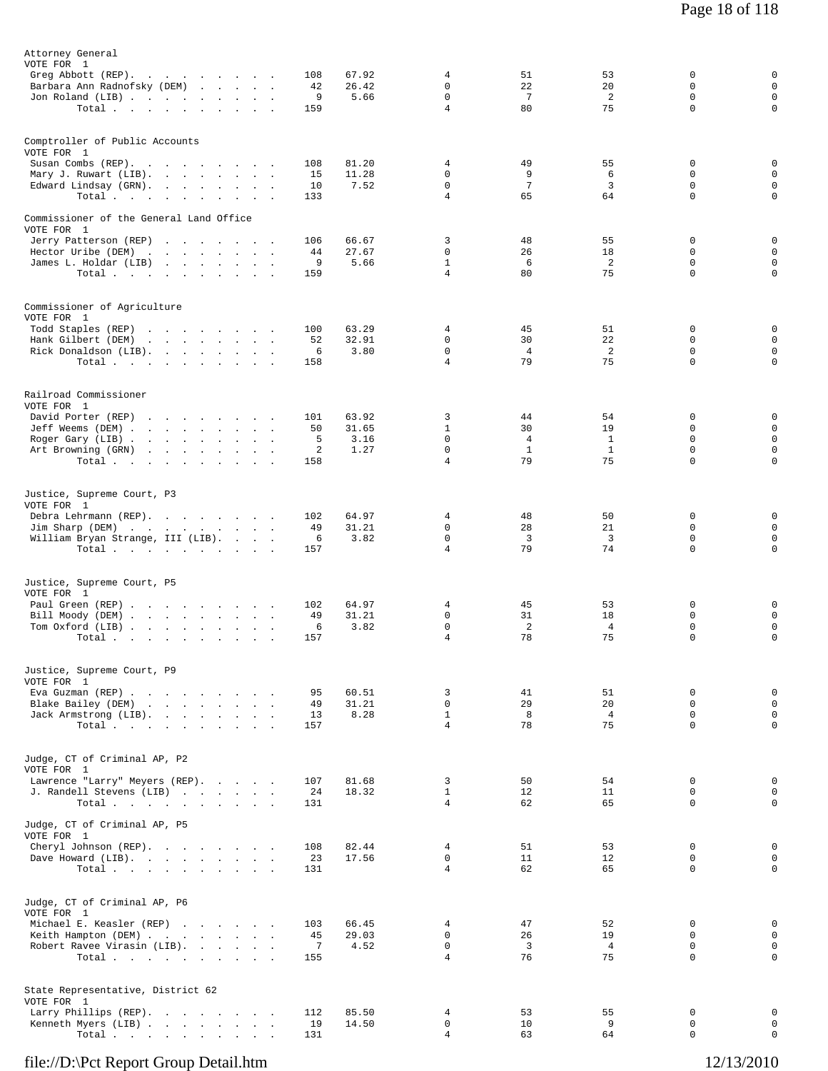| Attorney General<br>VOTE FOR 1<br>Jon Roland (LIB)                                                             | Greg Abbott (REP).<br>Barbara Ann Radnofsky (DEM)<br>Total $\cdots$ $\cdots$ $\cdots$                       | 108<br>42<br>9<br>159              | 67.92<br>26.42<br>5.66         | 4<br>0<br>$\mathbf 0$<br>$\overline{4}$                 | 51<br>22<br>7<br>80                              | 53<br>20<br>2<br>75                 | 0<br>0<br>$\mathbf 0$<br>$\mathbf 0$             | 0<br>$\mathsf 0$<br>$\mathsf 0$<br>0                |
|----------------------------------------------------------------------------------------------------------------|-------------------------------------------------------------------------------------------------------------|------------------------------------|--------------------------------|---------------------------------------------------------|--------------------------------------------------|-------------------------------------|--------------------------------------------------|-----------------------------------------------------|
| Comptroller of Public Accounts<br>VOTE FOR 1<br>Susan Combs (REP).<br>Edward Lindsay (GRN).                    | $\sim$<br>Mary J. Ruwart (LIB).<br>and the contract of the contract of<br>Total<br><b>Contract Contract</b> | 108<br>15<br>10<br>133             | 81.20<br>11.28<br>7.52         | 4<br>0<br>$\Omega$<br>$\overline{4}$                    | 49<br>9<br>7<br>65                               | 55<br>6<br>3<br>64                  | 0<br>$\mathbf 0$<br>0<br>$\mathbf 0$             | 0<br>$\mathsf 0$<br>$\mathsf 0$<br>0                |
| Commissioner of the General Land Office<br>VOTE FOR 1<br>Hector Uribe (DEM)                                    | Jerry Patterson (REP)<br>the contract of the contract of the<br>James L. Holdar (LIB)<br>Total.             | 106<br>44<br>9<br>159              | 66.67<br>27.67<br>5.66         | 3<br>$\mathbf 0$<br>$\mathbf{1}$<br>$\overline{4}$      | 48<br>26<br>6<br>80                              | 55<br>18<br>2<br>75                 | 0<br>0<br>0<br>$\mathbf 0$                       | 0<br>0<br>$\mathsf 0$<br>0                          |
| Commissioner of Agriculture<br>VOTE FOR 1<br>Todd Staples (REP)<br>Hank Gilbert (DEM)<br>Rick Donaldson (LIB). | the contract of the contract of the contract of<br>the contract of the contract of the<br>Total $\cdots$    | 100<br>52<br>6<br>158              | 63.29<br>32.91<br>3.80         | 4<br>0<br>0<br>$\overline{4}$                           | 45<br>30<br>$\overline{4}$<br>79                 | 51<br>22<br>2<br>75                 | 0<br>0<br>$\mathsf 0$<br>0                       | 0<br>$\mathsf 0$<br>$\mathsf 0$<br>0                |
| Railroad Commissioner<br>VOTE FOR 1<br>David Porter (REP)                                                      | Jeff Weems (DEM)<br>Roger Gary (LIB)<br>Art Browning (GRN)<br>Total                                         | 101<br>50<br>5<br>2<br>158         | 63.92<br>31.65<br>3.16<br>1.27 | 3<br>$\mathbf{1}$<br>0<br>$\mathbf 0$<br>$\overline{4}$ | 44<br>30<br>$\overline{4}$<br>$\mathbf{1}$<br>79 | 54<br>19<br>1<br>$\mathbf{1}$<br>75 | 0<br>$\mathbf 0$<br>0<br>$\mathbf 0$<br>$\Omega$ | 0<br>$\mathbf 0$<br>$\mathsf 0$<br>$\mathsf 0$<br>0 |
| Justice, Supreme Court, P3<br>VOTE FOR 1                                                                       | Debra Lehrmann (REP).<br>Jim Sharp (DEM)<br>William Bryan Strange, III (LIB).<br>Total                      | 102<br>49<br>6<br>157              | 64.97<br>31.21<br>3.82         | 4<br>0<br>$\mathbf 0$<br>$\overline{4}$                 | 48<br>28<br>3<br>79                              | 50<br>21<br>3<br>74                 | 0<br>$\mathbf 0$<br>$\mathbf 0$<br>$\mathbf 0$   | 0<br>$\mathsf 0$<br>$\mathsf 0$<br>0                |
| Justice, Supreme Court, P5<br>VOTE FOR 1<br>Paul Green (REP)<br>Tom Oxford (LIB)                               | $\sim$<br>Bill Moody (DEM)<br>Total $\cdots$ $\cdots$ $\cdots$<br>$\ddot{\phantom{1}}$                      | 102<br>49<br>6<br>157              | 64.97<br>31.21<br>3.82         | 4<br>0<br>$\mathsf{O}$<br>4                             | 45<br>31<br>2<br>78                              | 53<br>18<br>4<br>75                 | 0<br>0<br>$\mathsf 0$<br>0                       | 0<br>0<br>0<br>0                                    |
| Justice, Supreme Court, P9<br>VOTE FOR 1                                                                       | Eva Guzman (REP)<br>Blake Bailey (DEM)<br>Jack Armstrong (LIB).<br>Total                                    | 95<br>49<br>13<br>157              | 60.51<br>31.21<br>8.28         | 3<br>$\mathbf 0$<br>$\mathbf{1}$<br>$\overline{4}$      | 41<br>29<br>8<br>78                              | 51<br>20<br>$\overline{4}$<br>75    | 0<br>$\mathbf 0$<br>0<br>$\mathbf 0$             | 0<br>$\mathbf{0}$<br>$\mathsf 0$<br>0               |
| Judge, CT of Criminal AP, P2<br>VOTE FOR 1                                                                     | Lawrence "Larry" Meyers (REP).<br>J. Randell Stevens (LIB)<br>Total                                         | 107<br>24<br>131                   | 81.68<br>18.32                 | 3<br>$\mathbf{1}$<br>$\overline{4}$                     | 50<br>12<br>62                                   | 54<br>11<br>65                      | 0<br>0<br>$\mathbf 0$                            | $\mathsf 0$<br>$\mathbf 0$<br>$\mathbf 0$           |
| Judge, CT of Criminal AP, P5<br>VOTE FOR 1                                                                     | Cheryl Johnson (REP).<br>Dave Howard (LIB).<br>Total                                                        | 108<br>23<br>131                   | 82.44<br>17.56                 | $\overline{4}$<br>$\mathbf 0$<br>$\overline{4}$         | 51<br>11<br>62                                   | 53<br>12<br>65                      | 0<br>$\mathbf 0$<br>0                            | 0<br>$\mathbf 0$<br>0                               |
| Judge, CT of Criminal AP, P6<br>VOTE FOR 1                                                                     | Michael E. Keasler (REP)<br>Keith Hampton (DEM)<br>Robert Ravee Virasin (LIB).<br>Total                     | 103<br>45<br>$\overline{7}$<br>155 | 66.45<br>29.03<br>4.52         | 4<br>$\mathbf 0$<br>0<br>$\overline{4}$                 | 47<br>26<br>$\overline{\mathbf{3}}$<br>76        | 52<br>19<br>$\overline{4}$<br>75    | 0<br>$\mathbf 0$<br>0<br>$\Omega$                | 0<br>$\mathbf 0$<br>0<br>0                          |
| State Representative, District 62<br>VOTE FOR 1                                                                | Larry Phillips (REP).<br>Kenneth Myers (LIB)<br>Total                                                       | 112<br>19<br>131                   | 85.50<br>14.50                 | 4<br>0<br>$\overline{4}$                                | 53<br>10<br>63                                   | 55<br>9<br>64                       | 0<br>0<br>$\mathbf 0$                            | 0<br>$\mathsf 0$<br>0                               |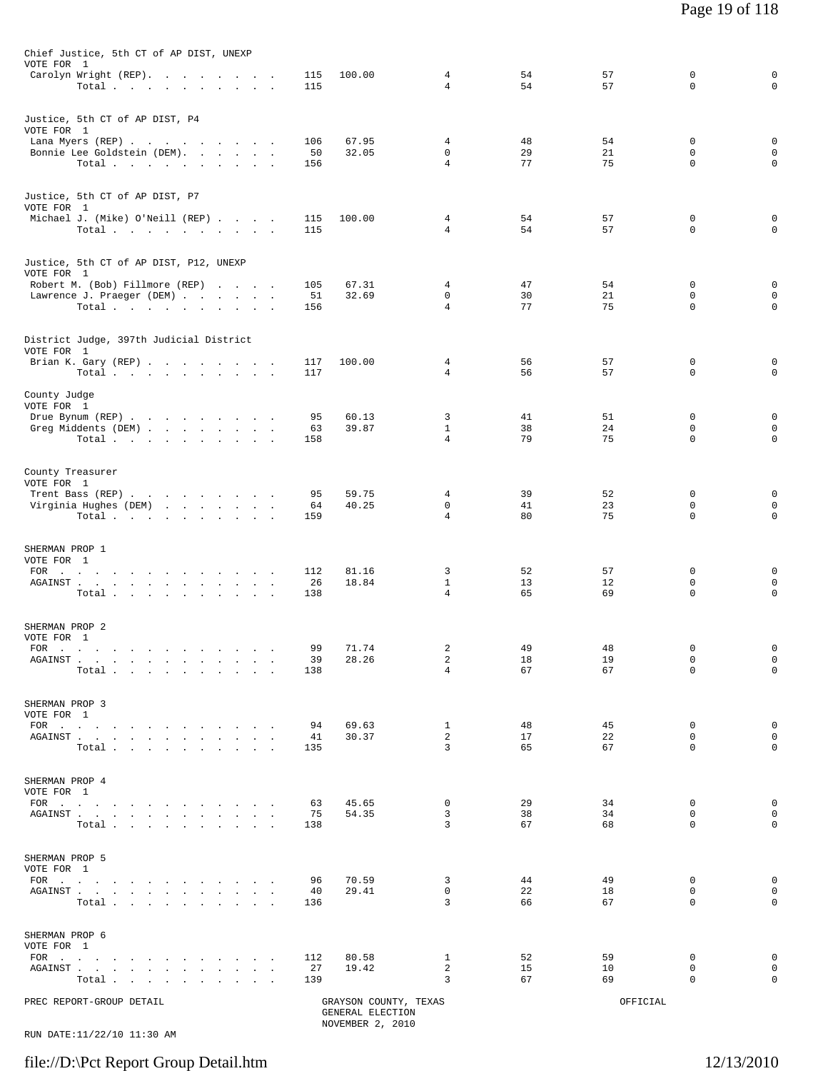| PREC REPORT-GROUP DETAIL                                                                                                                                                                                               |                  | GRAYSON COUNTY, TEXAS<br>GENERAL ELECTION<br>NOVEMBER 2, 2010 |                                  |                | OFFICIAL       |                             |                                            |
|------------------------------------------------------------------------------------------------------------------------------------------------------------------------------------------------------------------------|------------------|---------------------------------------------------------------|----------------------------------|----------------|----------------|-----------------------------|--------------------------------------------|
| SHERMAN PROP 6<br>VOTE FOR 1<br>$FOR$<br>$\sim$<br>AGAINST.<br>the company of the company of the<br>$\sim 10^{-1}$<br>$\bullet$<br>$\ddot{\phantom{a}}$<br>$\sim$<br>$\ddot{\phantom{a}}$<br>Total                     | 112<br>27<br>139 | 80.58<br>19.42                                                | 1<br>$\overline{a}$<br>3         | 52<br>15<br>67 | 59<br>10<br>69 | 0<br>$\mathbf 0$<br>0       | $\mathsf 0$<br>$\mathbf{0}$<br>0           |
| SHERMAN PROP 5<br>VOTE FOR 1<br>FOR $\cdots$<br>AGAINST<br>Total                                                                                                                                                       | 96<br>40<br>136  | 70.59<br>29.41                                                | 3<br>$\mathbf 0$<br>3            | 44<br>22<br>66 | 49<br>18<br>67 | 0<br>$\mathbf 0$<br>0       | $\mathsf 0$<br>$\mathbf{0}$<br>$\mathbf 0$ |
| SHERMAN PROP 4<br>VOTE FOR 1<br>FOR $\cdots$ $\cdots$ $\cdots$ $\cdots$ $\cdots$<br>AGAINST<br>$\ddot{\phantom{a}}$<br>Total                                                                                           | 63<br>75<br>138  | 45.65<br>54.35                                                | $\mathbf 0$<br>3<br>3            | 29<br>38<br>67 | 34<br>34<br>68 | 0<br>$\mathbf 0$<br>0       | $\mathsf 0$<br>$\mathbf 0$<br>$\mathbf 0$  |
| SHERMAN PROP 3<br>VOTE FOR 1<br>AGAINST<br>$\sim$<br>$\sim$<br>Total                                                                                                                                                   | 94<br>41<br>135  | 69.63<br>30.37                                                | 1<br>$\overline{a}$<br>3         | 48<br>17<br>65 | 45<br>22<br>67 | 0<br>$\mathbf 0$<br>0       | $\mathsf 0$<br>$\mathsf 0$<br>$\mathbf 0$  |
| SHERMAN PROP 2<br>VOTE FOR 1<br>FOR $\qquad \qquad \ldots \qquad \qquad \ldots \qquad \qquad \ldots \qquad \ldots$<br>AGAINST.<br>and the company of the company of the<br>$\sim$<br>$\overline{\phantom{a}}$<br>Total | 99<br>39<br>138  | 71.74<br>28.26                                                | 2<br>2<br>$\overline{4}$         | 49<br>18<br>67 | 48<br>19<br>67 | 0<br>$\circ$<br>$\mathbf 0$ | 0<br>$\mathbf 0$<br>$\mathsf 0$            |
| SHERMAN PROP 1<br>VOTE FOR 1<br>FOR<br>the contract of the contract of the contract of the contract of<br>AGAINST<br>Total                                                                                             | 112<br>26<br>138 | 81.16<br>18.84                                                | 3<br>$\mathbf{1}$<br>4           | 52<br>13<br>65 | 57<br>12<br>69 | 0<br>$\circ$<br>0           | 0<br>$\mathsf 0$<br>$\mathbf 0$            |
| County Treasurer<br>VOTE FOR 1<br>Trent Bass (REP)<br>Virginia Hughes (DEM)<br>Total                                                                                                                                   | 95<br>64<br>159  | 59.75<br>40.25                                                | 4<br>$\mathbf 0$<br>4            | 39<br>41<br>80 | 52<br>23<br>75 | 0<br>$\mathbf 0$<br>0       | 0<br>$\mathsf 0$<br>0                      |
| County Judge<br>VOTE FOR 1<br>Drue Bynum (REP)<br>Greg Middents (DEM)<br>Total.                                                                                                                                        | 95<br>63<br>158  | 60.13<br>39.87                                                | 3<br>$\mathbf{1}$<br>4           | 41<br>38<br>79 | 51<br>24<br>75 | 0<br>0<br>0                 | 0<br>$\mathsf 0$<br>$\mathbf 0$            |
| District Judge, 397th Judicial District<br>VOTE FOR 1<br>Brian K. Gary (REP)<br>Total $\cdots$ $\cdots$ $\cdots$ $\cdots$                                                                                              | 117<br>117       | 100.00                                                        | 4<br>4                           | 56<br>56       | 57<br>57       | 0<br>0                      | 0<br>0                                     |
| Justice, 5th CT of AP DIST, P12, UNEXP<br>VOTE FOR 1<br>Robert M. (Bob) Fillmore (REP)<br>Lawrence J. Praeger (DEM)<br>Total                                                                                           | 105<br>51<br>156 | 67.31<br>32.69                                                | 4<br>0<br>$\overline{4}$         | 47<br>30<br>77 | 54<br>21<br>75 | 0<br>0<br>0                 | 0<br>0<br>0                                |
| Justice, 5th CT of AP DIST, P7<br>VOTE FOR 1<br>Michael J. (Mike) O'Neill (REP)<br>Total                                                                                                                               | 115<br>115       | 100.00                                                        | $\overline{4}$<br>$\overline{4}$ | 54<br>54       | 57<br>57       | 0<br>0                      | 0<br>$\mathbf 0$                           |
| Justice, 5th CT of AP DIST, P4<br>VOTE FOR 1<br>Lana Myers (REP)<br>Bonnie Lee Goldstein (DEM).<br>Total $\cdots$                                                                                                      | 106<br>50<br>156 | 67.95<br>32.05                                                | 4<br>$\mathbf 0$<br>4            | 48<br>29<br>77 | 54<br>21<br>75 | 0<br>0<br>0                 | 0<br>$\mathsf 0$<br>0                      |
| Chief Justice, 5th CT of AP DIST, UNEXP<br>VOTE FOR 1<br>Carolyn Wright (REP).<br>Total                                                                                                                                | 115<br>115       | 100.00                                                        | 4<br>4                           | 54<br>54       | 57<br>57       | 0<br>0                      | $\mathsf 0$<br>$\mathsf 0$                 |

RUN DATE:11/22/10 11:30 AM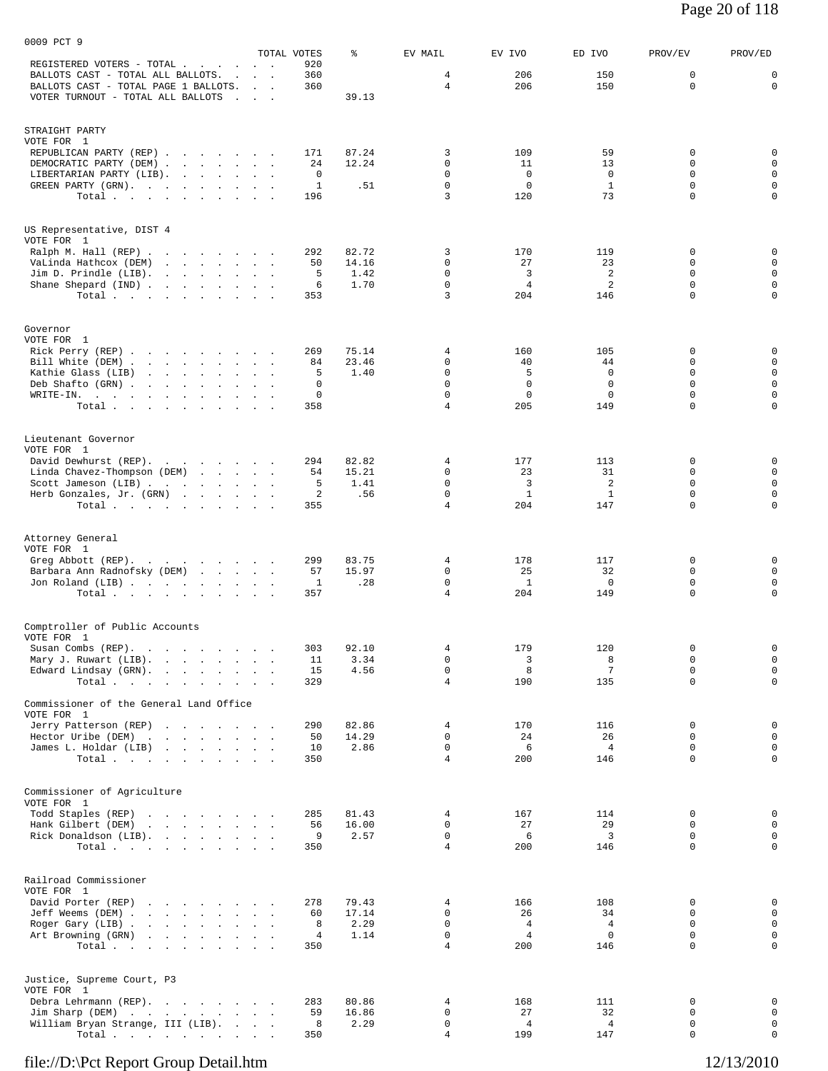|                                                                                            |                                    | TOTAL VOTES    | န့             | EV MAIL                        | EV IVO               | ED IVO               | PROV/EV          | PROV/ED                    |
|--------------------------------------------------------------------------------------------|------------------------------------|----------------|----------------|--------------------------------|----------------------|----------------------|------------------|----------------------------|
| REGISTERED VOTERS - TOTAL .<br>$\sim$<br>BALLOTS CAST - TOTAL ALL BALLOTS.<br>$\mathbf{r}$ | $\sim$<br><b>Contract Contract</b> | 920<br>360     |                | 4                              | 206                  | 150                  | 0                | 0                          |
| BALLOTS CAST - TOTAL PAGE 1 BALLOTS.                                                       |                                    | 360            |                | 4                              | 206                  | 150                  | 0                | $\mathbf 0$                |
| VOTER TURNOUT - TOTAL ALL BALLOTS<br>$\sim$                                                | <b>Contract Contract</b>           |                | 39.13          |                                |                      |                      |                  |                            |
|                                                                                            |                                    |                |                |                                |                      |                      |                  |                            |
| STRAIGHT PARTY                                                                             |                                    |                |                |                                |                      |                      |                  |                            |
| VOTE FOR 1                                                                                 |                                    |                |                |                                |                      |                      |                  |                            |
| REPUBLICAN PARTY (REP)<br>DEMOCRATIC PARTY (DEM)                                           |                                    | 171<br>24      | 87.24<br>12.24 | 3<br>0                         | 109<br>11            | 59<br>13             | 0<br>0           | 0<br>$\mathbf 0$           |
| LIBERTARIAN PARTY (LIB).<br>and the state of the state                                     |                                    | 0              |                | $\mathbf 0$                    | $\mathbf{0}$         | 0                    | 0                | $\mathsf{O}$               |
| GREEN PARTY (GRN).                                                                         |                                    | $\mathbf{1}$   | .51            | $\mathsf 0$                    | $\mathbf 0$          | $\mathbf{1}$         | 0                | $\mathbf 0$                |
| Total $\cdots$ $\cdots$ $\cdots$                                                           |                                    | 196            |                | 3                              | 120                  | 73                   | $\mathbf 0$      | $\mathbf 0$                |
|                                                                                            |                                    |                |                |                                |                      |                      |                  |                            |
| US Representative, DIST 4                                                                  |                                    |                |                |                                |                      |                      |                  |                            |
| VOTE FOR 1                                                                                 |                                    |                |                |                                |                      |                      |                  |                            |
| Ralph M. Hall (REP)<br>VaLinda Hathcox (DEM)                                               | $\sim$                             | 292<br>50      | 82.72<br>14.16 | 3<br>$\mathbf 0$               | 170<br>27            | 119<br>23            | $\Omega$<br>0    | 0<br>$\mathbf 0$           |
| Jim D. Prindle (LIB).                                                                      |                                    | 5              | 1.42           | 0                              | 3                    | 2                    | 0                | $\mathsf{O}$               |
| Shane Shepard (IND)                                                                        |                                    | 6              | 1.70           | $\mathsf 0$                    | 4                    | 2                    | 0                | $\mathsf{O}$               |
| Total                                                                                      |                                    | 353            |                | 3                              | 204                  | 146                  | $\mathbf 0$      | $\mathbf 0$                |
|                                                                                            |                                    |                |                |                                |                      |                      |                  |                            |
| Governor                                                                                   |                                    |                |                |                                |                      |                      |                  |                            |
| VOTE FOR 1                                                                                 |                                    |                |                |                                |                      |                      |                  |                            |
| Rick Perry (REP)<br>Bill White (DEM).<br>the contract of the contract of the contract of   |                                    | 269<br>84      | 75.14<br>23.46 | 4<br>0                         | 160<br>40            | 105<br>44            | 0<br>$\Omega$    | 0<br>0                     |
| Kathie Glass (LIB)<br>and the state of the state of the<br>$\sim$ $\sim$                   |                                    | 5              | 1.40           | 0                              | 5                    | 0                    | 0                | $\mathbf 0$                |
| Deb Shafto (GRN).<br>the contract of the contract of the                                   |                                    | 0              |                | $\mathbf 0$                    | 0                    | 0                    | 0                | $\mathbf 0$                |
| WRITE-IN.<br>the company of the company of the company of<br>$\sim$                        |                                    | 0              |                | $\mathbf 0$                    | $\mathbf 0$          | 0                    | $\mathbf 0$      | $\mathsf{O}$               |
| Total $\cdots$ $\cdots$<br>$\blacksquare$                                                  |                                    | 358            |                | 4                              | 205                  | 149                  | $\Omega$         | $\mathbf 0$                |
|                                                                                            |                                    |                |                |                                |                      |                      |                  |                            |
| Lieutenant Governor                                                                        |                                    |                |                |                                |                      |                      |                  |                            |
| VOTE FOR 1<br>David Dewhurst (REP).                                                        |                                    | 294            | 82.82          | 4                              | 177                  | 113                  | 0                | 0                          |
| Linda Chavez-Thompson (DEM)                                                                |                                    | 54             | 15.21          | 0                              | 23                   | 31                   | 0                | $\mathbf 0$                |
| Scott Jameson (LIB)                                                                        |                                    | 5              | 1.41           | 0                              | 3                    | 2                    | $\Omega$         | $\mathsf{O}$               |
| Herb Gonzales, Jr. (GRN)                                                                   |                                    | $\overline{a}$ | .56            | $\mathsf 0$                    | $\mathbf{1}$         | $\mathbf{1}$         | $\mathbf 0$      | $\mathsf{O}$               |
| Total $\cdots$ $\cdots$ $\cdots$                                                           |                                    | 355            |                | 4                              | 204                  | 147                  | $\Omega$         | $\mathbf 0$                |
|                                                                                            |                                    |                |                |                                |                      |                      |                  |                            |
| Attorney General                                                                           |                                    |                |                |                                |                      |                      |                  |                            |
| VOTE FOR 1                                                                                 |                                    |                |                | 4                              |                      | 117                  | 0                | 0                          |
| Greg Abbott (REP).<br>Barbara Ann Radnofsky (DEM)<br>the contract of the contract of       |                                    | 299<br>57      | 83.75<br>15.97 | $\mathbf 0$                    | 178<br>25            | 32                   | $\mathbf 0$      | 0                          |
| Jon Roland (LIB)                                                                           |                                    | 1              | .28            | 0                              | $\mathbf{1}$         | $\mathbf 0$          | 0                | $\mathbb O$                |
| Total                                                                                      |                                    | 357            |                | $\overline{4}$                 | 204                  | 149                  | $\mathbf 0$      | $\mathbf 0$                |
|                                                                                            |                                    |                |                |                                |                      |                      |                  |                            |
| Comptroller of Public Accounts                                                             |                                    |                |                |                                |                      |                      |                  |                            |
| VOTE FOR 1                                                                                 |                                    |                |                |                                |                      |                      |                  |                            |
| Susan Combs (REP).                                                                         |                                    | 303            | 92.10          | 4                              | 179                  | 120                  | 0                | 0                          |
| Mary J. Ruwart (LIB).<br>Edward Lindsay (GRN).                                             |                                    | 11<br>15       | 3.34<br>4.56   | 0<br>0                         | 3<br>8               | 8<br>7               | 0<br>$\mathbf 0$ | 0<br>$\mathbf 0$           |
| Total<br>$\sim$                                                                            | $\sim$ 100 $\mu$                   | 329            |                | 4                              | 190                  | 135                  | $\Omega$         | $\mathbf 0$                |
|                                                                                            |                                    |                |                |                                |                      |                      |                  |                            |
| Commissioner of the General Land Office<br>VOTE FOR 1                                      |                                    |                |                |                                |                      |                      |                  |                            |
| Jerry Patterson (REP)                                                                      |                                    | 290            | 82.86          | 4                              | 170                  | 116                  | $\mathbf 0$      | 0                          |
| Hector Uribe (DEM)                                                                         |                                    | 50             | 14.29          | 0                              | 24                   | 26                   | $\Omega$         | $\mathbf 0$                |
| James L. Holdar (LIB)                                                                      |                                    | 10             | 2.86           | $\mathsf{O}$<br>$\overline{4}$ | 6<br>200             | $\overline{4}$       | 0<br>$\Omega$    | $\mathbf 0$<br>$\mathbf 0$ |
| Total $\cdots$                                                                             |                                    | 350            |                |                                |                      | 146                  |                  |                            |
|                                                                                            |                                    |                |                |                                |                      |                      |                  |                            |
| Commissioner of Agriculture                                                                |                                    |                |                |                                |                      |                      |                  |                            |
| VOTE FOR 1<br>Todd Staples (REP)                                                           |                                    | 285            | 81.43          | 4                              | 167                  | 114                  | 0                | 0                          |
| Hank Gilbert (DEM)                                                                         |                                    | 56             | 16.00          | 0                              | 27                   | 29                   | 0                | $\mathbf 0$                |
| Rick Donaldson (LIB).                                                                      |                                    | 9              | 2.57           | 0                              | 6                    | 3                    | $\Omega$         | $\mathbf 0$                |
| Total                                                                                      |                                    | 350            |                | 4                              | 200                  | 146                  | $\mathbf 0$      | $\mathsf{O}$               |
|                                                                                            |                                    |                |                |                                |                      |                      |                  |                            |
| Railroad Commissioner                                                                      |                                    |                |                |                                |                      |                      |                  |                            |
| VOTE FOR 1                                                                                 |                                    |                |                |                                |                      |                      |                  |                            |
| David Porter (REP)                                                                         |                                    | 278            | 79.43          | 4<br>$\Omega$                  | 166<br>26            | 108<br>34            | 0<br>$\Omega$    | 0<br>$\mathbf 0$           |
| Jeff Weems (DEM)<br>Roger Gary (LIB)                                                       |                                    | 60<br>8        | 17.14<br>2.29  | $\mathbf 0$                    | $\overline{4}$       | $\overline{4}$       | 0                | $\mathbf 0$                |
| Art Browning (GRN)                                                                         |                                    | 4              | 1.14           | 0                              | $\overline{4}$       | $^{\circ}$           | 0                | $\mathbf 0$                |
| Total                                                                                      |                                    | 350            |                | 4                              | 200                  | 146                  | $\Omega$         | $\mathbf 0$                |
|                                                                                            |                                    |                |                |                                |                      |                      |                  |                            |
| Justice, Supreme Court, P3                                                                 |                                    |                |                |                                |                      |                      |                  |                            |
| VOTE FOR 1                                                                                 |                                    |                |                |                                |                      |                      |                  |                            |
| Debra Lehrmann (REP).                                                                      |                                    | 283            | 80.86          | 4                              | 168                  | 111                  | 0                | 0                          |
| Jim Sharp (DEM)<br>William Bryan Strange, III (LIB).                                       |                                    | 59<br>8        | 16.86<br>2.29  | 0<br>0                         | 27<br>$\overline{4}$ | 32<br>$\overline{4}$ | $\Omega$<br>0    | $\mathbf 0$<br>$\mathbf 0$ |
| Total $\cdots$                                                                             |                                    | 350            |                | 4                              | 199                  | 147                  | 0                | $\mathsf{O}$               |
|                                                                                            |                                    |                |                |                                |                      |                      |                  |                            |

0009 PCT 9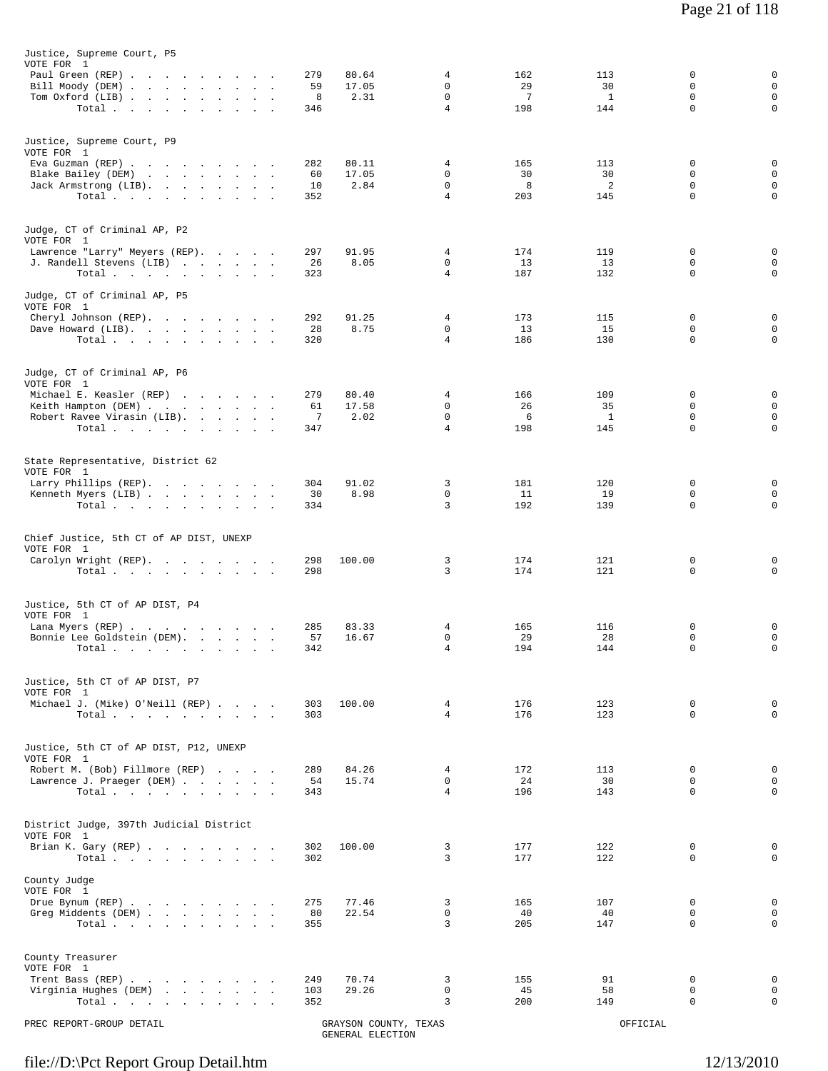| Justice, Supreme Court, P5<br>VOTE FOR 1<br>Paul Green (REP)<br>Bill Moody (DEM)<br>Tom Oxford (LIB)<br>Total                                                                  | 279<br>80.64<br>59<br>17.05<br>8<br>2.31<br>346  | 4<br>$\mathbf 0$<br>$\mathbf 0$<br>$\overline{4}$ | 162<br>29<br>7<br>198 | 113<br>30<br>$\mathbf{1}$<br>144 | 0<br>$\mathbf 0$<br>$\mathsf 0$<br>$\mathbf 0$ | $\mathsf 0$<br>$\mathsf 0$<br>$\mathsf 0$<br>$\mathsf 0$ |
|--------------------------------------------------------------------------------------------------------------------------------------------------------------------------------|--------------------------------------------------|---------------------------------------------------|-----------------------|----------------------------------|------------------------------------------------|----------------------------------------------------------|
| Justice, Supreme Court, P9<br>VOTE FOR 1<br>Eva Guzman (REP)<br>Blake Bailey (DEM)<br>Jack Armstrong (LIB).<br>Total                                                           | 282<br>80.11<br>17.05<br>60<br>2.84<br>10<br>352 | 4<br>$\mathbf 0$<br>$\mathbf 0$<br>4              | 165<br>30<br>8<br>203 | 113<br>30<br>2<br>145            | 0<br>0<br>0<br>0                               | 0<br>$\mathsf 0$<br>$\mathsf 0$<br>$\mathbf 0$           |
| Judge, CT of Criminal AP, P2<br>VOTE FOR 1<br>Lawrence "Larry" Meyers (REP).<br>J. Randell Stevens (LIB)<br>Total<br>Judge, CT of Criminal AP, P5                              | 297<br>91.95<br>26<br>8.05<br>323                | 4<br>$\mathbf 0$<br>4                             | 174<br>13<br>187      | 119<br>13<br>132                 | 0<br>0<br>0                                    | $\mathsf 0$<br>$\mathsf 0$<br>$\mathbf 0$                |
| VOTE FOR 1<br>Cheryl Johnson (REP).<br>Dave Howard (LIB).<br>Total $\cdots$                                                                                                    | 292<br>91.25<br>28<br>8.75<br>320                | 4<br>0<br>4                                       | 173<br>13<br>186      | 115<br>15<br>130                 | 0<br>0<br>0                                    | 0<br>$\mathsf 0$<br>$\mathbf 0$                          |
| Judge, CT of Criminal AP, P6<br>VOTE FOR 1<br>Michael E. Keasler (REP)<br>Keith Hampton (DEM)<br>Robert Ravee Virasin (LIB).<br>Total                                          | 279<br>80.40<br>17.58<br>61<br>7<br>2.02<br>347  | 4<br>$\mathbf 0$<br>0<br>$\overline{4}$           | 166<br>26<br>6<br>198 | 109<br>35<br>$\mathbf{1}$<br>145 | 0<br>$\mathbf 0$<br>0<br>$\mathbf 0$           | 0<br>$\mathsf 0$<br>$\mathsf 0$<br>$\mathbf 0$           |
| State Representative, District 62<br>VOTE FOR 1<br>Larry Phillips (REP).<br>Kenneth Myers (LIB)<br>Total.                                                                      | 304<br>91.02<br>8.98<br>30<br>334                | 3<br>0<br>3                                       | 181<br>11<br>192      | 120<br>19<br>139                 | 0<br>0<br>$\mathbf 0$                          | $\mathsf 0$<br>$\mathsf 0$<br>0                          |
| Chief Justice, 5th CT of AP DIST, UNEXP<br>VOTE FOR 1<br>Carolyn Wright (REP).<br>Total $\cdots$                                                                               | 298<br>100.00<br>298                             | 3<br>3                                            | 174<br>174            | 121<br>121                       | 0<br>0                                         | 0<br>$\mathbf 0$                                         |
| Justice, 5th CT of AP DIST, P4<br>VOTE FOR 1<br>Lana Myers (REP)<br>Bonnie Lee Goldstein (DEM).<br>$\texttt{Total} \quad . \qquad . \qquad . \qquad . \qquad .$<br>$\bullet$ . | 285<br>83.33<br>57<br>16.67<br>342               | 4<br>$\mathbf 0$<br>4                             | 165<br>29<br>194      | 116<br>28<br>144                 | 0<br>$\mathbf 0$<br>$\Omega$                   | 0<br>$\mathsf 0$<br>$\mathbf 0$                          |
| Justice, 5th CT of AP DIST, P7<br>VOTE FOR 1<br>Michael J. (Mike) O'Neill (REP)<br>Total $\cdots$ $\cdots$ $\cdots$                                                            | 100.00<br>303<br>303                             | $\overline{4}$<br>$\overline{4}$                  | 176<br>176            | 123<br>123                       | $\mathbf 0$<br>$\Omega$                        | $\mathbf 0$<br>$\Omega$                                  |
| Justice, 5th CT of AP DIST, P12, UNEXP<br>VOTE FOR 1<br>Robert M. (Bob) Fillmore (REP)<br>Lawrence J. Praeger (DEM)<br>Total $\cdots$ $\cdots$ $\cdots$                        | 84.26<br>289<br>54<br>15.74<br>343               | 4<br>$\Omega$<br>4                                | 172<br>24<br>196      | 113<br>30<br>143                 | 0<br>$\Omega$<br>0                             | 0<br>$\mathbf 0$<br>$\mathbf 0$                          |
| District Judge, 397th Judicial District<br>VOTE FOR 1<br>Brian K. Gary (REP)<br>Total $\cdots$ $\cdots$ $\cdots$                                                               | 302<br>100.00<br>302                             | 3<br>3                                            | 177<br>177            | 122<br>122                       | 0<br>$\Omega$                                  | 0<br>$\mathbf 0$                                         |
| County Judge<br>VOTE FOR 1<br>Drue Bynum (REP)<br>Greg Middents (DEM)<br>Total $\cdots$ $\cdots$ $\cdots$ $\cdots$                                                             | 275<br>77.46<br>80<br>22.54<br>355               | 3<br>$\mathsf{O}$<br>3                            | 165<br>40<br>205      | 107<br>40<br>147                 | 0<br>$\mathbf 0$<br>$\Omega$                   | $\mathbf 0$<br>$\mathbf 0$<br>$\mathbf 0$                |
| County Treasurer<br>VOTE FOR 1<br>Trent Bass (REP)<br>Virginia Hughes (DEM)<br>Total                                                                                           | 70.74<br>249<br>29.26<br>103<br>352              | 3<br>0<br>3                                       | 155<br>45<br>200      | 91<br>58<br>149                  | 0<br>$\mathbf 0$<br>0                          | 0<br>$\mathbf 0$<br>$\mathbf 0$                          |
| PREC REPORT-GROUP DETAIL                                                                                                                                                       | GRAYSON COUNTY, TEXAS<br>GENERAL ELECTION        |                                                   |                       | OFFICIAL                         |                                                |                                                          |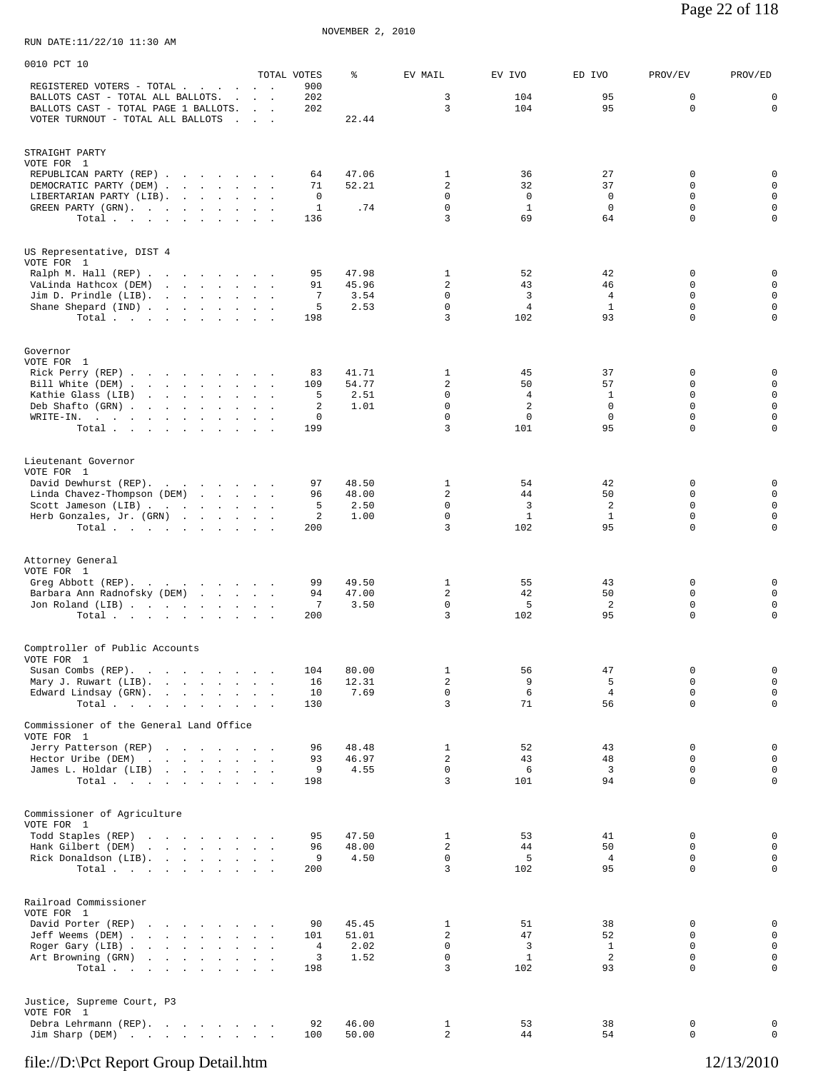| 0010 PCT 10                                                               |                                                  |                    |                |                                |                     |                                |                            |                            |
|---------------------------------------------------------------------------|--------------------------------------------------|--------------------|----------------|--------------------------------|---------------------|--------------------------------|----------------------------|----------------------------|
| REGISTERED VOTERS - TOTAL                                                 | $\sim$ $ \sim$                                   | TOTAL VOTES<br>900 | ిక             | EV MAIL                        | EV IVO              | ED IVO                         | PROV/EV                    | PROV/ED                    |
| BALLOTS CAST - TOTAL ALL BALLOTS.                                         |                                                  | 202                |                | 3                              | 104                 | 95                             | 0                          | $\mathbf 0$                |
| BALLOTS CAST - TOTAL PAGE 1 BALLOTS.<br>VOTER TURNOUT - TOTAL ALL BALLOTS | <b>Contract Contract</b><br>$\sim$ $\sim$ $\sim$ | 202                | 22.44          | 3                              | 104                 | 95                             | $\mathbf 0$                | $\mathbf 0$                |
|                                                                           |                                                  |                    |                |                                |                     |                                |                            |                            |
| STRAIGHT PARTY                                                            |                                                  |                    |                |                                |                     |                                |                            |                            |
| VOTE FOR 1                                                                |                                                  |                    |                |                                |                     |                                |                            |                            |
| REPUBLICAN PARTY (REP)                                                    |                                                  | 64<br>71           | 47.06<br>52.21 | $\mathbf{1}$<br>$\overline{a}$ | 36<br>32            | 27<br>37                       | 0<br>$\mathbf 0$           | 0<br>$\mathbf 0$           |
| DEMOCRATIC PARTY (DEM)<br>LIBERTARIAN PARTY (LIB).                        |                                                  | 0                  |                | $\Omega$                       | $\mathbf 0$         | $\mathbf 0$                    | $\Omega$                   | $\mathbf 0$                |
| GREEN PARTY (GRN).                                                        |                                                  | $\mathbf{1}$       | .74            | 0                              | $\mathbf{1}$        | $\mathbf 0$                    | $\mathbf 0$                | $\mathbf 0$                |
| Total $\cdots$                                                            |                                                  | 136                |                | 3                              | 69                  | 64                             | $\mathbf 0$                | $\mathbf 0$                |
|                                                                           |                                                  |                    |                |                                |                     |                                |                            |                            |
| US Representative, DIST 4<br>VOTE FOR 1                                   |                                                  |                    |                |                                |                     |                                |                            |                            |
| Ralph M. Hall (REP)                                                       |                                                  | 95                 | 47.98          | 1                              | 52                  | 42                             | 0                          | 0                          |
| VaLinda Hathcox (DEM)                                                     |                                                  | 91                 | 45.96          | $\overline{a}$                 | 43                  | 46                             | $\mathbf 0$                | $\mathbf 0$                |
| Jim D. Prindle $(LIB)$ .<br>Shane Shepard (IND)                           |                                                  | 7<br>5             | 3.54<br>2.53   | 0<br>0                         | 3<br>$\overline{4}$ | $\overline{4}$<br>$\mathbf{1}$ | 0<br>$\mathbf 0$           | $\mathbf 0$<br>$\mathbf 0$ |
| Total $\cdots$                                                            |                                                  | 198                |                | 3                              | 102                 | 93                             | $\Omega$                   | $\mathbf 0$                |
|                                                                           |                                                  |                    |                |                                |                     |                                |                            |                            |
| Governor                                                                  |                                                  |                    |                |                                |                     |                                |                            |                            |
| VOTE FOR 1                                                                |                                                  |                    |                |                                |                     |                                |                            |                            |
| Rick Perry (REP)<br>Bill White (DEM)                                      |                                                  | 83<br>109          | 41.71<br>54.77 | 1<br>2                         | 45<br>50            | 37<br>57                       | 0<br>0                     | 0<br>$\mathbf 0$           |
| Kathie Glass (LIB)                                                        |                                                  | 5                  | 2.51           | 0                              | 4                   | 1                              | $\Omega$                   | $\mathbf 0$                |
| Deb Shafto (GRN)                                                          | $\sim$ $\sim$                                    | 2<br>0             | 1.01           | 0<br>0                         | 2<br>0              | $\mathbf 0$<br>$\mathbf 0$     | $\mathbf 0$<br>$\mathbf 0$ | $\mathbf 0$<br>$\mathbf 0$ |
| WRITE-IN.<br>Total                                                        |                                                  | 199                |                | 3                              | 101                 | 95                             | $\mathbf 0$                | $\mathsf 0$                |
|                                                                           |                                                  |                    |                |                                |                     |                                |                            |                            |
| Lieutenant Governor                                                       |                                                  |                    |                |                                |                     |                                |                            |                            |
| VOTE FOR 1                                                                |                                                  |                    |                |                                |                     |                                |                            |                            |
| David Dewhurst (REP).<br>Linda Chavez-Thompson (DEM)                      |                                                  | 97<br>96           | 48.50<br>48.00 | $\mathbf{1}$<br>2              | 54<br>44            | 42<br>50                       | 0<br>$\mathbf 0$           | $\mathbf 0$<br>$\mathbf 0$ |
| Scott Jameson (LIB)                                                       |                                                  | 5                  | 2.50           | 0                              | 3                   | $\overline{2}$                 | $\mathbf 0$                | $\mathbf 0$                |
| Herb Gonzales, Jr. (GRN)                                                  |                                                  | 2                  | 1.00           | 0                              | $\mathbf{1}$        | $\mathbf{1}$                   | $\mathbf 0$                | $\mathbf 0$                |
| Total                                                                     |                                                  | 200                |                | 3                              | 102                 | 95                             | $\mathbf 0$                | $\mathbf 0$                |
|                                                                           |                                                  |                    |                |                                |                     |                                |                            |                            |
| Attorney General                                                          |                                                  |                    |                |                                |                     |                                |                            |                            |
| VOTE FOR 1<br>Greg Abbott (REP).                                          |                                                  | 99                 | 49.50          | 1                              | 55                  | 43                             | 0                          | $\mathbf 0$                |
| Barbara Ann Radnofsky (DEM)                                               |                                                  | 94                 | 47.00          | $\overline{c}$                 | 42                  | 50                             | $\Omega$                   | $\mathbf 0$                |
| Jon Roland (LIB)<br>Total                                                 |                                                  | 7<br>200           | 3.50           | $\mathsf 0$<br>3               | 5<br>102            | 2<br>95                        | $\mathsf 0$<br>$\mathbf 0$ | $\mathbf 0$<br>$\mathbf 0$ |
|                                                                           |                                                  |                    |                |                                |                     |                                |                            |                            |
| Comptroller of Public Accounts                                            |                                                  |                    |                |                                |                     |                                |                            |                            |
| VOTE FOR 1                                                                |                                                  |                    |                |                                |                     |                                |                            |                            |
| Susan Combs (REP).                                                        |                                                  | 104                | 80.00          | $\mathbf{1}$                   | 56                  | 47                             | 0                          | $\mathsf 0$                |
| Mary J. Ruwart (LIB).<br>Edward Lindsay (GRN).                            |                                                  | 16<br>10           | 12.31<br>7.69  | $\overline{\mathbf{c}}$<br>0   | 9<br>6              | 5<br>$\overline{4}$            | $\mathbf 0$<br>$\mathbf 0$ | $\mathsf 0$<br>$\mathbb O$ |
| Total                                                                     |                                                  | 130                |                | 3                              | 71                  | 56                             | $\mathbf 0$                | $\mathbf 0$                |
|                                                                           |                                                  |                    |                |                                |                     |                                |                            |                            |
| Commissioner of the General Land Office<br>VOTE FOR 1                     |                                                  |                    |                |                                |                     |                                |                            |                            |
| Jerry Patterson (REP)                                                     |                                                  | 96                 | 48.48          | $\mathbf{1}$                   | 52                  | 43                             | 0                          | $\mathbb O$                |
| Hector Uribe (DEM)<br>James L. Holdar (LIB)                               |                                                  | 93<br>9            | 46.97<br>4.55  | 2<br>$\mathsf 0$               | 43<br>6             | 48<br>3                        | $\mathbf 0$<br>0           | $\mathbf 0$<br>$\mathbf 0$ |
| Total $\cdots$                                                            |                                                  | 198                |                | 3                              | 101                 | 94                             | 0                          | $\mathbf 0$                |
|                                                                           |                                                  |                    |                |                                |                     |                                |                            |                            |
| Commissioner of Agriculture                                               |                                                  |                    |                |                                |                     |                                |                            |                            |
| VOTE FOR 1                                                                |                                                  |                    |                |                                |                     |                                |                            |                            |
| Todd Staples (REP)<br>Hank Gilbert (DEM)                                  |                                                  | 95<br>96           | 47.50<br>48.00 | 1<br>2                         | 53<br>44            | 41<br>50                       | 0<br>0                     | $\mathbf 0$<br>$\mathsf 0$ |
| Rick Donaldson (LIB).                                                     |                                                  | 9                  | 4.50           | $\mathbf 0$                    | 5                   | $\overline{4}$                 | $\mathbf 0$                | $\mathsf 0$                |
| Total $\cdots$                                                            |                                                  | 200                |                | 3                              | 102                 | 95                             | $\mathbf 0$                | $\mathbf 0$                |
|                                                                           |                                                  |                    |                |                                |                     |                                |                            |                            |
| Railroad Commissioner                                                     |                                                  |                    |                |                                |                     |                                |                            |                            |
| VOTE FOR 1<br>David Porter (REP)                                          |                                                  | 90                 | 45.45          | 1                              | 51                  | 38                             | 0                          | 0                          |
| Jeff Weems (DEM)                                                          |                                                  | 101                | 51.01          | $\overline{a}$                 | 47                  | 52                             | $\mathbf 0$                | $\mathsf 0$                |
| Roger Gary (LIB)                                                          |                                                  | 4                  | 2.02           | $\mathbf 0$                    | 3                   | $\mathbf{1}$                   | 0                          | $\mathsf 0$                |
| Art Browning (GRN)<br>Total $\cdots$                                      |                                                  | 3<br>198           | 1.52           | $\mathsf 0$<br>3               | $\mathbf{1}$<br>102 | $\overline{2}$<br>93           | $\mathbf 0$<br>$\mathbf 0$ | $\mathsf 0$<br>$\mathbf 0$ |
|                                                                           |                                                  |                    |                |                                |                     |                                |                            |                            |
|                                                                           |                                                  |                    |                |                                |                     |                                |                            |                            |
| Justice, Supreme Court, P3<br>VOTE FOR 1                                  |                                                  |                    |                |                                |                     |                                |                            |                            |
| Debra Lehrmann (REP).                                                     |                                                  | 92                 | 46.00          | $\mathbf{1}$                   | 53                  | 38                             | 0                          | 0                          |
| Jim Sharp (DEM)                                                           |                                                  | 100                | 50.00          | 2                              | 44                  | 54                             | 0                          | $\mathbb O$                |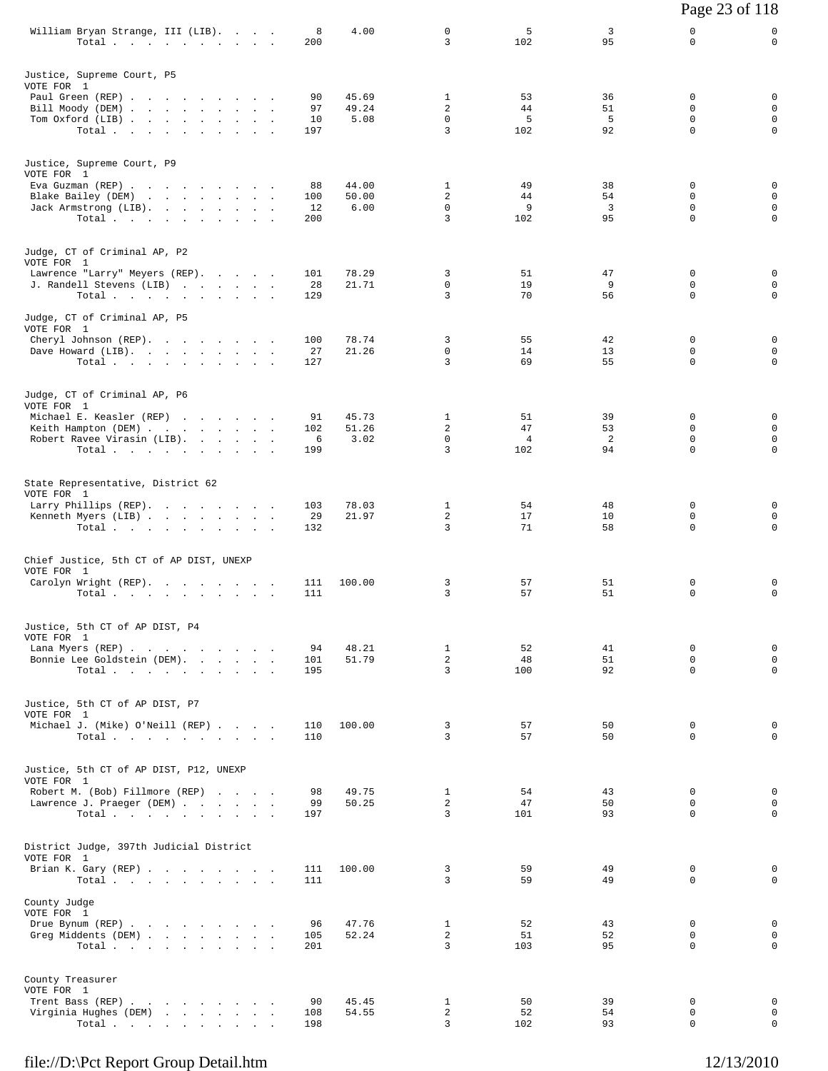|                                                                              |            |                |                            |                |          | Page 23 of 118          |                            |
|------------------------------------------------------------------------------|------------|----------------|----------------------------|----------------|----------|-------------------------|----------------------------|
| William Bryan Strange, III (LIB).<br>Total $\cdots$                          | 8<br>200   | 4.00           | $\mathbf 0$<br>3           | 5<br>102       | 3<br>95  | 0<br>$\mathbf 0$        | 0<br>$\mathbf 0$           |
| Justice, Supreme Court, P5                                                   |            |                |                            |                |          |                         |                            |
| VOTE FOR 1<br>Paul Green (REP)                                               | 90         | 45.69          | $\mathbf{1}$               | 53             | 36       | 0                       | 0                          |
| Bill Moody (DEM)<br>Tom Oxford (LIB)                                         | 97<br>10   | 49.24<br>5.08  | 2<br>$\mathbf 0$           | 44<br>5        | 51<br>5  | 0<br>$\mathbf 0$        | 0<br>$\mathbf 0$           |
| Total                                                                        | 197        |                | 3                          | 102            | 92       | $\Omega$                | $\mathbf 0$                |
| Justice, Supreme Court, P9                                                   |            |                |                            |                |          |                         |                            |
| VOTE FOR 1<br>Eva Guzman (REP)                                               | 88         | 44.00          | $\mathbf{1}$               | 49             | 38       | 0                       | 0                          |
| Blake Bailey (DEM)<br>Jack Armstrong (LIB).                                  | 100<br>12  | 50.00<br>6.00  | $\overline{a}$<br>$\Omega$ | 44<br>9        | 54<br>3  | 0<br>0                  | $\mathbf 0$<br>$\mathbf 0$ |
| Total                                                                        | 200        |                | 3                          | 102            | 95       | 0                       | $\mathbf 0$                |
| Judge, CT of Criminal AP, P2                                                 |            |                |                            |                |          |                         |                            |
| VOTE FOR 1<br>Lawrence "Larry" Meyers (REP).                                 | 101        | 78.29          | 3                          | 51             | 47       | 0                       | 0                          |
| J. Randell Stevens (LIB)<br>Total $\cdots$                                   | 28<br>129  | 21.71          | 0<br>3                     | 19<br>70       | 9<br>56  | 0<br>$\mathbf 0$        | $\mathbf 0$<br>$\mathbf 0$ |
| Judge, CT of Criminal AP, P5                                                 |            |                |                            |                |          |                         |                            |
| VOTE FOR 1<br>Cheryl Johnson (REP).                                          | 100        | 78.74          | 3                          | 55             | 42       | 0                       | 0                          |
| Dave Howard (LIB).                                                           | 27         | 21.26          | 0                          | 14             | 13       | 0                       | $\mathbf 0$                |
| Total                                                                        | 127        |                | 3                          | 69             | 55       | $\Omega$                | $\mathbf 0$                |
| Judge, CT of Criminal AP, P6<br>VOTE FOR 1                                   |            |                |                            |                |          |                         |                            |
| Michael E. Keasler (REP)                                                     | 91<br>102  | 45.73<br>51.26 | 1<br>2                     | 51<br>47       | 39<br>53 | 0<br>0                  | 0<br>0                     |
| Keith Hampton (DEM)<br>Robert Ravee Virasin (LIB).                           | 6          | 3.02           | 0                          | $\overline{4}$ | 2        | 0                       | $\mathbf 0$                |
| Total                                                                        | 199        |                | 3                          | 102            | 94       | $\mathbf 0$             | $\mathbf 0$                |
| State Representative, District 62<br>VOTE FOR 1                              |            |                |                            |                |          |                         |                            |
| Larry Phillips (REP).                                                        | 103<br>29  | 78.03<br>21.97 | $\mathbf{1}$<br>2          | 54<br>17       | 48<br>10 | 0<br>0                  | 0<br>0                     |
| Kenneth Myers (LIB)<br>Total                                                 | 132        |                | 3                          | 71             | 58       | $\mathbf 0$             | $\mathbf 0$                |
| Chief Justice, 5th CT of AP DIST, UNEXP                                      |            |                |                            |                |          |                         |                            |
| VOTE FOR 1<br>Carolyn Wright (REP).                                          | 111        | 100.00         | 3                          | 57             | 51       | 0                       | 0                          |
| Total $\cdots$ $\cdots$ $\cdots$                                             | 111        |                | 3                          | 57             | 51       | 0                       | $\mathbf 0$                |
| Justice, 5th CT of AP DIST, P4                                               |            |                |                            |                |          |                         |                            |
| VOTE FOR 1<br>Lana Myers (REP)                                               | 94         | 48.21          | $\mathbf{1}$               | 52             | 41       | 0                       | $\mathsf 0$                |
| Bonnie Lee Goldstein (DEM).<br>Total.                                        | 101<br>195 | 51.79          | $\overline{a}$<br>3        | 48<br>100      | 51<br>92 | 0<br>$\mathbf 0$        | $\mathbf 0$<br>$\mathbf 0$ |
|                                                                              |            |                |                            |                |          |                         |                            |
| Justice, 5th CT of AP DIST, P7<br>VOTE FOR 1                                 |            |                |                            |                |          |                         |                            |
| Michael J. (Mike) O'Neill (REP)<br>Total $\cdots$ $\cdots$ $\cdots$ $\cdots$ | 110<br>110 | 100.00         | 3<br>3                     | 57<br>57       | 50<br>50 | 0<br>$\Omega$           | $\mathbf 0$<br>0           |
| Justice, 5th CT of AP DIST, P12, UNEXP                                       |            |                |                            |                |          |                         |                            |
| VOTE FOR 1<br>Robert M. (Bob) Fillmore (REP)                                 | 98         | 49.75          | $\mathbf{1}$               | 54             | 43       | 0                       | 0                          |
| Lawrence J. Praeger (DEM)<br>Total $\cdots$                                  | 99<br>197  | 50.25          | $\overline{a}$<br>3        | 47<br>101      | 50<br>93 | $\mathbf 0$<br>$\Omega$ | $\mathbf 0$<br>0           |
|                                                                              |            |                |                            |                |          |                         |                            |
| District Judge, 397th Judicial District<br>VOTE FOR 1                        |            |                |                            |                |          |                         |                            |
| Brian K. Gary (REP)<br>Total $\cdots$                                        | 111<br>111 | 100.00         | 3<br>3                     | 59<br>59       | 49<br>49 | 0<br>$\Omega$           | 0<br>$\mathbf 0$           |
| County Judge                                                                 |            |                |                            |                |          |                         |                            |
| VOTE FOR 1<br>Drue Bynum (REP)                                               | 96         | 47.76          | $\mathbf{1}$               | 52             | 43       | $\mathbf 0$             | 0                          |
| Greg Middents (DEM)<br>Total.                                                | 105<br>201 | 52.24          | $\overline{a}$<br>3        | 51<br>103      | 52<br>95 | 0<br>$\Omega$           | 0<br>$\mathbf 0$           |
|                                                                              |            |                |                            |                |          |                         |                            |
| County Treasurer<br>VOTE FOR 1                                               |            |                |                            |                |          |                         |                            |
| Trent Bass (REP)<br>Virginia Hughes (DEM)                                    | 90<br>108  | 45.45<br>54.55 | $\mathbf{1}$<br>2          | 50<br>52       | 39<br>54 | 0<br>0                  | $\mathbf 0$<br>0           |
| Total                                                                        | 198        |                | 3                          | 102            | 93       | $\Omega$                | 0                          |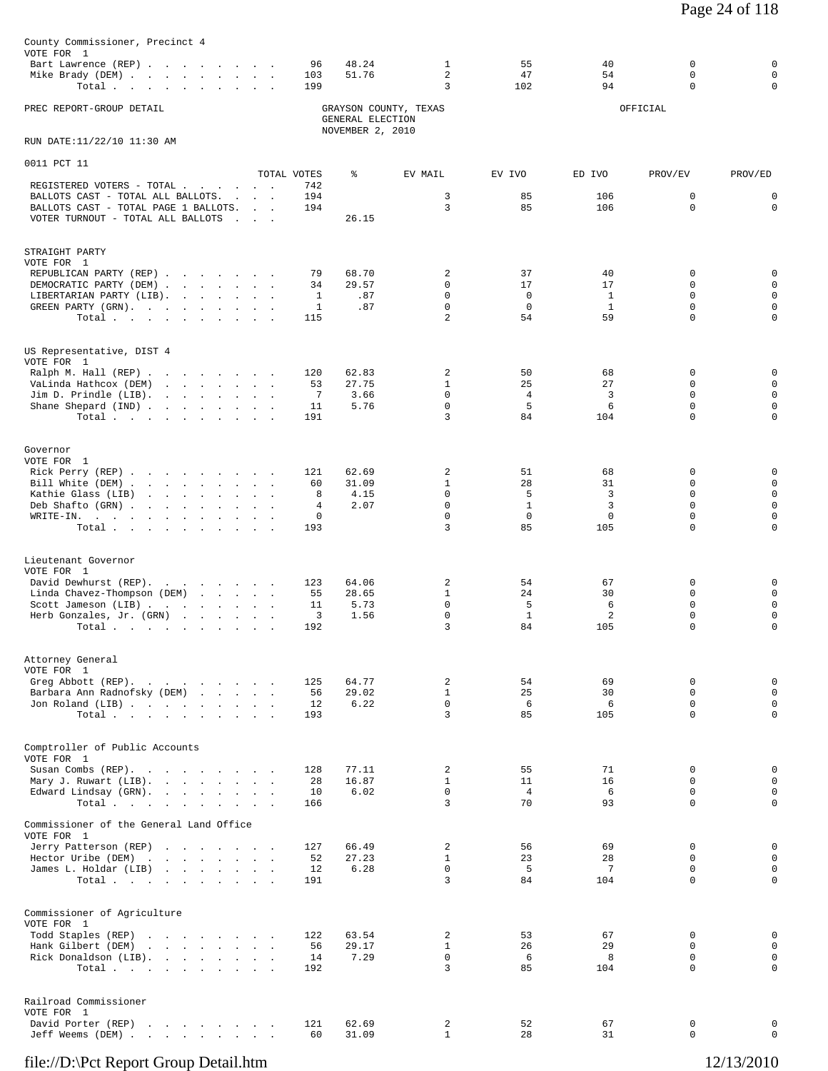| County Commissioner, Precinct 4<br>VOTE FOR 1                                                                                                             |                    |                                      |                                     |                             |                    |                            |                              |
|-----------------------------------------------------------------------------------------------------------------------------------------------------------|--------------------|--------------------------------------|-------------------------------------|-----------------------------|--------------------|----------------------------|------------------------------|
| Bart Lawrence (REP)<br>Mike Brady (DEM)<br>Total                                                                                                          | 96<br>103<br>199   | 48.24<br>51.76                       | $\mathbf{1}$<br>$\overline{a}$<br>3 | 55<br>47<br>102             | 40<br>54<br>94     | $\mathbf 0$<br>0<br>0      | $\mathbf 0$<br>$\Omega$<br>0 |
| PREC REPORT-GROUP DETAIL                                                                                                                                  |                    | GENERAL ELECTION<br>NOVEMBER 2, 2010 | GRAYSON COUNTY, TEXAS               |                             |                    | OFFICIAL                   |                              |
| RUN DATE:11/22/10 11:30 AM                                                                                                                                |                    |                                      |                                     |                             |                    |                            |                              |
| 0011 PCT 11                                                                                                                                               |                    |                                      |                                     |                             |                    |                            |                              |
| REGISTERED VOTERS - TOTAL                                                                                                                                 | TOTAL VOTES<br>742 | ႜ                                    | EV MAIL                             | EV IVO                      | ED IVO             | PROV/EV                    | PROV/ED                      |
| BALLOTS CAST - TOTAL ALL BALLOTS.<br>BALLOTS CAST - TOTAL PAGE 1 BALLOTS.<br>VOTER TURNOUT - TOTAL ALL BALLOTS                                            | 194<br>194         | 26.15                                | 3<br>3                              | 85<br>85                    | 106<br>106         | 0<br>$\Omega$              | $\mathbf 0$<br>$\mathbf 0$   |
| STRAIGHT PARTY                                                                                                                                            |                    |                                      |                                     |                             |                    |                            |                              |
| VOTE FOR 1<br>REPUBLICAN PARTY (REP)                                                                                                                      | 79                 | 68.70                                | 2                                   | 37                          | 40                 | 0                          | 0                            |
| DEMOCRATIC PARTY (DEM)<br>LIBERTARIAN PARTY (LIB).                                                                                                        | 34<br>1            | 29.57<br>.87                         | $\mathbf 0$<br>$\mathbf 0$          | 17<br>$\mathbf 0$           | 17<br>$\mathbf{1}$ | $\mathbf 0$<br>0           | $\mathbf 0$<br>$\mathbf 0$   |
| GREEN PARTY (GRN).<br>Total                                                                                                                               | 1<br>115           | .87                                  | 0<br>$\overline{a}$                 | $\mathbf 0$<br>54           | $\mathbf{1}$<br>59 | 0<br>$\Omega$              | 0<br>$\Omega$                |
| US Representative, DIST 4<br>VOTE FOR 1                                                                                                                   |                    |                                      |                                     |                             |                    |                            |                              |
| Ralph M. Hall (REP)<br>VaLinda Hathcox (DEM)                                                                                                              | 120<br>53          | 62.83<br>27.75                       | 2<br>$\mathbf{1}$                   | 50<br>25                    | 68<br>27           | 0<br>$\mathbf 0$           | 0<br>$\mathbf 0$             |
| Jim D. Prindle (LIB).<br>Shane Shepard (IND)                                                                                                              | 7<br>11            | 3.66<br>5.76                         | $\mathbf 0$<br>$\mathbf 0$          | $\overline{4}$<br>5         | 3<br>6             | 0<br>0                     | 0<br>0                       |
| Total                                                                                                                                                     | 191                |                                      | 3                                   | 84                          | 104                | $\Omega$                   | 0                            |
| Governor<br>VOTE FOR 1                                                                                                                                    |                    |                                      |                                     |                             |                    |                            |                              |
| Rick Perry (REP)                                                                                                                                          | 121                | 62.69                                | 2<br>$\mathbf{1}$                   | 51                          | 68                 | 0<br>$\Omega$              | $\mathbf 0$<br>$\mathbf 0$   |
| Bill White (DEM)<br>Kathie Glass (LIB)<br>the contract of the contract of the contract of the contract of the contract of the contract of the contract of | 60<br>8            | 31.09<br>4.15                        | $\mathbf 0$                         | 28<br>5                     | 31<br>3            | $\mathbf 0$                | $\mathbf 0$                  |
| Deb Shafto (GRN)<br>WRITE-IN.                                                                                                                             | 4<br>0             | 2.07                                 | $\mathbf 0$<br>$\mathbf 0$          | $\mathbf{1}$<br>$\mathbf 0$ | 3<br>$\mathbf 0$   | $\Omega$<br>$\Omega$       | $\Omega$<br>0                |
| Total $\cdots$ $\cdots$ $\cdots$                                                                                                                          | 193                |                                      | 3                                   | 85                          | 105                | $\Omega$                   |                              |
| Lieutenant Governor<br>VOTE FOR 1                                                                                                                         |                    |                                      |                                     |                             |                    |                            |                              |
| David Dewhurst (REP).<br>Linda Chavez-Thompson (DEM)                                                                                                      | 123<br>55          | 64.06<br>28.65                       | 2<br>$\mathbf{1}$                   | 54<br>24                    | 67<br>30           | 0<br>$\mathbf 0$           | 0<br>0                       |
| Scott Jameson (LIB)                                                                                                                                       | 11                 | 5.73                                 | $\mathbf 0$                         | 5                           | 6                  | $\mathbf 0$                | $\Omega$                     |
| Herb Gonzales, Jr. (GRN)<br>Total $\cdots$ $\cdots$ $\cdots$                                                                                              | 3<br>192           | 1.56                                 | 0<br>3                              | $\mathbf{1}$<br>84          | 2<br>105           | 0<br>$\mathbf 0$           | 0<br>$\Omega$                |
| Attorney General<br>VOTE FOR 1                                                                                                                            |                    |                                      |                                     |                             |                    |                            |                              |
| Greg Abbott (REP).<br>Barbara Ann Radnofsky (DEM)                                                                                                         | 125<br>56          | 64.77<br>29.02                       | $\overline{2}$<br>$\mathbf{1}$      | 54<br>25                    | 69<br>30           | $\mathbf 0$<br>0           | $\mathbf 0$<br>0             |
| Jon Roland (LIB)                                                                                                                                          | 12                 | 6.22                                 | $\mathbf 0$                         | 6                           | 6                  | $\mathbf 0$                | $\mathbf 0$                  |
| Total                                                                                                                                                     | 193                |                                      | 3                                   | 85                          | 105                | $\Omega$                   | $\Omega$                     |
| Comptroller of Public Accounts<br>VOTE FOR 1                                                                                                              |                    |                                      |                                     |                             |                    |                            |                              |
| Susan Combs (REP).<br>Mary J. Ruwart (LIB).                                                                                                               | 128<br>28          | 77.11<br>16.87                       | 2<br>$\mathbf{1}$                   | 55<br>11                    | 71<br>16           | $\mathbf 0$<br>$\mathbf 0$ | $\mathsf 0$<br>$\mathbf 0$   |
| Edward Lindsay (GRN).<br>Total $\cdots$                                                                                                                   | 10<br>166          | 6.02                                 | $\Omega$<br>3                       | $\overline{4}$<br>70        | 6<br>93            | $\Omega$<br>$\mathbf 0$    | $\mathbf 0$<br>$\mathbf 0$   |
| Commissioner of the General Land Office                                                                                                                   |                    |                                      |                                     |                             |                    |                            |                              |
| VOTE FOR 1<br>Jerry Patterson (REP)                                                                                                                       | 127                | 66.49                                | 2                                   | 56                          | 69                 | 0                          | $\mathbf 0$                  |
| Hector Uribe (DEM)                                                                                                                                        | 52                 | 27.23                                | $\mathbf{1}$                        | 23                          | 28                 | $\Omega$                   | $\mathbf 0$                  |
| James L. Holdar (LIB)<br>Total.                                                                                                                           | 12<br>191          | 6.28                                 | 0<br>3                              | 5<br>84                     | 7<br>104           | 0<br>$\Omega$              | $\mathbf 0$<br>$\Omega$      |
| Commissioner of Agriculture<br>VOTE FOR 1                                                                                                                 |                    |                                      |                                     |                             |                    |                            |                              |
| Todd Staples (REP)<br>Hank Gilbert (DEM)<br>the contract of the contract of the                                                                           | 122<br>56          | 63.54<br>29.17                       | 2<br>$\mathbf{1}$                   | 53<br>26                    | 67<br>29           | 0<br>$\Omega$              | 0<br>$\mathbf 0$             |
| Rick Donaldson (LIB).                                                                                                                                     | 14                 | 7.29                                 | $\mathbf{0}$                        | 6                           | 8                  | 0                          | $\mathbf 0$                  |
| Total                                                                                                                                                     | 192                |                                      | 3                                   | 85                          | 104                | $\Omega$                   | 0                            |
| Railroad Commissioner<br>VOTE FOR 1                                                                                                                       |                    |                                      |                                     |                             |                    |                            |                              |
| David Porter (REP)<br>Jeff Weems (DEM)                                                                                                                    | 121<br>60          | 62.69<br>31.09                       | 2<br>$\mathbf{1}$                   | 52<br>28                    | 67<br>31           | 0<br>$\mathbf 0$           | $\mathbf 0$<br>$\mathbf 0$   |
|                                                                                                                                                           |                    |                                      |                                     |                             |                    |                            |                              |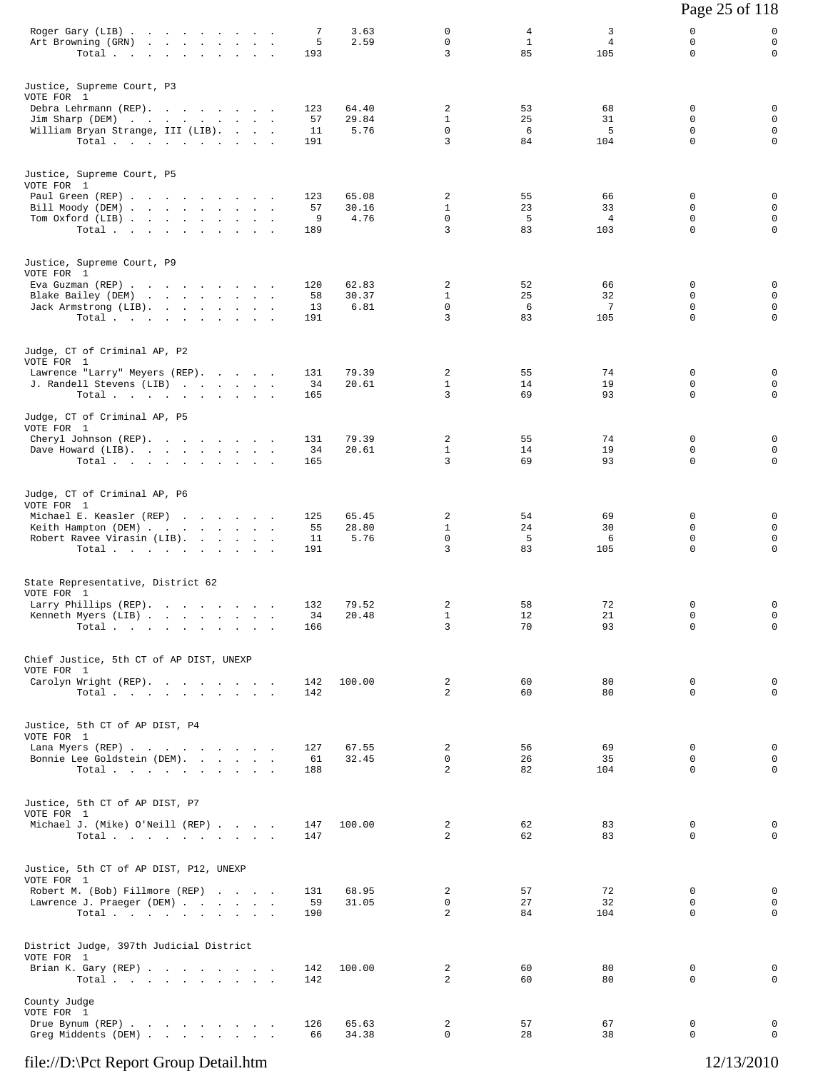|                                                                                                                                              |  |                        |                        |                                       |                         |                                   | Page 25 of 118                                           |                                      |
|----------------------------------------------------------------------------------------------------------------------------------------------|--|------------------------|------------------------|---------------------------------------|-------------------------|-----------------------------------|----------------------------------------------------------|--------------------------------------|
| Roger Gary (LIB)<br>Art Browning (GRN)<br>Total.                                                                                             |  | 7<br>5<br>193          | 3.63<br>2.59           | 0<br>0<br>3                           | 4<br>$\mathbf{1}$<br>85 | 3<br>$\overline{4}$<br>105        | 0<br>$\mathbf 0$<br>$\Omega$                             | 0<br>$\mathbf 0$<br>$\mathbf 0$      |
| Justice, Supreme Court, P3<br>VOTE FOR 1<br>Debra Lehrmann (REP).<br>Jim Sharp (DEM)<br>William Bryan Strange, III (LIB).<br>Total $\cdots$  |  | 123<br>57<br>11<br>191 | 64.40<br>29.84<br>5.76 | 2<br>$\mathbf{1}$<br>$\mathbf 0$<br>3 | 53<br>25<br>6<br>84     | 68<br>31<br>5<br>104              | 0<br>0<br>$\mathbf 0$<br>$\mathbf 0$                     | 0<br>0<br>$\mathbf 0$<br>$\mathbf 0$ |
| Justice, Supreme Court, P5<br>VOTE FOR 1<br>Paul Green (REP)<br>Bill Moody (DEM)<br>Tom Oxford (LIB)<br>Total $\cdots$                       |  | 123<br>57<br>9<br>189  | 65.08<br>30.16<br>4.76 | 2<br>$\mathbf{1}$<br>0<br>3           | 55<br>23<br>5<br>83     | 66<br>33<br>$\overline{4}$<br>103 | 0<br>$\Omega$<br>$\mathsf{O}$<br>0                       | 0<br>0<br>$\mathbf 0$<br>0           |
| Justice, Supreme Court, P9<br>VOTE FOR 1<br>Eva Guzman (REP)<br>Blake Bailey (DEM)<br>Jack Armstrong (LIB).<br>Total                         |  | 120<br>58<br>13<br>191 | 62.83<br>30.37<br>6.81 | 2<br>$\mathbf{1}$<br>0<br>3           | 52<br>25<br>6<br>83     | 66<br>32<br>$\overline{7}$<br>105 | $\mathbf 0$<br>$\mathbf 0$<br>$\mathbf 0$<br>$\mathbf 0$ | 0<br>0<br>0<br>$\mathbf 0$           |
| Judge, CT of Criminal AP, P2<br>VOTE FOR 1<br>Lawrence "Larry" Meyers (REP).<br>J. Randell Stevens (LIB)<br>Total $\cdots$ $\cdots$ $\cdots$ |  | 131<br>34<br>165       | 79.39<br>20.61         | 2<br>$\mathbf{1}$<br>3                | 55<br>14<br>69          | 74<br>19<br>93                    | 0<br>$\mathbf 0$<br>0                                    | 0<br>0<br>$\mathsf{O}$               |
| Judge, CT of Criminal AP, P5<br>VOTE FOR 1<br>Cheryl Johnson (REP).<br>Dave Howard (LIB).<br>Total                                           |  | 131<br>34<br>165       | 79.39<br>20.61         | 2<br>$\mathbf{1}$<br>3                | 55<br>14<br>69          | 74<br>19<br>93                    | $\mathbf 0$<br>$\mathbf 0$<br>0                          | 0<br>0<br>$\mathbf 0$                |
| Judge, CT of Criminal AP, P6<br>VOTE FOR 1<br>Michael E. Keasler (REP)<br>Keith Hampton (DEM)<br>Robert Ravee Virasin (LIB).<br>Total.       |  | 125<br>55<br>11<br>191 | 65.45<br>28.80<br>5.76 | 2<br>$\mathbf{1}$<br>$\mathbf 0$<br>3 | 54<br>24<br>-5<br>83    | 69<br>30<br>6<br>105              | 0<br>$\mathbf 0$<br>$\mathsf{O}$<br>$\mathbf 0$          | 0<br>0<br>$\mathbf 0$<br>$\mathbf 0$ |
| State Representative, District 62<br>VOTE FOR 1<br>Larry Phillips (REP).<br>Kenneth Myers (LIB)<br>Total.                                    |  | 132<br>34<br>166       | 79.52<br>20.48         | 2<br>$\mathbf{1}$<br>3                | 58<br>12<br>70          | 72<br>21<br>93                    | 0<br>0<br>$\mathbf 0$                                    | 0<br>0<br>$\mathbf 0$                |
| Chief Justice, 5th CT of AP DIST, UNEXP<br>VOTE FOR 1<br>Carolyn Wright (REP).<br>Total $\cdots$ $\cdots$ $\cdots$ $\cdots$                  |  | 142<br>142             | 100.00                 | 2<br>$\overline{a}$                   | 60<br>60                | 80<br>80                          | $\mathbf 0$<br>0                                         | 0<br>$\mathbf 0$                     |
| Justice, 5th CT of AP DIST, P4<br>VOTE FOR 1<br>Lana Myers (REP)<br>Bonnie Lee Goldstein (DEM).<br>Total                                     |  | 127<br>61<br>188       | 67.55<br>32.45         | 2<br>$\Omega$<br>2                    | 56<br>26<br>82          | 69<br>35<br>104                   | 0<br>$\Omega$<br>$\mathbf 0$                             | 0<br>0<br>$\mathsf{O}$               |
| Justice, 5th CT of AP DIST, P7<br>VOTE FOR 1<br>Michael J. (Mike) O'Neill (REP)<br>Total $\cdots$ $\cdots$ $\cdots$                          |  | 147<br>147             | 100.00                 | 2<br>$\overline{2}$                   | 62<br>62                | 83<br>83                          | $\mathbf 0$<br>$\Omega$                                  | 0<br>$\mathbf 0$                     |
| Justice, 5th CT of AP DIST, P12, UNEXP<br>VOTE FOR 1<br>Robert M. (Bob) Fillmore (REP)<br>Lawrence J. Praeger (DEM)<br>Total $\cdots$        |  | 131<br>59<br>190       | 68.95<br>31.05         | 2<br>0<br>2                           | 57<br>27<br>84          | 72<br>32<br>104                   | 0<br>$\mathbf 0$<br>$\Omega$                             | 0<br>$\mathbf 0$<br>0                |
| District Judge, 397th Judicial District<br>VOTE FOR 1<br>Brian K. Gary (REP)<br>Total $\cdots$                                               |  | 142<br>142             | 100.00                 | 2<br>2                                | 60<br>60                | 80<br>80                          | 0<br>0                                                   | 0<br>0                               |
| County Judge<br>VOTE FOR 1<br>Drue Bynum (REP)<br>Greg Middents (DEM)                                                                        |  | 126<br>66              | 65.63<br>34.38         | 2<br>0                                | 57<br>28                | 67<br>38                          | 0<br>$\mathbf 0$                                         | 0<br>0                               |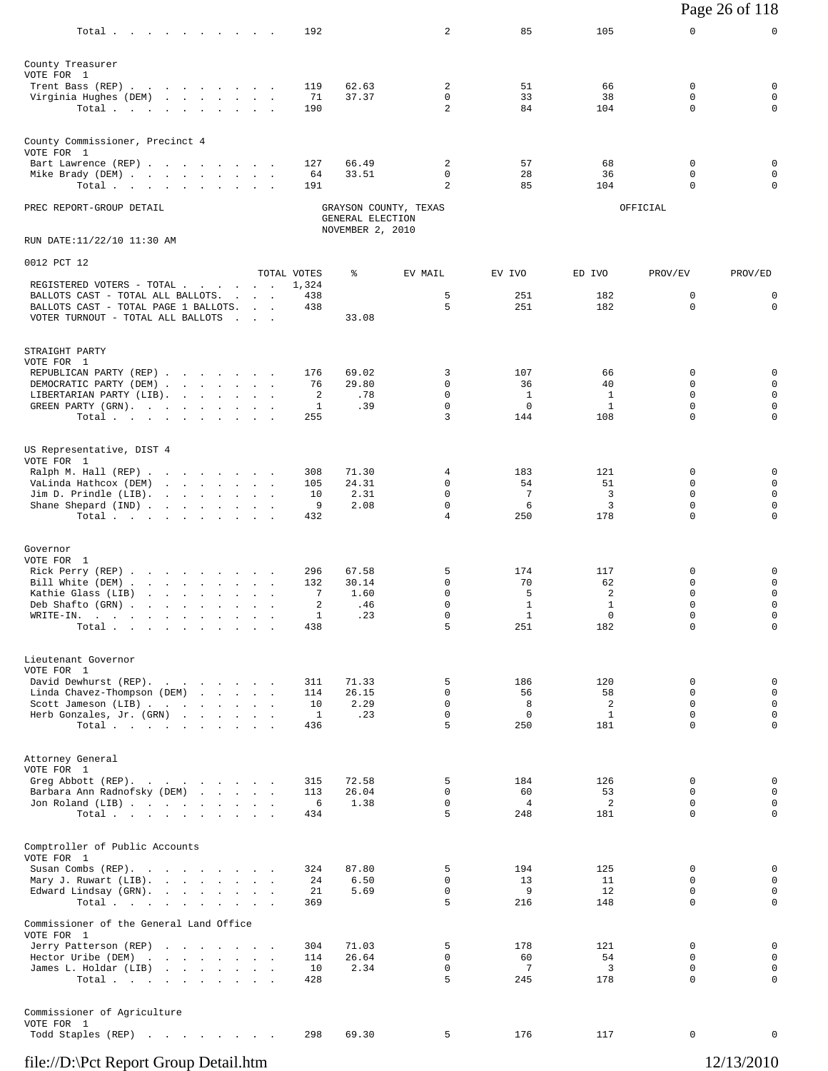|                                                                                                                |                                   |            |                                      |                       |                             |                   |                  | Page 26 of 118             |
|----------------------------------------------------------------------------------------------------------------|-----------------------------------|------------|--------------------------------------|-----------------------|-----------------------------|-------------------|------------------|----------------------------|
| Total                                                                                                          |                                   | 192        |                                      | 2                     | 85                          | 105               | 0                | 0                          |
| County Treasurer<br>VOTE FOR 1                                                                                 |                                   |            |                                      |                       |                             |                   |                  |                            |
| Trent Bass (REP)                                                                                               |                                   | 119        | 62.63                                | 2<br>$\mathbf 0$      | 51                          | 66                | 0<br>$\mathbf 0$ | 0                          |
| Virginia Hughes (DEM)<br>Total                                                                                 |                                   | 71<br>190  | 37.37                                | $\overline{a}$        | 33<br>84                    | 38<br>104         | 0                | $\mathsf 0$<br>0           |
| County Commissioner, Precinct 4<br>VOTE FOR 1                                                                  |                                   |            |                                      |                       |                             |                   |                  |                            |
| Bart Lawrence (REP)                                                                                            |                                   | 127        | 66.49                                | 2                     | 57                          | 68                | 0                | 0                          |
| Mike Brady (DEM)<br>Total.                                                                                     |                                   | 64<br>191  | 33.51                                | 0<br>2                | 28<br>85                    | 36<br>104         | $\mathbf 0$<br>0 | $\mathbf 0$<br>$\mathbf 0$ |
| PREC REPORT-GROUP DETAIL                                                                                       |                                   |            | GENERAL ELECTION<br>NOVEMBER 2, 2010 | GRAYSON COUNTY, TEXAS |                             |                   | OFFICIAL         |                            |
| RUN DATE:11/22/10 11:30 AM                                                                                     |                                   |            |                                      |                       |                             |                   |                  |                            |
| 0012 PCT 12                                                                                                    | TOTAL VOTES                       |            | ႜ                                    | EV MAIL               | EV IVO                      | ED IVO            | PROV/EV          | PROV/ED                    |
| REGISTERED VOTERS - TOTAL                                                                                      |                                   | 1,324      |                                      |                       |                             |                   |                  |                            |
| BALLOTS CAST - TOTAL ALL BALLOTS.<br>BALLOTS CAST - TOTAL PAGE 1 BALLOTS.<br>VOTER TURNOUT - TOTAL ALL BALLOTS | <b>Contract Contract Contract</b> | 438<br>438 | 33.08                                | 5<br>5                | 251<br>251                  | 182<br>182        | 0<br>0           | 0<br>0                     |
| STRAIGHT PARTY                                                                                                 |                                   |            |                                      |                       |                             |                   |                  |                            |
| VOTE FOR 1<br>REPUBLICAN PARTY (REP)                                                                           |                                   | 176        | 69.02                                | 3                     | 107                         | 66                | 0                | 0                          |
| DEMOCRATIC PARTY (DEM)                                                                                         |                                   | 76         | 29.80                                | 0                     | 36                          | 40                | 0                | $\mathsf 0$                |
| LIBERTARIAN PARTY (LIB).<br>GREEN PARTY (GRN).                                                                 |                                   | 2<br>1     | .78<br>.39                           | 0<br>$\mathbf 0$      | $\mathbf{1}$<br>$\mathbf 0$ | 1<br>$\mathbf{1}$ | $\mathbf 0$<br>0 | 0<br>0                     |
| Total.                                                                                                         |                                   | 255        |                                      | 3                     | 144                         | 108               | $\mathbf 0$      | $\mathbf 0$                |
| US Representative, DIST 4                                                                                      |                                   |            |                                      |                       |                             |                   |                  |                            |
| VOTE FOR 1<br>Ralph M. Hall (REP)                                                                              |                                   | 308        | 71.30                                | 4                     | 183                         | 121               | 0                | 0                          |
| VaLinda Hathcox (DEM)                                                                                          |                                   | 105        | 24.31                                | $\Omega$              | 54                          | 51                | $\Omega$         | $\mathsf 0$                |
| Jim D. Prindle (LIB).                                                                                          |                                   | 10         | 2.31                                 | 0                     | 7                           | 3                 | $\mathbf 0$      | $\mathsf 0$                |
| Shane Shepard (IND)<br>Total.                                                                                  |                                   | 9<br>432   | 2.08                                 | 0<br>4                | 6<br>250                    | 3<br>178          | 0<br>0           | $\mathsf 0$<br>$\mathbf 0$ |
| Governor                                                                                                       |                                   |            |                                      |                       |                             |                   |                  |                            |
| VOTE FOR 1                                                                                                     |                                   |            |                                      |                       |                             |                   |                  |                            |
| Rick Perry (REP)<br>Bill White (DEM).<br>the contract of the contract of the                                   | $\sim$                            | 296<br>132 | 67.58<br>30.14                       | 5<br>$\mathbf 0$      | 174<br>70                   | 117<br>62         | 0<br>0           | 0<br>$\mathsf 0$           |
| Kathie Glass (LIB)<br>the contract of the contract of the                                                      | $\sim$                            | 7          | 1.60                                 | $\mathbf 0$           | 5                           | 2                 | $\mathbf 0$      | 0                          |
| Deb Shafto (GRN).<br>the contract of the contract of the contract of<br>WRITE-IN.                              |                                   | 2<br>1     | .46<br>.23                           | $\Omega$<br>0         | 1<br>$\mathbf{1}$           | 1<br>0            | $\Omega$<br>0    | $\mathbf 0$<br>0           |
| $\texttt{Total} \quad . \qquad . \qquad . \qquad . \qquad . \qquad . \qquad . \qquad .$                        |                                   | 438        |                                      | 5                     | 251                         | 182               | $\mathbf 0$      | $\mathbf 0$                |
| Lieutenant Governor                                                                                            |                                   |            |                                      |                       |                             |                   |                  |                            |
| VOTE FOR 1<br>David Dewhurst (REP).                                                                            |                                   | 311        | 71.33                                | 5                     | 186                         | 120               | 0                | 0                          |
| Linda Chavez-Thompson (DEM)                                                                                    |                                   | 114        | 26.15                                | 0                     | 56                          | 58                | $\mathbf 0$      | $\mathsf 0$                |
| Scott Jameson (LIB)<br>Herb Gonzales, Jr. (GRN)                                                                |                                   | 10<br>1    | 2.29<br>.23                          | 0<br>$\mathsf{O}$     | 8<br>$\mathbf 0$            | 2<br>$\mathbf{1}$ | 0<br>$\mathbf 0$ | 0<br>$\mathbf 0$           |
| Total                                                                                                          |                                   | 436        |                                      | 5                     | 250                         | 181               | $\mathbf 0$      | $\mathbf 0$                |
| Attorney General                                                                                               |                                   |            |                                      |                       |                             |                   |                  |                            |
| VOTE FOR 1                                                                                                     |                                   |            |                                      |                       |                             |                   |                  |                            |
| Greg Abbott (REP).<br>Barbara Ann Radnofsky (DEM)                                                              |                                   | 315<br>113 | 72.58<br>26.04                       | 5<br>0                | 184<br>60                   | 126<br>53         | 0<br>$\Omega$    | 0<br>$\mathbf 0$           |
| Jon Roland (LIB)<br>Total $\cdots$                                                                             |                                   | 6<br>434   | 1.38                                 | $\mathbf 0$<br>5      | $\overline{4}$<br>248       | 2<br>181          | $\mathbf 0$<br>0 | $\mathbf 0$<br>$\mathbf 0$ |
|                                                                                                                |                                   |            |                                      |                       |                             |                   |                  |                            |
| Comptroller of Public Accounts<br>VOTE FOR 1                                                                   |                                   |            |                                      |                       |                             |                   |                  |                            |
| Susan Combs (REP).<br>Mary J. Ruwart (LIB).                                                                    |                                   | 324<br>24  | 87.80<br>6.50                        | 5<br>0                | 194<br>13                   | 125<br>11         | 0<br>$\Omega$    | 0<br>$\mathbf 0$           |
| Edward Lindsay (GRN).                                                                                          |                                   | 21         | 5.69                                 | $\mathsf{O}$          | 9                           | 12                | 0                | 0                          |
| Total $\cdots$ $\cdots$ $\cdots$                                                                               | $\sim$ 10 $\pm$                   | 369        |                                      | 5                     | 216                         | 148               | 0                | $\mathbf 0$                |
| Commissioner of the General Land Office<br>VOTE FOR 1                                                          |                                   |            |                                      |                       |                             |                   |                  |                            |
| Jerry Patterson (REP)                                                                                          |                                   | 304        | 71.03                                | 5                     | 178                         | 121               | 0                | 0                          |
| Hector Uribe (DEM)<br>James L. Holdar (LIB)                                                                    |                                   | 114<br>10  | 26.64<br>2.34                        | 0<br>0                | 60<br>$7\phantom{.0}$       | 54<br>3           | 0<br>0           | $\mathsf 0$<br>$\mathsf 0$ |
| Total                                                                                                          |                                   | 428        |                                      | 5                     | 245                         | 178               | 0                | $\mathbf 0$                |
| Commissioner of Agriculture                                                                                    |                                   |            |                                      |                       |                             |                   |                  |                            |
| VOTE FOR 1                                                                                                     |                                   |            |                                      | 5                     | 176                         |                   | 0                | 0                          |
| Todd Staples (REP)                                                                                             |                                   | 298        | 69.30                                |                       |                             | 117               |                  |                            |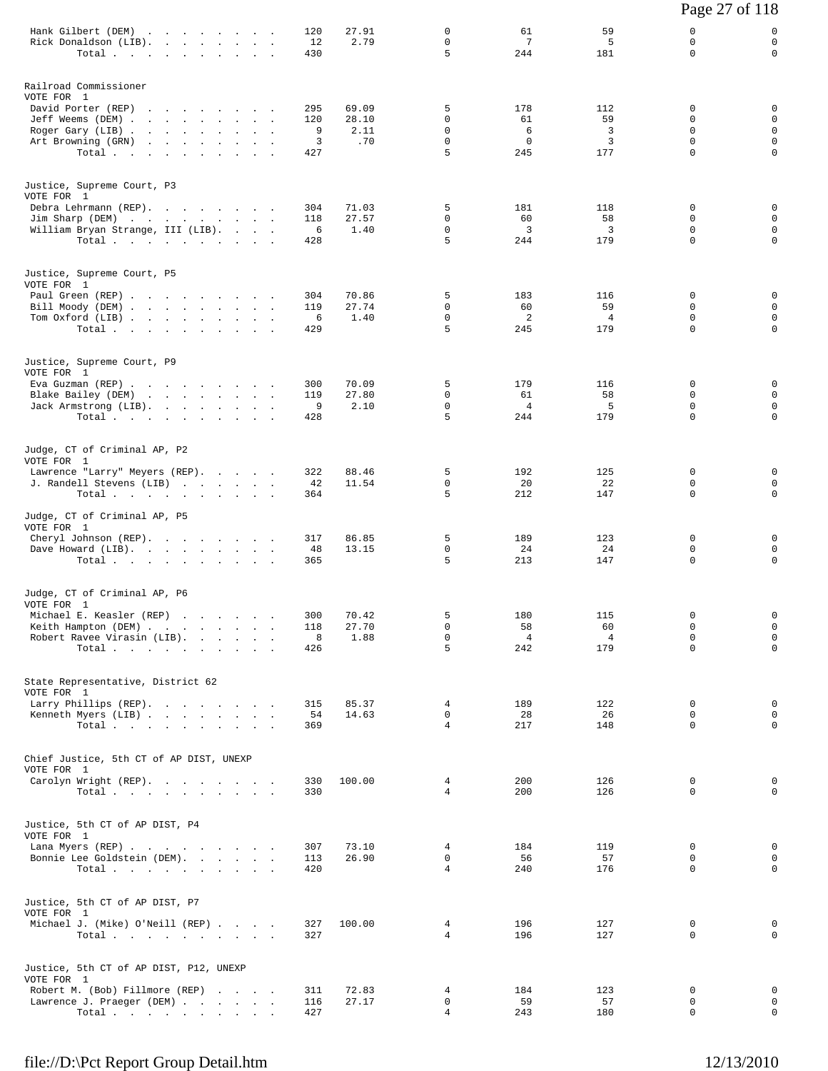|                                                                                                                                                         |                             |                               |                                      |                                      |                                    | Page 27 of 118                       |                                                               |
|---------------------------------------------------------------------------------------------------------------------------------------------------------|-----------------------------|-------------------------------|--------------------------------------|--------------------------------------|------------------------------------|--------------------------------------|---------------------------------------------------------------|
| Hank Gilbert (DEM)<br>Rick Donaldson (LIB).<br>Total                                                                                                    | 120<br>12<br>430            | 27.91<br>2.79                 | 0<br>0<br>5                          | 61<br>$7\phantom{.0}$<br>244         | 59<br>5<br>181                     | 0<br>0<br>$\Omega$                   | 0<br>$\mathbf 0$<br>$\mathbf 0$                               |
| Railroad Commissioner<br>VOTE FOR 1<br>David Porter (REP)<br>Jeff Weems (DEM)<br>Roger Gary (LIB)<br>Art Browning (GRN)<br>Total $\cdots$               | 295<br>120<br>9<br>3<br>427 | 69.09<br>28.10<br>2.11<br>.70 | 5<br>0<br>0<br>$\mathbf 0$<br>5      | 178<br>61<br>6<br>$\mathbf 0$<br>245 | 112<br>59<br>3<br>3<br>177         | 0<br>0<br>0<br>0<br>0                | 0<br>$\mathbf 0$<br>$\mathbf 0$<br>$\mathbf 0$<br>$\mathbf 0$ |
| Justice, Supreme Court, P3<br>VOTE FOR 1<br>Debra Lehrmann (REP).<br>Jim Sharp (DEM)<br>William Bryan Strange, III (LIB).<br>Total                      | 304<br>118<br>6<br>428      | 71.03<br>27.57<br>1.40        | 5<br>0<br>0<br>5                     | 181<br>60<br>3<br>244                | 118<br>58<br>3<br>179              | 0<br>0<br>0<br>$\mathbf 0$           | 0<br>$\mathbf 0$<br>$\mathbf 0$<br>$\mathbf 0$                |
| Justice, Supreme Court, P5<br>VOTE FOR 1<br>Paul Green (REP)<br>Bill Moody (DEM)<br>Tom Oxford (LIB)<br>Total                                           | 304<br>119<br>6<br>429      | 70.86<br>27.74<br>1.40        | 5<br>0<br>$\mathbf 0$<br>5           | 183<br>60<br>2<br>245                | 116<br>59<br>$\overline{4}$<br>179 | 0<br>0<br>0<br>$\Omega$              | 0<br>$\mathbf 0$<br>$\mathbf 0$<br>$\mathbf 0$                |
| Justice, Supreme Court, P9<br>VOTE FOR 1<br>Eva Guzman (REP)<br>Blake Bailey (DEM)<br>Jack Armstrong (LIB).<br>Total                                    | 300<br>119<br>9<br>428      | 70.09<br>27.80<br>2.10        | 5<br>0<br>$\mathbf 0$<br>5           | 179<br>61<br>4<br>244                | 116<br>58<br>5<br>179              | 0<br>0<br>$\mathbf 0$<br>$\mathbf 0$ | 0<br>0<br>$\mathbf 0$<br>$\mathbf 0$                          |
| Judge, CT of Criminal AP, P2<br>VOTE FOR 1<br>Lawrence "Larry" Meyers (REP).<br>J. Randell Stevens (LIB)<br>Total                                       | 322<br>42<br>364            | 88.46<br>11.54                | 5<br>0<br>5                          | 192<br>20<br>212                     | 125<br>22<br>147                   | 0<br>$\Omega$<br>$\mathbf 0$         | 0<br>0<br>$\mathbf 0$                                         |
| Judge, CT of Criminal AP, P5<br>VOTE FOR 1<br>Cheryl Johnson (REP).<br>Dave Howard (LIB).<br>Total                                                      | 317<br>48<br>365            | 86.85<br>13.15                | 5<br>0<br>5                          | 189<br>24<br>213                     | 123<br>24<br>147                   | 0<br>0<br>0                          | 0<br>0<br>0                                                   |
| Judge, CT of Criminal AP, P6<br>VOTE FOR 1<br>Michael E. Keasler (REP)<br>Keith Hampton (DEM)<br>Robert Ravee Virasin (LIB).<br>Total $\cdots$          | 300<br>118<br>8<br>426      | 70.42<br>27.70<br>1.88        | 5<br>$\mathbf 0$<br>$\mathbf 0$<br>5 | 180<br>58<br>$\overline{4}$<br>242   | 115<br>60<br>$\overline{4}$<br>179 | 0<br>$\mathbf 0$<br>0<br>0           | $\mathbf 0$<br>$\mathsf 0$<br>$\mathbf 0$<br>$\mathbf 0$      |
| State Representative, District 62<br>VOTE FOR 1<br>Larry Phillips (REP).<br>Kenneth Myers (LIB)<br>Total $\cdots$                                       | 315<br>54<br>369            | 85.37<br>14.63                | 4<br>0<br>$\overline{4}$             | 189<br>28<br>217                     | 122<br>26<br>148                   | 0<br>0<br>$\mathbf 0$                | 0<br>0<br>$\mathbf 0$                                         |
| Chief Justice, 5th CT of AP DIST, UNEXP<br>VOTE FOR 1<br>Carolyn Wright (REP).<br>Total $\cdots$                                                        | 330<br>330                  | 100.00                        | $\overline{4}$<br>$\overline{4}$     | 200<br>200                           | 126<br>126                         | 0<br>$\Omega$                        | 0<br>$\mathbf 0$                                              |
| Justice, 5th CT of AP DIST, P4<br>VOTE FOR 1<br>Lana Myers (REP)<br>Bonnie Lee Goldstein (DEM).<br>Total $\cdots$                                       | 307<br>113<br>420           | 73.10<br>26.90                | 4<br>0<br>$\overline{4}$             | 184<br>56<br>240                     | 119<br>57<br>176                   | 0<br>0<br>0                          | 0<br>0<br>$\mathbf 0$                                         |
| Justice, 5th CT of AP DIST, P7<br>VOTE FOR 1<br>Michael J. (Mike) O'Neill (REP)<br>Total $\cdots$                                                       | 327<br>327                  | 100.00                        | $\overline{4}$<br>$\overline{4}$     | 196<br>196                           | 127<br>127                         | 0<br>0                               | 0<br>$\mathbf 0$                                              |
| Justice, 5th CT of AP DIST, P12, UNEXP<br>VOTE FOR 1<br>Robert M. (Bob) Fillmore (REP)<br>Lawrence J. Praeger (DEM)<br>Total $\cdots$ $\cdots$ $\cdots$ | 311<br>116<br>427           | 72.83<br>27.17                | 4<br>0<br>4                          | 184<br>59<br>243                     | 123<br>57<br>180                   | 0<br>0<br>0                          | 0<br>0<br>$\mathbf 0$                                         |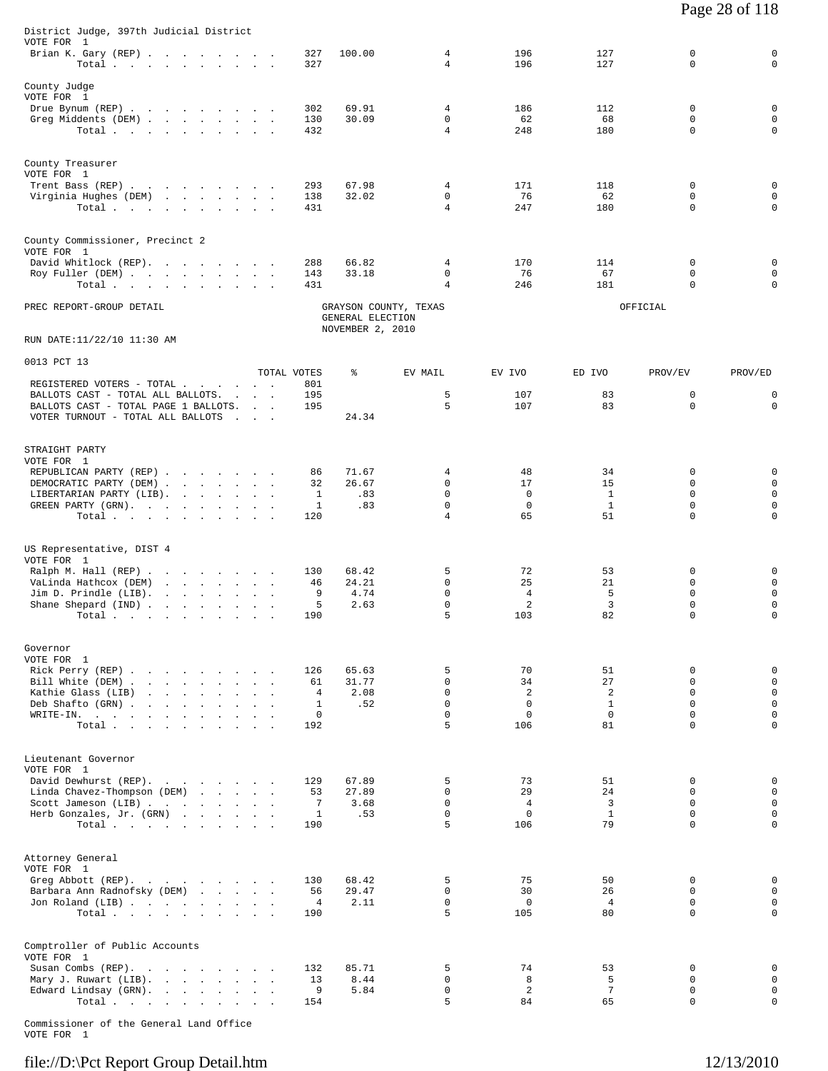| District Judge, 397th Judicial District                                                   |                      |                                                               |                             |                    |                      |                            |                             |
|-------------------------------------------------------------------------------------------|----------------------|---------------------------------------------------------------|-----------------------------|--------------------|----------------------|----------------------------|-----------------------------|
| VOTE FOR 1<br>Brian K. Gary (REP)<br>Total $\cdots$ $\cdots$ $\cdots$                     | 327<br>327           | 100.00                                                        | 4<br>4                      | 196<br>196         | 127<br>127           | 0<br>0                     | $\mathbf 0$<br>$\mathbf 0$  |
| County Judge                                                                              |                      |                                                               |                             |                    |                      |                            |                             |
| VOTE FOR 1<br>Drue Bynum (REP)                                                            | 302                  | 69.91                                                         | 4                           | 186                | 112                  | 0                          | $\mathbf 0$                 |
| Greg Middents (DEM)                                                                       | 130                  | 30.09                                                         | $\mathbf 0$                 | 62                 | 68                   | 0                          | 0                           |
| Total                                                                                     | 432                  |                                                               | $\overline{4}$              | 248                | 180                  | $\mathbf 0$                | $\mathbf 0$                 |
| County Treasurer                                                                          |                      |                                                               |                             |                    |                      |                            |                             |
| VOTE FOR 1<br>Trent Bass (REP)                                                            | 293                  | 67.98                                                         | 4                           | 171                | 118                  | 0                          | $\mathbf 0$                 |
| Virginia Hughes (DEM)                                                                     | 138                  | 32.02                                                         | 0                           | 76                 | 62                   | 0                          | $\mathbf 0$                 |
| Total $\cdots$ $\cdots$ $\cdots$ $\cdots$                                                 | 431                  |                                                               | 4                           | 247                | 180                  | $\mathbf 0$                | $\mathbf 0$                 |
| County Commissioner, Precinct 2                                                           |                      |                                                               |                             |                    |                      |                            |                             |
| VOTE FOR 1<br>David Whitlock (REP).                                                       | 288                  | 66.82                                                         | 4                           | 170                | 114                  | 0                          | $\mathbf 0$                 |
| Roy Fuller (DEM)                                                                          | 143                  | 33.18                                                         | 0                           | 76                 | 67                   | 0                          | 0                           |
| Total                                                                                     | 431                  |                                                               | 4                           | 246                | 181                  | $\mathbf 0$                | $\mathbf 0$                 |
| PREC REPORT-GROUP DETAIL                                                                  |                      | GRAYSON COUNTY, TEXAS<br>GENERAL ELECTION<br>NOVEMBER 2, 2010 |                             |                    |                      | OFFICIAL                   |                             |
| RUN DATE:11/22/10 11:30 AM                                                                |                      |                                                               |                             |                    |                      |                            |                             |
| 0013 PCT 13                                                                               | TOTAL VOTES          | ႜ                                                             | EV MAIL                     | EV IVO             | ED IVO               | PROV/EV                    | PROV/ED                     |
| REGISTERED VOTERS - TOTAL .<br>and the contract of the contract of                        | 801                  |                                                               |                             |                    |                      |                            |                             |
| BALLOTS CAST - TOTAL ALL BALLOTS.<br>BALLOTS CAST - TOTAL PAGE 1 BALLOTS.                 | 195<br>195           |                                                               | 5<br>5                      | 107<br>107         | 83<br>83             | 0<br>$\mathbf 0$           | 0<br>$\mathbf 0$            |
| VOTER TURNOUT - TOTAL ALL BALLOTS<br><b>Contract Contract Contract</b>                    |                      | 24.34                                                         |                             |                    |                      |                            |                             |
| STRAIGHT PARTY                                                                            |                      |                                                               |                             |                    |                      |                            |                             |
| VOTE FOR 1                                                                                |                      |                                                               |                             |                    |                      |                            |                             |
| REPUBLICAN PARTY (REP)                                                                    | 86<br>32             | 71.67<br>26.67                                                | 4<br>0                      | 48<br>17           | 34<br>15             | 0<br>0                     | 0<br>$\mathbf 0$            |
| DEMOCRATIC PARTY (DEM)<br>LIBERTARIAN PARTY (LIB).                                        | 1                    | .83                                                           | $\mathbf 0$                 | $\mathbf 0$        | 1                    | $\Omega$                   | 0                           |
| GREEN PARTY (GRN).                                                                        | $\mathbf{1}$         | .83                                                           | $\mathbf 0$                 | $\mathbf 0$        | $\mathbf{1}$         | $\mathbf 0$                | $\mathbf 0$                 |
| Total                                                                                     | 120                  |                                                               | 4                           | 65                 | 51                   | $\Omega$                   | $\mathbf 0$                 |
| US Representative, DIST 4                                                                 |                      |                                                               |                             |                    |                      |                            |                             |
| VOTE FOR 1<br>Ralph M. Hall (REP)                                                         | 130                  | 68.42                                                         | 5                           | 72                 | 53                   | 0                          | 0                           |
| VaLinda Hathcox (DEM)<br>the contract of the contract of the                              | 46                   | 24.21                                                         | $\mathbf 0$                 | 25                 | 21                   | 0                          | $\mathbf 0$                 |
| Jim D. Prindle $(LIB)$ .<br>Shane Shepard (IND)                                           | 9<br>5               | 4.74<br>2.63                                                  | $\mathbf 0$<br>0            | 4<br>2             | 5<br>3               | $\mathbf 0$<br>0           | $\mathbf 0$<br>0            |
| Total $\cdots$ $\cdots$ $\cdots$                                                          | 190                  |                                                               | 5                           | 103                | 82                   | $\mathbf 0$                | $\mathbf 0$                 |
|                                                                                           |                      |                                                               |                             |                    |                      |                            |                             |
| Governor<br>VOTE FOR 1                                                                    |                      |                                                               |                             |                    |                      |                            |                             |
| Rick Perry (REP)<br>$\sim$                                                                | 126                  | 65.63                                                         | 5                           | 70                 | 51                   | 0                          | $\mathbf 0$                 |
| Bill White (DEM)<br>Kathie Glass (LIB)<br>the contract of the contract of the contract of | 61<br>4              | 31.77<br>2.08                                                 | $\mathbf 0$<br>$\mathbf 0$  | 34<br>2            | 27<br>2              | $\mathbf 0$<br>$\mathbf 0$ | $\mathbf{0}$<br>$\mathbf 0$ |
| Deb Shafto (GRN)                                                                          | 1                    | .52                                                           | $\mathsf 0$                 | $\mathbf 0$        | $\mathbf{1}$         | $\mathbf 0$                | $\mathbf 0$                 |
| WRITE-IN.                                                                                 | 0<br>192             |                                                               | $\mathbf 0$<br>5            | $\mathbf 0$<br>106 | $\mathbf 0$<br>81    | $\mathbf 0$<br>$\Omega$    | $\mathbf{0}$<br>$\mathbf 0$ |
| Total                                                                                     |                      |                                                               |                             |                    |                      |                            |                             |
| Lieutenant Governor<br>VOTE FOR 1                                                         |                      |                                                               |                             |                    |                      |                            |                             |
| David Dewhurst (REP).                                                                     | 129                  | 67.89                                                         | 5                           | 73                 | 51                   | 0                          | $\mathbf 0$                 |
| Linda Chavez-Thompson (DEM)                                                               | 53                   | 27.89                                                         | 0                           | 29                 | 24                   | $\mathbf 0$                | $\mathbf 0$                 |
| Scott Jameson (LIB)<br>Herb Gonzales, Jr. (GRN)                                           | $\overline{7}$<br>1  | 3.68<br>.53                                                   | $\mathbf 0$<br>$\mathbf 0$  | 4<br>$\mathbf 0$   | 3<br>$\mathbf{1}$    | $\Omega$<br>$\mathbf 0$    | $\mathbf 0$<br>$\mathbf 0$  |
| Total $\cdots$                                                                            | 190                  |                                                               | 5                           | 106                | 79                   | $\Omega$                   | $\mathbf 0$                 |
| Attorney General                                                                          |                      |                                                               |                             |                    |                      |                            |                             |
| VOTE FOR 1                                                                                |                      |                                                               |                             |                    |                      |                            |                             |
| Greg Abbott (REP).                                                                        | 130                  | 68.42                                                         | 5                           | 75                 | 50                   | 0                          | 0<br>$\mathbf{0}$           |
| Barbara Ann Radnofsky (DEM)<br>Jon Roland (LIB)                                           | 56<br>$\overline{4}$ | 29.47<br>2.11                                                 | $\mathbf 0$<br>$\mathsf{O}$ | 30<br>0            | 26<br>$\overline{4}$ | $\mathbf 0$<br>0           | $\mathsf 0$                 |
| Total                                                                                     | 190                  |                                                               | 5                           | 105                | 80                   | $\Omega$                   | $\mathbf 0$                 |
| Comptroller of Public Accounts                                                            |                      |                                                               |                             |                    |                      |                            |                             |
| VOTE FOR 1                                                                                |                      |                                                               |                             |                    |                      |                            |                             |
| Susan Combs (REP).                                                                        | 132                  | 85.71                                                         | 5                           | 74                 | 53                   | 0                          | $\mathbf 0$                 |
| Mary J. Ruwart (LIB).<br>Edward Lindsay (GRN).                                            | 13<br>9              | 8.44<br>5.84                                                  | 0<br>$\mathsf{O}$           | 8<br>2             | 5<br>7               | 0<br>$\mathsf{O}$          | $\mathbf 0$<br>$\mathbf 0$  |
| Total                                                                                     | 154                  |                                                               | 5                           | 84                 | 65                   | $\Omega$                   | $\Omega$                    |

Commissioner of the General Land Office

VOTE FOR 1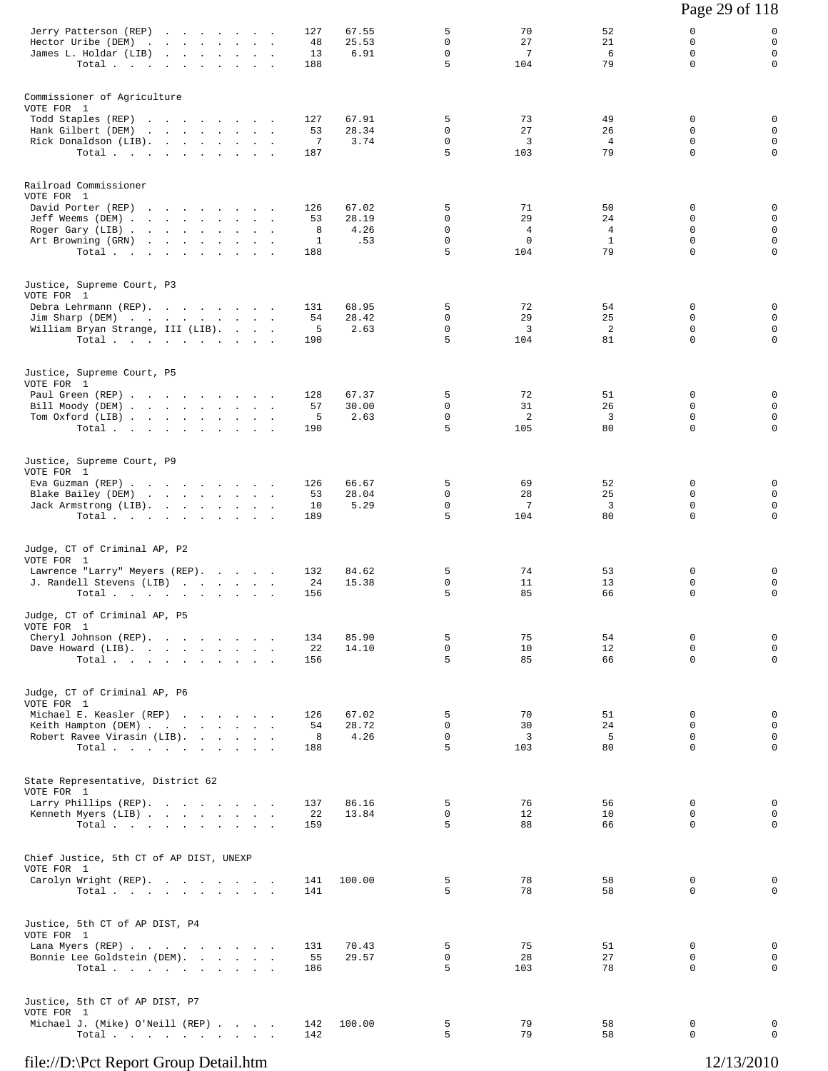|                                                                                                                                                   |                                                                                                                 |                      |                            |                               |                                           |                                                  |                                                  | Page 29 of 118                                   |                                                            |
|---------------------------------------------------------------------------------------------------------------------------------------------------|-----------------------------------------------------------------------------------------------------------------|----------------------|----------------------------|-------------------------------|-------------------------------------------|--------------------------------------------------|--------------------------------------------------|--------------------------------------------------|------------------------------------------------------------|
| Jerry Patterson (REP)<br>Hector Uribe (DEM)<br>James L. Holdar (LIB)<br>Total                                                                     | the company of the company of the company of<br>and the state<br>$\mathcal{L}^{\mathcal{L}}$                    | $\ddot{\phantom{a}}$ | 127<br>48<br>13<br>188     | 67.55<br>25.53<br>6.91        | 5<br>0<br>$\mathbf 0$<br>5                | 70<br>27<br>$7\phantom{.0}$<br>104               | 52<br>21<br>6<br>79                              | 0<br>$\mathbf 0$<br>$\mathbf 0$<br>$\mathbf 0$   | 0<br>$\mathbf 0$<br>$\mathbf 0$<br>$\mathbf 0$             |
| Commissioner of Agriculture<br>VOTE FOR 1<br>Todd Staples (REP)<br>Hank Gilbert (DEM)<br>Rick Donaldson (LIB).<br>Total.                          | the contract of the contract of the contract of<br>the contract of the contract of the                          |                      | 127<br>53<br>7<br>187      | 67.91<br>28.34<br>3.74        | 5<br>0<br>$\mathbf 0$<br>5                | 73<br>27<br>3<br>103                             | 49<br>26<br>$\overline{4}$<br>79                 | 0<br>0<br>$\mathbf 0$<br>$\mathbf 0$             | 0<br>$\mathbf 0$<br>$\mathbf 0$<br>$\mathbf 0$             |
| Railroad Commissioner<br>VOTE FOR 1<br>David Porter (REP)<br>Jeff Weems (DEM)<br>Roger Gary (LIB)<br>Art Browning (GRN)<br>Total                  | the contract of the contract of the contract of the contract of the contract of the contract of the contract of |                      | 126<br>53<br>8<br>1<br>188 | 67.02<br>28.19<br>4.26<br>.53 | 5<br>0<br>$\mathbf 0$<br>$\mathbf 0$<br>5 | 71<br>29<br>$\overline{4}$<br>$\mathbf 0$<br>104 | 50<br>24<br>$\overline{4}$<br>$\mathbf{1}$<br>79 | $\mathbf 0$<br>0<br>0<br>$\mathbf 0$<br>$\Omega$ | 0<br>$\mathbf 0$<br>$\mathsf 0$<br>$\mathsf 0$<br>$\Omega$ |
| Justice, Supreme Court, P3<br>VOTE FOR 1<br>Debra Lehrmann (REP).<br>Jim Sharp (DEM)<br>William Bryan Strange, III (LIB).<br>Total                |                                                                                                                 |                      | 131<br>54<br>5<br>190      | 68.95<br>28.42<br>2.63        | 5<br>$\mathbf 0$<br>$\mathbf 0$<br>5      | 72<br>29<br>3<br>104                             | 54<br>25<br>2<br>81                              | 0<br>0<br>$\mathbf 0$<br>$\mathbf 0$             | 0<br>$\mathbf 0$<br>$\mathbf 0$<br>$\mathbf 0$             |
| Justice, Supreme Court, P5<br>VOTE FOR 1<br>Paul Green (REP)<br>Bill Moody (DEM)<br>Tom Oxford (LIB)<br>Total $\cdots$ $\cdots$ $\cdots$ $\cdots$ |                                                                                                                 |                      | 128<br>57<br>5<br>190      | 67.37<br>30.00<br>2.63        | 5<br>$\mathbf 0$<br>$\mathbf 0$<br>5      | 72<br>31<br>2<br>105                             | 51<br>26<br>$\overline{3}$<br>80                 | $\mathbf 0$<br>0<br>$\mathbf 0$<br>0             | 0<br>$\mathbf 0$<br>$\mathbf 0$<br>$\mathbf 0$             |
| Justice, Supreme Court, P9<br>VOTE FOR 1<br>Eva Guzman (REP)<br>Blake Bailey (DEM)<br>Jack Armstrong (LIB).<br>Total                              | the contract of the contract of the contract of the contract of the contract of                                 |                      | 126<br>53<br>10<br>189     | 66.67<br>28.04<br>5.29        | 5<br>$\mathbf 0$<br>0<br>5                | 69<br>28<br>7<br>104                             | 52<br>25<br>$\overline{3}$<br>80                 | 0<br>0<br>0<br>$\Omega$                          | 0<br>$\mathbf 0$<br>$\mathbf 0$<br>$\mathbf 0$             |
| Judge, CT of Criminal AP, P2<br>VOTE FOR 1<br>Lawrence "Larry" Meyers (REP).<br>J. Randell Stevens (LIB)<br>Total $\cdots$ $\cdots$ $\cdots$      |                                                                                                                 |                      | 132<br>24<br>156           | 84.62<br>15.38                | 5<br>0<br>5                               | 74<br>11<br>85                                   | 53<br>13<br>66                                   | 0<br>0<br>$\mathbf 0$                            | 0<br>0<br>$\mathbf 0$                                      |
| Judge, CT of Criminal AP, P5<br>VOTE FOR 1<br>Cheryl Johnson (REP).<br>Dave Howard (LIB).<br>Total $\cdots$                                       |                                                                                                                 |                      | 134<br>22<br>156           | 85.90<br>14.10                | 5<br>$\mathbf 0$<br>5                     | 75<br>10<br>85                                   | 54<br>12<br>66                                   | $\mathbf 0$<br>$\mathbf 0$<br>$\Omega$           | 0<br>$\mathbf 0$<br>$\mathbf 0$                            |
| Judge, CT of Criminal AP, P6<br>VOTE FOR 1<br>Michael E. Keasler (REP)<br>Keith Hampton (DEM)<br>Robert Ravee Virasin (LIB).<br>Total             |                                                                                                                 |                      | 126<br>54<br>8<br>188      | 67.02<br>28.72<br>4.26        | 5<br>$\mathbf 0$<br>$\mathbf 0$<br>5      | 70<br>30<br>3<br>103                             | 51<br>24<br>- 5<br>80                            | $\mathbf 0$<br>$\mathbf 0$<br>0<br>$\Omega$      | 0<br>$\mathbf 0$<br>$\mathsf{O}$<br>$\mathbf 0$            |
| State Representative, District 62<br>VOTE FOR 1<br>Larry Phillips (REP).<br>Kenneth Myers (LIB)<br>Total.                                         |                                                                                                                 |                      | 137<br>22<br>159           | 86.16<br>13.84                | 5<br>0<br>5                               | 76<br>12<br>88                                   | 56<br>10<br>66                                   | $\mathbf 0$<br>$\mathbf 0$<br>$\Omega$           | $\mathbf 0$<br>$\mathbf 0$<br>$\mathbf 0$                  |
| Chief Justice, 5th CT of AP DIST, UNEXP<br>VOTE FOR 1<br>Carolyn Wright (REP).<br>Total                                                           |                                                                                                                 |                      | 141<br>141                 | 100.00                        | 5<br>5                                    | 78<br>78                                         | 58<br>58                                         | $\mathbf 0$<br>$\mathbf 0$                       | 0<br>0                                                     |
| Justice, 5th CT of AP DIST, P4<br>VOTE FOR 1<br>Lana Myers (REP)<br>Bonnie Lee Goldstein (DEM).<br>Total                                          |                                                                                                                 |                      | 131<br>55<br>186           | 70.43<br>29.57                | 5<br>$\mathbf 0$<br>5                     | 75<br>28<br>103                                  | 51<br>27<br>78                                   | $\mathbf 0$<br>$\mathbf 0$<br>$\mathbf 0$        | $\mathbf 0$<br>$\mathsf{O}$<br>0                           |
| Justice, 5th CT of AP DIST, P7<br>VOTE FOR 1<br>Michael J. (Mike) O'Neill (REP)<br>Total                                                          |                                                                                                                 |                      | 142<br>142                 | 100.00                        | 5<br>5                                    | 79<br>79                                         | 58<br>58                                         | 0<br>0                                           | 0<br>$\mathbf 0$                                           |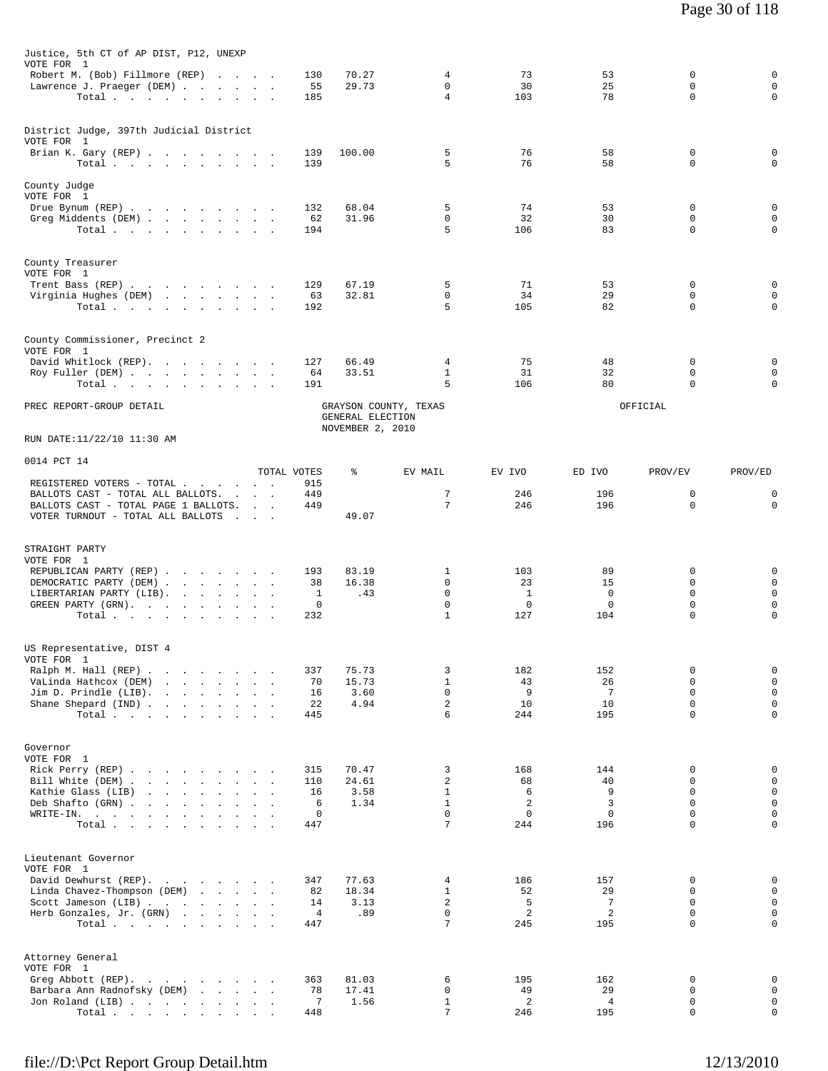| Justice, 5th CT of AP DIST, P12, UNEXP                                                    |                                                     |                       |                  |                                 |                       |                       |                              |                            |
|-------------------------------------------------------------------------------------------|-----------------------------------------------------|-----------------------|------------------|---------------------------------|-----------------------|-----------------------|------------------------------|----------------------------|
| VOTE FOR 1<br>Robert M. (Bob) Fillmore (REP)<br>Lawrence J. Praeger (DEM)<br>Total        |                                                     | 130<br>55<br>185      | 70.27<br>29.73   | 4<br>0<br>$\overline{4}$        | 73<br>30<br>103       | 53<br>25<br>78        | 0<br>$\Omega$<br>$\mathbf 0$ | 0<br>$\mathbf 0$<br>0      |
|                                                                                           |                                                     |                       |                  |                                 |                       |                       |                              |                            |
| District Judge, 397th Judicial District<br>VOTE FOR 1                                     |                                                     |                       |                  |                                 |                       |                       |                              |                            |
| Brian K. Gary (REP)<br>Total.                                                             |                                                     | 139<br>139            | 100.00           | 5<br>5                          | 76<br>76              | 58<br>58              | 0<br>$\Omega$                | 0<br>0                     |
| County Judge<br>VOTE FOR 1                                                                |                                                     |                       |                  |                                 |                       |                       |                              |                            |
| Drue Bynum (REP)                                                                          |                                                     | 132                   | 68.04            | 5<br>0                          | 74<br>32              | 53<br>30              | $\mathbf 0$<br>$\mathbf 0$   | 0<br>0                     |
| Greg Middents (DEM)<br>Total                                                              |                                                     | 62<br>194             | 31.96            | 5                               | 106                   | 83                    | 0                            | 0                          |
| County Treasurer<br>VOTE FOR 1                                                            |                                                     |                       |                  |                                 |                       |                       |                              |                            |
| Trent Bass (REP)                                                                          |                                                     | 129                   | 67.19            | 5                               | 71                    | 53                    | 0                            | 0                          |
| Virginia Hughes (DEM)<br>Total                                                            |                                                     | 63<br>192             | 32.81            | $\mathbf 0$<br>5                | 34<br>105             | 29<br>82              | $\mathbf 0$<br>0             | $\mathbf 0$<br>0           |
| County Commissioner, Precinct 2                                                           |                                                     |                       |                  |                                 |                       |                       |                              |                            |
| VOTE FOR 1<br>David Whitlock (REP).                                                       |                                                     | 127                   | 66.49            | 4                               | 75                    | 48                    | $\mathbf 0$                  | 0                          |
| Roy Fuller (DEM)<br>Total                                                                 |                                                     | 64<br>191             | 33.51            | $\mathbf{1}$<br>5               | 31<br>106             | 32<br>80              | $\mathbf 0$<br>0             | $\mathbf 0$<br>0           |
| PREC REPORT-GROUP DETAIL                                                                  |                                                     |                       | GENERAL ELECTION | GRAYSON COUNTY, TEXAS           |                       |                       | OFFICIAL                     |                            |
| RUN DATE:11/22/10 11:30 AM                                                                |                                                     |                       | NOVEMBER 2, 2010 |                                 |                       |                       |                              |                            |
| 0014 PCT 14                                                                               |                                                     | TOTAL VOTES           | ႜ                | EV MAIL                         | EV IVO                | ED IVO                | PROV/EV                      | PROV/ED                    |
| REGISTERED VOTERS - TOTAL<br>BALLOTS CAST - TOTAL ALL BALLOTS.                            |                                                     | 915<br>449            |                  | 7                               | 246                   | 196                   | 0                            | 0                          |
| BALLOTS CAST - TOTAL PAGE 1 BALLOTS.<br>VOTER TURNOUT - TOTAL ALL BALLOTS                 | <b>Contract Contract</b><br><b>Carl Corporation</b> | 449                   | 49.07            | 7                               | 246                   | 196                   | 0                            | $\mathbf 0$                |
| STRAIGHT PARTY<br>VOTE FOR 1                                                              |                                                     |                       |                  |                                 |                       |                       |                              |                            |
| REPUBLICAN PARTY (REP)                                                                    |                                                     | 193                   | 83.19            | 1                               | 103                   | 89                    | 0                            | 0                          |
| DEMOCRATIC PARTY (DEM)<br>LIBERTARIAN PARTY (LIB).                                        |                                                     | 38<br>1               | 16.38<br>.43     | 0<br>0                          | 23<br>$\mathbf{1}$    | 15<br>$\mathbf 0$     | 0<br>0                       | $\mathbf 0$<br>0           |
| GREEN PARTY (GRN).<br>Total                                                               |                                                     | 0<br>232              |                  | 0<br>$\mathbf{1}$               | 0<br>127              | 0<br>104              | $\mathsf 0$<br>0             | 0<br>0                     |
| US Representative, DIST 4                                                                 |                                                     |                       |                  |                                 |                       |                       |                              |                            |
| VOTE FOR 1<br>Ralph M. Hall (REP)                                                         |                                                     | 337                   | 75.73            | 3                               | 182                   | 152                   | 0                            | 0                          |
| VaLinda Hathcox (DEM)<br>the contract of the contract of                                  |                                                     | 70                    | 15.73            | $\mathbf{1}$                    | 43                    | 26                    | $\Omega$                     | $\mathbf 0$                |
| Jim D. Prindle (LIB).<br>and the contract of the contract of<br>Shane Shepard (IND)       |                                                     | 16<br>22              | 3.60<br>4.94     | $\mathbf 0$<br>2                | 9<br>10               | 7<br>10               | 0<br>$\mathbf 0$             | 0<br>$\mathbf 0$           |
| Total                                                                                     |                                                     | 445                   |                  | 6                               | 244                   | 195                   | $\Omega$                     | 0                          |
| Governor<br>VOTE FOR 1                                                                    |                                                     |                       |                  |                                 |                       |                       |                              |                            |
| Rick Perry (REP)                                                                          |                                                     | 315                   | 70.47            | 3                               | 168                   | 144                   | 0                            | 0                          |
| Bill White (DEM)<br>Kathie Glass (LIB)<br>the contract of the contract of the contract of |                                                     | 110<br>16             | 24.61<br>3.58    | $\overline{2}$<br>$\mathbf{1}$  | 68<br>6               | 40<br>9               | $\Omega$<br>$\Omega$         | $\mathbf 0$<br>$\mathbf 0$ |
| Deb Shafto (GRN)<br>WRITE-IN.                                                             |                                                     | 6<br>$\mathbf 0$      | 1.34             | $\mathbf{1}$<br>$\mathbf 0$     | 2<br>$\mathbf 0$      | 3<br>$\mathbf 0$      | $\mathbf 0$<br>$\mathbf 0$   | $\mathsf 0$<br>0           |
| Total                                                                                     |                                                     | 447                   |                  | 7                               | 244                   | 196                   | $\Omega$                     | 0                          |
| Lieutenant Governor<br>VOTE FOR 1                                                         |                                                     |                       |                  |                                 |                       |                       |                              |                            |
| David Dewhurst (REP).                                                                     |                                                     | 347                   | 77.63            | 4                               | 186                   | 157                   | 0                            | 0                          |
| Linda Chavez-Thompson (DEM)<br>Scott Jameson (LIB)                                        |                                                     | 82<br>14              | 18.34<br>3.13    | $\mathbf{1}$<br>2               | 52<br>5               | 29<br>$7\phantom{.0}$ | 0<br>$\Omega$                | 0<br>0                     |
| Herb Gonzales, Jr. (GRN)<br>Total                                                         |                                                     | $\overline{4}$<br>447 | .89              | $\mathbf 0$<br>7                | $\overline{a}$<br>245 | $\overline{a}$<br>195 | $\mathbf 0$<br>$\Omega$      | $\mathbf 0$<br>0           |
| Attorney General                                                                          |                                                     |                       |                  |                                 |                       |                       |                              |                            |
| VOTE FOR 1                                                                                |                                                     |                       |                  |                                 |                       |                       | 0                            | $\mathsf 0$                |
| Greg Abbott (REP).<br>Barbara Ann Radnofsky (DEM)                                         |                                                     | 363<br>78             | 81.03<br>17.41   | 6<br>0                          | 195<br>49             | 162<br>29             | $\mathbf 0$                  | $\mathbf 0$                |
| Jon Roland (LIB)<br>Total                                                                 |                                                     | 7<br>448              | 1.56             | $\mathbf{1}$<br>$7\phantom{.0}$ | 2<br>246              | $\overline{4}$<br>195 | 0<br>$\mathbf 0$             | 0<br>0                     |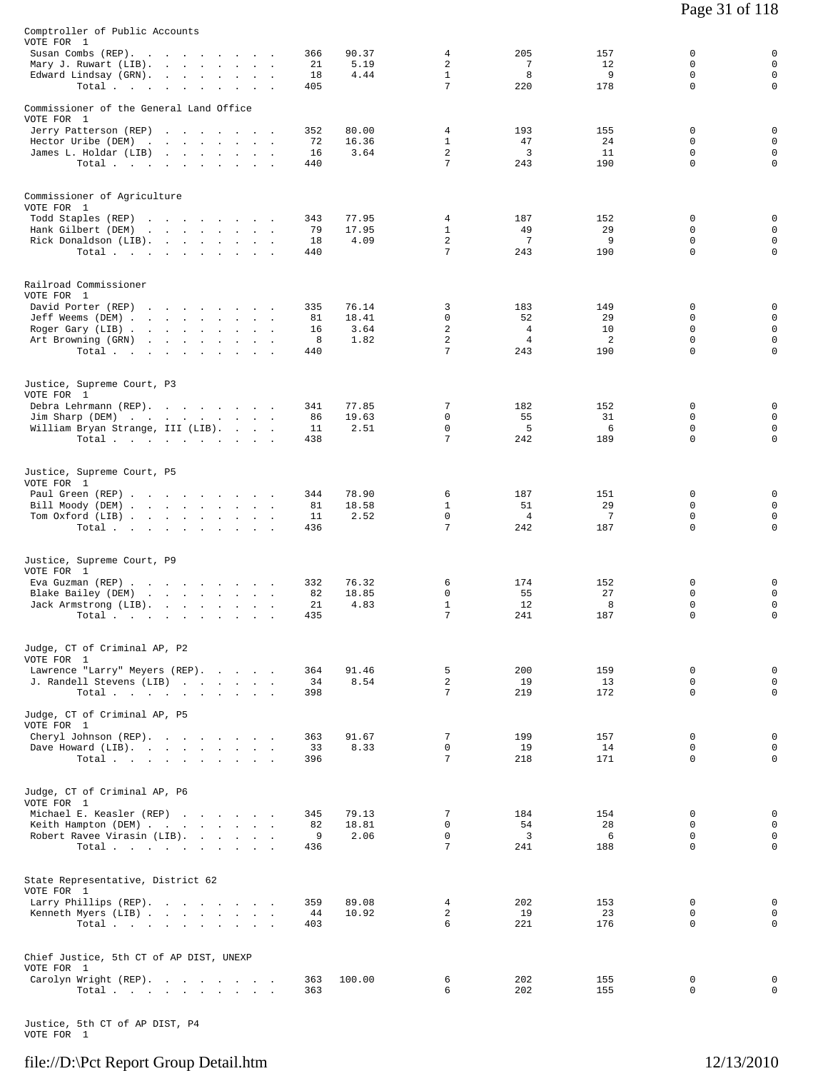| Comptroller of Public Accounts<br>VOTE FOR 1<br>Susan Combs (REP).     |                                                 |                                |                                | 366             | 90.37          | 4                                                | 205                           | 157                   | 0                                      | 0                                         |
|------------------------------------------------------------------------|-------------------------------------------------|--------------------------------|--------------------------------|-----------------|----------------|--------------------------------------------------|-------------------------------|-----------------------|----------------------------------------|-------------------------------------------|
| Mary J. Ruwart (LIB).<br>Edward Lindsay (GRN).<br>Total                |                                                 | $\ddot{\phantom{a}}$<br>$\sim$ | $\ddot{\phantom{a}}$<br>$\sim$ | 21<br>18<br>405 | 5.19<br>4.44   | $\overline{2}$<br>$\mathbf{1}$<br>$\overline{7}$ | 7<br>8<br>220                 | 12<br>9<br>178        | $\Omega$<br>$\mathbf 0$<br>$\mathbf 0$ | $\mathbf 0$<br>$\mathbf 0$<br>$\mathbf 0$ |
| Commissioner of the General Land Office<br>VOTE FOR 1                  |                                                 |                                |                                |                 |                |                                                  |                               |                       |                                        |                                           |
| Jerry Patterson (REP)                                                  |                                                 |                                |                                | 352             | 80.00          | 4                                                | 193                           | 155                   | 0                                      | 0                                         |
| Hector Uribe (DEM)<br>James L. Holdar (LIB)                            |                                                 |                                |                                | 72<br>16        | 16.36<br>3.64  | $\mathbf{1}$<br>2                                | 47<br>$\overline{3}$          | 24<br>11              | $\Omega$<br>$\mathbf 0$                | $\mathbf 0$<br>$\mathbf 0$                |
| Total                                                                  |                                                 |                                |                                | 440             |                | 7                                                | 243                           | 190                   | $\Omega$                               | $\mathbf 0$                               |
| Commissioner of Agriculture<br>VOTE FOR 1                              |                                                 |                                |                                |                 |                |                                                  |                               |                       |                                        |                                           |
| Todd Staples (REP)                                                     |                                                 |                                |                                | 343             | 77.95          | 4                                                | 187                           | 152                   | $\Omega$                               | 0                                         |
| Hank Gilbert (DEM)<br>Rick Donaldson (LIB).                            | the contract of the contract of the             |                                |                                | 79<br>18        | 17.95<br>4.09  | $\mathbf{1}$<br>2                                | 49<br>7                       | 29<br>9               | 0<br>0                                 | $\mathbf 0$<br>$\mathbf 0$                |
| Total                                                                  |                                                 |                                |                                | 440             |                | 7                                                | 243                           | 190                   | $\mathbf 0$                            | $\mathbf 0$                               |
| Railroad Commissioner<br>VOTE FOR 1                                    |                                                 |                                |                                |                 |                |                                                  |                               |                       |                                        |                                           |
| David Porter (REP)                                                     |                                                 |                                |                                | 335             | 76.14          | 3                                                | 183                           | 149                   | 0                                      | 0                                         |
| Jeff Weems (DEM)<br>Roger Gary (LIB)                                   |                                                 |                                |                                | 81<br>16        | 18.41<br>3.64  | $\mathbf 0$<br>2                                 | 52<br>$\overline{4}$          | 29<br>10              | $\Omega$<br>$\mathbf 0$                | $\mathbf 0$<br>$\mathbf 0$                |
| Art Browning (GRN)                                                     | the contract of the contract of the contract of |                                |                                | 8               | 1.82           | 2                                                | $\overline{4}$                | 2                     | $\Omega$                               | $\mathbf 0$                               |
| Total $\cdots$                                                         |                                                 |                                |                                | 440             |                | 7                                                | 243                           | 190                   | 0                                      | $\mathsf{O}$                              |
| Justice, Supreme Court, P3<br>VOTE FOR 1                               |                                                 |                                |                                |                 |                |                                                  |                               |                       |                                        |                                           |
| Debra Lehrmann (REP).                                                  |                                                 |                                |                                | 341<br>86       | 77.85<br>19.63 | 7<br>$\mathbf 0$                                 | 182<br>55                     | 152<br>31             | 0<br>$\Omega$                          | 0<br>$\mathbf 0$                          |
| Jim Sharp (DEM)<br>William Bryan Strange, III (LIB).<br>Total $\cdots$ |                                                 |                                |                                | 11<br>438       | 2.51           | $\mathbf 0$<br>7                                 | 5<br>242                      | 6<br>189              | $\mathbf 0$<br>0                       | $\mathbf 0$<br>$\mathbf 0$                |
|                                                                        |                                                 |                                |                                |                 |                |                                                  |                               |                       |                                        |                                           |
| Justice, Supreme Court, P5<br>VOTE FOR 1                               |                                                 |                                |                                |                 |                |                                                  |                               |                       |                                        |                                           |
| Paul Green (REP)                                                       |                                                 |                                |                                | 344             | 78.90          | 6                                                | 187                           | 151                   | 0                                      | 0                                         |
| Bill Moody (DEM)<br>Tom Oxford (LIB)                                   |                                                 |                                |                                | 81<br>11        | 18.58<br>2.52  | $\mathbf{1}$<br>0                                | 51<br>$\overline{4}$          | 29<br>$7\phantom{.0}$ | $\mathbf 0$<br>0                       | $\mathbf 0$<br>$\mathbf 0$                |
| Total                                                                  |                                                 |                                |                                | 436             |                | 7                                                | 242                           | 187                   | $\Omega$                               | $\mathbf 0$                               |
| Justice, Supreme Court, P9<br>VOTE FOR 1                               |                                                 |                                |                                |                 |                |                                                  |                               |                       |                                        |                                           |
| Eva Guzman (REP)                                                       |                                                 |                                |                                | 332             | 76.32          | 6                                                | 174                           | 152                   | 0                                      | 0                                         |
| Blake Bailey (DEM)<br>Jack Armstrong (LIB).                            |                                                 |                                |                                | 82<br>21        | 18.85<br>4.83  | 0<br>$\mathbf{1}$                                | 55<br>12                      | 27<br>8               | $\Omega$<br>0                          | $\mathbf 0$<br>$\mathbf 0$                |
| Total                                                                  |                                                 |                                | $\sim$ 100 $\mu$               | 435             |                | 7                                                | 241                           | 187                   | $\mathbf 0$                            | $\mathbf 0$                               |
| Judge, CT of Criminal AP, P2                                           |                                                 |                                |                                |                 |                |                                                  |                               |                       |                                        |                                           |
| VOTE FOR 1<br>Lawrence "Larry" Meyers (REP).                           |                                                 |                                |                                | 364             | 91.46          | 5                                                | 200                           | 159                   | $\mathbf 0$                            | 0                                         |
| J. Randell Stevens (LIB)<br>Total $\cdots$ $\cdots$ $\cdots$           |                                                 |                                |                                | 34<br>398       | 8.54           | $\overline{a}$<br>$7\phantom{.0}$                | 19<br>219                     | 13<br>172             | $\Omega$<br>$\mathbf 0$                | $\mathbf 0$<br>$\mathbf 0$                |
| Judge, CT of Criminal AP, P5                                           |                                                 |                                |                                |                 |                |                                                  |                               |                       |                                        |                                           |
| VOTE FOR 1<br>Cheryl Johnson (REP).                                    |                                                 |                                |                                | 363             | 91.67          | 7                                                | 199                           | 157                   | $\mathbf 0$                            | 0                                         |
| Dave Howard (LIB).                                                     |                                                 |                                |                                | 33              | 8.33           | $\mathbf 0$                                      | 19                            | 14                    | $\Omega$                               | $\mathbf 0$                               |
| Total                                                                  |                                                 |                                |                                | 396             |                | 7                                                | 218                           | 171                   | $\Omega$                               | $\mathbf 0$                               |
| Judge, CT of Criminal AP, P6<br>VOTE FOR 1                             |                                                 |                                |                                |                 |                |                                                  |                               |                       |                                        |                                           |
| Michael E. Keasler (REP)                                               |                                                 |                                |                                | 345             | 79.13          | 7                                                | 184                           | 154                   | $\mathbf 0$                            | 0                                         |
| Keith Hampton (DEM)<br>Robert Ravee Virasin (LIB).                     |                                                 |                                |                                | 82<br>9         | 18.81<br>2.06  | 0<br>$\mathbf 0$                                 | 54<br>$\overline{\mathbf{3}}$ | 28<br>- 6             | $\Omega$<br>$\Omega$                   | $\mathbf 0$<br>$\mathbf 0$                |
| Total                                                                  |                                                 |                                |                                | 436             |                | $7\phantom{.0}$                                  | 241                           | 188                   | $\Omega$                               | $\mathbf 0$                               |
| State Representative, District 62<br>VOTE FOR 1                        |                                                 |                                |                                |                 |                |                                                  |                               |                       |                                        |                                           |
| Larry Phillips (REP).                                                  |                                                 |                                |                                | 359             | 89.08          | $\overline{4}$                                   | 202                           | 153                   | $\mathbf 0$                            | 0                                         |
| Kenneth Myers (LIB)<br>Total                                           |                                                 |                                |                                | 44<br>403       | 10.92          | $\overline{a}$<br>6                              | 19<br>221                     | 23<br>176             | $\mathbf 0$<br>$\Omega$                | 0<br>$\Omega$                             |
|                                                                        |                                                 |                                |                                |                 |                |                                                  |                               |                       |                                        |                                           |
| Chief Justice, 5th CT of AP DIST, UNEXP<br>VOTE FOR 1                  |                                                 |                                |                                |                 |                |                                                  |                               |                       |                                        |                                           |
| Carolyn Wright (REP).<br>Total $\cdots$ $\cdots$ $\cdots$              |                                                 |                                |                                | 363<br>363      | 100.00         | 6<br>6                                           | 202<br>202                    | 155<br>155            | 0<br>0                                 | 0<br>$\mathbf 0$                          |
|                                                                        |                                                 |                                |                                |                 |                |                                                  |                               |                       |                                        |                                           |

Justice, 5th CT of AP DIST, P4 VOTE FOR 1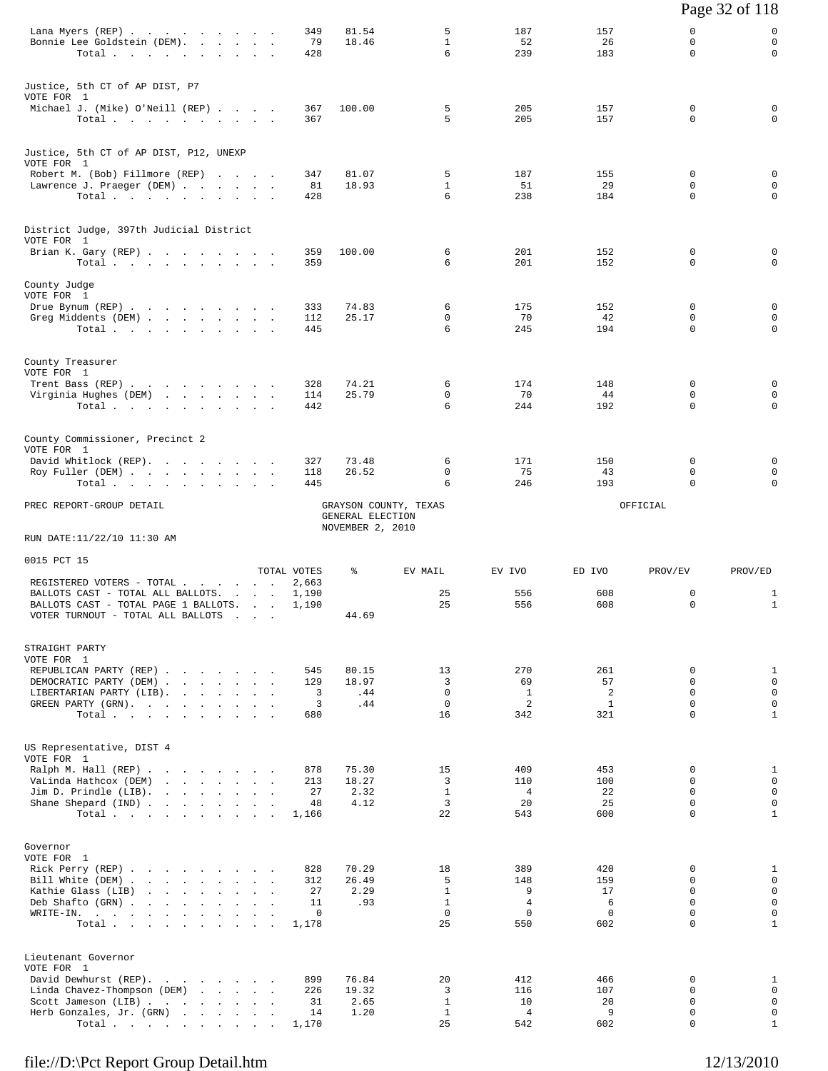|                                                                                                                                                                                                                                                                                     |                  |                                                               |                              |                               |                  |                              | Page 32 of 118              |
|-------------------------------------------------------------------------------------------------------------------------------------------------------------------------------------------------------------------------------------------------------------------------------------|------------------|---------------------------------------------------------------|------------------------------|-------------------------------|------------------|------------------------------|-----------------------------|
| Lana Myers (REP)<br>Bonnie Lee Goldstein (DEM).<br>Total                                                                                                                                                                                                                            | 349<br>79<br>428 | 81.54<br>18.46                                                | 5<br>$\mathbf{1}$<br>6       | 187<br>52<br>239              | 157<br>26<br>183 | $\mathbf 0$<br>0<br>$\Omega$ | 0<br>0<br>0                 |
| Justice, 5th CT of AP DIST, P7<br>VOTE FOR 1                                                                                                                                                                                                                                        |                  |                                                               |                              |                               |                  |                              |                             |
| Michael J. (Mike) O'Neill (REP)<br>Total $\cdots$ $\cdots$ $\cdots$                                                                                                                                                                                                                 | 367<br>367       | 100.00                                                        | 5<br>5                       | 205<br>205                    | 157<br>157       | 0<br>0                       | 0<br>0                      |
| Justice, 5th CT of AP DIST, P12, UNEXP<br>VOTE FOR 1                                                                                                                                                                                                                                |                  |                                                               |                              |                               |                  |                              |                             |
| Robert M. (Bob) Fillmore (REP)<br>Lawrence J. Praeger (DEM)                                                                                                                                                                                                                         | 347<br>81        | 81.07<br>18.93                                                | 5<br>$\mathbf{1}$            | 187<br>51                     | 155<br>29        | $\mathbf 0$<br>$\mathbf 0$   | $\mathbf 0$<br>0            |
| Total                                                                                                                                                                                                                                                                               | 428              |                                                               | 6                            | 238                           | 184              | 0                            | $\mathbf 0$                 |
| District Judge, 397th Judicial District<br>VOTE FOR 1                                                                                                                                                                                                                               |                  |                                                               |                              |                               |                  |                              |                             |
| Brian K. Gary (REP)<br>Total                                                                                                                                                                                                                                                        | 359<br>359       | 100.00                                                        | 6<br>6                       | 201<br>201                    | 152<br>152       | $\mathbf 0$<br>$\mathbf 0$   | 0<br>0                      |
| County Judge<br>VOTE FOR 1                                                                                                                                                                                                                                                          |                  |                                                               |                              |                               |                  |                              |                             |
| Drue Bynum (REP)                                                                                                                                                                                                                                                                    | 333              | 74.83                                                         | 6                            | 175                           | 152              | 0                            | 0                           |
| Greg Middents (DEM)<br>Total                                                                                                                                                                                                                                                        | 112<br>445       | 25.17                                                         | 0<br>6                       | 70<br>245                     | 42<br>194        | 0<br>$\Omega$                | $\mathbf 0$<br>0            |
| County Treasurer<br>VOTE FOR 1                                                                                                                                                                                                                                                      |                  |                                                               |                              |                               |                  |                              |                             |
| Trent Bass (REP)<br>Virginia Hughes (DEM)                                                                                                                                                                                                                                           | 328<br>114       | 74.21<br>25.79                                                | 6<br>0                       | 174<br>70                     | 148<br>44        | 0<br>0                       | 0<br>0                      |
| Total $\cdots$ $\cdots$ $\cdots$                                                                                                                                                                                                                                                    | 442              |                                                               | 6                            | 244                           | 192              | $\Omega$                     | 0                           |
| County Commissioner, Precinct 2<br>VOTE FOR 1                                                                                                                                                                                                                                       |                  |                                                               |                              |                               |                  |                              |                             |
| David Whitlock (REP).<br>Roy Fuller (DEM)                                                                                                                                                                                                                                           | 327<br>118       | 73.48<br>26.52                                                | 6<br>0                       | 171<br>75                     | 150<br>43        | 0<br>0                       | 0<br>0                      |
| Total                                                                                                                                                                                                                                                                               | 445              |                                                               | 6                            | 246                           | 193              | $\Omega$                     | 0                           |
| PREC REPORT-GROUP DETAIL                                                                                                                                                                                                                                                            |                  | GRAYSON COUNTY, TEXAS<br>GENERAL ELECTION<br>NOVEMBER 2, 2010 |                              |                               |                  | OFFICIAL                     |                             |
| RUN DATE:11/22/10 11:30 AM                                                                                                                                                                                                                                                          |                  |                                                               |                              |                               |                  |                              |                             |
| 0015 PCT 15                                                                                                                                                                                                                                                                         | TOTAL VOTES      | ႜ                                                             | EV MAIL                      | EV IVO                        | ED IVO           | PROV/EV                      | PROV/ED                     |
| REGISTERED VOTERS - TOTAL<br>BALLOTS CAST - TOTAL ALL BALLOTS.                                                                                                                                                                                                                      | 2,663            |                                                               | 25                           | 556                           | 608              | 0                            |                             |
| BALLOTS CAST - TOTAL PAGE 1 BALLOTS.<br>VOTER TURNOUT - TOTAL ALL BALLOTS                                                                                                                                                                                                           | 1,190<br>1,190   | 44.69                                                         | 25                           | 556                           | 608              | 0                            | 1<br>$\mathbf{1}$           |
| STRAIGHT PARTY<br>VOTE FOR 1                                                                                                                                                                                                                                                        |                  |                                                               |                              |                               |                  |                              |                             |
| REPUBLICAN PARTY (REP)                                                                                                                                                                                                                                                              | 545              | 80.15                                                         | 13                           | 270                           | 261              | 0                            | $\mathbf{1}$<br>$\mathbf 0$ |
| DEMOCRATIC PARTY (DEM)<br>LIBERTARIAN PARTY (LIB).                                                                                                                                                                                                                                  | 129<br>3         | 18.97<br>.44                                                  | 3<br>$\mathbf 0$             | 69<br>$\mathbf{1}$            | 57<br>2          | $\Omega$<br>0                | $\mathbf 0$                 |
| GREEN PARTY (GRN).<br>Total                                                                                                                                                                                                                                                         | 3<br>680         | .44                                                           | $\mathbf 0$<br>16            | 2<br>342                      | 1<br>321         | $\mathbf 0$<br>$\Omega$      | $\mathsf 0$<br>$\mathbf{1}$ |
| US Representative, DIST 4<br>VOTE FOR 1                                                                                                                                                                                                                                             |                  |                                                               |                              |                               |                  |                              |                             |
| Ralph M. Hall (REP)                                                                                                                                                                                                                                                                 | 878              | 75.30                                                         | 15                           | 409                           | 453              | 0                            | $\mathbf{1}$                |
| VaLinda Hathcox (DEM)<br>Jim D. Prindle (LIB).<br>$\mathbf{r}$ . The contract of the contract of the contract of the contract of the contract of the contract of the contract of the contract of the contract of the contract of the contract of the contract of the contract of th | 213<br>27        | 18.27<br>2.32                                                 | 3<br>$\mathbf{1}$            | 110<br>4                      | 100<br>22        | $\Omega$<br>$\Omega$         | $\mathbf 0$<br>$\mathbf 0$  |
| Shane Shepard (IND)<br>Total $\cdots$ $\cdots$ $\cdots$ $\cdots$                                                                                                                                                                                                                    | 48<br>1,166      | 4.12                                                          | 3<br>22                      | 20<br>543                     | 25<br>600        | $\mathbf 0$<br>$\Omega$      | $\mathsf 0$<br>$\mathbf{1}$ |
| Governor                                                                                                                                                                                                                                                                            |                  |                                                               |                              |                               |                  |                              |                             |
| VOTE FOR 1<br>Rick Perry (REP)                                                                                                                                                                                                                                                      | 828              | 70.29                                                         | 18                           | 389                           | 420              | $\Omega$<br>$\Omega$         | $\mathbf{1}$<br>$\mathbf 0$ |
| Bill White (DEM)<br>Kathie Glass (LIB)                                                                                                                                                                                                                                              | 312<br>27        | 26.49<br>2.29                                                 | 5<br>$\mathbf{1}$            | 148<br>9                      | 159<br>17        | 0                            | $\mathbf 0$                 |
| Deb Shafto (GRN)<br>WRITE-IN.                                                                                                                                                                                                                                                       | 11<br>0          | .93                                                           | $\mathbf{1}$<br>$\mathbf 0$  | $\overline{4}$<br>$\mathbf 0$ | 6<br>$\Omega$    | $\Omega$<br>$\Omega$         | $\mathsf 0$<br>$\mathsf{O}$ |
| Total                                                                                                                                                                                                                                                                               | 1,178            |                                                               | 25                           | 550                           | 602              | $\Omega$                     | $\mathbf{1}$                |
| Lieutenant Governor<br>VOTE FOR 1                                                                                                                                                                                                                                                   |                  |                                                               |                              |                               |                  |                              |                             |
| David Dewhurst (REP).<br>Linda Chavez-Thompson (DEM)                                                                                                                                                                                                                                | 899<br>226       | 76.84<br>19.32                                                | 20<br>3                      | 412<br>116                    | 466<br>107       | 0<br>$\Omega$                | $\mathbf{1}$<br>$\mathbf 0$ |
| Scott Jameson (LIB)<br>Herb Gonzales, Jr. (GRN)                                                                                                                                                                                                                                     | 31<br>14         | 2.65<br>1.20                                                  | $\mathbf{1}$<br>$\mathbf{1}$ | 10<br>4                       | 20<br>9          | $\mathbf 0$<br>0             | $\mathsf 0$<br>$\mathsf{O}$ |
| Total                                                                                                                                                                                                                                                                               | 1,170            |                                                               | 25                           | 542                           | 602              | $\Omega$                     | $\mathbf{1}$                |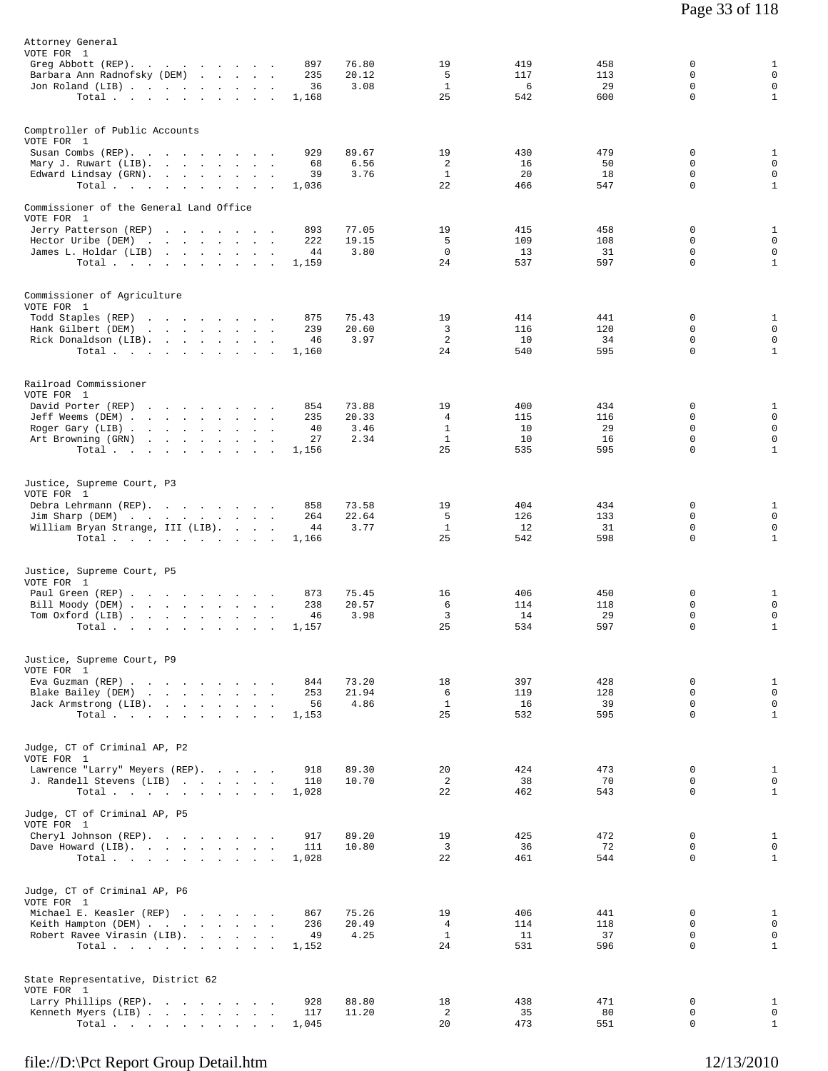| Attorney General                                                                                                                                                                                                               |                                                                                                  |
|--------------------------------------------------------------------------------------------------------------------------------------------------------------------------------------------------------------------------------|--------------------------------------------------------------------------------------------------|
| VOTE FOR 1<br>76.80<br>Greg Abbott (REP).<br>897                                                                                                                                                                               | 19<br>419<br>458<br>0<br>$\mathbf{1}$                                                            |
| Barbara Ann Radnofsky (DEM)<br>235<br>20.12                                                                                                                                                                                    | $\mathbf{0}$<br>5<br>$\mathbf 0$<br>117<br>113                                                   |
| 3.08<br>Jon Roland (LIB)<br>36<br>$\mathbf{r}$                                                                                                                                                                                 | $\mathbf 0$<br>1<br>29<br>0<br>6<br>25<br>542<br>600<br>$\mathbf 0$<br>$\mathbf{1}$              |
| Total<br>1,168                                                                                                                                                                                                                 |                                                                                                  |
| Comptroller of Public Accounts                                                                                                                                                                                                 |                                                                                                  |
| VOTE FOR 1                                                                                                                                                                                                                     |                                                                                                  |
| Susan Combs (REP).<br>929<br>89.67<br>$\sim$<br>6.56<br>Mary J. Ruwart (LIB).<br>68                                                                                                                                            | 19<br>479<br>$\mathbf{1}$<br>430<br>0<br>$\mathsf 0$<br>2<br>16<br>50<br>0                       |
| 39<br>3.76<br>Edward Lindsay (GRN).                                                                                                                                                                                            | $\mathbf{1}$<br>20<br>$\mathbf 0$<br>$\mathsf 0$<br>18                                           |
| Total,<br>1,036                                                                                                                                                                                                                | $\mathbf{1}$<br>22<br>466<br>547<br>0                                                            |
| Commissioner of the General Land Office                                                                                                                                                                                        |                                                                                                  |
| VOTE FOR 1<br>Jerry Patterson (REP)<br>893<br>77.05                                                                                                                                                                            | 19<br>415<br>458<br>0<br>1                                                                       |
| 222<br>Hector Uribe (DEM)<br>the contract of the contract of the contract of the contract of the contract of<br>19.15                                                                                                          | $\mathbf 0$<br>5<br>109<br>108<br>$\Omega$                                                       |
| James L. Holdar (LIB)<br>3.80<br>44                                                                                                                                                                                            | $\mathbf 0$<br>31<br>$\mathbf 0$<br>$\mathbf 0$<br>13<br>$\mathbf{1}$<br>24<br>537<br>597<br>0   |
| Total $\cdots$<br>1,159                                                                                                                                                                                                        |                                                                                                  |
| Commissioner of Agriculture                                                                                                                                                                                                    |                                                                                                  |
| VOTE FOR 1                                                                                                                                                                                                                     |                                                                                                  |
| 75.43<br>Todd Staples (REP)<br>875<br>the contract of the contract of the contract of the contract of the contract of the contract of the contract of<br>Hank Gilbert (DEM)<br>the contract of the contract of<br>239<br>20.60 | 19<br>414<br>441<br>0<br>$\mathbf{1}$<br>$\mathbf 0$<br>$\mathbf 0$<br>3<br>116<br>120           |
| Rick Donaldson (LIB).<br>3.97<br>46                                                                                                                                                                                            | $\overline{a}$<br>34<br>$\mathsf 0$<br>10<br>0                                                   |
| Total<br>1,160                                                                                                                                                                                                                 | 24<br>$\mathbf 0$<br>$\mathbf{1}$<br>540<br>595                                                  |
|                                                                                                                                                                                                                                |                                                                                                  |
| Railroad Commissioner<br>VOTE FOR 1                                                                                                                                                                                            |                                                                                                  |
| David Porter (REP)<br>854<br>73.88                                                                                                                                                                                             | $\mathbf{1}$<br>19<br>400<br>434<br>0                                                            |
| Jeff Weems (DEM)<br>20.33<br>235                                                                                                                                                                                               | $\mathsf 0$<br>4<br>115<br>116<br>$\mathbf 0$<br>$\mathbf 0$                                     |
| 3.46<br>Roger Gary (LIB)<br>40<br>2.34<br>Art Browning (GRN)<br>the contract of the contract of the contract of<br>27                                                                                                          | 0<br>1<br>10<br>29<br>$\mathbf{1}$<br>$\mathbf 0$<br>10<br>16<br>$\mathbf 0$                     |
| Total<br>1,156                                                                                                                                                                                                                 | 25<br>535<br>595<br>$\mathbf 0$<br>$\mathbf{1}$                                                  |
|                                                                                                                                                                                                                                |                                                                                                  |
| Justice, Supreme Court, P3<br>VOTE FOR 1                                                                                                                                                                                       |                                                                                                  |
| Debra Lehrmann (REP).<br>858<br>73.58                                                                                                                                                                                          | 19<br>404<br>434<br>0<br>1                                                                       |
| Jim Sharp (DEM)<br>264<br>22.64                                                                                                                                                                                                | $\mathbf 0$<br>5<br>126<br>133<br>$\Omega$<br>$\mathbf 0$                                        |
| William Bryan Strange, III (LIB).<br>3.77<br>44<br>Total.<br>1,166                                                                                                                                                             | $\mathbf{1}$<br>12<br>31<br>0<br>25<br>$\mathbf{1}$<br>542<br>598<br>$\mathbf 0$                 |
|                                                                                                                                                                                                                                |                                                                                                  |
| Justice, Supreme Court, P5                                                                                                                                                                                                     |                                                                                                  |
| VOTE FOR 1                                                                                                                                                                                                                     |                                                                                                  |
| 75.45<br>Paul Green (REP)<br>873<br>Bill Moody (DEM)<br>238<br>20.57                                                                                                                                                           | 16<br>406<br>450<br>0<br>$\mathbf{1}$<br>$\mathbf 0$<br>$\mathsf 0$<br>6<br>114<br>118           |
| Tom Oxford (LIB)<br>3.98<br>46<br>$\sim$ 100 $\mu$                                                                                                                                                                             | 0<br>3<br>14<br>29<br>0                                                                          |
| Total $\cdots$ $\cdots$ $\cdots$<br>1,157<br>$\sim$                                                                                                                                                                            | 25<br>$\mathbf 0$<br>$\mathbf{1}$<br>534<br>597                                                  |
|                                                                                                                                                                                                                                |                                                                                                  |
| Justice, Supreme Court, P9<br>VOTE FOR 1                                                                                                                                                                                       |                                                                                                  |
| Eva Guzman (REP)<br>844<br>73.20                                                                                                                                                                                               | 18<br>$\mathbf 0$<br>$\mathbf{1}$<br>397<br>428<br>$\mathsf 0$<br>0                              |
| 21.94<br>Blake Bailey (DEM)<br>253<br>Jack Armstrong (LIB).<br>4.86<br>56                                                                                                                                                      | 6<br>119<br>128<br>$\mathbf{1}$<br>39<br>$\mathbf 0$<br>0<br>16                                  |
| Total<br>1,153                                                                                                                                                                                                                 | $\mathbf{1}$<br>25<br>532<br>595<br>$\Omega$                                                     |
|                                                                                                                                                                                                                                |                                                                                                  |
| Judge, CT of Criminal AP, P2<br>VOTE FOR 1                                                                                                                                                                                     |                                                                                                  |
| Lawrence "Larry" Meyers (REP).<br>89.30<br>918                                                                                                                                                                                 | 20<br>424<br>473<br>$\mathbf{1}$<br>0                                                            |
| 10.70<br>J. Randell Stevens (LIB)<br>110<br>Total.                                                                                                                                                                             | $\mathbf 0$<br>2<br>38<br>70<br>$\mathbf 0$<br>$\mathbf{1}$<br>22<br>$\Omega$                    |
| 1,028                                                                                                                                                                                                                          | 462<br>543                                                                                       |
| Judge, CT of Criminal AP, P5                                                                                                                                                                                                   |                                                                                                  |
| VOTE FOR 1<br>Cheryl Johnson (REP).<br>89.20<br>917                                                                                                                                                                            | 19<br>472<br>$\mathbf 0$<br>$\mathbf{1}$<br>425                                                  |
| Dave Howard (LIB).<br>10.80<br>111                                                                                                                                                                                             | $\mathsf 0$<br>3<br>36<br>72<br>0                                                                |
| Total, , , , , , , , , ,<br>1,028                                                                                                                                                                                              | $\mathbf 0$<br>$\mathbf{1}$<br>22<br>461<br>544                                                  |
|                                                                                                                                                                                                                                |                                                                                                  |
| Judge, CT of Criminal AP, P6<br>VOTE FOR 1                                                                                                                                                                                     |                                                                                                  |
| 75.26<br>Michael E. Keasler (REP)<br>867                                                                                                                                                                                       | 19<br>406<br>441<br>0<br>1                                                                       |
| Keith Hampton (DEM)<br>236<br>20.49<br>Robert Ravee Virasin (LIB).<br>4.25<br>49                                                                                                                                               | $\mathsf 0$<br>$\overline{4}$<br>114<br>118<br>0<br>$\mathsf 0$<br><sup>1</sup><br>11<br>37<br>0 |
| Total.<br>1,152                                                                                                                                                                                                                | 24<br>$\mathbf{1}$<br>531<br>596<br>$\Omega$                                                     |
|                                                                                                                                                                                                                                |                                                                                                  |
| State Representative, District 62<br>VOTE FOR 1                                                                                                                                                                                |                                                                                                  |
| Larry Phillips (REP).<br>88.80<br>928                                                                                                                                                                                          | 18<br>438<br>471<br>0<br>$\mathbf{1}$                                                            |
| Kenneth Myers (LIB)<br>117<br>11.20                                                                                                                                                                                            | 2<br>$\mathbf 0$<br>0<br>35<br>80<br>$\Omega$                                                    |
| Total<br>1,045                                                                                                                                                                                                                 | $\mathbf{1}$<br>20<br>473<br>551                                                                 |

Page 33 of 118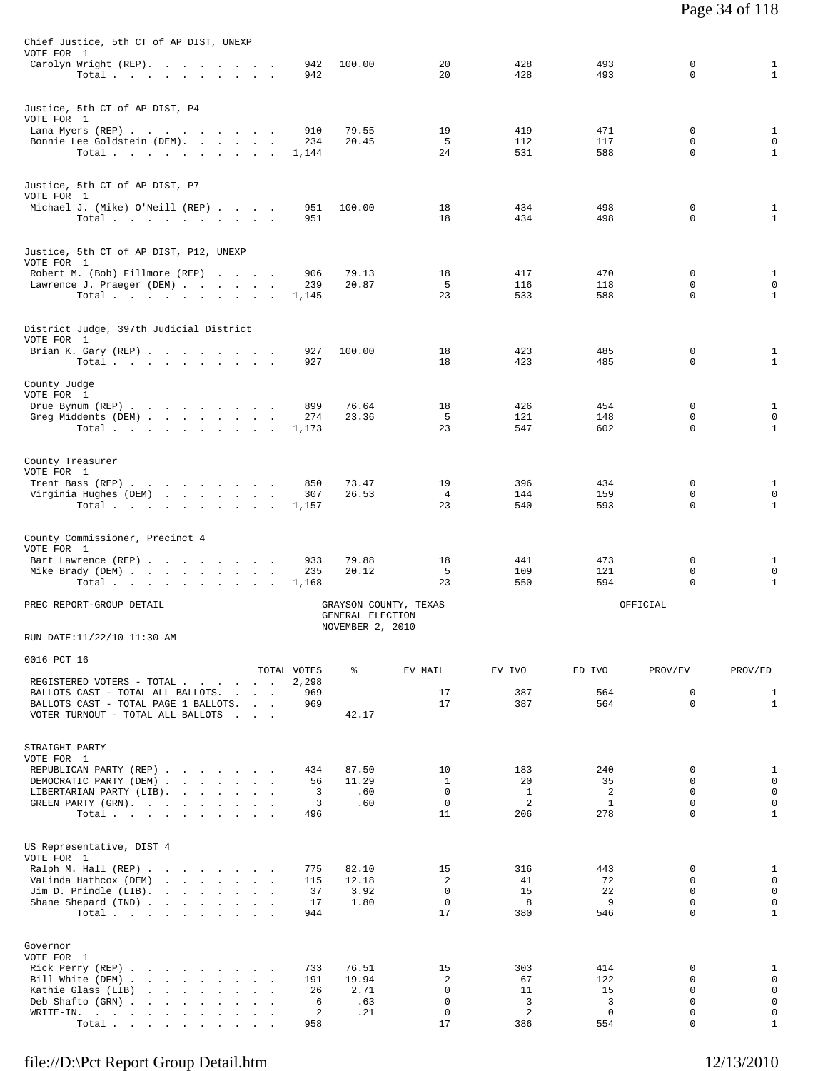| Chief Justice, 5th CT of AP DIST, UNEXP                                          |              |                                           |                            |                       |            |                  |                              |
|----------------------------------------------------------------------------------|--------------|-------------------------------------------|----------------------------|-----------------------|------------|------------------|------------------------------|
| VOTE FOR 1<br>Carolyn Wright (REP).                                              | 942          | 100.00                                    | 20                         | 428                   | 493        | 0                | $\mathbf{1}$                 |
| Total                                                                            | 942          |                                           | 20                         | 428                   | 493        | 0                | $\mathbf{1}$                 |
| Justice, 5th CT of AP DIST, P4                                                   |              |                                           |                            |                       |            |                  |                              |
| VOTE FOR 1                                                                       |              |                                           |                            |                       |            |                  |                              |
| Lana Myers (REP)<br>Bonnie Lee Goldstein (DEM).                                  | 910<br>234   | 79.55<br>20.45                            | 19<br>-5                   | 419<br>112            | 471<br>117 | 0<br>$\Omega$    | $\mathbf{1}$<br>$\mathbf 0$  |
| Total $\cdots$ $\cdots$ $\cdots$                                                 | 1,144        |                                           | 24                         | 531                   | 588        | 0                | 1                            |
|                                                                                  |              |                                           |                            |                       |            |                  |                              |
| Justice, 5th CT of AP DIST, P7<br>VOTE FOR 1                                     |              |                                           |                            |                       |            |                  |                              |
| Michael J. (Mike) O'Neill (REP)                                                  | 951<br>951   | 100.00                                    | 18<br>18                   | 434<br>434            | 498<br>498 | 0<br>0           | $\mathbf{1}$<br>$\mathbf{1}$ |
| Total                                                                            |              |                                           |                            |                       |            |                  |                              |
| Justice, 5th CT of AP DIST, P12, UNEXP                                           |              |                                           |                            |                       |            |                  |                              |
| VOTE FOR 1<br>Robert M. (Bob) Fillmore (REP)                                     | 906          | 79.13                                     | 18                         | 417                   | 470        | 0                | $\mathbf{1}$                 |
| Lawrence J. Praeger (DEM)                                                        | 239          | 20.87                                     | 5                          | 116                   | 118        | 0                | $\mathbf 0$                  |
| Total $\cdots$ $\cdots$ $\cdots$                                                 | 1,145        |                                           | 23                         | 533                   | 588        | 0                | $\mathbf{1}$                 |
|                                                                                  |              |                                           |                            |                       |            |                  |                              |
| District Judge, 397th Judicial District<br>VOTE FOR 1                            |              |                                           |                            |                       |            |                  |                              |
| Brian K. Gary (REP)<br>Total.                                                    | 927<br>927   | 100.00                                    | 18<br>18                   | 423<br>423            | 485<br>485 | 0<br>0           | $\mathbf{1}$<br>$\mathbf{1}$ |
|                                                                                  |              |                                           |                            |                       |            |                  |                              |
| County Judge<br>VOTE FOR 1                                                       |              |                                           |                            |                       |            |                  |                              |
| Drue Bynum (REP)<br>Greg Middents (DEM)                                          | 899<br>274   | 76.64<br>23.36                            | 18<br>5                    | 426<br>121            | 454<br>148 | 0<br>0           | $\mathbf{1}$<br>$\mathbf 0$  |
| Total                                                                            | 1,173        |                                           | 23                         | 547                   | 602        | 0                | 1                            |
|                                                                                  |              |                                           |                            |                       |            |                  |                              |
| County Treasurer<br>VOTE FOR 1                                                   |              |                                           |                            |                       |            |                  |                              |
| Trent Bass (REP)                                                                 | 850          | 73.47                                     | 19                         | 396                   | 434        | 0                | $\mathbf{1}$                 |
| Virginia Hughes (DEM)<br>Total $\cdots$ $\cdots$ $\cdots$                        | 307<br>1,157 | 26.53                                     | $\overline{4}$<br>23       | 144<br>540            | 159<br>593 | $\mathbf 0$<br>0 | $\mathbf 0$<br>1             |
|                                                                                  |              |                                           |                            |                       |            |                  |                              |
| County Commissioner, Precinct 4                                                  |              |                                           |                            |                       |            |                  |                              |
| VOTE FOR 1<br>Bart Lawrence (REP)                                                | 933          | 79.88                                     | 18                         | 441                   | 473        | 0                | $\mathbf{1}$                 |
| Mike Brady (DEM)                                                                 | 235<br>1,168 | 20.12                                     | 5<br>23                    | 109<br>550            | 121<br>594 | 0<br>0           | $\mathbf 0$<br>$\mathbf{1}$  |
| Total.                                                                           |              |                                           |                            |                       |            |                  |                              |
| PREC REPORT-GROUP DETAIL                                                         |              | GRAYSON COUNTY, TEXAS<br>GENERAL ELECTION |                            |                       |            | OFFICIAL         |                              |
| RUN DATE:11/22/10 11:30 AM                                                       |              | NOVEMBER 2, 2010                          |                            |                       |            |                  |                              |
|                                                                                  |              |                                           |                            |                       |            |                  |                              |
| 0016 PCT 16                                                                      | TOTAL VOTES  | ႜ                                         | EV MAIL                    | EV IVO                | ED IVO     | PROV/EV          | PROV/ED                      |
| REGISTERED VOTERS - TOTAL                                                        | 2,298        |                                           |                            |                       |            |                  |                              |
| BALLOTS CAST - TOTAL ALL BALLOTS.<br>BALLOTS CAST - TOTAL PAGE 1 BALLOTS.        | 969<br>969   |                                           | 17<br>17                   | 387<br>387            | 564<br>564 | 0<br>0           | $\mathbf{1}$<br>$\mathbf{1}$ |
| VOTER TURNOUT - TOTAL ALL BALLOTS                                                |              | 42.17                                     |                            |                       |            |                  |                              |
|                                                                                  |              |                                           |                            |                       |            |                  |                              |
| STRAIGHT PARTY<br>VOTE FOR 1                                                     |              |                                           |                            |                       |            |                  |                              |
| REPUBLICAN PARTY (REP)<br>DEMOCRATIC PARTY (DEM)                                 | 434<br>56    | 87.50<br>11.29                            | 10<br>$\mathbf{1}$         | 183<br>20             | 240<br>35  | 0<br>$\Omega$    | $\mathbf{1}$<br>$\mathbf 0$  |
| LIBERTARIAN PARTY (LIB).                                                         | 3            | .60                                       | $\mathbf 0$                | $\mathbf{1}$          | 2          | $\Omega$         | $\mathsf 0$                  |
| GREEN PARTY (GRN), , , , , , , , ,<br>Total.                                     | 3<br>496     | .60                                       | $\mathbf 0$<br>11          | $\overline{a}$<br>206 | 1<br>278   | 0<br>0           | $\mathsf 0$<br>$1\,$         |
|                                                                                  |              |                                           |                            |                       |            |                  |                              |
| US Representative, DIST 4                                                        |              |                                           |                            |                       |            |                  |                              |
| VOTE FOR 1<br>Ralph M. Hall (REP)                                                | 775          | 82.10                                     | 15                         | 316                   | 443        | 0                | $\mathbf{1}$                 |
| VaLinda Hathcox (DEM)                                                            | 115          | 12.18                                     | 2                          | 41                    | 72         | 0                | $\mathbf 0$                  |
| Jim D. Prindle $(LIB)$ .<br>Shane Shepard (IND)                                  | 37<br>17     | 3.92<br>1.80                              | $\mathbf 0$<br>$\mathbf 0$ | 15<br>8               | 22<br>9    | 0<br>0           | $\mathsf 0$<br>$\mathsf 0$   |
| Total.                                                                           | 944          |                                           | 17                         | 380                   | 546        | 0                | $\mathbf{1}$                 |
|                                                                                  |              |                                           |                            |                       |            |                  |                              |
| Governor<br>VOTE FOR 1                                                           |              |                                           |                            |                       |            |                  |                              |
| Rick Perry (REP)                                                                 | 733          | 76.51                                     | 15                         | 303                   | 414        | 0<br>0           | 1<br>$\mathsf 0$             |
| Bill White (DEM)<br>Kathie Glass (LIB)                                           | 191<br>26    | 19.94<br>2.71                             | 2<br>0                     | 67<br>11              | 122<br>15  | 0                | $\mathsf 0$                  |
| Deb Shafto (GRN)<br>WRITE-IN.<br>the contract of the contract of the contract of | 6<br>2       | .63<br>.21                                | $\mathbf 0$<br>0           | 3<br>$\overline{a}$   | 3<br>0     | 0<br>0           | $\mathsf 0$<br>0             |
| Total $\cdots$ $\cdots$ $\cdots$                                                 | 958          |                                           | 17                         | 386                   | 554        | 0                | $\mathbf{1}$                 |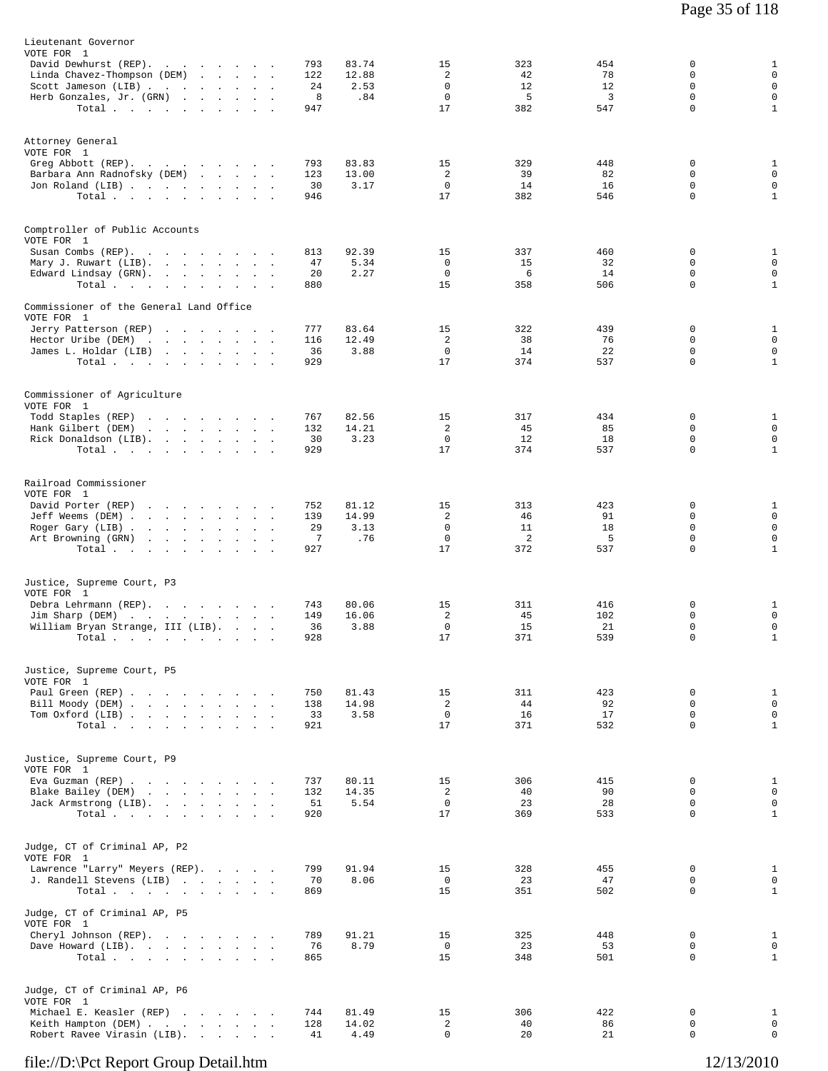| Lieutenant Governor<br>VOTE FOR 1<br>David Dewhurst (REP).<br>Linda Chavez-Thompson (DEM)<br>Scott Jameson (LIB)<br>Herb Gonzales, Jr. (GRN) | the contract of the contract of the<br>Total                                                                                     |                      |                                        | 793<br>122<br>24<br>8<br>947              | 83.74<br>12.88<br>2.53<br>.84 | 15<br>2<br>0<br>$\mathbf 0$<br>17        | 323<br>42<br>12<br>5<br>382 | 454<br>78<br>12<br>3<br>547 | 0<br>$\Omega$<br>0<br>$\mathbf 0$<br>0         | $\mathbf{1}$<br>$\mathbf 0$<br>$\mathbf 0$<br>$\mathsf 0$<br>$\mathbf{1}$ |
|----------------------------------------------------------------------------------------------------------------------------------------------|----------------------------------------------------------------------------------------------------------------------------------|----------------------|----------------------------------------|-------------------------------------------|-------------------------------|------------------------------------------|-----------------------------|-----------------------------|------------------------------------------------|---------------------------------------------------------------------------|
| Attorney General<br>VOTE FOR 1<br>Greg Abbott (REP).<br>Barbara Ann Radnofsky (DEM)<br>Jon Roland (LIB)                                      | Total.                                                                                                                           |                      |                                        | 793<br>123<br>30<br>946                   | 83.83<br>13.00<br>3.17        | 15<br>2<br>$\mathbf 0$<br>17             | 329<br>39<br>14<br>382      | 448<br>82<br>16<br>546      | $\mathbf 0$<br>0<br>0<br>$\mathbf 0$           | $\mathbf{1}$<br>$\mathbf 0$<br>$\mathbf 0$<br>$\mathbf{1}$                |
| Comptroller of Public Accounts<br>VOTE FOR 1<br>Susan Combs (REP).<br>Mary J. Ruwart (LIB).<br>Edward Lindsay (GRN).                         | Total $\cdots$ $\cdots$ $\cdots$                                                                                                 |                      |                                        | 813<br>47<br>20<br>880                    | 92.39<br>5.34<br>2.27         | 15<br>$\Omega$<br>$\mathbf 0$<br>15      | 337<br>15<br>6<br>358       | 460<br>32<br>14<br>506      | 0<br>0<br>$\mathbf 0$<br>0                     | $\mathbf{1}$<br>0<br>$\mathbf 0$<br>$\mathbf{1}$                          |
| Commissioner of the General Land Office<br>VOTE FOR 1<br>Jerry Patterson (REP)<br>Hector Uribe (DEM)<br>James L. Holdar (LIB)                | Total                                                                                                                            |                      |                                        | 777<br>116<br>36<br>929                   | 83.64<br>12.49<br>3.88        | 15<br>2<br>$^{\circ}$<br>17              | 322<br>38<br>14<br>374      | 439<br>76<br>22<br>537      | $\mathbf 0$<br>$\mathbf 0$<br>$\mathbf 0$<br>0 | $\mathbf{1}$<br>$\mathbf 0$<br>0<br>$\mathbf{1}$                          |
| Commissioner of Agriculture<br>VOTE FOR 1<br>Todd Staples (REP)<br>Hank Gilbert (DEM)<br>Rick Donaldson (LIB).                               | the contract of the contract of the<br>the contract of the contract of the contract of the contract of the contract of<br>Total. |                      |                                        | 767<br>132<br>30<br>929                   | 82.56<br>14.21<br>3.23        | 15<br>2<br>0<br>17                       | 317<br>45<br>12<br>374      | 434<br>85<br>18<br>537      | 0<br>$\mathbf 0$<br>0<br>$\mathbf 0$           | $\mathbf{1}$<br>0<br>$\mathsf 0$<br>$\mathbf{1}$                          |
| Railroad Commissioner<br>VOTE FOR 1<br>David Porter (REP)<br>Jeff Weems (DEM)<br>Roger Gary (LIB)<br>Art Browning (GRN)                      | the contract of the contract of the<br>Total $\cdots$ $\cdots$ $\cdots$                                                          |                      |                                        | 752<br>139<br>29<br>$\overline{7}$<br>927 | 81.12<br>14.99<br>3.13<br>.76 | 15<br>2<br>$\mathbf 0$<br>$\Omega$<br>17 | 313<br>46<br>11<br>2<br>372 | 423<br>91<br>18<br>5<br>537 | 0<br>0<br>0<br>$\mathbf 0$<br>$\mathbf 0$      | $\mathbf{1}$<br>$\mathsf 0$<br>$\mathsf 0$<br>$\mathsf 0$<br>$\mathbf{1}$ |
| Justice, Supreme Court, P3<br>VOTE FOR 1<br>Debra Lehrmann (REP).<br>Jim Sharp (DEM)<br>William Bryan Strange, III (LIB).<br>Total .         | and the state of the state                                                                                                       | $\ddot{\phantom{a}}$ | $\blacksquare$<br>$\ddot{\phantom{a}}$ | 743<br>149<br>36<br>928                   | 80.06<br>16.06<br>3.88        | 15<br>2<br>$\mathbf 0$<br>17             | 311<br>45<br>15<br>371      | 416<br>102<br>21<br>539     | 0<br>0<br>$\mathbf 0$<br>$\Omega$              | $\mathbf{1}$<br>$\mathsf 0$<br>$\mathsf 0$<br>$\mathbf{1}$                |
| Justice, Supreme Court, P5<br>VOTE FOR 1<br>Paul Green (REP)<br>Bill Moody (DEM)<br>Tom Oxford (LIB)                                         | Total,                                                                                                                           |                      |                                        | 750<br>138<br>33<br>921                   | 81.43<br>14.98<br>3.58        | 15<br>2<br>$\mathbf 0$<br>17             | 311<br>44<br>16<br>371      | 423<br>92<br>17<br>532      | 0<br>$\mathbf 0$<br>0<br>$\mathbf 0$           | $\mathbf{1}$<br>$\mathsf 0$<br>$\mathsf 0$<br>$\mathbf{1}$                |
| Justice, Supreme Court, P9<br>VOTE FOR 1<br>Eva Guzman (REP)<br>Blake Bailey (DEM)<br>Jack Armstrong (LIB).                                  | Total $\cdots$ $\cdots$ $\cdots$ $\cdots$                                                                                        |                      |                                        | 737<br>132<br>51<br>920                   | 80.11<br>14.35<br>5.54        | 15<br>2<br>$\mathbf 0$<br>17             | 306<br>40<br>23<br>369      | 415<br>90<br>28<br>533      | 0<br>0<br>$\mathbf 0$<br>$\Omega$              | $\mathbf{1}$<br>$\mathsf 0$<br>$\mathsf 0$<br>$\mathbf{1}$                |
| Judge, CT of Criminal AP, P2<br>VOTE FOR 1<br>Lawrence "Larry" Meyers (REP).<br>J. Randell Stevens (LIB)                                     | Total                                                                                                                            |                      |                                        | 799<br>70<br>869                          | 91.94<br>8.06                 | 15<br>$\mathbf{0}$<br>15                 | 328<br>23<br>351            | 455<br>47<br>502            | 0<br>0<br>0                                    | $\mathbf{1}$<br>$\mathsf 0$<br>$\mathbf{1}$                               |
| Judge, CT of Criminal AP, P5<br>VOTE FOR 1<br>Cheryl Johnson (REP).<br>Dave Howard (LIB).                                                    | Total $\cdots$                                                                                                                   |                      |                                        | 789<br>76<br>865                          | 91.21<br>8.79                 | 15<br>$\mathbf 0$<br>15                  | 325<br>23<br>348            | 448<br>53<br>501            | 0<br>0<br>0                                    | $\mathbf{1}$<br>$\mathsf 0$<br>$\mathbf{1}$                               |
| Judge, CT of Criminal AP, P6<br>VOTE FOR 1<br>Michael E. Keasler (REP)<br>Keith Hampton (DEM)<br>Robert Ravee Virasin (LIB).                 |                                                                                                                                  |                      |                                        | 744<br>128<br>41                          | 81.49<br>14.02<br>4.49        | 15<br>2<br>0                             | 306<br>40<br>20             | 422<br>86<br>21             | 0<br>0<br>0                                    | $\mathbf{1}$<br>$\mathsf 0$<br>0                                          |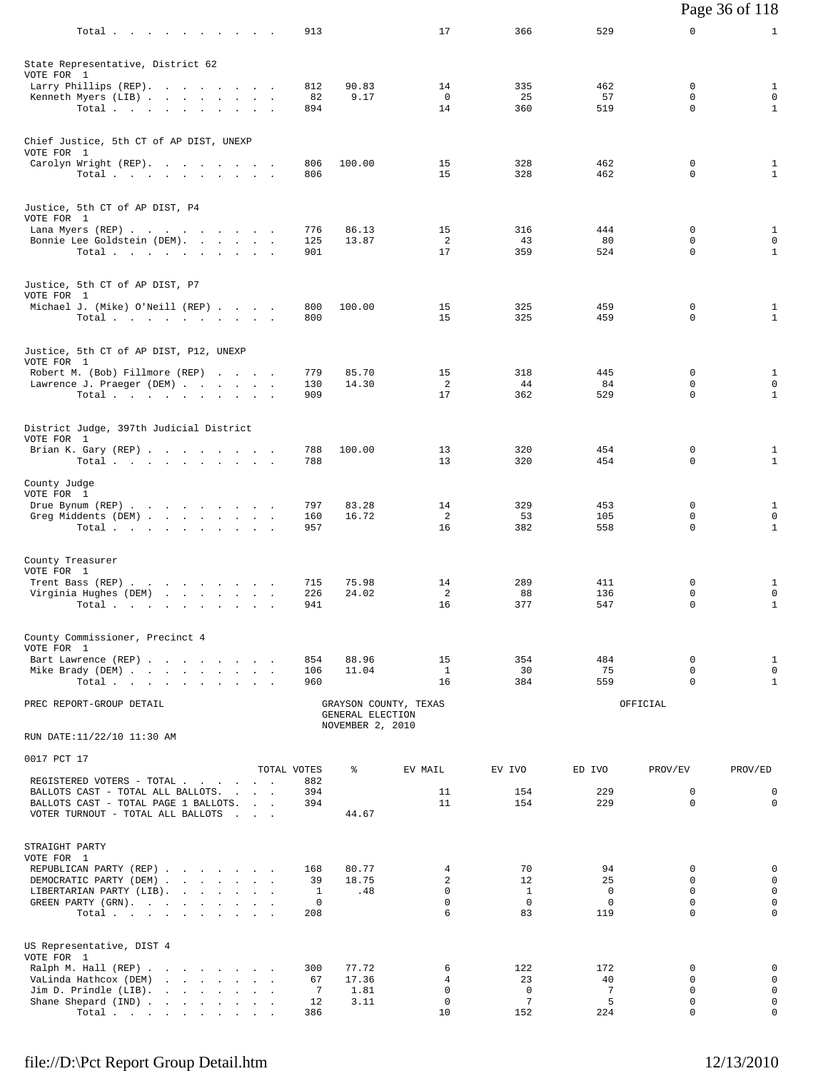|                                                                           |              |                  |                                  |                  |                    |                            | Page 36 of 118               |
|---------------------------------------------------------------------------|--------------|------------------|----------------------------------|------------------|--------------------|----------------------------|------------------------------|
| Total.                                                                    | 913          |                  | 17                               | 366              | 529                | 0                          | $\mathbf{1}$                 |
| State Representative, District 62                                         |              |                  |                                  |                  |                    |                            |                              |
| VOTE FOR 1<br>Larry Phillips (REP).                                       | 812          | 90.83            | 14                               | 335              | 462                | 0                          | $\mathbf{1}$                 |
| Kenneth Myers (LIB)                                                       | 82           | 9.17             | $\mathbf 0$                      | 25               | 57                 | 0                          | $\mathsf 0$                  |
| Total                                                                     | 894          |                  | 14                               | 360              | 519                | 0                          | $\mathbf{1}$                 |
| Chief Justice, 5th CT of AP DIST, UNEXP<br>VOTE FOR 1                     |              |                  |                                  |                  |                    |                            |                              |
| Carolyn Wright (REP).                                                     | 806          | 100.00           | 15                               | 328              | 462                | 0                          | $\mathbf{1}$                 |
| Total                                                                     | 806          |                  | 15                               | 328              | 462                | 0                          | $\mathbf{1}$                 |
| Justice, 5th CT of AP DIST, P4<br>VOTE FOR 1                              |              |                  |                                  |                  |                    |                            |                              |
| Lana Myers (REP)<br>Bonnie Lee Goldstein (DEM).                           | 776<br>125   | 86.13<br>13.87   | 15<br>2                          | 316<br>43        | 444<br>80          | 0<br>0                     | $\mathbf{1}$<br>0            |
| Total                                                                     | 901          |                  | 17                               | 359              | 524                | $\Omega$                   | $\mathbf{1}$                 |
| Justice, 5th CT of AP DIST, P7                                            |              |                  |                                  |                  |                    |                            |                              |
| VOTE FOR 1<br>Michael J. (Mike) O'Neill (REP)                             | 800          | 100.00           | 15                               | 325              | 459                | 0                          | $\mathbf{1}$                 |
| Total.                                                                    | 800          |                  | 15                               | 325              | 459                | $\mathbf 0$                | $\mathbf{1}$                 |
| Justice, 5th CT of AP DIST, P12, UNEXP<br>VOTE FOR 1                      |              |                  |                                  |                  |                    |                            |                              |
| Robert M. (Bob) Fillmore (REP)                                            | 779          | 85.70            | 15                               | 318              | 445                | 0                          | $\mathbf{1}$                 |
| Lawrence J. Praeger (DEM)<br>Total                                        | 130<br>909   | 14.30            | 2<br>17                          | 44<br>362        | 84<br>529          | 0<br>0                     | 0<br>$\mathbf{1}$            |
| District Judge, 397th Judicial District                                   |              |                  |                                  |                  |                    |                            |                              |
| VOTE FOR 1                                                                |              |                  |                                  |                  |                    |                            |                              |
| Brian K. Gary (REP)<br>Total                                              | 788<br>788   | 100.00           | 13<br>13                         | 320<br>320       | 454<br>454         | 0<br>0                     | $\mathbf{1}$<br>$\mathbf{1}$ |
| County Judge<br>VOTE FOR 1                                                |              |                  |                                  |                  |                    |                            |                              |
| Drue Bynum (REP)<br>Greg Middents (DEM)                                   | 797<br>160   | 83.28<br>16.72   | 14<br>2                          | 329<br>53        | 453<br>105         | 0<br>0                     | $\mathbf{1}$<br>0            |
| Total $\cdots$ $\cdots$ $\cdots$                                          | 957          |                  | 16                               | 382              | 558                | $\mathbf 0$                | $\mathbf{1}$                 |
| County Treasurer                                                          |              |                  |                                  |                  |                    |                            |                              |
| VOTE FOR 1<br>Trent Bass (REP)                                            | 715          | 75.98            | 14                               | 289              | 411                | 0                          | $\mathbf{1}$                 |
| Virginia Hughes (DEM)<br>Total $\cdots$ $\cdots$ $\cdots$ $\cdots$        | 226<br>941   | 24.02            | $\overline{a}$<br>16             | 88<br>377        | 136<br>547         | 0<br>0                     | 0<br>$\mathbf{1}$            |
|                                                                           |              |                  |                                  |                  |                    |                            |                              |
| County Commissioner, Precinct 4<br>VOTE FOR 1                             |              |                  |                                  |                  |                    |                            |                              |
| Bart Lawrence (REP)<br>Mike Brady (DEM)                                   | 854<br>106   | 88.96<br>11.04   | 15<br>$\mathbf{1}$               | 354<br>30        | 484<br>75          | 0<br>$\mathbf 0$           | $\mathbf{1}$<br>$\mathbf 0$  |
| Total                                                                     | 960          |                  | 16                               | 384              | 559                | $\Omega$                   | $\mathbf{1}$                 |
| PREC REPORT-GROUP DETAIL                                                  |              | GENERAL ELECTION | GRAYSON COUNTY, TEXAS            |                  |                    | OFFICIAL                   |                              |
| RUN DATE:11/22/10 11:30 AM                                                |              | NOVEMBER 2, 2010 |                                  |                  |                    |                            |                              |
| 0017 PCT 17                                                               | TOTAL VOTES  | ႜ                | EV MAIL                          | EV IVO           | ED IVO             |                            |                              |
| REGISTERED VOTERS - TOTAL                                                 | 882          |                  |                                  |                  |                    | PROV/EV                    | PROV/ED                      |
| BALLOTS CAST - TOTAL ALL BALLOTS.<br>BALLOTS CAST - TOTAL PAGE 1 BALLOTS. | 394<br>394   |                  | 11<br>11                         | 154<br>154       | 229<br>229         | $\mathbf 0$<br>$\mathbf 0$ | 0<br>$\mathbf 0$             |
| VOTER TURNOUT - TOTAL ALL BALLOTS                                         |              | 44.67            |                                  |                  |                    |                            |                              |
| STRAIGHT PARTY                                                            |              |                  |                                  |                  |                    |                            |                              |
| VOTE FOR 1                                                                |              |                  |                                  |                  |                    |                            |                              |
| REPUBLICAN PARTY (REP)                                                    | 168<br>39    | 80.77<br>18.75   | $\overline{4}$<br>$\overline{2}$ | 70<br>12         | 94<br>25           | 0<br>$\mathbf 0$           | 0<br>$\mathbf 0$             |
| DEMOCRATIC PARTY (DEM)<br>LIBERTARIAN PARTY (LIB).                        | $\mathbf{1}$ | .48              | $\mathbf 0$                      | $\mathbf{1}$     | $\mathbf 0$        | $\mathbf 0$                | 0                            |
| GREEN PARTY (GRN).                                                        | 0<br>208     |                  | $\mathbf 0$<br>6                 | $^{\circ}$<br>83 | $\mathbf 0$<br>119 | $\mathbf 0$<br>$\Omega$    | $\mathbf 0$<br>$\Omega$      |
| Total                                                                     |              |                  |                                  |                  |                    |                            |                              |
| US Representative, DIST 4<br>VOTE FOR 1                                   |              |                  |                                  |                  |                    |                            |                              |
| Ralph M. Hall (REP)                                                       | 300          | 77.72            | 6                                | 122              | 172                | 0                          | 0                            |
| VaLinda Hathcox (DEM)<br>Jim D. Prindle $(LIB)$ .                         | 67<br>7      | 17.36<br>1.81    | 4<br>$\mathbf 0$                 | 23<br>$\Omega$   | 40<br>7            | $\mathbf 0$<br>$\mathbf 0$ | 0<br>$\mathbf 0$             |
| Shane Shepard (IND)                                                       | 12           | 3.11             | $\mathbf 0$                      | 7                | 5                  | 0                          | 0                            |
| Total $\cdots$                                                            | 386          |                  | 10                               | 152              | 224                | 0                          | 0                            |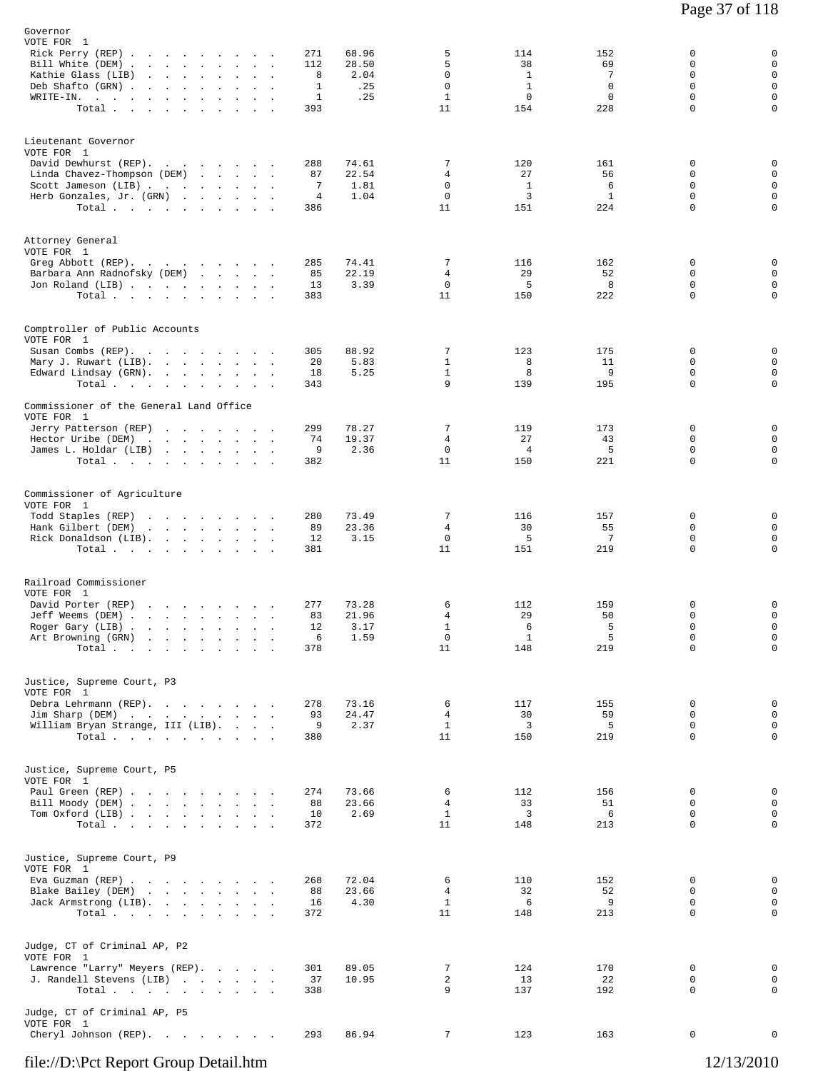| Governor<br>VOTE FOR 1<br>Rick Perry (REP)<br>Bill White (DEM)<br>Kathie Glass (LIB)<br>the company of the company of the company<br>Deb Shafto (GRN).<br>the contract of the con-<br>$\sim$<br>$\texttt{WRITE-IN.}$<br>Total<br>$\sim 10^{-11}$<br>$\sim$             | 271<br>68.96<br>28.50<br>112<br>8<br>$\mathbf 1$<br>$\mathbf{1}$<br>393 | 5<br>5<br>$\mathbf 0$<br>2.04<br>$\mathbf 0$<br>.25<br>$\mathbf{1}$<br>.25<br>11 | 114<br>38<br>$\mathbf{1}$<br>$\mathbf{1}$<br>$\mathbf 0$<br>154 | 152<br>69<br>7<br>$\mathbf 0$<br>$\mathbf 0$<br>228 | 0<br>0<br>$\mathbf 0$<br>0<br>$\mathbf 0$<br>$\mathbf 0$      | 0<br>$\mathsf 0$<br>$\mathbf 0$<br>$\mathbf 0$<br>$\mathsf 0$<br>$\mathbf 0$ |
|------------------------------------------------------------------------------------------------------------------------------------------------------------------------------------------------------------------------------------------------------------------------|-------------------------------------------------------------------------|----------------------------------------------------------------------------------|-----------------------------------------------------------------|-----------------------------------------------------|---------------------------------------------------------------|------------------------------------------------------------------------------|
| Lieutenant Governor<br>VOTE FOR 1<br>David Dewhurst (REP).<br>Linda Chavez-Thompson (DEM)<br>Scott Jameson (LIB)<br>Herb Gonzales, Jr. (GRN)<br>Total                                                                                                                  | 288<br>74.61<br>22.54<br>87<br>7<br>$\overline{4}$<br>386               | 7<br>4<br>$\mathbf 0$<br>1.81<br>1.04<br>0<br>11                                 | 120<br>27<br>$\mathbf{1}$<br>3<br>151                           | 161<br>56<br>6<br>$\mathbf{1}$<br>224               | $\mathbf 0$<br>$\mathbf 0$<br>0<br>$\mathbf 0$<br>$\mathbf 0$ | 0<br>$\mathbf 0$<br>$\mathsf 0$<br>$\mathbf 0$<br>$\mathbf 0$                |
| Attorney General<br>VOTE FOR 1<br>Greg Abbott (REP).<br>Barbara Ann Radnofsky (DEM)<br>Jon Roland (LIB)<br>Total                                                                                                                                                       | 285<br>74.41<br>85<br>22.19<br>13<br>383                                | 7<br>4<br>0<br>3.39<br>11                                                        | 116<br>29<br>5<br>150                                           | 162<br>52<br>8<br>222                               | 0<br>$\Omega$<br>$\mathbf 0$<br>$\mathbf 0$                   | 0<br>$\mathbf 0$<br>$\mathbf 0$<br>$\mathbf 0$                               |
| Comptroller of Public Accounts<br>VOTE FOR 1<br>Susan Combs (REP).<br>Mary J. Ruwart (LIB).<br>$\sim$<br>Edward Lindsay (GRN).<br>Total $\cdots$ $\cdots$ $\cdots$<br><b>Contract Contract</b>                                                                         | 88.92<br>305<br>20<br>18<br>343                                         | 7<br>$\mathbf{1}$<br>5.83<br>$\mathbf{1}$<br>5.25<br>9                           | 123<br>8<br>8<br>139                                            | 175<br>11<br>9<br>195                               | $\mathbf 0$<br>$\mathbf 0$<br>0<br>$\mathbf 0$                | 0<br>$\mathbf 0$<br>0<br>$\mathbf 0$                                         |
| Commissioner of the General Land Office<br>VOTE FOR 1<br>Jerry Patterson (REP)<br>Hector Uribe (DEM)<br>the company of the company of the company<br>James L. Holdar (LIB)<br>Total                                                                                    | 299<br>78.27<br>74<br>19.37<br>9<br>382                                 | 7<br>4<br>2.36<br>$\mathbf 0$<br>11                                              | 119<br>27<br>$\overline{4}$<br>150                              | 173<br>43<br>5<br>221                               | $\mathbf 0$<br>$\mathbf 0$<br>0<br>$\mathbf 0$                | 0<br>$\mathbf 0$<br>$\mathbf 0$<br>$\mathbf 0$                               |
| Commissioner of Agriculture<br>VOTE FOR 1<br>Todd Staples (REP)<br>Hank Gilbert (DEM)<br>Rick Donaldson (LIB).<br>Total.                                                                                                                                               | 280<br>73.49<br>89<br>23.36<br>12<br>381                                | 7<br>4<br>$\mathbf 0$<br>3.15<br>11                                              | 116<br>30<br>5<br>151                                           | 157<br>55<br>$7\phantom{.0}$<br>219                 | $\mathbf 0$<br>$\mathbf 0$<br>$\mathbf 0$<br>$\Omega$         | $\mathbf 0$<br>0<br>$\mathbf 0$<br>0                                         |
| Railroad Commissioner<br>VOTE FOR 1<br>David Porter (REP)<br>Jeff Weems (DEM)<br>$\sim 10^{-11}$<br>$\mathbf{r}$<br>Roger Gary (LIB)<br>Art Browning (GRN)<br>the contract of the contract of the<br>$\ddot{\phantom{0}}$<br>Total $\cdots$ $\cdots$ $\cdots$ $\cdots$ | 277<br>73.28<br>83<br>21.96<br>12<br>6<br>378                           | 6<br>4<br>$\mathbf{1}$<br>3.17<br>1.59<br>0<br>11                                | 112<br>29<br>6<br>1<br>148                                      | 159<br>50<br>5<br>5<br>219                          | 0<br>0<br>$\mathbf 0$<br>0<br>0                               | 0<br>$\mathsf 0$<br>$\mathbf 0$<br>0<br>$\mathsf{O}$                         |
| Justice, Supreme Court, P3<br>VOTE FOR 1<br>Debra Lehrmann (REP).<br>Jim Sharp (DEM)<br>William Bryan Strange, III (LIB).<br>Total                                                                                                                                     | 278<br>73.16<br>93<br>24.47<br>9<br>380                                 | 6<br>4<br>2.37<br>$\mathbf{1}$<br>11                                             | 117<br>30<br>3<br>150                                           | 155<br>59<br>5<br>219                               | $\mathbf 0$<br>0<br>0<br>0                                    | 0<br>$\mathbf 0$<br>$\mathsf{O}$<br>0                                        |
| Justice, Supreme Court, P5<br>VOTE FOR 1<br>Paul Green (REP)<br>Bill Moody (DEM)<br>Tom Oxford (LIB)<br>Total.                                                                                                                                                         | 274<br>73.66<br>88<br>23.66<br>10<br>372                                | 6<br>4<br>$\mathbf{1}$<br>2.69<br>11                                             | 112<br>33<br>3<br>148                                           | 156<br>51<br>6<br>213                               | 0<br>0<br>0<br>$\Omega$                                       | 0<br>0<br>0<br>$\mathbf 0$                                                   |
| Justice, Supreme Court, P9<br>VOTE FOR 1<br>Eva Guzman (REP)<br>Blake Bailey (DEM)<br>Jack Armstrong (LIB).<br>Total                                                                                                                                                   | 72.04<br>268<br>88<br>23.66<br>16<br>372                                | 6<br>4<br>4.30<br>$\mathbf{1}$<br>11                                             | 110<br>32<br>6<br>148                                           | 152<br>52<br>9<br>213                               | 0<br>0<br>0<br>0                                              | 0<br>0<br>$\mathsf{O}$<br>0                                                  |
| Judge, CT of Criminal AP, P2<br>VOTE FOR 1<br>Lawrence "Larry" Meyers (REP).<br>J. Randell Stevens (LIB)<br>Total                                                                                                                                                      | 301<br>89.05<br>37<br>10.95<br>338                                      | 7<br>2<br>9                                                                      | 124<br>13<br>137                                                | 170<br>22<br>192                                    | 0<br>0<br>0                                                   | 0<br>$\mathbf 0$<br>$\mathbf 0$                                              |
| Judge, CT of Criminal AP, P5<br>VOTE FOR 1<br>Cheryl Johnson (REP).                                                                                                                                                                                                    | 293<br>86.94                                                            | 7                                                                                | 123                                                             | 163                                                 | 0                                                             | 0                                                                            |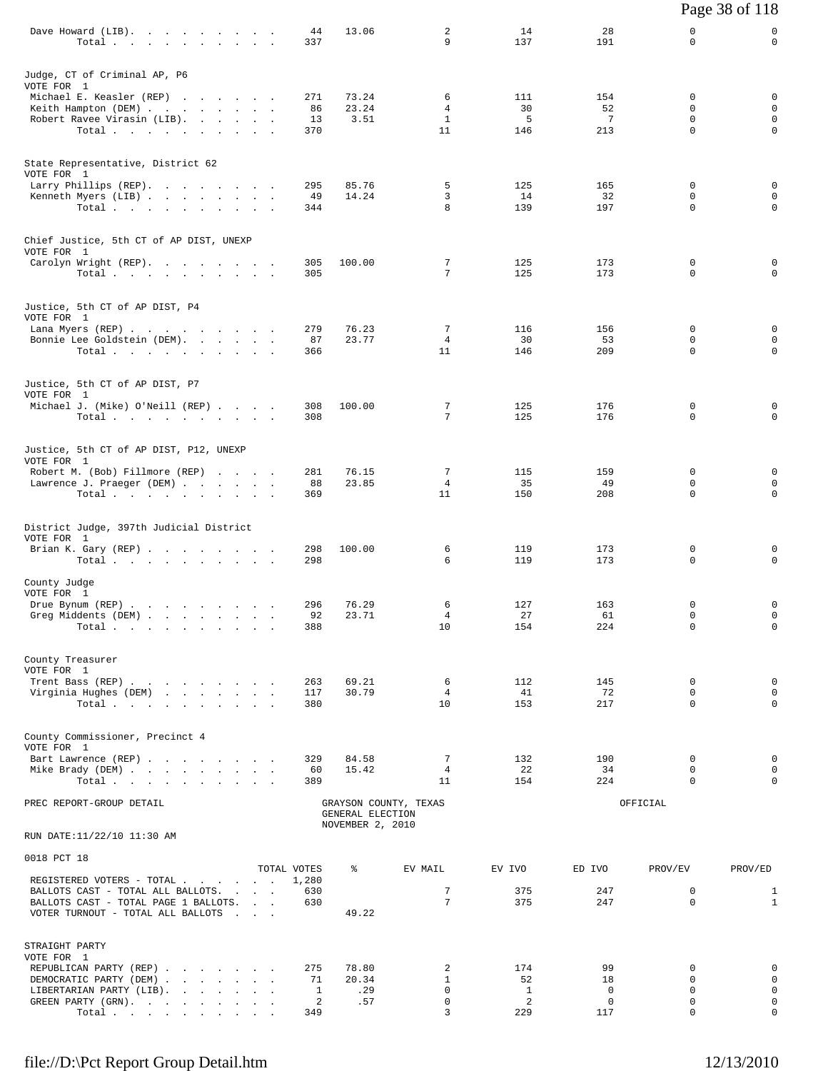|                                                                                                           |                      |                  |                       |            |                    |                            | Page 38 of 118               |
|-----------------------------------------------------------------------------------------------------------|----------------------|------------------|-----------------------|------------|--------------------|----------------------------|------------------------------|
| Dave Howard (LIB).<br>Total                                                                               | 44<br>337            | 13.06            | 2<br>9                | 14<br>137  | 28<br>191          | 0<br>0                     | 0<br>$\mathbf 0$             |
| Judge, CT of Criminal AP, P6                                                                              |                      |                  |                       |            |                    |                            |                              |
| VOTE FOR 1<br>Michael E. Keasler (REP)                                                                    | 271                  | 73.24            | 6                     | 111        | 154                | 0                          | 0                            |
| Keith Hampton (DEM)                                                                                       | 86                   | 23.24            | 4                     | 30         | 52                 | $\mathbf 0$                | 0                            |
| Robert Ravee Virasin (LIB).<br>Total.                                                                     | 13<br>370            | 3.51             | $\mathbf{1}$<br>11    | 5<br>146   | 7<br>213           | 0<br>$\Omega$              | 0<br>0                       |
|                                                                                                           |                      |                  |                       |            |                    |                            |                              |
| State Representative, District 62<br>VOTE FOR 1                                                           |                      |                  |                       |            |                    |                            |                              |
| Larry Phillips (REP).<br>Kenneth Myers (LIB)                                                              | 295<br>49            | 85.76<br>14.24   | 5<br>3                | 125<br>14  | 165<br>32          | $\mathbf 0$<br>$\mathbf 0$ | 0<br>0                       |
| Total.                                                                                                    | 344                  |                  | 8                     | 139        | 197                | $\Omega$                   | $\mathbf 0$                  |
| Chief Justice, 5th CT of AP DIST, UNEXP                                                                   |                      |                  |                       |            |                    |                            |                              |
| VOTE FOR 1<br>Carolyn Wright (REP).                                                                       | 305                  | 100.00           | 7                     | 125        | 173                | 0                          | 0                            |
| Total                                                                                                     | 305                  |                  | 7                     | 125        | 173                | 0                          | $\mathbf 0$                  |
| Justice, 5th CT of AP DIST, P4                                                                            |                      |                  |                       |            |                    |                            |                              |
| VOTE FOR 1<br>Lana Myers (REP)                                                                            | 279                  | 76.23            | 7                     | 116        | 156                | $\Omega$                   | 0                            |
| Bonnie Lee Goldstein (DEM).<br>Total.                                                                     | 87<br>366            | 23.77            | $\overline{4}$<br>11  | 30<br>146  | 53<br>209          | 0<br>$\Omega$              | $\mathbf 0$<br>$\mathbf 0$   |
| Justice, 5th CT of AP DIST, P7                                                                            |                      |                  |                       |            |                    |                            |                              |
| VOTE FOR 1                                                                                                |                      |                  |                       |            |                    |                            |                              |
| Michael J. (Mike) O'Neill (REP)<br>Total                                                                  | 308<br>308           | 100.00           | 7<br>7                | 125<br>125 | 176<br>176         | 0<br>0                     | 0<br>0                       |
| Justice, 5th CT of AP DIST, P12, UNEXP                                                                    |                      |                  |                       |            |                    |                            |                              |
| VOTE FOR 1                                                                                                | 281                  | 76.15            | 7                     | 115        | 159                | 0                          | 0                            |
| Robert M. (Bob) Fillmore (REP)<br>Lawrence J. Praeger (DEM)                                               | 88                   | 23.85            | $\overline{4}$        | 35         | 49                 | $\Omega$                   | $\mathbf 0$                  |
| Total                                                                                                     | 369                  |                  | 11                    | 150        | 208                | 0                          | $\mathbf 0$                  |
| District Judge, 397th Judicial District                                                                   |                      |                  |                       |            |                    |                            |                              |
| VOTE FOR 1<br>Brian K. Gary (REP)                                                                         | 298                  | 100.00           | 6                     | 119        | 173                | 0                          | 0                            |
| Total                                                                                                     | 298                  |                  | 6                     | 119        | 173                | $\Omega$                   | $\Omega$                     |
| County Judge<br>VOTE FOR 1                                                                                |                      |                  |                       |            |                    |                            |                              |
| Drue Bynum (REP)<br>Greg Middents (DEM)                                                                   | 296<br>92            | 76.29<br>23.71   | 6<br>4                | 127<br>27  | 163<br>61          | 0<br>0                     | 0<br>0                       |
| Total                                                                                                     | 388                  |                  | 10                    | 154        | 224                | 0                          | $\mathbf 0$                  |
| County Treasurer                                                                                          |                      |                  |                       |            |                    |                            |                              |
| VOTE FOR 1<br>Trent Bass (REP)                                                                            | 263                  | 69.21            | 6                     | 112        | 145                | $\Omega$                   | 0                            |
| Virginia Hughes (DEM)<br>Total $\cdots$                                                                   | 117<br>380           | 30.79            | 4<br>10               | 41<br>153  | 72<br>217          | $\mathbf 0$<br>0           | 0<br>$\mathbf 0$             |
|                                                                                                           |                      |                  |                       |            |                    |                            |                              |
| County Commissioner, Precinct 4<br>VOTE FOR 1                                                             |                      |                  |                       |            |                    |                            |                              |
| Bart Lawrence (REP)                                                                                       | 329                  | 84.58            | 7                     | 132        | 190                | $\Omega$                   | $\mathbf 0$                  |
| Mike Brady (DEM)<br>Total                                                                                 | 60<br>389            | 15.42            | $\overline{4}$<br>11  | 22<br>154  | 34<br>224          | $\mathbf 0$<br>$\Omega$    | $\mathbf 0$<br>0             |
| PREC REPORT-GROUP DETAIL                                                                                  |                      | GENERAL ELECTION | GRAYSON COUNTY, TEXAS |            |                    | OFFICIAL                   |                              |
| RUN DATE:11/22/10 11:30 AM                                                                                |                      | NOVEMBER 2, 2010 |                       |            |                    |                            |                              |
| 0018 PCT 18                                                                                               |                      |                  |                       |            |                    |                            |                              |
| REGISTERED VOTERS - TOTAL                                                                                 | TOTAL VOTES<br>1,280 | ႜ                | EV MAIL               | EV IVO     | ED IVO             | PROV/EV                    | PROV/ED                      |
| BALLOTS CAST - TOTAL ALL BALLOTS.<br>and the contract of the con-<br>BALLOTS CAST - TOTAL PAGE 1 BALLOTS. | 630<br>630           |                  | 7<br>7                | 375<br>375 | 247<br>247         | 0<br>$\mathbf 0$           | $\mathbf{1}$<br>$\mathbf{1}$ |
| VOTER TURNOUT - TOTAL ALL BALLOTS<br>and the control of                                                   |                      | 49.22            |                       |            |                    |                            |                              |
| STRAIGHT PARTY                                                                                            |                      |                  |                       |            |                    |                            |                              |
| VOTE FOR 1<br>REPUBLICAN PARTY (REP)                                                                      | 275                  | 78.80            | 2                     | 174        | 99                 | 0                          | 0                            |
| DEMOCRATIC PARTY (DEM)<br>LIBERTARIAN PARTY (LIB).                                                        | 71<br>1              | 20.34<br>.29     | $\mathbf{1}$<br>0     | 52<br>1    | 18<br>0            | $\Omega$<br>$\Omega$       | $\mathbf 0$<br>$\mathbf 0$   |
| GREEN PARTY (GRN).<br>Total $\cdots$ $\cdots$ $\cdots$                                                    | 2<br>349             | .57              | $\mathbf 0$<br>3      | 2<br>229   | $\mathbf 0$<br>117 | $\mathbf 0$<br>0           | 0<br>$\mathsf{O}$            |
|                                                                                                           |                      |                  |                       |            |                    |                            |                              |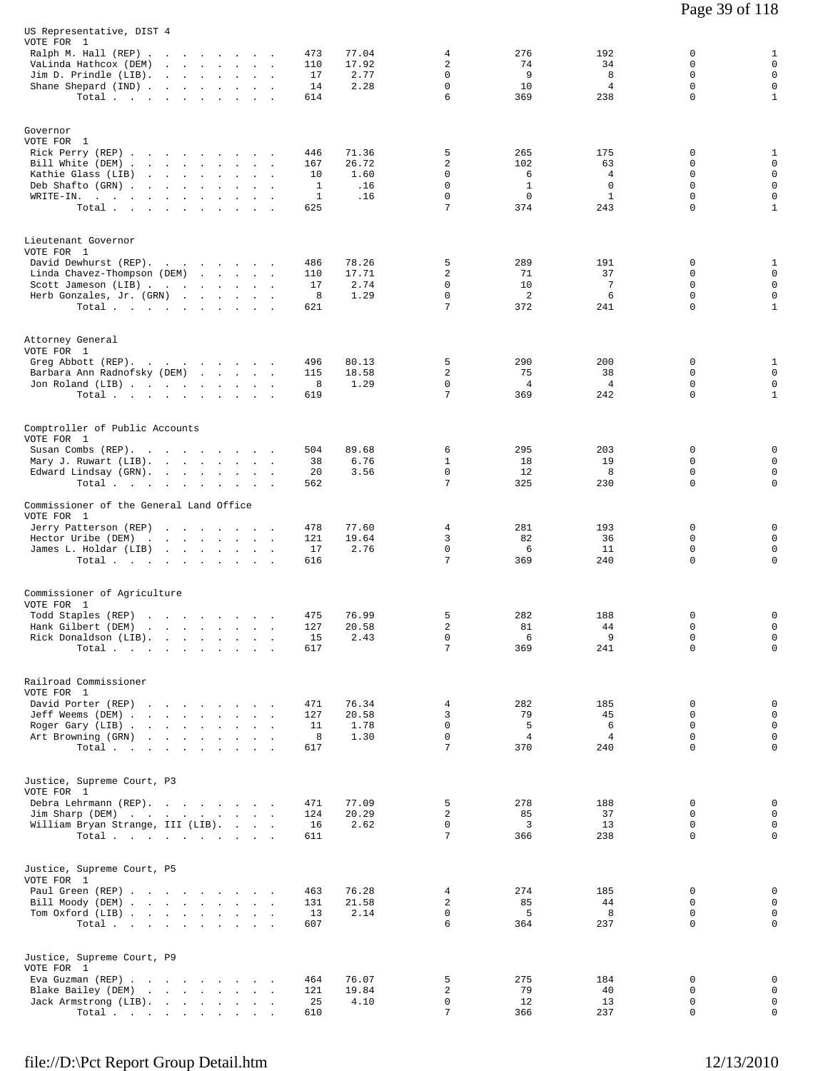| US Representative, DIST 4<br>VOTE FOR 1<br>Ralph M. Hall $(REP)$<br>VaLinda Hathcox (DEM)<br>Jim D. Prindle (LIB).<br>Shane Shepard (IND)       | the contract of the contract of the contract of<br>$\sim$<br>and the state of the state<br>$\mathbf{r}$<br>$\Delta$<br>Total $\cdots$ $\cdots$ $\cdots$                   | 77.04<br>473<br>110<br>17.92<br>17<br>2.77<br>14<br>2.28<br>614           | 4<br>2<br>0<br>0<br>6                             | 276<br>74<br>9<br>10<br>369                           | 192<br>34<br>8<br>$\overline{4}$<br>238           | 0<br>$\mathbf 0$<br>$\Omega$<br>0<br>$\mathbf 0$ | $\mathbf{1}$<br>$\mathbf 0$<br>$\mathsf 0$<br>$\mathbf 0$<br>$\mathbf{1}$     |
|-------------------------------------------------------------------------------------------------------------------------------------------------|---------------------------------------------------------------------------------------------------------------------------------------------------------------------------|---------------------------------------------------------------------------|---------------------------------------------------|-------------------------------------------------------|---------------------------------------------------|--------------------------------------------------|-------------------------------------------------------------------------------|
| Governor<br>VOTE FOR 1<br>Rick Perry (REP)<br>Bill White (DEM).<br>Kathie Glass (LIB)<br>Deb Shafto (GRN).<br>$W{\tt RITE-IN.}$ , , , , , , , , | and the state of the state of the<br>$\sim$<br>$\ddot{\phantom{a}}$<br>and the contract of the con-<br>$\ddot{\phantom{a}}$<br>Total<br>$\sim$                            | 446<br>71.36<br>26.72<br>167<br>10<br>1.60<br>1<br>.16<br>1<br>.16<br>625 | 5<br>$\overline{c}$<br>0<br>0<br>$\mathbf 0$<br>7 | 265<br>102<br>6<br>$\mathbf{1}$<br>$\mathbf 0$<br>374 | 175<br>63<br>4<br>$\Omega$<br>$\mathbf{1}$<br>243 | 0<br>0<br>0<br>$\Omega$<br>$\mathbf 0$<br>0      | 1<br>$\mathbf 0$<br>$\mathbf 0$<br>$\mathbf 0$<br>$\mathsf 0$<br>$\mathbf{1}$ |
| Lieutenant Governor<br>VOTE FOR 1<br>David Dewhurst (REP).<br>Linda Chavez-Thompson (DEM)<br>Scott Jameson (LIB)<br>Herb Gonzales, Jr. (GRN)    | and the state of the state of<br>Total                                                                                                                                    | 486<br>78.26<br>17.71<br>110<br>17<br>2.74<br>8<br>1.29<br>621            | 5<br>2<br>0<br>$\mathbf 0$<br>7                   | 289<br>71<br>10<br>2<br>372                           | 191<br>37<br>$\overline{7}$<br>6<br>241           | 0<br>0<br>0<br>$\mathbf 0$<br>$\Omega$           | 1<br>$\mathbf 0$<br>$\mathbf 0$<br>$\mathbf 0$<br>$\mathbf{1}$                |
| Attorney General<br>VOTE FOR 1<br>Greg Abbott (REP).<br>Barbara Ann Radnofsky (DEM)<br>Jon Roland (LIB)                                         | the contract of the contract of<br>Total $\cdots$ $\cdots$ $\cdots$                                                                                                       | 80.13<br>496<br>115<br>18.58<br>8<br>1.29<br>619                          | 5<br>2<br>0<br>7                                  | 290<br>75<br>4<br>369                                 | 200<br>38<br>$\overline{4}$<br>242                | 0<br>0<br>0<br>0                                 | $\mathbf{1}$<br>$\mathbf 0$<br>$\mathbf 0$<br>$\mathbf{1}$                    |
| Comptroller of Public Accounts<br>VOTE FOR 1<br>Susan Combs (REP).<br>Mary J. Ruwart (LIB).<br>Edward Lindsay (GRN).<br>Total                   | $\sim$<br>$\ddot{\phantom{a}}$<br>$\sim$<br>$\blacksquare$<br>$\sim$                                                                                                      | 504<br>89.68<br>38<br>6.76<br>20<br>3.56<br>562                           | 6<br>1<br>$\mathbf 0$<br>7                        | 295<br>18<br>12<br>325                                | 203<br>19<br>8<br>230                             | 0<br>$\Omega$<br>$\mathbf 0$<br>0                | 0<br>$\mathbf 0$<br>$\mathbf 0$<br>0                                          |
| Commissioner of the General Land Office<br>VOTE FOR 1<br>Jerry Patterson (REP)<br>Hector Uribe (DEM)<br>James L. Holdar (LIB)                   | the contract of the contract of the<br>Total                                                                                                                              | 478<br>77.60<br>121<br>19.64<br>2.76<br>17<br>616                         | 4<br>3<br>0<br>7                                  | 281<br>82<br>6<br>369                                 | 193<br>36<br>11<br>240                            | 0<br>0<br>$\mathbf 0$<br>0                       | 0<br>$\mathbf 0$<br>$\mathbf 0$<br>0                                          |
| Commissioner of Agriculture<br>VOTE FOR 1<br>Todd Staples (REP)<br>Hank Gilbert (DEM)<br>Rick Donaldson (LIB).                                  | the contract of the contract of the<br>the contract of the contract of the contract of the contract of the contract of the contract of the contract of<br>$\sim$<br>Total | 76.99<br>475<br>127<br>20.58<br>15<br>2.43<br>617                         | 5<br>2<br>0<br>7                                  | 282<br>81<br>6<br>369                                 | 188<br>44<br>9<br>241                             | 0<br>$\mathbf 0$<br>0<br>0                       | 0<br>$\mathbf 0$<br>0<br>$\mathsf{O}$                                         |
| Railroad Commissioner<br>VOTE FOR 1<br>David Porter (REP)<br>Jeff Weems (DEM)<br>Roger Gary (LIB)<br>Art Browning (GRN)                         | the contract of the contract of the contract of<br>Total                                                                                                                  | 471<br>76.34<br>20.58<br>127<br>1.78<br>11<br>8<br>1.30<br>617            | 4<br>3<br>$\mathbf 0$<br>$\Omega$<br>7            | 282<br>79<br>5<br>$\overline{4}$<br>370               | 185<br>45<br>6<br>$\overline{4}$<br>240           | 0<br>0<br>0<br>$\Omega$<br>$\mathbf 0$           | 0<br>$\mathbf 0$<br>$\mathbf 0$<br>$\mathbf 0$<br>$\mathbf 0$                 |
| Justice, Supreme Court, P3<br>VOTE FOR 1<br>Debra Lehrmann (REP).<br>Jim Sharp (DEM)<br>William Bryan Strange, III (LIB).                       | Total $\cdots$                                                                                                                                                            | 471<br>77.09<br>124<br>20.29<br>2.62<br>16<br>611                         | 5<br>2<br>$\mathbf 0$<br>7                        | 278<br>85<br>3<br>366                                 | 188<br>37<br>13<br>238                            | 0<br>$\Omega$<br>$\mathbf 0$<br>0                | 0<br>$\mathsf 0$<br>$\mathsf 0$<br>$\mathbf 0$                                |
| Justice, Supreme Court, P5<br>VOTE FOR 1<br>Paul Green (REP)<br>Bill Moody (DEM)<br>Tom Oxford (LIB)                                            | Total $\cdots$                                                                                                                                                            | 76.28<br>463<br>21.58<br>131<br>13<br>2.14<br>607                         | 4<br>2<br>0<br>6                                  | 274<br>85<br>5<br>364                                 | 185<br>44<br>8<br>237                             | 0<br>0<br>0<br>$\mathbf 0$                       | 0<br>$\mathsf 0$<br>0<br>$\mathsf{O}$                                         |
| Justice, Supreme Court, P9<br>VOTE FOR 1<br>Eva Guzman (REP)<br>Blake Bailey (DEM)<br>Jack Armstrong (LIB).                                     | Total                                                                                                                                                                     | 76.07<br>464<br>121<br>19.84<br>25<br>4.10<br>610                         | 5<br>2<br>0<br>7                                  | 275<br>79<br>12<br>366                                | 184<br>40<br>13<br>237                            | 0<br>0<br>0<br>0                                 | $\mathbf 0$<br>0<br>$\mathbf 0$<br>0                                          |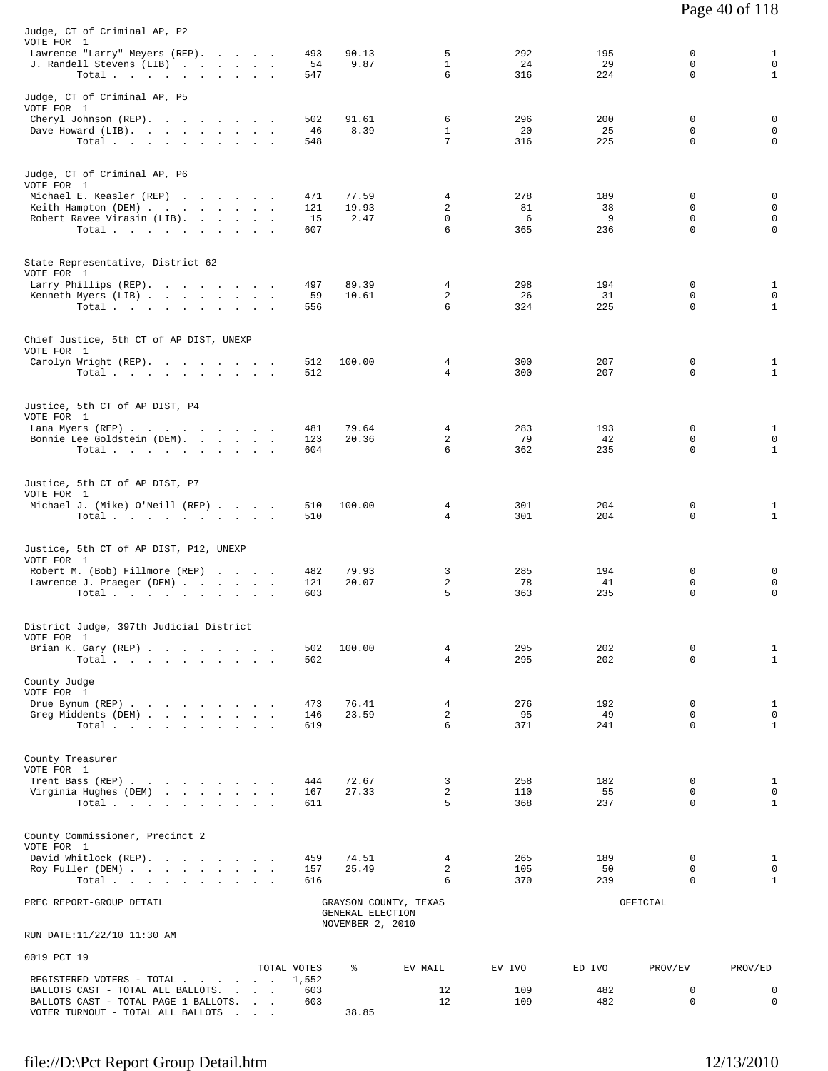| Judge, CT of Criminal AP, P2<br>VOTE FOR 1                                   |              |                  |                                  |            |            |                  |                              |
|------------------------------------------------------------------------------|--------------|------------------|----------------------------------|------------|------------|------------------|------------------------------|
| Lawrence "Larry" Meyers (REP).<br>J. Randell Stevens (LIB)                   | 493<br>54    | 90.13<br>9.87    | 5<br>$\mathbf{1}$                | 292<br>24  | 195<br>29  | 0<br>0           | $\mathbf{1}$<br>$\mathbf 0$  |
| Total.                                                                       | 547          |                  | 6                                | 316        | 224        | $\mathbf 0$      | $\mathbf{1}$                 |
| Judge, CT of Criminal AP, P5<br>VOTE FOR 1                                   |              |                  |                                  |            |            |                  |                              |
| Cheryl Johnson (REP).                                                        | 502          | 91.61<br>8.39    | 6<br>$\mathbf{1}$                | 296<br>20  | 200<br>25  | 0<br>0           | 0<br>$\mathbf 0$             |
| Dave Howard (LIB).<br>Total.                                                 | 46<br>548    |                  | 7                                | 316        | 225        | $\Omega$         | 0                            |
|                                                                              |              |                  |                                  |            |            |                  |                              |
| Judge, CT of Criminal AP, P6<br>VOTE FOR 1                                   |              |                  |                                  |            |            |                  |                              |
| Michael E. Keasler (REP)                                                     | 471          | 77.59            | 4                                | 278        | 189        | 0                | 0                            |
| Keith Hampton (DEM)<br>Robert Ravee Virasin (LIB).                           | 121<br>15    | 19.93<br>2.47    | 2<br>0                           | 81<br>6    | 38<br>9    | 0<br>0           | 0<br>0                       |
| Total.                                                                       | 607          |                  | 6                                | 365        | 236        | $\mathbf 0$      | 0                            |
|                                                                              |              |                  |                                  |            |            |                  |                              |
| State Representative, District 62<br>VOTE FOR 1                              |              |                  |                                  |            |            |                  |                              |
| Larry Phillips (REP).                                                        | 497          | 89.39            | 4                                | 298        | 194        | 0                | 1                            |
| Kenneth Myers (LIB)<br>Total                                                 | 59<br>556    | 10.61            | 2<br>6                           | 26<br>324  | 31<br>225  | 0<br>$\mathbf 0$ | $\mathbf 0$<br>$\mathbf{1}$  |
|                                                                              |              |                  |                                  |            |            |                  |                              |
| Chief Justice, 5th CT of AP DIST, UNEXP<br>VOTE FOR 1                        |              |                  |                                  |            |            |                  |                              |
| Carolyn Wright (REP).                                                        | 512          | 100.00           | 4                                | 300        | 207        | 0                | 1                            |
| Total.                                                                       | 512          |                  | $\overline{4}$                   | 300        | 207        | $\Omega$         | $\mathbf{1}$                 |
|                                                                              |              |                  |                                  |            |            |                  |                              |
| Justice, 5th CT of AP DIST, P4<br>VOTE FOR 1                                 |              |                  |                                  |            |            |                  |                              |
| Lana Myers (REP)<br>Bonnie Lee Goldstein (DEM).                              | 481<br>123   | 79.64<br>20.36   | 4<br>2                           | 283<br>79  | 193<br>42  | 0<br>0           | $\mathbf{1}$<br>$\mathbf 0$  |
| Total.                                                                       | 604          |                  | 6                                | 362        | 235        | 0                | $\mathbf{1}$                 |
|                                                                              |              |                  |                                  |            |            |                  |                              |
| Justice, 5th CT of AP DIST, P7<br>VOTE FOR 1                                 |              |                  |                                  |            |            |                  |                              |
| Michael J. (Mike) O'Neill (REP)<br>Total $\cdots$ $\cdots$ $\cdots$ $\cdots$ | 510<br>510   | 100.00           | 4<br>4                           | 301<br>301 | 204<br>204 | 0<br>0           | 1<br>$\mathbf{1}$            |
|                                                                              |              |                  |                                  |            |            |                  |                              |
| Justice, 5th CT of AP DIST, P12, UNEXP                                       |              |                  |                                  |            |            |                  |                              |
| VOTE FOR 1<br>Robert M. (Bob) Fillmore (REP)                                 | 482          | 79.93            | 3                                | 285        | 194        | 0                | 0                            |
| Lawrence J. Praeger (DEM)                                                    | 121          | 20.07            | 2                                | 78         | 41         | 0                | 0                            |
| Total.                                                                       | 603          |                  | 5                                | 363        | 235        | 0                | 0                            |
|                                                                              |              |                  |                                  |            |            |                  |                              |
| District Judge, 397th Judicial District<br>VOTE FOR 1                        |              |                  |                                  |            |            |                  |                              |
| Brian K. Gary (REP)<br>Total $\cdots$ $\cdots$ $\cdots$                      | 502<br>502   | 100.00           | 4<br>$\overline{4}$              | 295<br>295 | 202<br>202 | 0<br>$\Omega$    | $\mathbf{1}$<br>$\mathbf{1}$ |
|                                                                              |              |                  |                                  |            |            |                  |                              |
| County Judge<br>VOTE FOR 1                                                   |              |                  |                                  |            |            |                  |                              |
| Drue Bynum (REP)                                                             | 473          | 76.41            | $\overline{4}$<br>$\overline{a}$ | 276<br>95  | 192<br>49  | 0<br>0           | $\mathbf{1}$<br>$\mathbf 0$  |
| Greg Middents (DEM)<br>Total.                                                | 146<br>619   | 23.59            | 6                                | 371        | 241        | $\Omega$         | $\mathbf{1}$                 |
|                                                                              |              |                  |                                  |            |            |                  |                              |
| County Treasurer                                                             |              |                  |                                  |            |            |                  |                              |
| VOTE FOR 1<br>Trent Bass (REP)                                               | 444          | 72.67            | 3                                | 258        | 182        | 0                | $\mathbf{1}$                 |
| Virginia Hughes (DEM)                                                        | 167          | 27.33            | 2                                | 110        | 55         | 0                | $\mathbf 0$                  |
| Total                                                                        | 611          |                  | 5                                | 368        | 237        | $\Omega$         | $\mathbf{1}$                 |
| County Commissioner, Precinct 2                                              |              |                  |                                  |            |            |                  |                              |
| VOTE FOR 1<br>David Whitlock (REP).                                          | 459          | 74.51            | 4                                | 265        | 189        | 0                | $\mathbf{1}$                 |
| Roy Fuller (DEM)                                                             | 157          | 25.49            | 2                                | 105        | 50         | 0                | $\mathbf 0$                  |
| Total                                                                        | 616          |                  | 6                                | 370        | 239        | $\Omega$         | $\mathbf{1}$                 |
| PREC REPORT-GROUP DETAIL                                                     |              | GENERAL ELECTION | GRAYSON COUNTY, TEXAS            |            |            | OFFICIAL         |                              |
| RUN DATE:11/22/10 11:30 AM                                                   |              | NOVEMBER 2, 2010 |                                  |            |            |                  |                              |
|                                                                              |              |                  |                                  |            |            |                  |                              |
| 0019 PCT 19                                                                  | TOTAL VOTES  | ి                | EV MAIL                          | EV IVO     | ED IVO     | PROV/EV          | PROV/ED                      |
| REGISTERED VOTERS - TOTAL                                                    | 1,552<br>603 |                  | 12                               | 109        | 482        | 0                | $\mathbf 0$                  |
| BALLOTS CAST - TOTAL ALL BALLOTS.<br>BALLOTS CAST - TOTAL PAGE 1 BALLOTS.    | 603          |                  | 12                               | 109        | 482        | 0                | $\mathbf 0$                  |
| VOTER TURNOUT - TOTAL ALL BALLOTS<br><b>Contract Contract</b>                |              | 38.85            |                                  |            |            |                  |                              |

Page 40 of 118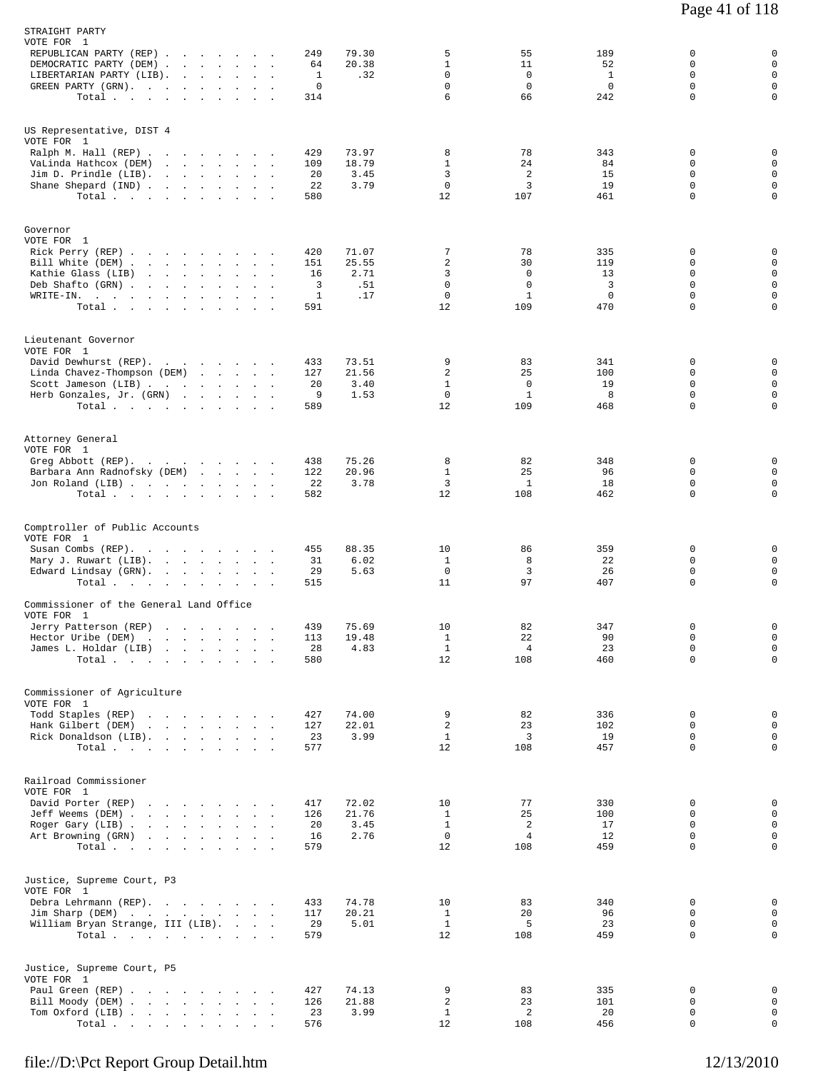| STRAIGHT PARTY<br>VOTE FOR 1                                                 |                                                                                                                             |                      |                   |                       |                                                 |                                           |                               |                            |                                 |
|------------------------------------------------------------------------------|-----------------------------------------------------------------------------------------------------------------------------|----------------------|-------------------|-----------------------|-------------------------------------------------|-------------------------------------------|-------------------------------|----------------------------|---------------------------------|
| REPUBLICAN PARTY (REP)<br>DEMOCRATIC PARTY (DEM)<br>LIBERTARIAN PARTY (LIB). |                                                                                                                             |                      | 249<br>64<br>1    | 79.30<br>20.38<br>.32 | 5<br>$\mathbf{1}$<br>$\mathbf 0$<br>$\mathbf 0$ | 55<br>11<br>$\overline{0}$<br>$\mathbf 0$ | 189<br>52<br>1<br>$\mathbf 0$ | 0<br>0<br>0<br>$\mathbf 0$ | 0<br>$\mathbf 0$<br>$\mathbf 0$ |
| GREEN PARTY (GRN).<br>Total                                                  |                                                                                                                             | $\sim$               | 0<br>314          |                       | 6                                               | 66                                        | 242                           | $\Omega$                   | $\mathbf 0$<br>$\mathbf 0$      |
| US Representative, DIST 4<br>VOTE FOR 1<br>Ralph M. Hall (REP)               |                                                                                                                             |                      | 429               | 73.97                 | 8                                               | 78                                        | 343                           | 0                          | 0                               |
| VaLinda Hathcox (DEM)                                                        |                                                                                                                             |                      | 109               | 18.79                 | $\mathbf{1}$                                    | 24                                        | 84                            | 0<br>$\Omega$              | $\mathbf 0$                     |
| Jim D. Prindle (LIB).<br>Shane Shepard (IND)                                 | and the contract of the contract of                                                                                         |                      | 20<br>22          | 3.45<br>3.79          | 3<br>$\mathbf 0$                                | 2<br>3                                    | 15<br>19                      | $\mathbf 0$                | $\mathbf 0$<br>$\mathbf 0$      |
| Total $\cdots$ $\cdots$ $\cdots$                                             |                                                                                                                             |                      | 580               |                       | 12                                              | 107                                       | 461                           | $\Omega$                   | $\mathbf 0$                     |
| Governor<br>VOTE FOR 1                                                       |                                                                                                                             |                      |                   |                       |                                                 |                                           |                               |                            |                                 |
| Rick Perry (REP)<br>Bill White (DEM)                                         |                                                                                                                             |                      | 420<br>151        | 71.07<br>25.55        | 7<br>$\overline{2}$                             | 78<br>30                                  | 335<br>119                    | $\Omega$<br>0              | 0<br>$\mathbf 0$                |
| Kathie Glass (LIB)                                                           | the contract of the contract of the contract of                                                                             |                      | 16                | 2.71                  | 3                                               | $\mathbf 0$                               | 13                            | 0                          | $\mathsf 0$                     |
| Deb Shafto (GRN).<br>WRITE-IN.                                               | the company of the company of the company of                                                                                |                      | 3<br>$\mathbf{1}$ | .51<br>.17            | $\mathbf 0$<br>$\mathbf 0$                      | $\mathbf 0$<br>$\mathbf{1}$               | 3<br>$\mathbf 0$              | $\mathbf 0$<br>$\Omega$    | $\mathbf 0$<br>$\mathsf 0$      |
| Total                                                                        |                                                                                                                             | $\ddot{\phantom{a}}$ | 591               |                       | 12                                              | 109                                       | 470                           | 0                          | $\mathbf 0$                     |
| Lieutenant Governor<br>VOTE FOR 1                                            |                                                                                                                             |                      |                   |                       |                                                 |                                           |                               |                            |                                 |
| David Dewhurst (REP).<br>Linda Chavez-Thompson (DEM)                         |                                                                                                                             |                      | 433<br>127        | 73.51<br>21.56        | 9<br>2                                          | 83<br>25                                  | 341<br>100                    | 0<br>$\Omega$              | 0<br>$\mathbf 0$                |
| Scott Jameson (LIB)                                                          |                                                                                                                             |                      | 20                | 3.40                  | $\mathbf{1}$                                    | $\mathbf 0$                               | 19                            | $\mathbf 0$                | $\mathbf 0$                     |
| Herb Gonzales, Jr. (GRN)<br>Total $\cdots$                                   |                                                                                                                             |                      | 9<br>589          | 1.53                  | $\mathbf 0$<br>12                               | $\mathbf{1}$<br>109                       | 8<br>468                      | 0<br>$\Omega$              | $\mathsf{O}$<br>$\mathbf 0$     |
| Attorney General                                                             |                                                                                                                             |                      |                   |                       |                                                 |                                           |                               |                            |                                 |
| VOTE FOR 1<br>Greg Abbott (REP).                                             |                                                                                                                             |                      | 438               | 75.26                 | 8                                               | 82                                        | 348                           | 0                          | 0                               |
| Barbara Ann Radnofsky (DEM)                                                  |                                                                                                                             |                      | 122               | 20.96                 | $\mathbf{1}$                                    | 25                                        | 96                            | 0                          | $\mathbf 0$                     |
| Jon Roland (LIB)<br>Total                                                    |                                                                                                                             |                      | 22<br>582         | 3.78                  | 3<br>12                                         | $\mathbf{1}$<br>108                       | 18<br>462                     | $\Omega$<br>$\mathbf 0$    | $\mathbf 0$<br>$\mathbf 0$      |
|                                                                              |                                                                                                                             |                      |                   |                       |                                                 |                                           |                               |                            |                                 |
| Comptroller of Public Accounts<br>VOTE FOR 1                                 |                                                                                                                             |                      |                   |                       |                                                 |                                           |                               |                            |                                 |
| Susan Combs (REP).                                                           |                                                                                                                             |                      | 455               | 88.35                 | 10                                              | 86                                        | 359                           | 0                          | 0                               |
| Mary J. Ruwart (LIB).                                                        |                                                                                                                             |                      | 31                | 6.02<br>5.63          | $\mathbf{1}$<br>$^{\circ}$                      | 8<br>3                                    | 22<br>26                      | 0<br>$\mathbf 0$           | $\mathsf 0$<br>$\mathbf 0$      |
| Edward Lindsay (GRN).<br>Total.                                              |                                                                                                                             | $\sim$<br>$\cdot$    | 29<br>515         |                       | 11                                              | 97                                        | 407                           | 0                          | $\mathbf 0$                     |
| Commissioner of the General Land Office                                      |                                                                                                                             |                      |                   |                       |                                                 |                                           |                               |                            |                                 |
| VOTE FOR 1                                                                   |                                                                                                                             |                      | 439               | 75.69                 | 10                                              | 82                                        | 347                           | $\Omega$                   | $\mathbf 0$                     |
| Jerry Patterson (REP)<br>Hector Uribe (DEM)                                  | the contract of the contract of                                                                                             |                      | 113               | 19.48                 | $\mathbf{1}$                                    | 22                                        | 90                            | 0                          | 0                               |
| James L. Holdar (LIB)                                                        |                                                                                                                             |                      | 28<br>580         | 4.83                  | $\mathbf{1}$<br>12                              | 4<br>108                                  | 23<br>460                     | $\mathbf 0$<br>0           | $\mathbf 0$<br>$\mathsf{O}$     |
| Total $\cdots$                                                               |                                                                                                                             |                      |                   |                       |                                                 |                                           |                               |                            |                                 |
| Commissioner of Agriculture<br>VOTE FOR 1                                    |                                                                                                                             |                      |                   |                       |                                                 |                                           |                               |                            |                                 |
| Todd Staples (REP)<br>Hank Gilbert (DEM)                                     | the contract of the contract of the contract of the contract of the contract of<br>the contract of the contract of the con- |                      | 427<br>127        | 74.00<br>22.01        | 9<br>2                                          | 82<br>23                                  | 336<br>102                    | 0<br>$\Omega$              | 0<br>$\mathbf 0$                |
| Rick Donaldson (LIB).                                                        |                                                                                                                             |                      | 23                | 3.99                  | $\mathbf{1}$                                    | 3                                         | 19                            | 0                          | $\mathbf 0$                     |
| Total                                                                        |                                                                                                                             |                      | 577               |                       | 12                                              | 108                                       | 457                           | 0                          | $\mathbf 0$                     |
| Railroad Commissioner<br>VOTE FOR 1                                          |                                                                                                                             |                      |                   |                       |                                                 |                                           |                               |                            |                                 |
| David Porter (REP)                                                           | the contract of the contract of the contract of                                                                             |                      | 417               | 72.02                 | 10                                              | 77                                        | 330                           | $\Omega$                   | 0                               |
| Jeff Weems (DEM)                                                             |                                                                                                                             |                      | 126               | 21.76                 | $\mathbf{1}$                                    | 25                                        | 100                           | 0                          | $\mathbf 0$                     |
| Roger Gary (LIB)<br>Art Browning (GRN)                                       | the contract of the contract of the contract of                                                                             |                      | 20<br>16          | 3.45<br>2.76          | $\mathbf{1}$<br>$\mathbf 0$                     | 2<br>4                                    | 17<br>12                      | 0<br>$\mathbf 0$           | $\mathbf 0$<br>$\mathbf 0$      |
| Total $\cdots$                                                               |                                                                                                                             |                      | 579               |                       | 12                                              | 108                                       | 459                           | $\mathbf 0$                | $\mathbf 0$                     |
| Justice, Supreme Court, P3<br>VOTE FOR 1                                     |                                                                                                                             |                      |                   |                       |                                                 |                                           |                               |                            |                                 |
| Debra Lehrmann (REP).                                                        |                                                                                                                             |                      | 433               | 74.78                 | 10                                              | 83                                        | 340                           | 0                          | 0                               |
| Jim Sharp (DEM)                                                              |                                                                                                                             |                      | 117               | 20.21                 | $\mathbf{1}$                                    | 20                                        | 96                            | $\Omega$<br>$\mathbf 0$    | $\mathbf 0$                     |
| William Bryan Strange, III (LIB).<br>Total                                   |                                                                                                                             |                      | 29<br>579         | 5.01                  | $\mathbf{1}$<br>12                              | 5<br>108                                  | 23<br>459                     | $\Omega$                   | $\mathbf 0$<br>$\mathsf{O}$     |
| Justice, Supreme Court, P5                                                   |                                                                                                                             |                      |                   |                       |                                                 |                                           |                               |                            |                                 |
| VOTE FOR 1<br>Paul Green (REP)                                               |                                                                                                                             |                      | 427               | 74.13                 | 9                                               | 83                                        | 335                           | 0                          | 0                               |
| Bill Moody (DEM)                                                             |                                                                                                                             |                      | 126               | 21.88                 | $\sqrt{2}$                                      | 23                                        | 101                           | 0                          | $\mathbf 0$                     |
| Tom Oxford (LIB)<br>Total                                                    |                                                                                                                             |                      | 23<br>576         | 3.99                  | $\mathbf{1}$<br>12                              | 2<br>108                                  | 20<br>456                     | 0<br>$\mathbf 0$           | $\mathsf{O}$<br>$\mathsf{O}$    |
|                                                                              |                                                                                                                             |                      |                   |                       |                                                 |                                           |                               |                            |                                 |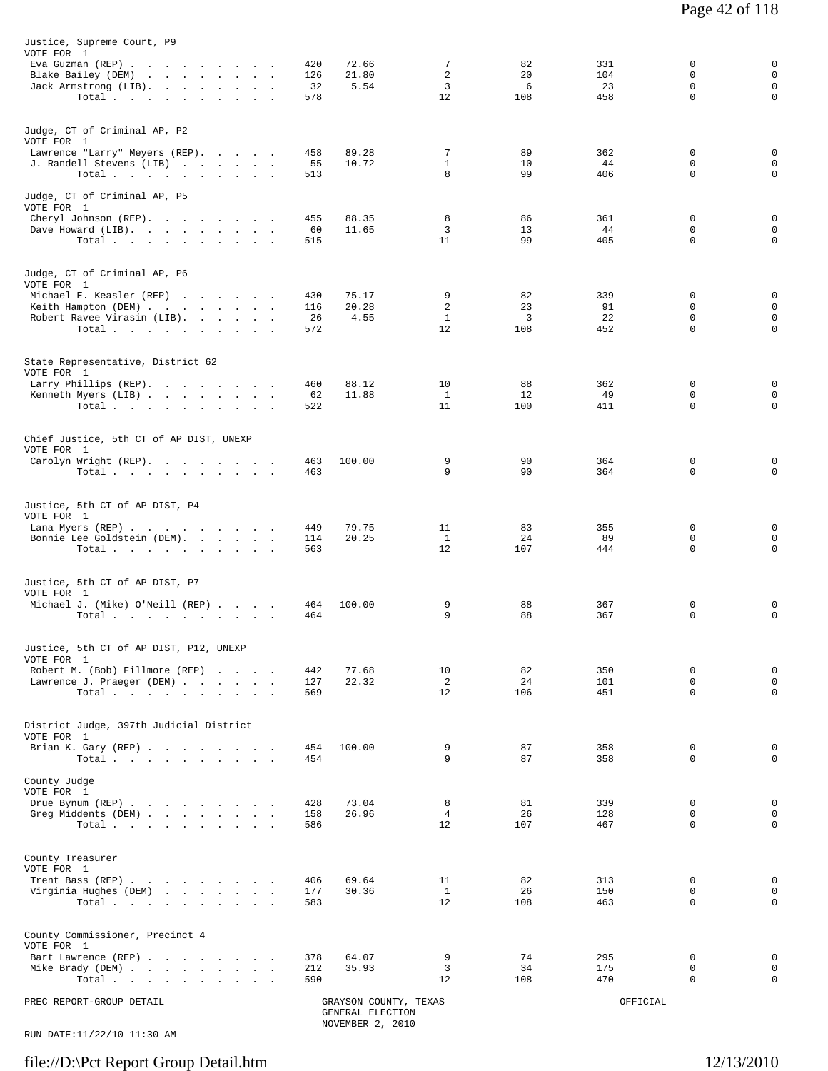| Justice, Supreme Court, P9<br>VOTE FOR 1              |           |                                           |                    |           |           |                         |                            |
|-------------------------------------------------------|-----------|-------------------------------------------|--------------------|-----------|-----------|-------------------------|----------------------------|
| Eva Guzman (REP)                                      | 420       | 72.66                                     | 7                  | 82        | 331       | 0                       | 0                          |
| Blake Bailey (DEM)<br>Jack Armstrong (LIB).           | 126<br>32 | 21.80<br>5.54                             | 2<br>3             | 20<br>6   | 104<br>23 | $\mathbf 0$<br>0        | $\mathbf 0$<br>$\mathbf 0$ |
| Total                                                 | 578       |                                           | 12                 | 108       | 458       | $\Omega$                | 0                          |
|                                                       |           |                                           |                    |           |           |                         |                            |
| Judge, CT of Criminal AP, P2<br>VOTE FOR 1            |           |                                           |                    |           |           |                         |                            |
| Lawrence "Larry" Meyers (REP).                        | 458       | 89.28                                     | 7                  | 89        | 362       | 0                       | 0                          |
| J. Randell Stevens (LIB)<br>Total.                    | 55<br>513 | 10.72                                     | $\mathbf{1}$<br>8  | 10<br>99  | 44<br>406 | 0<br>$\Omega$           | 0<br>0                     |
|                                                       |           |                                           |                    |           |           |                         |                            |
| Judge, CT of Criminal AP, P5<br>VOTE FOR 1            |           |                                           |                    |           |           |                         |                            |
| Cheryl Johnson (REP).<br>Dave Howard (LIB).           | 455<br>60 | 88.35<br>11.65                            | 8<br>3             | 86<br>13  | 361<br>44 | $\Omega$<br>$\mathbf 0$ | 0<br>$\mathbf 0$           |
| Total $\cdots$                                        | 515       |                                           | 11                 | 99        | 405       | $\Omega$                | 0                          |
|                                                       |           |                                           |                    |           |           |                         |                            |
| Judge, CT of Criminal AP, P6<br>VOTE FOR 1            |           |                                           |                    |           |           |                         |                            |
| Michael E. Keasler (REP)                              | 430       | 75.17                                     | 9                  | 82        | 339       | 0                       | 0                          |
| Keith Hampton (DEM)                                   | 116       | 20.28                                     | $\overline{a}$     | 23        | 91        | $\mathbf 0$             | $\mathbf 0$                |
| Robert Ravee Virasin (LIB).<br>Total                  | 26<br>572 | 4.55                                      | $\mathbf{1}$<br>12 | 3<br>108  | 22<br>452 | 0<br>$\mathbf 0$        | 0<br>0                     |
|                                                       |           |                                           |                    |           |           |                         |                            |
| State Representative, District 62<br>VOTE FOR 1       |           |                                           |                    |           |           |                         |                            |
| Larry Phillips (REP).                                 | 460       | 88.12                                     | 10                 | 88        | 362       | 0                       | 0                          |
| Kenneth Myers (LIB)<br>Total,                         | 62<br>522 | 11.88                                     | $\mathbf{1}$<br>11 | 12<br>100 | 49<br>411 | 0<br>$\mathbf 0$        | 0<br>0                     |
|                                                       |           |                                           |                    |           |           |                         |                            |
| Chief Justice, 5th CT of AP DIST, UNEXP               |           |                                           |                    |           |           |                         |                            |
| VOTE FOR 1<br>Carolyn Wright (REP).                   | 463       | 100.00                                    | 9                  | 90        | 364       | 0                       | 0                          |
| Total                                                 | 463       |                                           | 9                  | 90        | 364       | 0                       | 0                          |
|                                                       |           |                                           |                    |           |           |                         |                            |
| Justice, 5th CT of AP DIST, P4<br>VOTE FOR 1          |           |                                           |                    |           |           |                         |                            |
| Lana Myers (REP)                                      | 449       | 79.75                                     | 11                 | 83        | 355       | 0                       | 0                          |
| Bonnie Lee Goldstein (DEM).                           | 114       | 20.25                                     | 1<br>12            | 24        | 89        | $\mathbf 0$<br>0        | $\mathbf 0$<br>0           |
| Total.                                                | 563       |                                           |                    | 107       | 444       |                         |                            |
|                                                       |           |                                           |                    |           |           |                         |                            |
| Justice, 5th CT of AP DIST, P7<br>VOTE FOR 1          |           |                                           |                    |           |           |                         |                            |
| Michael J. (Mike) O'Neill (REP)                       | 464       | 100.00                                    | 9                  | 88        | 367       | 0                       | 0                          |
| Total                                                 | 464       |                                           | 9                  | 88        | 367       | $\mathbf 0$             | $\mathbf 0$                |
|                                                       |           |                                           |                    |           |           |                         |                            |
| Justice, 5th CT of AP DIST, P12, UNEXP<br>VOTE FOR 1  |           |                                           |                    |           |           |                         |                            |
| Robert M. (Bob) Fillmore (REP)                        | 442       | 77.68                                     | 10                 | 82        | 350       | 0                       | 0                          |
| Lawrence J. Praeger (DEM)                             | 127       | 22.32                                     | $\overline{2}$     | 24        | 101       | $\mathbf 0$             | $\mathsf 0$                |
| Total                                                 | 569       |                                           | 12                 | 106       | 451       | $\mathbf 0$             | $\mathbf 0$                |
|                                                       |           |                                           |                    |           |           |                         |                            |
| District Judge, 397th Judicial District<br>VOTE FOR 1 |           |                                           |                    |           |           |                         |                            |
| Brian K. Gary (REP)                                   | 454       | 100.00                                    | 9                  | 87        | 358       | 0                       | 0                          |
| Total $\cdots$ $\cdots$ $\cdots$ $\cdots$             | 454       |                                           | 9                  | 87        | 358       | $\mathbf 0$             | $\mathbf 0$                |
| County Judge                                          |           |                                           |                    |           |           |                         |                            |
| VOTE FOR 1<br>Drue Bynum (REP)                        | 428       | 73.04                                     | 8                  | 81        | 339       | 0                       | 0                          |
| Greg Middents (DEM)                                   | 158       | 26.96                                     | $\overline{4}$     | 26        | 128       | $\mathbf 0$             | $\mathsf 0$                |
| Total $\cdots$                                        | 586       |                                           | 12                 | 107       | 467       | 0                       | 0                          |
|                                                       |           |                                           |                    |           |           |                         |                            |
| County Treasurer                                      |           |                                           |                    |           |           |                         |                            |
| VOTE FOR 1<br>Trent Bass (REP)                        | 406       | 69.64                                     | 11                 | 82        | 313       | 0                       | 0                          |
| Virginia Hughes (DEM)                                 | 177       | 30.36                                     | $\mathbf{1}$       | 26        | 150       | $\mathbf 0$             | $\mathbf 0$                |
| Total                                                 | 583       |                                           | 12                 | 108       | 463       | 0                       | $\mathsf 0$                |
|                                                       |           |                                           |                    |           |           |                         |                            |
| County Commissioner, Precinct 4<br>VOTE FOR 1         |           |                                           |                    |           |           |                         |                            |
| Bart Lawrence (REP)                                   | 378       | 64.07                                     | 9                  | 74        | 295       | 0                       | 0                          |
| Mike Brady (DEM)                                      | 212       | 35.93                                     | 3                  | 34        | 175       | $\mathbf 0$             | $\mathsf 0$                |
| Total                                                 | 590       |                                           | 12                 | 108       | 470       | 0                       | 0                          |
| PREC REPORT-GROUP DETAIL                              |           | GRAYSON COUNTY, TEXAS<br>GENERAL ELECTION |                    |           | OFFICIAL  |                         |                            |
|                                                       |           | NOVEMBER 2, 2010                          |                    |           |           |                         |                            |

RUN DATE:11/22/10 11:30 AM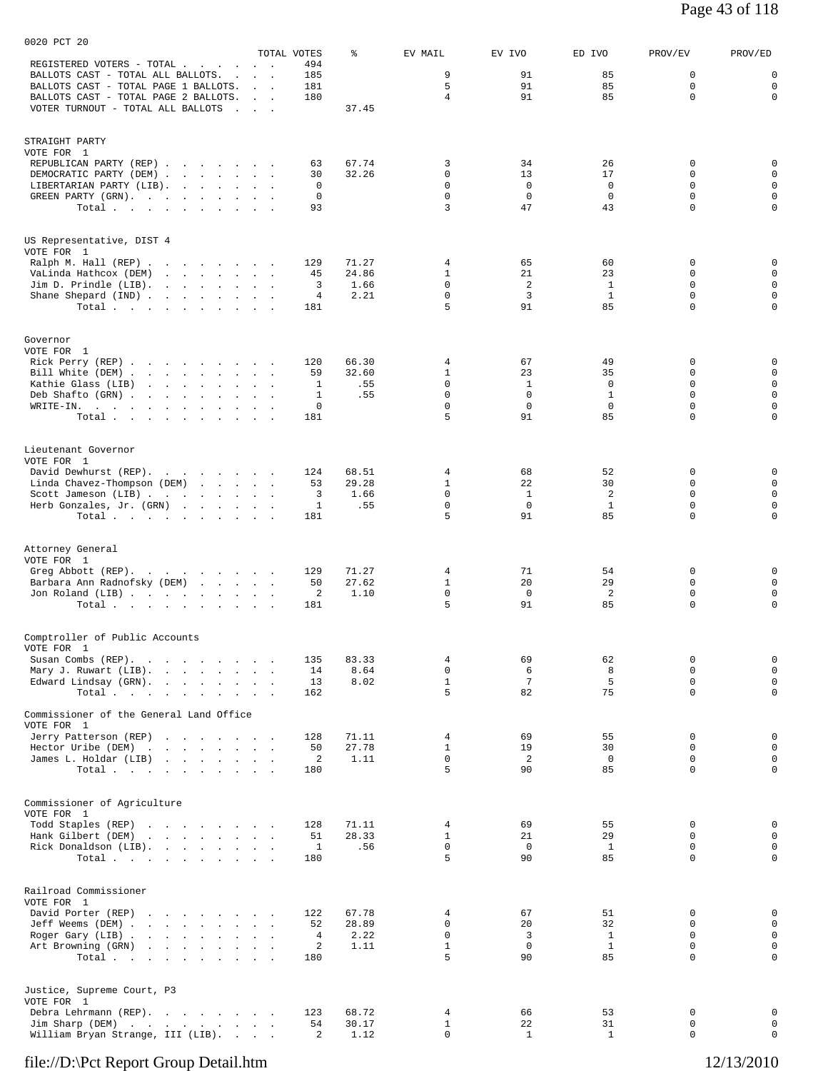|                                                                                                                                       |                                       | TOTAL VOTES          | ႜ              | EV MAIL                     | EV IVO            | ED IVO             | PROV/EV                 | PROV/ED                            |
|---------------------------------------------------------------------------------------------------------------------------------------|---------------------------------------|----------------------|----------------|-----------------------------|-------------------|--------------------|-------------------------|------------------------------------|
| REGISTERED VOTERS - TOTAL .<br>$\sim$<br><b>Contract Contract</b><br>BALLOTS CAST - TOTAL ALL BALLOTS.<br>$\ddot{\phantom{a}}$        | $\sim$ $\sim$<br>$\sim$ $\sim$ $\sim$ | 494<br>185           |                | 9                           | 91                | 85                 | 0                       | 0                                  |
| BALLOTS CAST - TOTAL PAGE 1 BALLOTS.                                                                                                  | <b>Sales Street</b>                   | 181                  |                | 5                           | 91                | 85                 | $\mathbf 0$             | $\mathbf 0$                        |
| BALLOTS CAST - TOTAL PAGE 2 BALLOTS.                                                                                                  | <b>Contract Contract</b>              | 180                  |                | $\overline{4}$              | 91                | 85                 | $\Omega$                | $\mathbf 0$                        |
| VOTER TURNOUT - TOTAL ALL BALLOTS                                                                                                     | <b>Carl Corp.</b>                     |                      | 37.45          |                             |                   |                    |                         |                                    |
| STRAIGHT PARTY                                                                                                                        |                                       |                      |                |                             |                   |                    |                         |                                    |
| VOTE FOR 1                                                                                                                            |                                       |                      |                |                             |                   |                    |                         |                                    |
| REPUBLICAN PARTY (REP)                                                                                                                |                                       | 63                   | 67.74          | 3                           | 34                | 26                 | 0                       | 0                                  |
| DEMOCRATIC PARTY (DEM)                                                                                                                |                                       | 30                   | 32.26          | $\Omega$                    | 13                | 17                 | $\Omega$                | 0                                  |
| LIBERTARIAN PARTY (LIB).                                                                                                              |                                       | 0                    |                | $\mathbf 0$<br>$\mathbf 0$  | $\mathbf 0$       | $\mathbf 0$        | $\mathbf 0$             | $\mathsf 0$                        |
| GREEN PARTY (GRN).<br>Total.                                                                                                          |                                       | 0<br>93              |                | 3                           | $\mathbf 0$<br>47 | $\mathbf 0$<br>43  | 0<br>$\mathbf 0$        | $\mathsf{O}$<br>$\mathbf 0$        |
|                                                                                                                                       |                                       |                      |                |                             |                   |                    |                         |                                    |
| US Representative, DIST 4                                                                                                             |                                       |                      |                |                             |                   |                    |                         |                                    |
| VOTE FOR 1                                                                                                                            |                                       |                      |                |                             |                   |                    |                         |                                    |
| Ralph M. Hall (REP)                                                                                                                   |                                       | 129                  | 71.27          | 4<br>$\mathbf{1}$           | 65<br>21          | 60<br>23           | 0<br>0                  | 0<br>$\mathbf 0$                   |
| VaLinda Hathcox (DEM)<br>and the contract of the contract of<br>Jim D. Prindle $(LIB)$ .                                              |                                       | 45<br>3              | 24.86<br>1.66  | $\mathbf 0$                 | 2                 | 1                  | 0                       | $\mathbf 0$                        |
| Shane Shepard (IND)                                                                                                                   |                                       | 4                    | 2.21           | $\mathbf 0$                 | 3                 | 1                  | $\Omega$                | $\mathbf 0$                        |
| Total $\cdots$ $\cdots$ $\cdots$                                                                                                      |                                       | 181                  |                | 5                           | 91                | 85                 | $\mathbf 0$             | $\mathsf 0$                        |
|                                                                                                                                       |                                       |                      |                |                             |                   |                    |                         |                                    |
| Governor<br>VOTE FOR 1                                                                                                                |                                       |                      |                |                             |                   |                    |                         |                                    |
| Rick Perry (REP)                                                                                                                      |                                       | 120                  | 66.30          | 4                           | 67                | 49                 | 0                       | 0                                  |
| Bill White (DEM)                                                                                                                      |                                       | 59                   | 32.60          | $\mathbf{1}$                | 23                | 35                 | $\Omega$                | $\mathbf 0$                        |
| Kathie Glass (LIB)<br>the contract of the contract of the contract of the contract of the contract of the contract of the contract of |                                       | 1                    | .55            | $\mathbf 0$                 | $\mathbf{1}$      | $\mathbf 0$        | $\mathbf 0$             | $\mathbf 0$                        |
| Deb Shafto (GRN)                                                                                                                      |                                       | 1                    | .55            | $\mathbf 0$                 | $\mathbf 0$       | $\mathbf{1}$       | 0                       | $\mathsf 0$                        |
| WRITE-IN.                                                                                                                             |                                       | 0                    |                | $\mathbf 0$                 | $\mathbf 0$       | $\mathbf 0$        | $\mathbf 0$             | $\mathsf{O}$                       |
| Total                                                                                                                                 |                                       | 181                  |                | 5                           | 91                | 85                 | $\Omega$                | $\mathbf 0$                        |
| Lieutenant Governor                                                                                                                   |                                       |                      |                |                             |                   |                    |                         |                                    |
| VOTE FOR 1<br>David Dewhurst (REP).<br>and the contract of the contract of                                                            |                                       | 124                  | 68.51          | 4                           | 68                | 52                 | 0                       | 0                                  |
| Linda Chavez-Thompson (DEM)                                                                                                           |                                       | 53                   | 29.28          | $\mathbf{1}$                | 22                | 30                 | $\Omega$                | $\mathbf 0$                        |
| Scott Jameson (LIB)                                                                                                                   |                                       | 3                    | 1.66           | $\mathbf 0$                 | <sup>1</sup>      | 2                  | $\Omega$                | $\mathsf 0$                        |
| Herb Gonzales, Jr. (GRN)                                                                                                              |                                       | 1                    | .55            | $\mathbf 0$                 | $\mathbf 0$       | $\mathbf{1}$       | $\mathbf 0$             | $\mathbf 0$                        |
| Total                                                                                                                                 |                                       | 181                  |                | 5                           | 91                | 85                 | $\mathbf 0$             | $\mathsf 0$                        |
|                                                                                                                                       |                                       |                      |                |                             |                   |                    |                         |                                    |
| Attorney General<br>VOTE FOR 1                                                                                                        |                                       |                      |                |                             |                   |                    |                         |                                    |
| Greg Abbott (REP).                                                                                                                    |                                       | 129                  | 71.27          | 4                           | 71                | 54                 | $\Omega$                | 0                                  |
| Barbara Ann Radnofsky (DEM)                                                                                                           |                                       | 50                   | 27.62          | $\mathbf{1}$                | 20                | 29                 | $\mathbf 0$             | $\mathbf 0$                        |
| Jon Roland (LIB)                                                                                                                      |                                       | 2                    | 1.10           | $\mathsf{O}$                | $\mathbf{0}$      | 2                  | 0                       | $\mathbf 0$                        |
| Total                                                                                                                                 |                                       | 181                  |                | 5                           | 91                | 85                 | $\Omega$                | $\mathbf 0$                        |
| Comptroller of Public Accounts                                                                                                        |                                       |                      |                |                             |                   |                    |                         |                                    |
| VOTE FOR 1                                                                                                                            |                                       |                      |                |                             |                   |                    |                         |                                    |
| Susan Combs (REP).<br>the contract of the contract of                                                                                 |                                       | 135<br>14            | 83.33<br>8.64  | 4<br>$\mathbf 0$            | 69<br>6           | 62<br>8            | 0<br>$\mathbf 0$        | $\mathbf 0$<br>$\mathsf{O}\xspace$ |
| Mary J. Ruwart (LIB).<br>Edward Lindsay (GRN).<br>the contract of the contract of the contract of the contract of the contract of     | $\ddot{\phantom{a}}$                  | 13                   | 8.02           | $\mathbf{1}$                | 7                 | 5                  | $\mathbf 0$             | $\mathbf 0$                        |
| Total                                                                                                                                 | $\sim$ $\sim$ $\sim$                  | 162                  |                | 5                           | 82                | 75                 | $\mathbf 0$             | $\mathbf 0$                        |
| Commissioner of the General Land Office                                                                                               |                                       |                      |                |                             |                   |                    |                         |                                    |
| VOTE FOR 1                                                                                                                            |                                       |                      |                |                             |                   |                    |                         |                                    |
| Jerry Patterson (REP)<br>the contract of the contract of the                                                                          |                                       | 128                  | 71.11          | $\overline{4}$              | 69                | 55                 | 0                       | 0                                  |
| Hector Uribe (DEM)                                                                                                                    |                                       | 50<br>2              | 27.78          | $\mathbf{1}$<br>$\mathbf 0$ | 19                | 30<br>$\mathbf 0$  | $\Omega$<br>$\mathbf 0$ | $\mathbf 0$<br>$\mathbf 0$         |
| James L. Holdar (LIB)<br>Total                                                                                                        |                                       | 180                  | 1.11           | 5                           | 2<br>90           | 85                 | $\Omega$                | $\mathbf 0$                        |
|                                                                                                                                       |                                       |                      |                |                             |                   |                    |                         |                                    |
| Commissioner of Agriculture                                                                                                           |                                       |                      |                |                             |                   |                    |                         |                                    |
| VOTE FOR 1                                                                                                                            |                                       |                      |                |                             |                   |                    |                         |                                    |
| Todd Staples (REP)<br>the contract of the contract of<br>Hank Gilbert (DEM)<br>and the company of the company of                      |                                       | 128<br>51            | 71.11<br>28.33 | 4<br>$\mathbf{1}$           | 69<br>21          | 55<br>29           | 0<br>0                  | 0<br>$\mathbf 0$                   |
| Rick Donaldson (LIB).                                                                                                                 |                                       | $\mathbf{1}$         | .56            | $\mathbf 0$                 | $\circ$           | $\mathbf{1}$       | $\Omega$                | $\mathbf 0$                        |
| Total                                                                                                                                 |                                       | 180                  |                | 5                           | 90                | 85                 | $\mathbf 0$             | $\mathbf 0$                        |
|                                                                                                                                       |                                       |                      |                |                             |                   |                    |                         |                                    |
| Railroad Commissioner                                                                                                                 |                                       |                      |                |                             |                   |                    |                         |                                    |
| VOTE FOR 1                                                                                                                            |                                       |                      |                |                             |                   |                    |                         |                                    |
| David Porter (REP)                                                                                                                    |                                       | 122                  | 67.78          | 4                           | 67                | 51                 | 0                       | 0                                  |
| Jeff Weems (DEM)                                                                                                                      |                                       | 52<br>$\overline{4}$ | 28.89<br>2.22  | 0<br>$\mathbf 0$            | 20<br>3           | 32<br>$\mathbf{1}$ | $\Omega$<br>$\mathbf 0$ | $\mathbf 0$<br>$\mathbf 0$         |
| Roger Gary (LIB)<br>Art Browning (GRN)                                                                                                |                                       | 2                    | 1.11           | $\mathbf{1}$                | $\circ$           | $\mathbf{1}$       | $\mathbf 0$             | $\mathsf{O}$                       |
| Total                                                                                                                                 |                                       | 180                  |                | 5                           | 90                | 85                 | $\Omega$                | $\mathbf 0$                        |
|                                                                                                                                       |                                       |                      |                |                             |                   |                    |                         |                                    |
| Justice, Supreme Court, P3                                                                                                            |                                       |                      |                |                             |                   |                    |                         |                                    |
| VOTE FOR 1<br>Debra Lehrmann (REP).                                                                                                   |                                       | 123                  | 68.72          | $\overline{4}$              | 66                | 53                 | 0                       | 0                                  |
| Jim Sharp (DEM)                                                                                                                       |                                       | 54                   | 30.17          | $\mathbf{1}$                | 22                | 31                 | 0                       | $\mathbf 0$                        |
| William Bryan Strange, III (LIB).                                                                                                     | $\sim$ $\sim$ $\sim$ $\sim$           | 2                    | 1.12           | 0                           | $\mathbf{1}$      | $\mathbf{1}$       | 0                       | $\mathbf 0$                        |
|                                                                                                                                       |                                       |                      |                |                             |                   |                    |                         |                                    |

0020 PCT 20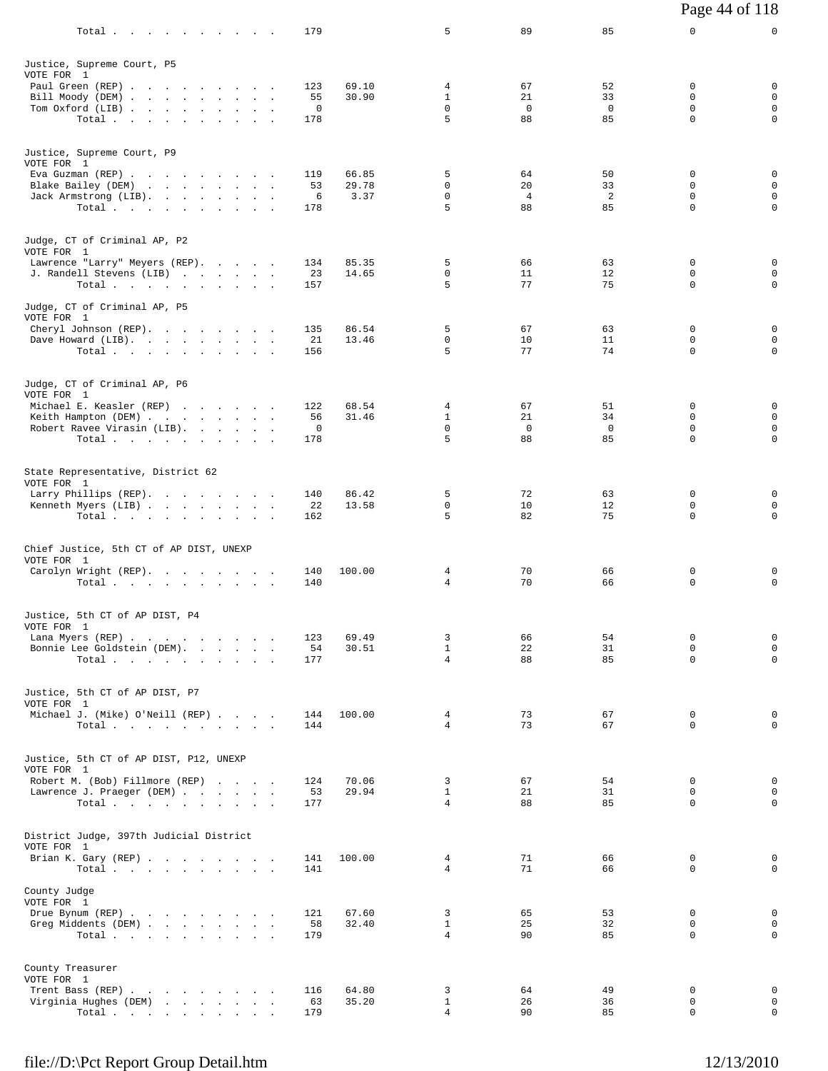| $Total \, . \, . \, . \, . \, . \, . \, . \, . \, . \, .$ | 179        |                | 5                              | 89                   | 85                | 0                       | 0                           |
|-----------------------------------------------------------|------------|----------------|--------------------------------|----------------------|-------------------|-------------------------|-----------------------------|
| Justice, Supreme Court, P5                                |            |                |                                |                      |                   |                         |                             |
| VOTE FOR 1                                                |            |                |                                |                      |                   |                         |                             |
| Paul Green (REP)<br>Bill Moody (DEM)                      | 123<br>55  | 69.10<br>30.90 | 4<br>$\mathbf{1}$              | 67<br>21             | 52<br>33          | 0<br>$\Omega$           | 0<br>$\mathbf 0$            |
| Tom Oxford (LIB)                                          | 0          |                | 0                              | $^{\circ}$           | $^{\circ}$        | $\mathbf 0$             | $\mathbf 0$                 |
| Total.                                                    | 178        |                | 5                              | 88                   | 85                | 0                       | $\mathsf{O}$                |
| Justice, Supreme Court, P9                                |            |                |                                |                      |                   |                         |                             |
| VOTE FOR 1<br>Eva Guzman (REP)                            | 119        | 66.85          | 5                              | 64                   | 50                | 0                       | 0                           |
| Blake Bailey (DEM)                                        | 53         | 29.78          | 0                              | 20                   | 33                | 0                       | $\mathbf 0$                 |
| Jack Armstrong (LIB).<br>Total $\cdots$                   | 6<br>178   | 3.37           | 0<br>5                         | $\overline{4}$<br>88 | 2<br>85           | 0<br>0                  | $\mathbf 0$<br>$\mathbf 0$  |
|                                                           |            |                |                                |                      |                   |                         |                             |
| Judge, CT of Criminal AP, P2<br>VOTE FOR 1                |            |                |                                |                      |                   |                         |                             |
| Lawrence "Larry" Meyers (REP).                            | 134        | 85.35          | 5                              | 66                   | 63                | 0                       | $\mathbf 0$                 |
| J. Randell Stevens (LIB)                                  | 23<br>157  | 14.65          | 0<br>5                         | 11<br>77             | 12<br>75          | 0<br>0                  | $\mathbf 0$<br>$\mathbf 0$  |
| Total                                                     |            |                |                                |                      |                   |                         |                             |
| Judge, CT of Criminal AP, P5<br>VOTE FOR 1                |            |                |                                |                      |                   |                         |                             |
| Cheryl Johnson (REP).<br>Dave Howard (LIB).               | 135<br>21  | 86.54<br>13.46 | 5<br>0                         | 67<br>10             | 63<br>11          | 0<br>$\Omega$           | 0<br>$\mathbf 0$            |
| Total                                                     | 156        |                | 5                              | 77                   | 74                | 0                       | 0                           |
|                                                           |            |                |                                |                      |                   |                         |                             |
| Judge, CT of Criminal AP, P6<br>VOTE FOR 1                |            |                |                                |                      |                   |                         |                             |
| Michael E. Keasler (REP)                                  | 122        | 68.54          | 4                              | 67                   | 51                | 0                       | 0                           |
| Keith Hampton (DEM)<br>Robert Ravee Virasin (LIB).        | 56<br>0    | 31.46          | $\mathbf{1}$<br>$\mathbf 0$    | 21<br>$\mathbf 0$    | 34<br>$\mathbf 0$ | $\Omega$<br>$\mathbf 0$ | 0<br>$\mathbf 0$            |
| Total                                                     | 178        |                | 5                              | 88                   | 85                | $\Omega$                | $\mathbf 0$                 |
| State Representative, District 62                         |            |                |                                |                      |                   |                         |                             |
| VOTE FOR 1                                                |            |                |                                |                      |                   |                         |                             |
| Larry Phillips (REP).<br>Kenneth Myers (LIB)              | 140<br>22  | 86.42<br>13.58 | 5<br>0                         | 72<br>10             | 63<br>12          | $\Omega$<br>$\mathbf 0$ | 0<br>0                      |
| Total.                                                    | 162        |                | 5                              | 82                   | 75                | 0                       | $\mathbf 0$                 |
| Chief Justice, 5th CT of AP DIST, UNEXP                   |            |                |                                |                      |                   |                         |                             |
| VOTE FOR 1                                                |            |                |                                |                      |                   |                         |                             |
| Carolyn Wright (REP).<br>Total                            | 140<br>140 | 100.00         | 4<br>$\overline{4}$            | 70<br>70             | 66<br>66          | 0<br>$\mathbf 0$        | 0<br>$\mathbf 0$            |
|                                                           |            |                |                                |                      |                   |                         |                             |
| Justice, 5th CT of AP DIST, P4<br>VOTE FOR 1              |            |                |                                |                      |                   |                         |                             |
| Lana Myers (REP)                                          | 123        | 69.49          | 3                              | 66                   | 54                | 0                       | 0                           |
| Bonnie Lee Goldstein (DEM).<br>Total                      | 54<br>177  | 30.51          | $\mathbf{1}$<br>$\overline{4}$ | 22<br>88             | 31<br>85          | $\Omega$<br>0           | $\mathbf 0$<br>$\mathsf{O}$ |
|                                                           |            |                |                                |                      |                   |                         |                             |
| Justice, 5th CT of AP DIST, P7<br>VOTE FOR 1              |            |                |                                |                      |                   |                         |                             |
| Michael J. (Mike) O'Neill (REP)                           | 144        | 100.00         | 4                              | 73                   | 67                | 0                       | 0                           |
| Total.                                                    | 144        |                | 4                              | 73                   | 67                | $\Omega$                | $\mathbf 0$                 |
| Justice, 5th CT of AP DIST, P12, UNEXP                    |            |                |                                |                      |                   |                         |                             |
| VOTE FOR 1<br>Robert M. (Bob) Fillmore (REP)              | 124        | 70.06          | 3                              | 67                   | 54                | 0                       | 0                           |
| Lawrence J. Praeger (DEM)                                 | 53         | 29.94          | $\mathbf{1}$                   | 21                   | 31                | 0                       | 0                           |
| Total.                                                    | 177        |                | $\overline{4}$                 | 88                   | 85                | $\Omega$                | 0                           |
| District Judge, 397th Judicial District                   |            |                |                                |                      |                   |                         |                             |
| VOTE FOR 1<br>Brian K. Gary (REP)                         | 141        | 100.00         | 4                              | 71                   | 66                | 0                       | 0                           |
| Total $\cdots$ $\cdots$ $\cdots$ $\cdots$                 | 141        |                | 4                              | 71                   | 66                | $\Omega$                | 0                           |
| County Judge<br>VOTE FOR 1                                |            |                |                                |                      |                   |                         |                             |
| Drue Bynum (REP)                                          | 121        | 67.60          | 3                              | 65                   | 53                | 0                       | 0                           |
| Greg Middents (DEM)<br>Total                              | 58<br>179  | 32.40          | $\mathbf{1}$<br>$\overline{4}$ | 25<br>90             | 32<br>85          | $\Omega$<br>0           | $\mathbf 0$<br>0            |
|                                                           |            |                |                                |                      |                   |                         |                             |
| County Treasurer<br>VOTE FOR 1                            |            |                |                                |                      |                   |                         |                             |
| Trent Bass (REP)                                          | 116        | 64.80          | 3                              | 64                   | 49                | 0                       | 0                           |
| Virginia Hughes (DEM)<br>Total $\cdots$ $\cdots$ $\cdots$ | 63<br>179  | 35.20          | $\mathbf{1}$<br>$\overline{4}$ | 26<br>90             | 36<br>85          | 0<br>$\mathsf{O}$       | $\mathbf 0$<br>$\mathbf 0$  |
|                                                           |            |                |                                |                      |                   |                         |                             |

Page 44 of 118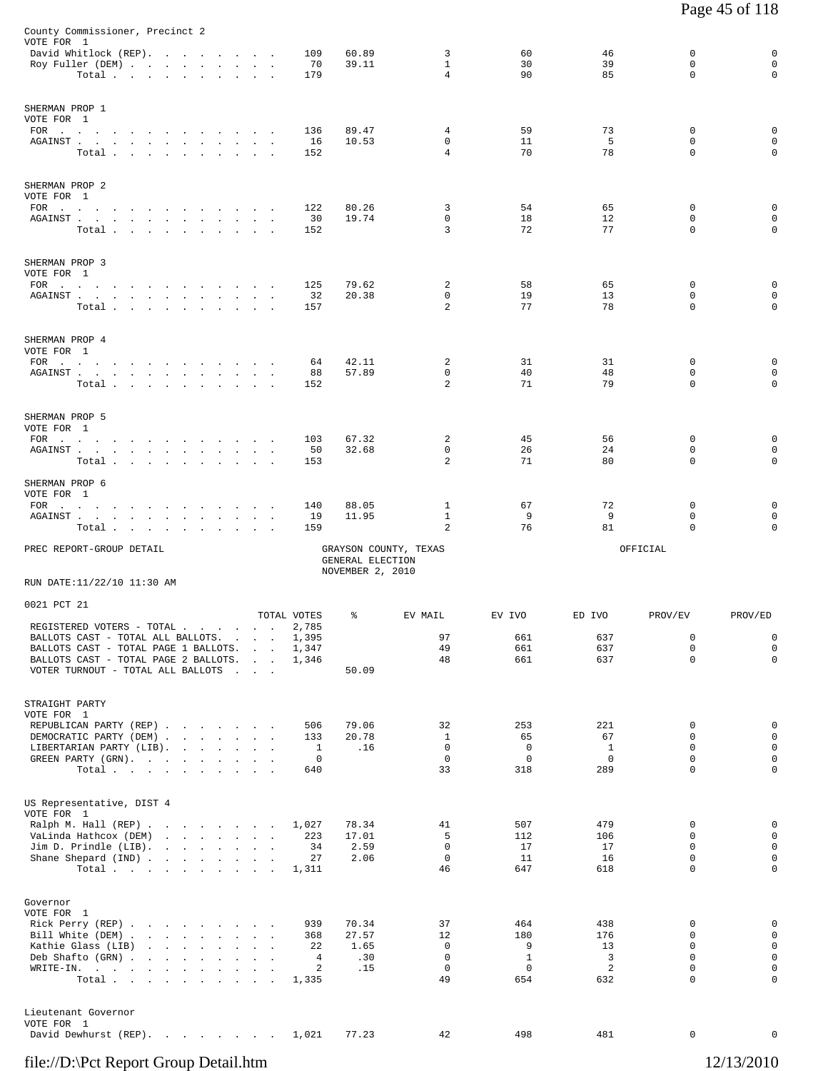| County Commissioner, Precinct 2<br>VOTE FOR 1<br>David Whitlock (REP).<br>Roy Fuller (DEM)                                                                                                                                                                                                                                                                                                                 |                                                                                 | 109<br>70                                       | 60.89<br>39.11                       | 3<br>$\mathbf{1}$                       | 60<br>30                                          | 46<br>39                              | 0<br>0                                                                       | 0<br>$\mathbf 0$                                    |
|------------------------------------------------------------------------------------------------------------------------------------------------------------------------------------------------------------------------------------------------------------------------------------------------------------------------------------------------------------------------------------------------------------|---------------------------------------------------------------------------------|-------------------------------------------------|--------------------------------------|-----------------------------------------|---------------------------------------------------|---------------------------------------|------------------------------------------------------------------------------|-----------------------------------------------------|
| Total.                                                                                                                                                                                                                                                                                                                                                                                                     |                                                                                 | 179                                             |                                      | 4                                       | 90                                                | 85                                    | $\mathbf 0$                                                                  | $\mathbf 0$                                         |
| SHERMAN PROP 1<br>VOTE FOR 1<br>AGAINST<br>Total                                                                                                                                                                                                                                                                                                                                                           |                                                                                 | 136<br>16<br>152                                | 89.47<br>10.53                       | 4<br>0<br>$\overline{4}$                | 59<br>11<br>70                                    | 73<br>5<br>78                         | $\Omega$<br>0<br>0                                                           | 0<br>$\mathsf 0$<br>$\mathbf 0$                     |
| SHERMAN PROP 2<br>VOTE FOR 1<br>AGAINST<br>Total                                                                                                                                                                                                                                                                                                                                                           | $\sim$<br>$\sim$                                                                | 122<br>30<br>152                                | 80.26<br>19.74                       | 3<br>0<br>3                             | 54<br>18<br>72                                    | 65<br>12<br>77                        | $\mathbf 0$<br>0<br>0                                                        | 0<br>0<br>$\mathbf 0$                               |
| SHERMAN PROP 3<br>VOTE FOR 1<br>FOR $\qquad \qquad \ldots \qquad \qquad \ldots \qquad \qquad \ldots \qquad \ldots \qquad \ldots$<br>${\tt AGAINST} \hspace{1.5cm} . \hspace{1.5cm} . \hspace{1.5cm} . \hspace{1.5cm} . \hspace{1.5cm} . \hspace{1.5cm} . \hspace{1.5cm} . \hspace{1.5cm} . \hspace{1.5cm} . \hspace{1.5cm} . \hspace{1.5cm} . \hspace{1.5cm} . \hspace{1.5cm} . \hspace{1.5cm} .$<br>Total |                                                                                 | 125<br>32<br>157                                | 79.62<br>20.38                       | 2<br>$\mathbf 0$<br>$\overline{a}$      | 58<br>19<br>77                                    | 65<br>13<br>78                        | 0<br>$\mathbf 0$<br>0                                                        | 0<br>0<br>$\mathbf 0$                               |
| SHERMAN PROP 4<br>VOTE FOR 1<br>FOR $\qquad \qquad \qquad . \qquad . \qquad . \qquad . \qquad . \qquad . \qquad . \qquad .$<br>${\tt AGAINST} \hspace{1.5cm} . \hspace{1.5cm} . \hspace{1.5cm} . \hspace{1.5cm} . \hspace{1.5cm} . \hspace{1.5cm} . \hspace{1.5cm} . \hspace{1.5cm} . \hspace{1.5cm} . \hspace{1.5cm} . \hspace{1.5cm} . \hspace{1.5cm} . \hspace{1.5cm} .$<br>Total                       |                                                                                 | 64<br>88<br>152                                 | 42.11<br>57.89                       | 2<br>$\mathbf 0$<br>2                   | 31<br>40<br>71                                    | 31<br>48<br>79                        | 0<br>0<br>0                                                                  | 0<br>$\mathbf 0$<br>0                               |
| SHERMAN PROP 5<br>VOTE FOR 1<br>FOR $\cdots$<br>${\tt AGAINST} \hspace{1.5cm} . \hspace{1.5cm} . \hspace{1.5cm} . \hspace{1.5cm} . \hspace{1.5cm} . \hspace{1.5cm} . \hspace{1.5cm} . \hspace{1.5cm} . \hspace{1.5cm} . \hspace{1.5cm} . \hspace{1.5cm} . \hspace{1.5cm} . \hspace{1.5cm} . \hspace{1.5cm} .$<br>Total                                                                                     |                                                                                 | 103<br>50<br>153                                | 67.32<br>32.68                       | 2<br>$\mathbf 0$<br>2                   | 45<br>26<br>71                                    | 56<br>24<br>80                        | 0<br>$\mathbf 0$<br>0                                                        | 0<br>0<br>0                                         |
| SHERMAN PROP 6<br>VOTE FOR 1<br>$FOR$<br>AGAINST<br>Total .<br>the contract of the contract of the contract of<br>$\sim 10^{-11}$                                                                                                                                                                                                                                                                          |                                                                                 | 140<br>19<br>159                                | 88.05<br>11.95                       | 1<br>$\mathbf{1}$<br>2                  | 67<br>9<br>76                                     | 72<br>9<br>81                         | 0<br>0<br>0                                                                  | 0<br>$\mathbf 0$<br>0                               |
| PREC REPORT-GROUP DETAIL<br>RUN DATE:11/22/10 11:30 AM                                                                                                                                                                                                                                                                                                                                                     |                                                                                 |                                                 | GENERAL ELECTION<br>NOVEMBER 2, 2010 | GRAYSON COUNTY, TEXAS                   |                                                   |                                       | OFFICIAL                                                                     |                                                     |
| 0021 PCT 21                                                                                                                                                                                                                                                                                                                                                                                                |                                                                                 |                                                 |                                      |                                         |                                                   |                                       |                                                                              |                                                     |
| REGISTERED VOTERS - TOTAL .<br>BALLOTS CAST - TOTAL ALL BALLOTS.<br>BALLOTS CAST - TOTAL PAGE 1 BALLOTS.<br>BALLOTS CAST - TOTAL PAGE 2 BALLOTS.<br>VOTER TURNOUT - TOTAL ALL BALLOTS                                                                                                                                                                                                                      | <b>Contract Contract</b><br><b>Contract Contract</b><br>and the contract of the | TOTAL VOTES<br>2,785<br>1,395<br>1,347<br>1,346 | ႜ<br>50.09                           | EV MAIL<br>97<br>49<br>48               | EV IVO<br>661<br>661<br>661                       | ED IVO<br>637<br>637<br>637           | PROV/EV<br>0<br>0<br>$\mathbf 0$                                             | PROV/ED<br>0<br>$\mathsf 0$<br>$\mathsf 0$          |
| STRAIGHT PARTY<br>VOTE FOR 1<br>REPUBLICAN PARTY (REP)<br>DEMOCRATIC PARTY (DEM)<br>LIBERTARIAN PARTY (LIB).<br>GREEN PARTY (GRN).<br>Total                                                                                                                                                                                                                                                                |                                                                                 | 506<br>133<br>1<br>0<br>640                     | 79.06<br>20.78<br>.16                | 32<br>1<br>0<br>$\mathbf 0$<br>33       | 253<br>65<br>$\mathbf 0$<br>$\overline{0}$<br>318 | 221<br>67<br>$\mathbf{1}$<br>0<br>289 | 0<br>0<br>0<br>$\mathbf 0$<br>0                                              | $\mathsf 0$<br>$\mathbf 0$<br>$\mathsf 0$<br>0<br>0 |
| US Representative, DIST 4<br>VOTE FOR 1<br>Ralph M. Hall (REP)<br>VaLinda Hathcox (DEM)<br>Jim D. Prindle (LIB).<br>Shane Shepard (IND)<br>Total                                                                                                                                                                                                                                                           |                                                                                 | 1,027<br>223<br>34<br>27<br>1,311               | 78.34<br>17.01<br>2.59<br>2.06       | 41<br>5<br>0<br>$\mathbf 0$<br>46       | 507<br>112<br>17<br>11<br>647                     | 479<br>106<br>17<br>16<br>618         | 0<br>0<br>0<br>0<br>0                                                        | 0<br>$\mathbf 0$<br>$\mathsf 0$<br>$\mathsf 0$<br>0 |
| Governor<br>VOTE FOR 1<br>Rick Perry (REP)<br>Bill White (DEM)<br>Kathie Glass (LIB)<br>the contract of the contract of the contract of<br>Deb Shafto (GRN)<br>WRITE-IN.<br>Total                                                                                                                                                                                                                          | $\sim$                                                                          | 939<br>368<br>22<br>4<br>2<br>1,335             | 70.34<br>27.57<br>1.65<br>.30<br>.15 | 37<br>12<br>0<br>$\mathsf 0$<br>0<br>49 | 464<br>180<br>9<br>$\mathbf{1}$<br>0<br>654       | 438<br>176<br>13<br>3<br>2<br>632     | 0<br>$\mathbf 0$<br>$\mathbf 0$<br>$\mathbf 0$<br>$\mathbf 0$<br>$\mathbf 0$ | 0<br>0<br>0<br>0<br>0<br>0                          |
| Lieutenant Governor<br>VOTE FOR 1<br>David Dewhurst (REP).                                                                                                                                                                                                                                                                                                                                                 |                                                                                 | 1,021                                           | 77.23                                | 42                                      | 498                                               | 481                                   | 0                                                                            | 0                                                   |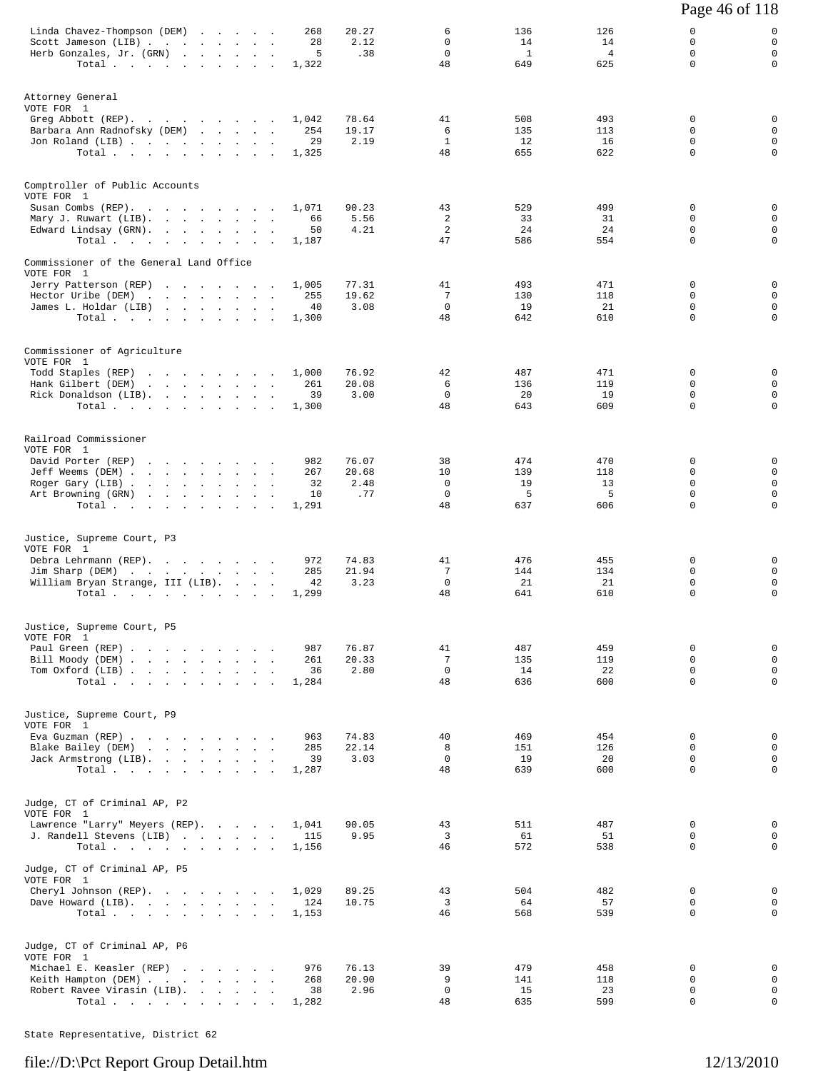|                                                                                                                                                               |                                                                                        |        |                                 |                               |                                           |                                  |                                    | Page 46 of 118                                           |                                                               |
|---------------------------------------------------------------------------------------------------------------------------------------------------------------|----------------------------------------------------------------------------------------|--------|---------------------------------|-------------------------------|-------------------------------------------|----------------------------------|------------------------------------|----------------------------------------------------------|---------------------------------------------------------------|
| Linda Chavez-Thompson (DEM)<br>Scott Jameson (LIB)<br>Herb Gonzales, Jr. (GRN)<br>Total                                                                       |                                                                                        | $\sim$ | 268<br>28<br>5<br>1,322         | 20.27<br>2.12<br>.38          | 6<br>$\mathbf 0$<br>$\mathbf 0$<br>48     | 136<br>14<br><sup>1</sup><br>649 | 126<br>14<br>$\overline{4}$<br>625 | 0<br>$\mathbf 0$<br>$\Omega$<br>$\mathbf 0$              | 0<br>$\mathbf 0$<br>$\mathbf{0}$<br>$\mathbf 0$               |
| Attorney General<br>VOTE FOR 1<br>Greg Abbott (REP).<br>Barbara Ann Radnofsky (DEM)<br>Jon Roland (LIB)<br>Total                                              |                                                                                        |        | 1,042<br>254<br>29<br>1,325     | 78.64<br>19.17<br>2.19        | 41<br>6<br>$\mathbf{1}$<br>48             | 508<br>135<br>12<br>655          | 493<br>113<br>16<br>622            | 0<br>0<br>$\mathbf 0$<br>0                               | 0<br>$\mathbf 0$<br>$\mathbf 0$<br>$\mathbf 0$                |
| Comptroller of Public Accounts<br>VOTE FOR 1<br>Susan Combs (REP).<br>Mary J. Ruwart (LIB).<br>Edward Lindsay (GRN).<br>Total.                                | the contract of the contract of                                                        |        | 1,071<br>66<br>50<br>1,187      | 90.23<br>5.56<br>4.21         | 43<br>2<br>2<br>47                        | 529<br>33<br>24<br>586           | 499<br>31<br>24<br>554             | $\mathbf 0$<br>$\mathbf 0$<br>$\mathbf 0$<br>$\mathbf 0$ | 0<br>$\mathbf 0$<br>$\mathsf 0$<br>$\mathbf 0$                |
| Commissioner of the General Land Office<br>VOTE FOR 1<br>Jerry Patterson (REP)<br>Hector Uribe (DEM)<br>James L. Holdar (LIB)<br>Total                        | the contract of the contract of the                                                    |        | 1,005<br>255<br>40<br>1,300     | 77.31<br>19.62<br>3.08        | 41<br>7<br>$\mathbf{0}$<br>48             | 493<br>130<br>19<br>642          | 471<br>118<br>21<br>610            | $\mathbf 0$<br>$\mathbf 0$<br>0<br>$\mathbf 0$           | 0<br>$\mathbf 0$<br>$\mathsf 0$<br>$\mathbf 0$                |
| Commissioner of Agriculture<br>VOTE FOR 1<br>Todd Staples (REP)<br>Hank Gilbert (DEM)<br>Rick Donaldson (LIB).<br>Total                                       | the contract of the contract of the contract of<br>the contract of the contract of the |        | 1,000<br>261<br>39<br>1,300     | 76.92<br>20.08<br>3.00        | 42<br>6<br>$\mathbf{0}$<br>48             | 487<br>136<br>20<br>643          | 471<br>119<br>19<br>609            | $\mathbf 0$<br>0<br>0<br>$\Omega$                        | $\mathbf 0$<br>$\mathbf 0$<br>$\mathbf 0$<br>$\mathbf 0$      |
| Railroad Commissioner<br>VOTE FOR 1<br>David Porter (REP)<br>Jeff Weems (DEM)<br>Roger Gary (LIB)<br>Art Browning (GRN)<br>Total                              | the contract of the contract of the                                                    |        | 982<br>267<br>32<br>10<br>1,291 | 76.07<br>20.68<br>2.48<br>.77 | 38<br>10<br>$\Omega$<br>$\mathbf 0$<br>48 | 474<br>139<br>19<br>5<br>637     | 470<br>118<br>13<br>5<br>606       | 0<br>0<br>$\Omega$<br>$\mathbf 0$<br>$\Omega$            | 0<br>$\mathbf 0$<br>$\mathbf 0$<br>$\mathsf 0$<br>$\mathbf 0$ |
| Justice, Supreme Court, P3<br>VOTE FOR 1<br>Debra Lehrmann (REP).<br>Jim Sharp (DEM)<br>William Bryan Strange, III (LIB).<br>Total $\cdots$ $\cdots$ $\cdots$ |                                                                                        |        | 972<br>285<br>42<br>1,299       | 74.83<br>21.94<br>3.23        | 41<br>7<br>$\mathbf{0}$<br>48             | 476<br>144<br>21<br>641          | 455<br>134<br>21<br>610            | 0<br>$\mathbf 0$<br>0<br>$\mathbf 0$                     | 0<br>$\mathbf 0$<br>$\mathsf 0$<br>$\mathbf 0$                |
| Justice, Supreme Court, P5<br>VOTE FOR 1<br>Paul Green (REP)<br>Bill Moody (DEM)<br>Tom Oxford (LIB)<br>Total                                                 |                                                                                        |        | 987<br>261<br>36<br>1,284       | 76.87<br>20.33<br>2.80        | 41<br>7<br>$\mathbf 0$<br>48              | 487<br>135<br>14<br>636          | 459<br>119<br>22<br>600            | 0<br>$\Omega$<br>$\Omega$<br>$\Omega$                    | $\mathbf 0$<br>$\mathbf 0$<br>$\mathbf 0$<br>$\Omega$         |
| Justice, Supreme Court, P9<br>VOTE FOR 1<br>Eva Guzman (REP)<br>Blake Bailey (DEM)<br>Jack Armstrong (LIB).<br>Total                                          |                                                                                        |        | 963<br>285<br>39<br>1,287       | 74.83<br>22.14<br>3.03        | 40<br>8<br>$\Omega$<br>48                 | 469<br>151<br>19<br>639          | 454<br>126<br>20<br>600            | 0<br>$\mathbf 0$<br>$\Omega$<br>$\mathbf 0$              | $\mathbf 0$<br>$\mathbf 0$<br>$\mathbf 0$<br>$\mathbf 0$      |
| Judge, CT of Criminal AP, P2<br>VOTE FOR 1<br>Lawrence "Larry" Meyers (REP).<br>J. Randell Stevens (LIB)<br>Total                                             |                                                                                        |        | 1,041<br>115<br>1,156           | 90.05<br>9.95                 | 43<br>3<br>46                             | 511<br>61<br>572                 | 487<br>51<br>538                   | 0<br>0<br>$\Omega$                                       | $\mathbf 0$<br>$\mathbf 0$<br>$\mathbf 0$                     |
| Judge, CT of Criminal AP, P5<br>VOTE FOR 1<br>Cheryl Johnson (REP).<br>Dave Howard (LIB).<br>Total $\cdots$                                                   |                                                                                        |        | 1,029<br>124<br>1,153           | 89.25<br>10.75                | 43<br>3<br>46                             | 504<br>64<br>568                 | 482<br>57<br>539                   | 0<br>$\mathbf 0$<br>$\Omega$                             | 0<br>$\mathbf 0$<br>$\Omega$                                  |
| Judge, CT of Criminal AP, P6<br>VOTE FOR 1<br>Michael E. Keasler (REP)<br>Keith Hampton (DEM)<br>Robert Ravee Virasin (LIB).<br>Total.                        |                                                                                        |        | 976<br>268<br>38<br>1,282       | 76.13<br>20.90<br>2.96        | 39<br>9<br>$\mathbf 0$<br>48              | 479<br>141<br>15<br>635          | 458<br>118<br>23<br>599            | 0<br>0<br>0<br>$\mathbf 0$                               | 0<br>$\mathbf 0$<br>$\mathbf 0$<br>$\mathsf 0$                |

State Representative, District 62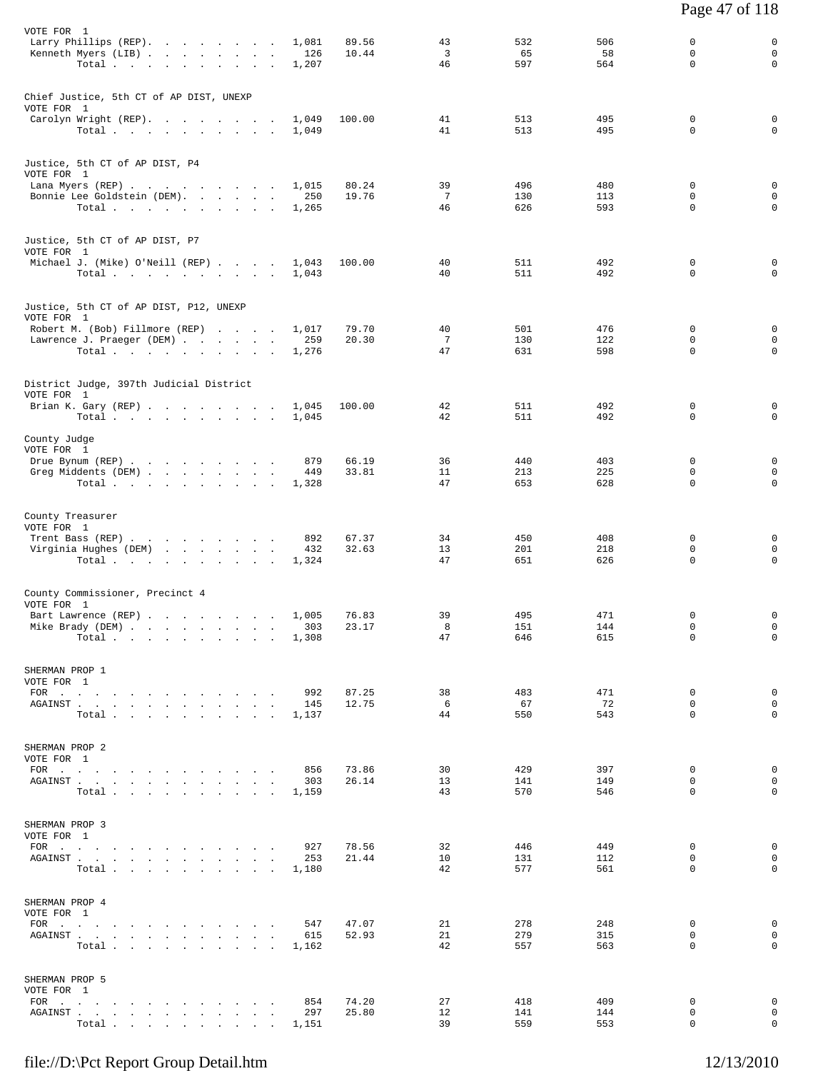| VOTE FOR 1<br>Larry Phillips (REP).                                                                                                                                                                                                                                           | 89.56<br>1,081                 | 43                    | 532        | 506        | 0                          | 0                          |
|-------------------------------------------------------------------------------------------------------------------------------------------------------------------------------------------------------------------------------------------------------------------------------|--------------------------------|-----------------------|------------|------------|----------------------------|----------------------------|
| Kenneth Myers (LIB)<br>$\sim$<br>Total.                                                                                                                                                                                                                                       | 126<br>10.44<br>1,207          | 3<br>46               | 65<br>597  | 58<br>564  | 0<br>0                     | $\mathbf 0$<br>0           |
| Chief Justice, 5th CT of AP DIST, UNEXP<br>VOTE FOR 1                                                                                                                                                                                                                         |                                |                       |            |            |                            |                            |
| Carolyn Wright (REP).<br>Total $\cdots$                                                                                                                                                                                                                                       | 100.00<br>1,049<br>1,049       | 41<br>41              | 513<br>513 | 495<br>495 | 0<br>0                     | 0<br>$\mathbf 0$           |
| Justice, 5th CT of AP DIST, P4<br>VOTE FOR 1                                                                                                                                                                                                                                  |                                |                       |            |            |                            |                            |
| Lana Myers (REP)<br>Bonnie Lee Goldstein (DEM).                                                                                                                                                                                                                               | 1,015<br>80.24<br>250<br>19.76 | 39<br>$7\phantom{.0}$ | 496<br>130 | 480<br>113 | $\mathbf 0$<br>$\mathsf 0$ | $\mathbf 0$<br>$\mathbf 0$ |
| Total                                                                                                                                                                                                                                                                         | 1,265                          | 46                    | 626        | 593        | 0                          | $\mathbf 0$                |
| Justice, 5th CT of AP DIST, P7<br>VOTE FOR 1                                                                                                                                                                                                                                  |                                |                       |            |            |                            |                            |
| Michael J. (Mike) O'Neill (REP)<br>Total                                                                                                                                                                                                                                      | 1,043<br>100.00<br>1,043       | 40<br>40              | 511<br>511 | 492<br>492 | 0<br>$\mathbf 0$           | 0<br>$\mathbf 0$           |
| Justice, 5th CT of AP DIST, P12, UNEXP                                                                                                                                                                                                                                        |                                |                       |            |            |                            |                            |
| VOTE FOR 1<br>Robert M. (Bob) Fillmore (REP)                                                                                                                                                                                                                                  | 79.70<br>1,017                 | 40                    | 501        | 476        | 0                          | 0                          |
| Lawrence J. Praeger (DEM)<br>Total                                                                                                                                                                                                                                            | 259<br>20.30<br>1,276          | $7\phantom{.0}$<br>47 | 130<br>631 | 122<br>598 | 0<br>0                     | $\mathbf 0$<br>$\mathbf 0$ |
| District Judge, 397th Judicial District<br>VOTE FOR 1                                                                                                                                                                                                                         |                                |                       |            |            |                            |                            |
| Brian K. Gary (REP)<br>Total.                                                                                                                                                                                                                                                 | 1,045<br>100.00<br>1,045       | 42<br>42              | 511<br>511 | 492<br>492 | 0<br>0                     | 0<br>$\mathbf 0$           |
| County Judge<br>VOTE FOR 1                                                                                                                                                                                                                                                    |                                |                       |            |            |                            |                            |
| Drue Bynum (REP)<br>Greg Middents (DEM)                                                                                                                                                                                                                                       | 66.19<br>879<br>33.81<br>449   | 36<br>11              | 440<br>213 | 403<br>225 | $\mathbf 0$<br>0           | $\mathbf 0$<br>$\mathbf 0$ |
| Total                                                                                                                                                                                                                                                                         | 1,328                          | 47                    | 653        | 628        | 0                          | $\mathbf 0$                |
| County Treasurer<br>VOTE FOR 1                                                                                                                                                                                                                                                |                                |                       |            |            |                            |                            |
| Trent Bass (REP)<br>Virginia Hughes (DEM)                                                                                                                                                                                                                                     | 892<br>67.37<br>32.63<br>432   | 34<br>13              | 450<br>201 | 408<br>218 | 0<br>$\mathbf 0$           | 0<br>$\mathbf 0$           |
| Total.                                                                                                                                                                                                                                                                        | 1,324                          | 47                    | 651        | 626        | 0                          | $\mathbf 0$                |
| County Commissioner, Precinct 4<br>VOTE FOR 1                                                                                                                                                                                                                                 |                                |                       |            |            |                            |                            |
| Bart Lawrence (REP)<br>Mike Brady (DEM)                                                                                                                                                                                                                                       | 1,005<br>76.83<br>23.17<br>303 | 39<br>8               | 495<br>151 | 471<br>144 | 0<br>$\mathbf 0$           | 0<br>0                     |
| Total                                                                                                                                                                                                                                                                         | 1,308                          | 47                    | 646        | 615        | 0                          | $\mathbf{0}$               |
| SHERMAN PROP 1<br>VOTE FOR 1                                                                                                                                                                                                                                                  |                                |                       |            |            |                            |                            |
| FOR $\cdots$<br>AGAINST                                                                                                                                                                                                                                                       | 992<br>87.25<br>12.75<br>145   | 38<br>6               | 483<br>67  | 471<br>72  | $\mathbf 0$<br>$\mathbf 0$ | $\mathbf 0$<br>$\mathbf 0$ |
| Total.                                                                                                                                                                                                                                                                        | 1,137                          | 44                    | 550        | 543        | $\mathbf 0$                | $\mathbf 0$                |
| SHERMAN PROP 2<br>VOTE FOR 1                                                                                                                                                                                                                                                  |                                |                       |            |            |                            |                            |
| FOR $\cdots$<br>AGAINST                                                                                                                                                                                                                                                       | 73.86<br>856<br>303<br>26.14   | 30<br>13              | 429<br>141 | 397<br>149 | $\mathbf 0$<br>$\mathbf 0$ | $\mathbf 0$<br>$\mathbf 0$ |
| Total                                                                                                                                                                                                                                                                         | 1,159                          | 43                    | 570        | 546        | $\Omega$                   | $\Omega$                   |
| SHERMAN PROP 3<br>VOTE FOR 1                                                                                                                                                                                                                                                  |                                |                       |            |            |                            |                            |
| FOR $\cdots$<br>${\tt AGAINST} \hspace{1.5cm} . \hspace{1.5cm} . \hspace{1.5cm} . \hspace{1.5cm} . \hspace{1.5cm} . \hspace{1.5cm} . \hspace{1.5cm} . \hspace{1.5cm} . \hspace{1.5cm} . \hspace{1.5cm} . \hspace{1.5cm} . \hspace{1.5cm} . \hspace{1.5cm} . \hspace{1.5cm} .$ | 78.56<br>927<br>21.44<br>253   | 32<br>10              | 446<br>131 | 449<br>112 | 0<br>$\mathbf 0$           | 0<br>$\mathbf 0$           |
| Total.                                                                                                                                                                                                                                                                        | 1,180                          | 42                    | 577        | 561        | $\Omega$                   | $\Omega$                   |
| SHERMAN PROP 4<br>VOTE FOR 1                                                                                                                                                                                                                                                  |                                |                       |            |            |                            |                            |
| FOR $\cdots$<br>AGAINST                                                                                                                                                                                                                                                       | 47.07<br>547<br>52.93<br>615   | 21<br>21              | 278<br>279 | 248<br>315 | 0<br>$\mathbf 0$           | $\mathbf 0$<br>$\mathbf 0$ |
| Total.                                                                                                                                                                                                                                                                        | 1,162                          | 42                    | 557        | 563        | $\Omega$                   | $\Omega$                   |
| SHERMAN PROP 5<br>VOTE FOR 1                                                                                                                                                                                                                                                  |                                |                       |            |            |                            |                            |
| FOR $\cdots$<br>AGAINST.<br>the contract of the contract of the contract of                                                                                                                                                                                                   | 74.20<br>854<br>297<br>25.80   | 27<br>12              | 418<br>141 | 409<br>144 | 0<br>$\mathbf 0$           | 0<br>$\mathbf 0$           |
| Total $\cdots$ $\cdots$ $\cdots$ $\cdots$                                                                                                                                                                                                                                     | 1,151                          | 39                    | 559        | 553        | 0                          | $\mathbf{0}$               |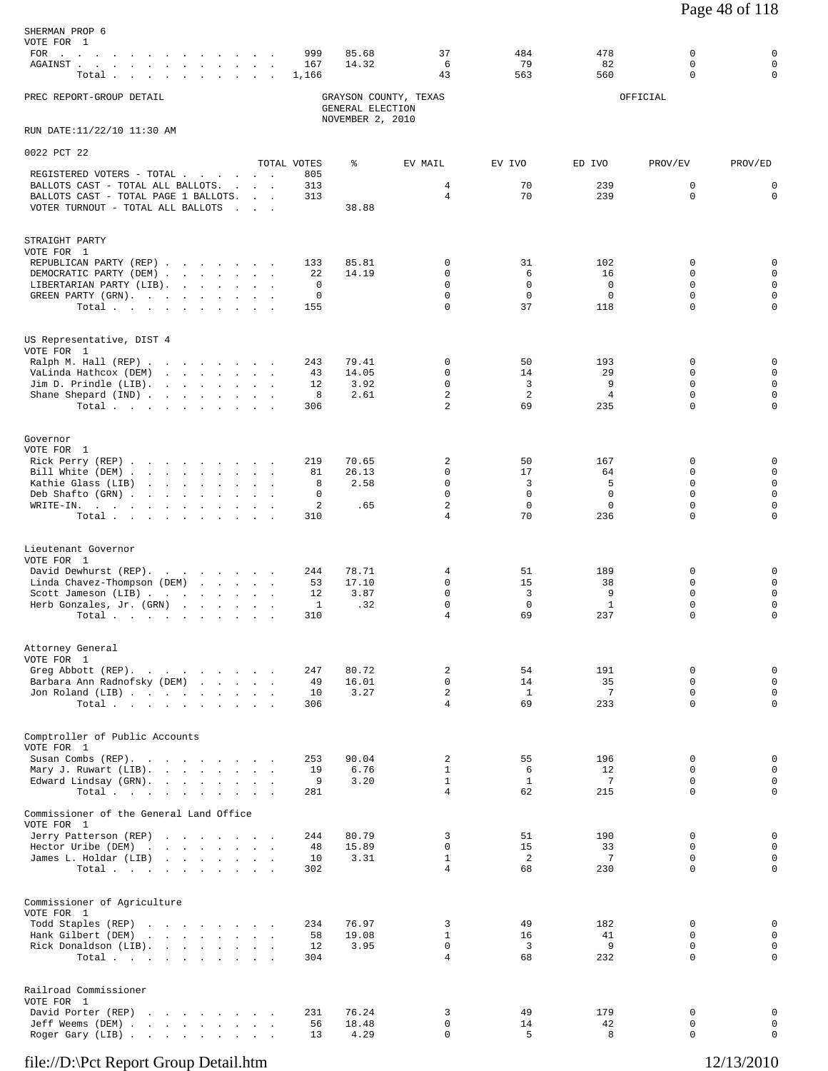| SHERMAN PROP 6<br>VOTE FOR 1<br>FOR $\cdots$<br>AGAINST.<br>the contract of the contract of the contract of<br>Total.<br>and the contract of the contract of the contract of the contract of the contract of the contract of the contract of the contract of the contract of the contract of the contract of the contract of the contract of the contra |                                                      | 999<br>167<br>1,166                  | 85.68<br>14.32                 | 37<br>6<br>43                                                                | 484<br>79<br>563                            | 478<br>82<br>560                                    | 0<br>$\mathbf 0$<br>0                       | O                       |
|---------------------------------------------------------------------------------------------------------------------------------------------------------------------------------------------------------------------------------------------------------------------------------------------------------------------------------------------------------|------------------------------------------------------|--------------------------------------|--------------------------------|------------------------------------------------------------------------------|---------------------------------------------|-----------------------------------------------------|---------------------------------------------|-------------------------|
| PREC REPORT-GROUP DETAIL                                                                                                                                                                                                                                                                                                                                |                                                      |                                      | GENERAL ELECTION               | GRAYSON COUNTY, TEXAS                                                        |                                             |                                                     | OFFICIAL                                    |                         |
| RUN DATE:11/22/10 11:30 AM                                                                                                                                                                                                                                                                                                                              |                                                      |                                      | NOVEMBER 2, 2010               |                                                                              |                                             |                                                     |                                             |                         |
| 0022 PCT 22                                                                                                                                                                                                                                                                                                                                             |                                                      |                                      |                                |                                                                              |                                             |                                                     |                                             |                         |
|                                                                                                                                                                                                                                                                                                                                                         |                                                      | TOTAL VOTES                          | ႜ                              | EV MAIL                                                                      | EV IVO                                      | ED IVO                                              | PROV/EV                                     | PROV/ED                 |
| REGISTERED VOTERS - TOTAL<br>BALLOTS CAST - TOTAL ALL BALLOTS.<br>BALLOTS CAST - TOTAL PAGE 1 BALLOTS.<br>VOTER TURNOUT - TOTAL ALL BALLOTS                                                                                                                                                                                                             | $\sim$ $\sim$ $\sim$ $\sim$<br><b>Carl Carl Carl</b> | 805<br>313<br>313                    | 38.88                          | 4<br>4                                                                       | 70<br>70                                    | 239<br>239                                          | 0<br>$\mathbf 0$                            | 0<br>0                  |
| STRAIGHT PARTY                                                                                                                                                                                                                                                                                                                                          |                                                      |                                      |                                |                                                                              |                                             |                                                     |                                             |                         |
| VOTE FOR 1<br>REPUBLICAN PARTY (REP)<br>DEMOCRATIC PARTY (DEM)<br>LIBERTARIAN PARTY (LIB).<br>GREEN PARTY (GRN).<br>Total.                                                                                                                                                                                                                              |                                                      | 133<br>22<br>$\mathbf 0$<br>0<br>155 | 85.81<br>14.19                 | 0<br>$\Omega$<br>$\Omega$<br>$\Omega$<br>$\Omega$                            | 31<br>6<br>$\mathbf 0$<br>$\mathbf 0$<br>37 | 102<br>16<br>$\mathbf 0$<br>$\mathbf 0$<br>118      | 0<br>0<br>0<br>0<br>0                       | 0<br>O<br>$\Omega$      |
| US Representative, DIST 4<br>VOTE FOR 1                                                                                                                                                                                                                                                                                                                 |                                                      |                                      |                                |                                                                              |                                             |                                                     |                                             |                         |
| Ralph M. Hall (REP)<br>VaLinda Hathcox (DEM)<br>Jim D. Prindle (LIB).<br>Shane Shepard (IND)<br>Total                                                                                                                                                                                                                                                   |                                                      | 243<br>43<br>12<br>8<br>306          | 79.41<br>14.05<br>3.92<br>2.61 | 0<br>$\Omega$<br>$\mathbf 0$<br>2<br>2                                       | 50<br>14<br>3<br>2<br>69                    | 193<br>29<br>9<br>4<br>235                          | 0<br>$\Omega$<br>0<br>0<br>$\Omega$         | O<br>O                  |
| Governor                                                                                                                                                                                                                                                                                                                                                |                                                      |                                      |                                |                                                                              |                                             |                                                     |                                             |                         |
| VOTE FOR 1<br>Rick Perry (REP)<br>Bill White (DEM)<br>Kathie Glass (LIB)<br>Deb Shafto (GRN)<br>WRITE-IN.<br>Total.                                                                                                                                                                                                                                     |                                                      | 219<br>81<br>8<br>0<br>2<br>310      | 70.65<br>26.13<br>2.58<br>.65  | 2<br>$\Omega$<br>$\Omega$<br>$\mathbf 0$<br>$\overline{a}$<br>$\overline{4}$ | 50<br>17<br>3<br>$\mathbf 0$<br>0<br>70     | 167<br>64<br>5<br>$\mathbf 0$<br>$\mathbf 0$<br>236 | 0<br>0<br>0<br>$\mathbf 0$<br>0<br>0        | U<br>U<br>U             |
| Lieutenant Governor<br>VOTE FOR 1<br>David Dewhurst (REP).<br>the contract of the contract of<br>Linda Chavez-Thompson (DEM)<br>Scott Jameson (LIB)<br>Herb Gonzales, Jr. (GRN)<br>Total $\cdots$ $\cdots$ $\cdots$                                                                                                                                     | $\sim$ $\sim$ $\sim$                                 | 244<br>53<br>12<br>1<br>310          | 78.71<br>17.10<br>3.87<br>.32  | 4<br>0<br>$\mathbf 0$<br>$\Omega$<br>$\overline{4}$                          | 51<br>15<br>3<br>$\mathbf 0$<br>69          | 189<br>38<br>9<br>$\mathbf{1}$<br>237               | 0<br>0<br>0<br>0<br>$\mathbf 0$             | 0                       |
| Attorney General<br>VOTE FOR 1                                                                                                                                                                                                                                                                                                                          |                                                      |                                      |                                |                                                                              |                                             |                                                     |                                             |                         |
| Greq Abbott (REP).<br>Barbara Ann Radnofsky (DEM)<br>Jon Roland (LIB)<br>Total $\cdots$ $\cdots$ $\cdots$ $\cdots$                                                                                                                                                                                                                                      |                                                      | 247<br>49<br>10<br>306               | 80.72<br>16.01<br>3.27         | 2<br>$\Omega$<br>$\overline{a}$<br>$\overline{4}$                            | 54<br>14<br>$\mathbf{1}$<br>69              | 191<br>35<br>$7\phantom{.0}$<br>233                 | 0<br>$\mathbf 0$<br>$\mathbf 0$<br>$\Omega$ | 0<br>0<br>0<br>$\Omega$ |
| Comptroller of Public Accounts                                                                                                                                                                                                                                                                                                                          |                                                      |                                      |                                |                                                                              |                                             |                                                     |                                             |                         |
| VOTE FOR 1<br>Susan Combs (REP).<br>Mary J. Ruwart (LIB).<br>Edward Lindsay (GRN).<br>Total                                                                                                                                                                                                                                                             |                                                      | 253<br>19<br>9<br>281                | 90.04<br>6.76<br>3.20          | 2<br>$\mathbf{1}$<br>$\mathbf{1}$<br>$\overline{4}$                          | 55<br>6<br>$\mathbf{1}$<br>62               | 196<br>12<br>$\overline{7}$<br>215                  | 0<br>$\mathbf 0$<br>0<br>$\mathbf 0$        | 0<br>0<br>$\Omega$      |
| Commissioner of the General Land Office                                                                                                                                                                                                                                                                                                                 |                                                      |                                      |                                |                                                                              |                                             |                                                     |                                             |                         |
| VOTE FOR 1<br>Jerry Patterson (REP)<br>Hector Uribe (DEM)<br>James L. Holdar (LIB)<br>Total.                                                                                                                                                                                                                                                            |                                                      | 244<br>48<br>10<br>302               | 80.79<br>15.89<br>3.31         | 3<br>0<br>$\mathbf{1}$<br>$\overline{4}$                                     | 51<br>15<br>2<br>68                         | 190<br>33<br>7<br>230                               | 0<br>0<br>0<br>$\Omega$                     | U<br>0<br>$\Omega$      |
| Commissioner of Agriculture                                                                                                                                                                                                                                                                                                                             |                                                      |                                      |                                |                                                                              |                                             |                                                     |                                             |                         |
| VOTE FOR 1<br>Todd Staples (REP)<br>Hank Gilbert (DEM)<br>Rick Donaldson (LIB).<br>Total.                                                                                                                                                                                                                                                               |                                                      | 234<br>58<br>12<br>304               | 76.97<br>19.08<br>3.95         | 3<br>$\mathbf{1}$<br>$\mathbf 0$<br>$\overline{4}$                           | 49<br>16<br>3<br>68                         | 182<br>41<br>9<br>232                               | 0<br>0<br>0<br>$\Omega$                     | 0<br>0<br>0<br>$\Omega$ |
| Railroad Commissioner<br>VOTE FOR 1                                                                                                                                                                                                                                                                                                                     |                                                      |                                      |                                |                                                                              |                                             |                                                     |                                             |                         |
| David Porter (REP)<br>Jeff Weems (DEM)<br>Roger Gary (LIB)                                                                                                                                                                                                                                                                                              |                                                      | 231<br>56<br>13                      | 76.24<br>18.48<br>4.29         | 3<br>0<br>$\Omega$                                                           | 49<br>14<br>5                               | 179<br>42<br>8                                      | 0<br>0<br>$\mathbf 0$                       | 0<br>0                  |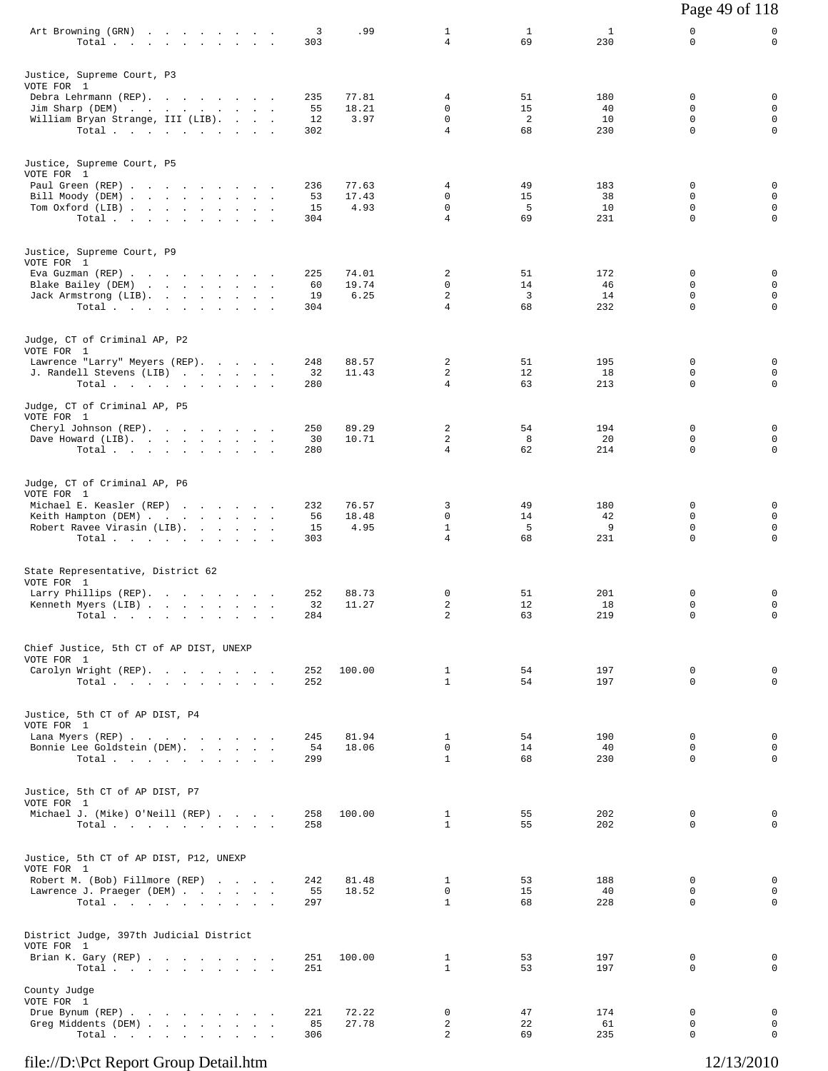| Art Browning (GRN)<br>$\mathcal{O}(10^{-10} \log n)$ . The second constraints of $\mathcal{O}(10^{-10} \log n)$<br>Total<br>the contract of the contract of the con- | 3<br>303               | .99                    | 1<br>4                                      | $\mathbf{1}$<br>69         | 1<br>230               | 0<br>0                              | 0<br>$\mathbf 0$                                |
|----------------------------------------------------------------------------------------------------------------------------------------------------------------------|------------------------|------------------------|---------------------------------------------|----------------------------|------------------------|-------------------------------------|-------------------------------------------------|
| Justice, Supreme Court, P3<br>VOTE FOR 1                                                                                                                             |                        |                        |                                             |                            |                        |                                     |                                                 |
| Debra Lehrmann (REP).<br>Jim Sharp (DEM)<br>William Bryan Strange, III (LIB).<br>Total                                                                               | 235<br>55<br>12<br>302 | 77.81<br>18.21<br>3.97 | 4<br>0<br>0<br>$\overline{4}$               | 51<br>15<br>2<br>68        | 180<br>40<br>10<br>230 | 0<br>0<br>0<br>$\mathbf 0$          | 0<br>$\mathbf 0$<br>$\mathsf 0$<br>$\mathsf{O}$ |
| Justice, Supreme Court, P5<br>VOTE FOR 1                                                                                                                             |                        |                        |                                             |                            |                        |                                     |                                                 |
| Paul Green (REP)<br>Bill Moody (DEM)<br>Tom Oxford (LIB)<br>Total                                                                                                    | 236<br>53<br>15<br>304 | 77.63<br>17.43<br>4.93 | 4<br>0<br>0<br>4                            | 49<br>15<br>5<br>69        | 183<br>38<br>10<br>231 | 0<br>$\Omega$<br>0<br>$\mathbf 0$   | 0<br>$\mathbf 0$<br>$\mathbf 0$<br>$\mathbf 0$  |
| Justice, Supreme Court, P9<br>VOTE FOR 1                                                                                                                             | 225                    | 74.01                  | 2                                           | 51                         | 172                    | 0                                   | 0                                               |
| Eva Guzman (REP)<br>Blake Bailey (DEM)<br>the contract of the contract of the contract of<br>Jack Armstrong (LIB).<br>Total $\cdots$ $\cdots$ $\cdots$               | 60<br>19<br>304        | 19.74<br>6.25          | 0<br>$\overline{\mathbf{c}}$<br>4           | 14<br>$\overline{3}$<br>68 | 46<br>14<br>232        | 0<br>$\Omega$<br>0                  | 0<br>$\mathbf 0$<br>$\mathsf{O}$                |
| Judge, CT of Criminal AP, P2<br>VOTE FOR 1                                                                                                                           |                        |                        |                                             |                            |                        |                                     |                                                 |
| Lawrence "Larry" Meyers (REP).<br>J. Randell Stevens (LIB)<br>Total                                                                                                  | 248<br>32<br>280       | 88.57<br>11.43         | 2<br>2<br>4                                 | 51<br>12<br>63             | 195<br>18<br>213       | 0<br>$\Omega$<br>$\mathbf 0$        | 0<br>$\mathbf 0$<br>$\mathbf 0$                 |
| Judge, CT of Criminal AP, P5<br>VOTE FOR 1<br>Cheryl Johnson (REP).                                                                                                  | 250                    | 89.29                  | 2                                           | 54                         | 194                    | 0                                   | 0                                               |
| Dave Howard (LIB).<br>Total.                                                                                                                                         | 30<br>280              | 10.71                  | 2<br>4                                      | 8<br>62                    | 20<br>214              | 0<br>$\Omega$                       | 0<br>$\mathbf 0$                                |
| Judge, CT of Criminal AP, P6<br>VOTE FOR 1<br>Michael E. Keasler (REP)                                                                                               | 232                    | 76.57                  | 3                                           | 49                         | 180                    | 0                                   | 0                                               |
| Keith Hampton (DEM)<br>Robert Ravee Virasin (LIB).<br>Total                                                                                                          | 56<br>15<br>303        | 18.48<br>4.95          | 0<br>$\mathbf{1}$<br>$\overline{4}$         | 14<br>5<br>68              | 42<br>9<br>231         | 0<br>$\Omega$<br>$\mathbf 0$        | $\mathbf 0$<br>$\mathbf 0$<br>$\mathbf 0$       |
| State Representative, District 62<br>VOTE FOR 1                                                                                                                      |                        |                        |                                             |                            |                        |                                     |                                                 |
| Larry Phillips (REP).<br>Kenneth Myers (LIB)<br>Total $\cdots$ $\cdots$<br>$\sim$<br>$\sim$                                                                          | 252<br>32<br>284       | 88.73<br>11.27         | 0<br>2<br>$\overline{c}$                    | 51<br>12<br>63             | 201<br>18<br>219       | 0<br>0<br>$\mathbf 0$               | 0<br>0<br>$\mathsf{O}$                          |
| Chief Justice, 5th CT of AP DIST, UNEXP<br>VOTE FOR 1                                                                                                                |                        |                        |                                             |                            |                        |                                     |                                                 |
| Carolyn Wright (REP).<br>Total                                                                                                                                       | 252<br>252             | 100.00                 | $\mathbf{1}$<br>$\mathbf{1}$                | 54<br>54                   | 197<br>197             | $\mathbf 0$<br>$\Omega$             | 0<br>$\Omega$                                   |
| Justice, 5th CT of AP DIST, P4<br>VOTE FOR 1<br>Lana Myers (REP)                                                                                                     | 245                    | 81.94                  | $\mathbf{1}$                                | 54                         | 190                    | $\mathbf 0$                         | 0                                               |
| Bonnie Lee Goldstein (DEM).<br>Total                                                                                                                                 | 54<br>299              | 18.06                  | $\mathbf 0$<br>$\mathbf{1}$                 | 14<br>68                   | 40<br>230              | 0<br>$\Omega$                       | $\mathbf 0$<br>$\mathbf 0$                      |
| Justice, 5th CT of AP DIST, P7<br>VOTE FOR 1<br>Michael J. (Mike) O'Neill (REP)                                                                                      | 258                    | 100.00                 | $\mathbf{1}$                                | 55                         | 202                    | $\mathbf 0$                         | 0                                               |
| Total                                                                                                                                                                | 258                    |                        | $\mathbf{1}$                                | 55                         | 202                    | $\Omega$                            | $\mathbf 0$                                     |
| Justice, 5th CT of AP DIST, P12, UNEXP<br>VOTE FOR 1<br>Robert M. (Bob) Fillmore (REP)<br>Lawrence J. Praeger (DEM)<br>Total                                         | 242<br>55<br>297       | 81.48<br>18.52         | $\mathbf{1}$<br>$\mathbf 0$<br>$\mathbf{1}$ | 53<br>15<br>68             | 188<br>40<br>228       | $\Omega$<br>$\mathbf 0$<br>$\Omega$ | $\mathbf 0$<br>$\mathbf 0$<br>$\mathbf 0$       |
| District Judge, 397th Judicial District<br>VOTE FOR 1<br>Brian K. Gary (REP)<br>Total                                                                                | 251<br>251             | 100.00                 | $\mathbf{1}$<br>$\mathbf{1}$                | 53<br>53                   | 197<br>197             | $\Omega$<br>$\mathbf 0$             | 0<br>$\mathbf 0$                                |
| County Judge<br>VOTE FOR 1                                                                                                                                           |                        |                        |                                             |                            |                        |                                     |                                                 |
| Drue Bynum (REP)<br>Greg Middents (DEM)<br>Total                                                                                                                     | 221<br>85<br>306       | 72.22<br>27.78         | 0<br>$\overline{2}$<br>2                    | 47<br>22<br>69             | 174<br>61<br>235       | 0<br>0<br>0                         | 0<br>$\mathbf 0$<br>$\mathbf 0$                 |

Page 49 of 118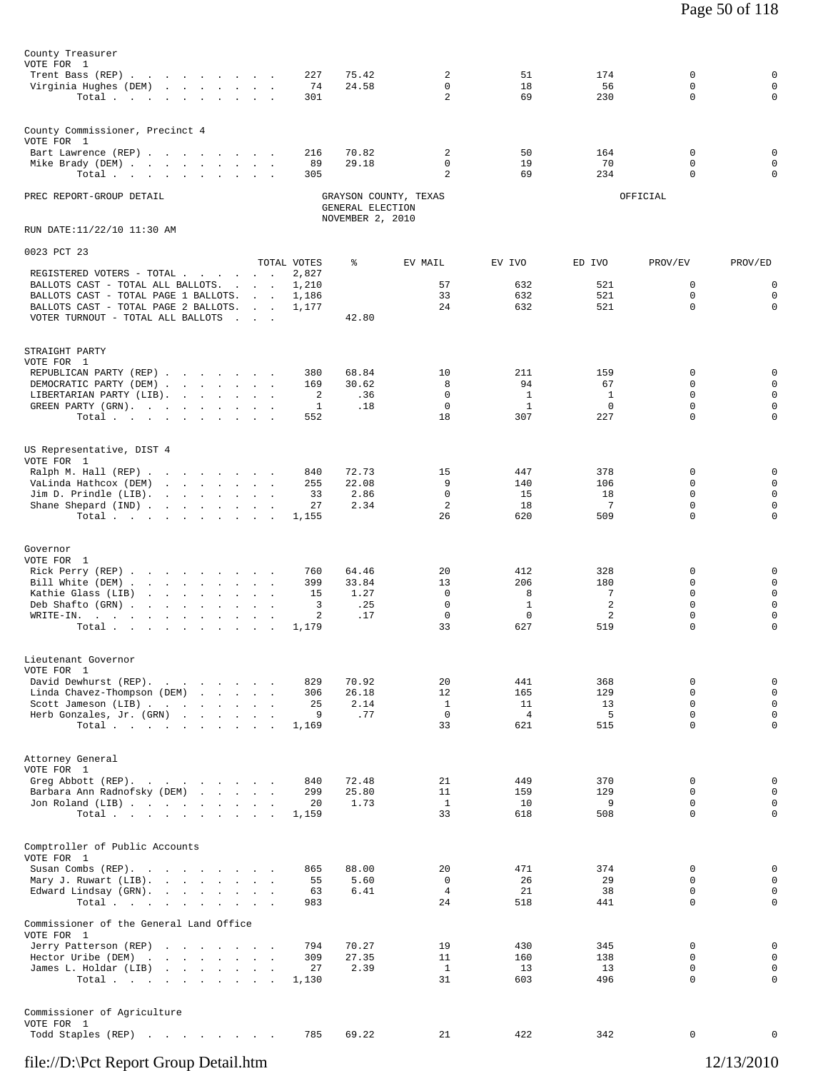| County Treasurer                                                          |                      |                                      |                               |                              |               |                            |                            |
|---------------------------------------------------------------------------|----------------------|--------------------------------------|-------------------------------|------------------------------|---------------|----------------------------|----------------------------|
| VOTE FOR 1<br>Trent Bass (REP)                                            | 227                  | 75.42                                | 2                             | 51                           | 174           | 0                          | $\mathbf 0$                |
| Virginia Hughes (DEM)                                                     | 74                   | 24.58                                | $\Omega$                      | 18                           | 56            | $\Omega$                   | $\mathbf 0$                |
| Total.                                                                    | 301                  |                                      | $\overline{a}$                | 69                           | 230           | $\mathbf 0$                | $\mathbf 0$                |
| County Commissioner, Precinct 4                                           |                      |                                      |                               |                              |               |                            |                            |
| VOTE FOR 1                                                                |                      |                                      |                               |                              |               |                            |                            |
| Bart Lawrence (REP)<br>Mike Brady (DEM)                                   | 216<br>89            | 70.82<br>29.18                       | 2<br>$\mathbf 0$              | 50<br>19                     | 164<br>70     | 0<br>$\mathbf 0$           | 0<br>$\mathsf 0$           |
| Total                                                                     | 305                  |                                      | $\overline{a}$                | 69                           | 234           | 0                          | $\mathbf 0$                |
| PREC REPORT-GROUP DETAIL                                                  |                      |                                      | GRAYSON COUNTY, TEXAS         |                              |               | OFFICIAL                   |                            |
|                                                                           |                      | GENERAL ELECTION<br>NOVEMBER 2, 2010 |                               |                              |               |                            |                            |
| RUN DATE:11/22/10 11:30 AM                                                |                      |                                      |                               |                              |               |                            |                            |
| 0023 PCT 23                                                               |                      |                                      |                               |                              |               |                            |                            |
| REGISTERED VOTERS - TOTAL                                                 | TOTAL VOTES<br>2,827 | ႜ                                    | EV MAIL                       | EV IVO                       | ED IVO        | PROV/EV                    | PROV/ED                    |
| BALLOTS CAST - TOTAL ALL BALLOTS.<br>BALLOTS CAST - TOTAL PAGE 1 BALLOTS. | 1,210<br>1,186       |                                      | 57<br>33                      | 632<br>632                   | 521<br>521    | 0<br>$\mathbf 0$           | $\mathbf 0$<br>$\mathbf 0$ |
| BALLOTS CAST - TOTAL PAGE 2 BALLOTS.                                      | 1,177                |                                      | 24                            | 632                          | 521           | $\Omega$                   | $\mathbf 0$                |
| VOTER TURNOUT - TOTAL ALL BALLOTS                                         |                      | 42.80                                |                               |                              |               |                            |                            |
| STRAIGHT PARTY                                                            |                      |                                      |                               |                              |               |                            |                            |
| VOTE FOR 1                                                                |                      |                                      |                               |                              |               |                            |                            |
| REPUBLICAN PARTY (REP)<br>DEMOCRATIC PARTY (DEM)                          | 380<br>169           | 68.84<br>30.62                       | 10<br>8                       | 211<br>94                    | 159<br>67     | 0<br>0                     | $\mathbf 0$<br>$\mathsf 0$ |
| LIBERTARIAN PARTY (LIB).<br>GREEN PARTY (GRN), , , , , , , , ,            | 2                    | .36<br>.18                           | $\mathbf 0$<br>$\mathbf{0}$   | <sup>1</sup><br>$\mathbf{1}$ | 1<br>$\Omega$ | $\mathbf 0$<br>$\Omega$    | $\mathbf 0$<br>$\mathbf 0$ |
| Total                                                                     | 1<br>552             |                                      | 18                            | 307                          | 227           | $\Omega$                   | $\mathbf 0$                |
|                                                                           |                      |                                      |                               |                              |               |                            |                            |
| US Representative, DIST 4                                                 |                      |                                      |                               |                              |               |                            |                            |
| VOTE FOR 1<br>Ralph M. Hall (REP)                                         | 840                  | 72.73                                | 15                            | 447                          | 378           | 0                          | $\mathbf 0$                |
| VaLinda Hathcox (DEM)<br>Jim D. Prindle $(LIB)$ .                         | 255<br>33            | 22.08<br>2.86                        | 9<br>$\mathbf 0$              | 140<br>15                    | 106<br>18     | $\Omega$<br>$\mathbf 0$    | $\mathbf 0$<br>$\mathbf 0$ |
| Shane Shepard (IND)                                                       | 27                   | 2.34                                 | 2                             | 18                           | 7             | $\mathbf 0$                | $\mathbf 0$                |
| Total.                                                                    | 1,155                |                                      | 26                            | 620                          | 509           | $\Omega$                   | $\mathbf 0$                |
| Governor                                                                  |                      |                                      |                               |                              |               |                            |                            |
| VOTE FOR 1                                                                |                      |                                      |                               |                              |               |                            |                            |
| Rick Perry (REP)<br>Bill White (DEM)                                      | 760<br>399           | 64.46<br>33.84                       | 20<br>13                      | 412<br>206                   | 328<br>180    | 0<br>0                     | 0<br>$\mathbf 0$           |
| Kathie Glass (LIB)<br>Deb Shafto (GRN)                                    | 15<br>3              | 1.27<br>.25                          | $\mathbf 0$<br>$\mathbf 0$    | 8<br>$\mathbf{1}$            | 7<br>2        | $\mathbf 0$<br>$\mathbf 0$ | $\mathbf 0$<br>$\mathbf 0$ |
| $W\text{RITE-IN.}$ , , , , , , , , ,                                      | 2                    | .17                                  | 0                             | $\mathbf 0$                  | 2             | $\mathbf 0$                | $\mathbf 0$                |
| Total                                                                     | 1,179                |                                      | 33                            | 627                          | 519           | $\mathbf 0$                | $\mathbf 0$                |
| Lieutenant Governor                                                       |                      |                                      |                               |                              |               |                            |                            |
| VOTE FOR 1                                                                |                      |                                      |                               |                              |               |                            |                            |
| David Dewhurst (REP).<br>Linda Chavez-Thompson (DEM)                      | 829<br>306           | 70.92<br>26.18                       | 20<br>12                      | 441<br>165                   | 368<br>129    | 0<br>0                     | $\mathbb O$<br>$\mathsf 0$ |
| Scott Jameson (LIB)<br>Herb Gonzales, Jr. (GRN)                           | 25<br>9              | 2.14<br>.77                          | $\mathbf{1}$<br>$\mathbf 0$   | 11<br>$\overline{4}$         | 13<br>5       | $\mathbf 0$<br>$\mathbf 0$ | $\mathsf 0$<br>$\mathsf 0$ |
| Total                                                                     | 1,169                |                                      | 33                            | 621                          | 515           | $\Omega$                   | $\mathbf 0$                |
|                                                                           |                      |                                      |                               |                              |               |                            |                            |
| Attorney General<br>VOTE FOR 1                                            |                      |                                      |                               |                              |               |                            |                            |
| Greg Abbott (REP).                                                        | 840                  | 72.48                                | 21                            | 449                          | 370           | 0                          | $\mathbb O$                |
| Barbara Ann Radnofsky (DEM)<br>Jon Roland (LIB)                           | 299<br>20            | 25.80<br>1.73                        | 11<br>$\mathbf{1}$            | 159<br>10                    | 129<br>9      | $\Omega$<br>$\mathbf 0$    | $\mathbf 0$<br>$\mathsf 0$ |
| Total $\cdots$                                                            | 1,159                |                                      | 33                            | 618                          | 508           | $\Omega$                   | $\mathbf 0$                |
|                                                                           |                      |                                      |                               |                              |               |                            |                            |
| Comptroller of Public Accounts<br>VOTE FOR 1                              |                      |                                      |                               |                              |               |                            |                            |
| Susan Combs (REP).                                                        | 865                  | 88.00                                | 20                            | 471                          | 374           | 0                          | $\mathbb O$                |
| Mary J. Ruwart (LIB).<br>Edward Lindsay (GRN).                            | 55<br>63             | 5.60<br>6.41                         | $\mathbf 0$<br>$\overline{4}$ | 26<br>21                     | 29<br>38      | $\mathbf 0$<br>0           | $\mathsf 0$<br>$\mathsf 0$ |
| Total                                                                     | 983                  |                                      | 24                            | 518                          | 441           | $\mathbf 0$                | $\mathbf 0$                |
| Commissioner of the General Land Office                                   |                      |                                      |                               |                              |               |                            |                            |
| VOTE FOR 1<br>Jerry Patterson (REP)                                       | 794                  | 70.27                                | 19                            | 430                          | 345           | 0                          | $\mathbb O$                |
| Hector Uribe (DEM)<br>James L. Holdar (LIB)                               | 309<br>27            | 27.35<br>2.39                        | 11<br>$\mathbf{1}$            | 160<br>13                    | 138<br>13     | $\mathbf 0$<br>0           | $\mathsf 0$<br>$\mathbf 0$ |
| Total.                                                                    | 1,130                |                                      | 31                            | 603                          | 496           | $\mathbf 0$                | $\mathbf 0$                |
|                                                                           |                      |                                      |                               |                              |               |                            |                            |
| Commissioner of Agriculture                                               |                      |                                      |                               |                              |               |                            |                            |
| VOTE FOR 1<br>Todd Staples (REP)                                          | 785                  | 69.22                                | 21                            | 422                          | 342           | 0                          | 0                          |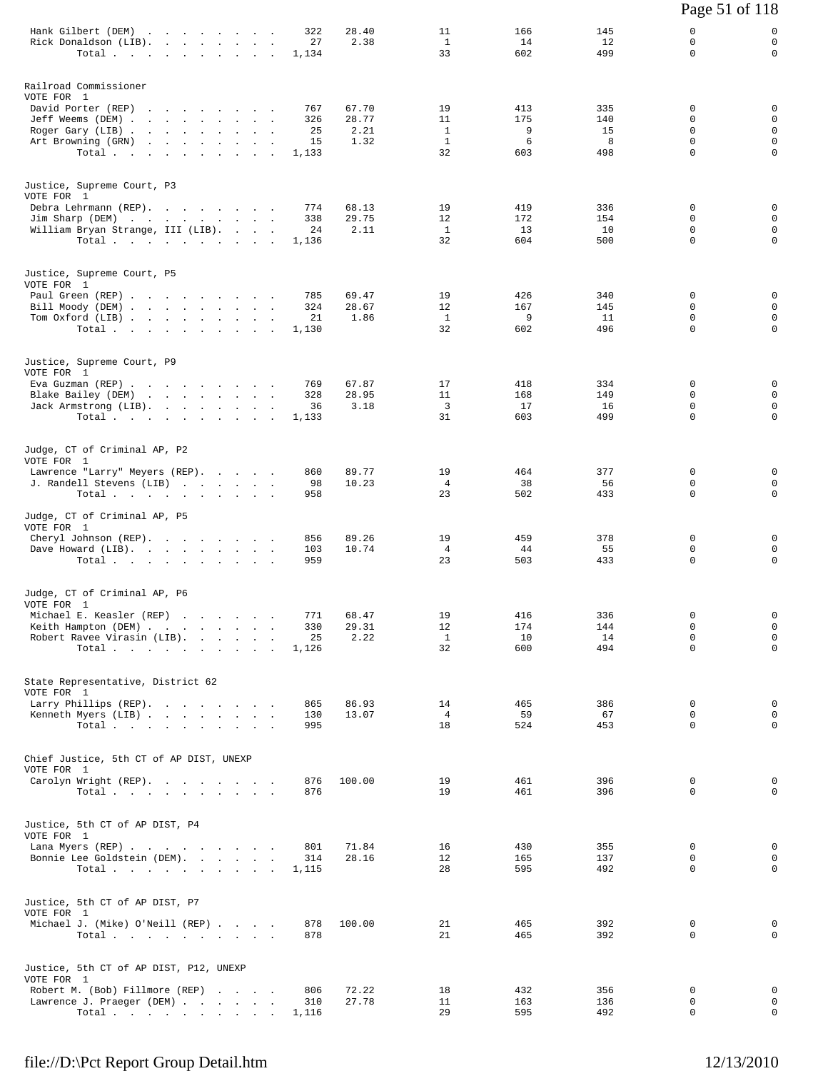|                                                                                                                                                         |                               |                                 |                                |                                                |                             |                              | Page 51 of 118                                        |                                                          |
|---------------------------------------------------------------------------------------------------------------------------------------------------------|-------------------------------|---------------------------------|--------------------------------|------------------------------------------------|-----------------------------|------------------------------|-------------------------------------------------------|----------------------------------------------------------|
| Hank Gilbert (DEM)<br>Rick Donaldson (LIB).<br>Total                                                                                                    |                               | 322<br>27<br>1,134              | 28.40<br>2.38                  | 11<br><sup>1</sup><br>33                       | 166<br>14<br>602            | 145<br>12<br>499             | 0<br>0<br>$\Omega$                                    | 0<br>$\mathbf 0$<br>0                                    |
| Railroad Commissioner<br>VOTE FOR 1<br>David Porter (REP)<br>Jeff Weems (DEM)<br>Roger Gary (LIB)<br>Art Browning (GRN)<br>Total                        |                               | 767<br>326<br>25<br>15<br>1,133 | 67.70<br>28.77<br>2.21<br>1.32 | 19<br>11<br>$\mathbf{1}$<br>$\mathbf{1}$<br>32 | 413<br>175<br>9<br>6<br>603 | 335<br>140<br>15<br>8<br>498 | 0<br>0<br>$\Omega$<br>$\mathbf 0$<br>$\Omega$         | 0<br>0<br>$\mathbf 0$<br>$\mathbf 0$<br>$\mathbf 0$      |
| Justice, Supreme Court, P3<br>VOTE FOR 1<br>Debra Lehrmann (REP).<br>Jim Sharp (DEM)<br>William Bryan Strange, III (LIB).<br>Total                      |                               | 774<br>338<br>24<br>1,136       | 68.13<br>29.75<br>2.11         | 19<br>12<br><sup>1</sup><br>32                 | 419<br>172<br>13<br>604     | 336<br>154<br>10<br>500      | 0<br>0<br>0<br>$\mathbf 0$                            | 0<br>$\mathbf 0$<br>$\mathsf{O}$<br>$\mathbf 0$          |
| Justice, Supreme Court, P5<br>VOTE FOR 1<br>Paul Green (REP)<br>Bill Moody (DEM)<br>Tom Oxford (LIB)<br>Total.                                          |                               | 785<br>324<br>21<br>1,130       | 69.47<br>28.67<br>1.86         | 19<br>12<br><sup>1</sup><br>32                 | 426<br>167<br>9<br>602      | 340<br>145<br>11<br>496      | 0<br>$\Omega$<br>0<br>$\Omega$                        | $\mathbf 0$<br>$\mathbf 0$<br>$\mathbf 0$<br>$\mathbf 0$ |
| Justice, Supreme Court, P9<br>VOTE FOR 1<br>Eva Guzman (REP)<br>Blake Bailey (DEM)<br>Jack Armstrong (LIB).<br>Total                                    |                               | 769<br>328<br>36<br>1,133       | 67.87<br>28.95<br>3.18         | 17<br>11<br>3<br>31                            | 418<br>168<br>17<br>603     | 334<br>149<br>16<br>499      | 0<br>0<br>$\mathbf 0$<br>$\mathbf 0$                  | 0<br>0<br>$\mathbf 0$<br>$\mathbf 0$                     |
| Judge, CT of Criminal AP, P2<br>VOTE FOR 1<br>Lawrence "Larry" Meyers (REP).<br>J. Randell Stevens (LIB)<br>Total $\cdots$ $\cdots$ $\cdots$            |                               | 860<br>98<br>958                | 89.77<br>10.23                 | 19<br>$\overline{4}$<br>23                     | 464<br>38<br>502            | 377<br>56<br>433             | 0<br>$\Omega$<br>$\mathbf 0$                          | 0<br>0<br>$\mathbf 0$                                    |
| Judge, CT of Criminal AP, P5<br>VOTE FOR 1<br>Cheryl Johnson (REP).<br>Dave Howard (LIB).<br>Total $\cdots$                                             |                               | 856<br>103<br>959               | 89.26<br>10.74                 | 19<br>4<br>23                                  | 459<br>44<br>503            | 378<br>55<br>433             | 0<br>0<br>$\Omega$                                    | 0<br>0<br>0                                              |
| Judge, CT of Criminal AP, P6<br>VOTE FOR 1<br>Michael E. Keasler (REP)<br>Keith Hampton (DEM)<br>Robert Ravee Virasin (LIB).<br>Total                   |                               | 771<br>330<br>25<br>1,126       | 68.47<br>29.31<br>2.22         | 19<br>12<br>$\mathbf{1}$<br>32                 | 416<br>174<br>10<br>600     | 336<br>144<br>14<br>494      | $\mathbf 0$<br>$\mathbf 0$<br>$\Omega$<br>$\mathbf 0$ | $\mathbf 0$<br>$\mathbf 0$<br>$\mathbf 0$<br>0           |
| State Representative, District 62<br>VOTE FOR 1<br>Larry Phillips (REP).<br>Kenneth Myers (LIB)<br>Total                                                |                               | 865<br>130<br>995               | 86.93<br>13.07                 | 14<br>$4\overline{ }$<br>18                    | 465<br>59<br>524            | 386<br>67<br>453             | 0<br>0<br>$\mathbf 0$                                 | 0<br>0<br>$\mathbf 0$                                    |
| Chief Justice, 5th CT of AP DIST, UNEXP<br>VOTE FOR 1<br>Carolyn Wright (REP).<br>Total $\cdots$                                                        |                               | 876<br>876                      | 100.00                         | 19<br>19                                       | 461<br>461                  | 396<br>396                   | 0<br>$\Omega$                                         | 0<br>$\mathbf 0$                                         |
| Justice, 5th CT of AP DIST, P4<br>VOTE FOR 1<br>Lana Myers (REP)<br>Bonnie Lee Goldstein (DEM).<br>Total $\cdots$                                       |                               | 801<br>314<br>1,115             | 71.84<br>28.16                 | 16<br>12<br>28                                 | 430<br>165<br>595           | 355<br>137<br>492            | 0<br>0<br>0                                           | 0<br>0<br>0                                              |
| Justice, 5th CT of AP DIST, P7<br>VOTE FOR 1<br>Michael J. (Mike) O'Neill (REP)<br>Total $\cdots$                                                       |                               | 878<br>878                      | 100.00                         | 21<br>21                                       | 465<br>465                  | 392<br>392                   | 0<br>0                                                | 0<br>0                                                   |
| Justice, 5th CT of AP DIST, P12, UNEXP<br>VOTE FOR 1<br>Robert M. (Bob) Fillmore (REP)<br>Lawrence J. Praeger (DEM)<br>Total $\cdots$ $\cdots$ $\cdots$ | and the state of the state of | 806<br>310<br>1,116             | 72.22<br>27.78                 | 18<br>11<br>29                                 | 432<br>163<br>595           | 356<br>136<br>492            | 0<br>0<br>0                                           | 0<br>0<br>$\mathbf 0$                                    |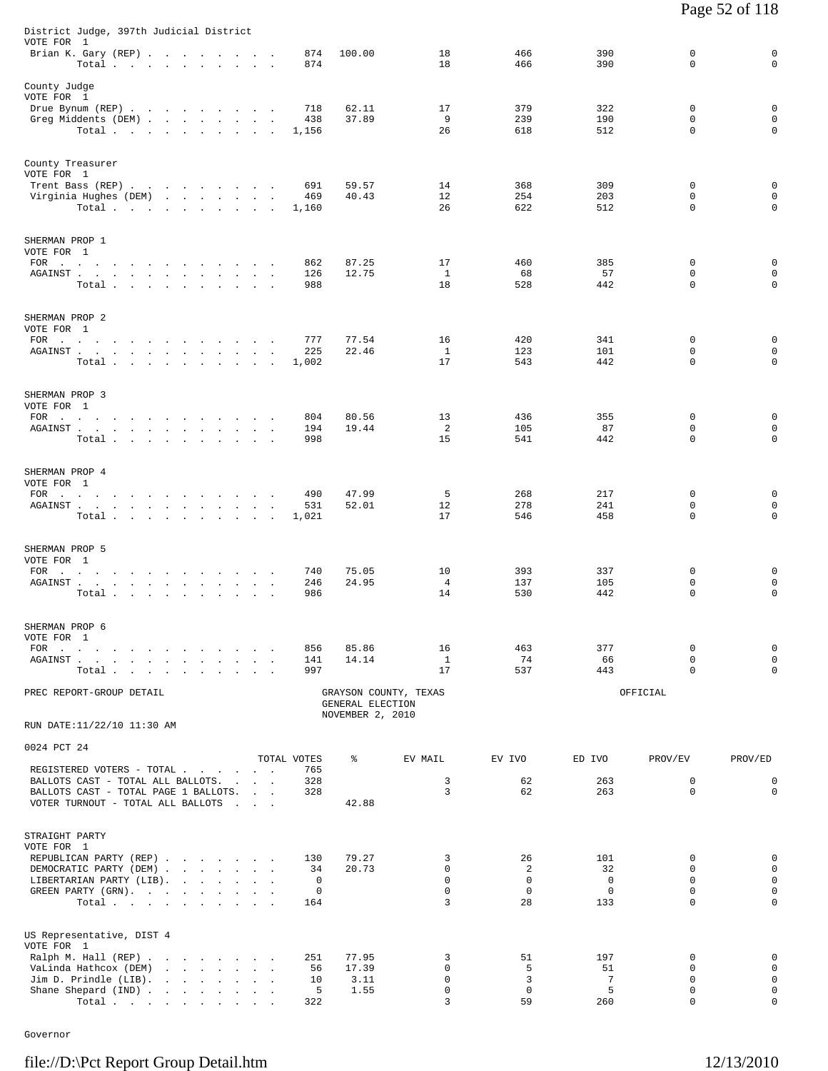| District Judge, 397th Judicial District                                                                                                                                                                                                                              |                                  |                                                                                           |  |  |  |                                   |           |        |              |                                      |                       |                   |                   |                            |                            |
|----------------------------------------------------------------------------------------------------------------------------------------------------------------------------------------------------------------------------------------------------------------------|----------------------------------|-------------------------------------------------------------------------------------------|--|--|--|-----------------------------------|-----------|--------|--------------|--------------------------------------|-----------------------|-------------------|-------------------|----------------------------|----------------------------|
| VOTE FOR 1<br>Brian K. Gary (REP)                                                                                                                                                                                                                                    | Total                            |                                                                                           |  |  |  |                                   |           |        | 874<br>874   | 100.00                               | 18<br>18              | 466<br>466        | 390<br>390        | $\mathbf 0$<br>$\Omega$    | 0<br>$\mathbf 0$           |
| County Judge                                                                                                                                                                                                                                                         |                                  |                                                                                           |  |  |  |                                   |           |        |              |                                      |                       |                   |                   |                            |                            |
| VOTE FOR 1<br>Drue Bynum (REP)                                                                                                                                                                                                                                       |                                  |                                                                                           |  |  |  |                                   |           |        | 718          | 62.11                                | 17                    | 379               | 322               | $\mathbf 0$                | $\mathbf 0$                |
| Greg Middents (DEM)                                                                                                                                                                                                                                                  |                                  |                                                                                           |  |  |  |                                   |           |        | 438          | 37.89                                | 9<br>26               | 239<br>618        | 190<br>512        | 0<br>$\mathbf 0$           | 0<br>$\mathbf 0$           |
|                                                                                                                                                                                                                                                                      | Total $\cdots$                   |                                                                                           |  |  |  |                                   |           |        | 1,156        |                                      |                       |                   |                   |                            |                            |
| County Treasurer                                                                                                                                                                                                                                                     |                                  |                                                                                           |  |  |  |                                   |           |        |              |                                      |                       |                   |                   |                            |                            |
| VOTE FOR 1<br>Trent Bass (REP)                                                                                                                                                                                                                                       |                                  |                                                                                           |  |  |  |                                   |           |        | 691          | 59.57                                | 14                    | 368               | 309               | $\mathbf 0$                | 0                          |
| Virginia Hughes (DEM)                                                                                                                                                                                                                                                |                                  |                                                                                           |  |  |  |                                   |           |        | 469          | 40.43                                | 12                    | 254               | 203               | $\mathbf 0$                | $\mathbf 0$                |
|                                                                                                                                                                                                                                                                      | Total.                           |                                                                                           |  |  |  |                                   |           |        | 1,160        |                                      | 26                    | 622               | 512               | $\mathbf 0$                | $\mathbf 0$                |
| SHERMAN PROP 1                                                                                                                                                                                                                                                       |                                  |                                                                                           |  |  |  |                                   |           |        |              |                                      |                       |                   |                   |                            |                            |
| VOTE FOR 1<br>FOR                                                                                                                                                                                                                                                    |                                  |                                                                                           |  |  |  |                                   |           |        | 862          | 87.25                                | 17                    | 460               | 385               | 0                          | 0                          |
| ${\tt AGAINST} \hspace{1.5cm} . \hspace{1.5cm} . \hspace{1.5cm} . \hspace{1.5cm} . \hspace{1.5cm} . \hspace{1.5cm} . \hspace{1.5cm} . \hspace{1.5cm} . \hspace{1.5cm} . \hspace{1.5cm} . \hspace{1.5cm} . \hspace{1.5cm} .$                                          |                                  |                                                                                           |  |  |  |                                   |           |        | 126          | 12.75                                | $\mathbf{1}$          | 68                | 57                | 0                          | 0                          |
|                                                                                                                                                                                                                                                                      | Total                            |                                                                                           |  |  |  |                                   |           |        | 988          |                                      | 18                    | 528               | 442               | $\mathbf 0$                | $\mathbf 0$                |
| SHERMAN PROP 2                                                                                                                                                                                                                                                       |                                  |                                                                                           |  |  |  |                                   |           |        |              |                                      |                       |                   |                   |                            |                            |
| VOTE FOR 1                                                                                                                                                                                                                                                           |                                  |                                                                                           |  |  |  |                                   |           |        |              |                                      |                       |                   |                   |                            |                            |
| FOR<br>${\tt AGAINST} \hspace{0.1in} . \hspace{0.1in} . \hspace{0.1in} . \hspace{0.1in} . \hspace{0.1in} . \hspace{0.1in} . \hspace{0.1in} . \hspace{0.1in} . \hspace{0.1in} . \hspace{0.1in} . \hspace{0.1in} . \hspace{0.1in} . \hspace{0.1in} . \hspace{0.1in} .$ |                                  |                                                                                           |  |  |  |                                   |           |        | 777<br>225   | 77.54<br>22.46                       | 16<br>$\mathbf{1}$    | 420<br>123        | 341<br>101        | $\mathbf 0$<br>0           | 0<br>0                     |
|                                                                                                                                                                                                                                                                      | Total.                           |                                                                                           |  |  |  |                                   |           |        | 1,002        |                                      | 17                    | 543               | 442               | $\mathbf 0$                | $\mathbf 0$                |
|                                                                                                                                                                                                                                                                      |                                  |                                                                                           |  |  |  |                                   |           |        |              |                                      |                       |                   |                   |                            |                            |
| SHERMAN PROP 3<br>VOTE FOR 1                                                                                                                                                                                                                                         |                                  |                                                                                           |  |  |  |                                   |           |        |              |                                      |                       |                   |                   |                            |                            |
| FOR $\cdots$                                                                                                                                                                                                                                                         |                                  |                                                                                           |  |  |  |                                   |           |        | 804          | 80.56                                | 13                    | 436               | 355               | $\mathbf 0$                | 0                          |
| ${\tt AGAINST} \hspace{1.5cm} . \hspace{1.5cm} . \hspace{1.5cm} . \hspace{1.5cm} . \hspace{1.5cm} . \hspace{1.5cm} . \hspace{1.5cm} . \hspace{1.5cm} . \hspace{1.5cm} . \hspace{1.5cm} . \hspace{1.5cm} . \hspace{1.5cm} . \hspace{1.5cm} . \hspace{1.5cm} .$        | Total                            |                                                                                           |  |  |  |                                   |           |        | 194<br>998   | 19.44                                | 2<br>15               | 105<br>541        | 87<br>442         | $\mathsf 0$<br>$\mathbf 0$ | 0<br>0                     |
|                                                                                                                                                                                                                                                                      |                                  |                                                                                           |  |  |  |                                   |           |        |              |                                      |                       |                   |                   |                            |                            |
| SHERMAN PROP 4                                                                                                                                                                                                                                                       |                                  |                                                                                           |  |  |  |                                   |           |        |              |                                      |                       |                   |                   |                            |                            |
| VOTE FOR 1<br>FOR $\cdots$                                                                                                                                                                                                                                           |                                  |                                                                                           |  |  |  |                                   |           | $\sim$ | 490          | 47.99                                | 5                     | 268               | 217               | 0                          | 0                          |
| ${\tt AGAINST} \hspace{1.5cm} . \hspace{1.5cm} . \hspace{1.5cm} . \hspace{1.5cm} . \hspace{1.5cm} . \hspace{1.5cm} . \hspace{1.5cm} . \hspace{1.5cm} . \hspace{1.5cm} . \hspace{1.5cm} . \hspace{1.5cm} . \hspace{1.5cm} . \hspace{1.5cm} .$                         | Total.                           |                                                                                           |  |  |  |                                   |           |        | 531<br>1,021 | 52.01                                | 12<br>17              | 278<br>546        | 241<br>458        | $\mathbf 0$<br>0           | $\mathbf 0$<br>$\mathbf 0$ |
|                                                                                                                                                                                                                                                                      |                                  |                                                                                           |  |  |  |                                   |           |        |              |                                      |                       |                   |                   |                            |                            |
| SHERMAN PROP 5                                                                                                                                                                                                                                                       |                                  |                                                                                           |  |  |  |                                   |           |        |              |                                      |                       |                   |                   |                            |                            |
| VOTE FOR 1                                                                                                                                                                                                                                                           |                                  |                                                                                           |  |  |  |                                   |           |        | 740          | 75.05                                | 10                    | 393               | 337               | 0                          | 0                          |
| ${\tt AGAINST} \hspace{1.5cm} . \hspace{1.5cm} . \hspace{1.5cm} . \hspace{1.5cm} . \hspace{1.5cm} . \hspace{1.5cm} . \hspace{1.5cm} . \hspace{1.5cm} . \hspace{1.5cm} . \hspace{1.5cm} . \hspace{1.5cm} . \hspace{1.5cm} .$                                          |                                  |                                                                                           |  |  |  |                                   |           |        | 246          | 24.95                                | 4                     | 137               | 105               | $\mathsf 0$                | 0                          |
|                                                                                                                                                                                                                                                                      | Total                            |                                                                                           |  |  |  |                                   |           |        | 986          |                                      | 14                    | 530               | 442               | 0                          | 0                          |
| SHERMAN PROP 6                                                                                                                                                                                                                                                       |                                  |                                                                                           |  |  |  |                                   |           |        |              |                                      |                       |                   |                   |                            |                            |
| VOTE FOR 1                                                                                                                                                                                                                                                           |                                  |                                                                                           |  |  |  |                                   |           |        |              |                                      |                       |                   |                   |                            |                            |
| FOR<br>AGAINST.                                                                                                                                                                                                                                                      |                                  | and a series of the contract of the series of<br>and a series of the contract of the con- |  |  |  |                                   |           |        | 856<br>141   | 85.86<br>14.14                       | 16<br><sup>1</sup>    | 463<br>74         | 377<br>66         | 0<br>$\mathbf 0$           | 0<br>$\mathbf 0$           |
|                                                                                                                                                                                                                                                                      | Total.                           |                                                                                           |  |  |  |                                   |           |        | 997          |                                      | 17                    | 537               | 443               | 0                          | 0                          |
| PREC REPORT-GROUP DETAIL                                                                                                                                                                                                                                             |                                  |                                                                                           |  |  |  |                                   |           |        |              |                                      | GRAYSON COUNTY, TEXAS |                   |                   | OFFICIAL                   |                            |
|                                                                                                                                                                                                                                                                      |                                  |                                                                                           |  |  |  |                                   |           |        |              | GENERAL ELECTION<br>NOVEMBER 2, 2010 |                       |                   |                   |                            |                            |
| RUN DATE:11/22/10 11:30 AM                                                                                                                                                                                                                                           |                                  |                                                                                           |  |  |  |                                   |           |        |              |                                      |                       |                   |                   |                            |                            |
| 0024 PCT 24                                                                                                                                                                                                                                                          |                                  |                                                                                           |  |  |  |                                   |           |        | TOTAL VOTES  | ႜ                                    | EV MAIL               | EV IVO            | ED IVO            | PROV/EV                    | PROV/ED                    |
| REGISTERED VOTERS - TOTAL                                                                                                                                                                                                                                            |                                  |                                                                                           |  |  |  |                                   |           |        | 765          |                                      |                       |                   |                   |                            |                            |
| BALLOTS CAST - TOTAL ALL BALLOTS.<br>BALLOTS CAST - TOTAL PAGE 1 BALLOTS.                                                                                                                                                                                            |                                  |                                                                                           |  |  |  |                                   |           |        | 328<br>328   |                                      | 3<br>3                | 62<br>62          | 263<br>263        | 0<br>$\mathbf 0$           | 0<br>$\mathsf 0$           |
| VOTER TURNOUT - TOTAL ALL BALLOTS                                                                                                                                                                                                                                    |                                  |                                                                                           |  |  |  | <b>Contract Contract Contract</b> |           |        |              | 42.88                                |                       |                   |                   |                            |                            |
|                                                                                                                                                                                                                                                                      |                                  |                                                                                           |  |  |  |                                   |           |        |              |                                      |                       |                   |                   |                            |                            |
| STRAIGHT PARTY<br>VOTE FOR 1                                                                                                                                                                                                                                         |                                  |                                                                                           |  |  |  |                                   |           |        |              |                                      |                       |                   |                   |                            |                            |
| REPUBLICAN PARTY (REP)                                                                                                                                                                                                                                               |                                  |                                                                                           |  |  |  |                                   |           |        | 130          | 79.27                                | 3                     | 26                | 101               | $\mathbf 0$                | 0                          |
| DEMOCRATIC PARTY (DEM)<br>LIBERTARIAN PARTY (LIB).                                                                                                                                                                                                                   |                                  |                                                                                           |  |  |  |                                   |           |        | 34<br>0      | 20.73                                | 0<br>$\Omega$         | 2<br>$\mathbf 0$  | 32<br>$\mathbf 0$ | 0<br>$\Omega$              | $\mathbf 0$<br>$\mathsf 0$ |
| GREEN PARTY (GRN).                                                                                                                                                                                                                                                   |                                  |                                                                                           |  |  |  |                                   |           |        | 0<br>164     |                                      | $\mathbf 0$<br>3      | $\mathbf 0$<br>28 | $^{\circ}$<br>133 | $\mathbf 0$<br>0           | 0<br>0                     |
|                                                                                                                                                                                                                                                                      | Total.                           |                                                                                           |  |  |  |                                   |           |        |              |                                      |                       |                   |                   |                            |                            |
| US Representative, DIST 4                                                                                                                                                                                                                                            |                                  |                                                                                           |  |  |  |                                   |           |        |              |                                      |                       |                   |                   |                            |                            |
| VOTE FOR 1<br>Ralph M. Hall (REP)                                                                                                                                                                                                                                    |                                  |                                                                                           |  |  |  |                                   |           |        | 251          | 77.95                                | 3                     | 51                | 197               | 0                          | 0                          |
| VaLinda Hathcox (DEM)                                                                                                                                                                                                                                                |                                  |                                                                                           |  |  |  |                                   |           |        | 56           | 17.39                                | 0                     | 5                 | 51                | $\mathbf 0$                | $\mathbf 0$                |
| Jim D. Prindle $(LIB)$ .<br>Shane Shepard (IND)                                                                                                                                                                                                                      |                                  |                                                                                           |  |  |  |                                   |           |        | 10<br>5      | 3.11<br>1.55                         | 0<br>0                | 3<br>0            | 7<br>5            | 0<br>0                     | 0<br>0                     |
|                                                                                                                                                                                                                                                                      | Total $\cdots$ $\cdots$ $\cdots$ |                                                                                           |  |  |  |                                   | $\sim 10$ |        | 322          |                                      | 3                     | 59                | 260               | 0                          | 0                          |

Governor

# file://D:\Pct Report Group Detail.htm 12/13/2010

Page 52 of 118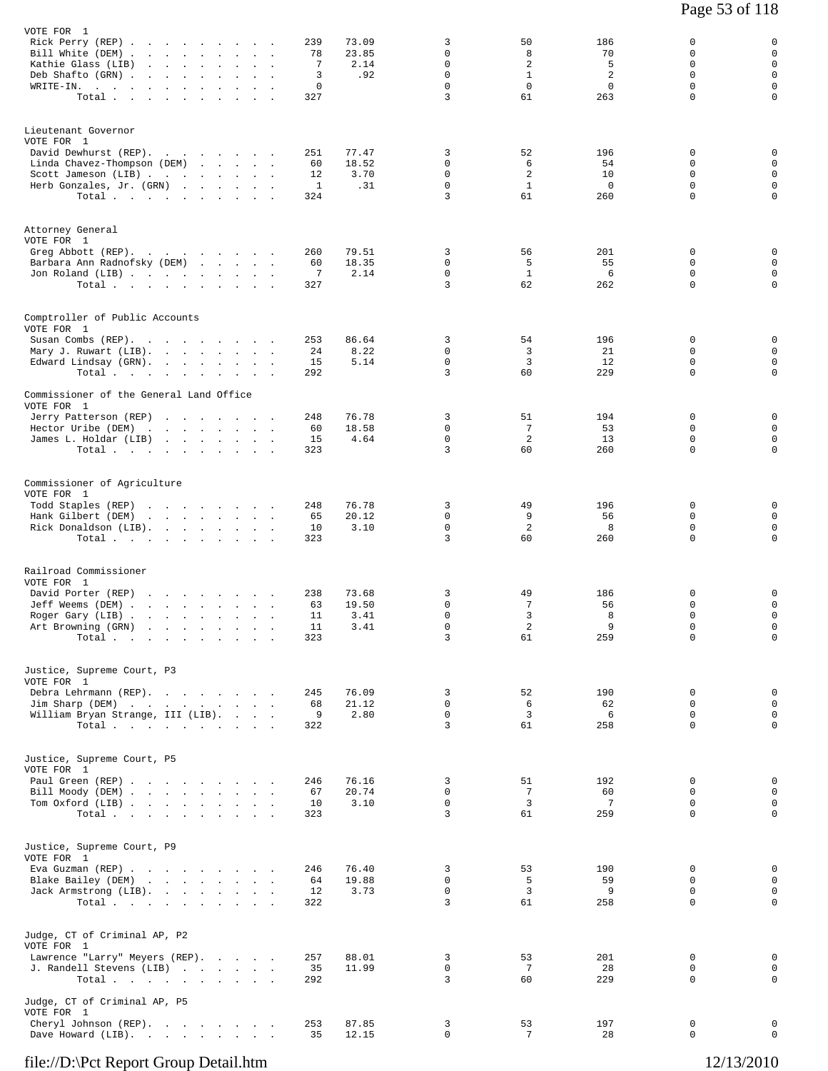| VOTE FOR 1                                                                              |                                                                                           |                                   |                          |           |               |                            |                       |                      |                            |                            |
|-----------------------------------------------------------------------------------------|-------------------------------------------------------------------------------------------|-----------------------------------|--------------------------|-----------|---------------|----------------------------|-----------------------|----------------------|----------------------------|----------------------------|
| Rick Perry (REP)                                                                        |                                                                                           |                                   |                          | 239       | 73.09         | 3                          | 50                    | 186                  | 0                          | 0                          |
| Bill White (DEM)<br>Kathie Glass (LIB)                                                  | $\mathbf{L}^{\text{max}}$ , and $\mathbf{L}^{\text{max}}$ , and $\mathbf{L}^{\text{max}}$ |                                   | $\sim 10^{-1}$<br>$\sim$ | 78<br>7   | 23.85<br>2.14 | $\mathbf 0$<br>$\mathbf 0$ | 8<br>$\overline{2}$   | 70<br>5              | 0<br>0                     | $\mathsf 0$<br>$\mathsf 0$ |
| Deb Shafto (GRN).                                                                       | the company of the state of the                                                           |                                   |                          | 3         | .92           | $\mathbf 0$                | $\mathbf{1}$          | 2                    | 0                          | $\mathbf 0$                |
| $\texttt{WRITE-IN.}$                                                                    |                                                                                           |                                   |                          | 0         |               | $\mathbf 0$                | $\mathbf 0$           | 0                    | 0                          | $\mathsf 0$                |
| Total                                                                                   |                                                                                           |                                   |                          | 327       |               | $\overline{3}$             | 61                    | 263                  | $\Omega$                   | $\mathbf 0$                |
|                                                                                         |                                                                                           |                                   |                          |           |               |                            |                       |                      |                            |                            |
| Lieutenant Governor<br>VOTE FOR 1                                                       |                                                                                           |                                   |                          |           |               |                            |                       |                      |                            |                            |
| David Dewhurst (REP).                                                                   |                                                                                           |                                   |                          | 251       | 77.47         | 3                          | 52                    | 196                  | 0                          | 0                          |
| Linda Chavez-Thompson (DEM)                                                             |                                                                                           | and the state of the state of the |                          | 60        | 18.52         | $\mathbf 0$                | 6                     | 54                   | 0                          | $\mathbf 0$                |
| Scott Jameson (LIB)                                                                     |                                                                                           |                                   | $\sim$                   | 12        | 3.70          | $\mathbf 0$                | 2                     | 10                   | 0                          | $\mathsf 0$                |
| Herb Gonzales, Jr. (GRN)                                                                |                                                                                           |                                   |                          | 1         | .31           | $\mathbf 0$                | $\mathbf{1}$          | $\overline{0}$       | $\Omega$                   | $\mathbf 0$                |
| Total                                                                                   |                                                                                           |                                   |                          | 324       |               | 3                          | 61                    | 260                  | $\mathbf 0$                | $\mathbf 0$                |
|                                                                                         |                                                                                           |                                   |                          |           |               |                            |                       |                      |                            |                            |
| Attorney General<br>VOTE FOR 1                                                          |                                                                                           |                                   |                          |           |               |                            |                       |                      |                            |                            |
| Greg Abbott (REP).                                                                      |                                                                                           |                                   |                          | 260       | 79.51         | 3                          | 56                    | 201                  | 0                          | 0                          |
| Barbara Ann Radnofsky (DEM)                                                             |                                                                                           |                                   |                          | 60        | 18.35         | 0                          | 5                     | 55                   | 0                          | $\mathbf 0$                |
| Jon Roland (LIB)                                                                        |                                                                                           |                                   |                          | 7         | 2.14          | $\mathbf 0$                | $\mathbf{1}$          | 6                    | 0                          | $\mathbf 0$                |
| Total $\cdots$                                                                          |                                                                                           |                                   |                          | 327       |               | 3                          | 62                    | 262                  | $\mathbf 0$                | $\mathbf 0$                |
|                                                                                         |                                                                                           |                                   |                          |           |               |                            |                       |                      |                            |                            |
| Comptroller of Public Accounts<br>VOTE FOR 1                                            |                                                                                           |                                   |                          |           |               |                            |                       |                      |                            |                            |
| Susan Combs (REP).                                                                      |                                                                                           |                                   |                          | 253       | 86.64         | 3                          | 54                    | 196                  | 0                          | 0                          |
| Mary J. Ruwart (LIB).                                                                   |                                                                                           |                                   |                          | 24        | 8.22          | $\mathbf 0$                | 3                     | 21                   | 0                          | $\mathbf 0$                |
| Edward Lindsay (GRN).                                                                   |                                                                                           |                                   |                          | 15        | 5.14          | $\mathsf 0$                | 3                     | 12                   | 0                          | $\mathbf 0$                |
| Total                                                                                   |                                                                                           |                                   |                          | 292       |               | 3                          | 60                    | 229                  | $\mathbf 0$                | $\mathbf 0$                |
| Commissioner of the General Land Office                                                 |                                                                                           |                                   |                          |           |               |                            |                       |                      |                            |                            |
| VOTE FOR 1                                                                              |                                                                                           |                                   |                          |           |               |                            |                       |                      |                            |                            |
| Jerry Patterson (REP)                                                                   |                                                                                           |                                   |                          | 248       | 76.78         | 3                          | 51                    | 194                  | 0                          | 0                          |
| Hector Uribe (DEM)<br>James L. Holdar (LIB)                                             |                                                                                           |                                   |                          | 60<br>15  | 18.58<br>4.64 | $\mathbf 0$<br>$\mathsf 0$ | 7<br>2                | 53<br>13             | $\Omega$<br>0              | $\mathbf 0$<br>$\mathbf 0$ |
| Total $\cdots$                                                                          |                                                                                           |                                   |                          | 323       |               | $\overline{3}$             | 60                    | 260                  | $\mathbf 0$                | $\mathbf 0$                |
|                                                                                         |                                                                                           |                                   |                          |           |               |                            |                       |                      |                            |                            |
| Commissioner of Agriculture                                                             |                                                                                           |                                   |                          |           |               |                            |                       |                      |                            |                            |
| VOTE FOR 1                                                                              |                                                                                           |                                   |                          |           |               |                            |                       |                      |                            |                            |
| Todd Staples (REP)                                                                      | the contract of the contract of                                                           |                                   |                          | 248       | 76.78         | 3                          | 49                    | 196                  | 0                          | 0                          |
| Hank Gilbert (DEM)                                                                      | the contract of the contract of the                                                       |                                   | $\sim$                   | 65        | 20.12         | 0                          | 9                     | 56                   | 0                          | $\mathbf 0$                |
| Rick Donaldson (LIB).                                                                   |                                                                                           |                                   |                          | 10        | 3.10          | $\mathbf 0$                | 2                     | 8                    | $\mathbf 0$                | $\mathsf 0$                |
| Total $\cdots$                                                                          |                                                                                           |                                   |                          | 323       |               | 3                          | 60                    | 260                  | 0                          | 0                          |
|                                                                                         |                                                                                           |                                   |                          |           |               |                            |                       |                      |                            |                            |
| Railroad Commissioner                                                                   |                                                                                           |                                   |                          |           |               |                            |                       |                      |                            |                            |
| VOTE FOR 1                                                                              |                                                                                           |                                   |                          |           | 73.68         |                            |                       |                      |                            |                            |
| David Porter (REP)<br>Jeff Weems (DEM).                                                 | the contract of the contract of the con-<br>the contract of the contract of the           |                                   |                          | 238<br>63 | 19.50         | 3<br>0                     | 49<br>7               | 186<br>56            | 0<br>0                     | 0<br>$\mathsf 0$           |
| Roger Gary (LIB).                                                                       | and the state of the state of the                                                         |                                   |                          | 11        | 3.41          | $\mathbf 0$                | 3                     | 8                    | 0                          | 0                          |
| Art Browning (GRN)                                                                      | the contract of the contract of                                                           |                                   |                          | 11        | 3.41          | $\mathbf 0$                | $\overline{a}$        | 9                    | $\mathbf 0$                | $\mathbf 0$                |
| Total $\cdots$ $\cdots$ $\cdots$                                                        |                                                                                           |                                   |                          | 323       |               | 3                          | 61                    | 259                  | 0                          | 0                          |
|                                                                                         |                                                                                           |                                   |                          |           |               |                            |                       |                      |                            |                            |
| Justice, Supreme Court, P3                                                              |                                                                                           |                                   |                          |           |               |                            |                       |                      |                            |                            |
| VOTE FOR 1<br>Debra Lehrmann (REP).                                                     |                                                                                           |                                   |                          | 245       | 76.09         | 3                          | 52                    | 190                  | $\mathbf 0$                | 0                          |
| Jim Sharp (DEM)                                                                         |                                                                                           |                                   |                          | 68        | 21.12         | $\mathbf 0$                | 6                     | 62                   | $\mathbf 0$                | $\mathbf 0$                |
| William Bryan Strange, III (LIB).                                                       |                                                                                           |                                   |                          | 9         | 2.80          | $\mathbf 0$                | $\overline{3}$        | - 6                  | 0                          | $\mathbf 0$                |
| $\texttt{Total} \quad . \qquad . \qquad . \qquad . \qquad . \qquad . \qquad . \qquad .$ |                                                                                           |                                   |                          | 322       |               | $\overline{3}$             | 61                    | 258                  | $\Omega$                   | $\mathbf 0$                |
|                                                                                         |                                                                                           |                                   |                          |           |               |                            |                       |                      |                            |                            |
| Justice, Supreme Court, P5                                                              |                                                                                           |                                   |                          |           |               |                            |                       |                      |                            |                            |
| VOTE FOR 1                                                                              |                                                                                           |                                   |                          |           |               |                            |                       |                      |                            |                            |
| Paul Green (REP)                                                                        |                                                                                           |                                   |                          | 246       | 76.16         | 3                          | 51                    | 192                  | $\mathbf 0$                | 0                          |
| Bill Moody (DEM)<br>Tom Oxford (LIB)                                                    |                                                                                           |                                   |                          | 67<br>10  | 20.74<br>3.10 | $\mathbf 0$<br>$\mathbf 0$ | 7<br>$\overline{3}$   | 60<br>$\overline{7}$ | $\mathbf 0$<br>$\mathbf 0$ | $\mathbf 0$<br>$\mathbf 0$ |
| Total                                                                                   |                                                                                           |                                   |                          | 323       |               | $\overline{3}$             | 61                    | 259                  | $\Omega$                   | 0                          |
|                                                                                         |                                                                                           |                                   |                          |           |               |                            |                       |                      |                            |                            |
| Justice, Supreme Court, P9                                                              |                                                                                           |                                   |                          |           |               |                            |                       |                      |                            |                            |
| VOTE FOR 1                                                                              |                                                                                           |                                   |                          |           |               |                            |                       |                      |                            |                            |
| Eva Guzman (REP)                                                                        |                                                                                           |                                   |                          | 246       | 76.40         | 3                          | 53                    | 190                  | 0                          | 0                          |
| Blake Bailey (DEM)                                                                      |                                                                                           |                                   |                          | 64        | 19.88         | $\mathbf 0$                | 5                     | 59                   | 0                          | $\mathbf 0$                |
| Jack Armstrong (LIB).<br>Total                                                          |                                                                                           |                                   |                          | 12<br>322 | 3.73          | $\mathbf 0$<br>3           | $\overline{3}$<br>61  | 9<br>258             | $\Omega$<br>0              | 0<br>$\mathbf 0$           |
|                                                                                         |                                                                                           |                                   |                          |           |               |                            |                       |                      |                            |                            |
| Judge, CT of Criminal AP, P2                                                            |                                                                                           |                                   |                          |           |               |                            |                       |                      |                            |                            |
| VOTE FOR 1                                                                              |                                                                                           |                                   |                          |           |               |                            |                       |                      |                            |                            |
| Lawrence "Larry" Meyers (REP).                                                          |                                                                                           |                                   |                          | 257       | 88.01         | 3                          | 53                    | 201                  | 0                          | 0                          |
| J. Randell Stevens (LIB)<br>Total                                                       |                                                                                           |                                   |                          | 35<br>292 | 11.99         | $\mathbf 0$<br>3           | $7\phantom{.0}$<br>60 | 28<br>229            | 0<br>0                     | $\mathbf 0$<br>$\mathbf 0$ |
|                                                                                         |                                                                                           |                                   |                          |           |               |                            |                       |                      |                            |                            |
| Judge, CT of Criminal AP, P5                                                            |                                                                                           |                                   |                          |           |               |                            |                       |                      |                            |                            |
| VOTE FOR 1<br>Cheryl Johnson (REP).                                                     |                                                                                           |                                   |                          | 253       | 87.85         | 3                          | 53                    | 197                  | 0                          | 0                          |
| Dave Howard (LIB).                                                                      |                                                                                           |                                   |                          | 35        | 12.15         | $\mathbf 0$                | 7                     | 28                   | $\mathbf 0$                | $\mathbf 0$                |
|                                                                                         |                                                                                           |                                   |                          |           |               |                            |                       |                      |                            |                            |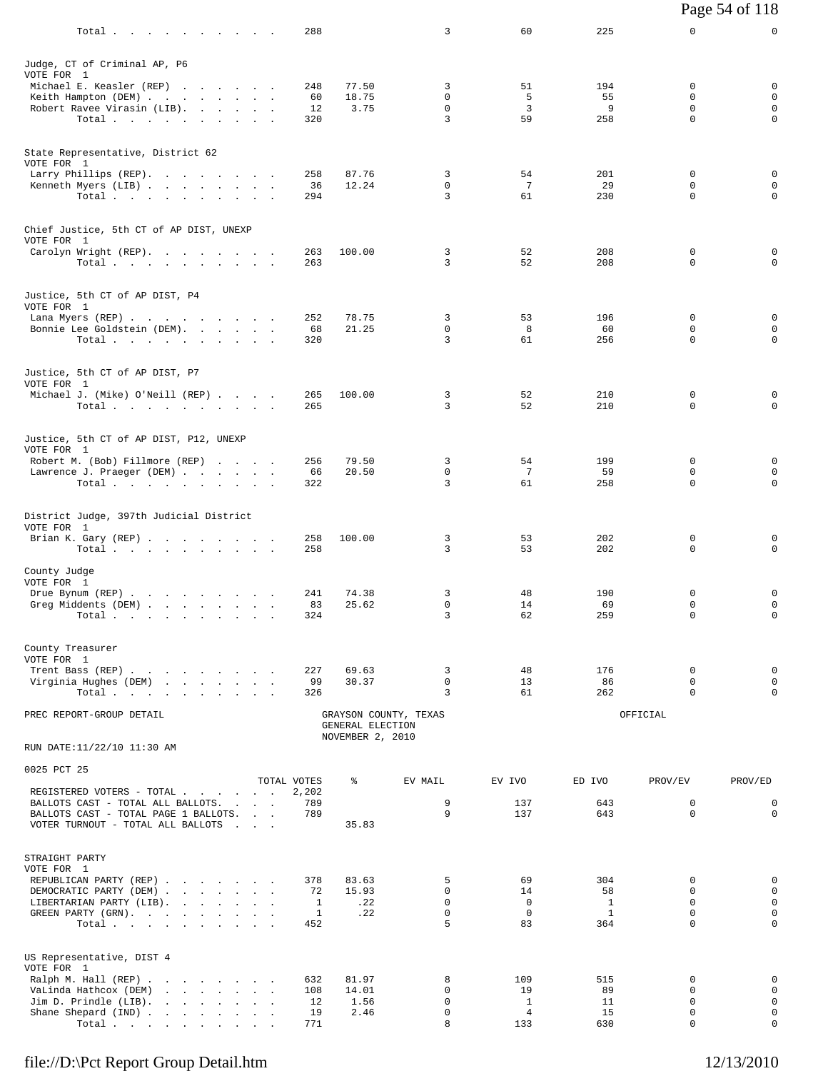|                                                                           | Total                            |  |                          | 288         |                                      | 3                          | 60                 | 225          | 0                          | 0                          |
|---------------------------------------------------------------------------|----------------------------------|--|--------------------------|-------------|--------------------------------------|----------------------------|--------------------|--------------|----------------------------|----------------------------|
| Judge, CT of Criminal AP, P6<br>VOTE FOR 1                                |                                  |  |                          |             |                                      |                            |                    |              |                            |                            |
| Michael E. Keasler (REP)                                                  |                                  |  |                          | 248         | 77.50                                | 3                          | 51                 | 194          | 0                          | 0                          |
| Keith Hampton (DEM)<br>Robert Ravee Virasin (LIB).                        |                                  |  |                          | 60<br>12    | 18.75<br>3.75                        | 0<br>$\mathbf 0$           | -5<br>3            | 55<br>9      | 0<br>$\mathbf 0$           | $\mathsf 0$<br>$\mathsf 0$ |
|                                                                           | Total.                           |  |                          | 320         |                                      | 3                          | 59                 | 258          | $\Omega$                   | $\mathbf 0$                |
| State Representative, District 62                                         |                                  |  |                          |             |                                      |                            |                    |              |                            |                            |
| VOTE FOR 1<br>Larry Phillips (REP).                                       |                                  |  |                          | 258         | 87.76                                | 3                          | 54                 | 201          | 0                          | 0                          |
| Kenneth Myers (LIB)                                                       |                                  |  |                          | 36          | 12.24                                | 0                          | 7                  | 29           | 0                          | $\mathbf 0$                |
|                                                                           | Total.                           |  |                          | 294         |                                      | 3                          | 61                 | 230          | 0                          | 0                          |
| Chief Justice, 5th CT of AP DIST, UNEXP                                   |                                  |  |                          |             |                                      |                            |                    |              |                            |                            |
| VOTE FOR 1<br>Carolyn Wright (REP).                                       |                                  |  |                          | 263         | 100.00                               | 3                          | 52                 | 208          | 0                          | 0                          |
|                                                                           | Total                            |  |                          | 263         |                                      | 3                          | 52                 | 208          | 0                          | $\mathbf 0$                |
| Justice, 5th CT of AP DIST, P4<br>VOTE FOR 1                              |                                  |  |                          |             |                                      |                            |                    |              |                            |                            |
| Lana Myers (REP)                                                          |                                  |  |                          | 252         | 78.75                                | 3                          | 53                 | 196          | 0                          | 0                          |
| Bonnie Lee Goldstein (DEM).                                               |                                  |  |                          | 68          | 21.25                                | $\mathsf{O}$<br>3          | 8<br>61            | 60           | 0<br>$\Omega$              | $\mathsf 0$<br>$\mathbf 0$ |
|                                                                           | Total.                           |  |                          | 320         |                                      |                            |                    | 256          |                            |                            |
| Justice, 5th CT of AP DIST, P7<br>VOTE FOR 1                              |                                  |  |                          |             |                                      |                            |                    |              |                            |                            |
| Michael J. (Mike) O'Neill (REP)                                           | Total                            |  |                          | 265<br>265  | 100.00                               | 3<br>3                     | 52<br>52           | 210<br>210   | 0<br>$\mathbf 0$           | 0<br>$\mathbf 0$           |
|                                                                           |                                  |  |                          |             |                                      |                            |                    |              |                            |                            |
| Justice, 5th CT of AP DIST, P12, UNEXP<br>VOTE FOR 1                      |                                  |  |                          |             |                                      |                            |                    |              |                            |                            |
| Robert M. (Bob) Fillmore (REP)                                            |                                  |  |                          | 256         | 79.50                                | 3                          | 54                 | 199          | 0                          | 0                          |
| Lawrence J. Praeger (DEM)                                                 | Total                            |  |                          | 66<br>322   | 20.50                                | 0<br>3                     | 7<br>61            | 59<br>258    | 0<br>0                     | 0<br>$\mathbf 0$           |
|                                                                           |                                  |  |                          |             |                                      |                            |                    |              |                            |                            |
| District Judge, 397th Judicial District                                   |                                  |  |                          |             |                                      |                            |                    |              |                            |                            |
| VOTE FOR 1<br>Brian K. Gary (REP)                                         |                                  |  |                          | 258         | 100.00                               | 3                          | 53                 | 202          | 0                          | 0                          |
|                                                                           | Total                            |  |                          | 258         |                                      | 3                          | 53                 | 202          | 0                          | $\mathbf 0$                |
| County Judge                                                              |                                  |  |                          |             |                                      |                            |                    |              |                            |                            |
| VOTE FOR 1<br>Drue Bynum (REP)                                            |                                  |  |                          | 241         | 74.38                                | 3                          | 48                 | 190          | 0                          | 0                          |
| Greg Middents (DEM)                                                       | Total $\cdots$ $\cdots$ $\cdots$ |  |                          | 83<br>324   | 25.62                                | 0<br>3                     | 14<br>62           | 69<br>259    | 0<br>0                     | 0<br>$\mathbf 0$           |
|                                                                           |                                  |  |                          |             |                                      |                            |                    |              |                            |                            |
| County Treasurer                                                          |                                  |  |                          |             |                                      |                            |                    |              |                            |                            |
| VOTE FOR 1<br>Trent Bass (REP)                                            |                                  |  |                          | 227         | 69.63                                | 3                          | 48                 | 176          | 0                          | 0                          |
| Virginia Hughes (DEM)                                                     | Total.                           |  |                          | 99<br>326   | 30.37                                | $\mathbf 0$<br>3           | 13<br>61           | 86<br>262    | $\mathbf 0$<br>0           | $\mathbf 0$<br>$\mathbf 0$ |
| PREC REPORT-GROUP DETAIL                                                  |                                  |  |                          |             |                                      | GRAYSON COUNTY, TEXAS      |                    |              | OFFICIAL                   |                            |
|                                                                           |                                  |  |                          |             | GENERAL ELECTION<br>NOVEMBER 2, 2010 |                            |                    |              |                            |                            |
| RUN DATE:11/22/10 11:30 AM                                                |                                  |  |                          |             |                                      |                            |                    |              |                            |                            |
| 0025 PCT 25                                                               |                                  |  |                          | TOTAL VOTES | နွ                                   | EV MAIL                    | EV IVO             | ED IVO       | PROV/EV                    | PROV/ED                    |
| REGISTERED VOTERS - TOTAL                                                 |                                  |  |                          | 2,202       |                                      |                            |                    |              |                            |                            |
| BALLOTS CAST - TOTAL ALL BALLOTS.<br>BALLOTS CAST - TOTAL PAGE 1 BALLOTS. |                                  |  | <b>Contract Contract</b> | 789<br>789  |                                      | 9<br>9                     | 137<br>137         | 643<br>643   | 0<br>$\mathbf 0$           | 0<br>$\mathbf 0$           |
| VOTER TURNOUT - TOTAL ALL BALLOTS                                         |                                  |  | <b>Carl Corp.</b>        |             | 35.83                                |                            |                    |              |                            |                            |
| STRAIGHT PARTY                                                            |                                  |  |                          |             |                                      |                            |                    |              |                            |                            |
| VOTE FOR 1                                                                |                                  |  |                          |             |                                      |                            |                    |              |                            |                            |
| REPUBLICAN PARTY (REP)<br>DEMOCRATIC PARTY (DEM)                          |                                  |  |                          | 378<br>72   | 83.63<br>15.93                       | 5<br>$\mathbf 0$           | 69<br>14           | 304<br>58    | 0<br>0                     | 0<br>$\mathbf 0$           |
| LIBERTARIAN PARTY (LIB).                                                  |                                  |  |                          | 1           | .22                                  | $\Omega$                   | $\Omega$           | $\mathbf{1}$ | $\Omega$                   | 0                          |
| GREEN PARTY (GRN).                                                        | Total                            |  |                          | 1<br>452    | .22                                  | $\mathbf 0$<br>5           | $\mathbf 0$<br>83  | 1<br>364     | $\mathbf 0$<br>$\Omega$    | $\mathbf 0$<br>0           |
|                                                                           |                                  |  |                          |             |                                      |                            |                    |              |                            |                            |
| US Representative, DIST 4<br>VOTE FOR 1                                   |                                  |  |                          |             |                                      |                            |                    |              |                            |                            |
| Ralph M. Hall (REP)                                                       |                                  |  |                          | 632         | 81.97                                | 8                          | 109                | 515          | 0                          | 0                          |
| VaLinda Hathcox (DEM)<br>Jim D. Prindle $(LIB)$ .                         |                                  |  |                          | 108<br>12   | 14.01<br>1.56                        | $\mathbf 0$<br>$\mathbf 0$ | 19<br>$\mathbf{1}$ | 89<br>11     | 0<br>0                     | $\mathsf 0$<br>$\mathbf 0$ |
| Shane Shepard (IND)                                                       |                                  |  |                          | 19          | 2.46                                 | $\mathbf 0$                | 4                  | 15           | $\mathbf 0$<br>$\mathbf 0$ | $\mathbf 0$<br>0           |
|                                                                           | Total.                           |  |                          | 771         |                                      | 8                          | 133                | 630          |                            |                            |

Page 54 of 118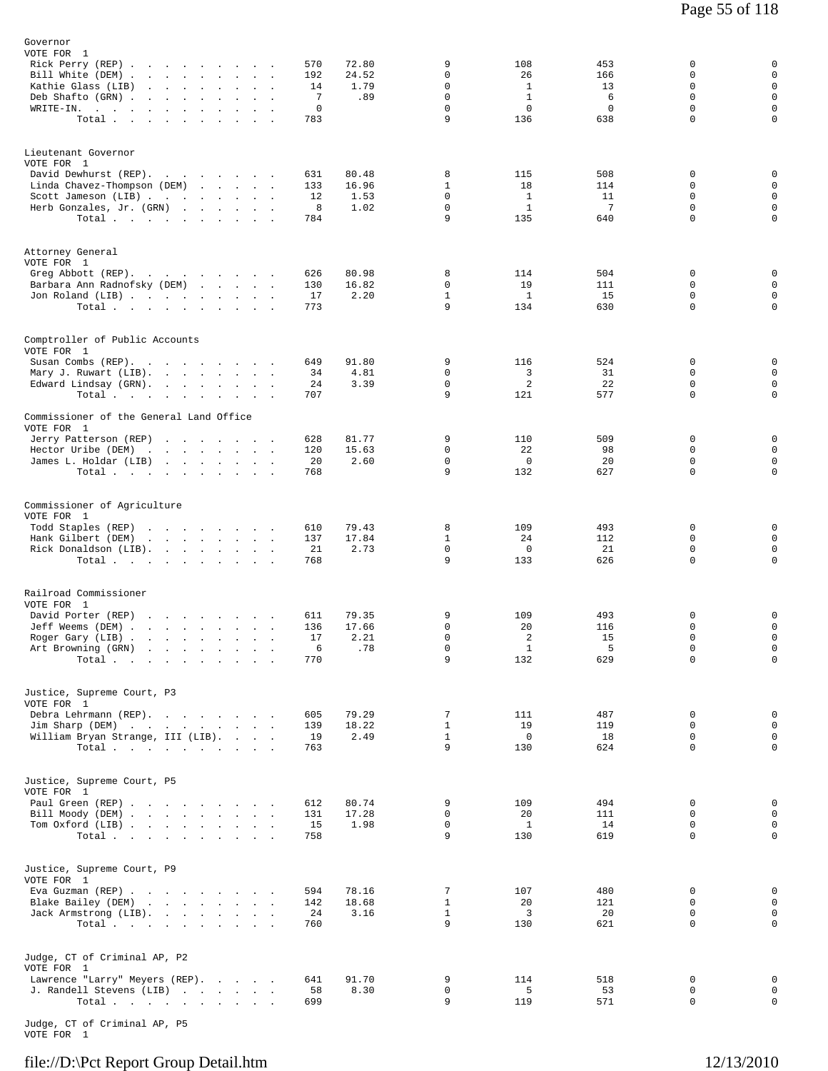| Governor<br>VOTE FOR 1<br>Rick Perry (REP)<br>Bill White (DEM)<br>Kathie Glass (LIB)<br>Deb Shafto (GRN).<br>the company of the company<br>$\texttt{WRITE-IN.}$<br>Total | $\sim$<br>$\mathbf{r}$          | $\sim 100$ km s $^{-1}$<br><b>Contract Contract</b> | 570<br>192<br>14<br>7<br>0<br>783 | 72.80<br>24.52<br>1.79<br>.89  | 9<br>0<br>$\mathbf 0$<br>$\mathbf 0$<br>$\mathbf 0$<br>9 | 108<br>26<br>$\mathbf{1}$<br>$\mathbf{1}$<br>0<br>136 | 453<br>166<br>13<br>6<br>0<br>638          | 0<br>0<br>0<br>$\mathbf 0$<br>$\circ$<br>$\mathbf 0$ | $\mathbf 0$<br>$\mathsf 0$<br>$\mathsf 0$<br>$\mathbf{0}$<br>$\mathbf 0$<br>$\mathbf 0$ |
|--------------------------------------------------------------------------------------------------------------------------------------------------------------------------|---------------------------------|-----------------------------------------------------|-----------------------------------|--------------------------------|----------------------------------------------------------|-------------------------------------------------------|--------------------------------------------|------------------------------------------------------|-----------------------------------------------------------------------------------------|
| Lieutenant Governor<br>VOTE FOR 1<br>David Dewhurst (REP).<br>Linda Chavez-Thompson (DEM)<br>Scott Jameson (LIB)<br>Herb Gonzales, Jr. (GRN)<br>Total.                   |                                 |                                                     | 631<br>133<br>12<br>8<br>784      | 80.48<br>16.96<br>1.53<br>1.02 | 8<br>$\mathbf{1}$<br>$\mathbf 0$<br>0<br>9               | 115<br>18<br>$\mathbf{1}$<br>$\mathbf{1}$<br>135      | 508<br>114<br>11<br>$7\phantom{.0}$<br>640 | 0<br>0<br>0<br>0<br>$\mathbf 0$                      | 0<br>$\mathsf 0$<br>$\mathsf 0$<br>$\mathsf 0$<br>$\mathbf 0$                           |
| Attorney General<br>VOTE FOR 1<br>Greg Abbott (REP).<br>Barbara Ann Radnofsky (DEM)<br>Jon Roland (LIB)<br>Total $\cdots$ $\cdots$ $\cdots$ $\cdots$                     |                                 |                                                     | 626<br>130<br>17<br>773           | 80.98<br>16.82<br>2.20         | 8<br>$\mathbf 0$<br>$\mathbf{1}$<br>9                    | 114<br>19<br>$\mathbf{1}$<br>134                      | 504<br>111<br>15<br>630                    | 0<br>0<br>$\mathbf 0$<br>0                           | 0<br>0<br>$\mathsf 0$<br>$\mathbf 0$                                                    |
| Comptroller of Public Accounts<br>VOTE FOR 1<br>Susan Combs (REP).<br>Mary J. Ruwart (LIB).<br>Edward Lindsay (GRN).<br>Total<br>Commissioner of the General Land Office |                                 |                                                     | 649<br>34<br>24<br>707            | 91.80<br>4.81<br>3.39          | 9<br>$\mathbf 0$<br>$\mathsf 0$<br>9                     | 116<br>3<br>$\overline{c}$<br>121                     | 524<br>31<br>22<br>577                     | 0<br>0<br>0<br>0                                     | 0<br>$\mathbf 0$<br>$\mathbf 0$<br>$\mathbf 0$                                          |
| VOTE FOR 1<br>Jerry Patterson (REP)<br>Hector Uribe (DEM)<br>James L. Holdar (LIB)<br>Total                                                                              |                                 |                                                     | 628<br>120<br>20<br>768           | 81.77<br>15.63<br>2.60         | 9<br>$\mathbf 0$<br>0<br>9                               | 110<br>22<br>$\mathbf 0$<br>132                       | 509<br>98<br>20<br>627                     | 0<br>0<br>0<br>0                                     | 0<br>$\mathsf 0$<br>$\mathsf 0$<br>$\mathbf 0$                                          |
| Commissioner of Agriculture<br>VOTE FOR 1<br>Todd Staples (REP)<br>Hank Gilbert (DEM)<br>Rick Donaldson (LIB).<br>Total.                                                 |                                 |                                                     | 610<br>137<br>21<br>768           | 79.43<br>17.84<br>2.73         | 8<br>$\mathbf{1}$<br>$\mathbf 0$<br>9                    | 109<br>24<br>$\mathbf 0$<br>133                       | 493<br>112<br>21<br>626                    | 0<br>0<br>0<br>$\Omega$                              | 0<br>0<br>$\mathsf 0$<br>$\mathbf 0$                                                    |
| Railroad Commissioner<br>VOTE FOR 1<br>David Porter (REP)<br>Jeff Weems (DEM)<br>Roger Gary (LIB)<br>Art Browning (GRN)<br>Total.                                        | the contract of the contract of | $\sim$<br>$\sim$ 100 $\mu$                          | 611<br>136<br>17<br>6<br>770      | 79.35<br>17.66<br>2.21<br>.78  | 9<br>0<br>0<br>$\mathsf{O}$<br>9                         | 109<br>20<br>2<br>$\mathbf{1}$<br>132                 | 493<br>116<br>15<br>5<br>629               | 0<br>0<br>$\mathbf 0$<br>0<br>0                      | 0<br>$\mathsf 0$<br>$\mathbf 0$<br>$\mathbf 0$<br>$\mathsf{O}$                          |
| Justice, Supreme Court, P3<br>VOTE FOR 1<br>Debra Lehrmann (REP).<br>Jim Sharp (DEM)<br>William Bryan Strange, III (LIB).<br>Total                                       |                                 |                                                     | 605<br>139<br>19<br>763           | 79.29<br>18.22<br>2.49         | 7<br>$\mathbf{1}$<br>$\mathbf{1}$<br>9                   | 111<br>19<br>$\mathbf 0$<br>130                       | 487<br>119<br>18<br>624                    | 0<br>0<br>0<br>$\mathbf 0$                           | 0<br>$\mathsf 0$<br>$\mathbf 0$<br>$\mathbf 0$                                          |
| Justice, Supreme Court, P5<br>VOTE FOR 1<br>Paul Green (REP)<br>Bill Moody (DEM)<br>Tom Oxford (LIB)<br>Total $\cdots$ $\cdots$ $\cdots$ $\cdots$                        |                                 |                                                     | 612<br>131<br>15<br>758           | 80.74<br>17.28<br>1.98         | 9<br>0<br>$\mathsf{O}$<br>9                              | 109<br>20<br>$\mathbf{1}$<br>130                      | 494<br>111<br>14<br>619                    | 0<br>0<br>0<br>$\Omega$                              | $\mathbf 0$<br>0<br>$\mathbf 0$<br>$\mathbf 0$                                          |
| Justice, Supreme Court, P9<br>VOTE FOR 1<br>Eva Guzman (REP)<br>Blake Bailey (DEM)<br>Jack Armstrong (LIB).<br>Total                                                     |                                 |                                                     | 594<br>142<br>24<br>760           | 78.16<br>18.68<br>3.16         | 7<br>$\mathbf{1}$<br>$\mathbf{1}$<br>9                   | 107<br>20<br>3<br>130                                 | 480<br>121<br>20<br>621                    | 0<br>0<br>0<br>$\mathbf 0$                           | 0<br>$\mathbf 0$<br>$\mathbf 0$<br>$\mathbf 0$                                          |
| Judge, CT of Criminal AP, P2<br>VOTE FOR 1<br>Lawrence "Larry" Meyers (REP).<br>J. Randell Stevens (LIB)<br>Total.                                                       |                                 |                                                     | 641<br>58<br>699                  | 91.70<br>8.30                  | 9<br>$\mathbf 0$<br>9                                    | 114<br>5<br>119                                       | 518<br>53<br>571                           | 0<br>0<br>0                                          | 0<br>0<br>$\mathbf 0$                                                                   |

Judge, CT of Criminal AP, P5

#### VOTE FOR 1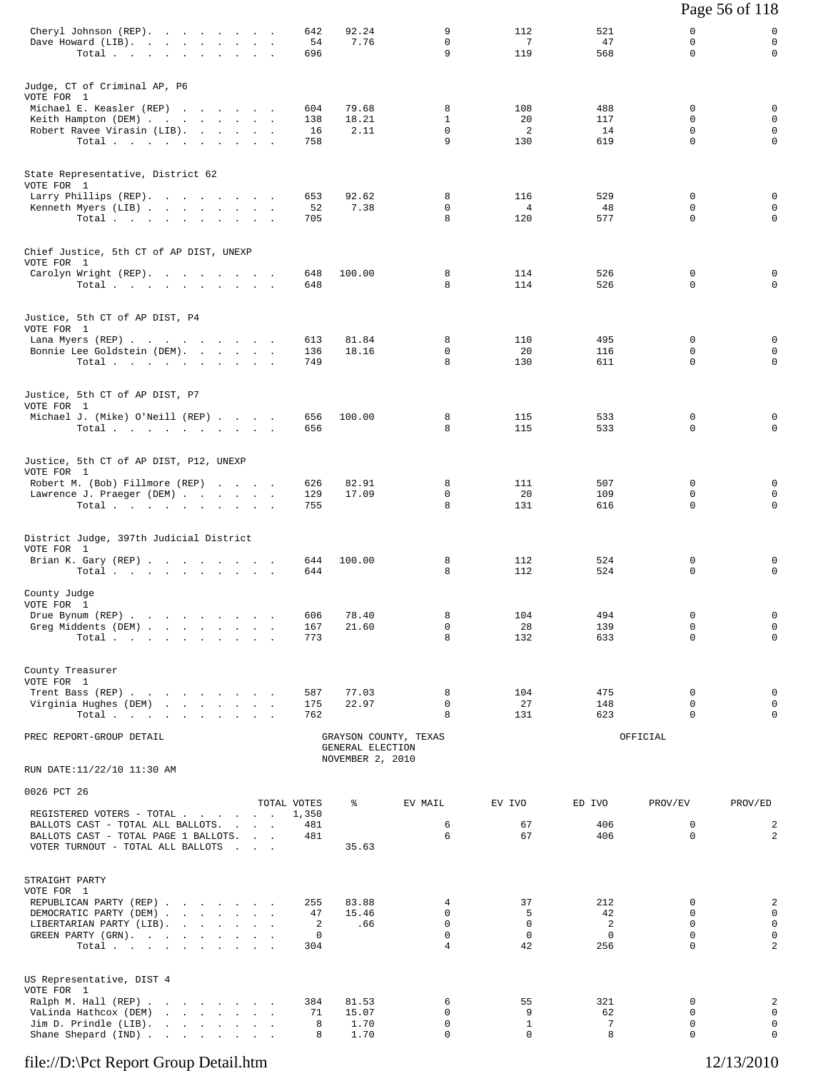|                                                                                                                            |                                                      |                  |                                      |                         |                       |                    |                         | Page 56 of 118             |
|----------------------------------------------------------------------------------------------------------------------------|------------------------------------------------------|------------------|--------------------------------------|-------------------------|-----------------------|--------------------|-------------------------|----------------------------|
| Cheryl Johnson (REP).<br>Dave Howard (LIB).<br>Total.                                                                      |                                                      | 642<br>54<br>696 | 92.24<br>7.76                        | 9<br>$\mathbf 0$<br>9   | 112<br>7<br>119       | 521<br>47<br>568   | 0<br>0<br>$\Omega$      | 0<br>$\mathbf 0$<br>0      |
| Judge, CT of Criminal AP, P6<br>VOTE FOR 1                                                                                 |                                                      |                  |                                      |                         |                       |                    |                         |                            |
| Michael E. Keasler (REP)                                                                                                   |                                                      | 604              | 79.68                                | 8                       | 108                   | 488                | 0                       | 0                          |
| Keith Hampton (DEM)<br>Robert Ravee Virasin (LIB).<br>Total.                                                               |                                                      | 138<br>16<br>758 | 18.21<br>2.11                        | $\mathbf{1}$<br>0<br>9  | 20<br>2<br>130        | 117<br>14<br>619   | 0<br>0<br>0             | 0<br>0<br>0                |
| State Representative, District 62<br>VOTE FOR 1                                                                            |                                                      |                  |                                      |                         |                       |                    |                         |                            |
| Larry Phillips (REP).                                                                                                      |                                                      | 653              | 92.62                                | 8                       | 116                   | 529                | 0                       | 0                          |
| Kenneth Myers (LIB)<br>Total                                                                                               |                                                      | 52<br>705        | 7.38                                 | $\Omega$<br>8           | $\overline{4}$<br>120 | 48<br>577          | 0<br>0                  | 0<br>0                     |
| Chief Justice, 5th CT of AP DIST, UNEXP<br>VOTE FOR 1                                                                      |                                                      |                  |                                      |                         |                       |                    |                         |                            |
| Carolyn Wright (REP).                                                                                                      |                                                      | 648              | 100.00                               | 8<br>8                  | 114                   | 526                | 0<br>$\Omega$           | 0<br>$\Omega$              |
| Total.                                                                                                                     |                                                      | 648              |                                      |                         | 114                   | 526                |                         |                            |
| Justice, 5th CT of AP DIST, P4<br>VOTE FOR 1<br>Lana Myers (REP)                                                           |                                                      | 613              | 81.84                                | 8                       | 110                   | 495                | 0                       | 0                          |
| Bonnie Lee Goldstein (DEM).                                                                                                |                                                      | 136              | 18.16                                | $\mathbf{0}$            | 20                    | 116                | 0                       | $\mathbf 0$                |
| Total                                                                                                                      |                                                      | 749              |                                      | 8                       | 130                   | 611                | 0                       | 0                          |
| Justice, 5th CT of AP DIST, P7<br>VOTE FOR 1                                                                               |                                                      |                  |                                      |                         |                       |                    |                         | 0                          |
| Michael J. (Mike) O'Neill (REP)<br>Total $\cdots$ $\cdots$ $\cdots$                                                        |                                                      | 656<br>656       | 100.00                               | 8<br>8                  | 115<br>115            | 533<br>533         | 0<br>0                  | 0                          |
| Justice, 5th CT of AP DIST, P12, UNEXP<br>VOTE FOR 1                                                                       |                                                      |                  |                                      |                         |                       |                    |                         |                            |
| Robert M. (Bob) Fillmore (REP)                                                                                             |                                                      | 626              | 82.91                                | 8                       | 111                   | 507                | 0                       | 0                          |
| Lawrence J. Praeger (DEM)<br>Total $\cdots$                                                                                |                                                      | 129<br>755       | 17.09                                | 0<br>8                  | 20<br>131             | 109<br>616         | 0<br>0                  | 0<br>0                     |
| District Judge, 397th Judicial District<br>VOTE FOR 1                                                                      |                                                      |                  |                                      |                         |                       |                    |                         |                            |
| Brian K. Gary (REP)<br>$Total \, . \, . \, . \, . \, . \, . \, . \, . \, . \, .$                                           |                                                      | 644<br>644       | 100.00                               | 8<br>8                  | 112<br>112            | 524<br>524         | 0<br>0                  | 0<br>0                     |
| County Judge<br>VOTE FOR 1                                                                                                 |                                                      |                  |                                      |                         |                       |                    |                         |                            |
| Drue Bynum (REP)                                                                                                           |                                                      | 606<br>167       | 78.40<br>21.60                       | 8<br>0                  | 104<br>28             | 494<br>139         | 0<br>$\mathbf 0$        | $\mathsf 0$<br>$\mathbf 0$ |
| Greg Middents (DEM)<br>Total.                                                                                              |                                                      | 773              |                                      | 8                       | 132                   | 633                | 0                       | $\mathbf 0$                |
| County Treasurer<br>VOTE FOR 1                                                                                             |                                                      |                  |                                      |                         |                       |                    |                         |                            |
| Trent Bass (REP)<br>Virginia Hughes (DEM)                                                                                  |                                                      | 587<br>175       | 77.03<br>22.97                       | 8<br>$\mathbf 0$        | 104<br>27             | 475<br>148         | 0<br>0                  | 0<br>0                     |
| Total                                                                                                                      |                                                      | 762              |                                      | 8                       | 131                   | 623                | 0                       | 0                          |
| PREC REPORT-GROUP DETAIL                                                                                                   |                                                      |                  | GENERAL ELECTION<br>NOVEMBER 2, 2010 | GRAYSON COUNTY, TEXAS   |                       |                    | OFFICIAL                |                            |
| RUN DATE:11/22/10 11:30 AM                                                                                                 |                                                      |                  |                                      |                         |                       |                    |                         |                            |
| 0026 PCT 26                                                                                                                |                                                      | TOTAL VOTES      | ႜ                                    | EV MAIL                 | EV IVO                | ED IVO             | PROV/EV                 | PROV/ED                    |
| REGISTERED VOTERS - TOTAL<br>BALLOTS CAST - TOTAL ALL BALLOTS.                                                             | and the contract of the con-                         | 1,350<br>481     |                                      | 6                       | 67                    | 406                | $\mathbf 0$             | $\overline{a}$             |
| BALLOTS CAST - TOTAL PAGE 1 BALLOTS.<br>VOTER TURNOUT - TOTAL ALL BALLOTS                                                  | <b>Contract Contract</b><br><b>Contract Contract</b> | 481              | 35.63                                | 6                       | 67                    | 406                | 0                       | $\overline{c}$             |
| STRAIGHT PARTY<br>VOTE FOR 1                                                                                               |                                                      |                  |                                      |                         |                       |                    |                         |                            |
| REPUBLICAN PARTY (REP)                                                                                                     |                                                      | 255              | 83.88                                | 4                       | 37                    | 212                | 0                       | 2                          |
| DEMOCRATIC PARTY (DEM)<br>LIBERTARIAN PARTY (LIB).                                                                         |                                                      | 47<br>2          | 15.46<br>.66                         | $\Omega$<br>$\mathbf 0$ | 5<br>$\mathbf 0$      | 42<br>2            | $\Omega$<br>$\mathbf 0$ | 0<br>$\mathsf 0$           |
| GREEN PARTY (GRN).<br>Total                                                                                                |                                                      | 0<br>304         |                                      | $\mathbf 0$<br>4        | $\mathbf 0$<br>42     | $\mathbf 0$<br>256 | 0<br>0                  | $\mathsf 0$<br>2           |
| US Representative, DIST 4                                                                                                  |                                                      |                  |                                      |                         |                       |                    |                         |                            |
| VOTE FOR 1<br>Ralph M. Hall (REP)                                                                                          |                                                      | 384              | 81.53                                | 6                       | 55                    | 321                | 0                       | 2                          |
| VaLinda Hathcox (DEM)<br>and the contract of the contract of<br>Jim D. Prindle (LIB).<br>the company of the company of the |                                                      | 71<br>8          | 15.07<br>1.70                        | 0<br>0                  | 9<br>$\mathbf{1}$     | 62<br>7            | 0<br>0                  | 0<br>$\mathsf 0$           |
| Shane Shepard (IND)                                                                                                        |                                                      | 8                | 1.70                                 | 0                       | 0                     | 8                  | 0                       | 0                          |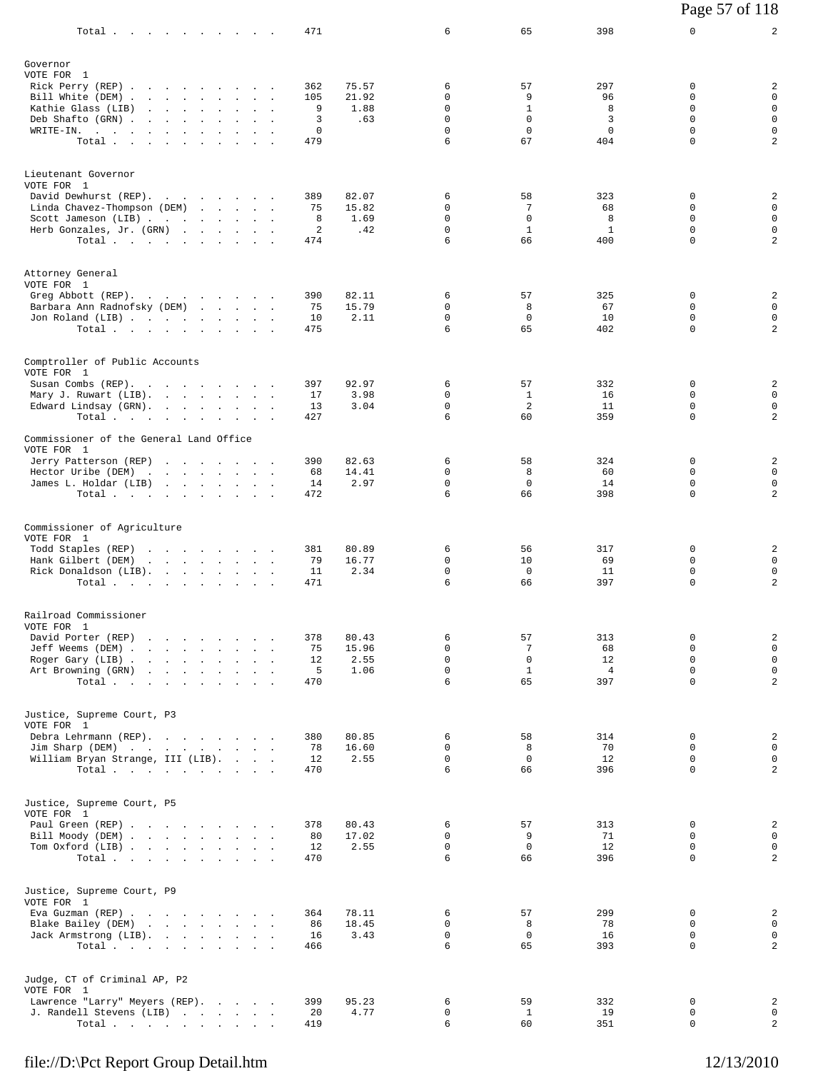| Total $\cdots$                                                                                                                                                         |                                                                                                                                                                |  |        | 471                              |                                | 6                                                        | 65                                                           | 398                                       | 0                                                                   | $\overline{a}$                                                     |
|------------------------------------------------------------------------------------------------------------------------------------------------------------------------|----------------------------------------------------------------------------------------------------------------------------------------------------------------|--|--------|----------------------------------|--------------------------------|----------------------------------------------------------|--------------------------------------------------------------|-------------------------------------------|---------------------------------------------------------------------|--------------------------------------------------------------------|
| Governor<br>VOTE FOR 1<br>Rick Perry (REP)<br>Bill White (DEM)<br>Kathie Glass (LIB)<br>Deb Shafto (GRN)<br>WRITE-IN.<br>Total.                                        | the contract of the contract of the contract of                                                                                                                |  |        | 362<br>105<br>9<br>3<br>0<br>479 | 75.57<br>21.92<br>1.88<br>.63  | 6<br>0<br>$\mathbf 0$<br>$\mathbf 0$<br>$\mathbf 0$<br>6 | 57<br>9<br>$\mathbf{1}$<br>$\mathsf{O}$<br>$\mathbf 0$<br>67 | 297<br>96<br>8<br>3<br>$\mathbf 0$<br>404 | 0<br>$\Omega$<br>$\Omega$<br>$\mathbf 0$<br>$\mathbf 0$<br>$\Omega$ | 2<br>$\mathbf 0$<br>$\mathsf 0$<br>$\mathbf 0$<br>$\mathsf 0$<br>2 |
| Lieutenant Governor<br>VOTE FOR 1<br>David Dewhurst (REP).<br>Linda Chavez-Thompson (DEM)<br>Scott Jameson (LIB)<br>Herb Gonzales, Jr. (GRN)<br>Total.                 |                                                                                                                                                                |  |        | 389<br>75<br>8<br>2<br>474       | 82.07<br>15.82<br>1.69<br>.42  | 6<br>0<br>0<br>$\mathbf 0$<br>6                          | 58<br>7<br>$\mathbf 0$<br>$\mathbf{1}$<br>66                 | 323<br>68<br>8<br>$\mathbf{1}$<br>400     | 0<br>$\Omega$<br>$\Omega$<br>$\mathbf 0$<br>$\Omega$                | 2<br>$\mathbf 0$<br>$\mathbf 0$<br>$\mathbf 0$<br>$\overline{a}$   |
| Attorney General<br>VOTE FOR 1<br>Greg Abbott (REP).<br>Barbara Ann Radnofsky (DEM)<br>Jon Roland (LIB)<br>Total.                                                      |                                                                                                                                                                |  |        | 390<br>75<br>10<br>475           | 82.11<br>15.79<br>2.11         | 6<br>0<br>0<br>6                                         | 57<br>8<br>0<br>65                                           | 325<br>67<br>10<br>402                    | 0<br>0<br>0<br>$\mathbf 0$                                          | 2<br>$\mathbf 0$<br>$\mathsf 0$<br>2                               |
| Comptroller of Public Accounts<br>VOTE FOR 1<br>Susan Combs (REP).<br>Mary J. Ruwart (LIB).<br>Edward Lindsay (GRN).<br>Total.                                         |                                                                                                                                                                |  | $\sim$ | 397<br>17<br>13<br>427           | 92.97<br>3.98<br>3.04          | 6<br>0<br>$\mathbf 0$<br>6                               | 57<br>$\mathbf{1}$<br>$\overline{2}$<br>60                   | 332<br>16<br>11<br>359                    | 0<br>$\Omega$<br>$\mathbf 0$<br>$\Omega$                            | 2<br>$\mathbf 0$<br>$\mathbf 0$<br>$\overline{a}$                  |
| Commissioner of the General Land Office<br>VOTE FOR 1<br>Jerry Patterson (REP)<br>Hector Uribe (DEM)<br>James L. Holdar (LIB)<br>Total                                 | the company of the company of the company of                                                                                                                   |  |        | 390<br>68<br>14<br>472           | 82.63<br>14.41<br>2.97         | 6<br>0<br>$\mathbf 0$<br>6                               | 58<br>8<br>0<br>66                                           | 324<br>60<br>14<br>398                    | 0<br>0<br>$\mathbf 0$<br>$\Omega$                                   | $\overline{\mathbf{c}}$<br>$\mathbf 0$<br>$\mathsf{O}$<br>2        |
| Commissioner of Agriculture<br>VOTE FOR 1<br>Todd Staples (REP)<br>Hank Gilbert (DEM)<br>Rick Donaldson (LIB).<br>Total $\cdots$ $\cdots$ $\cdots$                     | and the contract of the contract of<br>the contract of the contract of the con-                                                                                |  | $\sim$ | 381<br>79<br>11<br>471           | 80.89<br>16.77<br>2.34         | 6<br>$\mathbf 0$<br>0<br>6                               | 56<br>10<br>$\Omega$<br>66                                   | 317<br>69<br>11<br>397                    | 0<br>0<br>$\Omega$<br>$\mathbf 0$                                   | 2<br>$\mathbf 0$<br>$\mathbf 0$<br>$\overline{a}$                  |
| Railroad Commissioner<br>VOTE FOR 1<br>David Porter (REP)<br>Jeff Weems (DEM).<br>Roger Gary (LIB).<br>Art Browning (GRN)<br>Total                                     | the contract of the contract of the<br>and the company of the company of<br>the contract of the contract of<br>the contract of the contract of the contract of |  | $\sim$ | 378<br>75<br>12<br>5<br>470      | 80.43<br>15.96<br>2.55<br>1.06 | 6<br>$\mathbf 0$<br>$\mathbf 0$<br>$\mathbf 0$<br>6      | 57<br>7<br>$\mathsf 0$<br>$\mathbf{1}$<br>65                 | 313<br>68<br>12<br>$\overline{4}$<br>397  | 0<br>$\Omega$<br>$\mathbf 0$<br>0<br>$\mathbf 0$                    | $\overline{a}$<br>$\mathsf 0$<br>$\mathsf 0$<br>$\mathsf 0$<br>2   |
| Justice, Supreme Court, P3<br>VOTE FOR 1<br>Debra Lehrmann (REP).<br>Jim Sharp (DEM)<br>William Bryan Strange, III (LIB).<br>Total $\cdots$ $\cdots$ $\cdots$ $\cdots$ |                                                                                                                                                                |  |        | 380<br>78<br>12<br>470           | 80.85<br>16.60<br>2.55         | 6<br>0<br>$\mathbf 0$<br>6                               | 58<br>8<br>$\mathbf 0$<br>66                                 | 314<br>70<br>12<br>396                    | 0<br>$\Omega$<br>$\mathbf 0$<br>$\Omega$                            | $\overline{\mathbf{c}}$<br>$\mathsf 0$<br>$\mathbf 0$<br>2         |
| Justice, Supreme Court, P5<br>VOTE FOR 1<br>Paul Green (REP)<br>Bill Moody (DEM)<br>Tom Oxford (LIB)<br>Total                                                          |                                                                                                                                                                |  |        | 378<br>80<br>12<br>470           | 80.43<br>17.02<br>2.55         | 6<br>0<br>0<br>6                                         | 57<br>9<br>$\mathbf 0$<br>66                                 | 313<br>71<br>12<br>396                    | 0<br>0<br>$\Omega$<br>$\mathbf 0$                                   | 2<br>$\mathbf 0$<br>$\mathbf 0$<br>2                               |
| Justice, Supreme Court, P9<br>VOTE FOR 1<br>Eva Guzman (REP)<br>Blake Bailey (DEM)<br>Jack Armstrong (LIB).<br>Total $\cdots$                                          |                                                                                                                                                                |  |        | 364<br>86<br>16<br>466           | 78.11<br>18.45<br>3.43         | 6<br>0<br>$\mathbf 0$<br>6                               | 57<br>8<br>$\mathbf 0$<br>65                                 | 299<br>78<br>16<br>393                    | 0<br>$\Omega$<br>$\mathbf 0$<br>0                                   | 2<br>$\mathbf 0$<br>$\mathbf 0$<br>$\overline{a}$                  |
| Judge, CT of Criminal AP, P2<br>VOTE FOR 1<br>Lawrence "Larry" Meyers (REP).<br>J. Randell Stevens (LIB)<br>Total                                                      |                                                                                                                                                                |  |        | 399<br>20<br>419                 | 95.23<br>4.77                  | 6<br>$\mathbf 0$<br>6                                    | 59<br>$\mathbf{1}$<br>60                                     | 332<br>19<br>351                          | 0<br>0<br>$\mathbf 0$                                               | 2<br>$\mathbf 0$<br>$\overline{a}$                                 |

Page 57 of 118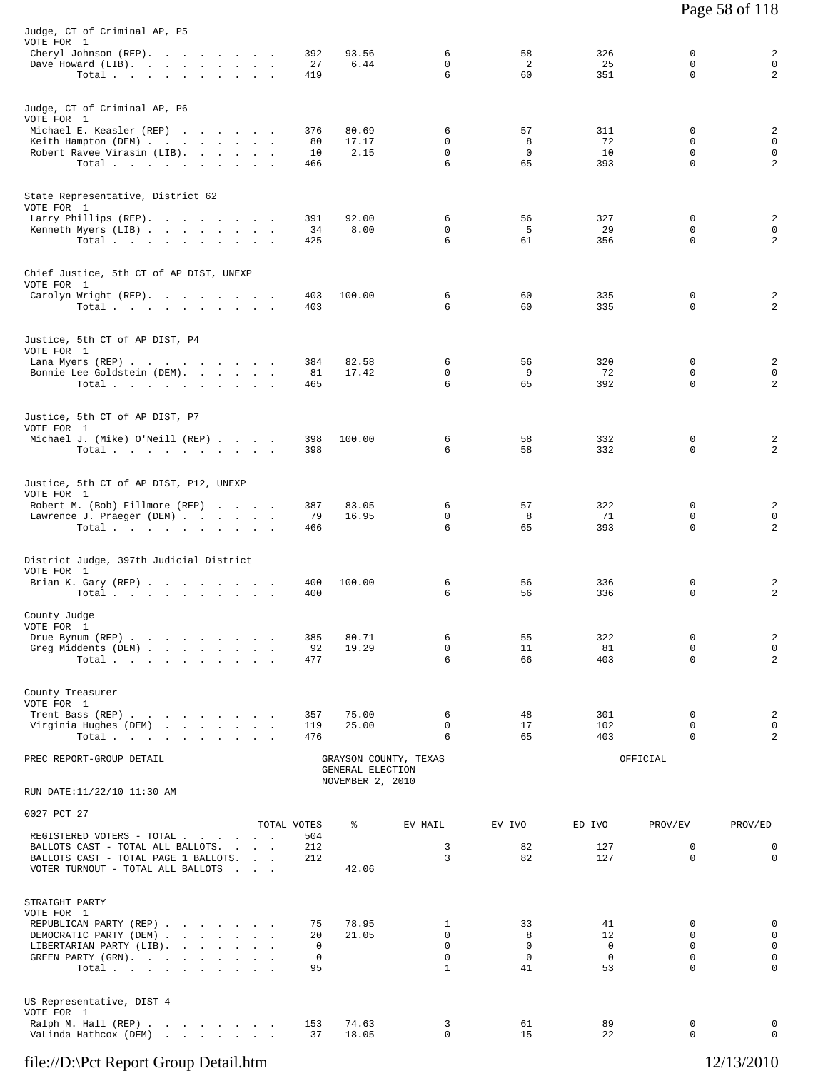| Judge, CT of Criminal AP, P5<br>VOTE FOR 1<br>Cheryl Johnson (REP).<br>Dave Howard (LIB).                      | 392<br>27          | 93.56<br>6.44                        | 6<br>$\Omega$            | 58<br>2                | 326<br>25                  | 0<br>$\Omega$           | 2<br>$\mathbf 0$                |
|----------------------------------------------------------------------------------------------------------------|--------------------|--------------------------------------|--------------------------|------------------------|----------------------------|-------------------------|---------------------------------|
| Total                                                                                                          | 419                |                                      | 6                        | 60                     | 351                        | $\mathbf 0$             | 2                               |
| Judge, CT of Criminal AP, P6<br>VOTE FOR 1                                                                     |                    |                                      |                          |                        |                            |                         |                                 |
| Michael E. Keasler (REP)<br>Keith Hampton (DEM)                                                                | 376<br>80          | 80.69<br>17.17                       | 6<br>0                   | 57<br>8                | 311<br>72                  | 0<br>$\Omega$           | 2<br>$\mathbf 0$                |
| Robert Ravee Virasin (LIB).<br>Total.                                                                          | 10<br>466          | 2.15                                 | $\mathbf 0$<br>6         | $\mathbf 0$<br>65      | 10<br>393                  | $\mathbf 0$<br>$\Omega$ | $\mathbf 0$<br>$\overline{2}$   |
| State Representative, District 62<br>VOTE FOR 1                                                                |                    |                                      |                          |                        |                            | $\Omega$                |                                 |
| Larry Phillips (REP).<br>Kenneth Myers (LIB)<br>Total $\cdots$ $\cdots$ $\cdots$ $\cdots$                      | 391<br>34<br>425   | 92.00<br>8.00                        | 6<br>$\mathbf 0$<br>6    | 56<br>5<br>61          | 327<br>29<br>356           | 0<br>$\Omega$           | 2<br>$\mathbf 0$<br>2           |
| Chief Justice, 5th CT of AP DIST, UNEXP<br>VOTE FOR 1                                                          |                    |                                      |                          |                        |                            |                         |                                 |
| Carolyn Wright (REP).<br>Total $\cdots$ $\cdots$ $\cdots$                                                      | 403<br>403         | 100.00                               | 6<br>6                   | 60<br>60               | 335<br>335                 | 0<br>0                  | 2<br>2                          |
| Justice, 5th CT of AP DIST, P4<br>VOTE FOR 1<br>Lana Myers (REP)                                               | 384                | 82.58                                | 6                        | 56                     | 320                        | 0                       | 2                               |
| Bonnie Lee Goldstein (DEM).<br>Total                                                                           | 81<br>465          | 17.42                                | $\Omega$<br>6            | 9<br>65                | 72<br>392                  | $\Omega$<br>$\mathbf 0$ | 0<br>2                          |
| Justice, 5th CT of AP DIST, P7<br>VOTE FOR 1                                                                   |                    |                                      |                          |                        |                            |                         |                                 |
| Michael J. (Mike) O'Neill (REP)<br>Total.                                                                      | 398<br>398         | 100.00                               | 6<br>6                   | 58<br>58               | 332<br>332                 | 0<br>$\Omega$           | 2<br>2                          |
| Justice, 5th CT of AP DIST, P12, UNEXP<br>VOTE FOR 1                                                           |                    |                                      |                          |                        |                            |                         |                                 |
| Robert M. (Bob) Fillmore (REP)<br>Lawrence J. Praeger (DEM)<br>Total                                           | 387<br>79<br>466   | 83.05<br>16.95                       | 6<br>0<br>6              | 57<br>8<br>65          | 322<br>71<br>393           | 0<br>0<br>$\Omega$      | 2<br>0<br>2                     |
| District Judge, 397th Judicial District                                                                        |                    |                                      |                          |                        |                            |                         |                                 |
| VOTE FOR 1<br>Brian K. Gary (REP)<br>Total $\cdots$ $\cdots$ $\cdots$ $\cdots$                                 | 400<br>400         | 100.00                               | 6<br>6                   | 56<br>56               | 336<br>336                 | 0<br>0                  | 2<br>2                          |
| County Judge<br>VOTE FOR 1<br>Drue Bynum (REP)                                                                 | 385                | 80.71                                | 6                        | 55                     | 322                        | 0                       | 2                               |
| Greg Middents (DEM)<br>Total                                                                                   | 92<br>477          | 19.29                                | $\mathbf 0$<br>6         | 11<br>66               | 81<br>403                  | 0<br>$\mathbf 0$        | $\mathbf 0$<br>2                |
| County Treasurer<br>VOTE FOR 1<br>Trent Bass (REP)                                                             | 357                | 75.00                                | 6                        | 48                     | 301                        | 0                       | 2                               |
| Virginia Hughes (DEM)<br>Total                                                                                 | 119<br>476         | 25.00                                | 0<br>6                   | 17<br>65               | 102<br>403                 | 0<br>0                  | 0<br>2                          |
| PREC REPORT-GROUP DETAIL                                                                                       |                    | GENERAL ELECTION<br>NOVEMBER 2, 2010 | GRAYSON COUNTY, TEXAS    |                        |                            | OFFICIAL                |                                 |
| RUN DATE:11/22/10 11:30 AM                                                                                     |                    |                                      |                          |                        |                            |                         |                                 |
| 0027 PCT 27<br>REGISTERED VOTERS - TOTAL                                                                       | TOTAL VOTES<br>504 | နွ                                   | EV MAIL                  | EV IVO                 | ED IVO                     | PROV/EV                 | PROV/ED                         |
| BALLOTS CAST - TOTAL ALL BALLOTS.<br>BALLOTS CAST - TOTAL PAGE 1 BALLOTS.<br>VOTER TURNOUT - TOTAL ALL BALLOTS | 212<br>212         | 42.06                                | 3<br>3                   | 82<br>82               | 127<br>127                 | 0<br>$\mathbf 0$        | 0<br>$\mathbf 0$                |
| STRAIGHT PARTY<br>VOTE FOR 1                                                                                   |                    |                                      |                          |                        |                            |                         |                                 |
| REPUBLICAN PARTY (REP)<br>DEMOCRATIC PARTY (DEM)<br>LIBERTARIAN PARTY (LIB).                                   | 75<br>20<br>0      | 78.95<br>21.05                       | 1<br>$\mathbf 0$<br>0    | 33<br>8<br>$\mathbf 0$ | 41<br>12<br>$\overline{0}$ | $\Omega$<br>0<br>0      | $\mathbf 0$<br>$\mathsf 0$<br>0 |
| GREEN PARTY (GRN).<br>Total                                                                                    | 0<br>95            |                                      | $\Omega$<br>$\mathbf{1}$ | $\overline{0}$<br>41   | $\overline{0}$<br>53       | $\Omega$<br>$\Omega$    | $\mathbf 0$<br>$\mathbf 0$      |
| US Representative, DIST 4<br>VOTE FOR 1                                                                        |                    |                                      |                          |                        |                            |                         |                                 |
| Ralph M. Hall (REP)<br>VaLinda Hathcox (DEM)                                                                   | 153<br>37          | 74.63<br>18.05                       | 3<br>$\Omega$            | 61<br>15               | 89<br>22                   | 0<br>$\Omega$           | 0<br>$\Omega$                   |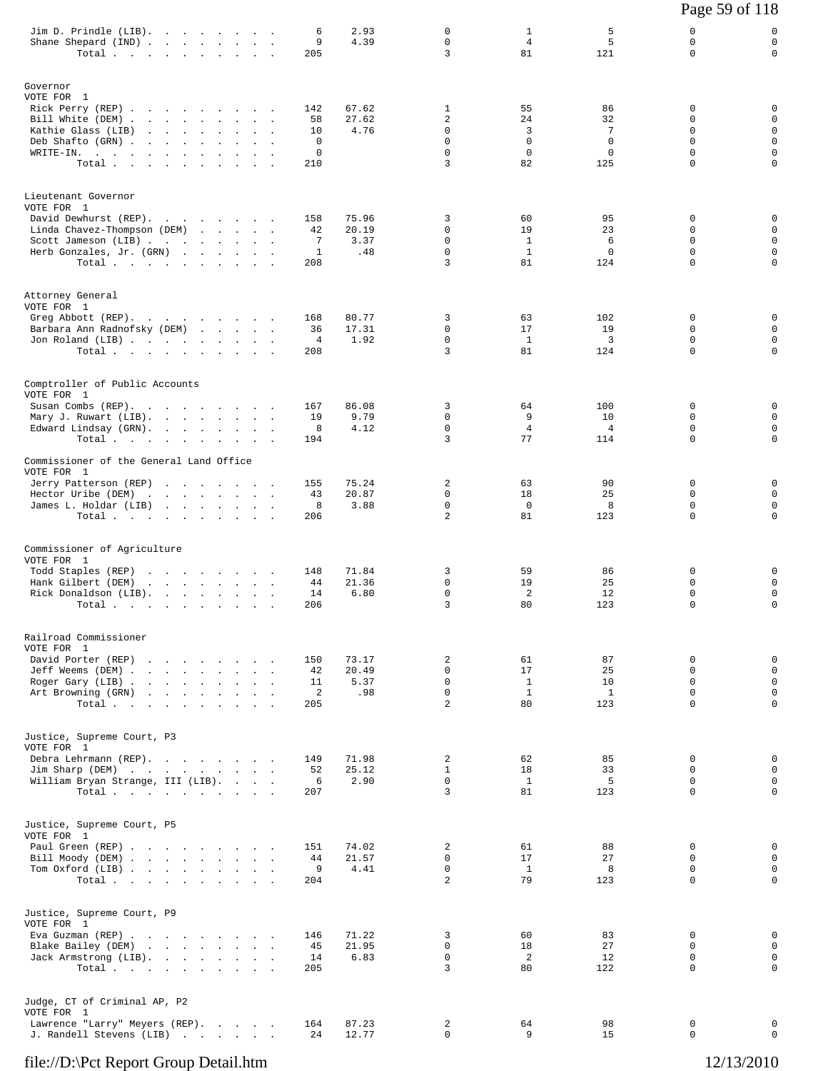|                                                                                                                                                       |  |        |                                  |                               |                                                   |                                                   |                                                    | Page 59 of 118                                                          |                                                                    |
|-------------------------------------------------------------------------------------------------------------------------------------------------------|--|--------|----------------------------------|-------------------------------|---------------------------------------------------|---------------------------------------------------|----------------------------------------------------|-------------------------------------------------------------------------|--------------------------------------------------------------------|
| Jim D. Prindle (LIB).<br>Shane Shepard (IND)<br>Total.                                                                                                |  |        | 6<br>9<br>205                    | 2.93<br>4.39                  | 0<br>$\mathbf 0$<br>3                             | 1<br>4<br>81                                      | 5<br>5<br>121                                      | 0<br>$\mathbf 0$<br>$\Omega$                                            | 0<br>$\mathsf 0$<br>0                                              |
| Governor<br>VOTE FOR 1<br>Rick Perry (REP)<br>Bill White (DEM)<br>Kathie Glass (LIB)<br>Deb Shafto (GRN)<br>WRITE-IN.<br>Total                        |  |        | 142<br>58<br>10<br>0<br>0<br>210 | 67.62<br>27.62<br>4.76        | 1<br>2<br>0<br>$\mathbf 0$<br>$\mathbf 0$<br>3    | 55<br>24<br>3<br>$\mathbf 0$<br>$\mathbf 0$<br>82 | 86<br>32<br>7<br>$\mathbf 0$<br>$\mathbf 0$<br>125 | 0<br>0<br>$\mathbf 0$<br>$\mathbf 0$<br>$\mathbf 0$<br>$\mathbf 0$      | 0<br>0<br>$\mathbf 0$<br>$\mathbf 0$<br>$\mathbf 0$<br>$\mathbf 0$ |
| Lieutenant Governor<br>VOTE FOR 1<br>David Dewhurst (REP).<br>Linda Chavez-Thompson (DEM)<br>Scott Jameson (LIB)<br>Herb Gonzales, Jr. (GRN)<br>Total |  |        | 158<br>42<br>7<br>1<br>208       | 75.96<br>20.19<br>3.37<br>.48 | 3<br>0<br>0<br>$\mathbf 0$<br>3                   | 60<br>19<br>$\mathbf{1}$<br>$\mathbf{1}$<br>81    | 95<br>23<br>6<br>$\mathbf 0$<br>124                | $\mathbf 0$<br>$\mathbf 0$<br>$\mathbf 0$<br>$\mathbf 0$<br>$\mathbf 0$ | 0<br>$\mathbf 0$<br>$\mathbf 0$<br>$\mathbf 0$<br>0                |
| Attorney General<br>VOTE FOR 1<br>Greg Abbott (REP).<br>Barbara Ann Radnofsky (DEM)<br>Jon Roland (LIB)<br>Total                                      |  |        | 168<br>36<br>4<br>208            | 80.77<br>17.31<br>1.92        | 3<br>0<br>0<br>3                                  | 63<br>17<br>$\mathbf{1}$<br>81                    | 102<br>19<br>$\overline{3}$<br>124                 | 0<br>$\Omega$<br>$\mathbf 0$<br>$\mathbf 0$                             | 0<br>0<br>$\mathbf 0$<br>$\mathbf 0$                               |
| Comptroller of Public Accounts<br>VOTE FOR 1<br>Susan Combs (REP).<br>Mary J. Ruwart (LIB).<br>Edward Lindsay (GRN).<br>Total                         |  | $\sim$ | 167<br>19<br>8<br>194            | 86.08<br>9.79<br>4.12         | 3<br>0<br>0<br>3                                  | 64<br>9<br>4<br>77                                | 100<br>10<br>$\overline{4}$<br>114                 | 0<br>$\mathbf 0$<br>$\mathbf 0$<br>0                                    | 0<br>$\mathbf 0$<br>0<br>$\mathbf 0$                               |
| Commissioner of the General Land Office<br>VOTE FOR 1<br>Jerry Patterson (REP)<br>Hector Uribe (DEM)<br>James L. Holdar (LIB)<br>Total                |  |        | 155<br>43<br>8<br>206            | 75.24<br>20.87<br>3.88        | 2<br>$\mathbf 0$<br>$\mathbf 0$<br>$\overline{a}$ | 63<br>18<br>$\mathbf 0$<br>81                     | 90<br>25<br>8<br>123                               | 0<br>$\mathbf 0$<br>0<br>$\Omega$                                       | 0<br>$\mathbf 0$<br>$\mathbf 0$<br>$\mathbf 0$                     |
| Commissioner of Agriculture<br>VOTE FOR 1<br>Todd Staples (REP)<br>Hank Gilbert (DEM)<br>Rick Donaldson (LIB).<br>Total                               |  | $\sim$ | 148<br>44<br>14<br>206           | 71.84<br>21.36<br>6.80        | 3<br>0<br>$\mathbf 0$<br>3                        | 59<br>19<br>$\overline{c}$<br>80                  | 86<br>25<br>12<br>123                              | 0<br>0<br>$\mathbf 0$<br>$\Omega$                                       | 0<br>0<br>$\mathbf 0$<br>0                                         |
| Railroad Commissioner<br>VOTE FOR 1<br>David Porter (REP)<br>Jeff Weems (DEM)<br>Roger Gary (LIB)<br>Art Browning (GRN)<br>Total.                     |  |        | 150<br>42<br>11<br>2<br>205      | 73.17<br>20.49<br>5.37<br>.98 | 2<br>$\Omega$<br>$\Omega$<br>0<br>$\overline{a}$  | 61<br>17<br>$\mathbf{1}$<br>$\mathbf{1}$<br>80    | 87<br>25<br>10<br>$\mathbf{1}$<br>123              | 0<br>$\Omega$<br>$\Omega$<br>0<br>$\Omega$                              | 0<br>$\mathbf 0$<br>$\mathbf 0$<br>$\mathbf 0$<br>$\mathbf 0$      |
| Justice, Supreme Court, P3<br>VOTE FOR 1<br>Debra Lehrmann (REP).<br>Jim Sharp (DEM)<br>William Bryan Strange, III (LIB).<br>Total                    |  |        | 149<br>52<br>6<br>207            | 71.98<br>25.12<br>2.90        | 2<br>$\mathbf{1}$<br>0<br>3                       | 62<br>18<br><sup>1</sup><br>81                    | 85<br>33<br>5<br>123                               | 0<br>$\mathbf 0$<br>0<br>$\Omega$                                       | $\mathbf 0$<br>$\mathbf 0$<br>$\mathbf 0$<br>$\Omega$              |
| Justice, Supreme Court, P5<br>VOTE FOR 1<br>Paul Green (REP)<br>Bill Moody (DEM)<br>Tom Oxford (LIB)<br>Total $\cdots$                                |  |        | 151<br>44<br>9<br>204            | 74.02<br>21.57<br>4.41        | 2<br>0<br>0<br>$\overline{a}$                     | 61<br>17<br>$\mathbf{1}$<br>79                    | 88<br>27<br>8<br>123                               | 0<br>$\Omega$<br>0<br>$\Omega$                                          | 0<br>$\mathbf 0$<br>$\mathbf 0$<br>$\mathbf 0$                     |
| Justice, Supreme Court, P9<br>VOTE FOR 1<br>Eva Guzman (REP)<br>Blake Bailey (DEM)<br>Jack Armstrong (LIB).<br>Total                                  |  |        | 146<br>45<br>14<br>205           | 71.22<br>21.95<br>6.83        | 3<br>$\Omega$<br>$\mathbf 0$<br>3                 | 60<br>18<br>2<br>80                               | 83<br>27<br>12<br>122                              | 0<br>$\Omega$<br>$\mathbf 0$<br>$\Omega$                                | 0<br>0<br>$\mathbf 0$<br>$\mathbf 0$                               |
| Judge, CT of Criminal AP, P2<br>VOTE FOR 1<br>Lawrence "Larry" Meyers (REP).<br>J. Randell Stevens (LIB)                                              |  |        | 164<br>24                        | 87.23<br>12.77                | 2<br>0                                            | 64<br>9                                           | 98<br>15                                           | 0<br>0                                                                  | 0<br>$\mathbf 0$                                                   |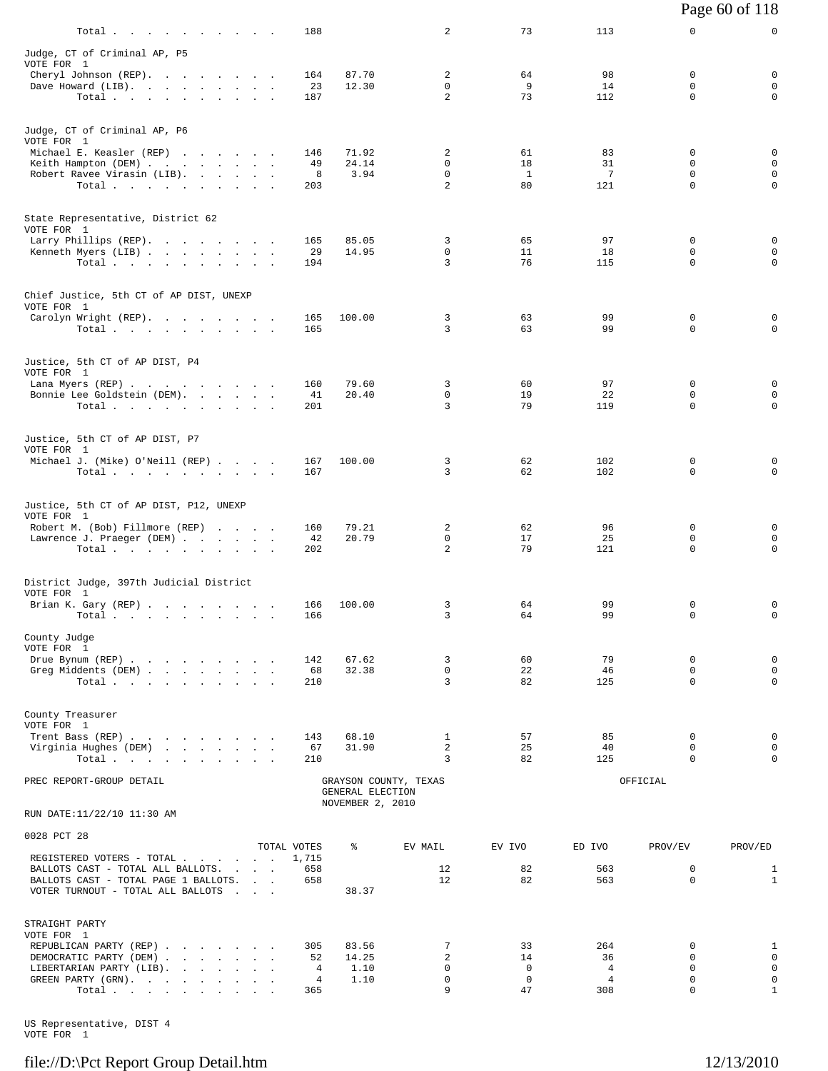| Total $\cdots$ $\cdots$ $\cdots$                                          |                                 |               | 188                  |                                      | 2                          | 73                      | 113                              | 0                       | 0                          |
|---------------------------------------------------------------------------|---------------------------------|---------------|----------------------|--------------------------------------|----------------------------|-------------------------|----------------------------------|-------------------------|----------------------------|
| Judge, CT of Criminal AP, P5                                              |                                 |               |                      |                                      |                            |                         |                                  |                         |                            |
| VOTE FOR 1<br>Cheryl Johnson (REP).                                       |                                 |               | 164                  | 87.70                                | 2                          | 64                      | 98                               | $\mathbf 0$             | $\mathbf 0$                |
| Dave Howard (LIB).                                                        |                                 |               | 23                   | 12.30                                | 0                          | 9                       | 14                               | 0                       | 0                          |
| Total                                                                     |                                 |               | 187                  |                                      | $\overline{a}$             | 73                      | 112                              | $\mathbf 0$             | $\mathbf 0$                |
|                                                                           |                                 |               |                      |                                      |                            |                         |                                  |                         |                            |
| Judge, CT of Criminal AP, P6<br>VOTE FOR 1                                |                                 |               |                      |                                      |                            |                         |                                  |                         |                            |
| Michael E. Keasler (REP)                                                  |                                 |               | 146                  | 71.92                                | 2                          | 61                      | 83                               | 0                       | 0                          |
| Keith Hampton (DEM)<br>Robert Ravee Virasin (LIB).                        |                                 |               | 49<br>8              | 24.14<br>3.94                        | 0<br>$\mathbf 0$           | 18<br><sup>1</sup>      | 31<br>7                          | 0<br>0                  | $\mathbf 0$<br>$\mathsf 0$ |
| Total $\cdots$                                                            |                                 |               | 203                  |                                      | 2                          | 80                      | 121                              | $\Omega$                | 0                          |
|                                                                           |                                 |               |                      |                                      |                            |                         |                                  |                         |                            |
| State Representative, District 62<br>VOTE FOR 1                           |                                 |               |                      |                                      |                            |                         |                                  |                         |                            |
| Larry Phillips (REP).                                                     |                                 |               | 165                  | 85.05                                | 3                          | 65                      | 97                               | 0                       | 0                          |
| Kenneth Myers (LIB)<br>Total.                                             |                                 |               | 29<br>194            | 14.95                                | 0<br>3                     | 11<br>76                | 18<br>115                        | 0<br>$\Omega$           | $\mathbf 0$<br>$\mathbf 0$ |
|                                                                           |                                 |               |                      |                                      |                            |                         |                                  |                         |                            |
| Chief Justice, 5th CT of AP DIST, UNEXP                                   |                                 |               |                      |                                      |                            |                         |                                  |                         |                            |
| VOTE FOR 1                                                                |                                 |               |                      |                                      |                            |                         |                                  |                         |                            |
| Carolyn Wright (REP).<br>Total $\cdots$                                   |                                 |               | 165<br>165           | 100.00                               | 3<br>3                     | 63<br>63                | 99<br>99                         | 0<br>0                  | 0<br>0                     |
|                                                                           |                                 |               |                      |                                      |                            |                         |                                  |                         |                            |
| Justice, 5th CT of AP DIST, P4                                            |                                 |               |                      |                                      |                            |                         |                                  |                         |                            |
| VOTE FOR 1<br>Lana Myers (REP)                                            |                                 |               | 160                  | 79.60                                | 3                          | 60                      | 97                               | 0                       | 0                          |
| Bonnie Lee Goldstein (DEM).                                               |                                 |               | 41                   | 20.40                                | 0                          | 19                      | 22                               | 0                       | 0                          |
| Total                                                                     |                                 |               | 201                  |                                      | 3                          | 79                      | 119                              | 0                       | $\mathbf 0$                |
|                                                                           |                                 |               |                      |                                      |                            |                         |                                  |                         |                            |
| Justice, 5th CT of AP DIST, P7<br>VOTE FOR 1                              |                                 |               |                      |                                      |                            |                         |                                  |                         |                            |
| Michael J. (Mike) O'Neill (REP)                                           |                                 |               | 167                  | 100.00                               | 3                          | 62                      | 102                              | $\mathbf 0$             | 0                          |
| Total                                                                     |                                 |               | 167                  |                                      | 3                          | 62                      | 102                              | $\mathbf 0$             | 0                          |
|                                                                           |                                 |               |                      |                                      |                            |                         |                                  |                         |                            |
| Justice, 5th CT of AP DIST, P12, UNEXP<br>VOTE FOR 1                      |                                 |               |                      |                                      |                            |                         |                                  |                         |                            |
| Robert M. (Bob) Fillmore (REP)                                            |                                 |               | 160                  | 79.21                                | 2                          | 62                      | 96                               | 0                       | 0                          |
| Lawrence J. Praeger (DEM)<br>Total                                        |                                 |               | 42<br>202            | 20.79                                | $\Omega$<br>$\overline{a}$ | 17<br>79                | 25<br>121                        | $\Omega$<br>$\mathbf 0$ | 0<br>0                     |
|                                                                           |                                 |               |                      |                                      |                            |                         |                                  |                         |                            |
| District Judge, 397th Judicial District                                   |                                 |               |                      |                                      |                            |                         |                                  |                         |                            |
| VOTE FOR 1<br>Brian K. Gary (REP)                                         |                                 |               | 166                  | 100.00                               | 3                          | 64                      | 99                               | 0                       | 0                          |
| Total $\cdots$ $\cdots$ $\cdots$                                          |                                 |               | 166                  |                                      | 3                          | 64                      | 99                               | 0                       | $\mathbf 0$                |
| County Judge                                                              |                                 |               |                      |                                      |                            |                         |                                  |                         |                            |
| VOTE FOR 1                                                                |                                 |               |                      |                                      |                            |                         |                                  |                         |                            |
| Drue Bynum (REP)                                                          |                                 |               | 142                  | 67.62<br>32.38                       | 3<br>$\mathbf 0$           | 60<br>22                | 79<br>46                         | 0<br>0                  | $\mathbf 0$<br>$\mathsf 0$ |
| Greg Middents (DEM)<br>Total                                              |                                 |               | 68<br>210            |                                      | 3                          | 82                      | 125                              | $\mathbf 0$             | $\mathbf 0$                |
|                                                                           |                                 |               |                      |                                      |                            |                         |                                  |                         |                            |
| County Treasurer                                                          |                                 |               |                      |                                      |                            |                         |                                  |                         |                            |
| VOTE FOR 1<br>Trent Bass (REP)                                            |                                 |               | 143                  | 68.10                                | $\mathbf{1}$               | 57                      | 85                               | $\mathbf 0$             | 0                          |
| Virginia Hughes (DEM)                                                     |                                 |               | 67                   | 31.90                                | $\overline{2}$             | 25                      | 40                               | 0                       | $\mathbf 0$                |
| Total,                                                                    |                                 |               | 210                  |                                      | 3                          | 82                      | 125                              | 0                       | $\mathbf 0$                |
| PREC REPORT-GROUP DETAIL                                                  |                                 |               |                      |                                      | GRAYSON COUNTY, TEXAS      |                         |                                  | OFFICIAL                |                            |
|                                                                           |                                 |               |                      | GENERAL ELECTION<br>NOVEMBER 2, 2010 |                            |                         |                                  |                         |                            |
| RUN DATE:11/22/10 11:30 AM                                                |                                 |               |                      |                                      |                            |                         |                                  |                         |                            |
| 0028 PCT 28                                                               |                                 |               |                      | ៖                                    |                            |                         |                                  |                         |                            |
| REGISTERED VOTERS - TOTAL                                                 |                                 |               | TOTAL VOTES<br>1,715 |                                      | EV MAIL                    | EV IVO                  | ED IVO                           | PROV/EV                 | PROV/ED                    |
| BALLOTS CAST - TOTAL ALL BALLOTS.                                         |                                 |               | 658                  |                                      | 12                         | 82                      | 563                              | 0                       | $\mathbf{1}$               |
| BALLOTS CAST - TOTAL PAGE 1 BALLOTS.<br>VOTER TURNOUT - TOTAL ALL BALLOTS | <b>Contract Contract</b>        | $\sim$ $\sim$ | 658                  | 38.37                                | 12                         | 82                      | 563                              | 0                       | $\mathbf{1}$               |
|                                                                           |                                 |               |                      |                                      |                            |                         |                                  |                         |                            |
| STRAIGHT PARTY                                                            |                                 |               |                      |                                      |                            |                         |                                  |                         |                            |
| VOTE FOR 1<br>REPUBLICAN PARTY (REP)                                      |                                 |               | 305                  | 83.56                                | 7                          | 33                      | 264                              | 0                       | $\mathbf{1}$               |
| DEMOCRATIC PARTY (DEM)                                                    |                                 |               | 52                   | 14.25                                | $\overline{c}$             | 14                      | 36                               | 0                       | $\mathbf 0$                |
| LIBERTARIAN PARTY (LIB).                                                  | and the company of the state of |               | 4<br>4               | 1.10<br>1.10                         | $\Omega$<br>$\mathbf 0$    | $\Omega$<br>$\mathbf 0$ | $\overline{4}$<br>$\overline{4}$ | $\Omega$<br>$\mathbf 0$ | $\mathbf 0$<br>0           |
| GREEN PARTY (GRN).<br>Total $\cdots$ $\cdots$ $\cdots$                    |                                 |               | 365                  |                                      | 9                          | 47                      | 308                              | 0                       | $\mathbf{1}$               |
|                                                                           |                                 |               |                      |                                      |                            |                         |                                  |                         |                            |

US Representative, DIST 4 VOTE FOR 1

#### file://D:\Pct Report Group Detail.htm 12/13/2010

Page 60 of 118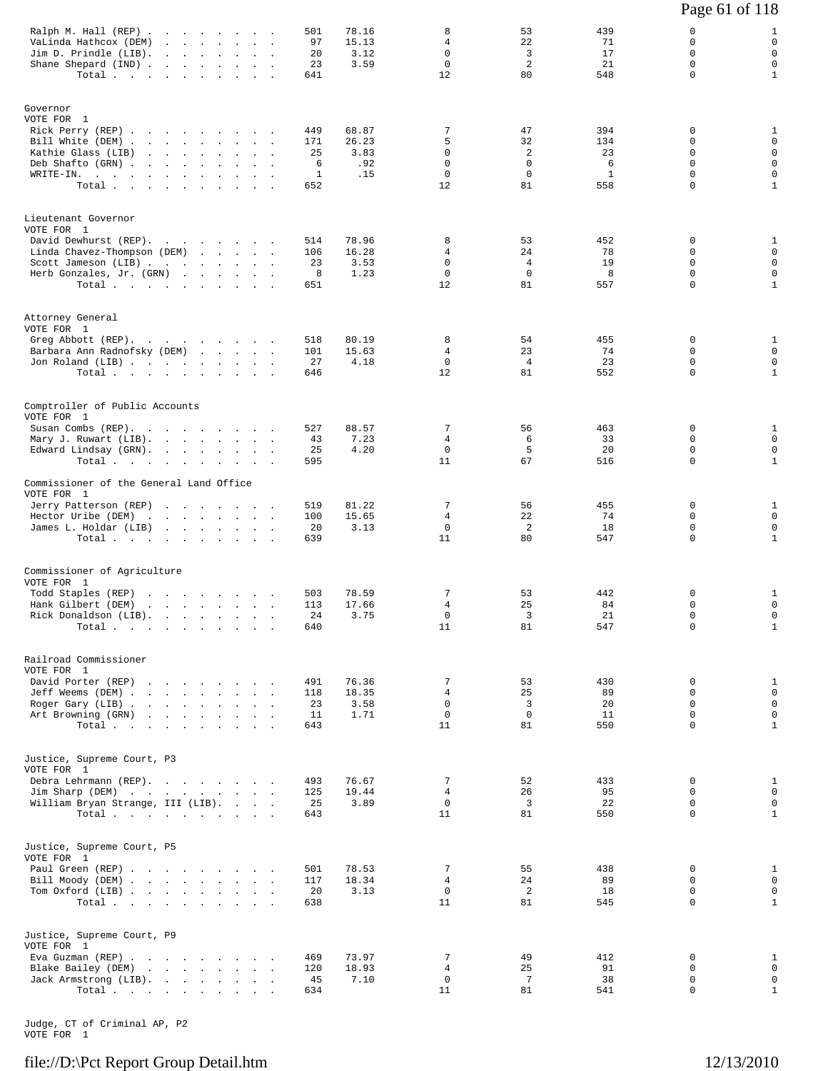|                                                                                                                                                                        |                                                                                                                                                    |        |                                              |                                      |                                                           |                                                  |                                              | Page 61 of 118                                                    |                                                                                |
|------------------------------------------------------------------------------------------------------------------------------------------------------------------------|----------------------------------------------------------------------------------------------------------------------------------------------------|--------|----------------------------------------------|--------------------------------------|-----------------------------------------------------------|--------------------------------------------------|----------------------------------------------|-------------------------------------------------------------------|--------------------------------------------------------------------------------|
| Ralph M. Hall (REP)<br>VaLinda Hathcox (DEM)<br>Jim D. Prindle (LIB).<br>Shane Shepard (IND)<br>Total                                                                  | the contract of the contract of the                                                                                                                |        | 501<br>97<br>20<br>23<br>641                 | 78.16<br>15.13<br>3.12<br>3.59       | 8<br>4<br>$\mathbf 0$<br>$\mathsf 0$<br>12                | 53<br>22<br>3<br>2<br>80                         | 439<br>71<br>17<br>21<br>548                 | 0<br>0<br>$\Omega$<br>$\mathbf 0$<br>$\Omega$                     | 1<br>$\mathbf 0$<br>$\mathbf 0$<br>$\mathbf 0$<br>$\mathbf{1}$                 |
| Governor<br>VOTE FOR 1<br>Rick Perry (REP)<br>Bill White (DEM)<br>Kathie Glass (LIB)<br>Deb Shafto (GRN)<br>WRITE-IN.<br>Total.                                        |                                                                                                                                                    |        | 449<br>171<br>25<br>6<br>$\mathbf{1}$<br>652 | 68.87<br>26.23<br>3.83<br>.92<br>.15 | 7<br>5<br>$\mathbf 0$<br>$\mathbf 0$<br>$\mathbf 0$<br>12 | 47<br>32<br>2<br>$\mathbf 0$<br>$^{\circ}$<br>81 | 394<br>134<br>23<br>6<br>$\mathbf{1}$<br>558 | 0<br>0<br>0<br>$\mathbf 0$<br>$\mathbf 0$<br>0                    | $\mathbf{1}$<br>$\mathbf 0$<br>0<br>$\mathbf 0$<br>$\mathbf 0$<br>$\mathbf{1}$ |
| Lieutenant Governor<br>VOTE FOR 1<br>David Dewhurst (REP).<br>Linda Chavez-Thompson (DEM)<br>Scott Jameson (LIB)<br>Herb Gonzales, Jr. (GRN)<br>Total.                 |                                                                                                                                                    | $\sim$ | 514<br>106<br>23<br>8<br>651                 | 78.96<br>16.28<br>3.53<br>1.23       | 8<br>4<br>0<br>$\mathbf 0$<br>12                          | 53<br>24<br>4<br>$\mathbf 0$<br>81               | 452<br>78<br>19<br>8<br>557                  | 0<br>0<br>$\mathbf 0$<br>$\mathbf 0$<br>$\Omega$                  | 1<br>$\mathbf 0$<br>$\mathbf 0$<br>$\mathsf 0$<br>$\mathbf{1}$                 |
| Attorney General<br>VOTE FOR 1<br>Greg Abbott (REP).<br>Barbara Ann Radnofsky (DEM)<br>Jon Roland (LIB)<br>Total                                                       |                                                                                                                                                    |        | 518<br>101<br>27<br>646                      | 80.19<br>15.63<br>4.18               | 8<br>4<br>$\mathbf 0$<br>12                               | 54<br>23<br>$\overline{4}$<br>81                 | 455<br>74<br>23<br>552                       | 0<br>$\mathbf 0$<br>0<br>$\mathbf 0$                              | 1<br>$\mathbf 0$<br>$\mathbf 0$<br>$\mathbf{1}$                                |
| Comptroller of Public Accounts<br>VOTE FOR 1<br>Susan Combs (REP).<br>Mary J. Ruwart (LIB).<br>Edward Lindsay (GRN).<br>Total                                          |                                                                                                                                                    |        | 527<br>43<br>25<br>595                       | 88.57<br>7.23<br>4.20                | 7<br>4<br>$\mathbf 0$<br>11                               | 56<br>6<br>5<br>67                               | 463<br>33<br>20<br>516                       | 0<br>0<br>$\mathbf 0$<br>0                                        | 1<br>$\mathbf 0$<br>$\mathbf 0$<br>$\mathbf{1}$                                |
| Commissioner of the General Land Office<br>VOTE FOR 1<br>Jerry Patterson (REP)<br>Hector Uribe (DEM)<br>James L. Holdar (LIB)<br>Total                                 |                                                                                                                                                    |        | 519<br>100<br>20<br>639                      | 81.22<br>15.65<br>3.13               | 7<br>$\overline{4}$<br>0<br>11                            | 56<br>22<br>2<br>80                              | 455<br>74<br>18<br>547                       | $\mathbf 0$<br>$\Omega$<br>$\mathbf 0$<br>$\Omega$                | 1<br>$\mathbf 0$<br>$\mathbf 0$<br>$\mathbf{1}$                                |
| Commissioner of Agriculture<br>VOTE FOR 1<br>Todd Staples (REP)<br>Hank Gilbert (DEM)<br>Rick Donaldson (LIB).<br>Total                                                | the contract of the contract of the contract of the contract of the contract of<br>the contract of the contract of the contract of the contract of |        | 503<br>113<br>24<br>640                      | 78.59<br>17.66<br>3.75               | 7<br>4<br>0<br>11                                         | 53<br>25<br>3<br>81                              | 442<br>84<br>21<br>547                       | 0<br>$\Omega$<br>0<br>$\mathbf 0$                                 | $\mathbf{1}$<br>$\mathbf 0$<br>0<br>$\mathbf{1}$                               |
| Railroad Commissioner<br>VOTE FOR 1<br>David Porter (REP)<br>Jeff Weems (DEM)<br>Roger Gary (LIB)<br>Art Browning (GRN)<br>Total.                                      | the contract of the contract of the contract of                                                                                                    |        | 491<br>118<br>23<br>11<br>643                | 76.36<br>18.35<br>3.58<br>1.71       | 7<br>4<br>$\mathbf 0$<br>0<br>11                          | 53<br>25<br>3<br>0<br>81                         | 430<br>89<br>20<br>11<br>550                 | $\mathbf 0$<br>$\mathbf 0$<br>$\Omega$<br>$\mathbf 0$<br>$\Omega$ | $\mathbf{1}$<br>$\mathbf 0$<br>$\mathbf 0$<br>$\mathbf 0$<br>$\mathbf{1}$      |
| Justice, Supreme Court, P3<br>VOTE FOR 1<br>Debra Lehrmann (REP).<br>Jim Sharp (DEM)<br>William Bryan Strange, III (LIB).<br>Total $\cdots$ $\cdots$ $\cdots$ $\cdots$ |                                                                                                                                                    |        | 493<br>125<br>25<br>643                      | 76.67<br>19.44<br>3.89               | 7<br>4<br>0<br>11                                         | 52<br>26<br>3<br>81                              | 433<br>95<br>22<br>550                       | 0<br>$\Omega$<br>$\mathbf 0$<br>$\Omega$                          | 1<br>0<br>$\mathbf 0$<br>$\mathbf{1}$                                          |
| Justice, Supreme Court, P5<br>VOTE FOR 1<br>Paul Green (REP)<br>Bill Moody (DEM)<br>Tom Oxford (LIB)<br>Total $\cdots$ $\cdots$ $\cdots$ $\cdots$                      |                                                                                                                                                    |        | 501<br>117<br>20<br>638                      | 78.53<br>18.34<br>3.13               | 7<br>4<br>0<br>11                                         | 55<br>24<br>$\overline{a}$<br>81                 | 438<br>89<br>18<br>545                       | $\mathbf 0$<br>$\Omega$<br>0<br>$\mathbf 0$                       | $\mathbf{1}$<br>$\mathbf 0$<br>$\mathbf 0$<br>$\mathbf{1}$                     |
| Justice, Supreme Court, P9<br>VOTE FOR 1<br>Eva Guzman (REP)<br>Blake Bailey (DEM)<br>Jack Armstrong (LIB).<br>Total                                                   |                                                                                                                                                    |        | 469<br>120<br>45<br>634                      | 73.97<br>18.93<br>7.10               | 7<br>4<br>0<br>11                                         | 49<br>25<br>7<br>81                              | 412<br>91<br>38<br>541                       | 0<br>0<br>0<br>0                                                  | 1<br>$\mathbf 0$<br>0<br>$\mathbf{1}$                                          |

Judge, CT of Criminal AP, P2 VOTE FOR 1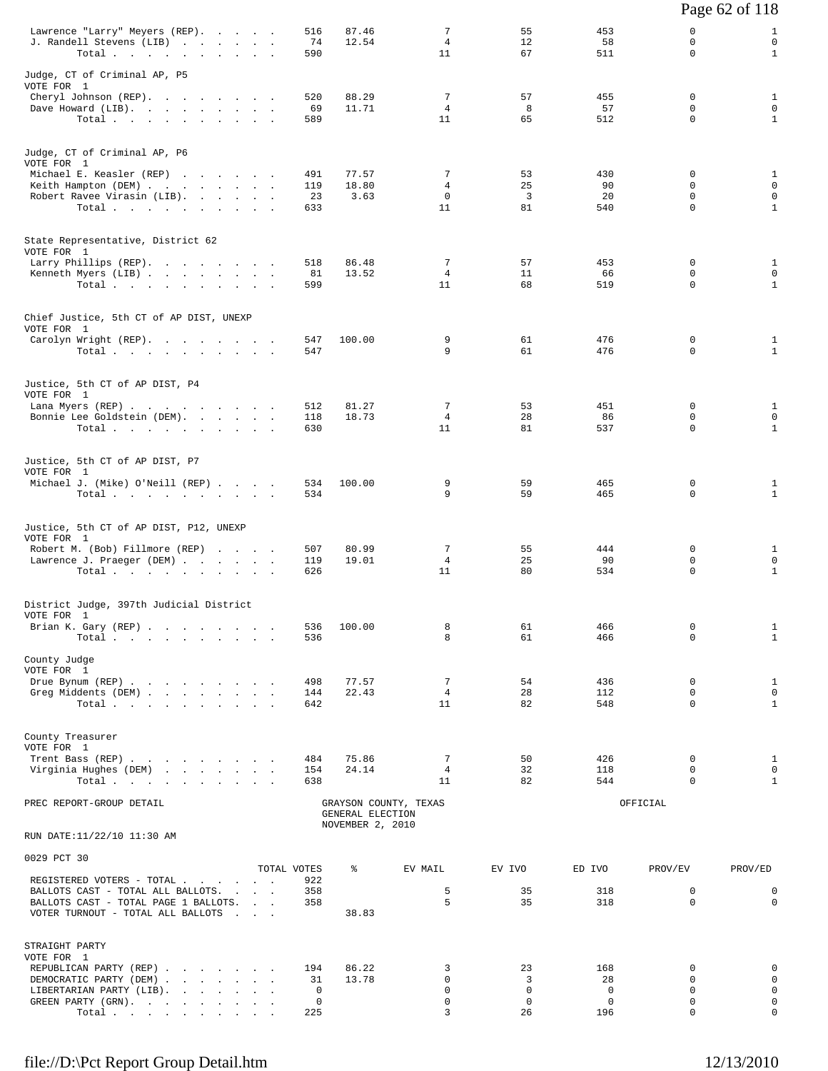|                                                                                                                |                    |                  |                            |                          |                            |                                        | Page 62 of 118                   |
|----------------------------------------------------------------------------------------------------------------|--------------------|------------------|----------------------------|--------------------------|----------------------------|----------------------------------------|----------------------------------|
| Lawrence "Larry" Meyers (REP).<br>J. Randell Stevens (LIB)<br>Total                                            | 516<br>74<br>590   | 87.46<br>12.54   | 7<br>$\overline{4}$<br>11  | 55<br>$12^{\circ}$<br>67 | 453<br>58<br>511           | 0<br>$\mathbf 0$<br>$\Omega$           | 1<br>$\mathbf 0$<br>$\mathbf{1}$ |
| Judge, CT of Criminal AP, P5<br>VOTE FOR 1                                                                     |                    |                  |                            |                          |                            |                                        |                                  |
| Cheryl Johnson (REP).                                                                                          | 520                | 88.29            | 7                          | 57                       | 455                        | $\mathbf 0$                            | $\mathbf{1}$                     |
| Dave Howard (LIB).<br>Total.                                                                                   | 69<br>589          | 11.71            | $\overline{4}$<br>11       | 8<br>65                  | 57<br>512                  | $\mathbf 0$<br>$\mathbf 0$             | $\mathbf 0$<br>$\mathbf{1}$      |
| Judge, CT of Criminal AP, P6<br>VOTE FOR 1                                                                     |                    |                  |                            |                          |                            |                                        |                                  |
| Michael E. Keasler (REP)<br>Keith Hampton (DEM)                                                                | 491<br>119         | 77.57<br>18.80   | 7<br>$\overline{4}$        | 53<br>25                 | 430<br>90                  | 0<br>$\mathbf 0$                       | $\mathbf{1}$<br>0                |
| Robert Ravee Virasin (LIB).<br>Total.                                                                          | 23<br>633          | 3.63             | $\mathbf 0$<br>11          | $\overline{3}$<br>81     | 20<br>540                  | $\mathbf 0$<br>$\Omega$                | $\mathbf 0$<br>$\mathbf{1}$      |
| State Representative, District 62                                                                              |                    |                  |                            |                          |                            |                                        |                                  |
| VOTE FOR 1<br>Larry Phillips (REP).                                                                            | 518                | 86.48            | 7                          | 57                       | 453                        | 0                                      | 1                                |
| Kenneth Myers (LIB)<br>Total                                                                                   | 81<br>599          | 13.52            | $\overline{4}$<br>11       | 11<br>68                 | 66<br>519                  | $\mathbf 0$<br>$\Omega$                | $\mathbf 0$<br>$\mathbf{1}$      |
| Chief Justice, 5th CT of AP DIST, UNEXP<br>VOTE FOR 1                                                          |                    |                  |                            |                          |                            |                                        |                                  |
| Carolyn Wright (REP).<br>Total $\cdots$ $\cdots$ $\cdots$                                                      | 547<br>547         | 100.00           | 9<br>9                     | 61<br>61                 | 476<br>476                 | 0<br>$\Omega$                          | $\mathbf{1}$<br>$\mathbf{1}$     |
| Justice, 5th CT of AP DIST, P4<br>VOTE FOR 1                                                                   |                    |                  |                            |                          |                            |                                        |                                  |
| Lana Myers (REP)<br>Bonnie Lee Goldstein (DEM).                                                                | 512<br>118         | 81.27<br>18.73   | 7<br>$4\overline{ }$       | 53<br>28                 | 451<br>86                  | $\Omega$<br>$\mathbf 0$                | $\mathbf{1}$<br>$\mathbf 0$      |
| Total.                                                                                                         | 630                |                  | 11                         | 81                       | 537                        | $\Omega$                               | $\mathbf{1}$                     |
| Justice, 5th CT of AP DIST, P7<br>VOTE FOR 1                                                                   |                    |                  |                            |                          |                            |                                        |                                  |
| Michael J. (Mike) O'Neill (REP)<br>Total                                                                       | 534<br>534         | 100.00           | 9<br>9                     | 59<br>59                 | 465<br>465                 | $\mathbf 0$<br>$\mathbf 0$             | 1<br>$\mathbf{1}$                |
|                                                                                                                |                    |                  |                            |                          |                            |                                        |                                  |
| Justice, 5th CT of AP DIST, P12, UNEXP<br>VOTE FOR 1                                                           | 507                | 80.99            | 7                          | 55                       | 444                        | 0                                      |                                  |
| Robert M. (Bob) Fillmore (REP)<br>Lawrence J. Praeger (DEM)                                                    | 119<br>626         | 19.01            | $\overline{4}$<br>11       | 25<br>80                 | 90<br>534                  | $\mathbf 0$<br>$\mathbf 0$             | 1<br>$\mathbf 0$<br>$\mathbf{1}$ |
| $\texttt{Total}~~\cdot~~\cdot~~\cdot~~\cdot~~\cdot~~\cdot~~\cdot~~\cdot~~\cdot~~\cdot~~$                       |                    |                  |                            |                          |                            |                                        |                                  |
| District Judge, 397th Judicial District<br>VOTE FOR 1                                                          |                    |                  |                            |                          |                            |                                        |                                  |
| Brian K. Gary (REP)<br>Total.                                                                                  | 536<br>536         | 100.00           | 8<br>8                     | 61<br>61                 | 466<br>466                 | 0<br>$\Omega$                          | 1<br>$\mathbf{1}$                |
| County Judge<br>VOTE FOR 1<br>Drue Bynum (REP)                                                                 | 498                | 77.57            | 7                          | 54                       | 436                        | $\Omega$                               | $\mathbf{1}$                     |
| Greg Middents (DEM)<br>Total $\cdots$ $\cdots$ $\cdots$ $\cdots$                                               | 144<br>642         | 22.43            | $\overline{4}$<br>11       | 28<br>82                 | 112<br>548                 | $\mathbf 0$<br>$\mathbf 0$             | $\mathbf 0$<br>$\mathbf{1}$      |
|                                                                                                                |                    |                  |                            |                          |                            |                                        |                                  |
| County Treasurer<br>VOTE FOR 1                                                                                 |                    |                  |                            |                          |                            |                                        |                                  |
| Trent Bass (REP)<br>Virginia Hughes (DEM)<br>Total                                                             | 484<br>154<br>638  | 75.86<br>24.14   | 7<br>$\overline{4}$<br>11  | 50<br>32<br>82           | 426<br>118<br>544          | $\Omega$<br>$\mathbf 0$<br>$\mathbf 0$ | 1<br>$\mathbf 0$<br>$\mathbf{1}$ |
| PREC REPORT-GROUP DETAIL                                                                                       |                    | GENERAL ELECTION | GRAYSON COUNTY, TEXAS      |                          |                            | OFFICIAL                               |                                  |
| RUN DATE:11/22/10 11:30 AM                                                                                     |                    | NOVEMBER 2, 2010 |                            |                          |                            |                                        |                                  |
| 0029 PCT 30                                                                                                    |                    |                  |                            |                          |                            |                                        |                                  |
| REGISTERED VOTERS - TOTAL                                                                                      | TOTAL VOTES<br>922 | ႜ                | EV MAIL                    | EV IVO                   | ED IVO                     | PROV/EV                                | PROV/ED                          |
| BALLOTS CAST - TOTAL ALL BALLOTS.<br>BALLOTS CAST - TOTAL PAGE 1 BALLOTS.<br>VOTER TURNOUT - TOTAL ALL BALLOTS | 358<br>358         | 38.83            | 5<br>5                     | 35<br>35                 | 318<br>318                 | 0<br>$\mathbf 0$                       | 0<br>$\mathbf 0$                 |
| STRAIGHT PARTY<br>VOTE FOR 1                                                                                   |                    |                  |                            |                          |                            |                                        |                                  |
| REPUBLICAN PARTY (REP)<br>DEMOCRATIC PARTY (DEM)                                                               | 194<br>31          | 86.22<br>13.78   | 3<br>0                     | 23<br>3                  | 168<br>28                  | 0<br>$\Omega$                          | 0<br>$\mathbf 0$                 |
| LIBERTARIAN PARTY (LIB).<br>GREEN PARTY (GRN).                                                                 | 0<br>0             |                  | $\mathbf 0$<br>$\mathbf 0$ | $\mathbf 0$<br>0         | $\mathbf 0$<br>$\mathbf 0$ | $\Omega$<br>$\mathsf{O}$               | $\mathbf 0$<br>$\mathbf 0$       |
| Total                                                                                                          | 225                |                  | 3                          | 26                       | 196                        | 0                                      | 0                                |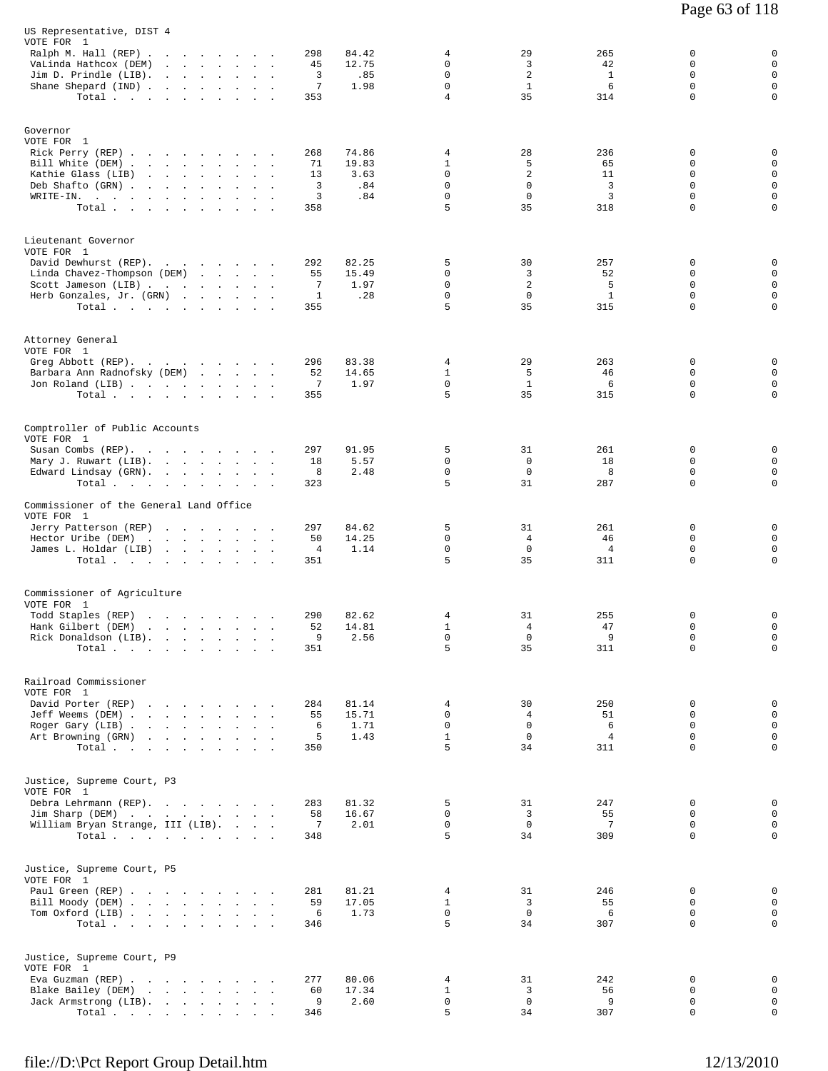| US Representative, DIST 4<br>VOTE FOR 1<br>Ralph M. Hall (REP)<br>VaLinda Hathcox (DEM)<br>Jim D. Prindle (LIB).<br>Shane Shepard (IND)<br>Total                                    | the company of the company<br>$\mathbf{r}$ and $\mathbf{r}$<br>the contract of the contract<br>$\sim$<br>$\sim$ $\sim$ $\sim$                                              | 298<br>84.42<br>12.75<br>45<br>3<br>.85<br>7<br>1.98<br>353              | 4<br>$\Omega$<br>$\mathbf 0$<br>$\mathbf 0$<br>4 | 29<br>3<br>2<br>$\mathbf{1}$<br>35 | 265<br>42<br>$\mathbf{1}$<br>6<br>314   | 0<br>$\Omega$<br>$\mathbf 0$<br>0<br>$\Omega$                          | 0<br>$\mathbf 0$<br>$\mathbf 0$<br>$\mathbf 0$<br>$\mathbf 0$                 |
|-------------------------------------------------------------------------------------------------------------------------------------------------------------------------------------|----------------------------------------------------------------------------------------------------------------------------------------------------------------------------|--------------------------------------------------------------------------|--------------------------------------------------|------------------------------------|-----------------------------------------|------------------------------------------------------------------------|-------------------------------------------------------------------------------|
| Governor<br>VOTE FOR 1<br>Rick Perry (REP)<br>Bill White (DEM)<br>Kathie Glass (LIB)<br>Deb Shafto (GRN).<br>$\texttt{WRITE-IN.}$ , , , , , , ,<br>Total $\cdots$ $\cdots$ $\cdots$ | the contract of the contract of the contract of the contract of the contract of the contract of the contract of<br>and the company of the state of<br>$\ddot{\phantom{a}}$ | 74.86<br>268<br>19.83<br>71<br>13<br>3.63<br>3<br>.84<br>3<br>.84<br>358 | 4<br>$\mathbf{1}$<br>0<br>0<br>0<br>5            | 28<br>5<br>2<br>0<br>0<br>35       | 236<br>65<br>11<br>3<br>3<br>318        | 0<br>$\Omega$<br>$\Omega$<br>$\mathbf 0$<br>$\mathbf 0$<br>$\mathbf 0$ | 0<br>$\mathbf 0$<br>$\mathbf 0$<br>$\mathsf 0$<br>$\mathsf{O}$<br>$\mathbf 0$ |
| Lieutenant Governor<br>VOTE FOR 1<br>David Dewhurst (REP).<br>Linda Chavez-Thompson (DEM)<br>Scott Jameson (LIB)<br>Herb Gonzales, Jr. (GRN)<br>Total                               |                                                                                                                                                                            | 292<br>82.25<br>15.49<br>55<br>7<br>1.97<br>1<br>.28<br>355              | 5<br>0<br>0<br>0<br>5                            | 30<br>3<br>2<br>$\mathbf 0$<br>35  | 257<br>52<br>5<br>$\mathbf{1}$<br>315   | 0<br>0<br>0<br>$\mathbf 0$<br>$\mathbf 0$                              | 0<br>$\mathbf 0$<br>$\mathbf 0$<br>$\mathbf 0$<br>$\mathsf{O}$                |
| Attorney General<br>VOTE FOR 1<br>Greg Abbott (REP).<br>Barbara Ann Radnofsky (DEM)<br>Jon Roland (LIB)<br>Total                                                                    |                                                                                                                                                                            | 296<br>83.38<br>52<br>14.65<br>7<br>1.97<br>355                          | 4<br>$\mathbf{1}$<br>$\mathbf 0$<br>5            | 29<br>5<br>$\mathbf{1}$<br>35      | 263<br>46<br>6<br>315                   | 0<br>$\Omega$<br>$\mathbf 0$<br>0                                      | 0<br>$\mathbf 0$<br>$\mathbf 0$<br>$\mathbf 0$                                |
| Comptroller of Public Accounts<br>VOTE FOR 1<br>Susan Combs (REP).<br>Mary J. Ruwart (LIB).<br>Edward Lindsay (GRN).<br>Total                                                       |                                                                                                                                                                            | 297<br>91.95<br>5.57<br>18<br>2.48<br>8<br>323                           | 5<br>0<br>0<br>5                                 | 31<br>$\mathbf 0$<br>0<br>31       | 261<br>18<br>8<br>287                   | 0<br>0<br>0<br>$\mathbf 0$                                             | 0<br>$\mathbf 0$<br>$\mathsf 0$<br>$\mathsf{O}$                               |
| Commissioner of the General Land Office<br>VOTE FOR 1<br>Jerry Patterson (REP)<br>Hector Uribe (DEM)<br>James L. Holdar (LIB)<br>Total                                              |                                                                                                                                                                            | 297<br>84.62<br>14.25<br>50<br>1.14<br>4<br>351                          | 5<br>0<br>0<br>5                                 | 31<br>4<br>$\mathbf 0$<br>35       | 261<br>46<br>$\overline{4}$<br>311      | 0<br>0<br>0<br>$\mathbf 0$                                             | 0<br>$\mathbf 0$<br>$\mathsf 0$<br>$\mathsf{O}$                               |
| Commissioner of Agriculture<br>VOTE FOR 1<br>Todd Staples (REP)<br>Hank Gilbert (DEM)<br>Rick Donaldson (LIB).<br>Total                                                             | the contract of the contract of the<br>and the company of the company of the                                                                                               | 290<br>82.62<br>14.81<br>52<br>9<br>2.56<br>351                          | 4<br>$\mathbf{1}$<br>0<br>5                      | 31<br>4<br>$\mathbf{0}$<br>35      | 255<br>47<br>9<br>311                   | 0<br>0<br>0<br>0                                                       | 0<br>$\mathbf 0$<br>$\mathbf{0}$<br>$\mathbf 0$                               |
| Railroad Commissioner<br>VOTE FOR 1<br>David Porter (REP)<br>Jeff Weems (DEM)<br>Roger Gary (LIB)<br>Art Browning (GRN)<br>Total                                                    | the contract of the contract of the                                                                                                                                        | 81.14<br>284<br>55<br>15.71<br>1.71<br>6<br>5<br>1.43<br>350             | 4<br>0<br>0<br>$\mathbf{1}$<br>5                 | 30<br>4<br>0<br>$\mathbf 0$<br>34  | 250<br>51<br>6<br>$\overline{4}$<br>311 | 0<br>$\Omega$<br>$\Omega$<br>$\mathbf 0$<br>$\Omega$                   | 0<br>$\mathbf 0$<br>$\mathbf 0$<br>$\mathbf 0$<br>$\mathsf{O}$                |
| Justice, Supreme Court, P3<br>VOTE FOR 1<br>Debra Lehrmann (REP).<br>Jim Sharp (DEM)<br>William Bryan Strange, III (LIB).<br>Total                                                  |                                                                                                                                                                            | 283<br>81.32<br>16.67<br>58<br>7<br>2.01<br>348                          | 5<br>0<br>0<br>5                                 | 31<br>3<br>$\mathbf 0$<br>34       | 247<br>55<br>7<br>309                   | 0<br>0<br>0<br>0                                                       | 0<br>$\mathbf 0$<br>$\mathbf 0$<br>$\mathsf{O}$                               |
| Justice, Supreme Court, P5<br>VOTE FOR 1<br>Paul Green (REP)<br>Bill Moody (DEM)<br>Tom Oxford (LIB)<br>Total                                                                       |                                                                                                                                                                            | 281<br>81.21<br>17.05<br>59<br>6<br>1.73<br>346                          | 4<br>$\mathbf{1}$<br>0<br>5                      | 31<br>3<br>0<br>34                 | 246<br>55<br>6<br>307                   | 0<br>0<br>0<br>$\Omega$                                                | 0<br>$\mathbf 0$<br>0<br>$\mathbf 0$                                          |
| Justice, Supreme Court, P9<br>VOTE FOR 1<br>Eva Guzman (REP)<br>Blake Bailey (DEM)<br>Jack Armstrong (LIB).<br>Total $\cdots$ $\cdots$ $\cdots$                                     |                                                                                                                                                                            | 277<br>80.06<br>17.34<br>60<br>9<br>2.60<br>346                          | 4<br>$\mathbf{1}$<br>0<br>5                      | 31<br>3<br>0<br>34                 | 242<br>56<br>9<br>307                   | 0<br>0<br>0<br>0                                                       | 0<br>0<br>$\mathbf 0$<br>$\mathsf{O}$                                         |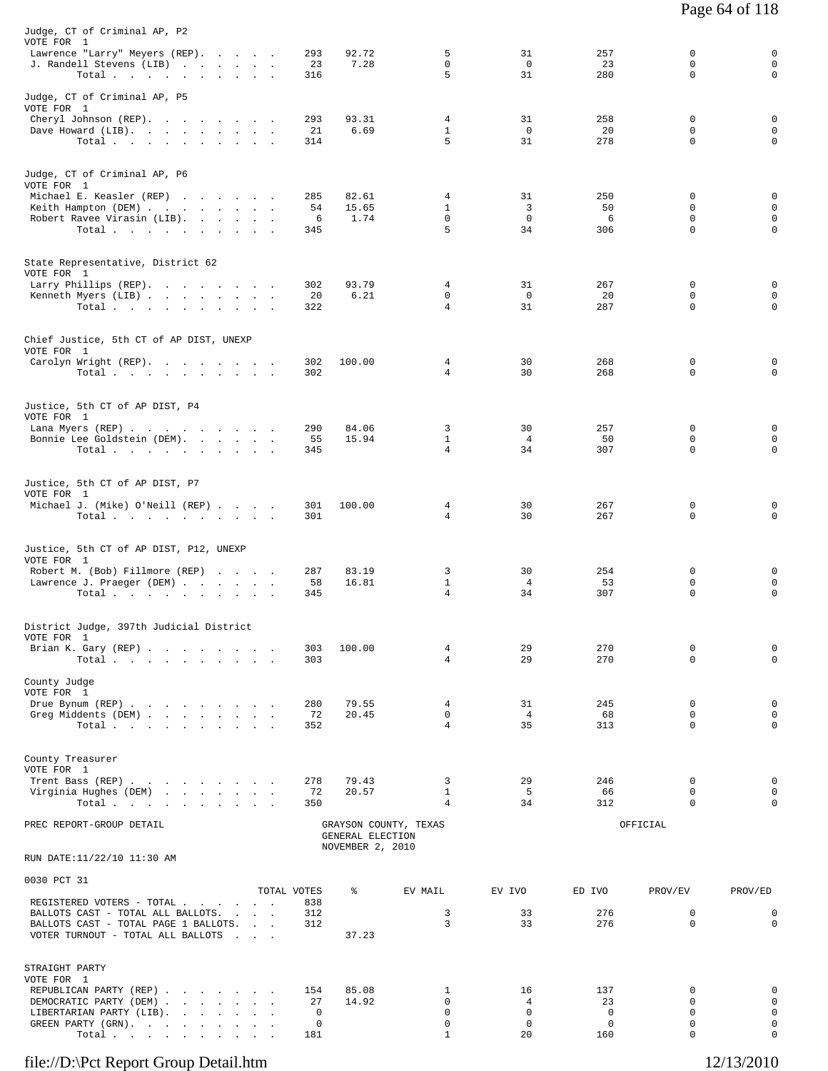| Judge, CT of Criminal AP, P2<br>VOTE FOR 1<br>Lawrence "Larry" Meyers (REP).<br>J. Randell Stevens (LIB)<br>Total                                                         | 293<br>23<br>316           | 92.72<br>7.28                                                 | 5<br>$\Omega$<br>5                                | 31<br>$\Omega$<br>31                        | 257<br>23<br>280                               | 0<br>$\Omega$<br>$\mathbf 0$      | 0<br>$\mathbf 0$<br>$\mathbf 0$      |
|---------------------------------------------------------------------------------------------------------------------------------------------------------------------------|----------------------------|---------------------------------------------------------------|---------------------------------------------------|---------------------------------------------|------------------------------------------------|-----------------------------------|--------------------------------------|
| Judge, CT of Criminal AP, P5<br>VOTE FOR 1<br>Cheryl Johnson (REP).<br>Dave Howard (LIB).<br>Total.                                                                       | 293<br>21<br>314           | 93.31<br>6.69                                                 | 4<br>$\mathbf{1}$<br>5                            | 31<br>$\mathbf 0$<br>31                     | 258<br>20<br>278                               | 0<br>0<br>$\Omega$                | 0<br>0<br>0                          |
| Judge, CT of Criminal AP, P6<br>VOTE FOR 1<br>Michael E. Keasler (REP)<br>Keith Hampton (DEM)<br>Robert Ravee Virasin (LIB).<br>Total $\cdots$ $\cdots$ $\cdots$ $\cdots$ | 285<br>54<br>6<br>345      | 82.61<br>15.65<br>1.74                                        | $\overline{4}$<br>$\mathbf{1}$<br>$\Omega$<br>5   | 31<br>3<br>$\Omega$<br>34                   | 250<br>50<br>6<br>306                          | 0<br>0<br>$\Omega$<br>$\mathbf 0$ | 0<br>$\mathbf 0$<br>$\mathbf 0$<br>0 |
| State Representative, District 62<br>VOTE FOR 1<br>Larry Phillips (REP).<br>Kenneth Myers (LIB)<br>Total $\cdots$ $\cdots$ $\cdots$                                       | 302<br>20<br>322           | 93.79<br>6.21                                                 | 4<br>0<br>$\overline{4}$                          | 31<br>$\mathbf{0}$<br>31                    | 267<br>20<br>287                               | 0<br>0<br>$\mathbf 0$             | 0<br>$\mathbf 0$<br>$\mathbf 0$      |
| Chief Justice, 5th CT of AP DIST, UNEXP<br>VOTE FOR 1<br>Carolyn Wright (REP).<br>Total.                                                                                  | 302<br>302                 | 100.00                                                        | 4<br>$\overline{4}$                               | 30<br>30                                    | 268<br>268                                     | 0<br>$\Omega$                     | 0<br>0                               |
| Justice, 5th CT of AP DIST, P4<br>VOTE FOR 1<br>Lana Myers (REP)<br>Bonnie Lee Goldstein (DEM).<br>Total.                                                                 | 290<br>55<br>345           | 84.06<br>15.94                                                | 3<br>$\mathbf{1}$<br>$\overline{4}$               | 30<br>4<br>34                               | 257<br>50<br>307                               | 0<br>0<br>0                       | 0<br>0<br>$\mathbf 0$                |
| Justice, 5th CT of AP DIST, P7<br>VOTE FOR 1<br>Michael J. (Mike) O'Neill (REP)<br>Total $\cdots$ $\cdots$ $\cdots$                                                       | 301<br>301                 | 100.00                                                        | 4<br>4                                            | 30<br>30                                    | 267<br>267                                     | 0<br>0                            | 0<br>0                               |
| Justice, 5th CT of AP DIST, P12, UNEXP<br>VOTE FOR 1<br>Robert M. (Bob) Fillmore (REP)<br>Lawrence J. Praeger (DEM)<br>Total $\cdots$ $\cdots$ $\cdots$ $\cdots$          | 287<br>58<br>345           | 83.19<br>16.81                                                | 3<br>$\mathbf{1}$<br>4                            | 30<br>$\overline{4}$<br>34                  | 254<br>53<br>307                               | 0<br>0<br>0                       | 0<br>$\mathbf 0$<br>0                |
| District Judge, 397th Judicial District<br>VOTE FOR 1<br>Brian K. Gary (REP)<br>$\texttt{Total}~~\cdot~~\cdot~~\cdot~~\cdot~~\cdot~~\cdot~~\cdot~~\cdot~~\cdot~~\cdot~~$  | 303<br>303                 | 100.00                                                        | 4<br>$\overline{4}$                               | 29<br>29                                    | 270<br>270                                     | 0<br>$\mathbf 0$                  | 0<br>0                               |
| County Judge<br>VOTE FOR 1<br>Drue Bynum (REP)<br>Greg Middents (DEM)<br>Total                                                                                            | 280<br>72<br>352           | 79.55<br>20.45                                                | 4<br>0<br>$\overline{4}$                          | 31<br>4<br>35                               | 245<br>68<br>313                               | 0<br>0<br>$\Omega$                | 0<br>0<br>0                          |
| County Treasurer<br>VOTE FOR 1<br>Trent Bass (REP)<br>Virginia Hughes (DEM)<br>Total.                                                                                     | 278<br>72<br>350           | 79.43<br>20.57                                                | 3<br>$\mathbf{1}$<br>4                            | 29<br>5<br>34                               | 246<br>66<br>312                               | 0<br>0<br>0                       | 0<br>$\mathbf 0$<br>0                |
| PREC REPORT-GROUP DETAIL                                                                                                                                                  |                            | GRAYSON COUNTY, TEXAS<br>GENERAL ELECTION<br>NOVEMBER 2, 2010 |                                                   |                                             |                                                | OFFICIAL                          |                                      |
| RUN DATE:11/22/10 11:30 AM                                                                                                                                                |                            |                                                               |                                                   |                                             |                                                |                                   |                                      |
| 0030 PCT 31                                                                                                                                                               | TOTAL VOTES                | ႜ                                                             | EV MAIL                                           | EV IVO                                      | ED IVO                                         | PROV/EV                           | PROV/ED                              |
| REGISTERED VOTERS - TOTAL<br>BALLOTS CAST - TOTAL ALL BALLOTS.<br>BALLOTS CAST - TOTAL PAGE 1 BALLOTS.<br>VOTER TURNOUT - TOTAL ALL BALLOTS                               | 838<br>312<br>312          | 37.23                                                         | 3<br>3                                            | 33<br>33                                    | 276<br>276                                     | 0<br>0                            | 0<br>0                               |
| STRAIGHT PARTY<br>VOTE FOR 1<br>REPUBLICAN PARTY (REP)<br>DEMOCRATIC PARTY (DEM)<br>LIBERTARIAN PARTY (LIB).<br>GREEN PARTY (GRN).<br>Total.                              | 154<br>27<br>0<br>0<br>181 | 85.08<br>14.92                                                | 1<br>$\Omega$<br>$\mathbf 0$<br>0<br>$\mathbf{1}$ | 16<br>4<br>$\mathbf 0$<br>$\mathbf 0$<br>20 | 137<br>23<br>$\mathbf 0$<br>$\mathbf 0$<br>160 | 0<br>0<br>$\mathbf 0$<br>0<br>0   | 0<br>0<br>0<br>0<br>0                |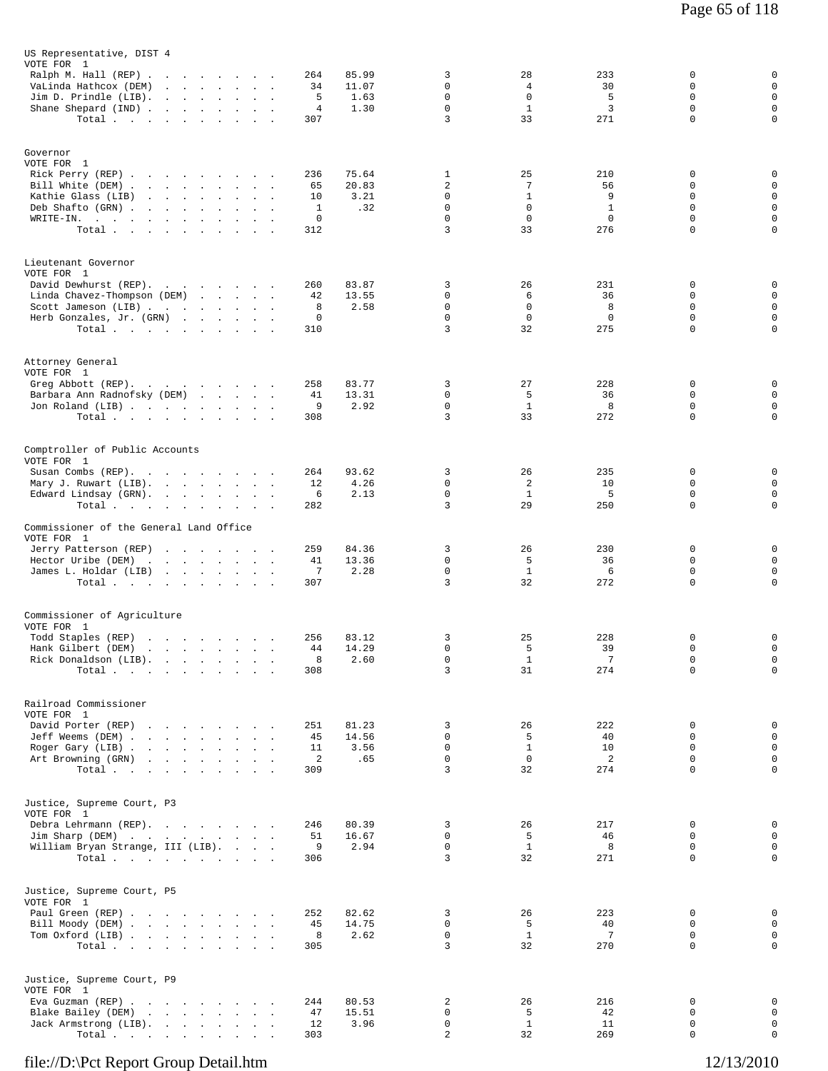| US Representative, DIST 4<br>VOTE FOR 1                               |                                                                                                                 |                                          |                                      |           |                |                         |                          |                    |                         |                            |
|-----------------------------------------------------------------------|-----------------------------------------------------------------------------------------------------------------|------------------------------------------|--------------------------------------|-----------|----------------|-------------------------|--------------------------|--------------------|-------------------------|----------------------------|
| Ralph M. Hall $(REP)$ .                                               |                                                                                                                 |                                          |                                      | 264       | 85.99          | 3                       | 28                       | 233                | 0                       | 0                          |
| VaLinda Hathcox (DEM)<br>Jim D. Prindle (LIB).                        | and a strong control of the state of<br>the company of the company                                              |                                          |                                      | 34<br>5   | 11.07<br>1.63  | $\Omega$<br>$\mathbf 0$ | 4<br>$\mathbf 0$         | 30<br>5            | $\Omega$<br>$\mathbf 0$ | $\mathsf 0$<br>$\mathsf 0$ |
| Shane Shepard (IND)                                                   |                                                                                                                 | $\sim$                                   |                                      | 4         | 1.30           | $\mathbf 0$             | $\mathbf{1}$             | 3                  | $\mathsf 0$             | $\mathsf 0$                |
| Total $\cdots$                                                        |                                                                                                                 |                                          |                                      | 307       |                | 3                       | 33                       | 271                | $\mathbf 0$             | 0                          |
| Governor                                                              |                                                                                                                 |                                          |                                      |           |                |                         |                          |                    |                         |                            |
| VOTE FOR 1                                                            |                                                                                                                 |                                          |                                      | 236       | 75.64          | 1                       | 25                       | 210                | 0                       | 0                          |
| Rick Perry (REP)<br>Bill White (DEM)                                  |                                                                                                                 |                                          |                                      | 65        | 20.83          | 2                       | 7                        | 56                 | 0                       | $\mathsf 0$                |
| Kathie Glass (LIB)                                                    |                                                                                                                 |                                          |                                      | 10        | 3.21           | 0                       | $\mathbf{1}$             | 9                  | 0                       | $\mathsf 0$                |
| Deb Shafto (GRN).<br>WRITE-IN.<br>the contract of the contract of the | the contract of the contract of the                                                                             | $\mathbf{r}$                             |                                      | 1<br>0    | .32            | $\Omega$<br>$\mathbf 0$ | $\Omega$<br>$\mathbf 0$  | $\mathbf{1}$<br>0  | 0<br>$\mathbf 0$        | $\mathsf 0$<br>0           |
| Total                                                                 |                                                                                                                 |                                          |                                      | 312       |                | 3                       | 33                       | 276                | 0                       | 0                          |
| Lieutenant Governor                                                   |                                                                                                                 |                                          |                                      |           |                |                         |                          |                    |                         |                            |
| VOTE FOR 1<br>David Dewhurst (REP).                                   |                                                                                                                 |                                          |                                      |           | 83.87          | 3                       | 26                       | 231                | 0                       | 0                          |
| Linda Chavez-Thompson (DEM)                                           |                                                                                                                 |                                          |                                      | 260<br>42 | 13.55          | 0                       | 6                        | 36                 | 0                       | $\mathbf 0$                |
| Scott Jameson (LIB)                                                   |                                                                                                                 |                                          |                                      | 8         | 2.58           | 0                       | $\mathbf 0$              | 8                  | 0                       | $\mathsf 0$                |
| Herb Gonzales, Jr. (GRN)<br>Total                                     |                                                                                                                 |                                          |                                      | 0<br>310  |                | $\mathbf 0$<br>3        | $\mathbf 0$<br>32        | $\mathbf 0$<br>275 | $\mathbf 0$<br>$\Omega$ | $\mathsf 0$<br>0           |
|                                                                       |                                                                                                                 |                                          |                                      |           |                |                         |                          |                    |                         |                            |
| Attorney General<br>VOTE FOR 1                                        |                                                                                                                 |                                          |                                      |           |                |                         |                          |                    |                         |                            |
| Greg Abbott (REP).                                                    |                                                                                                                 |                                          |                                      | 258       | 83.77          | 3<br>0                  | 27<br>5                  | 228<br>36          | 0<br>0                  | 0<br>0                     |
| Barbara Ann Radnofsky (DEM)<br>Jon Roland (LIB)                       |                                                                                                                 |                                          |                                      | 41<br>9   | 13.31<br>2.92  | $\mathbf 0$             | $\mathbf{1}$             | 8                  | $\mathbf 0$             | 0                          |
| Total                                                                 |                                                                                                                 |                                          |                                      | 308       |                | 3                       | 33                       | 272                | $\mathbf 0$             | 0                          |
| Comptroller of Public Accounts                                        |                                                                                                                 |                                          |                                      |           |                |                         |                          |                    |                         |                            |
| VOTE FOR 1<br>Susan Combs (REP).                                      |                                                                                                                 |                                          | $\sim 10$                            | 264       | 93.62          | 3                       | 26                       | 235                | 0                       | 0                          |
| Mary J. Ruwart (LIB).                                                 |                                                                                                                 | $\ddot{\phantom{a}}$                     | $\mathbf{r}$<br>$\ddot{\phantom{1}}$ | 12        | 4.26           | $\Omega$                | 2                        | 10                 | $\Omega$                | $\mathbf 0$                |
| Edward Lindsay (GRN).<br>Total                                        |                                                                                                                 | $\sim$<br>$\sim$<br>$\ddot{\phantom{a}}$ | $\sim$<br><b>Contract Contract</b>   | 6<br>282  | 2.13           | $\mathbf 0$<br>3        | $\mathbf{1}$<br>29       | 5<br>250           | $\mathsf 0$<br>0        | 0<br>0                     |
| Commissioner of the General Land Office                               |                                                                                                                 |                                          |                                      |           |                |                         |                          |                    |                         |                            |
| VOTE FOR 1                                                            |                                                                                                                 |                                          |                                      |           |                |                         |                          |                    |                         |                            |
| Jerry Patterson (REP)                                                 | the company of the company of the company                                                                       |                                          |                                      | 259<br>41 | 84.36<br>13.36 | 3<br>$\mathbf 0$        | 26<br>5                  | 230<br>36          | 0<br>0                  | 0<br>0                     |
| Hector Uribe (DEM)<br>James L. Holdar (LIB)                           | the contract of the contract of the contract of                                                                 |                                          | $\overline{\phantom{a}}$             | 7         | 2.28           | $\mathbf 0$             | $\mathbf{1}$             | 6                  | $\mathbf 0$             | 0                          |
| Total                                                                 |                                                                                                                 |                                          |                                      | 307       |                | 3                       | 32                       | 272                | 0                       | 0                          |
| Commissioner of Agriculture                                           |                                                                                                                 |                                          |                                      |           |                |                         |                          |                    |                         |                            |
| VOTE FOR 1<br>Todd Staples (REP)                                      | the contract of the contract of the con-                                                                        |                                          |                                      | 256       | 83.12          | 3                       | 25                       | 228                | 0                       | 0                          |
| Hank Gilbert (DEM)                                                    | the contract of the contract of the contract of the contract of the contract of the contract of the contract of |                                          |                                      | 44        | 14.29          | $\mathbf 0$             | 5                        | 39                 | $\mathsf 0$             | 0                          |
| Rick Donaldson (LIB).                                                 |                                                                                                                 |                                          | $\sim 10^{-10}$ $\sim$               | 8         | 2.60           | 0<br>3                  | $\mathbf{1}$<br>31       | 7<br>274           | 0<br>$\mathsf 0$        | 0<br>0                     |
| Total                                                                 |                                                                                                                 |                                          |                                      | 308       |                |                         |                          |                    |                         |                            |
| Railroad Commissioner                                                 |                                                                                                                 |                                          |                                      |           |                |                         |                          |                    |                         |                            |
| VOTE FOR 1<br>David Porter (REP)                                      | the contract of the contract of the                                                                             |                                          |                                      | 251       | 81.23          | 3                       | 26                       | 222                | 0                       | 0                          |
| Jeff Weems (DEM)                                                      |                                                                                                                 |                                          |                                      | 45        | 14.56          | $\Omega$                | 5                        | 40                 | 0                       | 0                          |
| Roger Gary (LIB)                                                      |                                                                                                                 |                                          |                                      | 11<br>2   | 3.56<br>.65    | $\mathbf 0$<br>$\Omega$ | $\mathbf{1}$<br>$\Omega$ | 10<br>2            | $\mathbf 0$<br>0        | $\mathsf 0$<br>$\mathsf 0$ |
| Art Browning (GRN)<br>Total                                           |                                                                                                                 |                                          |                                      | 309       |                | 3                       | 32                       | 274                | $\mathbf 0$             | 0                          |
| Justice, Supreme Court, P3                                            |                                                                                                                 |                                          |                                      |           |                |                         |                          |                    |                         |                            |
| VOTE FOR 1                                                            |                                                                                                                 |                                          |                                      |           |                |                         |                          |                    | 0                       |                            |
| Debra Lehrmann (REP).<br>Jim Sharp (DEM)                              |                                                                                                                 |                                          |                                      | 246<br>51 | 80.39<br>16.67 | 3<br>0                  | 26<br>5                  | 217<br>46          | 0                       | 0<br>$\mathbf 0$           |
| William Bryan Strange, III (LIB).                                     |                                                                                                                 |                                          |                                      | 9         | 2.94           | $\mathbf 0$             | $\mathbf{1}$             | 8                  | $\mathbf 0$             | $\mathsf 0$                |
| Total                                                                 |                                                                                                                 |                                          |                                      | 306       |                | 3                       | 32                       | 271                | 0                       | 0                          |
| Justice, Supreme Court, P5                                            |                                                                                                                 |                                          |                                      |           |                |                         |                          |                    |                         |                            |
| VOTE FOR 1<br>Paul Green (REP)                                        |                                                                                                                 |                                          |                                      | 252       | 82.62          | 3                       | 26                       | 223                | 0                       | 0                          |
| Bill Moody (DEM)                                                      |                                                                                                                 |                                          |                                      | 45        | 14.75          | $\mathbf 0$             | 5                        | 40                 | 0                       | $\mathsf 0$                |
| Tom Oxford (LIB)<br>Total.                                            |                                                                                                                 |                                          |                                      | 8<br>305  | 2.62           | $\mathbf 0$<br>3        | $\mathbf{1}$<br>32       | 7<br>270           | 0<br>0                  | $\mathsf 0$<br>0           |
|                                                                       |                                                                                                                 |                                          |                                      |           |                |                         |                          |                    |                         |                            |
| Justice, Supreme Court, P9                                            |                                                                                                                 |                                          |                                      |           |                |                         |                          |                    |                         |                            |
| VOTE FOR 1<br>Eva Guzman (REP)                                        |                                                                                                                 |                                          |                                      | 244       | 80.53          | 2                       | 26                       | 216                | 0                       | 0                          |
| Blake Bailey (DEM)                                                    |                                                                                                                 |                                          |                                      | 47        | 15.51          | 0                       | 5                        | 42                 | 0                       | $\mathsf 0$                |
| Jack Armstrong (LIB).<br>Total $\cdots$                               |                                                                                                                 |                                          |                                      | 12<br>303 | 3.96           | $\mathsf 0$<br>2        | $\mathbf{1}$<br>32       | 11<br>269          | $\circ$<br>0            | $\mathsf 0$<br>0           |
|                                                                       |                                                                                                                 |                                          |                                      |           |                |                         |                          |                    |                         |                            |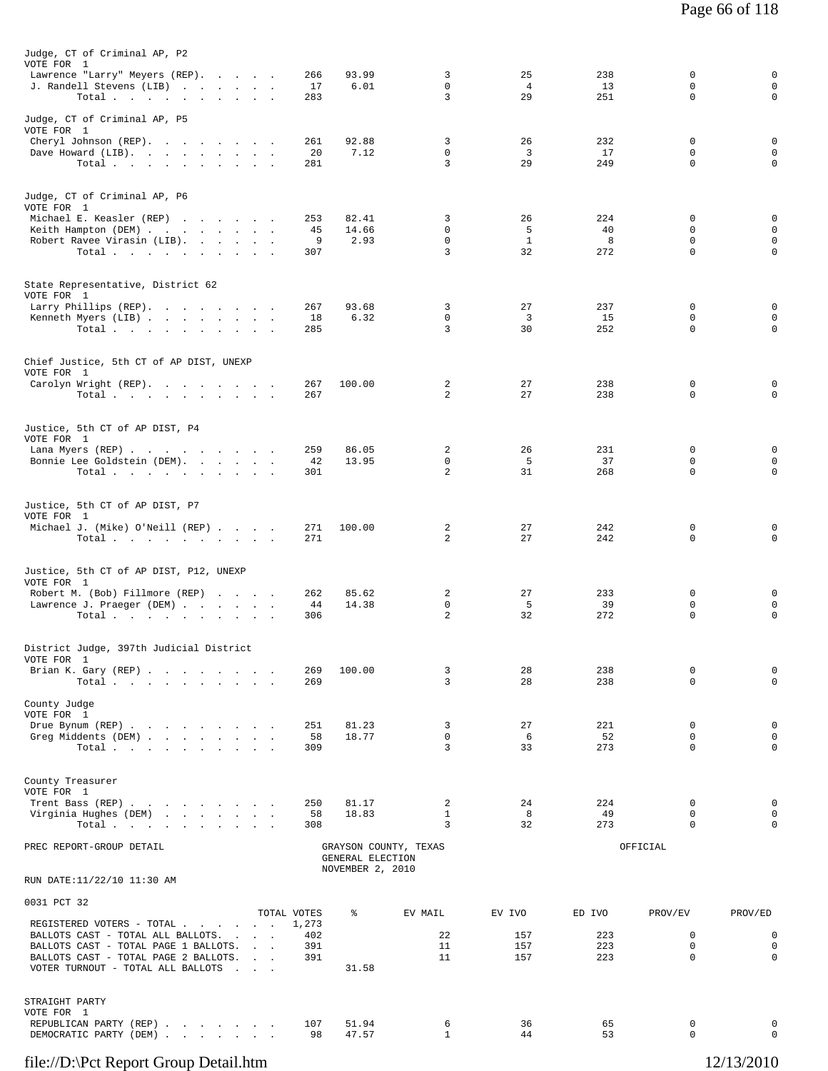| Judge, CT of Criminal AP, P2<br>VOTE FOR 1                                                                        |                      |                                      |                            |                   |            |                         |                            |
|-------------------------------------------------------------------------------------------------------------------|----------------------|--------------------------------------|----------------------------|-------------------|------------|-------------------------|----------------------------|
| Lawrence "Larry" Meyers (REP).<br>J. Randell Stevens (LIB)                                                        | 266<br>17            | 93.99<br>6.01                        | 3<br>$\mathbf 0$           | 25<br>4           | 238<br>13  | 0<br>0                  | 0<br>$\mathsf 0$           |
| Total                                                                                                             | 283                  |                                      | 3                          | 29                | 251        | $\Omega$                | $\mathbf 0$                |
| Judge, CT of Criminal AP, P5                                                                                      |                      |                                      |                            |                   |            |                         |                            |
| VOTE FOR 1<br>Cheryl Johnson (REP).                                                                               | 261                  | 92.88                                | 3                          | 26                | 232        | $\Omega$                | $\mathbf 0$                |
| Dave Howard (LIB).                                                                                                | 20<br>281            | 7.12                                 | $\mathbf 0$<br>3           | 3<br>29           | 17<br>249  | $\mathbf 0$<br>$\Omega$ | $\mathsf 0$<br>$\mathbf 0$ |
| Total $\cdots$                                                                                                    |                      |                                      |                            |                   |            |                         |                            |
| Judge, CT of Criminal AP, P6<br>VOTE FOR 1                                                                        |                      |                                      |                            |                   |            |                         |                            |
| Michael E. Keasler (REP)                                                                                          | 253                  | 82.41                                | 3                          | 26                | 224        | 0                       | 0                          |
| Keith Hampton (DEM)<br>Robert Ravee Virasin (LIB).                                                                | 45<br>9              | 14.66<br>2.93                        | $\mathbf 0$<br>$\mathbf 0$ | 5<br>$\mathbf{1}$ | 40<br>8    | $\mathbf 0$<br>0        | $\mathsf 0$<br>0           |
| Total.                                                                                                            | 307                  |                                      | 3                          | 32                | 272        | $\Omega$                | $\mathbf 0$                |
| State Representative, District 62                                                                                 |                      |                                      |                            |                   |            |                         |                            |
| VOTE FOR 1<br>Larry Phillips (REP).                                                                               | 267                  | 93.68                                | 3                          | 27                | 237        | 0                       | 0                          |
| Kenneth Myers (LIB)                                                                                               | 18                   | 6.32                                 | 0                          | $\overline{3}$    | 15         | 0                       | $\mathbf 0$                |
| Total.                                                                                                            | 285                  |                                      | 3                          | 30                | 252        | $\mathbf 0$             | $\mathbf 0$                |
| Chief Justice, 5th CT of AP DIST, UNEXP<br>VOTE FOR 1                                                             |                      |                                      |                            |                   |            |                         |                            |
| Carolyn Wright (REP).                                                                                             | 267                  | 100.00                               | 2                          | 27                | 238        | 0                       | 0                          |
| Total $\cdots$                                                                                                    | 267                  |                                      | 2                          | 27                | 238        | 0                       | $\mathbf 0$                |
| Justice, 5th CT of AP DIST, P4<br>VOTE FOR 1                                                                      |                      |                                      |                            |                   |            |                         |                            |
| Lana Myers (REP)                                                                                                  | 259                  | 86.05                                | 2                          | 26                | 231        | 0                       | 0                          |
| Bonnie Lee Goldstein (DEM).<br>Total                                                                              | 42<br>301            | 13.95                                | $\mathbf 0$<br>2           | 5<br>31           | 37<br>268  | 0<br>0                  | $\mathbf 0$<br>$\mathbf 0$ |
|                                                                                                                   |                      |                                      |                            |                   |            |                         |                            |
| Justice, 5th CT of AP DIST, P7                                                                                    |                      |                                      |                            |                   |            |                         |                            |
| VOTE FOR 1<br>Michael J. (Mike) O'Neill (REP)                                                                     | 271                  | 100.00                               | 2                          | 27                | 242        | 0                       | 0                          |
| Total $\cdots$                                                                                                    | 271                  |                                      | $\overline{a}$             | 27                | 242        | 0                       | $\mathbf 0$                |
| Justice, 5th CT of AP DIST, P12, UNEXP                                                                            |                      |                                      |                            |                   |            |                         |                            |
| VOTE FOR 1<br>Robert M. (Bob) Fillmore (REP)                                                                      | 262                  | 85.62                                | 2                          | 27                | 233        | 0                       | 0                          |
| Lawrence J. Praeger (DEM)                                                                                         | 44                   | 14.38                                | 0                          | - 5               | 39         | 0                       | 0                          |
| Total $\cdots$ $\cdots$ $\cdots$ $\cdots$                                                                         | 306                  |                                      | $\overline{2}$             | 32                | 272        | $\mathbf 0$             | $\mathbf 0$                |
| District Judge, 397th Judicial District                                                                           |                      |                                      |                            |                   |            |                         |                            |
| VOTE FOR 1<br>Brian K. Gary (REP)                                                                                 | 269                  | 100.00                               | 3                          | 28                | 238        | 0                       | 0                          |
| Total                                                                                                             | 269                  |                                      | 3                          | 28                | 238        | $\Omega$                | $\mathbf 0$                |
| County Judge<br>VOTE FOR 1                                                                                        |                      |                                      |                            |                   |            |                         |                            |
| Drue Bynum (REP)                                                                                                  | 251                  | 81.23                                | 3                          | 27                | 221        | 0                       | 0                          |
| Greg Middents (DEM)<br>Total                                                                                      | 58<br>309            | 18.77                                | $\mathsf{O}$<br>3          | 6<br>33           | 52<br>273  | 0<br>$\Omega$           | $\mathsf 0$<br>$\mathbf 0$ |
|                                                                                                                   |                      |                                      |                            |                   |            |                         |                            |
| County Treasurer<br>VOTE FOR 1                                                                                    |                      |                                      |                            |                   |            |                         |                            |
| Trent Bass (REP)                                                                                                  | 250                  | 81.17                                | 2                          | 24                | 224        | 0                       | 0                          |
| Virginia Hughes (DEM)<br>Total<br>the contract of the contract of the contract of the contract of the contract of | 58<br>308            | 18.83                                | $\mathbf{1}$<br>3          | 8<br>32           | 49<br>273  | 0<br>0                  | $\mathbf 0$<br>$\mathbf 0$ |
| PREC REPORT-GROUP DETAIL                                                                                          |                      |                                      | GRAYSON COUNTY, TEXAS      |                   |            | OFFICIAL                |                            |
|                                                                                                                   |                      | GENERAL ELECTION<br>NOVEMBER 2, 2010 |                            |                   |            |                         |                            |
| RUN DATE:11/22/10 11:30 AM                                                                                        |                      |                                      |                            |                   |            |                         |                            |
| 0031 PCT 32                                                                                                       |                      |                                      |                            |                   |            |                         |                            |
| REGISTERED VOTERS - TOTAL                                                                                         | TOTAL VOTES<br>1,273 | ႜ                                    | EV MAIL                    | EV IVO            | ED IVO     | PROV/EV                 | PROV/ED                    |
| BALLOTS CAST - TOTAL ALL BALLOTS.<br>BALLOTS CAST - TOTAL PAGE 1 BALLOTS.                                         | 402<br>391           |                                      | 22<br>11                   | 157<br>157        | 223<br>223 | 0<br>0                  | 0<br>0                     |
| BALLOTS CAST - TOTAL PAGE 2 BALLOTS.                                                                              | 391                  |                                      | 11                         | 157               | 223        | $\Omega$                | $\mathbf 0$                |
| VOTER TURNOUT - TOTAL ALL BALLOTS<br>and the contract of the                                                      |                      | 31.58                                |                            |                   |            |                         |                            |
| STRAIGHT PARTY                                                                                                    |                      |                                      |                            |                   |            |                         |                            |
| VOTE FOR 1<br>REPUBLICAN PARTY (REP)                                                                              | 107                  | 51.94                                | 6                          | 36                | 65         | 0                       | 0                          |
| DEMOCRATIC PARTY (DEM)                                                                                            | 98                   | 47.57                                | $\mathbf{1}$               | 44                | 53         | 0                       | 0                          |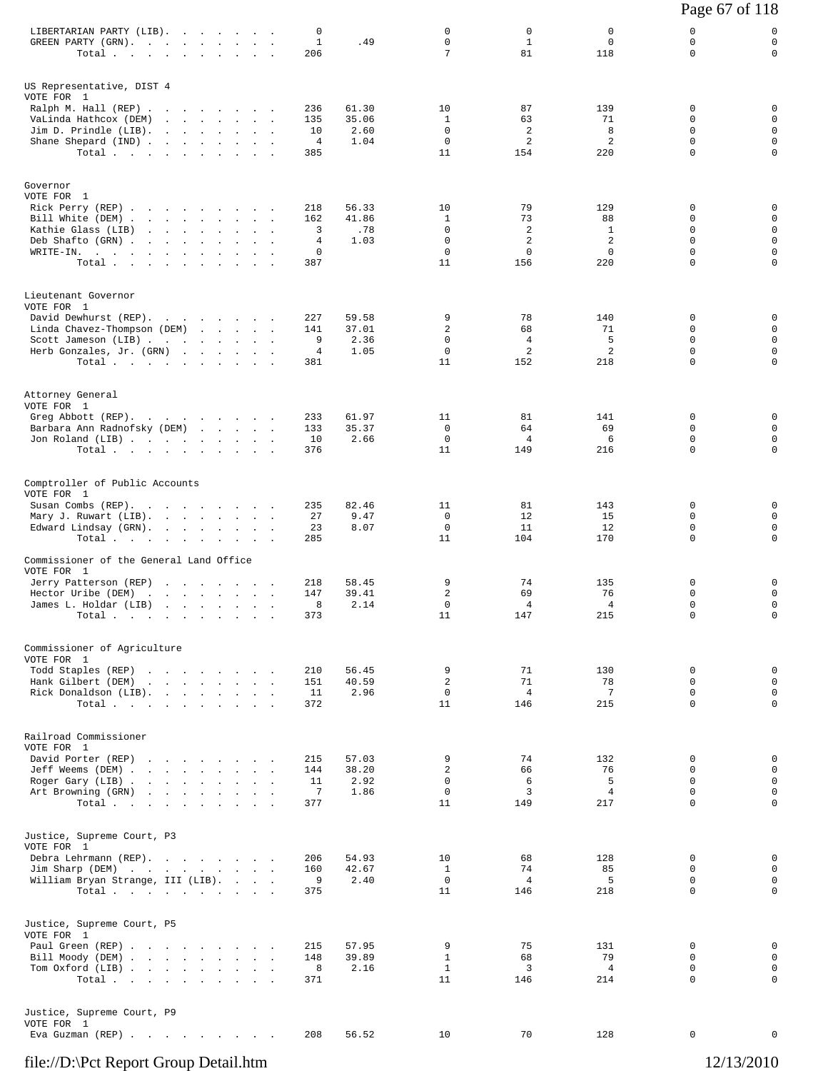|                                                                                                                                                       |                                                                                             |  |                            |                                  |                                |                                                            |                                                       |                                           | Page 67 of 118                                  |                                                                    |
|-------------------------------------------------------------------------------------------------------------------------------------------------------|---------------------------------------------------------------------------------------------|--|----------------------------|----------------------------------|--------------------------------|------------------------------------------------------------|-------------------------------------------------------|-------------------------------------------|-------------------------------------------------|--------------------------------------------------------------------|
| LIBERTARIAN PARTY (LIB).<br>GREEN PARTY (GRN).<br>Total                                                                                               |                                                                                             |  |                            | 0<br>$\mathbf{1}$<br>206         | .49                            | 0<br>$\mathbf 0$<br>7                                      | 0<br>$\mathbf{1}$<br>81                               | 0<br>$\mathbf 0$<br>118                   | 0<br>0<br>$\Omega$                              | 0<br>$\mathbf 0$<br>0                                              |
| US Representative, DIST 4<br>VOTE FOR 1<br>Ralph M. Hall (REP)<br>VaLinda Hathcox (DEM)<br>Jim D. Prindle (LIB).<br>Shane Shepard (IND)<br>Total      |                                                                                             |  |                            | 236<br>135<br>10<br>4<br>385     | 61.30<br>35.06<br>2.60<br>1.04 | 10<br>$\mathbf{1}$<br>$\mathbf 0$<br>$\mathbf 0$<br>11     | 87<br>63<br>2<br>2<br>154                             | 139<br>71<br>8<br>2<br>220                | 0<br>0<br>$\Omega$<br>$\mathbf 0$<br>$\Omega$   | 0<br>$\mathbf 0$<br>$\mathbf 0$<br>$\mathbf 0$<br>$\mathbf 0$      |
| Governor<br>VOTE FOR 1<br>Rick Perry (REP)<br>Bill White (DEM)<br>Kathie Glass (LIB)<br>Deb Shafto (GRN)<br>WRITE-IN.<br>Total                        |                                                                                             |  | $\mathcal{L}_{\rm{max}}$ . | 218<br>162<br>3<br>4<br>0<br>387 | 56.33<br>41.86<br>.78<br>1.03  | 10<br>1<br>$\mathbf 0$<br>$\mathbf 0$<br>$\mathbf 0$<br>11 | 79<br>73<br>2<br>$\overline{c}$<br>$\mathbf 0$<br>156 | 129<br>88<br>1<br>2<br>$\mathbf 0$<br>220 | 0<br>0<br>$\Omega$<br>$\Omega$<br>$\Omega$<br>0 | 0<br>$\mathbf 0$<br>$\mathsf 0$<br>$\mathbf 0$<br>$\mathsf 0$<br>0 |
| Lieutenant Governor<br>VOTE FOR 1<br>David Dewhurst (REP).<br>Linda Chavez-Thompson (DEM)<br>Scott Jameson (LIB)<br>Herb Gonzales, Jr. (GRN)<br>Total |                                                                                             |  |                            | 227<br>141<br>9<br>4<br>381      | 59.58<br>37.01<br>2.36<br>1.05 | 9<br>2<br>0<br>0<br>11                                     | 78<br>68<br>4<br>2<br>152                             | 140<br>71<br>5<br>2<br>218                | 0<br>$\Omega$<br>$\mathbf 0$<br>0<br>$\Omega$   | 0<br>$\mathbf 0$<br>$\mathbf 0$<br>$\mathsf{O}$<br>$\mathbf 0$     |
| Attorney General<br>VOTE FOR 1<br>Greg Abbott (REP).<br>Barbara Ann Radnofsky (DEM)<br>Jon Roland (LIB)<br>Total                                      |                                                                                             |  |                            | 233<br>133<br>10<br>376          | 61.97<br>35.37<br>2.66         | 11<br>$\mathbf 0$<br>0<br>11                               | 81<br>64<br>4<br>149                                  | 141<br>69<br>6<br>216                     | 0<br>$\Omega$<br>0<br>$\mathbf 0$               | 0<br>$\mathbf 0$<br>$\mathbf 0$<br>$\mathbf 0$                     |
| Comptroller of Public Accounts<br>VOTE FOR 1<br>Susan Combs (REP).<br>Mary J. Ruwart (LIB).<br>Edward Lindsay (GRN).<br>Total                         |                                                                                             |  | $\sim$                     | 235<br>27<br>23<br>285           | 82.46<br>9.47<br>8.07          | 11<br>0<br>$\mathbf 0$<br>11                               | 81<br>12<br>11<br>104                                 | 143<br>15<br>12<br>170                    | 0<br>$\Omega$<br>$\mathbf 0$<br>0               | 0<br>0<br>$\mathbf 0$<br>$\mathsf{O}$                              |
| Commissioner of the General Land Office<br>VOTE FOR 1<br>Jerry Patterson (REP)<br>Hector Uribe (DEM)<br>James L. Holdar (LIB)<br>Total                | the contract of the contract of the contract of<br>the contract of the contract of the con- |  |                            | 218<br>147<br>8<br>373           | 58.45<br>39.41<br>2.14         | 9<br>2<br>0<br>11                                          | 74<br>69<br>4<br>147                                  | 135<br>76<br>4<br>215                     | 0<br>$\mathbf 0$<br>$\Omega$<br>0               | 0<br>$\mathbf 0$<br>$\mathbf 0$<br>0                               |
| Commissioner of Agriculture<br>VOTE FOR 1<br>Todd Staples (REP)<br>Hank Gilbert (DEM)<br>Rick Donaldson (LIB).<br>Total.                              | the contract of the contract of the con-                                                    |  |                            | 210<br>151<br>11<br>372          | 56.45<br>40.59<br>2.96         | 9<br>2<br>$\mathbf 0$<br>11                                | 71<br>71<br>$\overline{4}$<br>146                     | 130<br>78<br>$7\phantom{.0}$<br>215       | 0<br>$\Omega$<br>0<br>0                         | 0<br>$\mathbf 0$<br>$\mathbf 0$<br>$\mathbf 0$                     |
| Railroad Commissioner<br>VOTE FOR 1<br>David Porter (REP)<br>Jeff Weems (DEM)<br>Roger Gary (LIB)<br>Art Browning (GRN)<br>Total                      | the contract of the contract of the contract of                                             |  |                            | 215<br>144<br>11<br>7<br>377     | 57.03<br>38.20<br>2.92<br>1.86 | 9<br>$\overline{c}$<br>$\mathbf 0$<br>$\mathbf 0$<br>11    | 74<br>66<br>6<br>3<br>149                             | 132<br>76<br>5<br>$\overline{4}$<br>217   | $\Omega$<br>0<br>0<br>$\Omega$<br>$\mathbf 0$   | 0<br>$\mathbf 0$<br>$\mathbf 0$<br>$\mathbf 0$<br>$\mathbf 0$      |
| Justice, Supreme Court, P3<br>VOTE FOR 1<br>Debra Lehrmann (REP).<br>Jim Sharp (DEM)<br>William Bryan Strange, III (LIB).<br>Total                    |                                                                                             |  |                            | 206<br>160<br>9<br>375           | 54.93<br>42.67<br>2.40         | 10<br>1<br>$\mathbf 0$<br>11                               | 68<br>74<br>4<br>146                                  | 128<br>85<br>5<br>218                     | 0<br>$\Omega$<br>$\mathbf 0$<br>$\Omega$        | 0<br>$\mathbf 0$<br>$\mathbf 0$<br>$\mathbf 0$                     |
| Justice, Supreme Court, P5<br>VOTE FOR 1<br>Paul Green (REP)<br>Bill Moody (DEM)<br>Tom Oxford (LIB)<br>Total.                                        |                                                                                             |  |                            | 215<br>148<br>8<br>371           | 57.95<br>39.89<br>2.16         | 9<br>$\mathbf{1}$<br>$\mathbf{1}$<br>11                    | 75<br>68<br>3<br>146                                  | 131<br>79<br>$\overline{4}$<br>214        | $\Omega$<br>0<br>0<br>$\mathbf 0$               | 0<br>$\mathbf 0$<br>0<br>$\mathbf 0$                               |
| Justice, Supreme Court, P9<br>VOTE FOR 1<br>Eva Guzman (REP)                                                                                          |                                                                                             |  |                            | 208                              | 56.52                          | 10                                                         | 70                                                    | 128                                       | 0                                               | 0                                                                  |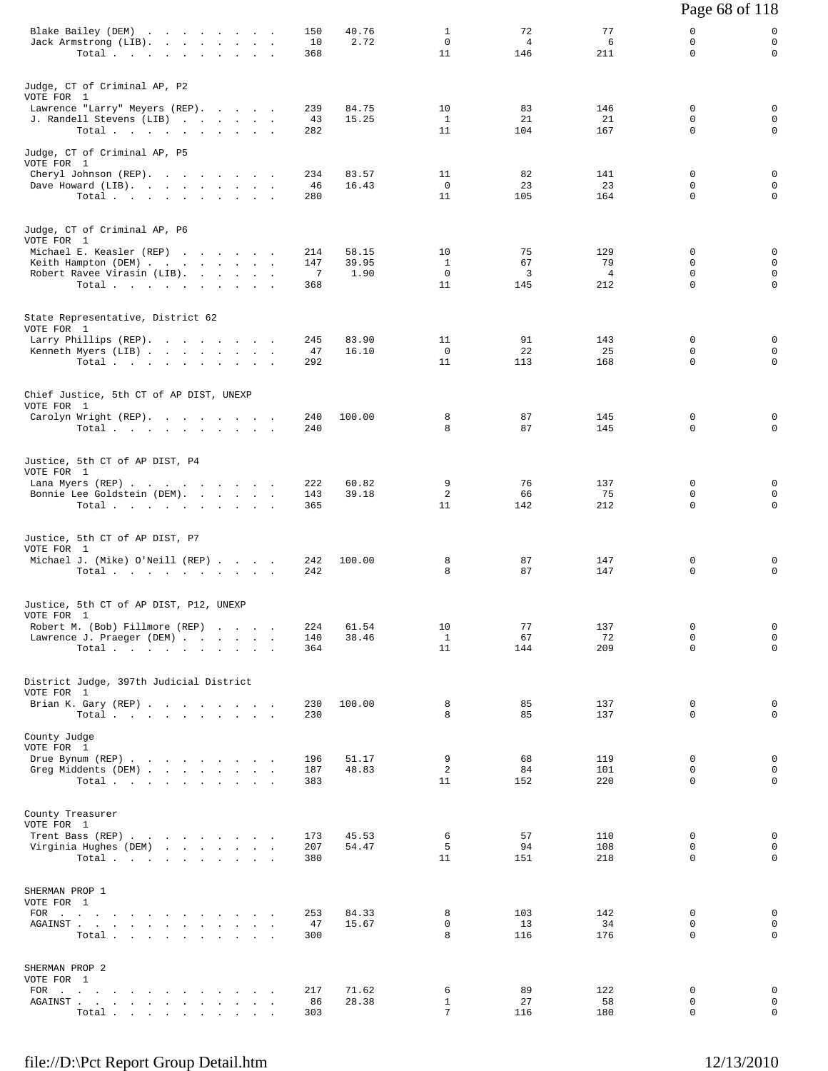|                                                                                                                                                                                                                                              |                  |                |                                   |                             |                | Page 68 of 118               |                              |
|----------------------------------------------------------------------------------------------------------------------------------------------------------------------------------------------------------------------------------------------|------------------|----------------|-----------------------------------|-----------------------------|----------------|------------------------------|------------------------------|
| Blake Bailey (DEM)<br>Jack Armstrong (LIB).<br>Total $\cdots$                                                                                                                                                                                | 150<br>10<br>368 | 40.76<br>2.72  | $\mathbf{1}$<br>$\mathbf 0$<br>11 | 72<br>$\overline{4}$<br>146 | 77<br>6<br>211 | 0<br>$\mathbf 0$<br>$\Omega$ | 0<br>$\mathbf 0$<br>0        |
| Judge, CT of Criminal AP, P2<br>VOTE FOR 1                                                                                                                                                                                                   |                  |                |                                   |                             |                |                              |                              |
| Lawrence "Larry" Meyers (REP).                                                                                                                                                                                                               | 239              | 84.75          | 10                                | 83                          | 146            | 0                            | 0                            |
| J. Randell Stevens (LIB)<br>Total                                                                                                                                                                                                            | 43<br>282        | 15.25          | 1<br>11                           | 21<br>104                   | 21<br>167      | 0<br>$\Omega$                | 0<br>0                       |
| Judge, CT of Criminal AP, P5<br>VOTE FOR 1                                                                                                                                                                                                   |                  |                |                                   |                             |                |                              |                              |
| Cheryl Johnson (REP).                                                                                                                                                                                                                        | 234              | 83.57          | 11                                | 82                          | 141            | $\mathbf 0$                  | $\mathbf 0$                  |
| Dave Howard (LIB).<br>Total                                                                                                                                                                                                                  | 46<br>280        | 16.43          | $\overline{0}$<br>11              | 23<br>105                   | 23<br>164      | 0<br>$\Omega$                | 0<br>$\mathbf 0$             |
| Judge, CT of Criminal AP, P6<br>VOTE FOR 1                                                                                                                                                                                                   |                  |                |                                   |                             |                |                              |                              |
| Michael E. Keasler (REP)<br>Keith Hampton (DEM)                                                                                                                                                                                              | 214<br>147       | 58.15<br>39.95 | 10<br>$\mathbf{1}$                | 75<br>67                    | 129<br>79      | $\mathbf 0$<br>$\mathbf 0$   | 0<br>$\mathbf 0$             |
| Robert Ravee Virasin (LIB).                                                                                                                                                                                                                  | 7                | 1.90           | $\mathbf{0}$                      | 3                           | $\overline{4}$ | 0                            | 0                            |
| Total $\cdots$                                                                                                                                                                                                                               | 368              |                | 11                                | 145                         | 212            | $\Omega$                     | $\Omega$                     |
| State Representative, District 62<br>VOTE FOR 1                                                                                                                                                                                              |                  |                |                                   |                             |                |                              |                              |
| Larry Phillips (REP).<br>Kenneth Myers (LIB)                                                                                                                                                                                                 | 245<br>47        | 83.90<br>16.10 | 11<br>$\overline{0}$              | 91<br>22                    | 143<br>25      | $\mathbf 0$<br>$\mathbf 0$   | 0<br>$\mathbf 0$             |
| Total.                                                                                                                                                                                                                                       | 292              |                | 11                                | 113                         | 168            | $\Omega$                     | 0                            |
| Chief Justice, 5th CT of AP DIST, UNEXP<br>VOTE FOR 1                                                                                                                                                                                        |                  |                |                                   |                             |                |                              |                              |
| Carolyn Wright (REP).                                                                                                                                                                                                                        | 240              | 100.00         | 8                                 | 87                          | 145            | 0                            | 0<br>$\Omega$                |
| Total $\cdots$ $\cdots$ $\cdots$ $\cdots$                                                                                                                                                                                                    | 240              |                | 8                                 | 87                          | 145            | 0                            |                              |
| Justice, 5th CT of AP DIST, P4<br>VOTE FOR 1<br>Lana Myers (REP)                                                                                                                                                                             | 222              | 60.82          | 9                                 | 76                          | 137            | 0                            | 0                            |
| Bonnie Lee Goldstein (DEM).<br>Total $\cdots$ $\cdots$ $\cdots$ $\cdots$                                                                                                                                                                     | 143<br>365       | 39.18          | $\overline{a}$<br>11              | 66<br>142                   | 75<br>212      | 0<br>0                       | $\mathbf 0$<br>0             |
| Justice, 5th CT of AP DIST, P7<br>VOTE FOR 1<br>Michael J. (Mike) O'Neill (REP)<br>Total $\cdots$ $\cdots$ $\cdots$ $\cdots$                                                                                                                 | 242<br>242       | 100.00         | 8<br>8                            | 87<br>87                    | 147<br>147     | 0<br>$\mathbf 0$             | 0<br>0                       |
|                                                                                                                                                                                                                                              |                  |                |                                   |                             |                |                              |                              |
| Justice, 5th CT of AP DIST, P12, UNEXP<br>VOTE FOR 1                                                                                                                                                                                         |                  |                |                                   |                             |                |                              |                              |
| Robert M. (Bob) Fillmore (REP)<br>Lawrence J. Praeger (DEM)                                                                                                                                                                                  | 224<br>140       | 61.54<br>38.46 | 10<br>$\mathbf{1}$                | 77<br>67                    | 137<br>72      | 0<br>$\Omega$                | 0<br>0                       |
| Total $\cdots$                                                                                                                                                                                                                               | 364              |                | 11                                | 144                         | 209            | 0                            | 0                            |
| District Judge, 397th Judicial District<br>VOTE FOR 1                                                                                                                                                                                        |                  |                |                                   |                             |                |                              |                              |
| Brian K. Gary (REP)<br>Total                                                                                                                                                                                                                 | 230<br>230       | 100.00         | 8<br>8                            | 85<br>85                    | 137<br>137     | 0<br>$\Omega$                | $\mathbf 0$<br>$\Omega$      |
| County Judge                                                                                                                                                                                                                                 |                  |                |                                   |                             |                |                              |                              |
| VOTE FOR 1<br>Drue Bynum (REP)                                                                                                                                                                                                               | 196              | 51.17          | 9                                 | 68                          | 119            | $\mathbf 0$                  | $\mathbf 0$                  |
| Greg Middents (DEM)<br>Total $\cdots$                                                                                                                                                                                                        | 187<br>383       | 48.83          | $\overline{a}$<br>11              | 84<br>152                   | 101<br>220     | $\mathbf 0$<br>$\Omega$      | $\mathbf 0$<br>$\mathbf 0$   |
|                                                                                                                                                                                                                                              |                  |                |                                   |                             |                |                              |                              |
| County Treasurer<br>VOTE FOR 1                                                                                                                                                                                                               |                  |                |                                   |                             |                |                              |                              |
| Trent Bass (REP)<br>Virginia Hughes (DEM)                                                                                                                                                                                                    | 173<br>207       | 45.53<br>54.47 | 6<br>5                            | 57<br>94                    | 110<br>108     | $\mathbf 0$<br>$\mathbf 0$   | 0<br>$\mathbf 0$             |
| Total.                                                                                                                                                                                                                                       | 380              |                | 11                                | 151                         | 218            | 0                            | 0                            |
| SHERMAN PROP 1                                                                                                                                                                                                                               |                  |                |                                   |                             |                |                              |                              |
| VOTE FOR 1<br>FOR $\cdots$                                                                                                                                                                                                                   | 253              | 84.33          | 8                                 | 103                         | 142            | $\mathbf 0$                  | $\mathbf{0}$                 |
| ${\tt AGAINST} \hspace{0.1in} . \hspace{0.1in} . \hspace{0.1in} . \hspace{0.1in} . \hspace{0.1in} . \hspace{0.1in} . \hspace{0.1in} . \hspace{0.1in} . \hspace{0.1in} . \hspace{0.1in} . \hspace{0.1in} . \hspace{0.1in} . \hspace{0.1in} .$ | 47               | 15.67          | $\mathbf 0$                       | 13                          | 34             | 0                            | $\mathsf{O}$                 |
| Total $\cdots$                                                                                                                                                                                                                               | 300              |                | 8                                 | 116                         | 176            | $\Omega$                     | $\mathbf 0$                  |
| SHERMAN PROP 2                                                                                                                                                                                                                               |                  |                |                                   |                             |                |                              |                              |
| VOTE FOR 1<br>FOR $\cdots$                                                                                                                                                                                                                   | 217              | 71.62          | 6                                 | 89                          | 122            | 0                            | $\mathbf 0$                  |
| AGAINST<br>$\ddot{\phantom{a}}$<br>$\cdot$<br>$\blacksquare$<br>Total                                                                                                                                                                        | 86<br>303        | 28.38          | $\mathbf{1}$<br>$7\overline{ }$   | 27<br>116                   | 58<br>180      | 0<br>0                       | $\mathsf{O}$<br>$\mathbf{0}$ |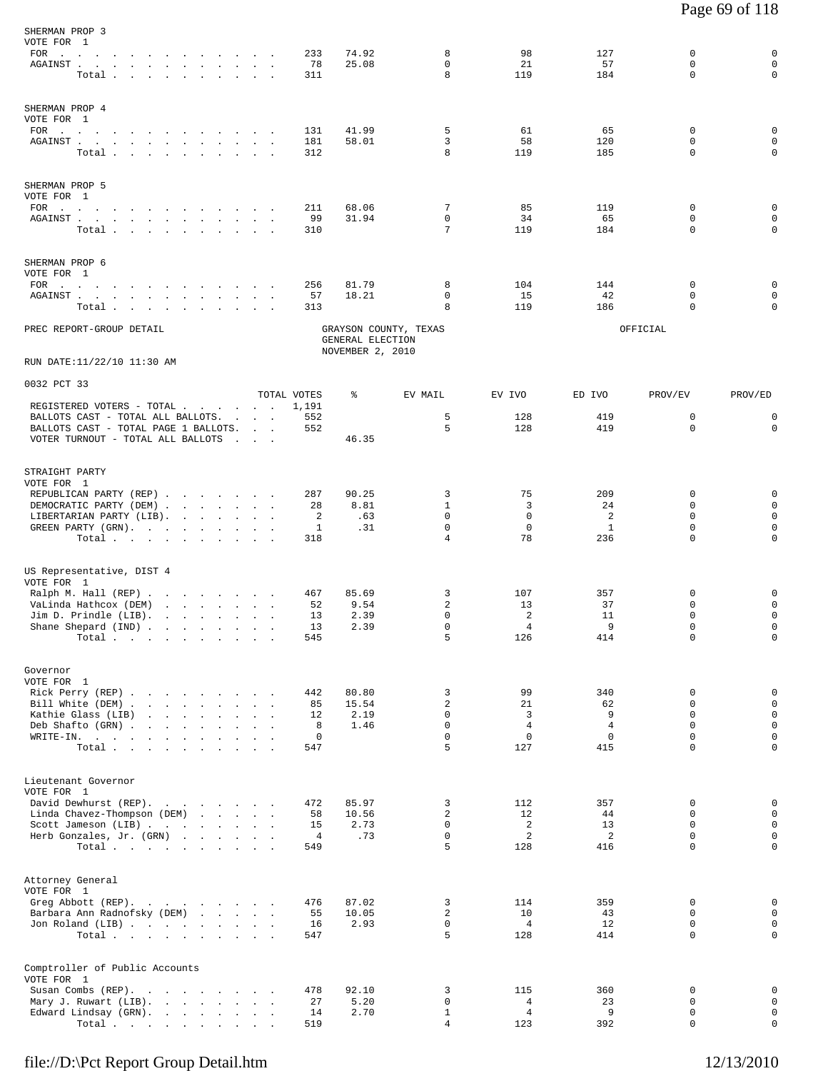| SHERMAN PROP 3<br>VOTE FOR 1                                                                                                                                                                                                                                                                                     |                                                                     |                                       |                                          |                                      |                                                         |                                             |                                                        |                                                           |                                                                                         |
|------------------------------------------------------------------------------------------------------------------------------------------------------------------------------------------------------------------------------------------------------------------------------------------------------------------|---------------------------------------------------------------------|---------------------------------------|------------------------------------------|--------------------------------------|---------------------------------------------------------|---------------------------------------------|--------------------------------------------------------|-----------------------------------------------------------|-----------------------------------------------------------------------------------------|
| FOR<br>the contract of the contract of the contract of<br>AGAINST<br>Total .<br>the company of the company of the company of                                                                                                                                                                                     |                                                                     |                                       | 233<br>78<br>311                         | 74.92<br>25.08                       | 8<br>$\mathbf 0$<br>8                                   | 98<br>21<br>119                             | 127<br>57<br>184                                       | 0<br>$\mathbf 0$<br>$\mathbf 0$                           | $\mathbf 0$<br>$\mathbf 0$<br>$\mathbf 0$                                               |
| SHERMAN PROP 4<br>VOTE FOR 1<br>FOR<br>${\tt AGAINST} \hspace{1.5cm} . \hspace{1.5cm} . \hspace{1.5cm} . \hspace{1.5cm} . \hspace{1.5cm} . \hspace{1.5cm} . \hspace{1.5cm} . \hspace{1.5cm} . \hspace{1.5cm} . \hspace{1.5cm} . \hspace{1.5cm} . \hspace{1.5cm} .$<br>Total                                      |                                                                     |                                       | 131<br>181<br>312                        | 41.99<br>58.01                       | 5<br>3<br>8                                             | 61<br>58<br>119                             | 65<br>120<br>185                                       | 0<br>0<br>$\mathbf 0$                                     | $\mathbf 0$<br>0<br>$\mathbf 0$                                                         |
| SHERMAN PROP 5<br>VOTE FOR 1<br>${\tt AGAINST} \hspace{1.5cm} . \hspace{1.5cm} . \hspace{1.5cm} . \hspace{1.5cm} . \hspace{1.5cm} . \hspace{1.5cm} . \hspace{1.5cm} . \hspace{1.5cm} . \hspace{1.5cm} . \hspace{1.5cm} . \hspace{1.5cm} . \hspace{1.5cm} . \hspace{1.5cm} .$<br>Total $\cdots$ $\cdots$ $\cdots$ |                                                                     |                                       | 211<br>99<br>310                         | 68.06<br>31.94                       | 7<br>$\mathbf 0$<br>7                                   | 85<br>34<br>119                             | 119<br>65<br>184                                       | 0<br>0<br>$\Omega$                                        | $\mathbf 0$<br>$\mathbf 0$<br>$\mathbf 0$                                               |
| SHERMAN PROP 6<br>VOTE FOR 1<br>FOR $\qquad \qquad \ldots \qquad \qquad \ldots \qquad \qquad \ldots \qquad \ldots \qquad \ldots$<br>AGAINST<br>Total                                                                                                                                                             |                                                                     | $\sim$                                | 256<br>57<br>313                         | 81.79<br>18.21                       | 8<br>$\mathbf 0$<br>8                                   | 104<br>15<br>119                            | 144<br>42<br>186                                       | 0<br>0<br>0                                               | $\mathbf 0$<br>0<br>$\mathbf 0$                                                         |
| PREC REPORT-GROUP DETAIL                                                                                                                                                                                                                                                                                         |                                                                     |                                       |                                          | GENERAL ELECTION<br>NOVEMBER 2, 2010 | GRAYSON COUNTY, TEXAS                                   |                                             |                                                        | OFFICIAL                                                  |                                                                                         |
| RUN DATE:11/22/10 11:30 AM<br>0032 PCT 33<br>REGISTERED VOTERS - TOTAL<br>BALLOTS CAST - TOTAL ALL BALLOTS.                                                                                                                                                                                                      |                                                                     | TOTAL VOTES<br>and the control of the | 1,191<br>552                             | ႜ                                    | EV MAIL<br>5                                            | EV IVO<br>128                               | ED IVO<br>419                                          | PROV/EV<br>0                                              | PROV/ED<br>$\mathbf 0$                                                                  |
| BALLOTS CAST - TOTAL PAGE 1 BALLOTS.<br>VOTER TURNOUT - TOTAL ALL BALLOTS                                                                                                                                                                                                                                        |                                                                     | <b>Contract Contract</b>              | 552                                      | 46.35                                | 5                                                       | 128                                         | 419                                                    | $\mathbf 0$                                               | 0                                                                                       |
| STRAIGHT PARTY<br>VOTE FOR 1<br>REPUBLICAN PARTY (REP)<br>DEMOCRATIC PARTY (DEM)<br>LIBERTARIAN PARTY (LIB).<br>GREEN PARTY (GRN).<br>Total.                                                                                                                                                                     |                                                                     |                                       | 287<br>28<br>2<br>1<br>318               | 90.25<br>8.81<br>.63<br>.31          | 3<br>$\mathbf{1}$<br>$\mathbf 0$<br>0<br>$\overline{4}$ | 75<br>3<br>$\mathbf 0$<br>$\mathbf 0$<br>78 | 209<br>24<br>2<br>1<br>236                             | 0<br>$\Omega$<br>0<br>0<br>$\mathbf 0$                    | $\mathbf 0$<br>0<br>$\mathbf 0$<br>$\mathbf 0$<br>$\mathbf 0$                           |
| US Representative, DIST 4<br>VOTE FOR 1<br>Ralph M. Hall (REP)<br>VaLinda Hathcox (DEM)<br>Jim D. Prindle (LIB).<br>Shane Shepard (IND)<br>Total                                                                                                                                                                 | and the contract of the state of<br>the contract of the contract of |                                       | 467<br>52<br>13<br>13<br>545             | 85.69<br>9.54<br>2.39<br>2.39        | 3<br>2<br>$\mathbf 0$<br>$\Omega$<br>5                  | 107<br>13<br>2<br>4<br>126                  | 357<br>37<br>11<br>9<br>414                            | 0<br>$\Omega$<br>0<br>$\Omega$<br>0                       | 0<br>0<br>$\mathbf 0$<br>$\Omega$<br>$\mathbf 0$                                        |
| Governor<br>VOTE FOR 1<br>Rick Perry (REP)<br>Bill White (DEM)<br>Kathie Glass (LIB)<br>Deb Shafto (GRN)<br>WRITE-IN.<br>the contract of the contract of the contract of<br>Total                                                                                                                                |                                                                     |                                       | 442<br>85<br>12<br>8<br>0<br>547         | 80.80<br>15.54<br>2.19<br>1.46       | 3<br>2<br>$\mathbf 0$<br>$\mathbf 0$<br>0<br>5          | 99<br>21<br>3<br>4<br>$\mathsf 0$<br>127    | 340<br>62<br>9<br>$\overline{4}$<br>$\mathsf 0$<br>415 | 0<br>0<br>$\mathbf 0$<br>$\Omega$<br>$\Omega$<br>$\Omega$ | $\mathsf 0$<br>$\mathsf 0$<br>$\mathbf 0$<br>$\mathsf 0$<br>$\mathsf 0$<br>$\mathbf{0}$ |
| Lieutenant Governor<br>VOTE FOR 1<br>David Dewhurst (REP).<br>Linda Chavez-Thompson (DEM)<br>Scott Jameson (LIB)<br>Herb Gonzales, Jr. (GRN)<br>Total                                                                                                                                                            |                                                                     |                                       | 472<br>58<br>15<br>$\overline{4}$<br>549 | 85.97<br>10.56<br>2.73<br>.73        | 3<br>$\overline{a}$<br>$\mathbf 0$<br>$\mathsf{O}$<br>5 | 112<br>12<br>2<br>2<br>128                  | 357<br>44<br>13<br>2<br>416                            | 0<br>$\Omega$<br>$\mathbf 0$<br>$\mathbf 0$<br>$\Omega$   | $\mathsf 0$<br>$\mathbf 0$<br>$\mathbf 0$<br>$\mathbf 0$<br>$\mathbf 0$                 |
| Attorney General<br>VOTE FOR 1<br>Greg Abbott (REP).<br>Barbara Ann Radnofsky (DEM)<br>Jon Roland (LIB)<br>Total.                                                                                                                                                                                                |                                                                     |                                       | 476<br>55<br>16<br>547                   | 87.02<br>10.05<br>2.93               | 3<br>2<br>$\mathbf 0$<br>5                              | 114<br>10<br>$\overline{4}$<br>128          | 359<br>43<br>12<br>414                                 | 0<br>0<br>$\mathbf 0$<br>$\Omega$                         | $\mathsf 0$<br>$\mathsf 0$<br>$\mathbf{0}$<br>$\mathbf 0$                               |
| Comptroller of Public Accounts<br>VOTE FOR 1<br>Susan Combs (REP).<br>Mary J. Ruwart (LIB).<br>Edward Lindsay (GRN).<br>Total                                                                                                                                                                                    |                                                                     |                                       | 478<br>27<br>14<br>519                   | 92.10<br>5.20<br>2.70                | 3<br>$\mathbf 0$<br>$\mathbf{1}$<br>$\overline{4}$      | 115<br>4<br>$\overline{4}$<br>123           | 360<br>23<br>9<br>392                                  | 0<br>$\mathbf 0$<br>0<br>$\mathbf 0$                      | $\mathbf 0$<br>$\mathsf 0$<br>$\mathsf 0$<br>$\mathbf{0}$                               |

Page 69 of 118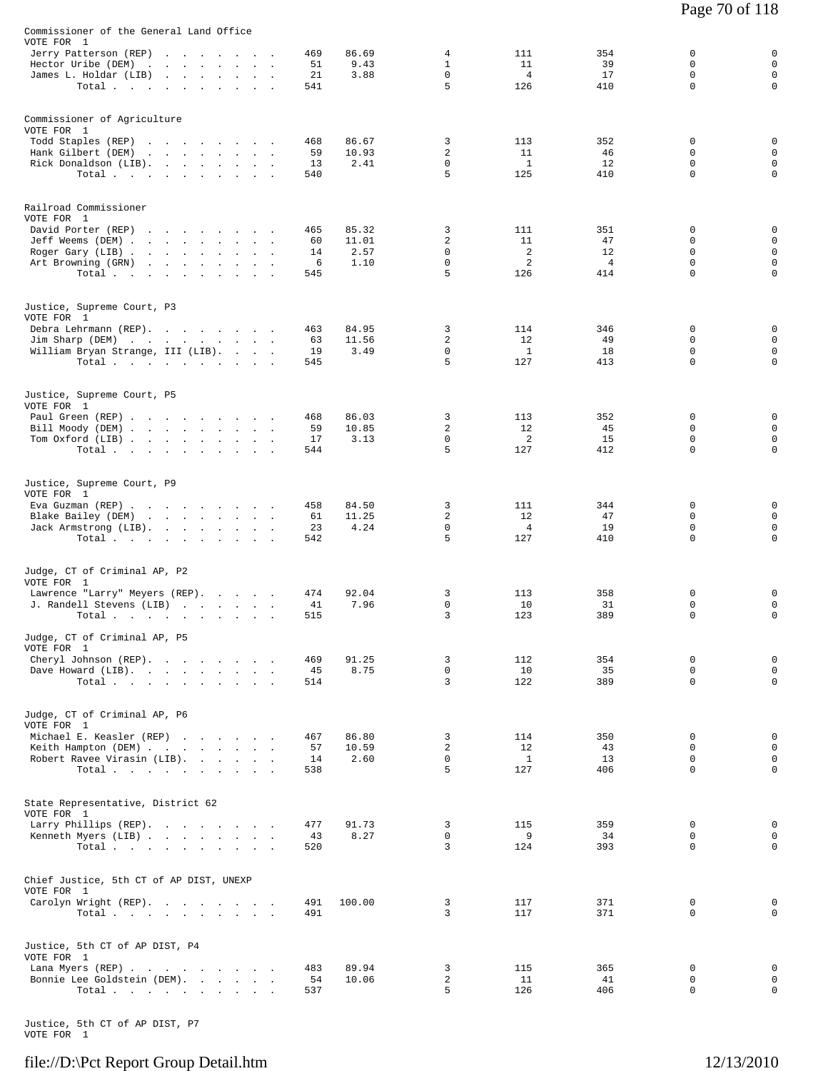| Commissioner of the General Land Office                   |                                                                                 |  |           |                |                               |                       |                      |                             |                            |
|-----------------------------------------------------------|---------------------------------------------------------------------------------|--|-----------|----------------|-------------------------------|-----------------------|----------------------|-----------------------------|----------------------------|
| VOTE FOR 1<br>Jerry Patterson (REP)                       |                                                                                 |  | 469       | 86.69          | 4                             | 111                   | 354                  | 0                           | 0                          |
| Hector Uribe (DEM)                                        | the contract of the contract of the                                             |  | 51        | 9.43           | $\mathbf{1}$                  | 11                    | 39                   | $\Omega$                    | $\mathbf 0$                |
| James L. Holdar (LIB)                                     | and the state of the state of the state of                                      |  | 21        | 3.88           | $\mathbf 0$                   | $\overline{4}$        | 17                   | $\mathbf 0$                 | $\mathsf 0$                |
| Total                                                     |                                                                                 |  | 541       |                | 5                             | 126                   | 410                  | $\Omega$                    | $\mathbf 0$                |
| Commissioner of Agriculture                               |                                                                                 |  |           |                |                               |                       |                      |                             |                            |
| VOTE FOR 1<br>Todd Staples (REP)                          | the contract of the contract of the con-                                        |  | 468       | 86.67          | 3                             | 113                   | 352                  | 0                           | 0                          |
| Hank Gilbert (DEM)                                        | the contract of the contract of the                                             |  | 59        | 10.93          | $\overline{c}$                | 11                    | 46                   | $\Omega$                    | $\mathbf 0$                |
| Rick Donaldson (LIB).                                     |                                                                                 |  | 13        | 2.41           | $\mathbf 0$                   | $\mathbf{1}$          | 12                   | 0                           | $\mathbf 0$                |
| Total                                                     |                                                                                 |  | 540       |                | 5                             | 125                   | 410                  | $\mathbf 0$                 | $\mathbf 0$                |
| Railroad Commissioner                                     |                                                                                 |  |           |                |                               |                       |                      |                             |                            |
| VOTE FOR 1<br>David Porter (REP)                          |                                                                                 |  | 465       | 85.32          | 3                             | 111                   | 351                  | 0                           | 0                          |
| Jeff Weems (DEM)                                          |                                                                                 |  | 60        | 11.01          | $\overline{c}$                | 11                    | 47                   | $\Omega$                    | $\mathbf 0$                |
| Roger Gary (LIB)                                          |                                                                                 |  | 14<br>6   | 2.57<br>1.10   | $\mathbf 0$<br>0              | 2<br>2                | 12<br>$\overline{4}$ | 0<br>$\Omega$               | $\mathbf 0$<br>$\mathbf 0$ |
| Art Browning (GRN)<br>Total.                              | the contract of the contract of the contract of the contract of the contract of |  | 545       |                | 5                             | 126                   | 414                  | $\mathbf 0$                 | $\mathbf 0$                |
| Justice, Supreme Court, P3                                |                                                                                 |  |           |                |                               |                       |                      |                             |                            |
| VOTE FOR 1                                                |                                                                                 |  |           |                |                               |                       |                      |                             |                            |
| Debra Lehrmann (REP).                                     |                                                                                 |  | 463       | 84.95          | 3                             | 114                   | 346                  | 0                           | 0                          |
| Jim Sharp (DEM)                                           |                                                                                 |  | 63<br>19  | 11.56<br>3.49  | $\overline{c}$<br>$\mathbf 0$ | 12<br>$\mathbf{1}$    | 49<br>18             | $\Omega$<br>$\mathbf 0$     | $\mathbf 0$<br>$\mathbf 0$ |
| William Bryan Strange, III (LIB).<br>Total                |                                                                                 |  | 545       |                | 5                             | 127                   | 413                  | $\Omega$                    | $\mathbf 0$                |
|                                                           |                                                                                 |  |           |                |                               |                       |                      |                             |                            |
| Justice, Supreme Court, P5<br>VOTE FOR 1                  |                                                                                 |  |           |                |                               |                       |                      |                             |                            |
| Paul Green (REP)                                          |                                                                                 |  | 468       | 86.03          | 3                             | 113                   | 352                  | $\Omega$                    | 0                          |
| Bill Moody (DEM)                                          |                                                                                 |  | 59        | 10.85          | $\overline{c}$                | 12                    | 45                   | $\Omega$                    | $\mathbf 0$                |
| Tom Oxford (LIB)<br>Total                                 |                                                                                 |  | 17<br>544 | 3.13           | 0<br>5                        | 2<br>127              | 15<br>412            | 0<br>$\Omega$               | $\mathbf 0$<br>$\mathbf 0$ |
|                                                           |                                                                                 |  |           |                |                               |                       |                      |                             |                            |
| Justice, Supreme Court, P9<br>VOTE FOR 1                  |                                                                                 |  |           |                |                               |                       |                      |                             |                            |
| Eva Guzman (REP)                                          |                                                                                 |  | 458       | 84.50          | 3                             | 111                   | 344                  | 0                           | 0                          |
| Blake Bailey (DEM)                                        |                                                                                 |  | 61        | 11.25          | 2                             | 12                    | 47                   | 0                           | $\mathbf 0$                |
| Jack Armstrong (LIB).<br>Total $\cdots$ $\cdots$ $\cdots$ |                                                                                 |  | 23<br>542 | 4.24           | $\mathbf 0$<br>5              | $\overline{4}$<br>127 | 19<br>410            | $\mathbf 0$<br>$\Omega$     | $\mathbf 0$<br>$\Omega$    |
|                                                           |                                                                                 |  |           |                |                               |                       |                      |                             |                            |
| Judge, CT of Criminal AP, P2<br>VOTE FOR 1                |                                                                                 |  |           |                |                               |                       |                      |                             |                            |
| Lawrence "Larry" Meyers (REP).                            |                                                                                 |  | 474       | 92.04          | 3                             | 113                   | 358                  | 0                           | 0                          |
| J. Randell Stevens (LIB)                                  |                                                                                 |  | 41        | 7.96           | 0                             | 10                    | 31                   | 0                           | $\mathbf 0$                |
| Total                                                     |                                                                                 |  | 515       |                | 3                             | 123                   | 389                  | $\Omega$                    | $\mathbf 0$                |
| Judge, CT of Criminal AP, P5<br>VOTE FOR 1                |                                                                                 |  |           |                |                               |                       |                      |                             |                            |
| Cheryl Johnson (REP).                                     |                                                                                 |  | 469       | 91.25          | 3                             | 112                   | 354                  | 0                           | $\mathbf 0$                |
| Dave Howard (LIB).<br>Total $\cdots$                      |                                                                                 |  | 45<br>514 | 8.75           | $\mathsf{O}$<br>3             | 10<br>122             | 35<br>389            | $\mathbf 0$<br>$\Omega$     | $\mathbf 0$<br>$\mathbf 0$ |
|                                                           |                                                                                 |  |           |                |                               |                       |                      |                             |                            |
| Judge, CT of Criminal AP, P6<br>VOTE FOR 1                |                                                                                 |  |           |                |                               |                       |                      |                             |                            |
| Michael E. Keasler (REP)                                  |                                                                                 |  | 467       | 86.80          | 3                             | 114                   | 350                  | $\mathbf 0$                 | $\mathbf 0$                |
| Keith Hampton (DEM)<br>Robert Ravee Virasin (LIB).        |                                                                                 |  | 57<br>14  | 10.59<br>2.60  | 2<br>$\mathbf 0$              | 12<br>$\mathbf{1}$    | 43<br>13             | 0<br>0                      | $\mathbf 0$<br>$\mathbf 0$ |
| Total                                                     |                                                                                 |  | 538       |                | 5                             | 127                   | 406                  | $\Omega$                    | $\mathbf 0$                |
| State Representative, District 62                         |                                                                                 |  |           |                |                               |                       |                      |                             |                            |
| VOTE FOR 1                                                |                                                                                 |  |           |                |                               |                       |                      |                             |                            |
| Larry Phillips (REP).                                     |                                                                                 |  | 477       | 91.73          | 3                             | 115                   | 359                  | 0                           | 0                          |
| Kenneth Myers (LIB)<br>Total                              |                                                                                 |  | 43<br>520 | 8.27           | $\mathbf 0$<br>3              | 9<br>124              | 34<br>393            | 0<br>$\Omega$               | $\mathbf 0$<br>$\mathbf 0$ |
|                                                           |                                                                                 |  |           |                |                               |                       |                      |                             |                            |
| Chief Justice, 5th CT of AP DIST, UNEXP<br>VOTE FOR 1     |                                                                                 |  |           |                |                               |                       |                      |                             |                            |
| Carolyn Wright (REP).                                     |                                                                                 |  | 491       | 100.00         | 3                             | 117                   | 371                  | $\mathbf 0$                 | 0                          |
| Total $\cdots$ $\cdots$ $\cdots$ $\cdots$                 |                                                                                 |  | 491       |                | 3                             | 117                   | 371                  | $\Omega$                    | $\mathbf 0$                |
| Justice, 5th CT of AP DIST, P4                            |                                                                                 |  |           |                |                               |                       |                      |                             |                            |
| VOTE FOR 1                                                |                                                                                 |  |           |                |                               |                       |                      |                             |                            |
| Lana Myers (REP)<br>Bonnie Lee Goldstein (DEM).           |                                                                                 |  | 483<br>54 | 89.94<br>10.06 | 3<br>2                        | 115<br>11             | 365<br>41            | $\mathbf 0$<br>$\mathsf{O}$ | 0<br>$\mathbf 0$           |
| Total                                                     |                                                                                 |  | 537       |                | 5                             | 126                   | 406                  | 0                           | $\mathsf{O}$               |
|                                                           |                                                                                 |  |           |                |                               |                       |                      |                             |                            |

Justice, 5th CT of AP DIST, P7 VOTE FOR 1

#### file://D:\Pct Report Group Detail.htm 12/13/2010

Page 70 of 118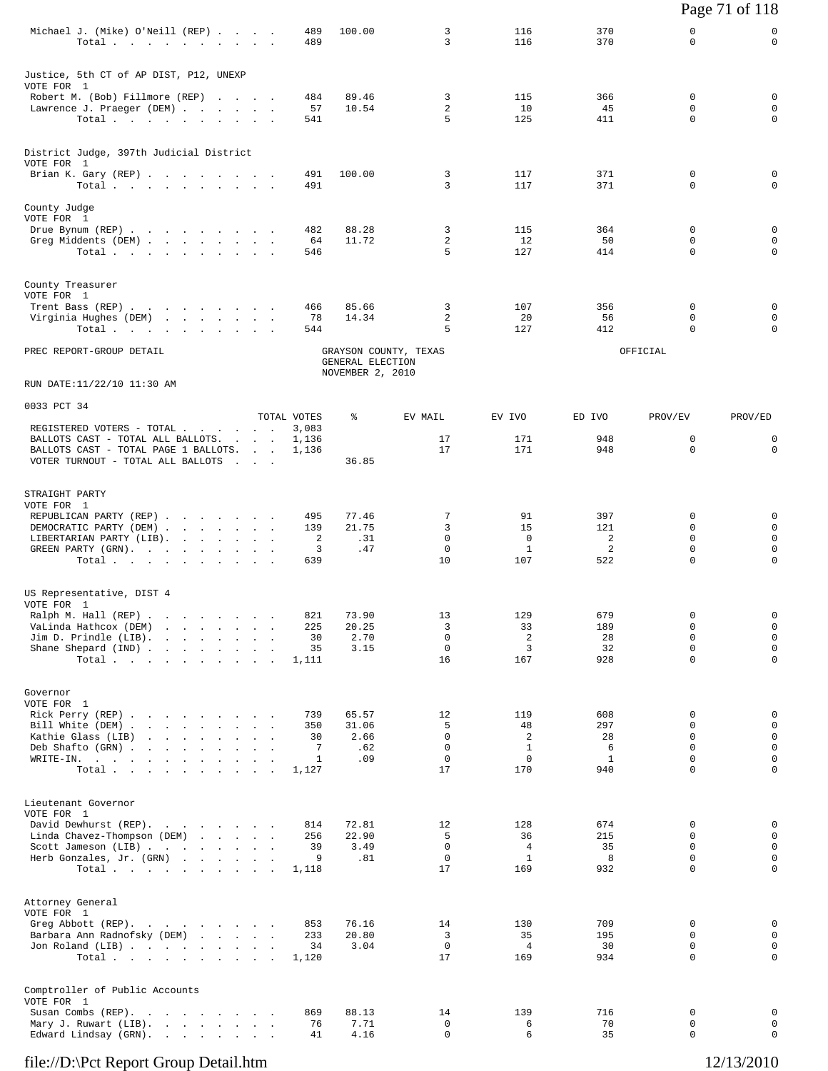|                                                                                                                          |  |  |                               |                                           |                            |                                   |                  |                            | Page 71 of 118                            |
|--------------------------------------------------------------------------------------------------------------------------|--|--|-------------------------------|-------------------------------------------|----------------------------|-----------------------------------|------------------|----------------------------|-------------------------------------------|
| Michael J. (Mike) O'Neill (REP)<br>Total                                                                                 |  |  | 489<br>489                    | 100.00                                    | 3<br>3                     | 116<br>116                        | 370<br>370       | 0<br>$\mathbf 0$           | 0<br>$\mathbf 0$                          |
| Justice, 5th CT of AP DIST, P12, UNEXP                                                                                   |  |  |                               |                                           |                            |                                   |                  |                            |                                           |
| VOTE FOR 1<br>Robert M. (Bob) Fillmore (REP)<br>Lawrence J. Praeger (DEM)<br>Total.                                      |  |  | 484<br>57<br>541              | 89.46<br>10.54                            | 3<br>2<br>5                | 115<br>10<br>125                  | 366<br>45<br>411 | 0<br>0<br>$\mathbf 0$      | $\mathbf 0$<br>$\mathbf 0$<br>$\mathbf 0$ |
| District Judge, 397th Judicial District                                                                                  |  |  |                               |                                           |                            |                                   |                  |                            |                                           |
| VOTE FOR 1<br>Brian K. Gary (REP)<br>Total.                                                                              |  |  | 491<br>491                    | 100.00                                    | 3<br>3                     | 117<br>117                        | 371<br>371       | 0<br>0                     | 0<br>$\mathbf 0$                          |
| County Judge                                                                                                             |  |  |                               |                                           |                            |                                   |                  |                            |                                           |
| VOTE FOR 1<br>Drue Bynum (REP)<br>Greg Middents (DEM)<br>Total                                                           |  |  | 482<br>64<br>546              | 88.28<br>11.72                            | 3<br>$\overline{a}$<br>5   | 115<br>12<br>127                  | 364<br>50<br>414 | 0<br>0<br>$\Omega$         | 0<br>$\mathbf 0$<br>$\mathbf 0$           |
| County Treasurer                                                                                                         |  |  |                               |                                           |                            |                                   |                  |                            |                                           |
| VOTE FOR 1<br>Trent Bass (REP)<br>Virginia Hughes (DEM)<br>Total.                                                        |  |  | 466<br>78<br>544              | 85.66<br>14.34                            | 3<br>2<br>5                | 107<br>20<br>127                  | 356<br>56<br>412 | 0<br>0<br>$\Omega$         | 0<br>$\mathbf 0$<br>$\mathbf 0$           |
| PREC REPORT-GROUP DETAIL                                                                                                 |  |  |                               | GRAYSON COUNTY, TEXAS<br>GENERAL ELECTION |                            |                                   |                  | OFFICIAL                   |                                           |
| RUN DATE:11/22/10 11:30 AM                                                                                               |  |  |                               | NOVEMBER 2, 2010                          |                            |                                   |                  |                            |                                           |
| 0033 PCT 34                                                                                                              |  |  |                               |                                           |                            |                                   |                  |                            |                                           |
| REGISTERED VOTERS - TOTAL<br>BALLOTS CAST - TOTAL ALL BALLOTS.                                                           |  |  | TOTAL VOTES<br>3,083<br>1,136 | ႜ                                         | EV MAIL<br>17              | EV IVO<br>171                     | ED IVO<br>948    | PROV/EV<br>0               | PROV/ED<br>0                              |
| BALLOTS CAST - TOTAL PAGE 1 BALLOTS.<br>VOTER TURNOUT - TOTAL ALL BALLOTS                                                |  |  | 1,136                         | 36.85                                     | 17                         | 171                               | 948              | $\mathbf 0$                | $\mathbf 0$                               |
| STRAIGHT PARTY                                                                                                           |  |  |                               |                                           |                            |                                   |                  |                            |                                           |
| VOTE FOR 1<br>REPUBLICAN PARTY (REP)                                                                                     |  |  | 495                           | 77.46                                     | 7                          | 91                                | 397              | 0                          | 0                                         |
| DEMOCRATIC PARTY (DEM)<br>LIBERTARIAN PARTY (LIB).<br>GREEN PARTY (GRN), , , , , , , , ,                                 |  |  | 139<br>2<br>3                 | 21.75<br>.31<br>.47                       | 3<br>0<br>$\mathbf 0$      | 15<br>$\mathbf 0$<br>$\mathbf{1}$ | 121<br>2<br>2    | 0<br>0<br>$\mathbf 0$      | $\mathbf 0$<br>$\mathbf 0$<br>$\mathbf 0$ |
| Total.                                                                                                                   |  |  | 639                           |                                           | 10                         | 107                               | 522              | $\Omega$                   | $\Omega$                                  |
| US Representative, DIST 4<br>VOTE FOR 1                                                                                  |  |  |                               |                                           |                            |                                   |                  |                            |                                           |
| Ralph M. Hall (REP) .<br>and the contract of the contract of<br>VaLinda Hathcox (DEM)<br>and a strain and a strain and a |  |  | 821<br>225                    | 73.90<br>20.25                            | 13<br>3                    | 129<br>33                         | 679<br>189       | $\mathsf 0$<br>$\mathbf 0$ | $\mathbf 0$<br>$\mathbf{0}$               |
| Jim D. Prindle (LIB).<br>and a state of the state of the state of<br>Shane Shepard (IND)                                 |  |  | 30<br>35                      | 2.70<br>3.15                              | 0<br>$\mathbf 0$           | $\overline{2}$<br>3               | 28<br>32         | $\Omega$<br>$\mathbf 0$    | $\mathbf 0$<br>$\mathbf 0$                |
| Total                                                                                                                    |  |  | 1,111                         |                                           | 16                         | 167                               | 928              | $\Omega$                   | $\mathbf 0$                               |
| Governor<br>VOTE FOR 1                                                                                                   |  |  |                               |                                           |                            |                                   |                  |                            |                                           |
| Rick Perry (REP)<br>Bill White (DEM)                                                                                     |  |  | 739<br>350                    | 65.57<br>31.06                            | 12<br>5                    | 119<br>48                         | 608<br>297       | 0<br>$\mathbf 0$           | $\mathbf 0$<br>$\mathbf 0$                |
| Kathie Glass (LIB)<br>Deb Shafto (GRN)                                                                                   |  |  | 30<br>7                       | 2.66<br>.62                               | $\mathbf 0$<br>$\mathbf 0$ | 2<br>$\mathbf{1}$                 | 28<br>6          | 0<br>$\mathbf 0$           | $\mathbf 0$<br>$\mathbf 0$                |
| WRITE-IN.<br>Total $\cdots$ $\cdots$ $\cdots$                                                                            |  |  | $\mathbf{1}$<br>1,127         | .09                                       | $\mathbf 0$<br>17          | $\mathbf 0$<br>170                | 1<br>940         | $\Omega$<br>$\mathbf 0$    | $\mathbf 0$<br>$\mathbf 0$                |
| Lieutenant Governor                                                                                                      |  |  |                               |                                           |                            |                                   |                  |                            |                                           |
| VOTE FOR 1<br>David Dewhurst (REP).                                                                                      |  |  | 814                           | 72.81                                     | 12<br>5                    | 128<br>36                         | 674<br>215       | 0<br>0                     | $\mathbf 0$<br>$\mathbf 0$                |
| Linda Chavez-Thompson (DEM)<br>Scott Jameson (LIB)                                                                       |  |  | 256<br>39                     | 22.90<br>3.49                             | $\mathbf 0$<br>0           | $\overline{4}$<br>1               | 35<br>8          | $\mathbf 0$<br>$\mathbf 0$ | $\mathbf 0$<br>$\mathbf 0$                |
| Herb Gonzales, Jr. (GRN)<br>Total                                                                                        |  |  | 9<br>1,118                    | .81                                       | 17                         | 169                               | 932              | $\mathbf 0$                | $\mathbf 0$                               |
| Attorney General                                                                                                         |  |  |                               |                                           |                            |                                   |                  |                            |                                           |
| VOTE FOR 1<br>Greg Abbott (REP).<br>Barbara Ann Radnofsky (DEM)                                                          |  |  | 853<br>233                    | 76.16<br>20.80                            | 14<br>3                    | 130<br>35                         | 709<br>195       | 0<br>$\mathbf 0$           | $\mathbf 0$<br>$\mathbf{0}$               |
| Jon Roland (LIB)<br>Total                                                                                                |  |  | 34<br>1,120                   | 3.04                                      | 0<br>17                    | 4<br>169                          | 30<br>934        | 0<br>$\mathbf 0$           | 0<br>$\mathbf 0$                          |
| Comptroller of Public Accounts                                                                                           |  |  |                               |                                           |                            |                                   |                  |                            |                                           |
| VOTE FOR 1<br>Susan Combs (REP).<br>the contract of the contract of the                                                  |  |  | 869                           | 88.13                                     | 14                         | 139                               | 716              | 0                          | $\mathbf 0$                               |
| Mary J. Ruwart (LIB).<br>Edward Lindsay (GRN).<br>the contract of the contract of                                        |  |  | 76<br>41                      | 7.71<br>4.16                              | 0<br>0                     | 6<br>6                            | 70<br>35         | 0<br>$\mathbf 0$           | $\mathbf 0$<br>$\mathbf 0$                |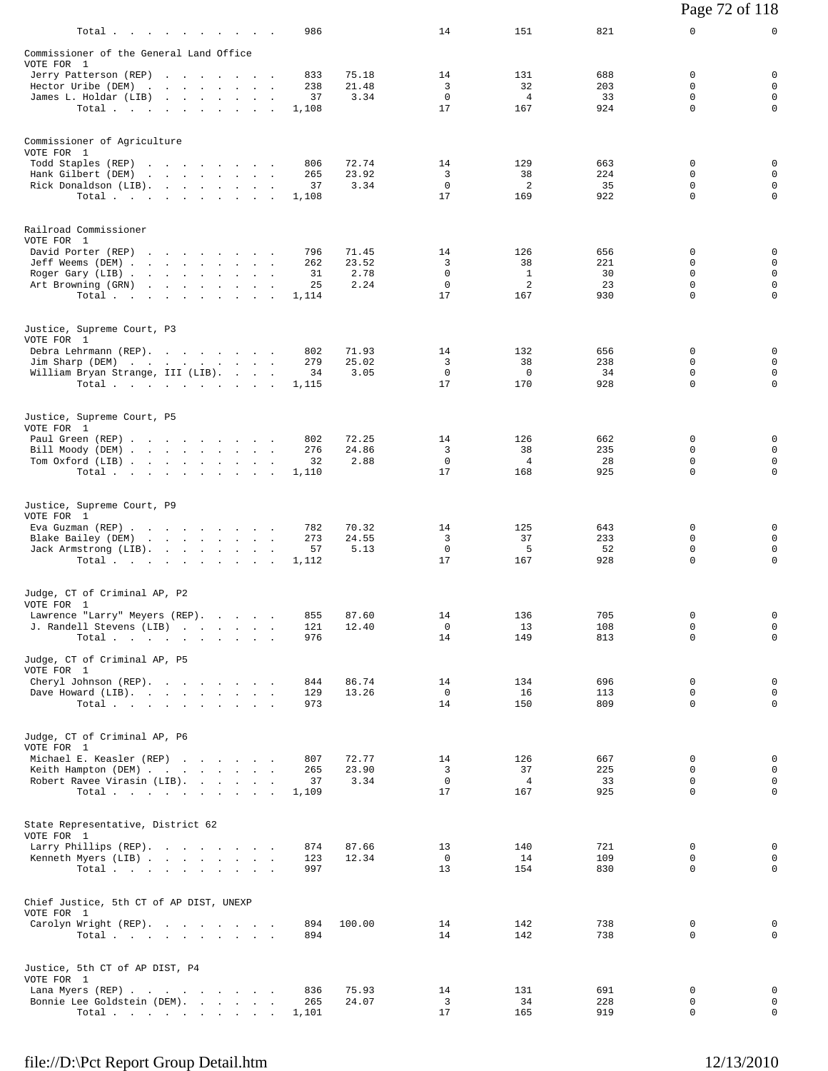| 986<br>Total                                                                                        | 14                   | 151                   | 821        | 0                       | $\mathsf{O}$                |
|-----------------------------------------------------------------------------------------------------|----------------------|-----------------------|------------|-------------------------|-----------------------------|
| Commissioner of the General Land Office                                                             |                      |                       |            |                         |                             |
| VOTE FOR 1<br>Jerry Patterson (REP)<br>833<br>75.18                                                 | 14                   | 131                   | 688        | 0                       | 0                           |
| Hector Uribe (DEM)<br>238<br>21.48<br>3.34<br>James L. Holdar (LIB)<br>37                           | 3<br>$\mathbf{0}$    | 32<br>$\overline{4}$  | 203<br>33  | 0<br>$\Omega$           | $\mathbf 0$<br>$\mathbf 0$  |
| Total.<br>1,108                                                                                     | 17                   | 167                   | 924        | $\mathbf 0$             | $\mathbf 0$                 |
| Commissioner of Agriculture                                                                         |                      |                       |            |                         |                             |
| VOTE FOR 1                                                                                          |                      |                       |            |                         |                             |
| Todd Staples (REP)<br>806<br>72.74<br>Hank Gilbert (DEM)<br>265<br>23.92                            | 14<br>3              | 129<br>38             | 663<br>224 | 0<br>0                  | 0<br>$\mathbf 0$            |
| Rick Donaldson (LIB).<br>3.34<br>37<br>$\sim$<br>Total.<br>1,108                                    | $\mathbf 0$<br>17    | 2<br>169              | 35<br>922  | $\mathbf 0$<br>0        | $\mathbf 0$<br>$\mathbf 0$  |
|                                                                                                     |                      |                       |            |                         |                             |
| Railroad Commissioner<br>VOTE FOR 1                                                                 |                      |                       |            |                         |                             |
| David Porter (REP)<br>796<br>71.45                                                                  | 14                   | 126                   | 656        | 0                       | 0                           |
| Jeff Weems (DEM)<br>23.52<br>262<br>Roger Gary (LIB)<br>31<br>2.78                                  | 3<br>$\mathbf 0$     | 38<br>1               | 221<br>30  | 0<br>0                  | $\mathbf 0$<br>$\mathbf 0$  |
| 2.24<br>Art Browning (GRN)<br>25                                                                    | $\mathbf 0$<br>17    | 2<br>167              | 23<br>930  | $\mathbf 0$<br>$\Omega$ | $\mathbf 0$<br>$\mathbf 0$  |
| Total<br>1,114                                                                                      |                      |                       |            |                         |                             |
| Justice, Supreme Court, P3<br>VOTE FOR 1                                                            |                      |                       |            |                         |                             |
| Debra Lehrmann (REP).<br>802<br>71.93                                                               | 14                   | 132                   | 656        | 0                       | 0                           |
| Jim Sharp (DEM)<br>279<br>25.02<br>3.05<br>William Bryan Strange, III (LIB).<br>34                  | 3<br>$\mathbf{0}$    | 38<br>$\mathbf 0$     | 238<br>34  | 0<br>$\Omega$           | $\mathbf 0$<br>$\mathbf 0$  |
| Total<br>1,115                                                                                      | 17                   | 170                   | 928        | $\mathbf 0$             | $\mathbf 0$                 |
| Justice, Supreme Court, P5                                                                          |                      |                       |            |                         |                             |
| VOTE FOR 1<br>72.25<br>Paul Green (REP)<br>802                                                      | 14                   | 126                   | 662        | 0                       | 0                           |
| 24.86<br>Bill Moody (DEM)<br>276                                                                    | 3                    | 38                    | 235        | 0                       | $\mathbf 0$                 |
| Tom Oxford (LIB)<br>2.88<br>32<br>Total $\cdots$<br>1,110                                           | $\circ$<br>17        | $\overline{4}$<br>168 | 28<br>925  | 0<br>0                  | $\mathbf 0$<br>$\mathbf 0$  |
|                                                                                                     |                      |                       |            |                         |                             |
| Justice, Supreme Court, P9<br>VOTE FOR 1                                                            |                      |                       |            |                         |                             |
| Eva Guzman (REP)<br>782<br>70.32<br>273<br>24.55<br>Blake Bailey (DEM)                              | 14<br>3              | 125<br>37             | 643<br>233 | 0<br>0                  | 0<br>$\mathbf 0$            |
| 5.13<br>Jack Armstrong (LIB).<br>57<br>Total.<br>1,112                                              | $\mathbf{0}$<br>17   | 5<br>167              | 52<br>928  | 0<br>$\Omega$           | $\mathsf 0$<br>$\mathbf 0$  |
|                                                                                                     |                      |                       |            |                         |                             |
| Judge, CT of Criminal AP, P2<br>VOTE FOR 1                                                          |                      |                       |            |                         |                             |
| Lawrence "Larry" Meyers (REP).<br>855<br>87.60                                                      | 14                   | 136                   | 705        | 0                       | 0                           |
| J. Randell Stevens (LIB)<br>121<br>12.40<br>976<br>Total                                            | $\overline{0}$<br>14 | 13<br>149             | 108<br>813 | $\Omega$<br>0           | 0<br>$\mathbf 0$            |
| Judge, CT of Criminal AP, P5                                                                        |                      |                       |            |                         |                             |
| VOTE FOR 1<br>Cheryl Johnson (REP).<br>844<br>86.74                                                 | 14                   | 134                   | 696        | 0                       | 0                           |
| 129<br>13.26<br>Dave Howard (LIB).                                                                  | $\mathbf 0$          | 16                    | 113        | 0                       | $\mathbf 0$                 |
| Total<br>973                                                                                        | 14                   | 150                   | 809        | 0                       | 0                           |
| Judge, CT of Criminal AP, P6                                                                        |                      |                       |            |                         |                             |
| VOTE FOR 1<br>Michael E. Keasler (REP)<br>72.77<br>807                                              | 14                   | 126                   | 667        | 0                       | 0                           |
| Keith Hampton (DEM)<br>23.90<br>265<br>Robert Ravee Virasin (LIB).<br>3.34<br>37                    | 3<br>$\mathbf 0$     | 37<br>$\overline{4}$  | 225<br>33  | 0<br>0                  | $\mathbf 0$<br>0            |
| Total<br>1,109                                                                                      | 17                   | 167                   | 925        | $\mathbf 0$             | $\mathsf{O}$                |
| State Representative, District 62                                                                   |                      |                       |            |                         |                             |
| VOTE FOR 1<br>Larry Phillips (REP).<br>874<br>87.66                                                 | 13                   | 140                   | 721        | 0                       | 0                           |
| Kenneth Myers (LIB)<br>123<br>12.34                                                                 | $\overline{0}$       | 14                    | 109        | 0                       | 0                           |
| Total<br>997                                                                                        | 13                   | 154                   | 830        | 0                       | 0                           |
| Chief Justice, 5th CT of AP DIST, UNEXP<br>VOTE FOR 1                                               |                      |                       |            |                         |                             |
| Carolyn Wright (REP).<br>894<br>100.00                                                              | 14                   | 142                   | 738        | 0                       | 0                           |
| Total<br>894                                                                                        | 14                   | 142                   | 738        | 0                       | 0                           |
| Justice, 5th CT of AP DIST, P4<br>VOTE FOR 1                                                        |                      |                       |            |                         |                             |
| Lana Myers (REP)<br>836<br>75.93                                                                    | 14                   | 131                   | 691        | 0                       | 0                           |
| Bonnie Lee Goldstein (DEM).<br>265<br>24.07<br>$\texttt{Total}~~.~~.~~.~~.~~.~~.~~.~~.~~.$<br>1,101 | 3<br>17              | 34<br>165             | 228<br>919 | 0<br>0                  | $\mathsf 0$<br>$\mathsf{O}$ |
|                                                                                                     |                      |                       |            |                         |                             |

Page 72 of 118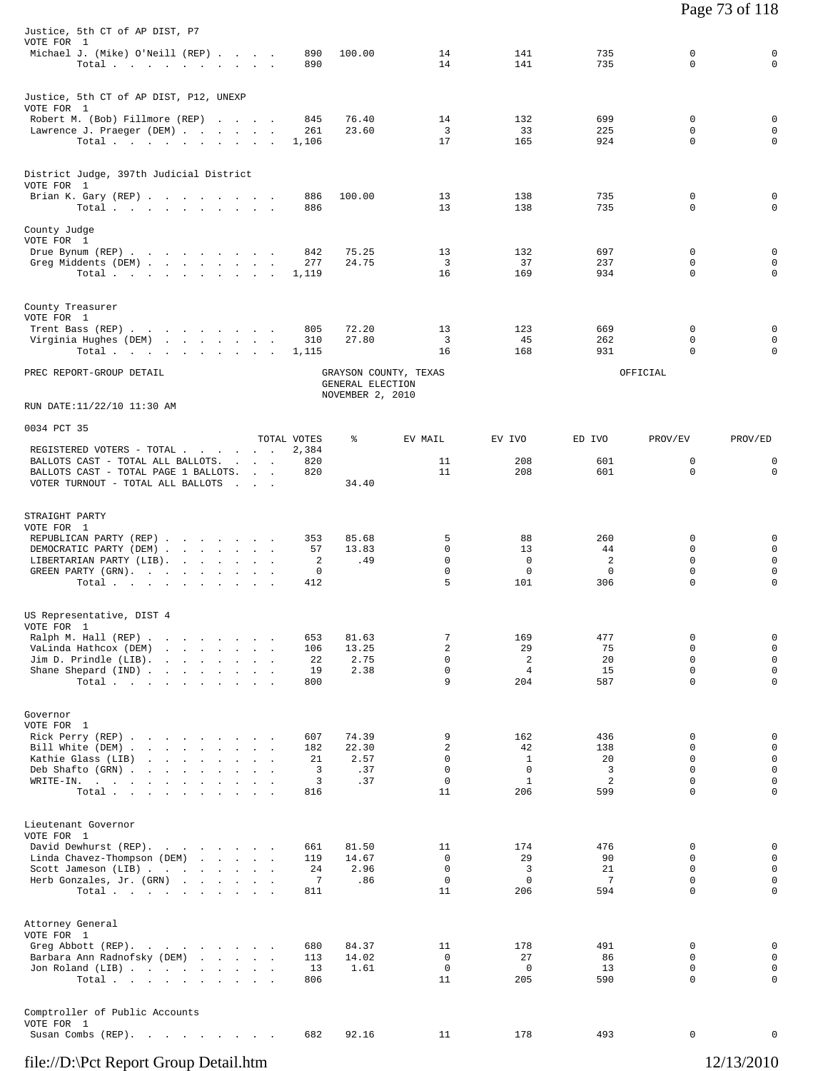| Justice, 5th CT of AP DIST, P7                                                                                                                                                                          |  |                               |                                      |                                           |                                               |                                         |                                                               |                                                                         |
|---------------------------------------------------------------------------------------------------------------------------------------------------------------------------------------------------------|--|-------------------------------|--------------------------------------|-------------------------------------------|-----------------------------------------------|-----------------------------------------|---------------------------------------------------------------|-------------------------------------------------------------------------|
| VOTE FOR 1<br>Michael J. (Mike) O'Neill (REP)<br>Total $\cdots$ $\cdots$ $\cdots$                                                                                                                       |  | 890<br>890                    | 100.00                               | 14<br>14                                  | 141<br>141                                    | 735<br>735                              | 0<br>$\Omega$                                                 | $\mathbf 0$<br>$\mathbf 0$                                              |
| Justice, 5th CT of AP DIST, P12, UNEXP<br>VOTE FOR 1                                                                                                                                                    |  |                               |                                      |                                           |                                               |                                         |                                                               |                                                                         |
| Robert M. (Bob) Fillmore (REP)<br>Lawrence J. Praeger (DEM)<br>Total                                                                                                                                    |  | 845<br>261<br>1,106           | 76.40<br>23.60                       | 14<br>3<br>17                             | 132<br>33<br>165                              | 699<br>225<br>924                       | 0<br>$\Omega$<br>$\Omega$                                     | $\mathbf 0$<br>$\mathbf 0$<br>$\mathbf 0$                               |
| District Judge, 397th Judicial District<br>VOTE FOR 1<br>Brian K. Gary (REP)                                                                                                                            |  | 886                           | 100.00                               | 13                                        | 138                                           | 735                                     | 0                                                             | $\mathbf 0$                                                             |
| Total $\cdots$ $\cdots$ $\cdots$                                                                                                                                                                        |  | 886                           |                                      | 13                                        | 138                                           | 735                                     | $\Omega$                                                      | $\mathbf 0$                                                             |
| County Judge<br>VOTE FOR 1<br>Drue Bynum (REP)<br>Greg Middents (DEM)<br>Total                                                                                                                          |  | 842<br>277<br>1,119           | 75.25<br>24.75                       | 13<br>3<br>16                             | 132<br>37<br>169                              | 697<br>237<br>934                       | 0<br>0<br>0                                                   | $\mathbf 0$<br>$\mathbf 0$<br>$\mathbf 0$                               |
| County Treasurer<br>VOTE FOR 1                                                                                                                                                                          |  |                               |                                      |                                           |                                               |                                         |                                                               |                                                                         |
| Trent Bass (REP)<br>Virginia Hughes (DEM)<br>Total $\cdots$ $\cdots$ $\cdots$                                                                                                                           |  | 805<br>310<br>1,115           | 72.20<br>27.80                       | 13<br>$\overline{\mathbf{3}}$<br>16       | 123<br>45<br>168                              | 669<br>262<br>931                       | 0<br>0<br>0                                                   | $\mathbf 0$<br>$\mathbf 0$<br>$\mathbf 0$                               |
| PREC REPORT-GROUP DETAIL                                                                                                                                                                                |  |                               | GENERAL ELECTION<br>NOVEMBER 2, 2010 | GRAYSON COUNTY, TEXAS                     |                                               |                                         | OFFICIAL                                                      |                                                                         |
| RUN DATE:11/22/10 11:30 AM<br>0034 PCT 35                                                                                                                                                               |  |                               |                                      |                                           |                                               |                                         |                                                               |                                                                         |
| REGISTERED VOTERS - TOTAL                                                                                                                                                                               |  | TOTAL VOTES<br>2,384          | ៖                                    | EV MAIL                                   | EV IVO                                        | ED IVO                                  | PROV/EV                                                       | PROV/ED                                                                 |
| BALLOTS CAST - TOTAL ALL BALLOTS.<br>BALLOTS CAST - TOTAL PAGE 1 BALLOTS.<br>VOTER TURNOUT - TOTAL ALL BALLOTS                                                                                          |  | 820<br>820                    | 34.40                                | 11<br>11                                  | 208<br>208                                    | 601<br>601                              | 0<br>$\mathbf 0$                                              | 0<br>$\mathbf 0$                                                        |
| STRAIGHT PARTY<br>VOTE FOR 1                                                                                                                                                                            |  |                               |                                      |                                           |                                               |                                         |                                                               |                                                                         |
| REPUBLICAN PARTY (REP)<br>DEMOCRATIC PARTY (DEM)<br>LIBERTARIAN PARTY (LIB).<br>GREEN PARTY (GRN).<br>Total                                                                                             |  | 353<br>57<br>2<br>0<br>412    | 85.68<br>13.83<br>.49                | 5<br>$\mathbf 0$<br>$\mathbf 0$<br>0<br>5 | 88<br>13<br>$\mathbf 0$<br>$\mathbf 0$<br>101 | 260<br>44<br>2<br>0<br>306              | 0<br>0<br>$\mathbf 0$<br>$\mathbf 0$<br>$\mathbf 0$           | 0<br>$\mathbf 0$<br>$\mathbf 0$<br>0<br>$\mathbf 0$                     |
| US Representative, DIST 4<br>VOTE FOR 1                                                                                                                                                                 |  |                               |                                      |                                           |                                               |                                         |                                                               |                                                                         |
| Ralph M. Hall (REP) .<br>the company of the company of the company of<br>VaLinda Hathcox (DEM)<br>the contract of the contract of the<br>Jim D. Prindle (LIB). $\ldots$<br>Shane Shepard (IND)<br>Total |  | 653<br>106<br>22<br>19<br>800 | 81.63<br>13.25<br>2.75<br>2.38       | 7<br>2<br>0<br>$\mathsf 0$<br>9           | 169<br>29<br>2<br>4<br>204                    | 477<br>75<br>20<br>15<br>587            | $\mathbf 0$<br>$\mathbf 0$<br>$\mathbf 0$<br>0<br>$\mathbf 0$ | $\mathbf 0$<br>$\mathsf 0$<br>$\mathsf 0$<br>$\mathbf 0$<br>$\mathbf 0$ |
| Governor<br>VOTE FOR 1<br>Rick Perry (REP)                                                                                                                                                              |  | 607                           | 74.39                                | 9                                         | 162                                           | 436                                     | 0                                                             | $\mathbf 0$                                                             |
| Bill White (DEM)<br>Kathie Glass (LIB)<br>Deb Shafto (GRN)<br>WRITE-IN.<br>Total                                                                                                                        |  | 182<br>21<br>3<br>3<br>816    | 22.30<br>2.57<br>.37<br>.37          | 2<br>0<br>0<br>0<br>11                    | 42<br>1<br>0<br><sup>1</sup><br>206           | 138<br>20<br>3<br>$\overline{c}$<br>599 | 0<br>0<br>$\mathbf 0$<br>$\mathbf 0$<br>$\Omega$              | 0<br>$\mathbf 0$<br>$\mathbf 0$<br>$\mathbf 0$<br>$\mathbf 0$           |
| Lieutenant Governor                                                                                                                                                                                     |  |                               |                                      |                                           |                                               |                                         |                                                               |                                                                         |
| VOTE FOR 1<br>David Dewhurst (REP).<br>Linda Chavez-Thompson (DEM)<br>Scott Jameson (LIB)<br>Herb Gonzales, Jr. (GRN)<br>Total $\cdots$                                                                 |  | 661<br>119<br>24<br>7<br>811  | 81.50<br>14.67<br>2.96<br>.86        | 11<br>0<br>0<br>$\mathbf 0$<br>11         | 174<br>29<br>3<br>$\mathbf 0$<br>206          | 476<br>90<br>21<br>7<br>594             | 0<br>$\mathbf 0$<br>$\Omega$<br>$\mathbf 0$<br>$\Omega$       | $\mathbf 0$<br>$\mathbf 0$<br>$\mathbf 0$<br>$\mathbf 0$<br>$\mathbf 0$ |
| Attorney General                                                                                                                                                                                        |  |                               |                                      |                                           |                                               |                                         |                                                               |                                                                         |
| VOTE FOR 1<br>Greg Abbott (REP).<br>Barbara Ann Radnofsky (DEM)<br>Jon Roland (LIB)<br>Total                                                                                                            |  | 680<br>113<br>13<br>806       | 84.37<br>14.02<br>1.61               | 11<br>$\mathbf 0$<br>0<br>11              | 178<br>27<br>$\overline{0}$<br>205            | 491<br>86<br>13<br>590                  | 0<br>$\mathbf 0$<br>$\mathbf 0$<br>$\mathbf 0$                | 0<br>$\mathbf 0$<br>0<br>$\mathbf 0$                                    |
| Comptroller of Public Accounts<br>VOTE FOR 1<br>Susan Combs (REP).                                                                                                                                      |  | 682                           | 92.16                                | 11                                        | 178                                           | 493                                     | 0                                                             | $\mathbf 0$                                                             |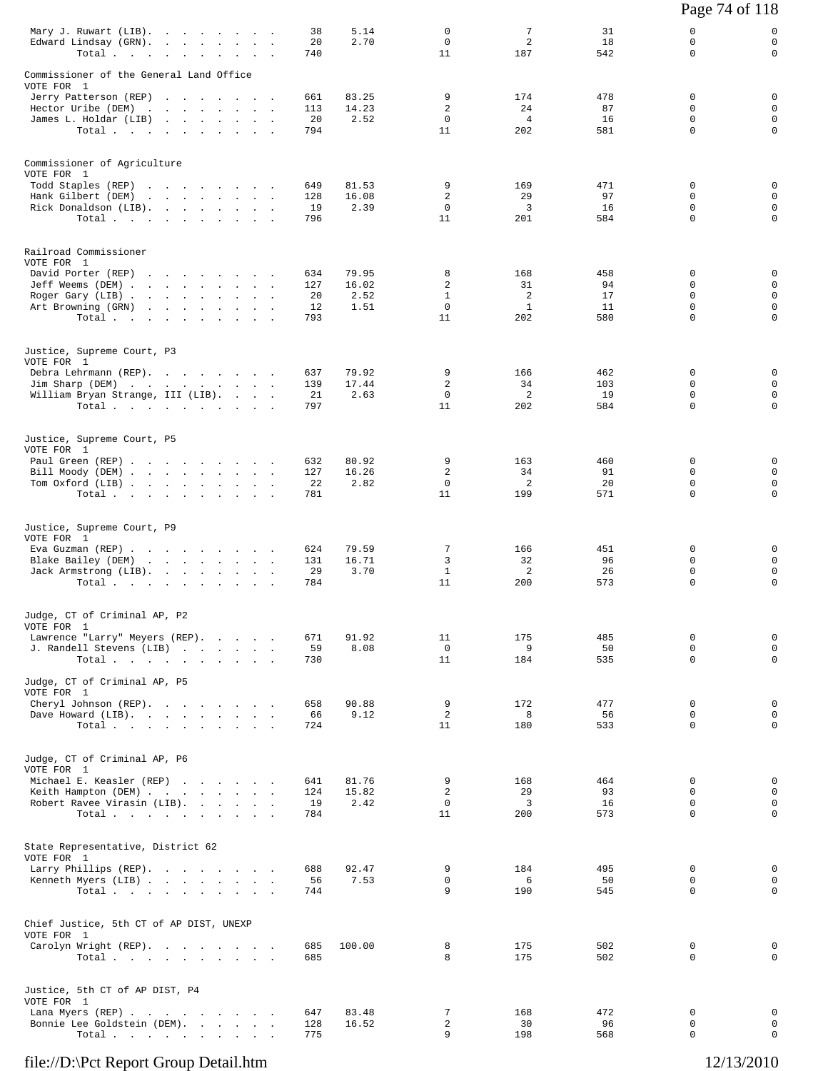|                                                                                                                                                                                                                                                                          |                 |                |                             |                            |                 | Page 74 of 118          |                             |
|--------------------------------------------------------------------------------------------------------------------------------------------------------------------------------------------------------------------------------------------------------------------------|-----------------|----------------|-----------------------------|----------------------------|-----------------|-------------------------|-----------------------------|
| Mary J. Ruwart (LIB).<br>Edward Lindsay (GRN).<br>Total.                                                                                                                                                                                                                 | 38<br>20<br>740 | 5.14<br>2.70   | 0<br>$\mathbf 0$<br>11      | 7<br>$\overline{a}$<br>187 | 31<br>18<br>542 | 0<br>0<br>$\Omega$      | 0<br>$\mathbf 0$<br>0       |
| Commissioner of the General Land Office                                                                                                                                                                                                                                  |                 |                |                             |                            |                 |                         |                             |
| VOTE FOR 1<br>Jerry Patterson (REP)                                                                                                                                                                                                                                      | 661             | 83.25          | 9                           | 174                        | 478             | 0                       | 0                           |
| Hector Uribe (DEM)<br>the contract of the contract of the contract of<br>James L. Holdar (LIB)                                                                                                                                                                           | 113<br>20       | 14.23<br>2.52  | 2<br>$\mathbf 0$            | 24<br>$\overline{4}$       | 87<br>16        | $\Omega$<br>0           | $\mathbf 0$<br>$\mathsf{O}$ |
| Total                                                                                                                                                                                                                                                                    | 794             |                | 11                          | 202                        | 581             | $\Omega$                | $\mathbf 0$                 |
| Commissioner of Agriculture                                                                                                                                                                                                                                              |                 |                |                             |                            |                 |                         |                             |
| VOTE FOR 1<br>Todd Staples (REP)<br><u>in the second contract of the second contract of the second contract of the second contract of the second contract of the second contract of the second contract of the second contract of the second contract of the second </u> | 649             | 81.53          | 9                           | 169                        | 471             | $\mathbf 0$             | 0                           |
| Hank Gilbert (DEM)                                                                                                                                                                                                                                                       | 128             | 16.08          | $\overline{a}$              | 29                         | 97              | 0                       | $\mathbf 0$                 |
| Rick Donaldson (LIB).<br>Total                                                                                                                                                                                                                                           | 19<br>796       | 2.39           | $\mathbf{0}$<br>11          | 3<br>201                   | 16<br>584       | $\Omega$<br>$\mathbf 0$ | $\mathbf 0$<br>$\mathbf 0$  |
| Railroad Commissioner                                                                                                                                                                                                                                                    |                 |                |                             |                            |                 |                         |                             |
| VOTE FOR 1<br>David Porter (REP)                                                                                                                                                                                                                                         | 634             | 79.95          | 8                           | 168                        | 458             | 0                       | 0                           |
| Jeff Weems (DEM)                                                                                                                                                                                                                                                         | 127             | 16.02          | 2                           | 31                         | 94              | $\Omega$                | $\mathbf 0$                 |
| Roger Gary (LIB)<br>Art Browning (GRN)<br>the contract of the contract of the contract of                                                                                                                                                                                | 20<br>12        | 2.52<br>1.51   | $\mathbf{1}$<br>$\mathbf 0$ | 2<br>$\mathbf{1}$          | 17<br>11        | $\Omega$<br>0           | $\mathbf 0$<br>$\mathsf{O}$ |
| Total                                                                                                                                                                                                                                                                    | 793             |                | 11                          | 202                        | 580             | $\Omega$                | $\mathbf 0$                 |
| Justice, Supreme Court, P3<br>VOTE FOR 1                                                                                                                                                                                                                                 |                 |                |                             |                            |                 |                         |                             |
| Debra Lehrmann (REP).                                                                                                                                                                                                                                                    | 637             | 79.92          | 9                           | 166                        | 462             | 0                       | 0                           |
| Jim Sharp (DEM)<br>William Bryan Strange, III (LIB).                                                                                                                                                                                                                     | 139<br>21       | 17.44<br>2.63  | 2<br>$\mathbf 0$            | 34<br>2                    | 103<br>19       | 0<br>$\mathbf 0$        | $\mathbf 0$<br>$\mathsf{O}$ |
| Total.                                                                                                                                                                                                                                                                   | 797             |                | 11                          | 202                        | 584             | $\Omega$                | $\mathbf 0$                 |
| Justice, Supreme Court, P5                                                                                                                                                                                                                                               |                 |                |                             |                            |                 |                         |                             |
| VOTE FOR 1<br>Paul Green (REP)                                                                                                                                                                                                                                           | 632             | 80.92          | 9                           | 163                        | 460             | 0                       | 0                           |
| Bill Moody (DEM)<br>Tom Oxford (LIB)                                                                                                                                                                                                                                     | 127<br>22       | 16.26<br>2.82  | 2<br>$\Omega$               | 34<br>2                    | 91<br>20        | 0<br>$\Omega$           | $\mathbf 0$<br>$\mathbf 0$  |
| Total $\cdots$ $\cdots$ $\cdots$                                                                                                                                                                                                                                         | 781             |                | 11                          | 199                        | 571             | $\mathbf 0$             | $\mathbf 0$                 |
| Justice, Supreme Court, P9                                                                                                                                                                                                                                               |                 |                |                             |                            |                 |                         |                             |
| VOTE FOR 1<br>Eva Guzman (REP)                                                                                                                                                                                                                                           | 624             | 79.59          | 7                           | 166                        | 451             | 0                       | 0                           |
| Blake Bailey (DEM)<br>the contract of the contract of the contract of the contract of the contract of                                                                                                                                                                    | 131             | 16.71<br>3.70  | 3                           | 32<br>$\overline{c}$       | 96<br>26        | $\Omega$<br>$\mathbf 0$ | $\mathbf 0$<br>$\mathbf 0$  |
| Jack Armstrong (LIB).<br>Total.                                                                                                                                                                                                                                          | 29<br>784       |                | $\mathbf{1}$<br>11          | 200                        | 573             | 0                       | $\mathbf 0$                 |
| Judge, CT of Criminal AP, P2                                                                                                                                                                                                                                             |                 |                |                             |                            |                 |                         |                             |
| VOTE FOR 1<br>Lawrence "Larry" Meyers (REP).                                                                                                                                                                                                                             | 671             | 91.92          | 11                          | 175                        | 485             | $\mathbf 0$             | 0                           |
| J. Randell Stevens (LIB)                                                                                                                                                                                                                                                 | 59              | 8.08           | $\mathsf{O}$                | 9                          | 50              | $\mathbf 0$             | $\mathbf 0$                 |
| Total<br>Judge, CT of Criminal AP, P5                                                                                                                                                                                                                                    | 730             |                | 11                          | 184                        | 535             | $\Omega$                | $\mathbf 0$                 |
| VOTE FOR 1                                                                                                                                                                                                                                                               |                 |                |                             |                            |                 |                         |                             |
| Cheryl Johnson (REP).<br>Dave Howard (LIB).                                                                                                                                                                                                                              | 658<br>66       | 90.88<br>9.12  | 9<br>$\overline{a}$         | 172<br>8                   | 477<br>56       | 0<br>$\mathbf 0$        | 0<br>$\mathbf 0$            |
| Total                                                                                                                                                                                                                                                                    | 724             |                | 11                          | 180                        | 533             | $\mathbf 0$             | $\mathbf 0$                 |
| Judge, CT of Criminal AP, P6<br>VOTE FOR 1                                                                                                                                                                                                                               |                 |                |                             |                            |                 |                         |                             |
| Michael E. Keasler (REP)                                                                                                                                                                                                                                                 | 641             | 81.76          | 9                           | 168                        | 464             | 0                       | 0                           |
| Keith Hampton (DEM)<br>Robert Ravee Virasin (LIB).                                                                                                                                                                                                                       | 124<br>19       | 15.82<br>2.42  | 2<br>$\circ$                | 29<br>$\overline{3}$       | 93<br>16        | $\Omega$<br>$\mathbf 0$ | 0<br>$\mathbf 0$            |
| Total                                                                                                                                                                                                                                                                    | 784             |                | 11                          | 200                        | 573             | $\Omega$                | 0                           |
| State Representative, District 62                                                                                                                                                                                                                                        |                 |                |                             |                            |                 |                         |                             |
| VOTE FOR 1<br>Larry Phillips (REP).                                                                                                                                                                                                                                      | 688             | 92.47          | 9                           | 184                        | 495             | 0                       | 0                           |
| Kenneth Myers (LIB)<br>Total                                                                                                                                                                                                                                             | 56<br>744       | 7.53           | $\mathbf 0$<br>9            | 6<br>190                   | 50<br>545       | $\mathbf 0$<br>$\Omega$ | $\mathbf 0$<br>0            |
|                                                                                                                                                                                                                                                                          |                 |                |                             |                            |                 |                         |                             |
| Chief Justice, 5th CT of AP DIST, UNEXP<br>VOTE FOR 1                                                                                                                                                                                                                    |                 |                |                             |                            |                 |                         |                             |
| Carolyn Wright (REP).<br>Total                                                                                                                                                                                                                                           | 685<br>685      | 100.00         | 8<br>8                      | 175<br>175                 | 502<br>502      | 0<br>0                  | 0<br>$\mathbf 0$            |
|                                                                                                                                                                                                                                                                          |                 |                |                             |                            |                 |                         |                             |
| Justice, 5th CT of AP DIST, P4<br>VOTE FOR 1                                                                                                                                                                                                                             |                 |                |                             |                            |                 |                         |                             |
| Lana Myers (REP)<br>Bonnie Lee Goldstein (DEM).                                                                                                                                                                                                                          | 647<br>128      | 83.48<br>16.52 | 7<br>2                      | 168<br>30                  | 472<br>96       | $\mathbf 0$<br>0        | 0<br>$\mathbf 0$            |
| Total                                                                                                                                                                                                                                                                    | 775             |                | 9                           | 198                        | 568             | 0                       | $\mathbf 0$                 |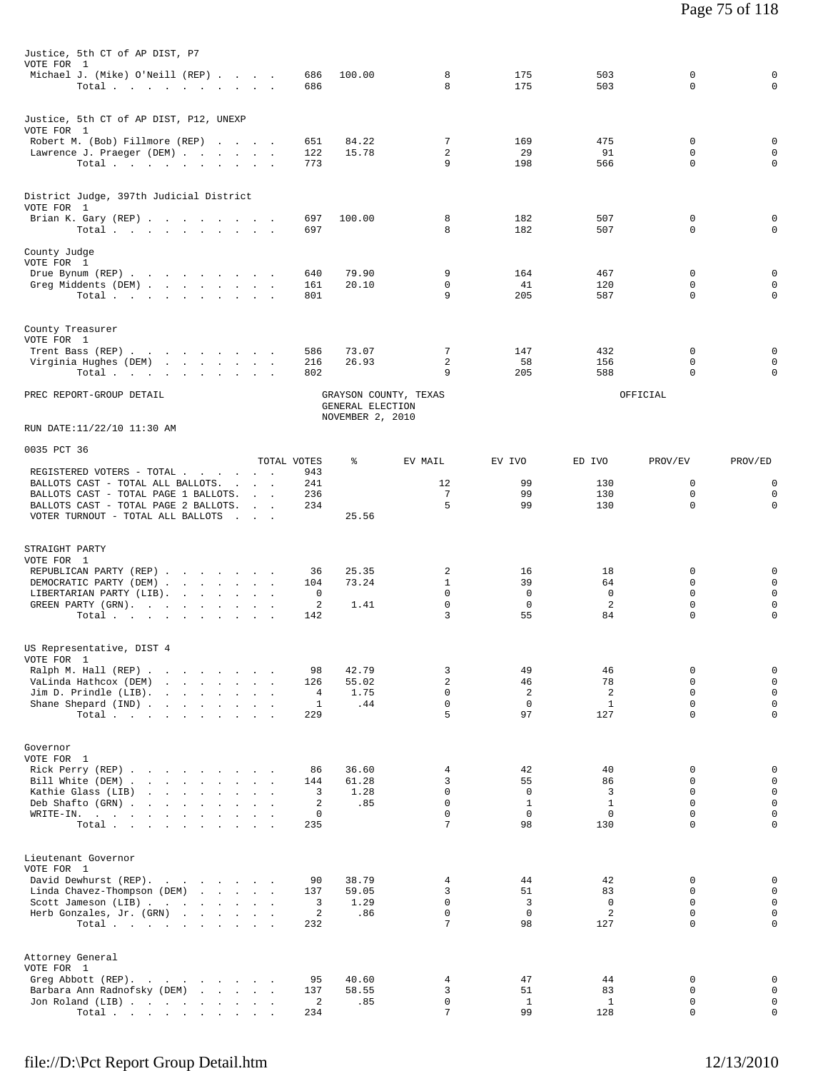| Justice, 5th CT of AP DIST, P7                                                                                                                                                                                                                             |                    |                                                               |                             |                      |                    |                  |                            |
|------------------------------------------------------------------------------------------------------------------------------------------------------------------------------------------------------------------------------------------------------------|--------------------|---------------------------------------------------------------|-----------------------------|----------------------|--------------------|------------------|----------------------------|
| VOTE FOR 1<br>Michael J. (Mike) O'Neill (REP)                                                                                                                                                                                                              | 686                | 100.00                                                        | 8                           | 175                  | 503                | 0                | 0                          |
| Total.                                                                                                                                                                                                                                                     | 686                |                                                               | 8                           | 175                  | 503                | 0                | $\mathbf 0$                |
| Justice, 5th CT of AP DIST, P12, UNEXP                                                                                                                                                                                                                     |                    |                                                               |                             |                      |                    |                  |                            |
| VOTE FOR 1<br>Robert M. (Bob) Fillmore (REP)                                                                                                                                                                                                               | 651                | 84.22                                                         | 7                           | 169                  | 475                | 0                | 0                          |
| Lawrence J. Praeger (DEM)                                                                                                                                                                                                                                  | 122                | 15.78                                                         | 2                           | 29                   | 91                 | 0                | $\mathbf 0$                |
| Total                                                                                                                                                                                                                                                      | 773                |                                                               | 9                           | 198                  | 566                | 0                | $\mathbf 0$                |
| District Judge, 397th Judicial District                                                                                                                                                                                                                    |                    |                                                               |                             |                      |                    |                  |                            |
| VOTE FOR 1                                                                                                                                                                                                                                                 |                    |                                                               |                             |                      |                    |                  |                            |
| Brian K. Gary (REP)<br>Total $\cdots$ $\cdots$ $\cdots$                                                                                                                                                                                                    | 697<br>697         | 100.00                                                        | 8<br>8                      | 182<br>182           | 507<br>507         | 0<br>0           | 0<br>$\Omega$              |
|                                                                                                                                                                                                                                                            |                    |                                                               |                             |                      |                    |                  |                            |
| County Judge<br>VOTE FOR 1                                                                                                                                                                                                                                 |                    |                                                               |                             |                      |                    |                  |                            |
| Drue Bynum (REP)                                                                                                                                                                                                                                           | 640                | 79.90                                                         | 9                           | 164                  | 467                | 0                | $\mathbf 0$                |
| Greg Middents (DEM)<br>Total.                                                                                                                                                                                                                              | 161<br>801         | 20.10                                                         | $\mathbf 0$<br>9            | 41<br>205            | 120<br>587         | 0<br>0           | $\mathbf 0$<br>$\mathbf 0$ |
|                                                                                                                                                                                                                                                            |                    |                                                               |                             |                      |                    |                  |                            |
| County Treasurer<br>VOTE FOR 1                                                                                                                                                                                                                             |                    |                                                               |                             |                      |                    |                  |                            |
| Trent Bass (REP)                                                                                                                                                                                                                                           | 586                | 73.07                                                         | 7                           | 147                  | 432                | 0                | 0                          |
| Virginia Hughes (DEM)                                                                                                                                                                                                                                      | 216                | 26.93                                                         | 2                           | 58                   | 156                | 0                | 0                          |
| Total                                                                                                                                                                                                                                                      | 802                |                                                               | 9                           | 205                  | 588                | 0                | $\mathbf 0$                |
| PREC REPORT-GROUP DETAIL                                                                                                                                                                                                                                   |                    | GRAYSON COUNTY, TEXAS<br>GENERAL ELECTION<br>NOVEMBER 2, 2010 |                             |                      |                    | OFFICIAL         |                            |
| RUN DATE:11/22/10 11:30 AM                                                                                                                                                                                                                                 |                    |                                                               |                             |                      |                    |                  |                            |
| 0035 PCT 36                                                                                                                                                                                                                                                |                    |                                                               |                             |                      |                    |                  |                            |
| REGISTERED VOTERS - TOTAL                                                                                                                                                                                                                                  | TOTAL VOTES<br>943 | ႜ                                                             | EV MAIL                     | EV IVO               | ED IVO             | PROV/EV          | PROV/ED                    |
| BALLOTS CAST - TOTAL ALL BALLOTS.                                                                                                                                                                                                                          | 241                |                                                               | 12                          | 99                   | 130                | 0                | 0                          |
| BALLOTS CAST - TOTAL PAGE 1 BALLOTS.<br>BALLOTS CAST - TOTAL PAGE 2 BALLOTS.                                                                                                                                                                               | 236<br>234         |                                                               | 7<br>5                      | 99<br>99             | 130<br>130         | $\mathbf 0$<br>0 | $\mathbf 0$<br>$\Omega$    |
| VOTER TURNOUT - TOTAL ALL BALLOTS                                                                                                                                                                                                                          |                    | 25.56                                                         |                             |                      |                    |                  |                            |
|                                                                                                                                                                                                                                                            |                    |                                                               |                             |                      |                    |                  |                            |
| STRAIGHT PARTY<br>VOTE FOR 1                                                                                                                                                                                                                               |                    |                                                               |                             |                      |                    |                  |                            |
| REPUBLICAN PARTY (REP)                                                                                                                                                                                                                                     | 36                 | 25.35                                                         | 2                           | 16                   | 18                 | 0                | 0                          |
| DEMOCRATIC PARTY (DEM)                                                                                                                                                                                                                                     | 104                | 73.24                                                         | $\mathbf{1}$<br>$\mathbf 0$ | 39<br>$\overline{0}$ | 64<br>$^{\circ}$   | 0<br>0           | $\mathbf 0$<br>$\mathsf 0$ |
| LIBERTARIAN PARTY (LIB).<br>GREEN PARTY (GRN).                                                                                                                                                                                                             | 0<br>2             | 1.41                                                          | $\mathbf 0$                 | $\mathbf 0$          | 2                  | 0                | $\mathsf 0$                |
| Total $\cdots$ $\cdots$ $\cdots$ $\cdots$                                                                                                                                                                                                                  | 142                |                                                               | 3                           | 55                   | 84                 | 0                | 0                          |
|                                                                                                                                                                                                                                                            |                    |                                                               |                             |                      |                    |                  |                            |
| US Representative, DIST 4<br>VOTE FOR 1                                                                                                                                                                                                                    |                    |                                                               |                             |                      |                    |                  |                            |
| Ralph M. Hall (REP)                                                                                                                                                                                                                                        | 98                 | 42.79                                                         | 3                           | 49                   | 46                 | 0                | 0                          |
| VaLinda Hathcox (DEM)<br>Jim D. Prindle (LIB).<br>the contract of the contract of the                                                                                                                                                                      | 126<br>4           | 55.02<br>1.75                                                 | $\overline{a}$<br>$\Omega$  | 46<br>2              | 78<br>2            | 0<br>$\Omega$    | $\mathsf 0$<br>$\mathsf 0$ |
| Shane Shepard (IND)                                                                                                                                                                                                                                        | 1                  | .44                                                           | $\mathbf 0$                 | $\mathbf 0$          | $\mathbf{1}$       | 0                | $\mathbf 0$                |
| Total                                                                                                                                                                                                                                                      | 229                |                                                               | 5                           | 97                   | 127                | $\Omega$         | $\mathbf 0$                |
| Governor                                                                                                                                                                                                                                                   |                    |                                                               |                             |                      |                    |                  |                            |
| VOTE FOR 1                                                                                                                                                                                                                                                 |                    |                                                               |                             |                      |                    |                  |                            |
| Rick Perry (REP)<br>Bill White (DEM)                                                                                                                                                                                                                       | 86<br>144          | 36.60<br>61.28                                                | 4<br>3                      | 42<br>55             | 40<br>86           | 0<br>0           | $\mathsf 0$<br>$\mathbf 0$ |
| <u>in the second contract of the second contract of the second contract of the second contract of the second contract of the second contract of the second contract of the second contract of the second contract of the second </u><br>Kathie Glass (LIB) | 3                  | 1.28                                                          | $\mathbf 0$                 | 0                    | 3                  | 0                | $\mathsf 0$                |
| Deb Shafto (GRN)                                                                                                                                                                                                                                           | 2                  | .85                                                           | $\mathbf 0$                 | $\mathbf{1}$         | $\mathbf{1}$       | $\Omega$         | $\mathsf 0$                |
| WRITE-IN.<br>the contract of the contract of the contract of<br>Total                                                                                                                                                                                      | 0<br>235           |                                                               | $\Omega$<br>7               | $\Omega$<br>98       | $\mathbf 0$<br>130 | 0<br>$\Omega$    | $\mathbf 0$<br>$\mathbf 0$ |
|                                                                                                                                                                                                                                                            |                    |                                                               |                             |                      |                    |                  |                            |
| Lieutenant Governor                                                                                                                                                                                                                                        |                    |                                                               |                             |                      |                    |                  |                            |
| VOTE FOR 1<br>David Dewhurst (REP).                                                                                                                                                                                                                        | 90                 | 38.79                                                         | 4                           | 44                   | 42                 | 0                | 0                          |
| Linda Chavez-Thompson (DEM)                                                                                                                                                                                                                                | 137                | 59.05                                                         | 3                           | 51                   | 83                 | $\Omega$         | $\mathsf 0$                |
| Scott Jameson (LIB)<br>Herb Gonzales, Jr. (GRN)                                                                                                                                                                                                            | 3<br>2             | 1.29<br>.86                                                   | $\Omega$<br>$\mathbf 0$     | 3<br>$\mathbf 0$     | $\mathbf 0$<br>2   | $\Omega$<br>0    | $\mathbf 0$<br>$\mathsf 0$ |
| Total                                                                                                                                                                                                                                                      | 232                |                                                               | 7                           | 98                   | 127                | $\Omega$         | $\mathbf 0$                |
|                                                                                                                                                                                                                                                            |                    |                                                               |                             |                      |                    |                  |                            |
| Attorney General<br>VOTE FOR 1                                                                                                                                                                                                                             |                    |                                                               |                             |                      |                    |                  |                            |
| Greg Abbott (REP).                                                                                                                                                                                                                                         | 95                 | 40.60                                                         | 4                           | 47                   | 44                 | 0                | $\mathsf 0$                |
| Barbara Ann Radnofsky (DEM)<br>Jon Roland (LIB)                                                                                                                                                                                                            | 137<br>2           | 58.55<br>.85                                                  | 3<br>$\mathbf 0$            | 51<br>$\mathbf{1}$   | 83<br>$\mathbf{1}$ | 0<br>0           | $\mathsf 0$<br>0           |
| Total.                                                                                                                                                                                                                                                     | 234                |                                                               | 7                           | 99                   | 128                | 0                | $\Omega$                   |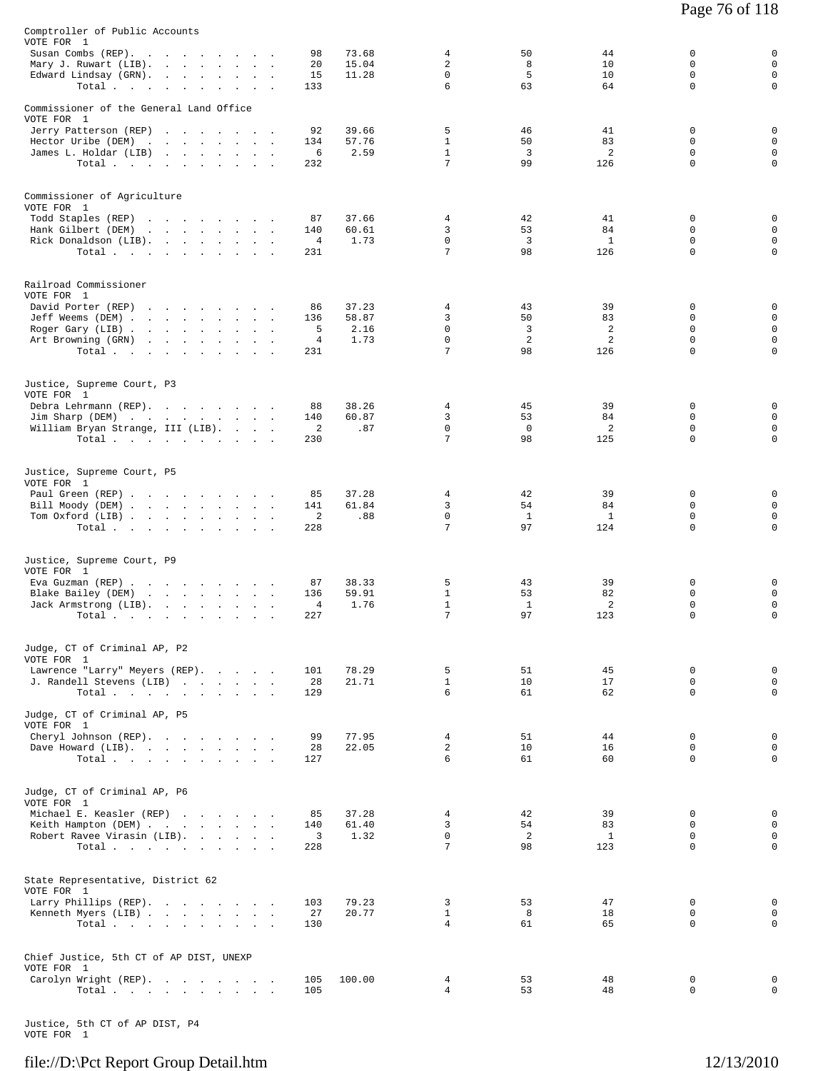| Commissioner of the General Land Office<br>VOTE FOR 1<br>5<br>0<br>Jerry Patterson (REP)<br>92<br>39.66<br>46<br>41<br>0<br>$\mathbf 0$<br>$\mathbf{1}$<br>50<br>83<br>$\Omega$<br>Hector Uribe (DEM)<br>134<br>57.76<br>the contract of the contract of the<br>$\overline{a}$<br>2.59<br>$\mathbf{1}$<br>3<br>2<br>$\mathbf 0$<br>0<br>James L. Holdar (LIB)<br>6<br>7<br>0<br>99<br>126<br>0<br>Total<br>232<br>Commissioner of Agriculture<br>VOTE FOR 1<br>37.66<br>0<br>Todd Staples (REP)<br>87<br>4<br>42<br>41<br>0<br>the contract of the contract of the con-<br>3<br>$\mathbf 0$<br>$\mathsf 0$<br>Hank Gilbert (DEM)<br>53<br>84<br>and a strategic control of the<br>140<br>60.61<br><b>Contract Contract</b><br>$\overline{a}$<br>$\mathsf 0$<br>Rick Donaldson (LIB).<br>1.73<br>0<br>3<br>$\mathbf{1}$<br>0<br>4<br>7<br>98<br>126<br>$\mathbf 0$<br>0<br>231<br>Total<br>Railroad Commissioner<br>VOTE FOR 1<br>37.23<br>39<br>0<br>David Porter (REP)<br>4<br>43<br>0<br>86<br>$\mathsf 0$<br>58.87<br>3<br>50<br>83<br>0<br>Jeff Weems (DEM)<br>136<br>$\mathbf 0$<br>3<br>2<br>$\mathbf 0$<br>$\mathsf 0$<br>5<br>2.16<br>Roger Gary (LIB)<br>$\Omega$<br>2<br>2<br>$\Omega$<br>$\mathsf 0$<br>4<br>1.73<br>Art Browning (GRN)<br>the contract of the contract of the contract of the contract of the contract of<br>7<br>0<br>98<br>126<br>0<br>Total.<br>231<br>Justice, Supreme Court, P3<br>VOTE FOR 1<br>45<br>39<br>0<br>0<br>Debra Lehrmann (REP).<br>38.26<br>4<br>88<br>$\mathbf 0$<br>3<br>60.87<br>53<br>84<br>$\Omega$<br>Jim Sharp (DEM)<br>140<br>$\mathbf 0$<br>$\mathbf 0$<br>2<br>$\mathbf 0$<br>$\mathsf 0$<br>William Bryan Strange, III (LIB).<br>2<br>.87<br>7<br>0<br>98<br>0<br>Total $\cdots$<br>230<br>125<br>Justice, Supreme Court, P5<br>VOTE FOR 1<br>37.28<br>42<br>39<br>0<br>Paul Green (REP)<br>85<br>4<br>0<br>3<br>$\mathbf 0$<br>$\mathsf 0$<br>61.84<br>54<br>84<br>Bill Moody (DEM)<br>141<br><b>Service</b><br>$\sim$<br>$\mathbf 0$<br>$\mathsf 0$<br>2<br>.88<br>0<br>Tom Oxford (LIB)<br><sup>1</sup><br>1<br>7<br>97<br>124<br>0<br>Total<br>228<br>0<br>Justice, Supreme Court, P9<br>VOTE FOR 1<br>38.33<br>5<br>39<br>0<br>0<br>Eva Guzman (REP)<br>87<br>43<br>Blake Bailey (DEM)<br>59.91<br>$\mathbf{1}$<br>53<br>82<br>0<br>0<br>136<br>$\mathsf 0$<br>$\overline{4}$<br>1.76<br>$\mathbf{1}$<br>$\mathbf{1}$<br>2<br>0<br>Jack Armstrong (LIB).<br>7<br>97<br>$\mathbf 0$<br>$\mathbf 0$<br>227<br>123<br>Total.<br>$\sim$ $\sim$ $\sim$<br>Judge, CT of Criminal AP, P2<br>VOTE FOR 1<br>Lawrence "Larry" Meyers (REP).<br>78.29<br>5<br>51<br>45<br>0<br>0<br>101<br>$\mathbf{1}$<br>10<br>17<br>$\mathbf 0$<br>$\mathsf 0$<br>J. Randell Stevens (LIB)<br>28<br>21.71<br>6<br>$\mathbf 0$<br>$\mathbf 0$<br>Total<br>61<br>62<br>129<br>Judge, CT of Criminal AP, P5<br>0<br>77.95<br>$\overline{4}$<br>51<br>44<br>Cheryl Johnson (REP).<br>99<br>0<br>$\overline{a}$<br>$\mathsf 0$<br>22.05<br>10<br>16<br>0<br>Dave Howard (LIB).<br>28<br>6<br>$\mathbf 0$<br>$\mathbf 0$<br>Total<br>127<br>61<br>60<br>Judge, CT of Criminal AP, P6<br>VOTE FOR 1<br>$\mathsf 0$<br>Michael E. Keasler (REP)<br>37.28<br>39<br>$\mathbf 0$<br>85<br>4<br>42<br>Keith Hampton (DEM)<br>61.40<br>3<br>54<br>83<br>0<br>$\mathbf 0$<br>140<br>3<br>$\mathbf 0$<br>2<br>$\mathbf 0$<br>$\mathsf 0$<br>Robert Ravee Virasin (LIB).<br>1.32<br>$\mathbf{1}$<br>7<br>$\Omega$<br>0<br>Total<br>98<br>123<br>228<br>State Representative, District 62<br>VOTE FOR 1<br>Larry Phillips (REP).<br>79.23<br>$\mathbf{3}$<br>53<br>47<br>0<br>0<br>103<br>$\mathbf{1}$<br>$\mathbf 0$<br>27<br>20.77<br>8<br>18<br>$\mathbf 0$<br>Kenneth Myers (LIB)<br>$\overline{4}$<br>$\mathbf 0$<br>130<br>61<br>65<br>$\Omega$<br>Total $\cdots$<br>Chief Justice, 5th CT of AP DIST, UNEXP<br>VOTE FOR 1<br>Carolyn Wright (REP).<br>$4\overline{ }$<br>53<br>0<br>105<br>100.00<br>48<br>0<br>$\overline{4}$<br>53<br>$\mathsf 0$<br>105<br>48<br>0<br>Total. | Comptroller of Public Accounts<br>VOTE FOR 1<br>Susan Combs (REP).<br>Mary J. Ruwart (LIB).<br>Edward Lindsay (GRN).<br>Total $\cdots$ $\cdots$ | $\ddot{\phantom{a}}$<br><b>Service</b><br>$\mathbf{r}$<br>$\sim$<br>$\blacksquare$<br>$\ddot{\phantom{a}}$ | 98<br>20<br>15<br>133 | 73.68<br>15.04<br>11.28 | 4<br>2<br>$\mathbf 0$<br>6 | 50<br>8<br>5<br>63 | 44<br>10<br>10<br>64 | 0<br>$\Omega$<br>$\mathsf 0$<br>$\mathbf 0$ | 0<br>$\mathbf{0}$<br>0<br>$\mathbf 0$ |
|-------------------------------------------------------------------------------------------------------------------------------------------------------------------------------------------------------------------------------------------------------------------------------------------------------------------------------------------------------------------------------------------------------------------------------------------------------------------------------------------------------------------------------------------------------------------------------------------------------------------------------------------------------------------------------------------------------------------------------------------------------------------------------------------------------------------------------------------------------------------------------------------------------------------------------------------------------------------------------------------------------------------------------------------------------------------------------------------------------------------------------------------------------------------------------------------------------------------------------------------------------------------------------------------------------------------------------------------------------------------------------------------------------------------------------------------------------------------------------------------------------------------------------------------------------------------------------------------------------------------------------------------------------------------------------------------------------------------------------------------------------------------------------------------------------------------------------------------------------------------------------------------------------------------------------------------------------------------------------------------------------------------------------------------------------------------------------------------------------------------------------------------------------------------------------------------------------------------------------------------------------------------------------------------------------------------------------------------------------------------------------------------------------------------------------------------------------------------------------------------------------------------------------------------------------------------------------------------------------------------------------------------------------------------------------------------------------------------------------------------------------------------------------------------------------------------------------------------------------------------------------------------------------------------------------------------------------------------------------------------------------------------------------------------------------------------------------------------------------------------------------------------------------------------------------------------------------------------------------------------------------------------------------------------------------------------------------------------------------------------------------------------------------------------------------------------------------------------------------------------------------------------------------------------------------------------------------------------------------------------------------------------------------------------------------------------------------------------------------------------------------------------------------------------------------------------------------------------------------------------------------------------------------------------------------------------------------------------------------------------------------------|-------------------------------------------------------------------------------------------------------------------------------------------------|------------------------------------------------------------------------------------------------------------|-----------------------|-------------------------|----------------------------|--------------------|----------------------|---------------------------------------------|---------------------------------------|
|                                                                                                                                                                                                                                                                                                                                                                                                                                                                                                                                                                                                                                                                                                                                                                                                                                                                                                                                                                                                                                                                                                                                                                                                                                                                                                                                                                                                                                                                                                                                                                                                                                                                                                                                                                                                                                                                                                                                                                                                                                                                                                                                                                                                                                                                                                                                                                                                                                                                                                                                                                                                                                                                                                                                                                                                                                                                                                                                                                                                                                                                                                                                                                                                                                                                                                                                                                                                                                                                                                                                                                                                                                                                                                                                                                                                                                                                                                                                                                                                             |                                                                                                                                                 |                                                                                                            |                       |                         |                            |                    |                      |                                             |                                       |
|                                                                                                                                                                                                                                                                                                                                                                                                                                                                                                                                                                                                                                                                                                                                                                                                                                                                                                                                                                                                                                                                                                                                                                                                                                                                                                                                                                                                                                                                                                                                                                                                                                                                                                                                                                                                                                                                                                                                                                                                                                                                                                                                                                                                                                                                                                                                                                                                                                                                                                                                                                                                                                                                                                                                                                                                                                                                                                                                                                                                                                                                                                                                                                                                                                                                                                                                                                                                                                                                                                                                                                                                                                                                                                                                                                                                                                                                                                                                                                                                             |                                                                                                                                                 |                                                                                                            |                       |                         |                            |                    |                      |                                             |                                       |
|                                                                                                                                                                                                                                                                                                                                                                                                                                                                                                                                                                                                                                                                                                                                                                                                                                                                                                                                                                                                                                                                                                                                                                                                                                                                                                                                                                                                                                                                                                                                                                                                                                                                                                                                                                                                                                                                                                                                                                                                                                                                                                                                                                                                                                                                                                                                                                                                                                                                                                                                                                                                                                                                                                                                                                                                                                                                                                                                                                                                                                                                                                                                                                                                                                                                                                                                                                                                                                                                                                                                                                                                                                                                                                                                                                                                                                                                                                                                                                                                             |                                                                                                                                                 |                                                                                                            |                       |                         |                            |                    |                      |                                             |                                       |
|                                                                                                                                                                                                                                                                                                                                                                                                                                                                                                                                                                                                                                                                                                                                                                                                                                                                                                                                                                                                                                                                                                                                                                                                                                                                                                                                                                                                                                                                                                                                                                                                                                                                                                                                                                                                                                                                                                                                                                                                                                                                                                                                                                                                                                                                                                                                                                                                                                                                                                                                                                                                                                                                                                                                                                                                                                                                                                                                                                                                                                                                                                                                                                                                                                                                                                                                                                                                                                                                                                                                                                                                                                                                                                                                                                                                                                                                                                                                                                                                             |                                                                                                                                                 |                                                                                                            |                       |                         |                            |                    |                      |                                             |                                       |
|                                                                                                                                                                                                                                                                                                                                                                                                                                                                                                                                                                                                                                                                                                                                                                                                                                                                                                                                                                                                                                                                                                                                                                                                                                                                                                                                                                                                                                                                                                                                                                                                                                                                                                                                                                                                                                                                                                                                                                                                                                                                                                                                                                                                                                                                                                                                                                                                                                                                                                                                                                                                                                                                                                                                                                                                                                                                                                                                                                                                                                                                                                                                                                                                                                                                                                                                                                                                                                                                                                                                                                                                                                                                                                                                                                                                                                                                                                                                                                                                             |                                                                                                                                                 |                                                                                                            |                       |                         |                            |                    |                      |                                             |                                       |
|                                                                                                                                                                                                                                                                                                                                                                                                                                                                                                                                                                                                                                                                                                                                                                                                                                                                                                                                                                                                                                                                                                                                                                                                                                                                                                                                                                                                                                                                                                                                                                                                                                                                                                                                                                                                                                                                                                                                                                                                                                                                                                                                                                                                                                                                                                                                                                                                                                                                                                                                                                                                                                                                                                                                                                                                                                                                                                                                                                                                                                                                                                                                                                                                                                                                                                                                                                                                                                                                                                                                                                                                                                                                                                                                                                                                                                                                                                                                                                                                             |                                                                                                                                                 |                                                                                                            |                       |                         |                            |                    |                      |                                             |                                       |
|                                                                                                                                                                                                                                                                                                                                                                                                                                                                                                                                                                                                                                                                                                                                                                                                                                                                                                                                                                                                                                                                                                                                                                                                                                                                                                                                                                                                                                                                                                                                                                                                                                                                                                                                                                                                                                                                                                                                                                                                                                                                                                                                                                                                                                                                                                                                                                                                                                                                                                                                                                                                                                                                                                                                                                                                                                                                                                                                                                                                                                                                                                                                                                                                                                                                                                                                                                                                                                                                                                                                                                                                                                                                                                                                                                                                                                                                                                                                                                                                             |                                                                                                                                                 |                                                                                                            |                       |                         |                            |                    |                      |                                             |                                       |
|                                                                                                                                                                                                                                                                                                                                                                                                                                                                                                                                                                                                                                                                                                                                                                                                                                                                                                                                                                                                                                                                                                                                                                                                                                                                                                                                                                                                                                                                                                                                                                                                                                                                                                                                                                                                                                                                                                                                                                                                                                                                                                                                                                                                                                                                                                                                                                                                                                                                                                                                                                                                                                                                                                                                                                                                                                                                                                                                                                                                                                                                                                                                                                                                                                                                                                                                                                                                                                                                                                                                                                                                                                                                                                                                                                                                                                                                                                                                                                                                             |                                                                                                                                                 |                                                                                                            |                       |                         |                            |                    |                      |                                             |                                       |
|                                                                                                                                                                                                                                                                                                                                                                                                                                                                                                                                                                                                                                                                                                                                                                                                                                                                                                                                                                                                                                                                                                                                                                                                                                                                                                                                                                                                                                                                                                                                                                                                                                                                                                                                                                                                                                                                                                                                                                                                                                                                                                                                                                                                                                                                                                                                                                                                                                                                                                                                                                                                                                                                                                                                                                                                                                                                                                                                                                                                                                                                                                                                                                                                                                                                                                                                                                                                                                                                                                                                                                                                                                                                                                                                                                                                                                                                                                                                                                                                             |                                                                                                                                                 |                                                                                                            |                       |                         |                            |                    |                      |                                             |                                       |
|                                                                                                                                                                                                                                                                                                                                                                                                                                                                                                                                                                                                                                                                                                                                                                                                                                                                                                                                                                                                                                                                                                                                                                                                                                                                                                                                                                                                                                                                                                                                                                                                                                                                                                                                                                                                                                                                                                                                                                                                                                                                                                                                                                                                                                                                                                                                                                                                                                                                                                                                                                                                                                                                                                                                                                                                                                                                                                                                                                                                                                                                                                                                                                                                                                                                                                                                                                                                                                                                                                                                                                                                                                                                                                                                                                                                                                                                                                                                                                                                             |                                                                                                                                                 |                                                                                                            |                       |                         |                            |                    |                      |                                             |                                       |
|                                                                                                                                                                                                                                                                                                                                                                                                                                                                                                                                                                                                                                                                                                                                                                                                                                                                                                                                                                                                                                                                                                                                                                                                                                                                                                                                                                                                                                                                                                                                                                                                                                                                                                                                                                                                                                                                                                                                                                                                                                                                                                                                                                                                                                                                                                                                                                                                                                                                                                                                                                                                                                                                                                                                                                                                                                                                                                                                                                                                                                                                                                                                                                                                                                                                                                                                                                                                                                                                                                                                                                                                                                                                                                                                                                                                                                                                                                                                                                                                             | VOTE FOR 1                                                                                                                                      |                                                                                                            |                       |                         |                            |                    |                      |                                             |                                       |
|                                                                                                                                                                                                                                                                                                                                                                                                                                                                                                                                                                                                                                                                                                                                                                                                                                                                                                                                                                                                                                                                                                                                                                                                                                                                                                                                                                                                                                                                                                                                                                                                                                                                                                                                                                                                                                                                                                                                                                                                                                                                                                                                                                                                                                                                                                                                                                                                                                                                                                                                                                                                                                                                                                                                                                                                                                                                                                                                                                                                                                                                                                                                                                                                                                                                                                                                                                                                                                                                                                                                                                                                                                                                                                                                                                                                                                                                                                                                                                                                             |                                                                                                                                                 |                                                                                                            |                       |                         |                            |                    |                      |                                             |                                       |
|                                                                                                                                                                                                                                                                                                                                                                                                                                                                                                                                                                                                                                                                                                                                                                                                                                                                                                                                                                                                                                                                                                                                                                                                                                                                                                                                                                                                                                                                                                                                                                                                                                                                                                                                                                                                                                                                                                                                                                                                                                                                                                                                                                                                                                                                                                                                                                                                                                                                                                                                                                                                                                                                                                                                                                                                                                                                                                                                                                                                                                                                                                                                                                                                                                                                                                                                                                                                                                                                                                                                                                                                                                                                                                                                                                                                                                                                                                                                                                                                             |                                                                                                                                                 |                                                                                                            |                       |                         |                            |                    |                      |                                             |                                       |
|                                                                                                                                                                                                                                                                                                                                                                                                                                                                                                                                                                                                                                                                                                                                                                                                                                                                                                                                                                                                                                                                                                                                                                                                                                                                                                                                                                                                                                                                                                                                                                                                                                                                                                                                                                                                                                                                                                                                                                                                                                                                                                                                                                                                                                                                                                                                                                                                                                                                                                                                                                                                                                                                                                                                                                                                                                                                                                                                                                                                                                                                                                                                                                                                                                                                                                                                                                                                                                                                                                                                                                                                                                                                                                                                                                                                                                                                                                                                                                                                             |                                                                                                                                                 |                                                                                                            |                       |                         |                            |                    |                      |                                             |                                       |
|                                                                                                                                                                                                                                                                                                                                                                                                                                                                                                                                                                                                                                                                                                                                                                                                                                                                                                                                                                                                                                                                                                                                                                                                                                                                                                                                                                                                                                                                                                                                                                                                                                                                                                                                                                                                                                                                                                                                                                                                                                                                                                                                                                                                                                                                                                                                                                                                                                                                                                                                                                                                                                                                                                                                                                                                                                                                                                                                                                                                                                                                                                                                                                                                                                                                                                                                                                                                                                                                                                                                                                                                                                                                                                                                                                                                                                                                                                                                                                                                             |                                                                                                                                                 |                                                                                                            |                       |                         |                            |                    |                      |                                             |                                       |
|                                                                                                                                                                                                                                                                                                                                                                                                                                                                                                                                                                                                                                                                                                                                                                                                                                                                                                                                                                                                                                                                                                                                                                                                                                                                                                                                                                                                                                                                                                                                                                                                                                                                                                                                                                                                                                                                                                                                                                                                                                                                                                                                                                                                                                                                                                                                                                                                                                                                                                                                                                                                                                                                                                                                                                                                                                                                                                                                                                                                                                                                                                                                                                                                                                                                                                                                                                                                                                                                                                                                                                                                                                                                                                                                                                                                                                                                                                                                                                                                             |                                                                                                                                                 |                                                                                                            |                       |                         |                            |                    |                      |                                             |                                       |

Justice, 5th CT of AP DIST, P4 VOTE FOR 1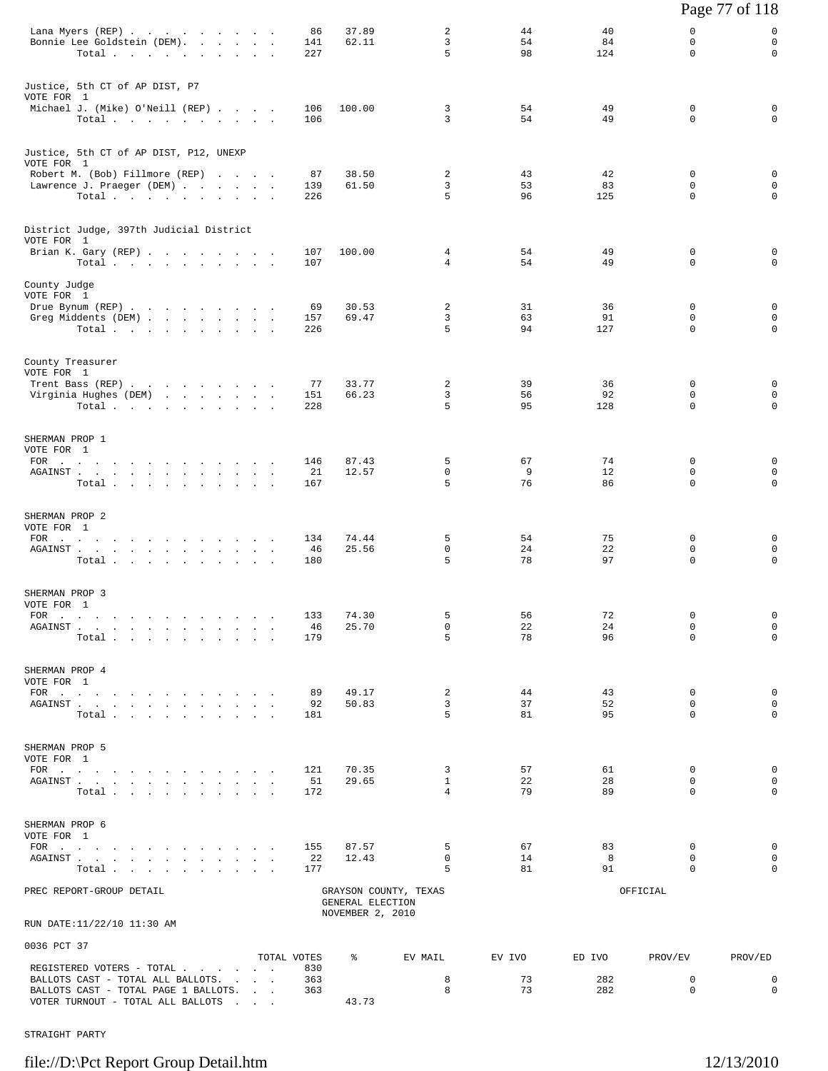|                                                                                                                                                                                                                                                                                        |                                          |                         |                   |                  |                            |                |                               |                              | Page 77 of 118                            |
|----------------------------------------------------------------------------------------------------------------------------------------------------------------------------------------------------------------------------------------------------------------------------------------|------------------------------------------|-------------------------|-------------------|------------------|----------------------------|----------------|-------------------------------|------------------------------|-------------------------------------------|
| Lana Myers (REP)<br>Bonnie Lee Goldstein (DEM).<br>Total $\cdots$ $\cdots$ $\cdots$ $\cdots$                                                                                                                                                                                           |                                          |                         | 86<br>141<br>227  | 37.89<br>62.11   | 2<br>3<br>5                | 44<br>54<br>98 | 40<br>84<br>124               | 0<br>0<br>$\Omega$           | 0<br>$\mathbf 0$<br>0                     |
| Justice, 5th CT of AP DIST, P7<br>VOTE FOR 1<br>Michael J. (Mike) O'Neill (REP)<br>Total                                                                                                                                                                                               |                                          |                         | 106<br>106        | 100.00           | 3<br>3                     | 54<br>54       | 49<br>49                      | 0<br>0                       | 0<br>$\mathbf 0$                          |
| Justice, 5th CT of AP DIST, P12, UNEXP<br>VOTE FOR 1<br>Robert M. (Bob) Fillmore (REP)<br>Lawrence J. Praeger (DEM)                                                                                                                                                                    |                                          |                         | 87<br>139         | 38.50<br>61.50   | 2<br>3                     | 43<br>53       | 42<br>83                      | $\mathbf 0$<br>0             | 0<br>$\mathbf 0$                          |
| Total                                                                                                                                                                                                                                                                                  |                                          |                         | 226               |                  | 5                          | 96             | 125                           | $\mathbf 0$                  | $\mathbf 0$                               |
| District Judge, 397th Judicial District<br>VOTE FOR 1                                                                                                                                                                                                                                  |                                          |                         |                   |                  |                            |                |                               |                              |                                           |
| Brian K. Gary (REP)<br>Total                                                                                                                                                                                                                                                           |                                          |                         | 107<br>107        | 100.00           | 4<br>4                     | 54<br>54       | 49<br>49                      | $\mathbf 0$<br>0             | 0<br>0                                    |
| County Judge<br>VOTE FOR 1<br>Drue Bynum (REP)<br>Greg Middents (DEM)<br>Total $\cdots$ $\cdots$ $\cdots$ $\cdots$                                                                                                                                                                     |                                          |                         | 69<br>157<br>226  | 30.53<br>69.47   | 2<br>3<br>5                | 31<br>63<br>94 | 36<br>91<br>127               | $\mathbf 0$<br>0<br>$\Omega$ | 0<br>$\mathbf 0$<br>$\mathbf 0$           |
| County Treasurer<br>VOTE FOR 1<br>Trent Bass (REP)<br>Virginia Hughes (DEM)<br>Total $\cdots$ $\cdots$ $\cdots$                                                                                                                                                                        |                                          |                         | 77<br>151<br>228  | 33.77<br>66.23   | 2<br>3<br>5                | 39<br>56<br>95 | 36<br>92<br>128               | 0<br>0<br>$\Omega$           | 0<br>$\mathbf 0$<br>$\mathbf 0$           |
| SHERMAN PROP 1<br>VOTE FOR 1<br>FOR $\cdots$<br>AGAINST<br>Total $\cdots$ $\cdots$ $\cdots$ $\cdots$                                                                                                                                                                                   |                                          |                         | 146<br>21<br>167  | 87.43<br>12.57   | 5<br>0<br>5                | 67<br>9<br>76  | 74<br>$12 \overline{ }$<br>86 | 0<br>0<br>$\Omega$           | 0<br>$\mathbf 0$<br>$\mathbf 0$           |
| SHERMAN PROP 2<br>VOTE FOR 1<br>FOR $\cdots$<br>AGAINST<br>Total                                                                                                                                                                                                                       |                                          |                         | 134<br>46<br>180  | 74.44<br>25.56   | 5<br>0<br>5                | 54<br>24<br>78 | 75<br>22<br>97                | 0<br>0<br>$\Omega$           | 0<br>$\mathbf 0$<br>$\Omega$              |
| SHERMAN PROP 3<br>VOTE FOR 1<br>$FOR$<br>AGAINST<br>Total                                                                                                                                                                                                                              | $\sim$<br>$\ddot{\phantom{a}}$<br>$\sim$ | $\sim$<br>$\sim$        | 133<br>46<br>179  | 74.30<br>25.70   | 5<br>0<br>5                | 56<br>22<br>78 | 72<br>24<br>96                | $\Omega$<br>0<br>$\Omega$    | $\mathbf 0$<br>$\mathbf 0$<br>$\mathbf 0$ |
| SHERMAN PROP 4<br>VOTE FOR 1<br>FOR $\cdots$<br>AGAINST<br>Total $\cdots$ $\cdots$ $\cdots$                                                                                                                                                                                            |                                          |                         | 89<br>92<br>181   | 49.17<br>50.83   | 2<br>3<br>5                | 44<br>37<br>81 | 43<br>52<br>95                | $\mathbf 0$<br>0<br>$\Omega$ | 0<br>$\mathbf 0$<br>$\Omega$              |
| SHERMAN PROP 5<br>VOTE FOR 1<br>${\tt AGAINST} \hspace{1.5cm} . \hspace{1.5cm} . \hspace{1.5cm} . \hspace{1.5cm} . \hspace{1.5cm} . \hspace{1.5cm} . \hspace{1.5cm} . \hspace{1.5cm} . \hspace{1.5cm} . \hspace{1.5cm} . \hspace{1.5cm} . \hspace{1.5cm} . \hspace{1.5cm} .$<br>Total. |                                          |                         | 121<br>51<br>172  | 70.35<br>29.65   | 3<br>$\mathbf{1}$<br>4     | 57<br>22<br>79 | 61<br>28<br>89                | 0<br>0<br>$\Omega$           | 0<br>$\mathbf 0$<br>$\Omega$              |
| SHERMAN PROP 6<br>VOTE FOR 1<br>FOR $\cdots$<br>AGAINST                                                                                                                                                                                                                                |                                          |                         | 155<br>22         | 87.57<br>12.43   | 5<br>$\mathbf 0$           | 67<br>14       | 83<br>8                       | $\mathbf 0$<br>$\Omega$      | $\mathbf 0$<br>0                          |
| Total<br>PREC REPORT-GROUP DETAIL                                                                                                                                                                                                                                                      | and a straightful contract and a         |                         | 177               | GENERAL ELECTION | 5<br>GRAYSON COUNTY, TEXAS | 81             | 91                            | $\Omega$<br>OFFICIAL         | $\Omega$                                  |
| RUN DATE:11/22/10 11:30 AM                                                                                                                                                                                                                                                             |                                          |                         |                   | NOVEMBER 2, 2010 |                            |                |                               |                              |                                           |
| 0036 PCT 37                                                                                                                                                                                                                                                                            |                                          |                         | TOTAL VOTES       | ៖                | EV MAIL                    | EV IVO         | ED IVO                        | PROV/EV                      | PROV/ED                                   |
| REGISTERED VOTERS - TOTAL<br>BALLOTS CAST - TOTAL ALL BALLOTS.<br>BALLOTS CAST - TOTAL PAGE 1 BALLOTS.<br>VOTER TURNOUT - TOTAL ALL BALLOTS                                                                                                                                            |                                          | <b>Carl Corporation</b> | 830<br>363<br>363 | 43.73            | 8<br>8                     | 73<br>73       | 282<br>282                    | 0<br>$\mathbf 0$             | 0<br>$\Omega$                             |

STRAIGHT PARTY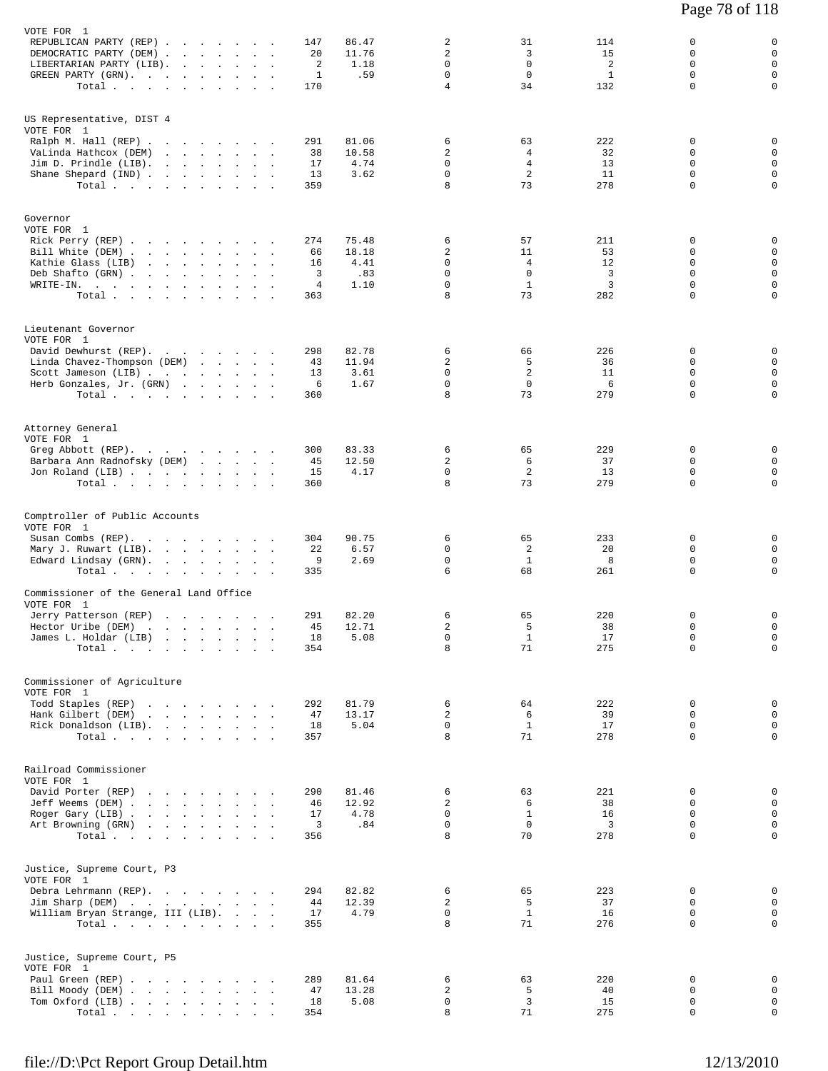| VOTE FOR 1<br>REPUBLICAN PARTY (REP)<br>DEMOCRATIC PARTY (DEM)<br>LIBERTARIAN PARTY (LIB).<br>$\sim$<br>$\sim$<br>GREEN PARTY (GRN).<br>Total                                                             | $\ddot{\phantom{a}}$<br>$\cdot$<br>$\sim$ $\sim$            | 86.47<br>147<br>20<br>11.76<br>2<br>1.18<br>1<br>.59<br>170                            | 2<br>2<br>$\Omega$<br>$\mathbf 0$<br>4            | 31<br>3<br>$\mathbf 0$<br>$\mathbf 0$<br>34        | 114<br>15<br>$\overline{c}$<br>$\mathbf{1}$<br>132 | 0<br>0<br>$\mathbf 0$<br>0<br>$\mathbf 0$<br>$\Omega$<br>$\mathsf 0$<br>$\mathbf 0$<br>$\mathbf 0$<br>$\Omega$                               |
|-----------------------------------------------------------------------------------------------------------------------------------------------------------------------------------------------------------|-------------------------------------------------------------|----------------------------------------------------------------------------------------|---------------------------------------------------|----------------------------------------------------|----------------------------------------------------|----------------------------------------------------------------------------------------------------------------------------------------------|
| US Representative, DIST 4<br>VOTE FOR 1<br>Ralph M. Hall (REP)<br>VaLinda Hathcox (DEM)<br>Jim D. Prindle (LIB).<br>Shane Shepard (IND)<br>Total $\cdots$ $\cdots$ $\cdots$                               |                                                             | 81.06<br>291<br>38<br>10.58<br>17<br>4.74<br>3.62<br>13<br>359                         | 6<br>2<br>0<br>$\mathbf 0$<br>8                   | 63<br>4<br>4<br>2<br>73                            | 222<br>32<br>13<br>11<br>278                       | 0<br>0<br>$\mathbf 0$<br>0<br>$\mathbf 0$<br>0<br>$\mathbf 0$<br>$\mathbf 0$<br>$\mathbf 0$<br>$\Omega$                                      |
| Governor<br>VOTE FOR 1<br>Rick Perry (REP)<br>Bill White (DEM)<br>Kathie Glass (LIB)<br>the company of the company of the<br>Deb Shafto (GRN)<br>$\texttt{WRTTE-IN.}$<br>Total $\cdots$ $\cdots$ $\cdots$ | <b>Service</b><br>$\cdot$<br>$\ddot{\phantom{a}}$<br>$\sim$ | 75.48<br>274<br>66<br>18.18<br>16<br>4.41<br>3<br>.83<br>$\overline{4}$<br>1.10<br>363 | 6<br>$\overline{a}$<br>0<br>$\mathbf 0$<br>0<br>8 | 57<br>11<br>4<br>$\mathbf 0$<br>$\mathbf{1}$<br>73 | 211<br>53<br>12<br>3<br>3<br>282                   | 0<br>0<br>$\mathbf 0$<br>0<br>$\mathbf 0$<br>$\Omega$<br>$\mathbf 0$<br>$\mathsf 0$<br>$\mathbf 0$<br>$\mathbf 0$<br>$\Omega$<br>$\mathbf 0$ |
| Lieutenant Governor<br>VOTE FOR 1<br>David Dewhurst (REP).<br>Linda Chavez-Thompson (DEM)<br>Scott Jameson (LIB)<br>Herb Gonzales, Jr. (GRN)<br>Total.                                                    |                                                             | 82.78<br>298<br>11.94<br>43<br>13<br>3.61<br>6<br>1.67<br>360                          | 6<br>2<br>0<br>$\mathbf 0$<br>8                   | 66<br>5<br>$\overline{2}$<br>$\mathbf 0$<br>73     | 226<br>36<br>11<br>6<br>279                        | 0<br>0<br>$\mathbf 0$<br>$\Omega$<br>$\mathbf 0$<br>$\mathbf 0$<br>$\mathsf 0$<br>$\Omega$<br>$\mathsf{O}$<br>0                              |
| Attorney General<br>VOTE FOR 1<br>Greg Abbott (REP).<br>Barbara Ann Radnofsky (DEM)<br>Jon Roland (LIB)<br>Total                                                                                          |                                                             | 300<br>83.33<br>12.50<br>45<br>15<br>4.17<br>360                                       | 6<br>2<br>$\mathsf 0$<br>8                        | 65<br>6<br>$\overline{2}$<br>73                    | 229<br>37<br>13<br>279                             | 0<br>0<br>$\mathbf 0$<br>$\Omega$<br>$\mathbf 0$<br>$\mathbf 0$<br>$\mathbf 0$<br>0                                                          |
| Comptroller of Public Accounts<br>VOTE FOR 1<br>Susan Combs (REP).<br>Mary J. Ruwart (LIB).<br>Edward Lindsay (GRN).<br>Total<br>$\sim$                                                                   | $\sim 10^{-10}$ km $^{-1}$                                  | 304<br>90.75<br>22<br>6.57<br>9<br>2.69<br>335                                         | 6<br>$\mathbf 0$<br>0<br>6                        | 65<br>$\overline{a}$<br>$\mathbf{1}$<br>68         | 233<br>20<br>8<br>261                              | 0<br>0<br>$\mathbf 0$<br>$\mathbf 0$<br>$\mathsf 0$<br>0<br>$\Omega$<br>$\mathbf 0$                                                          |
| Commissioner of the General Land Office<br>VOTE FOR 1<br>Jerry Patterson (REP)<br>Hector Uribe (DEM)<br>James L. Holdar (LIB)<br>Total                                                                    |                                                             | 82.20<br>291<br>45<br>12.71<br>18<br>5.08<br>354                                       | 6<br>2<br>0<br>8                                  | 65<br>5<br>$\mathbf{1}$<br>71                      | 220<br>38<br>17<br>275                             | $\mathbf 0$<br>0<br>$\mathbf 0$<br>$\mathsf{O}$<br>0<br>0<br>$\mathbf 0$<br>$\mathbf 0$                                                      |
| Commissioner of Agriculture<br>VOTE FOR 1<br>Todd Staples (REP)<br>Hank Gilbert (DEM)<br>Rick Donaldson (LIB).<br>Total                                                                                   |                                                             | 292<br>81.79<br>47<br>13.17<br>5.04<br>18<br>357                                       | 6<br>2<br>$\mathbf 0$<br>8                        | 64<br>6<br>$\mathbf{1}$<br>71                      | 222<br>39<br>17<br>278                             | 0<br>0<br>$\mathbf 0$<br>$\Omega$<br>$\mathbf 0$<br>0<br>$\mathbf 0$<br>0                                                                    |
| Railroad Commissioner<br>VOTE FOR 1<br>David Porter (REP)<br>Jeff Weems (DEM)<br>Roger Gary (LIB)<br>Art Browning (GRN)<br>Total.                                                                         |                                                             | 290<br>81.46<br>12.92<br>46<br>17<br>4.78<br>3<br>.84<br>356                           | 6<br>$\overline{a}$<br>0<br>0<br>8                | 63<br>6<br>$\mathbf{1}$<br>$\mathbf 0$<br>70       | 221<br>38<br>16<br>3<br>278                        | 0<br>0<br>$\mathbf 0$<br>0<br>$\mathbf 0$<br>0<br>$\mathbf 0$<br>0<br>$\mathsf{O}$<br>0                                                      |
| Justice, Supreme Court, P3<br>VOTE FOR 1<br>Debra Lehrmann (REP).<br>Jim Sharp (DEM)<br>William Bryan Strange, III (LIB).<br>Total                                                                        |                                                             | 294<br>82.82<br>12.39<br>44<br>17<br>4.79<br>355                                       | 6<br>2<br>0<br>8                                  | 65<br>5<br>$\mathbf{1}$<br>71                      | 223<br>37<br>16<br>276                             | 0<br>$\Omega$<br>$\mathbf 0$<br>0<br>$\mathbf 0$<br>0<br>$\mathsf{O}$<br>$\Omega$                                                            |
| Justice, Supreme Court, P5<br>VOTE FOR 1<br>Paul Green (REP)<br>Bill Moody (DEM)<br>Tom Oxford (LIB)<br>Total                                                                                             |                                                             | 289<br>81.64<br>47<br>13.28<br>5.08<br>18<br>354                                       | 6<br>2<br>0<br>8                                  | 63<br>5<br>3<br>71                                 | 220<br>40<br>15<br>275                             | 0<br>0<br>$\mathbf 0$<br>0<br>$\mathbf 0$<br>0<br>0<br>$\mathsf{O}$                                                                          |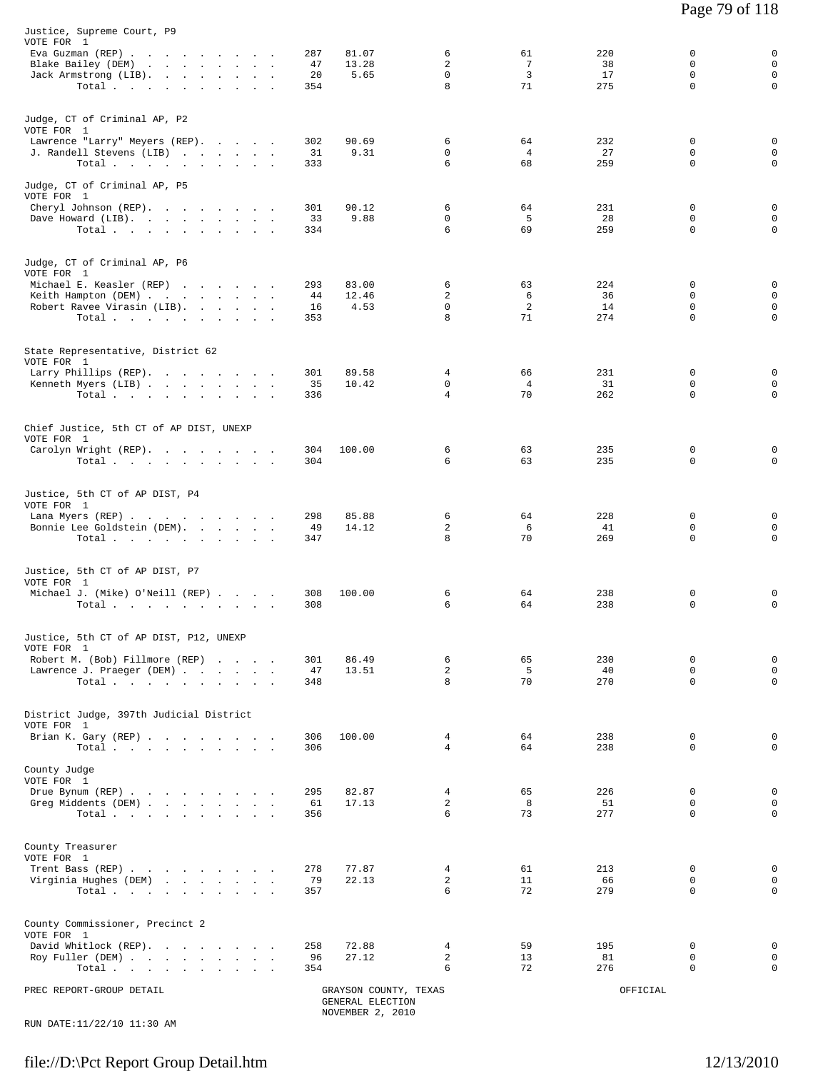| Justice, Supreme Court, P9<br>VOTE FOR 1<br>Eva Guzman (REP)                 | 287                  | 81.07<br>6                                | 61                                      | 220              | $\mathbf 0$<br>0                                                                    |
|------------------------------------------------------------------------------|----------------------|-------------------------------------------|-----------------------------------------|------------------|-------------------------------------------------------------------------------------|
| Blake Bailey (DEM)<br>Jack Armstrong (LIB).<br>Total                         | 47<br>20<br>354      | 13.28<br>2<br>0<br>5.65<br>8              | $7\phantom{.0}$<br>$\overline{3}$<br>71 | 38<br>17<br>275  | $\mathbf 0$<br>$\Omega$<br>$\mathbf 0$<br>$\mathbf 0$<br>$\mathbf 0$<br>$\mathbf 0$ |
| Judge, CT of Criminal AP, P2<br>VOTE FOR 1<br>Lawrence "Larry" Meyers (REP). | 302                  | 90.69<br>6                                | 64                                      | 232              | $\Omega$<br>$\mathbf 0$                                                             |
| J. Randell Stevens (LIB)<br>Total $\cdots$                                   | 31<br>333            | $\mathbf 0$<br>9.31<br>6                  | $\overline{4}$<br>68                    | 27<br>259        | $\mathbf 0$<br>$\mathbf 0$<br>$\Omega$<br>$\Omega$                                  |
| Judge, CT of Criminal AP, P5<br>VOTE FOR 1                                   |                      |                                           |                                         |                  |                                                                                     |
| Cheryl Johnson (REP).<br>Dave Howard (LIB).<br>Total                         | 301<br>33<br>334     | 90.12<br>6<br>9.88<br>0<br>6              | 64<br>5<br>69                           | 231<br>28<br>259 | 0<br>0<br>0<br>$\mathbf 0$<br>$\Omega$<br>$\mathbf 0$                               |
| Judge, CT of Criminal AP, P6<br>VOTE FOR 1                                   |                      |                                           |                                         |                  |                                                                                     |
| Michael E. Keasler (REP)                                                     | 293                  | 83.00<br>6                                | 63                                      | 224              | 0<br>0                                                                              |
| Keith Hampton (DEM)                                                          | 44                   | 12.46<br>2                                | 6                                       | 36               | $\Omega$<br>0                                                                       |
| Robert Ravee Virasin (LIB).<br>Total                                         | 16<br>353            | $\mathbf 0$<br>4.53<br>8                  | $\overline{2}$<br>71                    | 14<br>274        | $\mathbf 0$<br>$\mathbf 0$<br>$\Omega$<br>0                                         |
|                                                                              |                      |                                           |                                         |                  |                                                                                     |
| State Representative, District 62<br>VOTE FOR 1                              |                      |                                           |                                         |                  |                                                                                     |
| Larry Phillips (REP).                                                        | 301                  | 4<br>89.58                                | 66                                      | 231              | 0<br>$\mathbf 0$                                                                    |
| Kenneth Myers (LIB)<br>Total                                                 | 35<br>336            | $\mathbf 0$<br>10.42<br>4                 | $\overline{4}$<br>70                    | 31<br>262        | $\mathbf 0$<br>$\mathbf 0$<br>0<br>$\mathbf 0$                                      |
| Chief Justice, 5th CT of AP DIST, UNEXP                                      |                      |                                           |                                         |                  |                                                                                     |
| VOTE FOR 1                                                                   |                      |                                           |                                         |                  |                                                                                     |
| Carolyn Wright (REP).<br>Total $\cdots$                                      | 304<br>100.00<br>304 | 6<br>6                                    | 63<br>63                                | 235<br>235       | 0<br>$\mathbf 0$<br>$\mathbf 0$<br>0                                                |
| Justice, 5th CT of AP DIST, P4<br>VOTE FOR 1                                 |                      |                                           |                                         |                  |                                                                                     |
| Lana Myers (REP)                                                             | 298                  | 85.88<br>6                                | 64                                      | 228              | 0<br>0                                                                              |
| Bonnie Lee Goldstein (DEM).<br>Total $\cdots$                                | 49<br>347            | 14.12<br>2<br>8                           | 6<br>70                                 | 41<br>269        | 0<br>0<br>$\mathbf 0$<br>0                                                          |
| Justice, 5th CT of AP DIST, P7                                               |                      |                                           |                                         |                  |                                                                                     |
| VOTE FOR 1                                                                   |                      |                                           |                                         |                  |                                                                                     |
| Michael J. (Mike) O'Neill (REP)<br>Total.                                    | 308<br>100.00<br>308 | 6<br>6                                    | 64<br>64                                | 238<br>238       | 0<br>0<br>0<br>$\mathbf 0$                                                          |
| Justice, 5th CT of AP DIST, P12, UNEXP<br>VOTE FOR 1                         |                      |                                           |                                         |                  |                                                                                     |
| Robert M. (Bob) Fillmore (REP)                                               | 301                  | 86.49<br>6                                | 65                                      | 230              | $\mathbf 0$<br>0                                                                    |
| Lawrence J. Praeger (DEM)                                                    | 47                   | 2<br>13.51<br>8                           | 5<br>70                                 | 40<br>270        | $\mathbf 0$<br>0<br>$\mathbf 0$<br>$\mathbf 0$                                      |
| Total                                                                        | 348                  |                                           |                                         |                  |                                                                                     |
| District Judge, 397th Judicial District<br>VOTE FOR 1                        |                      |                                           |                                         |                  |                                                                                     |
| Brian K. Gary (REP)<br>Total $\cdots$                                        | 306<br>100.00<br>306 | 4<br>4                                    | 64<br>64                                | 238<br>238       | 0<br>0<br>$\Omega$<br>$\Omega$                                                      |
| County Judge<br>VOTE FOR 1                                                   |                      |                                           |                                         |                  |                                                                                     |
| Drue Bynum (REP)<br>Greg Middents (DEM)                                      | 295<br>61            | 82.87<br>4<br>2<br>17.13                  | 65<br>8                                 | 226<br>51        | 0<br>0<br>0<br>0                                                                    |
| Total $\cdots$ $\cdots$ $\cdots$ $\cdots$                                    | 356                  | 6                                         | 73                                      | 277              | $\mathbf 0$<br>$\mathbf 0$                                                          |
| County Treasurer<br>VOTE FOR 1                                               |                      |                                           |                                         |                  |                                                                                     |
| Trent Bass (REP)                                                             | 278                  | 77.87<br>4                                | 61                                      | 213              | 0<br>0                                                                              |
| Virginia Hughes (DEM)<br>Total                                               | 79<br>357            | 2<br>22.13<br>6                           | 11<br>72                                | 66<br>279        | $\Omega$<br>0<br>$\mathbf 0$<br>$\mathbf 0$                                         |
| County Commissioner, Precinct 2<br>VOTE FOR 1                                |                      |                                           |                                         |                  |                                                                                     |
| David Whitlock (REP).                                                        | 258                  | 72.88<br>4                                | 59                                      | 195              | 0<br>0                                                                              |
| Roy Fuller (DEM)<br>Total                                                    | 96<br>354            | 2<br>27.12<br>6                           | 13<br>72                                | 81<br>276        | 0<br>0<br>$\mathbf 0$<br>0                                                          |
|                                                                              |                      |                                           |                                         |                  |                                                                                     |
| PREC REPORT-GROUP DETAIL                                                     |                      | GRAYSON COUNTY, TEXAS<br>GENERAL ELECTION |                                         | OFFICIAL         |                                                                                     |

NOVEMBER 2, 2010 RUN DATE:11/22/10 11:30 AM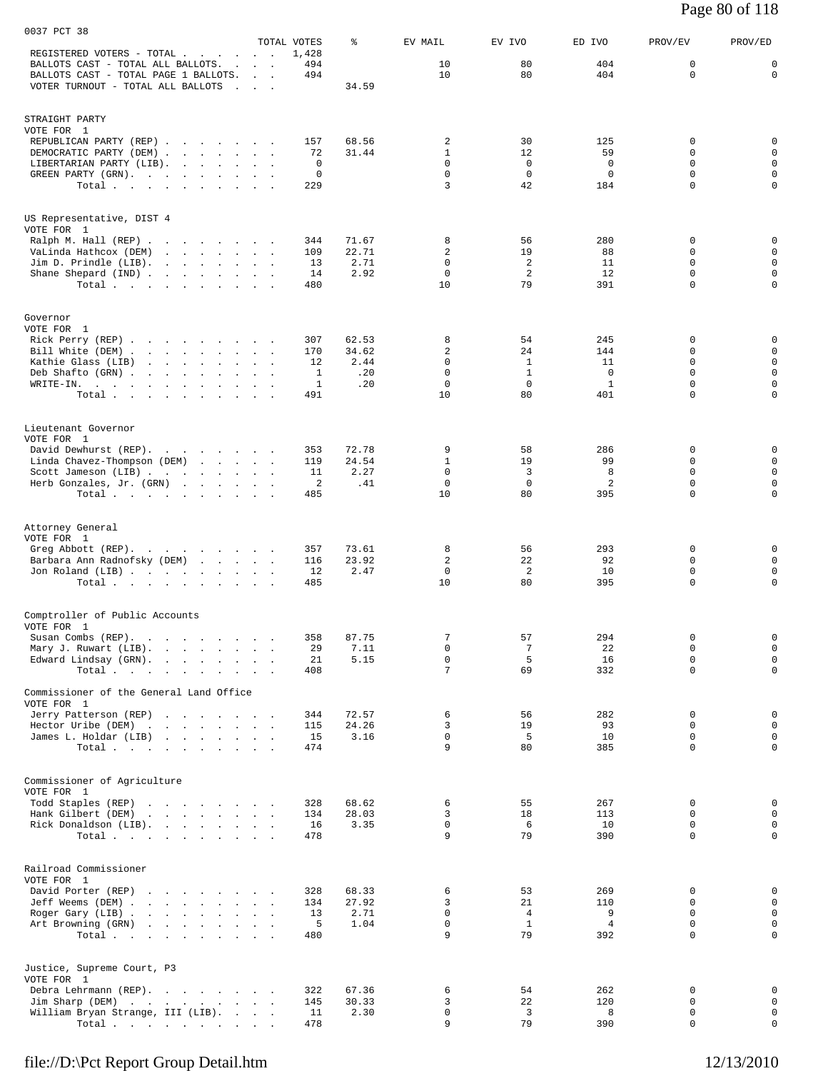| Page 80 of 118 |
|----------------|
|----------------|

| 0037 PCT 38                                                                                                                                                                                                                                                                    |                              |                      |                |                            |                   |                     |                            |                            |
|--------------------------------------------------------------------------------------------------------------------------------------------------------------------------------------------------------------------------------------------------------------------------------|------------------------------|----------------------|----------------|----------------------------|-------------------|---------------------|----------------------------|----------------------------|
| REGISTERED VOTERS - TOTAL                                                                                                                                                                                                                                                      | and the company of           | TOTAL VOTES<br>1,428 | ៖              | EV MAIL                    | EV IVO            | ED IVO              | PROV/EV                    | PROV/ED                    |
| BALLOTS CAST - TOTAL ALL BALLOTS.<br>BALLOTS CAST - TOTAL PAGE 1 BALLOTS.                                                                                                                                                                                                      | and the contract of the con- | 494<br>494           |                | 10<br>10                   | 80<br>80          | 404<br>404          | 0<br>$\mathbf 0$           | 0<br>$\mathbf 0$           |
| VOTER TURNOUT - TOTAL ALL BALLOTS                                                                                                                                                                                                                                              | $\sim$ $\sim$ $\sim$         |                      | 34.59          |                            |                   |                     |                            |                            |
|                                                                                                                                                                                                                                                                                |                              |                      |                |                            |                   |                     |                            |                            |
| STRAIGHT PARTY<br>VOTE FOR 1                                                                                                                                                                                                                                                   |                              |                      |                |                            |                   |                     |                            |                            |
| REPUBLICAN PARTY (REP)                                                                                                                                                                                                                                                         |                              | 157                  | 68.56          | 2                          | 30                | 125                 | 0                          | 0                          |
| DEMOCRATIC PARTY (DEM)<br>LIBERTARIAN PARTY (LIB).                                                                                                                                                                                                                             |                              | 72<br>$\mathbf 0$    | 31.44          | $\mathbf{1}$<br>$\Omega$   | 12<br>$\Omega$    | 59<br>0             | $\mathbf 0$<br>$\Omega$    | $\mathbf 0$<br>$\mathbf 0$ |
| GREEN PARTY (GRN).                                                                                                                                                                                                                                                             |                              | 0                    |                | 0                          | 0                 | 0                   | 0                          | $\mathbf 0$                |
| Total                                                                                                                                                                                                                                                                          |                              | 229                  |                | 3                          | 42                | 184                 | $\mathbf 0$                | $\mathbf 0$                |
| US Representative, DIST 4                                                                                                                                                                                                                                                      |                              |                      |                |                            |                   |                     |                            |                            |
| VOTE FOR 1                                                                                                                                                                                                                                                                     |                              |                      |                |                            |                   |                     |                            |                            |
| Ralph M. Hall (REP)<br>VaLinda Hathcox (DEM)<br>the contract of the contract of the contract of                                                                                                                                                                                |                              | 344<br>109           | 71.67<br>22.71 | 8<br>2                     | 56<br>19          | 280<br>88           | 0<br>$\mathbf 0$           | $\mathbf 0$<br>$\mathbf 0$ |
| Jim D. Prindle (LIB). $\ldots$                                                                                                                                                                                                                                                 |                              | 13                   | 2.71           | 0                          | 2                 | 11                  | 0                          | $\mathbf 0$                |
| Shane Shepard (IND)<br>Total $\cdots$ $\cdots$ $\cdots$                                                                                                                                                                                                                        |                              | 14<br>480            | 2.92           | $\mathbf 0$<br>10          | 2<br>79           | 12<br>391           | $\mathbf 0$<br>$\mathbf 0$ | $\mathbf 0$<br>$\mathbf 0$ |
|                                                                                                                                                                                                                                                                                |                              |                      |                |                            |                   |                     |                            |                            |
| Governor                                                                                                                                                                                                                                                                       |                              |                      |                |                            |                   |                     |                            |                            |
| VOTE FOR 1<br>Rick Perry (REP)                                                                                                                                                                                                                                                 |                              | 307                  | 62.53          | 8                          | 54                | 245                 | 0                          | 0                          |
| Bill White (DEM)                                                                                                                                                                                                                                                               |                              | 170                  | 34.62          | 2                          | 24                | 144                 | $\Omega$                   | $\mathbf 0$                |
| Kathie Glass (LIB)<br><u>in the second contract of the second contract of the second contract of the second contract of the second contract of the second contract of the second contract of the second contract of the second contract of the second </u><br>Deb Shafto (GRN) |                              | 12<br>1              | 2.44<br>.20    | $\mathbf 0$<br>$\mathbf 0$ | 1<br>$\mathbf{1}$ | 11<br>0             | $\mathbf 0$<br>$\mathbf 0$ | $\mathbf 0$<br>$\mathbf 0$ |
| WRITE-IN.                                                                                                                                                                                                                                                                      |                              | 1                    | .20            | $\mathbf 0$                | $\mathbf 0$       | 1                   | $\mathbf 0$                | $\mathbf 0$                |
| Total $\cdots$ $\cdots$ $\cdots$                                                                                                                                                                                                                                               |                              | 491                  |                | 10                         | 80                | 401                 | 0                          | $\mathbf 0$                |
| Lieutenant Governor                                                                                                                                                                                                                                                            |                              |                      |                |                            |                   |                     |                            |                            |
| VOTE FOR 1<br>David Dewhurst (REP).                                                                                                                                                                                                                                            |                              | 353                  | 72.78          | 9                          | 58                | 286                 | 0                          | 0                          |
| Linda Chavez-Thompson (DEM)<br>Scott Jameson (LIB)                                                                                                                                                                                                                             |                              | 119<br>11            | 24.54<br>2.27  | $\mathbf{1}$<br>0          | 19<br>3           | 99<br>8             | $\mathbf 0$<br>$\Omega$    | $\mathbf 0$<br>$\mathbf 0$ |
| Herb Gonzales, Jr. (GRN)                                                                                                                                                                                                                                                       |                              | 2                    | .41            | 0                          | 0                 | $\overline{a}$      | $\mathbf 0$                | $\mathbf 0$                |
| Total $\cdots$                                                                                                                                                                                                                                                                 |                              | 485                  |                | 10                         | 80                | 395                 | $\Omega$                   | $\mathbf 0$                |
|                                                                                                                                                                                                                                                                                |                              |                      |                |                            |                   |                     |                            |                            |
| Attorney General<br>VOTE FOR 1                                                                                                                                                                                                                                                 |                              |                      |                |                            |                   |                     |                            |                            |
| Greg Abbott (REP).<br>Barbara Ann Radnofsky (DEM)                                                                                                                                                                                                                              |                              | 357<br>116           | 73.61<br>23.92 | 8<br>$\overline{c}$        | 56<br>22          | 293<br>92           | 0<br>$\mathbf 0$           | 0<br>$\mathbf 0$           |
| Jon Roland (LIB)                                                                                                                                                                                                                                                               |                              | 12                   | 2.47           | 0                          | 2                 | 10                  | $\mathbf 0$                | $\mathbf 0$                |
| Total                                                                                                                                                                                                                                                                          |                              | 485                  |                | 10                         | 80                | 395                 | $\mathbf 0$                | $\mathbf 0$                |
| Comptroller of Public Accounts                                                                                                                                                                                                                                                 |                              |                      |                |                            |                   |                     |                            |                            |
| VOTE FOR 1                                                                                                                                                                                                                                                                     |                              |                      |                | 7                          |                   |                     | 0                          | $\mathbf 0$                |
| Susan Combs (REP).<br>Mary J. Ruwart (LIB).                                                                                                                                                                                                                                    | $\sim$ $\sim$                | 358<br>29            | 87.75<br>7.11  | 0                          | 57<br>7           | 294<br>22           | $\mathbf 0$                | $\mathsf 0$                |
| Edward Lindsay (GRN).<br>Total                                                                                                                                                                                                                                                 |                              | 21<br>408            | 5.15           | $\mathbf 0$<br>7           | 5<br>69           | 16<br>332           | $\mathbf 0$<br>$\mathbf 0$ | $\mathsf 0$<br>$\mathbf 0$ |
|                                                                                                                                                                                                                                                                                |                              |                      |                |                            |                   |                     |                            |                            |
| Commissioner of the General Land Office<br>VOTE FOR 1                                                                                                                                                                                                                          |                              |                      |                |                            |                   |                     |                            |                            |
| Jerry Patterson (REP)                                                                                                                                                                                                                                                          |                              | 344                  | 72.57          | 6                          | 56                | 282                 | 0                          | $\mathbf 0$                |
| Hector Uribe (DEM)<br>James L. Holdar (LIB)                                                                                                                                                                                                                                    |                              | 115<br>15            | 24.26<br>3.16  | 3<br>0                     | 19<br>5           | 93<br>10            | 0<br>$\mathbf 0$           | $\mathsf 0$<br>$\mathbf 0$ |
| Total $\cdots$                                                                                                                                                                                                                                                                 |                              | 474                  |                | 9                          | 80                | 385                 | $\Omega$                   | $\mathbf 0$                |
|                                                                                                                                                                                                                                                                                |                              |                      |                |                            |                   |                     |                            |                            |
| Commissioner of Agriculture<br>VOTE FOR 1                                                                                                                                                                                                                                      |                              |                      |                |                            |                   |                     |                            |                            |
| Todd Staples (REP)<br>Hank Gilbert (DEM)<br>the contract of the contract of the contract of the contract of the contract of                                                                                                                                                    |                              | 328<br>134           | 68.62<br>28.03 | 6<br>3                     | 55<br>18          | 267<br>113          | 0<br>$\mathbf 0$           | 0<br>$\mathsf 0$           |
| Rick Donaldson (LIB).                                                                                                                                                                                                                                                          |                              | 16                   | 3.35           | $\mathbf 0$                | 6                 | 10                  | $\mathbf 0$                | $\mathsf 0$                |
| Total $\cdots$                                                                                                                                                                                                                                                                 |                              | 478                  |                | 9                          | 79                | 390                 | $\mathbf 0$                | $\mathbf 0$                |
| Railroad Commissioner                                                                                                                                                                                                                                                          |                              |                      |                |                            |                   |                     |                            |                            |
| VOTE FOR 1                                                                                                                                                                                                                                                                     |                              |                      |                |                            |                   |                     |                            |                            |
| David Porter (REP)<br>Jeff Weems (DEM)                                                                                                                                                                                                                                         |                              | 328<br>134           | 68.33<br>27.92 | 6<br>3                     | 53<br>21          | 269<br>110          | 0<br>$\Omega$              | 0<br>$\mathsf 0$           |
| Roger Gary (LIB)                                                                                                                                                                                                                                                               |                              | 13<br>5              | 2.71<br>1.04   | 0<br>0                     | 4<br>$\mathbf{1}$ | 9<br>$\overline{4}$ | $\mathbf 0$<br>$\mathbf 0$ | $\mathbf 0$<br>$\mathsf 0$ |
| Art Browning (GRN)<br>Total                                                                                                                                                                                                                                                    |                              | 480                  |                | 9                          | 79                | 392                 | $\mathbf 0$                | $\mathsf 0$                |
|                                                                                                                                                                                                                                                                                |                              |                      |                |                            |                   |                     |                            |                            |
| Justice, Supreme Court, P3                                                                                                                                                                                                                                                     |                              |                      |                |                            |                   |                     |                            |                            |
| VOTE FOR 1<br>Debra Lehrmann (REP).                                                                                                                                                                                                                                            |                              | 322                  | 67.36          | 6                          | 54                | 262                 | 0                          | $\mathbf 0$                |
| Jim Sharp (DEM)<br>William Bryan Strange, III (LIB).                                                                                                                                                                                                                           |                              | 145<br>11            | 30.33<br>2.30  | 3<br>0                     | 22<br>3           | 120<br>8            | 0<br>0                     | $\mathbf 0$<br>$\mathbf 0$ |
| Total                                                                                                                                                                                                                                                                          |                              | 478                  |                | 9                          | 79                | 390                 | $\mathbf 0$                | $\mathbf 0$                |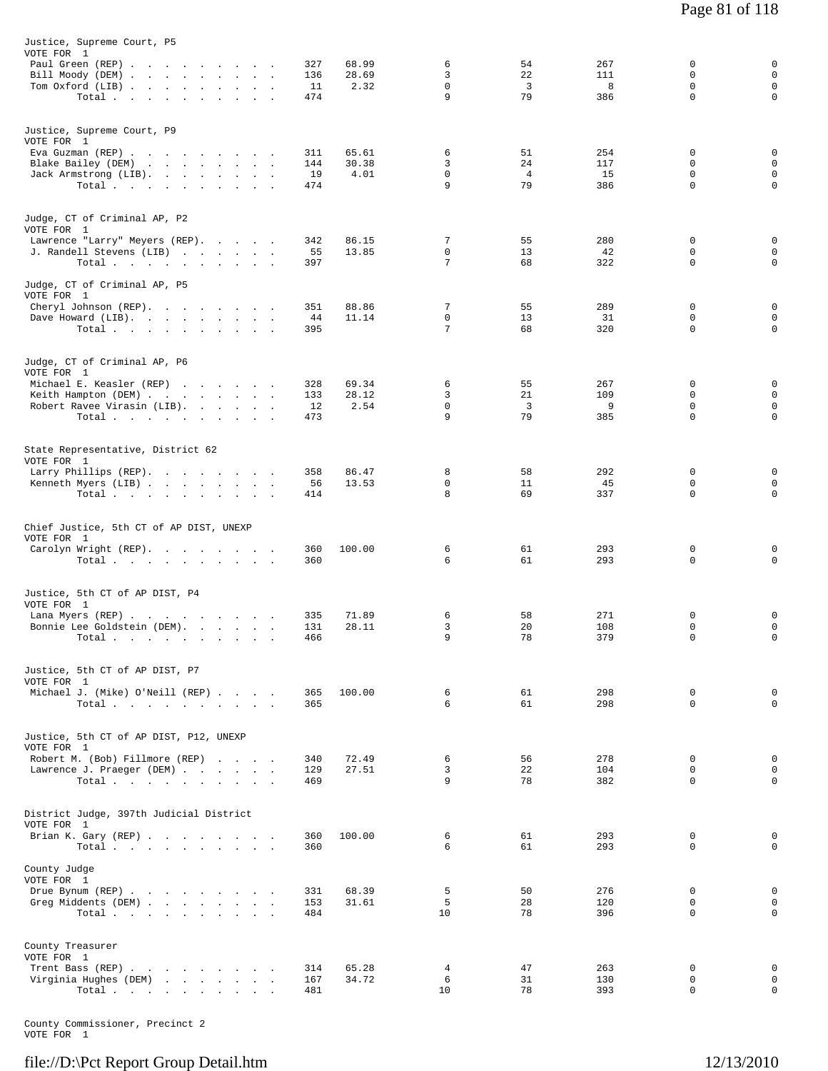| Justice, Supreme Court, P5<br>VOTE FOR 1<br>Paul Green (REP)<br>Bill Moody (DEM)<br>Tom Oxford (LIB)<br>Total                                                                        | 327<br>136<br>11<br>474 | 68.99<br>28.69<br>2.32 | 6<br>3<br>$\mathsf{O}$<br>9 | 54<br>22<br>3<br>79              | 267<br>111<br>8<br>386  | 0<br>$\mathbf 0$<br>0<br>$\mathbf 0$ | 0<br>$\mathbf 0$<br>$\mathbf 0$<br>0 |
|--------------------------------------------------------------------------------------------------------------------------------------------------------------------------------------|-------------------------|------------------------|-----------------------------|----------------------------------|-------------------------|--------------------------------------|--------------------------------------|
| Justice, Supreme Court, P9<br>VOTE FOR 1<br>Eva Guzman (REP)<br>Blake Bailey (DEM)<br>Jack Armstrong (LIB).<br>Total                                                                 | 311<br>144<br>19<br>474 | 65.61<br>30.38<br>4.01 | 6<br>3<br>0<br>9            | 51<br>24<br>$\overline{4}$<br>79 | 254<br>117<br>15<br>386 | 0<br>$\mathbf 0$<br>0<br>0           | 0<br>$\mathsf 0$<br>0<br>$\mathbf 0$ |
| Judge, CT of Criminal AP, P2<br>VOTE FOR 1<br>Lawrence "Larry" Meyers (REP).<br>J. Randell Stevens (LIB)<br>Total<br>Judge, CT of Criminal AP, P5                                    | 342<br>55<br>397        | 86.15<br>13.85         | 7<br>0<br>7                 | 55<br>13<br>68                   | 280<br>42<br>322        | 0<br>0<br>0                          | 0<br>0<br>0                          |
| VOTE FOR 1<br>Cheryl Johnson (REP).<br>Dave Howard (LIB).<br>Total                                                                                                                   | 351<br>44<br>395        | 88.86<br>11.14         | 7<br>0<br>7                 | 55<br>13<br>68                   | 289<br>31<br>320        | 0<br>$\mathsf 0$<br>0                | 0<br>0<br>0                          |
| Judge, CT of Criminal AP, P6<br>VOTE FOR 1<br>Michael E. Keasler (REP)<br>Keith Hampton (DEM)<br>Robert Ravee Virasin (LIB).<br>Total                                                | 328<br>133<br>12<br>473 | 69.34<br>28.12<br>2.54 | 6<br>3<br>0<br>9            | 55<br>21<br>3<br>79              | 267<br>109<br>9<br>385  | 0<br>$\mathbf 0$<br>0<br>$\mathbf 0$ | 0<br>$\mathsf 0$<br>0<br>0           |
| State Representative, District 62<br>VOTE FOR 1<br>Larry Phillips (REP).<br>Kenneth Myers (LIB)<br>Total.                                                                            | 358<br>56<br>414        | 86.47<br>13.53         | 8<br>0<br>8                 | 58<br>11<br>69                   | 292<br>45<br>337        | 0<br>0<br>$\mathbf 0$                | 0<br>$\mathbf 0$<br>$\mathbf 0$      |
| Chief Justice, 5th CT of AP DIST, UNEXP<br>VOTE FOR 1<br>Carolyn Wright (REP).<br>Total $\cdots$ $\cdots$ $\cdots$ $\cdots$                                                          | 360<br>360              | 100.00                 | 6<br>6                      | 61<br>61                         | 293<br>293              | 0<br>0                               | 0<br>$\mathbf 0$                     |
| Justice, 5th CT of AP DIST, P4<br>VOTE FOR 1<br>Lana Myers (REP)<br>Bonnie Lee Goldstein (DEM).<br>$\texttt{Total}~~\cdot~~\cdot~~\cdot~~\cdot~~\cdot~~\cdot~~\cdot~~\cdot~~\cdot~~$ | 335<br>131<br>466       | 71.89<br>28.11         | 6<br>3<br>$\mathsf{Q}$      | 58<br>20<br>78                   | 271<br>108<br>379       | 0<br>$\mathbf 0$<br>$\Omega$         | 0<br>0<br>$\mathbf 0$                |
| Justice, 5th CT of AP DIST, P7<br>VOTE FOR 1<br>Michael J. (Mike) O'Neill (REP)<br>Total $\cdots$ $\cdots$ $\cdots$ $\cdots$                                                         | 365<br>365              | 100.00                 | 6<br>6                      | 61<br>61                         | 298<br>298              | $\mathbf 0$<br>$\Omega$              | 0<br>$\mathbf 0$                     |
| Justice, 5th CT of AP DIST, P12, UNEXP<br>VOTE FOR 1<br>Robert M. (Bob) Fillmore (REP)<br>Lawrence J. Praeger (DEM)<br>Total $\cdots$ $\cdots$ $\cdots$ $\cdots$                     | 340<br>129<br>469       | 72.49<br>27.51         | 6<br>3<br>9                 | 56<br>22<br>78                   | 278<br>104<br>382       | 0<br>$\mathbf 0$<br>0                | 0<br>$\mathbf 0$<br>$\mathbf 0$      |
| District Judge, 397th Judicial District<br>VOTE FOR 1<br>Brian K. Gary (REP)<br>$\texttt{Total}~~.~~.~~.~~.~~.~~.~~.~~.~~.$                                                          | 360<br>360              | 100.00                 | 6<br>6                      | 61<br>61                         | 293<br>293              | 0<br>$\Omega$                        | 0<br>$\mathbf 0$                     |
| County Judge<br>VOTE FOR 1<br>Drue Bynum (REP)<br>Greg Middents (DEM)<br>Total $\cdots$ $\cdots$ $\cdots$ $\cdots$                                                                   | 331<br>153<br>484       | 68.39<br>31.61         | 5<br>5<br>10                | 50<br>28<br>78                   | 276<br>120<br>396       | 0<br>$\mathbf 0$<br>$\Omega$         | 0<br>$\mathbf 0$<br>0                |
| County Treasurer<br>VOTE FOR 1<br>Trent Bass (REP)<br>Virginia Hughes (DEM)<br>Total.                                                                                                | 314<br>167<br>481       | 65.28<br>34.72         | $\overline{4}$<br>6<br>10   | 47<br>31<br>78                   | 263<br>130<br>393       | 0<br>$\mathbf 0$<br>0                | 0<br>$\mathbf 0$<br>0                |

County Commissioner, Precinct 2 VOTE FOR 1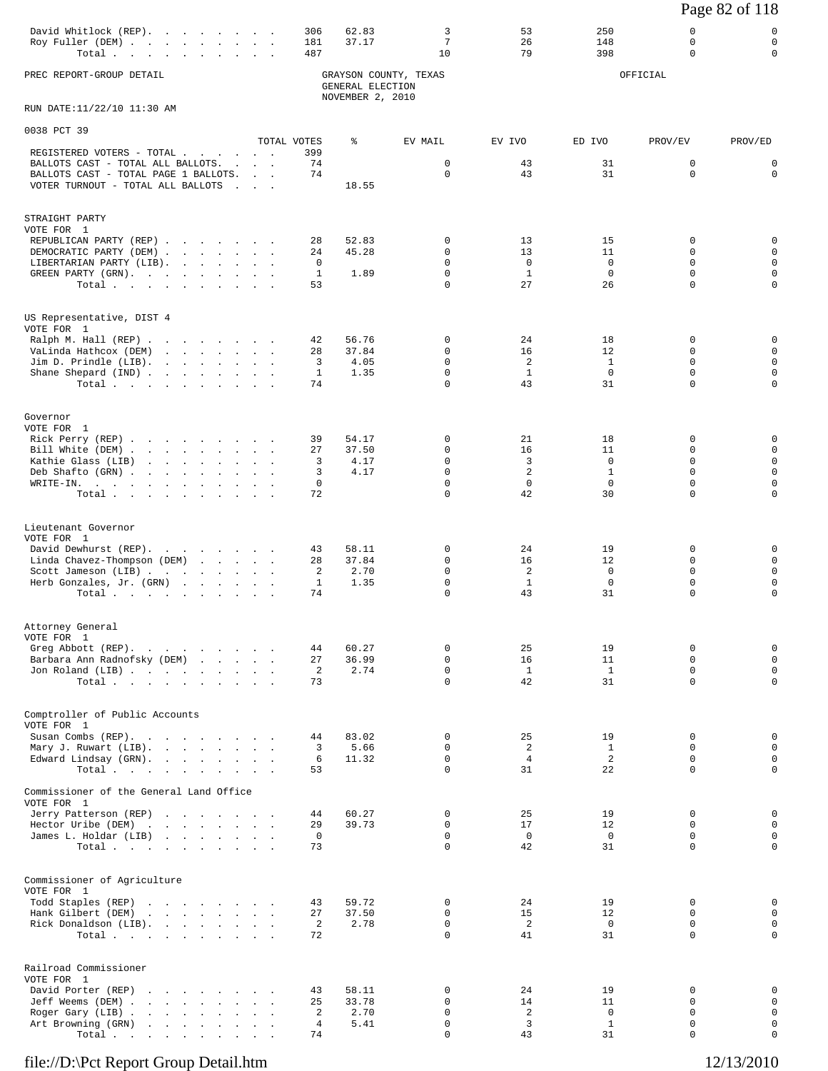# Page 82 of 118

| David Whitlock (REP). 306 62.83 |  |  |  |  |     | つちの |  |
|---------------------------------|--|--|--|--|-----|-----|--|
| Roy Fuller (DEM) 181 37.17      |  |  |  |  |     |     |  |
| Total 487                       |  |  |  |  | 1 N | 398 |  |
|                                 |  |  |  |  |     |     |  |

PREC REPORT-GROUP DETAIL GRAYSON COUNTY, TEXAS OFFICIAL GENERAL ELECTION NOVEMBER 2, 2010

RUN DATE:11/22/10 11:30 AM

| 0038 PCT 39                                                                                                                                                                                           | TOTAL VOTES                                                   |                                       | ႜ                              | EV MAIL                                                                   | EV IVO                                       | ED IVO                                                       | PROV/EV                              | PROV/ED                              |
|-------------------------------------------------------------------------------------------------------------------------------------------------------------------------------------------------------|---------------------------------------------------------------|---------------------------------------|--------------------------------|---------------------------------------------------------------------------|----------------------------------------------|--------------------------------------------------------------|--------------------------------------|--------------------------------------|
| REGISTERED VOTERS - TOTAL<br>BALLOTS CAST - TOTAL ALL BALLOTS.<br>BALLOTS CAST - TOTAL PAGE 1 BALLOTS.<br>VOTER TURNOUT - TOTAL ALL BALLOTS                                                           | <b>Contract Contract Contract</b><br><b>Contract Contract</b> | 399<br>74<br>74                       | 18.55                          | $\mathbf 0$<br>$\mathbf 0$                                                | 43<br>43                                     | 31<br>31                                                     | 0<br>$\mathbf 0$                     | 0<br>$\mathbf 0$                     |
| STRAIGHT PARTY<br>VOTE FOR 1<br>REPUBLICAN PARTY (REP)<br>DEMOCRATIC PARTY (DEM)<br>LIBERTARIAN PARTY (LIB).<br>GREEN PARTY (GRN).<br>Total.                                                          |                                                               | 28<br>24<br>0<br>1<br>53              | 52.83<br>45.28<br>1.89         | 0<br>$\mathbf 0$<br>$\mathbf 0$<br>$\mathbf 0$<br>$\Omega$                | 13<br>13<br>0<br>$\mathbf{1}$<br>27          | 15<br>11<br>$\mathbf 0$<br>$\mathbf 0$<br>26                 | 0<br>0<br>0<br>0<br>$\Omega$         | 0<br>0<br>0<br>0<br>$\Omega$         |
|                                                                                                                                                                                                       |                                                               |                                       |                                |                                                                           |                                              |                                                              |                                      |                                      |
| US Representative, DIST 4<br>VOTE FOR 1<br>Ralph M. Hall (REP)<br>VaLinda Hathcox (DEM)<br>and the state of the state of the state of<br>Join D. Prindle (LIB).<br>Shane Shepard (IND)<br>Total.      |                                                               | 42<br>28<br>3<br>1<br>74              | 56.76<br>37.84<br>4.05<br>1.35 | 0<br>$\mathbf 0$<br>$\Omega$<br>$\mathbf 0$<br>$\mathbf 0$                | 24<br>16<br>2<br>$\mathbf{1}$<br>43          | 18<br>12<br>1<br>$\mathbf 0$<br>31                           | 0<br>0<br>0<br>0<br>$\mathbf 0$      | 0<br>0<br>$\Omega$<br>0<br>0         |
| Governor<br>VOTE FOR 1<br>Rick Perry (REP)<br>Bill White (DEM)<br>Kathie Glass (LIB)<br>Deb Shafto (GRN)<br>WRITE-IN.<br>Total.                                                                       |                                                               | 39<br>27<br>3<br>3<br>0<br>72         | 54.17<br>37.50<br>4.17<br>4.17 | 0<br>$\mathbf 0$<br>$\mathbf 0$<br>$\mathbf 0$<br>$\mathbf 0$<br>$\Omega$ | 21<br>16<br>3<br>2<br>$\mathbf 0$<br>42      | 18<br>11<br>$\mathbf 0$<br>$\mathbf{1}$<br>$\mathbf 0$<br>30 | 0<br>0<br>0<br>$\mathbf 0$<br>0<br>0 | 0<br>0<br>0<br>0<br>0<br>0           |
| Lieutenant Governor<br>VOTE FOR 1<br>David Dewhurst (REP).<br>the company of the company of the company of<br>Linda Chavez-Thompson (DEM)<br>Scott Jameson (LIB)<br>Herb Gonzales, Jr. (GRN)<br>Total |                                                               | 43<br>28<br>2<br>1<br>74              | 58.11<br>37.84<br>2.70<br>1.35 | 0<br>$\mathbf 0$<br>$\mathbf 0$<br>$\mathbf 0$<br>$\Omega$                | 24<br>16<br>2<br>$\mathbf{1}$<br>43          | 19<br>12<br>0<br>$\mathbf 0$<br>31                           | 0<br>0<br>0<br>0<br>0                | 0<br>0<br>0<br>0<br>0                |
| Attorney General<br>VOTE FOR 1<br>Greg Abbott (REP).<br>Barbara Ann Radnofsky (DEM)<br>Jon Roland (LIB)<br>Total                                                                                      |                                                               | 44<br>27<br>2<br>73                   | 60.27<br>36.99<br>2.74         | 0<br>$\mathbf 0$<br>$\mathbf 0$<br>$\mathbf 0$                            | 25<br>16<br>$\mathbf{1}$<br>42               | 19<br>11<br>$\mathbf{1}$<br>31                               | 0<br>0<br>0<br>$\mathbf 0$           | 0<br>0<br>0<br>0                     |
| Comptroller of Public Accounts<br>VOTE FOR 1<br>Susan Combs (REP).<br>Mary J. Ruwart (LIB).<br>the contract of the contract of<br>Edward Lindsay (GRN).<br>Total.                                     | $\overline{\phantom{a}}$                                      | 44<br>3<br>6<br>53                    | 83.02<br>5.66<br>11.32         | 0<br>0<br>$\mathbf 0$<br>$\mathbf 0$                                      | 25<br>$\overline{a}$<br>$\overline{4}$<br>31 | 19<br>$\mathbf{1}$<br>$\overline{a}$<br>22                   | 0<br>0<br>$\mathbf 0$<br>0           | 0<br>0<br>$\mathbf 0$<br>$\mathbf 0$ |
| Commissioner of the General Land Office<br>VOTE FOR 1<br>Jerry Patterson (REP)<br>Hector Uribe (DEM)<br>James L. Holdar (LIB)<br>Total                                                                |                                                               | 44<br>29<br>$\mathbf 0$<br>73         | 60.27<br>39.73                 | 0<br>0<br>$\mathbf 0$<br>$\mathbf 0$                                      | 25<br>17<br>$\mathbf 0$<br>42                | 19<br>12<br>$\mathbf 0$<br>31                                | 0<br>0<br>$\mathbf 0$<br>0           | 0<br>0<br>0<br>0                     |
| Commissioner of Agriculture<br>VOTE FOR 1<br>Todd Staples (REP)<br>Hank Gilbert (DEM)<br>Rick Donaldson (LIB).<br>Total $\cdots$                                                                      |                                                               | 43<br>27<br>2<br>72                   | 59.72<br>37.50<br>2.78         | 0<br>$\mathbf 0$<br>$\mathbf 0$<br>$\mathbf 0$                            | 24<br>15<br>2<br>41                          | 19<br>12<br>$\overline{0}$<br>31                             | 0<br>0<br>0<br>$\mathbf 0$           | 0<br>0<br>0<br>$\mathbf 0$           |
| Railroad Commissioner<br>VOTE FOR 1<br>David Porter (REP)<br>Jeff Weems (DEM)<br>Roger Gary (LIB)<br>Art Browning (GRN)<br>Total                                                                      |                                                               | 43<br>25<br>2<br>$\overline{4}$<br>74 | 58.11<br>33.78<br>2.70<br>5.41 | 0<br>$\mathbf 0$<br>$\mathbf 0$<br>$\mathbf 0$<br>$\mathbf 0$             | 24<br>14<br>$\overline{a}$<br>3<br>43        | 19<br>11<br>$\mathbf 0$<br>1<br>31                           | 0<br>0<br>0<br>0<br>$\mathbf 0$      | $\mathbf 0$<br>0<br>0<br>0<br>0      |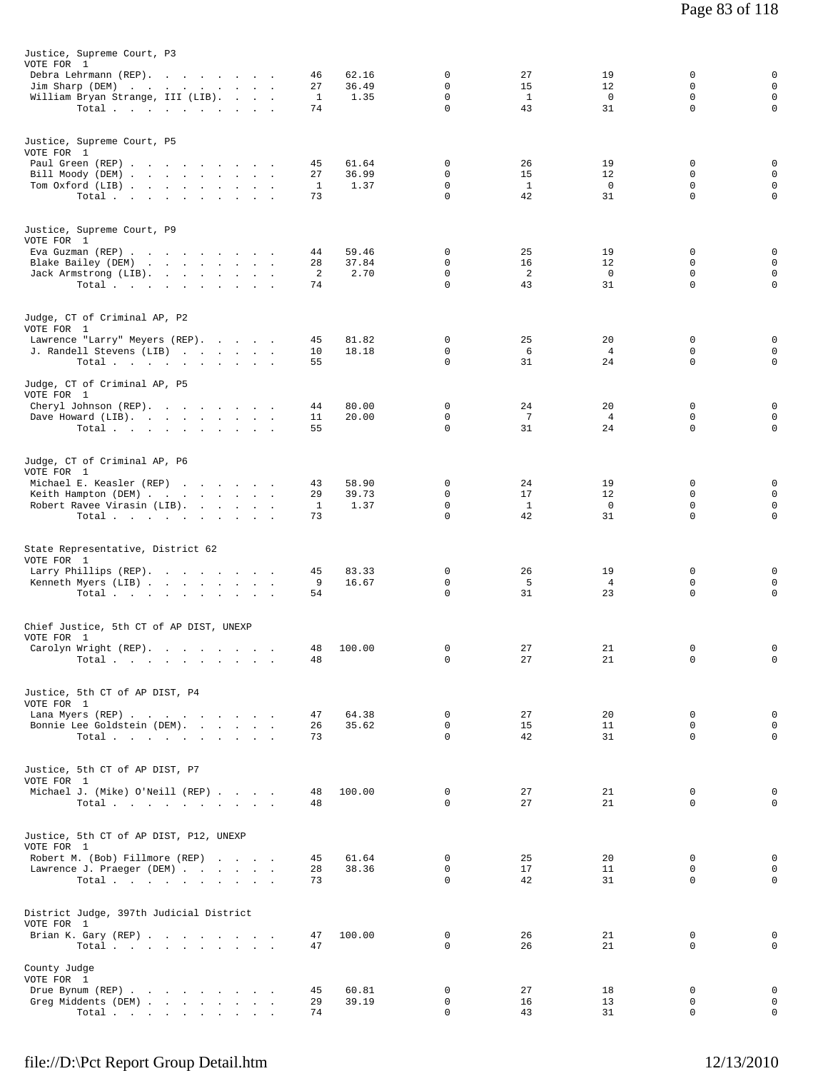| Justice, Supreme Court, P3                              |          |               |                         |                    |                      |                            |                            |
|---------------------------------------------------------|----------|---------------|-------------------------|--------------------|----------------------|----------------------------|----------------------------|
| VOTE FOR 1                                              |          |               |                         |                    |                      |                            |                            |
| Debra Lehrmann (REP).                                   | 46       | 62.16         | 0                       | 27                 | 19                   | $\mathbf 0$                | 0                          |
| Jim Sharp (DEM)                                         | 27       | 36.49         | $\Omega$<br>$\mathbf 0$ | 15                 | 12<br>$\overline{0}$ | $\Omega$<br>$\mathbf 0$    | $\mathbf 0$<br>$\mathbf 0$ |
| William Bryan Strange, III (LIB).<br>Total              | 1<br>74  | 1.35          | $\mathbf 0$             | $\mathbf{1}$<br>43 | 31                   | $\mathbf 0$                | $\mathbf 0$                |
|                                                         |          |               |                         |                    |                      |                            |                            |
|                                                         |          |               |                         |                    |                      |                            |                            |
| Justice, Supreme Court, P5<br>VOTE FOR 1                |          |               |                         |                    |                      |                            |                            |
| Paul Green (REP)                                        | 45       | 61.64         | 0                       | 26                 | 19                   | $\mathbf 0$                | 0                          |
| Bill Moody (DEM)                                        | 27       | 36.99         | 0                       | 15                 | 12                   | $\mathbf 0$                | $\mathbf 0$                |
| Tom Oxford (LIB)                                        | 1        | 1.37          | 0                       | <sup>1</sup>       | $\overline{0}$       | 0                          | $\mathbf 0$                |
| Total.                                                  | 73       |               | 0                       | 42                 | 31                   | $\mathbf 0$                | $\mathbf 0$                |
|                                                         |          |               |                         |                    |                      |                            |                            |
| Justice, Supreme Court, P9                              |          |               |                         |                    |                      |                            |                            |
| VOTE FOR 1                                              |          |               |                         |                    |                      |                            |                            |
| Eva Guzman (REP)                                        | 44       | 59.46         | 0                       | 25                 | 19                   | $\Omega$                   | 0                          |
| Blake Bailey (DEM)                                      | 28<br>2  | 37.84<br>2.70 | 0<br>0                  | 16<br>2            | 12<br>$^{\circ}$     | 0<br>$\mathbf 0$           | $\mathbf 0$<br>$\mathbf 0$ |
| Jack Armstrong (LIB).<br>Total.                         | 74       |               | $\Omega$                | 43                 | 31                   | $\Omega$                   | $\mathbf 0$                |
|                                                         |          |               |                         |                    |                      |                            |                            |
|                                                         |          |               |                         |                    |                      |                            |                            |
| Judge, CT of Criminal AP, P2                            |          |               |                         |                    |                      |                            |                            |
| VOTE FOR 1<br>Lawrence "Larry" Meyers (REP).            | 45       | 81.82         | 0                       | 25                 | 20                   | $\mathbf 0$                | 0                          |
| J. Randell Stevens (LIB)                                | 10       | 18.18         | 0                       | 6                  | $\overline{4}$       | $\mathbf 0$                | 0                          |
| Total.                                                  | 55       |               | $\Omega$                | 31                 | 24                   | $\Omega$                   | $\mathbf 0$                |
|                                                         |          |               |                         |                    |                      |                            |                            |
| Judge, CT of Criminal AP, P5                            |          |               |                         |                    |                      |                            |                            |
| VOTE FOR 1<br>Cheryl Johnson (REP).                     | 44       | 80.00         | 0                       | 24                 | 20                   | $\mathbf 0$                | 0                          |
| Dave Howard (LIB).                                      | 11       | 20.00         | 0                       | $7\phantom{.0}$    | $\overline{4}$       | $\mathsf{O}$               | $\mathbf 0$                |
| Total $\cdots$ $\cdots$ $\cdots$ $\cdots$               | 55       |               | $\Omega$                | 31                 | 24                   | 0                          | $\mathbf 0$                |
|                                                         |          |               |                         |                    |                      |                            |                            |
| Judge, CT of Criminal AP, P6                            |          |               |                         |                    |                      |                            |                            |
| VOTE FOR 1                                              |          |               |                         |                    |                      |                            |                            |
| Michael E. Keasler (REP)                                | 43       | 58.90         | 0                       | 24                 | 19                   | $\Omega$                   | 0                          |
| Keith Hampton (DEM)                                     | 29       | 39.73         | $\mathbf 0$             | 17                 | 12                   | $\mathbf 0$                | $\mathbf 0$                |
| Robert Ravee Virasin (LIB).                             | 1        | 1.37          | 0                       | $\mathbf{1}$       | $^{\circ}$           | 0                          | $\mathsf 0$                |
| Total.                                                  | 73       |               | $\Omega$                | 42                 | 31                   | $\Omega$                   | $\mathbf 0$                |
|                                                         |          |               |                         |                    |                      |                            |                            |
| State Representative, District 62                       |          |               |                         |                    |                      |                            |                            |
| VOTE FOR 1                                              |          |               |                         |                    |                      |                            |                            |
| Larry Phillips (REP).                                   | 45       | 83.33         | 0<br>0                  | 26                 | 19<br>$\overline{4}$ | 0<br>0                     | 0<br>0                     |
| Kenneth Myers (LIB)<br>Total $\cdots$ $\cdots$ $\cdots$ | 9<br>54  | 16.67         | 0                       | 5<br>31            | 23                   | 0                          | $\mathsf{O}$               |
|                                                         |          |               |                         |                    |                      |                            |                            |
|                                                         |          |               |                         |                    |                      |                            |                            |
| Chief Justice, 5th CT of AP DIST, UNEXP                 |          |               |                         |                    |                      |                            |                            |
| VOTE FOR 1<br>Carolyn Wright (REP).                     | 48       | 100.00        | 0                       | 27                 | 21                   | 0                          | 0                          |
| Total                                                   | 48       |               | 0                       | 27                 | 21                   | 0                          | 0                          |
|                                                         |          |               |                         |                    |                      |                            |                            |
|                                                         |          |               |                         |                    |                      |                            |                            |
| Justice, 5th CT of AP DIST, P4<br>VOTE FOR 1            |          |               |                         |                    |                      |                            |                            |
| Lana Myers (REP)                                        | 47       | 64.38         | 0                       | 27                 | 20                   | $\mathbf 0$                | 0                          |
| Bonnie Lee Goldstein (DEM).                             | 26       | 35.62         | $\mathbf 0$             | 15                 | 11                   | $\mathbf 0$                | $\mathbf 0$                |
| Total                                                   | 73       |               | $\Omega$                | 42                 | 31                   | $\Omega$                   | 0                          |
|                                                         |          |               |                         |                    |                      |                            |                            |
| Justice, 5th CT of AP DIST, P7                          |          |               |                         |                    |                      |                            |                            |
| VOTE FOR 1                                              |          |               |                         |                    |                      |                            |                            |
| Michael J. (Mike) O'Neill (REP)                         | 48       | 100.00        | $\mathbf 0$             | 27                 | 21                   | $\mathbf 0$                | 0                          |
| Total $\cdots$                                          | 48       |               | $\Omega$                | 27                 | 21                   | $\Omega$                   | $\mathbf 0$                |
|                                                         |          |               |                         |                    |                      |                            |                            |
| Justice, 5th CT of AP DIST, P12, UNEXP                  |          |               |                         |                    |                      |                            |                            |
| VOTE FOR 1                                              |          |               |                         |                    |                      |                            |                            |
| Robert M. (Bob) Fillmore (REP)                          | 45       | 61.64         | $\mathbf{0}$            | 25                 | 20                   | $\mathbf 0$                | 0                          |
| Lawrence J. Praeger (DEM)                               | 28       | 38.36         | $\Omega$                | 17                 | 11                   | $\Omega$                   | 0                          |
| Total $\cdots$                                          | 73       |               | $\mathbf 0$             | 42                 | 31                   | $\mathbf 0$                | $\mathbf 0$                |
|                                                         |          |               |                         |                    |                      |                            |                            |
| District Judge, 397th Judicial District                 |          |               |                         |                    |                      |                            |                            |
| VOTE FOR 1                                              |          |               |                         |                    |                      |                            |                            |
| Brian K. Gary (REP)                                     | 47       | 100.00        | 0<br>$\Omega$           | 26                 | 21                   | $\mathbf 0$<br>$\mathbf 0$ | 0<br>0                     |
| Total.                                                  | 47       |               |                         | 26                 | 21                   |                            |                            |
| County Judge                                            |          |               |                         |                    |                      |                            |                            |
| VOTE FOR 1                                              |          |               |                         |                    |                      |                            |                            |
| Drue Bynum (REP)                                        | 45       | 60.81         | 0                       | 27                 | 18                   | $\mathbf 0$                | $\mathbf 0$                |
| Greg Middents (DEM)<br>Total.                           | 29<br>74 | 39.19         | 0<br>$\mathbf 0$        | 16<br>43           | 13<br>31             | 0<br>0                     | $\mathbf 0$<br>$\mathbf 0$ |
|                                                         |          |               |                         |                    |                      |                            |                            |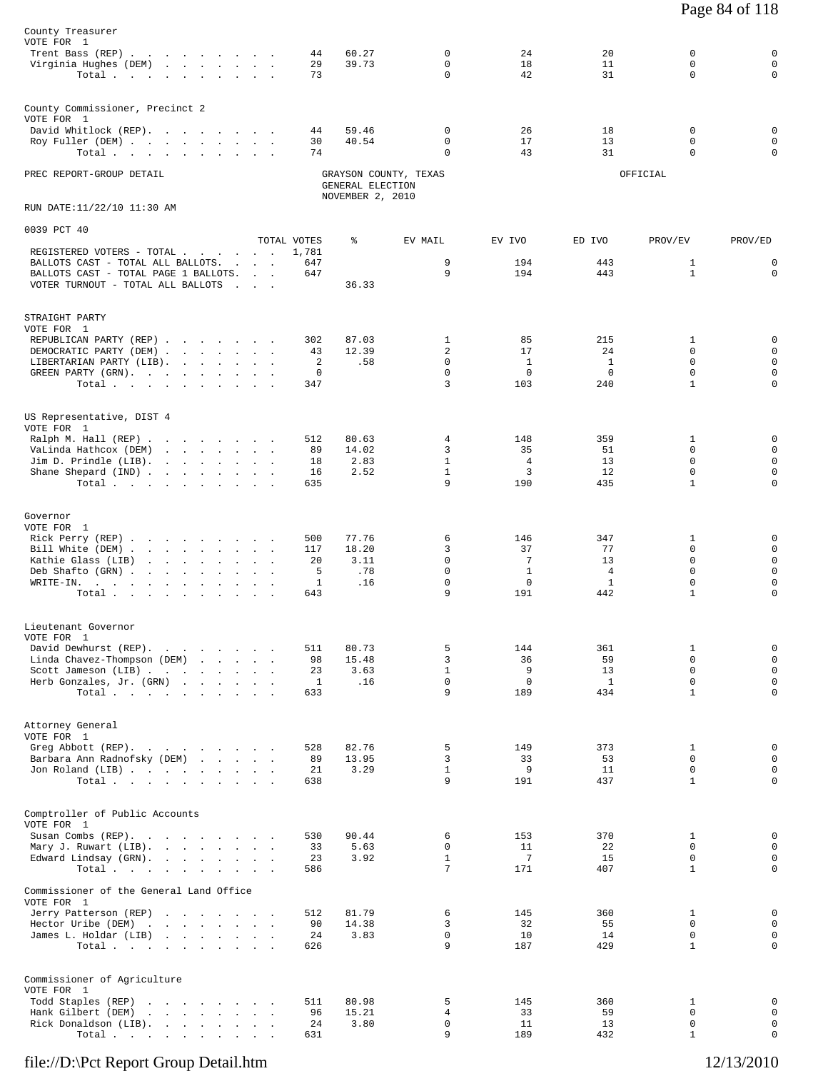| County Treasurer<br>VOTE FOR 1<br>Trent Bass (REP)<br>Virginia Hughes (DEM)<br>Total.                                                                                  |  |                                   | 44<br>29<br>73                               | 60.27<br>39.73                       | 0<br>0<br>0                                 | 24<br>18<br>42                                       | 20<br>11<br>31                                           | 0<br>$\mathbf 0$<br>$\Omega$                                               | $\mathbf 0$<br>$\mathbf 0$<br>$\mathbf 0$                                    |
|------------------------------------------------------------------------------------------------------------------------------------------------------------------------|--|-----------------------------------|----------------------------------------------|--------------------------------------|---------------------------------------------|------------------------------------------------------|----------------------------------------------------------|----------------------------------------------------------------------------|------------------------------------------------------------------------------|
| County Commissioner, Precinct 2<br>VOTE FOR 1<br>David Whitlock (REP).<br>Roy Fuller (DEM)<br>Total $\cdots$ $\cdots$ $\cdots$ $\cdots$                                |  |                                   | 44<br>30<br>74                               | 59.46<br>40.54                       | 0<br>0<br>$\Omega$                          | 26<br>17<br>43                                       | 18<br>13<br>31                                           | $\mathbf 0$<br>$\mathbf 0$<br>$\Omega$                                     | 0<br>$\mathbf 0$<br>$\mathbf 0$                                              |
| PREC REPORT-GROUP DETAIL                                                                                                                                               |  |                                   |                                              | GENERAL ELECTION                     | GRAYSON COUNTY, TEXAS                       |                                                      |                                                          | OFFICIAL                                                                   |                                                                              |
| RUN DATE:11/22/10 11:30 AM                                                                                                                                             |  |                                   |                                              | NOVEMBER 2, 2010                     |                                             |                                                      |                                                          |                                                                            |                                                                              |
| 0039 PCT 40                                                                                                                                                            |  |                                   |                                              |                                      |                                             |                                                      |                                                          |                                                                            |                                                                              |
| REGISTERED VOTERS - TOTAL<br>BALLOTS CAST - TOTAL ALL BALLOTS.<br>BALLOTS CAST - TOTAL PAGE 1 BALLOTS.<br>VOTER TURNOUT - TOTAL ALL BALLOTS                            |  | <b>Contract Contract Contract</b> | TOTAL VOTES<br>1,781<br>647<br>647           | ៖<br>36.33                           | EV MAIL<br>9<br>9                           | EV IVO<br>194<br>194                                 | ED IVO<br>443<br>443                                     | PROV/EV<br>$\mathbf{1}$<br>$\mathbf{1}$                                    | PROV/ED<br>$\mathsf 0$<br>$\mathbf 0$                                        |
| STRAIGHT PARTY<br>VOTE FOR 1<br>REPUBLICAN PARTY (REP)<br>DEMOCRATIC PARTY (DEM)<br>LIBERTARIAN PARTY (LIB).<br>GREEN PARTY (GRN).<br>Total.                           |  |                                   | 302<br>43<br>2<br>$\mathbf 0$<br>347         | 87.03<br>12.39<br>.58                | 1<br>$\overline{a}$<br>0<br>$\Omega$<br>3   | 85<br>17<br><sup>1</sup><br>$\mathbf 0$<br>103       | 215<br>24<br><sup>1</sup><br>$\mathbf 0$<br>240          | 1<br>0<br>$\Omega$<br>$\mathbf 0$<br>$\mathbf{1}$                          | $\mathbf 0$<br>$\mathbf 0$<br>$\mathbf 0$<br>$\mathbf 0$<br>$\mathbf 0$      |
| US Representative, DIST 4<br>VOTE FOR 1<br>Ralph M. Hall (REP)<br>VaLinda Hathcox (DEM)<br>Jim D. Prindle (LIB).<br>Shane Shepard (IND)<br>Total.                      |  |                                   | 512<br>89<br>18<br>16<br>635                 | 80.63<br>14.02<br>2.83<br>2.52       | 4<br>3<br>$\mathbf{1}$<br>$\mathbf{1}$<br>9 | 148<br>35<br>4<br>$\overline{3}$<br>190              | 359<br>51<br>13<br>12<br>435                             | 1<br>0<br>$\mathbf 0$<br>$\mathbf 0$<br>$\mathbf{1}$                       | 0<br>$\mathbf 0$<br>$\mathsf 0$<br>$\mathbf 0$<br>$\Omega$                   |
| Governor<br>VOTE FOR 1<br>Rick Perry (REP)<br>Bill White (DEM)<br>Kathie Glass (LIB)<br>Deb Shafto (GRN)<br>WRITE-IN.<br>Total.                                        |  |                                   | 500<br>117<br>20<br>5<br>$\mathbf{1}$<br>643 | 77.76<br>18.20<br>3.11<br>.78<br>.16 | 6<br>3<br>$\Omega$<br>$\mathbf 0$<br>0<br>9 | 146<br>37<br>7<br>$\mathbf{1}$<br>$\mathbf 0$<br>191 | 347<br>77<br>13<br>$\overline{4}$<br>$\mathbf{1}$<br>442 | 1<br>$\mathbf 0$<br>$\Omega$<br>$\mathbf 0$<br>$\mathbf 0$<br>$\mathbf{1}$ | 0<br>$\mathbf 0$<br>$\mathbf 0$<br>$\mathbf 0$<br>$\mathbf 0$<br>$\mathbf 0$ |
| Lieutenant Governor<br>VOTE FOR 1<br>David Dewhurst (REP).<br>Linda Chavez-Thompson (DEM)<br>Scott Jameson (LIB)<br>Herb Gonzales, Jr. (GRN)<br>Total, , , , , , , , , |  |                                   | 511<br>98<br>23<br>1<br>633                  | 80.73<br>15.48<br>3.63<br>.16        | 5<br>3<br>$\mathbf{1}$<br>$\Omega$<br>9     | 144<br>36<br>9<br>$\mathbf 0$<br>189                 | 361<br>59<br>13<br>$\mathbf{1}$<br>434                   | 1<br>$\Omega$<br>$\mathbf 0$<br>$\Omega$<br>$\mathbf{1}$                   | $\mathbf 0$<br>$\mathsf 0$<br>$\mathsf 0$<br>$\mathbf 0$<br>$\mathsf 0$      |
| Attorney General<br>VOTE FOR 1<br>Greg Abbott (REP).<br>Barbara Ann Radnofsky (DEM)<br>Jon Roland (LIB)<br>Total.                                                      |  |                                   | 528<br>89<br>21<br>638                       | 82.76<br>13.95<br>3.29               | 5<br>3<br>$\mathbf{1}$<br>9                 | 149<br>33<br>9<br>191                                | 373<br>53<br>11<br>437                                   | 1<br>$\Omega$<br>$\mathbf 0$<br>$\mathbf{1}$                               | $\mathbb O$<br>$\mathsf 0$<br>$\mathbf 0$<br>$\mathbf 0$                     |
| Comptroller of Public Accounts<br>VOTE FOR 1<br>Susan Combs (REP).<br>Mary J. Ruwart (LIB).<br>Edward Lindsay (GRN).<br>Total.                                         |  |                                   | 530<br>33<br>23<br>586                       | 90.44<br>5.63<br>3.92                | 6<br>0<br>$\mathbf{1}$<br>7                 | 153<br>11<br>-7<br>171                               | 370<br>22<br>15<br>407                                   | 1<br>$\mathbf 0$<br>$\mathbf 0$<br>$\mathbf{1}$                            | 0<br>$\mathsf 0$<br>$\mathsf 0$<br>$\mathbf 0$                               |
| Commissioner of the General Land Office<br>VOTE FOR 1<br>Jerry Patterson (REP)<br>Hector Uribe (DEM)<br>James L. Holdar (LIB)<br>Total                                 |  |                                   | 512<br>90<br>24<br>626                       | 81.79<br>14.38<br>3.83               | 6<br>3<br>0<br>9                            | 145<br>32<br>10<br>187                               | 360<br>55<br>14<br>429                                   | 1<br>$\mathbf 0$<br>0<br>$\mathbf{1}$                                      | $\mathbb O$<br>$\mathsf 0$<br>$\mathsf 0$<br>$\mathbf 0$                     |
| Commissioner of Agriculture<br>VOTE FOR 1<br>Todd Staples (REP)<br>Hank Gilbert (DEM)<br>Rick Donaldson (LIB).<br>Total                                                |  |                                   | 511<br>96<br>24<br>631                       | 80.98<br>15.21<br>3.80               | 5<br>4<br>0<br>9                            | 145<br>33<br>11<br>189                               | 360<br>59<br>13<br>432                                   | 1<br>$\mathbf 0$<br>$\mathbf 0$<br>$\mathbf{1}$                            | $\mathbf 0$<br>$\mathsf 0$<br>$\mathsf{O}$<br>$\mathsf 0$                    |

Page 84 of 118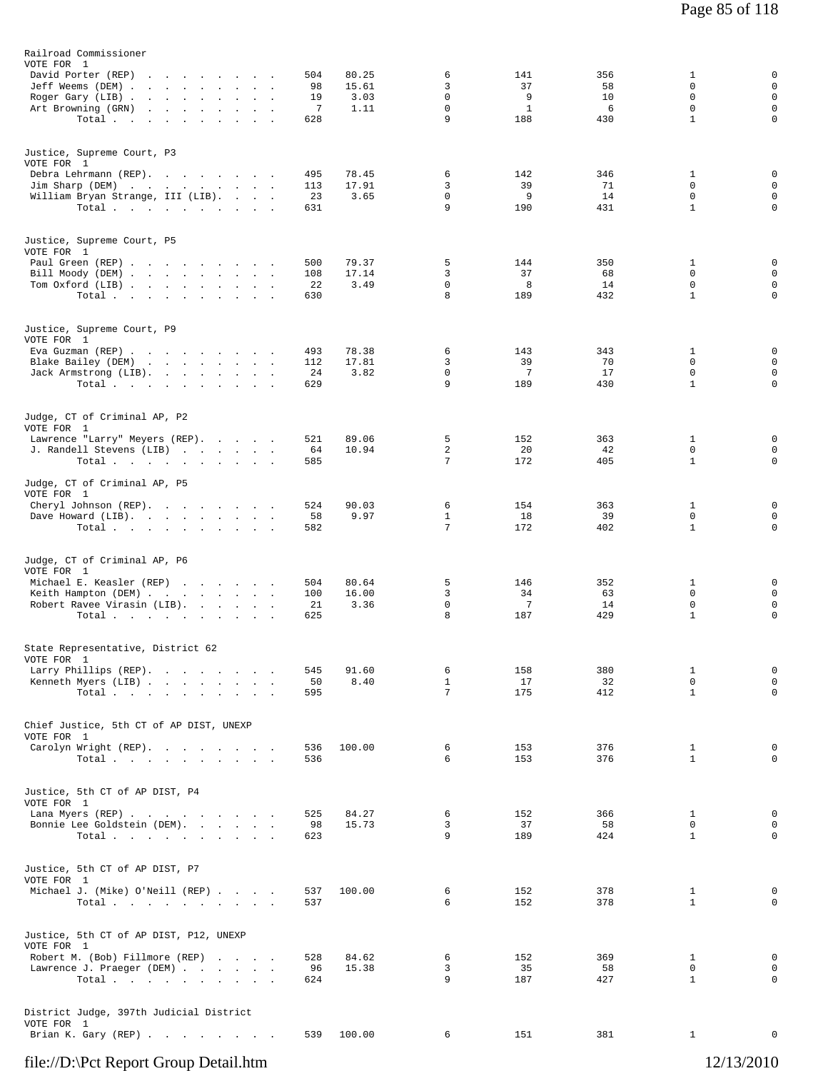| Railroad Commissioner<br>VOTE FOR 1                                                                                                   |                                                                                 |                                          |                                |                                           |                                       |                             |                                                      |                                                     |
|---------------------------------------------------------------------------------------------------------------------------------------|---------------------------------------------------------------------------------|------------------------------------------|--------------------------------|-------------------------------------------|---------------------------------------|-----------------------------|------------------------------------------------------|-----------------------------------------------------|
| David Porter (REP)<br>Jeff Weems (DEM)<br>Roger Gary (LIB)<br>Art Browning (GRN)<br>Total                                             | the contract of the contract of the con-<br>the contract of the contract of the | 504<br>98<br>19<br>$\overline{7}$<br>628 | 80.25<br>15.61<br>3.03<br>1.11 | 6<br>3<br>$\mathbf 0$<br>$\mathbf 0$<br>9 | 141<br>37<br>9<br>$\mathbf{1}$<br>188 | 356<br>58<br>10<br>6<br>430 | 1<br>0<br>$\mathbf 0$<br>$\mathbf 0$<br>$\mathbf{1}$ | 0<br>$\mathbf 0$<br>$\mathbf 0$<br>$\mathbf 0$<br>0 |
| Justice, Supreme Court, P3<br>VOTE FOR 1<br>Debra Lehrmann (REP).<br>Jim Sharp (DEM)<br>William Bryan Strange, III (LIB).<br>Total    |                                                                                 | 495<br>113<br>23<br>631                  | 78.45<br>17.91<br>3.65         | 6<br>3<br>$\mathbf 0$<br>9                | 142<br>39<br>9<br>190                 | 346<br>71<br>14<br>431      | 1<br>0<br>$\mathbf 0$<br>$\mathbf{1}$                | 0<br>$\mathbf 0$<br>$\mathbf 0$<br>$\mathsf 0$      |
| Justice, Supreme Court, P5<br>VOTE FOR 1<br>Paul Green (REP)<br>Bill Moody (DEM)<br>Tom Oxford (LIB)<br>Total                         |                                                                                 | 500<br>108<br>22<br>630                  | 79.37<br>17.14<br>3.49         | 5<br>3<br>0<br>8                          | 144<br>37<br>8<br>189                 | 350<br>68<br>14<br>432      | 1<br>0<br>0<br>$\mathbf{1}$                          | 0<br>$\mathbf 0$<br>$\mathbf 0$<br>$\mathbf 0$      |
| Justice, Supreme Court, P9<br>VOTE FOR 1<br>Eva Guzman (REP)<br>Blake Bailey (DEM)<br>Jack Armstrong (LIB).<br>Total                  |                                                                                 | 493<br>112<br>24<br>629                  | 78.38<br>17.81<br>3.82         | 6<br>3<br>0<br>9                          | 143<br>39<br>7<br>189                 | 343<br>70<br>17<br>430      | 1<br>0<br>0<br>$\mathbf{1}$                          | 0<br>$\mathsf 0$<br>$\mathbf 0$<br>0                |
| Judge, CT of Criminal AP, P2<br>VOTE FOR 1<br>Lawrence "Larry" Meyers (REP).<br>J. Randell Stevens (LIB)<br>Total                     |                                                                                 | 521<br>64<br>585                         | 89.06<br>10.94                 | 5<br>2<br>7                               | 152<br>20<br>172                      | 363<br>42<br>405            | $\mathbf{1}$<br>0<br>$\mathbf{1}$                    | 0<br>0<br>$\mathbf 0$                               |
| Judge, CT of Criminal AP, P5<br>VOTE FOR 1<br>Cheryl Johnson (REP).<br>Dave Howard (LIB).<br>Total                                    |                                                                                 | 524<br>58<br>582                         | 90.03<br>9.97                  | 6<br>$\mathbf{1}$<br>7                    | 154<br>18<br>172                      | 363<br>39<br>402            | $\mathbf{1}$<br>0<br>$\mathbf{1}$                    | 0<br>0<br>$\mathbf 0$                               |
| Judge, CT of Criminal AP, P6<br>VOTE FOR 1<br>Michael E. Keasler (REP)<br>Keith Hampton (DEM)<br>Robert Ravee Virasin (LIB).<br>Total |                                                                                 | 504<br>100<br>21<br>625                  | 80.64<br>16.00<br>3.36         | 5<br>3<br>$\mathbf 0$<br>8                | 146<br>34<br>7<br>187                 | 352<br>63<br>14<br>429      | $\mathbf{1}$<br>$\mathbf 0$<br>0<br>$\mathbf{1}$     | 0<br>$\mathbf 0$<br>0<br>0                          |
| State Representative, District 62<br>VOTE FOR 1<br>Larry Phillips (REP).<br>Kenneth Myers (LIB)<br>Total,                             |                                                                                 | 545<br>50<br>595                         | 91.60<br>8.40                  | 6<br>$\mathbf{1}$<br>7                    | 158<br>17<br>175                      | 380<br>32<br>412            | 1<br>0<br>$\mathbf{1}$                               | 0<br>0<br>0                                         |
| Chief Justice, 5th CT of AP DIST, UNEXP<br>VOTE FOR 1<br>Carolyn Wright (REP).<br>Total                                               |                                                                                 | 536<br>536                               | 100.00                         | 6<br>6                                    | 153<br>153                            | 376<br>376                  | 1<br>$\mathbf{1}$                                    | 0<br>0                                              |
| Justice, 5th CT of AP DIST, P4<br>VOTE FOR 1<br>Lana Myers (REP)<br>Bonnie Lee Goldstein (DEM).<br>Total $\cdots$                     |                                                                                 | 525<br>98<br>623                         | 84.27<br>15.73                 | 6<br>3<br>9                               | 152<br>37<br>189                      | 366<br>58<br>424            | 1<br>0<br>$\mathbf{1}$                               | 0<br>$\mathbf 0$<br>0                               |
| Justice, 5th CT of AP DIST, P7<br>VOTE FOR 1<br>Michael J. (Mike) O'Neill (REP)<br>Total                                              |                                                                                 | 537<br>537                               | 100.00                         | 6<br>6                                    | 152<br>152                            | 378<br>378                  | 1<br>$\mathbf{1}$                                    | 0<br>0                                              |
| Justice, 5th CT of AP DIST, P12, UNEXP<br>VOTE FOR 1<br>Robert M. (Bob) Fillmore (REP)<br>Lawrence J. Praeger (DEM)<br>Total          |                                                                                 | 528<br>96<br>624                         | 84.62<br>15.38                 | 6<br>3<br>9                               | 152<br>35<br>187                      | 369<br>58<br>427            | 1<br>0<br>$\mathbf{1}$                               | 0<br>0<br>$\mathbf 0$                               |
| District Judge, 397th Judicial District<br>VOTE FOR 1<br>Brian K. Gary (REP)                                                          |                                                                                 | 539                                      | 100.00                         | 6                                         | 151                                   | 381                         | $\mathbf{1}$                                         | 0                                                   |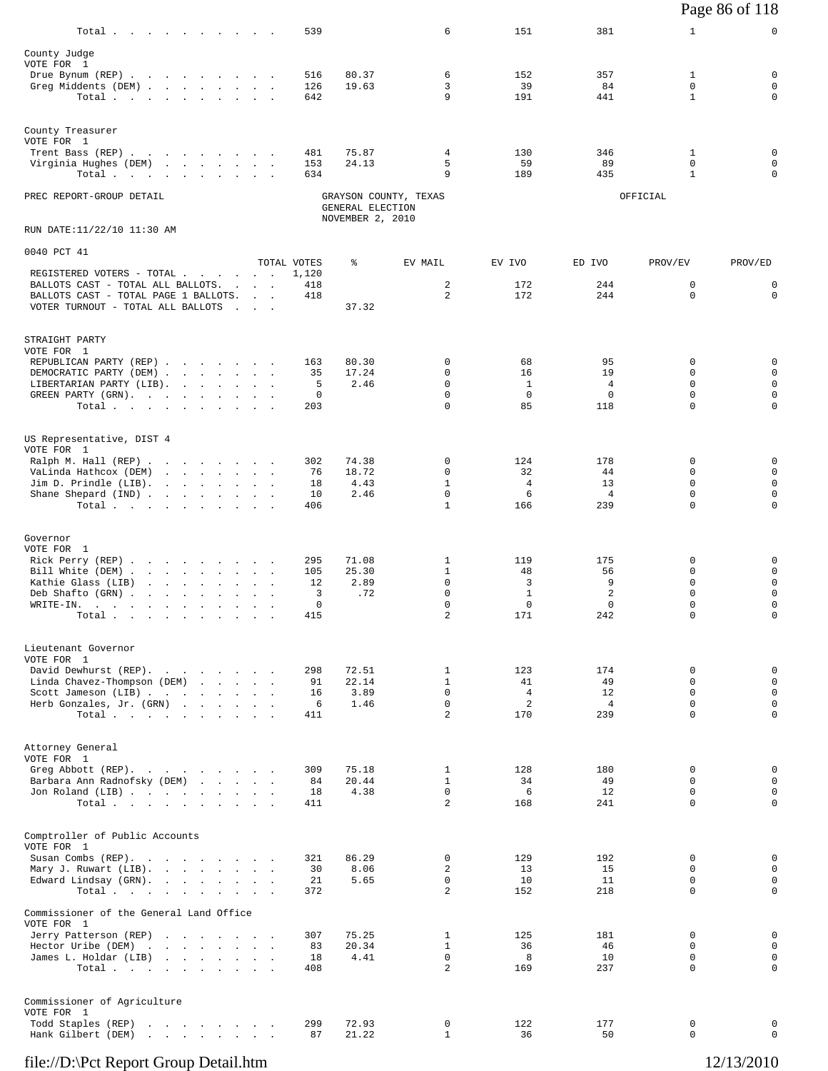|                                                                                                                                    |                                                               |                 |                  |                               |                      |                      |                             | Page 86 of 118              |
|------------------------------------------------------------------------------------------------------------------------------------|---------------------------------------------------------------|-----------------|------------------|-------------------------------|----------------------|----------------------|-----------------------------|-----------------------------|
| Total.                                                                                                                             |                                                               | 539             |                  | 6                             | 151                  | 381                  | $\mathbf{1}$                | 0                           |
| County Judge<br>VOTE FOR 1                                                                                                         |                                                               |                 |                  |                               |                      |                      |                             |                             |
| Drue Bynum (REP)                                                                                                                   |                                                               | 516             | 80.37            | 6                             | 152                  | 357                  | 1                           | 0                           |
| Greg Middents (DEM)<br>Total $\cdots$ $\cdots$ $\cdots$                                                                            |                                                               | 126<br>642      | 19.63            | 3<br>9                        | 39<br>191            | 84<br>441            | 0<br>$\mathbf{1}$           | 0<br>$\mathbf 0$            |
| County Treasurer                                                                                                                   |                                                               |                 |                  |                               |                      |                      |                             |                             |
| VOTE FOR 1<br>Trent Bass (REP)                                                                                                     |                                                               | 481             | 75.87            | 4                             | 130                  | 346                  | 1                           | 0                           |
| Virginia Hughes (DEM)<br>Total                                                                                                     |                                                               | 153<br>634      | 24.13            | 5<br>9                        | 59<br>189            | 89<br>435            | $\mathbf 0$<br>$\mathbf{1}$ | $\mathsf 0$<br>$\mathbf 0$  |
| PREC REPORT-GROUP DETAIL                                                                                                           |                                                               |                 | GENERAL ELECTION | GRAYSON COUNTY, TEXAS         |                      |                      | OFFICIAL                    |                             |
| RUN DATE:11/22/10 11:30 AM                                                                                                         |                                                               |                 | NOVEMBER 2, 2010 |                               |                      |                      |                             |                             |
| 0040 PCT 41                                                                                                                        |                                                               | TOTAL VOTES     | ႜ                | EV MAIL                       | EV IVO               | ED IVO               | PROV/EV                     | PROV/ED                     |
| REGISTERED VOTERS - TOTAL                                                                                                          |                                                               | 1,120           |                  |                               |                      |                      |                             |                             |
| BALLOTS CAST - TOTAL ALL BALLOTS.<br>BALLOTS CAST - TOTAL PAGE 1 BALLOTS.<br>VOTER TURNOUT - TOTAL ALL BALLOTS                     | <b>Contract Contract</b><br><b>Contract Contract Contract</b> | 418<br>418      | 37.32            | 2<br>2                        | 172<br>172           | 244<br>244           | 0<br>$\mathbf 0$            | 0<br>$\mathbf 0$            |
| STRAIGHT PARTY                                                                                                                     |                                                               |                 |                  |                               |                      |                      |                             |                             |
| VOTE FOR 1<br>REPUBLICAN PARTY (REP)                                                                                               |                                                               | 163             | 80.30            | 0                             | 68                   | 95                   | 0                           | 0                           |
| DEMOCRATIC PARTY (DEM)<br>LIBERTARIAN PARTY (LIB).                                                                                 |                                                               | 35<br>5         | 17.24<br>2.46    | $\mathbf 0$<br>$\mathbf 0$    | 16<br>$\mathbf{1}$   | 19<br>4              | 0<br>0                      | $\mathbf 0$<br>$\mathsf 0$  |
| GREEN PARTY (GRN).                                                                                                                 |                                                               | 0               |                  | $\mathbf 0$                   | $\mathbf 0$          | $\mathbf 0$          | 0                           | 0                           |
| Total                                                                                                                              |                                                               | 203             |                  | $\Omega$                      | 85                   | 118                  | 0                           | $\mathbf 0$                 |
| US Representative, DIST 4                                                                                                          |                                                               |                 |                  |                               |                      |                      |                             |                             |
| VOTE FOR 1<br>Ralph M. Hall (REP)                                                                                                  |                                                               | 302             | 74.38            | $\mathbf 0$                   | 124                  | 178                  | 0                           | 0                           |
| VaLinda Hathcox (DEM)<br>Jim D. Prindle $(LIB)$ .                                                                                  |                                                               | 76<br>18        | 18.72<br>4.43    | $\mathbf 0$<br>1              | 32<br>$\overline{4}$ | 44<br>13             | 0<br>$\Omega$               | $\mathsf 0$<br>$\mathsf 0$  |
| Shane Shepard (IND)                                                                                                                |                                                               | 10              | 2.46             | $\mathsf 0$                   | 6                    | $\overline{4}$       | 0                           | $\mathsf 0$                 |
| Total                                                                                                                              |                                                               | 406             |                  | $\mathbf{1}$                  | 166                  | 239                  | 0                           | $\mathbf 0$                 |
| Governor                                                                                                                           |                                                               |                 |                  |                               |                      |                      |                             |                             |
| VOTE FOR 1<br>Rick Perry (REP)                                                                                                     |                                                               | 295             | 71.08            | 1                             | 119                  | 175                  | 0                           | 0                           |
| Bill White (DEM)<br>Kathie Glass (LIB)<br>the contract of the state of the<br>$\ddot{\phantom{a}}$                                 |                                                               | 105<br>12       | 25.30<br>2.89    | $\mathbf{1}$<br>$\mathbf 0$   | 48<br>3              | 56<br>9              | 0<br>0                      | $\mathsf 0$<br>0            |
| Deb Shafto (GRN).<br>the contract of the contract of<br>$\sim$<br>$\ddot{\phantom{a}}$                                             |                                                               | 3               | .72              | $\mathbf 0$                   | $\mathbf{1}$         | $\overline{a}$       | 0                           | 0                           |
| WRITE-IN.<br>the contract of the contract of the contract of the contract of<br>Total                                              |                                                               | $\Omega$<br>415 |                  | $\Omega$<br>2                 | $\Omega$<br>171      | $\Omega$<br>242      | $\Omega$<br>0               | $\mathbf 0$<br>$\mathbf 0$  |
|                                                                                                                                    |                                                               |                 |                  |                               |                      |                      |                             |                             |
| Lieutenant Governor<br>VOTE FOR 1                                                                                                  |                                                               |                 |                  |                               |                      |                      |                             |                             |
| David Dewhurst (REP).<br>Linda Chavez-Thompson (DEM)                                                                               |                                                               | 298<br>91       | 72.51<br>22.14   | $\mathbf{1}$<br>$\mathbf{1}$  | 123<br>41            | 174<br>49            | 0<br>$\Omega$               | $\mathsf 0$<br>$\mathbf{0}$ |
| Scott Jameson (LIB)                                                                                                                |                                                               | 16              | 3.89             | $\mathbf 0$<br>$\mathbf 0$    | 4<br>2               | 12<br>$\overline{4}$ | 0<br>0                      | $\mathsf 0$<br>$\mathsf 0$  |
| Herb Gonzales, Jr. (GRN)<br>Total                                                                                                  |                                                               | 6<br>411        | 1.46             | $\overline{a}$                | 170                  | 239                  | 0                           | $\mathbf 0$                 |
|                                                                                                                                    |                                                               |                 |                  |                               |                      |                      |                             |                             |
| Attorney General<br>VOTE FOR 1                                                                                                     |                                                               |                 |                  |                               |                      |                      |                             |                             |
| Greq Abbott (REP).                                                                                                                 |                                                               | 309             | 75.18            | $\mathbf{1}$                  | 128                  | 180                  | 0                           | $\mathsf 0$                 |
| Barbara Ann Radnofsky (DEM)<br>Jon Roland (LIB)                                                                                    |                                                               | 84<br>18        | 20.44<br>4.38    | $\mathbf{1}$<br>$\Omega$      | 34<br>6              | 49<br>12             | 0<br>$\Omega$               | $\mathbf 0$<br>$\mathbf 0$  |
| Total $\cdots$                                                                                                                     |                                                               | 411             |                  | $\overline{a}$                | 168                  | 241                  | $\mathbf 0$                 | $\mathbf 0$                 |
| Comptroller of Public Accounts                                                                                                     |                                                               |                 |                  |                               |                      |                      |                             |                             |
| VOTE FOR 1<br>Susan Combs (REP).                                                                                                   |                                                               | 321             | 86.29            | 0                             | 129                  | 192                  | 0                           | 0                           |
| Mary J. Ruwart (LIB).                                                                                                              |                                                               | 30              | 8.06             | 2                             | 13                   | 15                   | 0                           | $\mathsf 0$                 |
| Edward Lindsay (GRN).<br>Total                                                                                                     |                                                               | 21<br>372       | 5.65             | $\mathbf 0$<br>$\overline{a}$ | 10<br>152            | 11<br>218            | $\mathbf 0$<br>0            | $\mathbf{0}$<br>$\mathbf 0$ |
| Commissioner of the General Land Office                                                                                            |                                                               |                 |                  |                               |                      |                      |                             |                             |
| VOTE FOR 1<br>Jerry Patterson (REP)                                                                                                |                                                               | 307             | 75.25            | $\mathbf{1}$                  | 125                  | 181                  | 0                           | 0                           |
| Hector Uribe (DEM)                                                                                                                 |                                                               | 83              | 20.34            | $\mathbf{1}$                  | 36                   | 46                   | $\Omega$                    | $\mathbf 0$                 |
| James L. Holdar (LIB)<br>Total                                                                                                     |                                                               | 18<br>408       | 4.41             | $\mathbf 0$<br>$\overline{a}$ | 8<br>169             | 10<br>237            | $\mathbf 0$<br>0            | $\mathbf{0}$<br>$\mathbf 0$ |
|                                                                                                                                    |                                                               |                 |                  |                               |                      |                      |                             |                             |
| Commissioner of Agriculture<br>VOTE FOR 1                                                                                          |                                                               |                 |                  |                               |                      |                      |                             |                             |
| Todd Staples (REP)<br>the contract of the contract of the contract of<br>Hank Gilbert (DEM)<br>the contract of the contract of the |                                                               | 299<br>87       | 72.93<br>21.22   | 0<br>$\mathbf{1}$             | 122<br>36            | 177<br>50            | 0<br>0                      | 0<br>$\mathbf 0$            |
|                                                                                                                                    |                                                               |                 |                  |                               |                      |                      |                             |                             |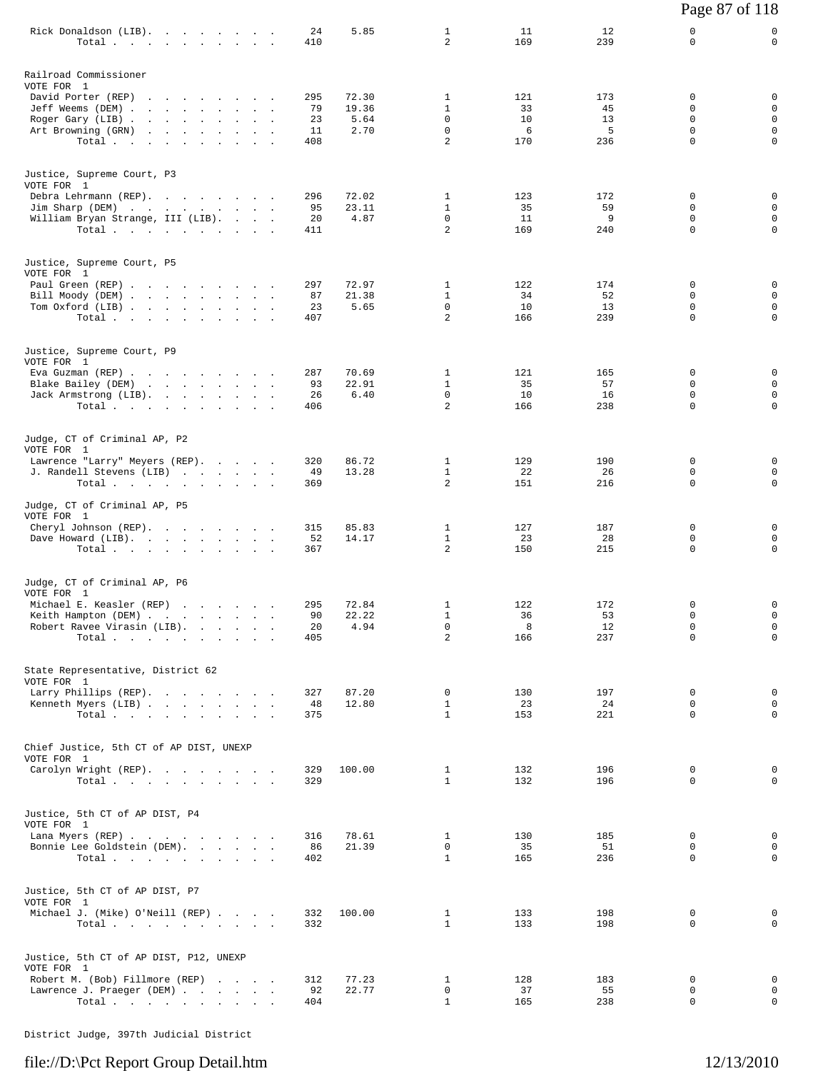|                                                             |            |                |                                |            |            | Page 87 of 118          |                            |
|-------------------------------------------------------------|------------|----------------|--------------------------------|------------|------------|-------------------------|----------------------------|
| Rick Donaldson (LIB).<br>Total                              | 24<br>410  | 5.85           | $\mathbf{1}$<br>$\overline{a}$ | 11<br>169  | 12<br>239  | 0<br>0                  | 0<br>$\mathbf 0$           |
| Railroad Commissioner                                       |            |                |                                |            |            |                         |                            |
| VOTE FOR 1<br>David Porter (REP)                            | 295        | 72.30          | 1                              | 121        | 173        | 0                       | 0                          |
| Jeff Weems (DEM)                                            | 79         | 19.36          | $\mathbf{1}$                   | 33         | 45         | 0                       | $\mathbf 0$                |
| Roger Gary (LIB)<br>Art Browning (GRN)                      | 23<br>11   | 5.64<br>2.70   | 0<br>$\mathbf 0$               | 10<br>6    | 13<br>5    | 0<br>0                  | $\mathbf 0$<br>$\mathbf 0$ |
| Total                                                       | 408        |                | $\overline{a}$                 | 170        | 236        | $\mathbf 0$             | $\mathbf 0$                |
| Justice, Supreme Court, P3<br>VOTE FOR 1                    |            |                |                                |            |            |                         |                            |
| Debra Lehrmann (REP).                                       | 296        | 72.02          | 1                              | 123        | 172        | 0                       | 0                          |
| Jim Sharp (DEM)<br>William Bryan Strange, III (LIB).        | 95<br>20   | 23.11<br>4.87  | $\mathbf{1}$<br>0              | 35<br>11   | 59<br>9    | $\Omega$<br>$\mathbf 0$ | 0<br>$\mathbf 0$           |
| Total $\cdots$                                              | 411        |                | $\overline{a}$                 | 169        | 240        | 0                       | 0                          |
| Justice, Supreme Court, P5<br>VOTE FOR 1                    |            |                |                                |            |            |                         |                            |
| Paul Green (REP)<br>Bill Moody (DEM)                        | 297<br>87  | 72.97<br>21.38 | 1<br>$\mathbf{1}$              | 122<br>34  | 174<br>52  | 0<br>0                  | 0<br>$\mathbf 0$           |
| Tom Oxford (LIB)                                            | 23         | 5.65           | 0                              | 10         | 13         | 0                       | 0                          |
| Total                                                       | 407        |                | $\overline{a}$                 | 166        | 239        | $\mathbf 0$             | $\mathbf 0$                |
| Justice, Supreme Court, P9<br>VOTE FOR 1                    |            |                |                                |            |            |                         |                            |
| Eva Guzman (REP)<br>Blake Bailey (DEM)                      | 287<br>93  | 70.69<br>22.91 | 1<br>$\mathbf{1}$              | 121<br>35  | 165<br>57  | 0<br>0                  | 0<br>0                     |
| Jack Armstrong (LIB).                                       | 26         | 6.40           | $\mathbf 0$<br>2               | 10         | 16         | $\mathbf 0$<br>$\Omega$ | $\mathbf 0$<br>$\mathbf 0$ |
| Total                                                       | 406        |                |                                | 166        | 238        |                         |                            |
| Judge, CT of Criminal AP, P2<br>VOTE FOR 1                  |            |                |                                |            |            |                         |                            |
| Lawrence "Larry" Meyers (REP).<br>J. Randell Stevens (LIB)  | 320<br>49  | 86.72<br>13.28 | $\mathbf{1}$<br>$\mathbf{1}$   | 129<br>22  | 190<br>26  | 0<br>0                  | 0<br>0                     |
| Total $\cdots$                                              | 369        |                | 2                              | 151        | 216        | 0                       | 0                          |
| Judge, CT of Criminal AP, P5<br>VOTE FOR 1                  |            |                |                                |            |            |                         |                            |
| Cheryl Johnson (REP).<br>Dave Howard (LIB).                 | 315<br>52  | 85.83<br>14.17 | $\mathbf{1}$<br>$\mathbf{1}$   | 127<br>23  | 187<br>28  | 0<br>0                  | 0<br>0                     |
| Total                                                       | 367        |                | 2                              | 150        | 215        | 0                       | $\mathsf 0$                |
| Judge, CT of Criminal AP, P6                                |            |                |                                |            |            |                         |                            |
| VOTE FOR 1<br>Michael E. Keasler (REP)                      | 295        | 72.84          | $\mathbf{1}$                   | 122        | 172        | 0                       | 0                          |
| Keith Hampton (DEM)<br>Robert Ravee Virasin (LIB).          | 90<br>20   | 22.22<br>4.94  | $\mathbf{1}$<br>0              | 36<br>8    | 53<br>12   | 0<br>0                  | 0<br>$\mathbf 0$           |
| Total.                                                      | 405        |                | $\overline{a}$                 | 166        | 237        | $\Omega$                | $\mathbf 0$                |
| State Representative, District 62                           |            |                |                                |            |            |                         |                            |
| VOTE FOR 1<br>Larry Phillips (REP).                         | 327        | 87.20          | 0                              | 130        | 197        | 0                       | 0                          |
| Kenneth Myers (LIB)                                         | 48         | 12.80          | $\mathbf{1}$<br>$\mathbf{1}$   | 23         | 24         | 0<br>$\Omega$           | 0<br>0                     |
| Total $\cdots$ $\cdots$ $\cdots$ $\cdots$                   | 375        |                |                                | 153        | 221        |                         |                            |
| Chief Justice, 5th CT of AP DIST, UNEXP<br>VOTE FOR 1       |            |                |                                |            |            |                         |                            |
| Carolyn Wright (REP).<br>Total $\cdots$ $\cdots$ $\cdots$   | 329<br>329 | 100.00         | $\mathbf{1}$<br>$\mathbf{1}$   | 132<br>132 | 196<br>196 | 0<br>$\Omega$           | 0<br>$\Omega$              |
| Justice, 5th CT of AP DIST, P4                              |            |                |                                |            |            |                         |                            |
| VOTE FOR 1<br>Lana Myers (REP)                              | 316        | 78.61          | $\mathbf{1}$                   | 130        | 185        | 0                       | 0                          |
| Bonnie Lee Goldstein (DEM).                                 | 86         | 21.39          | 0                              | 35         | 51         | 0                       | 0                          |
| Total $\cdots$ $\cdots$ $\cdots$ $\cdots$                   | 402        |                | $\mathbf{1}$                   | 165        | 236        | $\Omega$                | 0                          |
| Justice, 5th CT of AP DIST, P7<br>VOTE FOR 1                |            |                |                                |            |            |                         |                            |
| Michael J. (Mike) O'Neill (REP)                             | 332        | 100.00         | $\mathbf{1}$<br>$\mathbf{1}$   | 133        | 198        | 0<br>0                  | 0<br>0                     |
| Total                                                       | 332        |                |                                | 133        | 198        |                         |                            |
| Justice, 5th CT of AP DIST, P12, UNEXP<br>VOTE FOR 1        |            |                |                                |            |            |                         |                            |
| Robert M. (Bob) Fillmore (REP)<br>Lawrence J. Praeger (DEM) | 312<br>92  | 77.23<br>22.77 | $\mathbf{1}$<br>0              | 128<br>37  | 183<br>55  | 0<br>0                  | $\mathbf{0}$<br>0          |
| Total $\cdots$                                              | 404        |                | $\mathbf{1}$                   | 165        | 238        | 0                       | $\mathbf 0$                |
|                                                             |            |                |                                |            |            |                         |                            |

District Judge, 397th Judicial District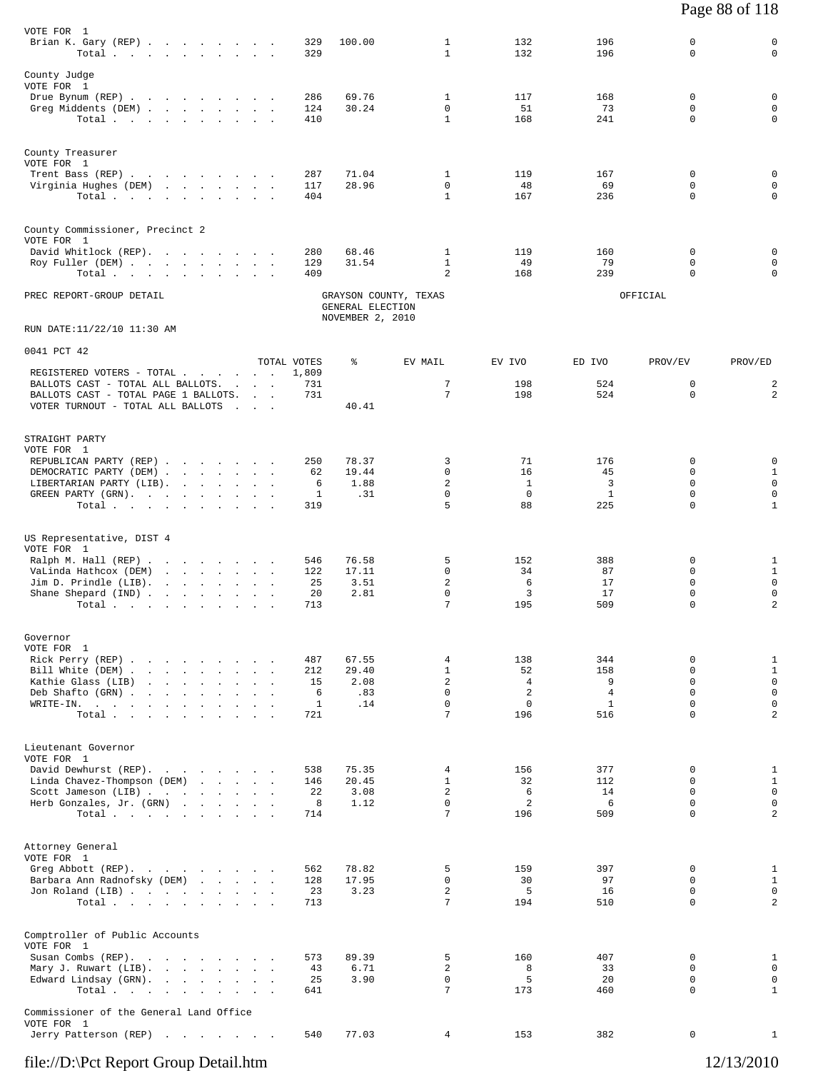| VOTE FOR 1<br>Brian K. Gary (REP)<br>Total $\cdots$ $\cdots$ $\cdots$ $\cdots$                                                                                                                                         |                                        | 329<br>329                         | 100.00                               | $\mathbf{1}$<br>$\mathbf{1}$                                        | 132<br>132                                                          | 196<br>196                                               | $\mathbf 0$<br>$\mathbf 0$                                             | 0<br>$\mathbf 0$                                                                |
|------------------------------------------------------------------------------------------------------------------------------------------------------------------------------------------------------------------------|----------------------------------------|------------------------------------|--------------------------------------|---------------------------------------------------------------------|---------------------------------------------------------------------|----------------------------------------------------------|------------------------------------------------------------------------|---------------------------------------------------------------------------------|
| County Judge<br>VOTE FOR 1<br>Drue Bynum (REP)<br>Greg Middents (DEM)<br>Total                                                                                                                                         |                                        | 286<br>124<br>410                  | 69.76<br>30.24                       | 1<br>$\Omega$<br>$\mathbf{1}$                                       | 117<br>51<br>168                                                    | 168<br>73<br>241                                         | 0<br>$\Omega$<br>$\mathbf 0$                                           | $\mathsf 0$<br>0<br>$\mathbf 0$                                                 |
| County Treasurer<br>VOTE FOR 1<br>Trent Bass (REP)<br>Virginia Hughes (DEM)<br>Total                                                                                                                                   |                                        | 287<br>117<br>404                  | 71.04<br>28.96                       | 1<br>$\Omega$<br>$\mathbf{1}$                                       | 119<br>48<br>167                                                    | 167<br>69<br>236                                         | 0<br>$\Omega$<br>$\Omega$                                              | 0<br>$\mathbf 0$<br>$\mathbf 0$                                                 |
| County Commissioner, Precinct 2<br>VOTE FOR 1<br>David Whitlock (REP).<br>Roy Fuller (DEM)<br>Total                                                                                                                    |                                        | 280<br>129<br>409                  | 68.46<br>31.54                       | 1<br>$\mathbf{1}$<br>2                                              | 119<br>49<br>168                                                    | 160<br>79<br>239                                         | 0<br>$\Omega$<br>$\Omega$                                              | 0<br>0<br>0                                                                     |
| PREC REPORT-GROUP DETAIL                                                                                                                                                                                               |                                        |                                    | GENERAL ELECTION<br>NOVEMBER 2, 2010 | GRAYSON COUNTY, TEXAS                                               |                                                                     |                                                          | OFFICIAL                                                               |                                                                                 |
| RUN DATE:11/22/10 11:30 AM                                                                                                                                                                                             |                                        |                                    |                                      |                                                                     |                                                                     |                                                          |                                                                        |                                                                                 |
| 0041 PCT 42<br>REGISTERED VOTERS - TOTAL<br>BALLOTS CAST - TOTAL ALL BALLOTS.<br>BALLOTS CAST - TOTAL PAGE 1 BALLOTS.                                                                                                  |                                        | TOTAL VOTES<br>1,809<br>731<br>731 | ႜ                                    | EV MAIL<br>7<br>7                                                   | EV IVO<br>198<br>198                                                | ED IVO<br>524<br>524                                     | PROV/EV<br>$\mathbf 0$<br>0                                            | PROV/ED<br>$\overline{\mathbf{c}}$<br>$\overline{c}$                            |
| VOTER TURNOUT - TOTAL ALL BALLOTS                                                                                                                                                                                      | <b>Contract Contract Street</b>        |                                    | 40.41                                |                                                                     |                                                                     |                                                          |                                                                        |                                                                                 |
| STRAIGHT PARTY<br>VOTE FOR 1<br>REPUBLICAN PARTY (REP)<br>DEMOCRATIC PARTY (DEM)<br>LIBERTARIAN PARTY (LIB).<br>GREEN PARTY (GRN).<br>Total                                                                            |                                        | 250<br>62<br>6<br>1<br>319         | 78.37<br>19.44<br>1.88<br>.31        | 3<br>$\mathbf 0$<br>2<br>$\mathbf 0$<br>5                           | 71<br>16<br>-1<br>0<br>88                                           | 176<br>45<br>3<br>$\mathbf{1}$<br>225                    | $\Omega$<br>$\Omega$<br>0<br>$\Omega$<br>$\Omega$                      | 0<br>$\mathbf{1}$<br>$\mathbf 0$<br>$\mathbf 0$<br>$\mathbf{1}$                 |
| US Representative, DIST 4<br>VOTE FOR 1<br>Ralph M. Hall (REP)<br>VaLinda Hathcox (DEM)<br>Jim D. Prindle (LIB).<br>Shane Shepard (IND)<br>Total                                                                       |                                        | 546<br>122<br>25<br>20<br>713      | 76.58<br>17.11<br>3.51<br>2.81       | 5<br>$\Omega$<br>$\overline{a}$<br>$\mathbf 0$<br>7                 | 152<br>34<br>6<br>3<br>195                                          | 388<br>87<br>17<br>17<br>509                             | 0<br>$\Omega$<br>$\mathbf 0$<br>$\mathbf 0$<br>$\mathbf 0$             | $\mathbf{1}$<br>$\mathbf{1}$<br>$\mathbf 0$<br>0<br>$\overline{2}$              |
| Governor<br>VOTE FOR 1<br>Rick Perry (REP)<br>Bill White (DEM)<br>Kathie Glass (LIB)<br>Deb Shafto (GRN).<br>the contract of the contract of the<br>WRITE-IN.<br>the contract of the contract of the<br>Total $\cdots$ | and the contract of the con-<br>$\sim$ | 487<br>212<br>15<br>6<br>1<br>721  | 67.55<br>29.40<br>2.08<br>.83<br>.14 | 4<br>$\mathbf{1}$<br>$\overline{a}$<br>$\Omega$<br>$\mathbf 0$<br>7 | 138<br>52<br>$\overline{4}$<br>$\overline{2}$<br>$\mathbf 0$<br>196 | 344<br>158<br>9<br>$\overline{4}$<br>$\mathbf{1}$<br>516 | 0<br>$\mathbf 0$<br>$\mathbf 0$<br>$\Omega$<br>$\mathbf 0$<br>$\Omega$ | $\,1\,$<br>$1\,$<br>$\mathsf 0$<br>$\mathbf 0$<br>$\mathbf 0$<br>$\overline{a}$ |
| Lieutenant Governor<br>VOTE FOR 1<br>David Dewhurst (REP).<br>Linda Chavez-Thompson (DEM)<br>Scott Jameson (LIB)<br>Herb Gonzales, Jr. (GRN)<br>Total $\cdots$                                                         |                                        | 538<br>146<br>22<br>8<br>714       | 75.35<br>20.45<br>3.08<br>1.12       | 4<br>$\mathbf{1}$<br>$\overline{c}$<br>$\mathbf 0$<br>7             | 156<br>32<br>6<br>2<br>196                                          | 377<br>112<br>14<br>6<br>509                             | 0<br>$\mathbf 0$<br>$\Omega$<br>$\mathbf 0$<br>$\Omega$                | $\mathbf{1}$<br>$\mathbf{1}$<br>$\mathbf 0$<br>$\mathbf 0$<br>$\overline{a}$    |
| Attorney General<br>VOTE FOR 1<br>Greg Abbott (REP).<br>Barbara Ann Radnofsky (DEM)<br>Jon Roland (LIB)<br>Total                                                                                                       |                                        | 562<br>128<br>23<br>713            | 78.82<br>17.95<br>3.23               | 5<br>$\mathbf 0$<br>$\overline{c}$<br>7                             | 159<br>30<br>5<br>194                                               | 397<br>97<br>16<br>510                                   | 0<br>$\mathbf 0$<br>$\Omega$<br>$\Omega$                               | $\mathbf{1}$<br>$\mathbf{1}$<br>$\mathbf 0$<br>2                                |
| Comptroller of Public Accounts<br>VOTE FOR 1<br>Susan Combs (REP).<br>Mary J. Ruwart (LIB).<br>Edward Lindsay (GRN).<br>Total                                                                                          |                                        | 573<br>43<br>25<br>641             | 89.39<br>6.71<br>3.90                | 5<br>2<br>$\mathbf 0$<br>7                                          | 160<br>8<br>5<br>173                                                | 407<br>33<br>20<br>460                                   | 0<br>$\Omega$<br>$\mathbf 0$<br>$\mathbf 0$                            | $\mathbf{1}$<br>$\mathbf 0$<br>$\mathsf 0$<br>$\mathbf{1}$                      |
| Commissioner of the General Land Office<br>VOTE FOR 1<br>Jerry Patterson (REP)                                                                                                                                         |                                        | 540                                | 77.03                                | $\overline{4}$                                                      | 153                                                                 | 382                                                      | 0                                                                      | $\mathbf{1}$                                                                    |

Page 88 of 118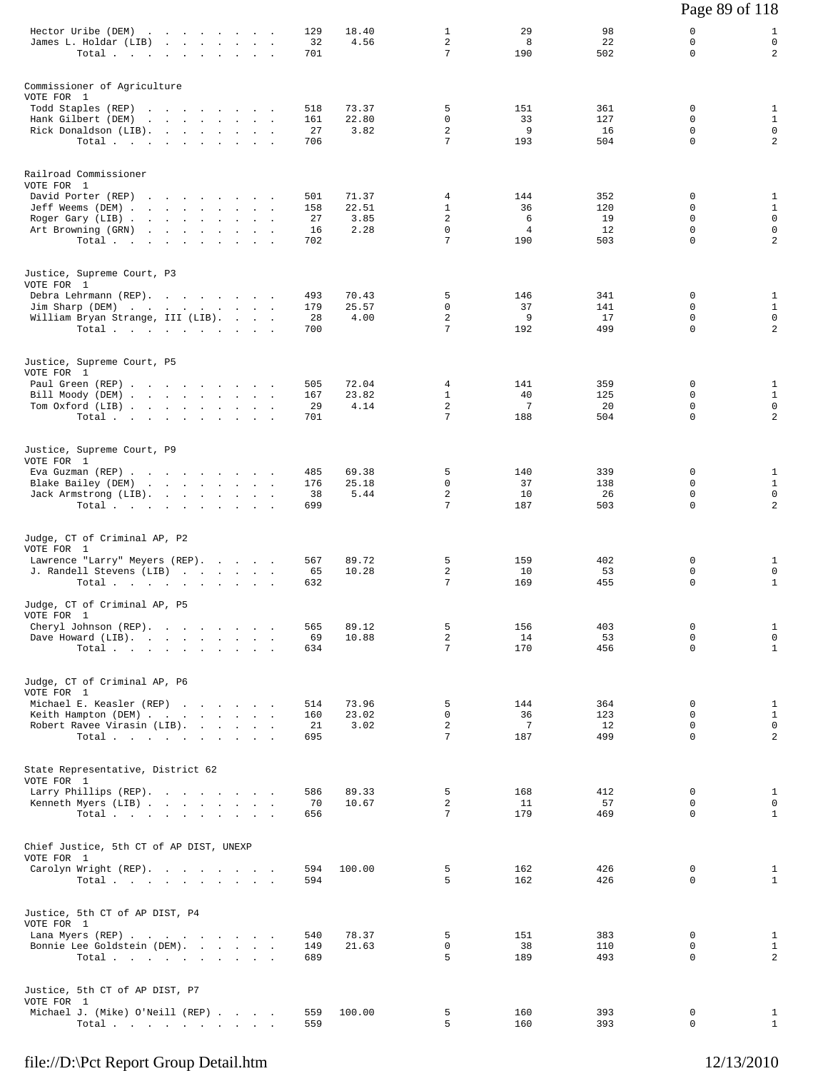|                                                                        |                  |                |                               |                       |                 | Page 89 of 118             |                                               |
|------------------------------------------------------------------------|------------------|----------------|-------------------------------|-----------------------|-----------------|----------------------------|-----------------------------------------------|
| Hector Uribe (DEM)<br>James L. Holdar (LIB)<br>Total $\cdots$          | 129<br>32<br>701 | 18.40<br>4.56  | $\mathbf{1}$<br>2<br>7        | 29<br>8<br>190        | 98<br>22<br>502 | 0<br>0<br>$\Omega$         | $\mathbf{1}$<br>$\mathsf 0$<br>$\overline{a}$ |
| Commissioner of Agriculture<br>VOTE FOR 1                              |                  |                |                               |                       |                 |                            |                                               |
| Todd Staples (REP)<br>Hank Gilbert (DEM)                               | 518<br>161       | 73.37<br>22.80 | 5<br>0                        | 151<br>33             | 361<br>127      | 0<br>0                     | $\mathbf{1}$<br>$1\,$                         |
| Rick Donaldson (LIB).<br>Total $\cdots$                                | 27<br>706        | 3.82           | 2<br>7                        | 9<br>193              | 16<br>504       | $\mathbf 0$<br>$\mathbf 0$ | $\mathsf 0$<br>$\overline{c}$                 |
| Railroad Commissioner<br>VOTE FOR 1                                    |                  |                |                               |                       |                 |                            |                                               |
| David Porter (REP)<br>Jeff Weems (DEM)                                 | 501<br>158       | 71.37<br>22.51 | 4<br>$\mathbf{1}$             | 144<br>36             | 352<br>120      | 0<br>$\Omega$              | $\mathbf{1}$<br>$1\,$                         |
| Roger Gary (LIB)<br>Art Browning (GRN)                                 | 27<br>16         | 3.85<br>2.28   | 2<br>$\mathbf 0$              | 6<br>4                | 19<br>12        | $\mathbf 0$<br>0           | $\mathsf 0$<br>$\mathsf 0$                    |
| Total.                                                                 | 702              |                | 7                             | 190                   | 503             | 0                          | 2                                             |
| Justice, Supreme Court, P3<br>VOTE FOR 1                               |                  |                |                               |                       |                 |                            |                                               |
| Debra Lehrmann (REP).<br>Jim Sharp (DEM)                               | 493<br>179       | 70.43<br>25.57 | 5<br>0                        | 146<br>37             | 341<br>141      | 0<br>0                     | $\mathbf{1}$<br>$\mathbf{1}$                  |
| William Bryan Strange, III (LIB).<br>Total $\cdots$                    | 28<br>700        | 4.00           | 2<br>7                        | 9<br>192              | 17<br>499       | $\mathbf 0$<br>$\Omega$    | 0<br>$\overline{\mathbf{c}}$                  |
| Justice, Supreme Court, P5<br>VOTE FOR 1                               |                  |                |                               |                       |                 |                            |                                               |
| Paul Green (REP)<br>Bill Moody (DEM)                                   | 505<br>167       | 72.04<br>23.82 | 4<br>$\mathbf{1}$             | 141<br>40             | 359<br>125      | 0<br>0                     | $\mathbf{1}$<br>$\mathbf{1}$                  |
| Tom Oxford (LIB)<br>Total $\cdots$                                     | 29<br>701        | 4.14           | 2<br>7                        | 7<br>188              | 20<br>504       | 0<br>0                     | 0<br>$\overline{a}$                           |
| Justice, Supreme Court, P9<br>VOTE FOR 1                               |                  |                |                               |                       |                 |                            |                                               |
| Eva Guzman (REP)                                                       | 485<br>176       | 69.38<br>25.18 | 5<br>0                        | 140<br>37             | 339<br>138      | 0<br>$\Omega$              | $\mathbf{1}$<br>$\mathbf{1}$                  |
| Blake Bailey (DEM)<br>Jack Armstrong (LIB).<br>Total $\cdots$          | 38<br>699        | 5.44           | $\overline{c}$<br>7           | 10<br>187             | 26<br>503       | $\mathbf 0$<br>0           | 0<br>$\overline{\mathbf{c}}$                  |
| Judge, CT of Criminal AP, P2<br>VOTE FOR 1                             |                  |                |                               |                       |                 |                            |                                               |
| Lawrence "Larry" Meyers (REP).<br>J. Randell Stevens (LIB)             | 567              | 89.72<br>10.28 | 5<br>2                        | 159<br>10             | 402<br>53       | 0<br>0                     | $\mathbf{1}$<br>0                             |
| Total.                                                                 | 65<br>632        |                | 7                             | 169                   | 455             | 0                          | $\mathbf{1}$                                  |
| Judge, CT of Criminal AP, P5<br>VOTE FOR 1                             |                  |                |                               |                       |                 |                            |                                               |
| Cheryl Johnson (REP).<br>Dave Howard (LIB).                            | 565<br>69        | 89.12<br>10.88 | 5<br>2                        | 156<br>14             | 403<br>53       | 0<br>$\Omega$              | $\mathbf{1}$<br>$\mathsf 0$                   |
| Total $\cdots$                                                         | 634              |                | 7                             | 170                   | 456             | $\mathbf 0$                | $\mathbf{1}$                                  |
| Judge, CT of Criminal AP, P6<br>VOTE FOR 1<br>Michael E. Keasler (REP) | 514              | 73.96          | 5                             | 144                   | 364             | 0                          | $\mathbf{1}$                                  |
| Keith Hampton (DEM)                                                    | 160<br>21        | 23.02<br>3.02  | $\mathbf 0$<br>$\overline{a}$ | 36<br>$7\phantom{.0}$ | 123<br>12       | 0<br>$\mathbf 0$           | $\mathbf{1}$<br>$\mathsf 0$                   |
| Robert Ravee Virasin (LIB).<br>Total $\cdots$                          | 695              |                | 7                             | 187                   | 499             | 0                          | $\overline{\mathbf{c}}$                       |
| State Representative, District 62<br>VOTE FOR 1                        |                  |                |                               |                       |                 |                            |                                               |
| Larry Phillips (REP).<br>Kenneth Myers (LIB)                           | 586<br>70        | 89.33<br>10.67 | 5<br>$\overline{a}$           | 168<br>11             | 412<br>57       | 0<br>$\mathbf 0$           | $\mathbf{1}$<br>$\mathsf 0$                   |
| Total $\cdots$ $\cdots$ $\cdots$ $\cdots$                              | 656              |                | 7                             | 179                   | 469             | $\Omega$                   | $\mathbf{1}$                                  |
| Chief Justice, 5th CT of AP DIST, UNEXP<br>VOTE FOR 1                  |                  |                |                               |                       |                 |                            |                                               |
| Carolyn Wright (REP).<br>Total $\cdots$                                | 594<br>594       | 100.00         | 5<br>5                        | 162<br>162            | 426<br>426      | 0<br>$\Omega$              | 1<br>$\mathbf{1}$                             |
| Justice, 5th CT of AP DIST, P4                                         |                  |                |                               |                       |                 |                            |                                               |
| VOTE FOR 1<br>Lana Myers (REP)                                         | 540              | 78.37          | 5                             | 151                   | 383             | 0                          | $\mathbf{1}$                                  |
| Bonnie Lee Goldstein (DEM).<br>Total $\cdots$ $\cdots$ $\cdots$        | 149<br>689       | 21.63          | 0<br>5                        | 38<br>189             | 110<br>493      | 0<br>$\mathbf 0$           | $\mathbf{1}$<br>$\overline{a}$                |
| Justice, 5th CT of AP DIST, P7<br>VOTE FOR 1                           |                  |                |                               |                       |                 |                            |                                               |
| Michael J. (Mike) O'Neill (REP)<br>Total                               | 559<br>559       | 100.00         | 5<br>5                        | 160<br>160            | 393<br>393      | 0<br>0                     | $\mathbf{1}$<br>$\mathbf{1}$                  |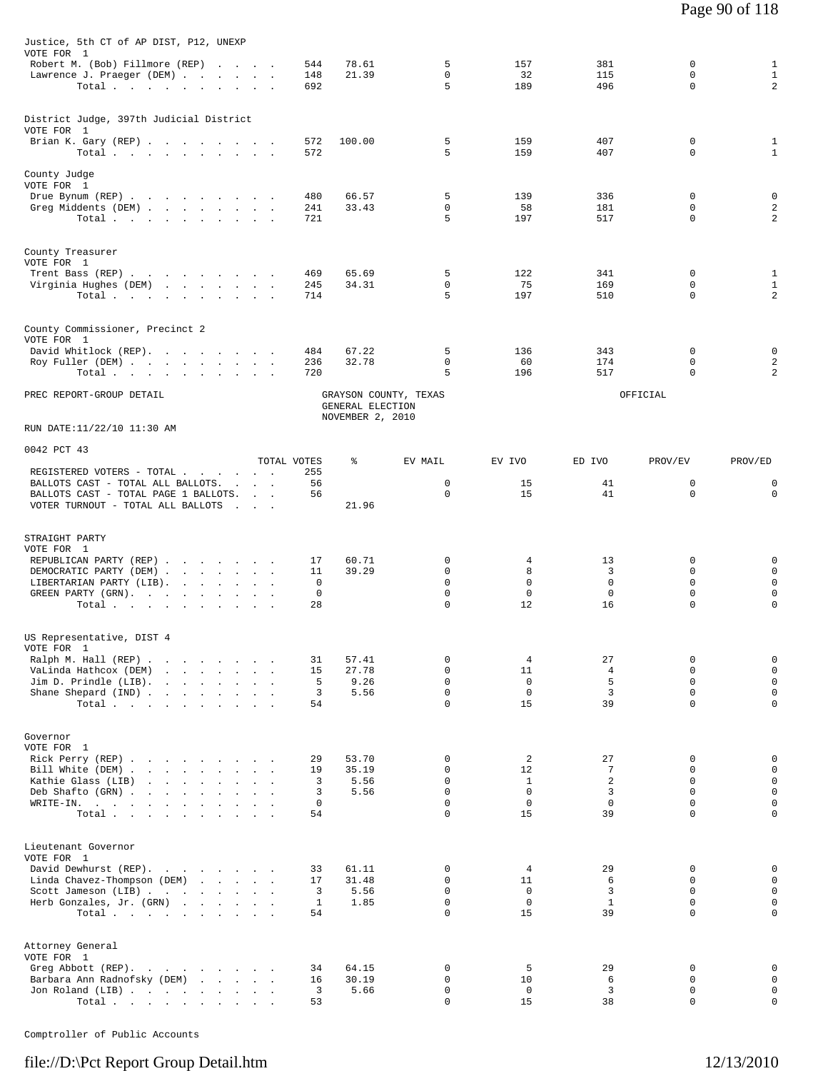| Justice, 5th CT of AP DIST, P12, UNEXP<br>VOTE FOR 1                                                                                                                                                     |             |                                      |                         |                    |                  |                            |                              |
|----------------------------------------------------------------------------------------------------------------------------------------------------------------------------------------------------------|-------------|--------------------------------------|-------------------------|--------------------|------------------|----------------------------|------------------------------|
| Robert M. (Bob) Fillmore (REP)                                                                                                                                                                           | 544         | 78.61                                | 5                       | 157                | 381              | 0                          | $\mathbf{1}$                 |
| Lawrence J. Praeger (DEM)                                                                                                                                                                                | 148         | 21.39                                | $\mathbf 0$             | 32                 | 115              | $\mathbf 0$                | $\mathbf{1}$                 |
| Total                                                                                                                                                                                                    | 692         |                                      | 5                       | 189                | 496              | $\mathbf 0$                | 2                            |
| District Judge, 397th Judicial District                                                                                                                                                                  |             |                                      |                         |                    |                  |                            |                              |
| VOTE FOR 1                                                                                                                                                                                               |             |                                      |                         |                    |                  |                            |                              |
| Brian K. Gary (REP)<br>Total $\cdots$ $\cdots$ $\cdots$                                                                                                                                                  | 572<br>572  | 100.00                               | 5<br>5                  | 159<br>159         | 407<br>407       | 0<br>$\mathbf 0$           | $\mathbf{1}$<br>$\mathbf{1}$ |
|                                                                                                                                                                                                          |             |                                      |                         |                    |                  |                            |                              |
| County Judge<br>VOTE FOR 1                                                                                                                                                                               |             |                                      |                         |                    |                  |                            |                              |
| Drue Bynum (REP)                                                                                                                                                                                         | 480         | 66.57                                | 5                       | 139                | 336              | 0                          | 0                            |
| Greg Middents (DEM)<br>Total $\cdots$ $\cdots$ $\cdots$ $\cdots$                                                                                                                                         | 241<br>721  | 33.43                                | 0<br>5                  | 58<br>197          | 181<br>517       | $\mathbf 0$<br>$\mathbf 0$ | $\sqrt{2}$<br>$\overline{2}$ |
|                                                                                                                                                                                                          |             |                                      |                         |                    |                  |                            |                              |
| County Treasurer                                                                                                                                                                                         |             |                                      |                         |                    |                  |                            |                              |
| VOTE FOR 1                                                                                                                                                                                               |             |                                      |                         |                    |                  |                            |                              |
| Trent Bass (REP)<br>Virginia Hughes (DEM)                                                                                                                                                                | 469<br>245  | 65.69<br>34.31                       | 5<br>$\mathbf 0$        | 122<br>75          | 341<br>169       | 0<br>0                     | 1<br>$\mathbf{1}$            |
| Total                                                                                                                                                                                                    | 714         |                                      | 5                       | 197                | 510              | $\mathbf 0$                | 2                            |
|                                                                                                                                                                                                          |             |                                      |                         |                    |                  |                            |                              |
| County Commissioner, Precinct 2                                                                                                                                                                          |             |                                      |                         |                    |                  |                            |                              |
| VOTE FOR 1<br>David Whitlock (REP).                                                                                                                                                                      | 484         | 67.22                                | 5                       | 136                | 343              | 0                          | 0                            |
| Roy Fuller (DEM)                                                                                                                                                                                         | 236         | 32.78                                | 0                       | 60                 | 174              | 0                          | $\sqrt{2}$                   |
| Total.                                                                                                                                                                                                   | 720         |                                      | 5                       | 196                | 517              | 0                          | 2                            |
| PREC REPORT-GROUP DETAIL                                                                                                                                                                                 |             |                                      | GRAYSON COUNTY, TEXAS   |                    |                  | OFFICIAL                   |                              |
|                                                                                                                                                                                                          |             | GENERAL ELECTION<br>NOVEMBER 2, 2010 |                         |                    |                  |                            |                              |
| RUN DATE:11/22/10 11:30 AM                                                                                                                                                                               |             |                                      |                         |                    |                  |                            |                              |
| 0042 PCT 43                                                                                                                                                                                              |             |                                      |                         |                    |                  |                            |                              |
|                                                                                                                                                                                                          | TOTAL VOTES | ႜ                                    | EV MAIL                 | EV IVO             | ED IVO           | PROV/EV                    | PROV/ED                      |
| REGISTERED VOTERS - TOTAL<br>BALLOTS CAST - TOTAL ALL BALLOTS.                                                                                                                                           | 255<br>56   |                                      | 0                       | 15                 | 41               | 0                          | 0                            |
| BALLOTS CAST - TOTAL PAGE 1 BALLOTS.                                                                                                                                                                     | 56          |                                      | 0                       | 15                 | 41               | $\mathbf 0$                | $\mathsf 0$                  |
| VOTER TURNOUT - TOTAL ALL BALLOTS                                                                                                                                                                        |             | 21.96                                |                         |                    |                  |                            |                              |
|                                                                                                                                                                                                          |             |                                      |                         |                    |                  |                            |                              |
| STRAIGHT PARTY<br>VOTE FOR 1                                                                                                                                                                             |             |                                      |                         |                    |                  |                            |                              |
| REPUBLICAN PARTY (REP)                                                                                                                                                                                   | 17          | 60.71                                | 0                       | 4                  | 13               | 0                          | $\mathbf 0$                  |
| DEMOCRATIC PARTY (DEM)<br>LIBERTARIAN PARTY (LIB).                                                                                                                                                       | 11<br>0     | 39.29                                | 0<br>$\mathbf 0$        | 8<br>$\mathbf 0$   | 3<br>$\mathbf 0$ | $\mathbf 0$<br>$\mathbf 0$ | $\mathbf 0$<br>$\mathbf 0$   |
| GREEN PARTY (GRN).                                                                                                                                                                                       | 0           |                                      | $\mathbf 0$             | $\mathbf 0$        | $\mathbf 0$      | $\mathbf 0$                | $\mathbf 0$                  |
| Total $\cdots$ $\cdots$ $\cdots$                                                                                                                                                                         | 28          |                                      | 0                       | 12                 | 16               | 0                          | 0                            |
|                                                                                                                                                                                                          |             |                                      |                         |                    |                  |                            |                              |
| US Representative, DIST 4<br>VOTE FOR 1                                                                                                                                                                  |             |                                      |                         |                    |                  |                            |                              |
| Ralph M. Hall (REP)                                                                                                                                                                                      | 31          | 57.41                                | 0                       | 4                  | 27               | $\Omega$                   | $\mathbb O$                  |
| VaLinda Hathcox (DEM)<br>the contract of the contract of the<br>Jim D. Prindle (LIB).<br>the contract of the contract of the contract of the contract of the contract of the contract of the contract of | 15<br>5     | 27.78<br>9.26                        | $\Omega$<br>$\mathbf 0$ | 11<br>$\mathbf 0$  | 4<br>5           | $\Omega$<br>$\mathbf 0$    | $\mathbf 0$<br>$\mathbf 0$   |
| Shane Shepard (IND)                                                                                                                                                                                      | 3           | 5.56                                 | $\mathbf 0$             | $\mathbf 0$        | 3                | $\mathbf 0$                | $\mathsf 0$                  |
| Total                                                                                                                                                                                                    | 54          |                                      | $\Omega$                | 15                 | 39               | $\Omega$                   | $\mathbf 0$                  |
|                                                                                                                                                                                                          |             |                                      |                         |                    |                  |                            |                              |
| Governor<br>VOTE FOR 1                                                                                                                                                                                   |             |                                      |                         |                    |                  |                            |                              |
| Rick Perry (REP)                                                                                                                                                                                         | 29          | 53.70                                | 0                       | 2                  | 27               | 0                          | $\mathbf 0$                  |
| Bill White (DEM)<br>Kathie Glass (LIB)                                                                                                                                                                   | 19<br>3     | 35.19<br>5.56                        | $\Omega$<br>0           | 12<br>$\mathbf{1}$ | 7<br>2           | $\Omega$<br>$\Omega$       | $\mathbf 0$<br>$\mathsf 0$   |
| Deb Shafto (GRN)                                                                                                                                                                                         | 3           | 5.56                                 | $\mathbf 0$             | $\mathbf 0$        | 3                | $\Omega$                   | $\mathbf 0$                  |
| WRITE-IN.                                                                                                                                                                                                | 0           |                                      | 0                       | $\mathbf 0$        | $\mathsf 0$      | $\mathbf 0$                | $\mathbf 0$                  |
| Total                                                                                                                                                                                                    | 54          |                                      | 0                       | 15                 | 39               | $\Omega$                   | $\mathbf 0$                  |
|                                                                                                                                                                                                          |             |                                      |                         |                    |                  |                            |                              |
| Lieutenant Governor<br>VOTE FOR 1                                                                                                                                                                        |             |                                      |                         |                    |                  |                            |                              |
| David Dewhurst (REP).<br>the contract of the contract of                                                                                                                                                 | 33          | 61.11                                | 0                       | 4                  | 29               | 0                          | $\mathsf 0$                  |
| Linda Chavez-Thompson (DEM)<br>Scott Jameson (LIB)                                                                                                                                                       | 17<br>3     | 31.48<br>5.56                        | 0<br>$\mathbf 0$        | 11<br>$\mathbf 0$  | 6<br>3           | 0<br>$\mathbf 0$           | $\mathbf 0$<br>$\mathbf 0$   |
| Herb Gonzales, Jr. (GRN)                                                                                                                                                                                 | 1           | 1.85                                 | 0                       | $\mathbf 0$        | $\mathbf{1}$     | 0                          | $\mathbf 0$                  |
| Total $\cdots$ $\cdots$ $\cdots$ $\cdots$                                                                                                                                                                | 54          |                                      | 0                       | 15                 | 39               | $\Omega$                   | $\mathbf 0$                  |
|                                                                                                                                                                                                          |             |                                      |                         |                    |                  |                            |                              |
| Attorney General<br>VOTE FOR 1                                                                                                                                                                           |             |                                      |                         |                    |                  |                            |                              |
| Greg Abbott (REP).                                                                                                                                                                                       | 34          | 64.15                                | 0                       | 5                  | 29               | 0                          | $\mathbb O$                  |
| Barbara Ann Radnofsky (DEM)<br>Jon Roland (LIB)                                                                                                                                                          | 16<br>3     | 30.19<br>5.66                        | 0<br>0                  | 10<br>$\mathbf 0$  | 6<br>3           | 0<br>$\mathsf 0$           | $\mathsf 0$<br>$\mathsf 0$   |
| Total.                                                                                                                                                                                                   | 53          |                                      | $\mathbf 0$             | 15                 | 38               | $\mathbf 0$                | $\Omega$                     |

Comptroller of Public Accounts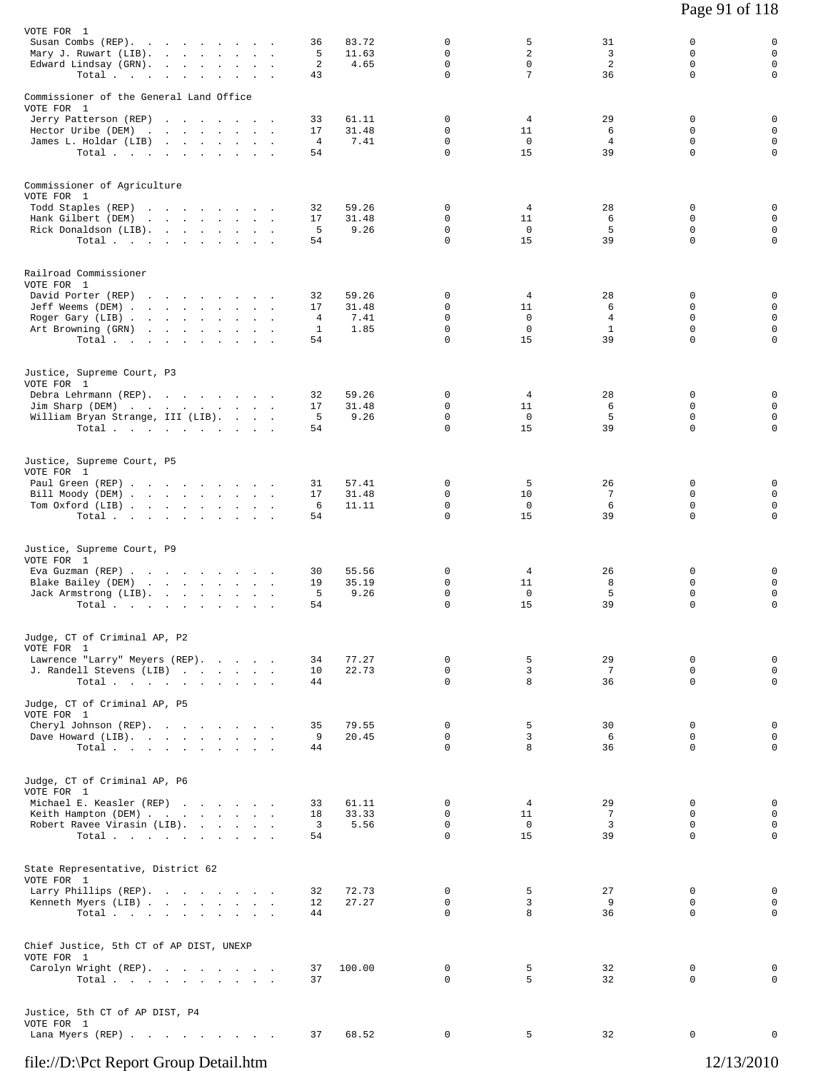| VOTE FOR 1<br>Susan Combs (REP).                        | 36                   | 83.72          | 0                            | 5                               | 31                  | 0                            | 0                                         |
|---------------------------------------------------------|----------------------|----------------|------------------------------|---------------------------------|---------------------|------------------------------|-------------------------------------------|
| Mary J. Ruwart (LIB).<br>Edward Lindsay (GRN).<br>Total | 5<br>2<br>43         | 11.63<br>4.65  | 0<br>$\Omega$<br>$\mathbf 0$ | $\overline{a}$<br>$\Omega$<br>7 | 3<br>2<br>36        | 0<br>$\Omega$<br>$\mathbf 0$ | $\mathbf 0$<br>$\mathbf 0$<br>$\mathbf 0$ |
| Commissioner of the General Land Office                 |                      |                |                              |                                 |                     |                              |                                           |
| VOTE FOR 1<br>Jerry Patterson (REP)                     | 33                   | 61.11          | 0                            | 4                               | 29                  | 0                            | 0                                         |
| Hector Uribe (DEM)<br>James L. Holdar (LIB)             | 17<br>$\overline{4}$ | 31.48<br>7.41  | 0<br>0                       | 11<br>$\mathbf 0$               | 6<br>$\overline{4}$ | $\Omega$<br>$\Omega$         | $\mathbf 0$<br>$\mathbf 0$                |
| Total                                                   | 54                   |                | $\Omega$                     | 15                              | 39                  | $\mathbf 0$                  | $\mathbf 0$                               |
| Commissioner of Agriculture<br>VOTE FOR 1               |                      |                |                              |                                 |                     |                              |                                           |
| Todd Staples (REP)                                      | 32                   | 59.26          | 0                            | 4                               | 28                  | 0                            | 0                                         |
| Hank Gilbert (DEM)<br>Rick Donaldson (LIB).             | 17<br>5              | 31.48<br>9.26  | $\Omega$<br>$\mathbf 0$      | 11<br>$\mathbf 0$               | 6<br>5              | $\Omega$<br>$\mathbf 0$      | $\mathbf 0$<br>$\mathbf 0$                |
| Total $\cdots$                                          | 54                   |                | $\mathbf 0$                  | 15                              | 39                  | $\Omega$                     | $\mathbf 0$                               |
| Railroad Commissioner<br>VOTE FOR 1                     |                      |                |                              |                                 |                     |                              |                                           |
| David Porter (REP)                                      | 32<br>17             | 59.26<br>31.48 | 0<br>0                       | $\overline{4}$<br>11            | 28<br>6             | 0<br>0                       | 0<br>$\mathbf 0$                          |
| Jeff Weems (DEM)<br>Roger Gary (LIB)                    | 4                    | 7.41           | 0                            | $\mathbf 0$                     | $\overline{4}$      | 0                            | $\mathbf 0$                               |
| Art Browning (GRN)<br>Total $\cdots$                    | 1<br>54              | 1.85           | $\mathsf 0$<br>$\Omega$      | $\mathbf 0$<br>15               | $\mathbf{1}$<br>39  | $\mathbf 0$<br>$\Omega$      | $\mathbf 0$<br>$\mathbf 0$                |
| Justice, Supreme Court, P3                              |                      |                |                              |                                 |                     |                              |                                           |
| VOTE FOR 1<br>Debra Lehrmann (REP).                     | 32                   | 59.26          | 0                            | 4                               | 28                  | 0                            | 0                                         |
| Jim Sharp (DEM)<br>William Bryan Strange, III (LIB).    | 17<br>5              | 31.48<br>9.26  | 0<br>0                       | 11<br>$\mathbf 0$               | 6<br>5              | $\mathbf 0$<br>$\Omega$      | $\mathbf 0$<br>$\mathbf 0$                |
| Total                                                   | 54                   |                | $\Omega$                     | 15                              | 39                  | $\mathbf 0$                  | $\mathbf 0$                               |
| Justice, Supreme Court, P5                              |                      |                |                              |                                 |                     |                              |                                           |
| VOTE FOR 1<br>Paul Green (REP)                          | 31                   | 57.41          | 0                            | 5                               | 26                  | 0                            | 0                                         |
| Bill Moody (DEM)<br>Tom Oxford (LIB)                    | 17<br>6              | 31.48<br>11.11 | $\Omega$<br>$\mathbf 0$      | 10<br>$\mathbf 0$               | 7<br>6              | $\Omega$<br>$\mathbf 0$      | $\mathbf 0$<br>$\mathbf 0$                |
| Total $\cdots$                                          | 54                   |                | $\mathbf 0$                  | 15                              | 39                  | 0                            | $\mathbf 0$                               |
| Justice, Supreme Court, P9<br>VOTE FOR 1                |                      |                |                              |                                 |                     |                              |                                           |
| Eva Guzman (REP)                                        | 30                   | 55.56          | 0                            | 4                               | 26                  | 0                            | 0                                         |
| Blake Bailey (DEM)<br>Jack Armstrong (LIB).             | 19<br>5              | 35.19<br>9.26  | $\mathbf 0$<br>0             | 11<br>$\overline{0}$            | 8<br>5              | $\mathbf 0$<br>$\mathbf 0$   | $\mathbf 0$<br>$\mathsf 0$                |
| Total $\cdots$ $\cdots$ $\cdots$                        | 54                   |                | $\Omega$                     | 15                              | 39                  | $\Omega$                     | $\mathbf 0$                               |
| Judge, CT of Criminal AP, P2<br>VOTE FOR 1              |                      |                |                              |                                 |                     |                              |                                           |
| Lawrence "Larry" Meyers (REP).                          | 34                   | 77.27          | 0                            | 5                               | 29                  | 0                            | $\mathbf 0$                               |
| J. Randell Stevens (LIB)<br>Total                       | 10<br>44             | 22.73          | $\mathbf 0$<br>$\Omega$      | 3<br>8                          | 7<br>36             | 0<br>$\mathbf 0$             | $\mathbf 0$<br>$\mathbf 0$                |
| Judge, CT of Criminal AP, P5<br>VOTE FOR 1              |                      |                |                              |                                 |                     |                              |                                           |
| Cheryl Johnson (REP).<br>Dave Howard (LIB).             | 35<br>9              | 79.55<br>20.45 | $\mathbf 0$<br>0             | 5<br>3                          | 30<br>6             | $\mathbf 0$<br>0             | 0<br>$\mathbf 0$                          |
| Total                                                   | 44                   |                | $\mathbf 0$                  | 8                               | 36                  | 0                            | $\mathsf{O}$                              |
| Judge, CT of Criminal AP, P6<br>VOTE FOR 1              |                      |                |                              |                                 |                     |                              |                                           |
| Michael E. Keasler (REP)                                | 33                   | 61.11          | $\Omega$                     | $\overline{4}$                  | 29                  | $\Omega$                     | 0                                         |
| Keith Hampton (DEM)<br>Robert Ravee Virasin (LIB).      | 18<br>3              | 33.33<br>5.56  | 0<br>$\mathbf 0$             | 11<br>$\overline{0}$            | 7<br>3              | 0<br>0                       | $\mathbf 0$<br>$\mathbf 0$                |
| Total                                                   | 54                   |                | $\Omega$                     | 15                              | 39                  | $\Omega$                     | $\mathbf 0$                               |
| State Representative, District 62<br>VOTE FOR 1         |                      |                |                              |                                 |                     |                              |                                           |
| Larry Phillips (REP).                                   | 32                   | 72.73          | 0                            | 5                               | 27                  | 0                            | $\mathbf 0$                               |
| Kenneth Myers (LIB)<br>Total                            | 12<br>44             | 27.27          | 0<br>$\Omega$                | 3<br>8                          | 9<br>36             | 0<br>$\mathbf 0$             | 0<br>$\mathbf 0$                          |
| Chief Justice, 5th CT of AP DIST, UNEXP                 |                      |                |                              |                                 |                     |                              |                                           |
| VOTE FOR 1<br>Carolyn Wright (REP).                     | 37                   | 100.00         | $\mathbf 0$                  | 5                               | 32                  | 0                            | 0                                         |
| Total $\cdots$                                          | 37                   |                | $\Omega$                     | 5                               | 32                  | 0                            | $\mathbf 0$                               |
| Justice, 5th CT of AP DIST, P4<br>VOTE FOR 1            |                      |                |                              |                                 |                     |                              |                                           |
| Lana Myers (REP)                                        | 37                   | 68.52          | 0                            | 5                               | 32                  | 0                            | 0                                         |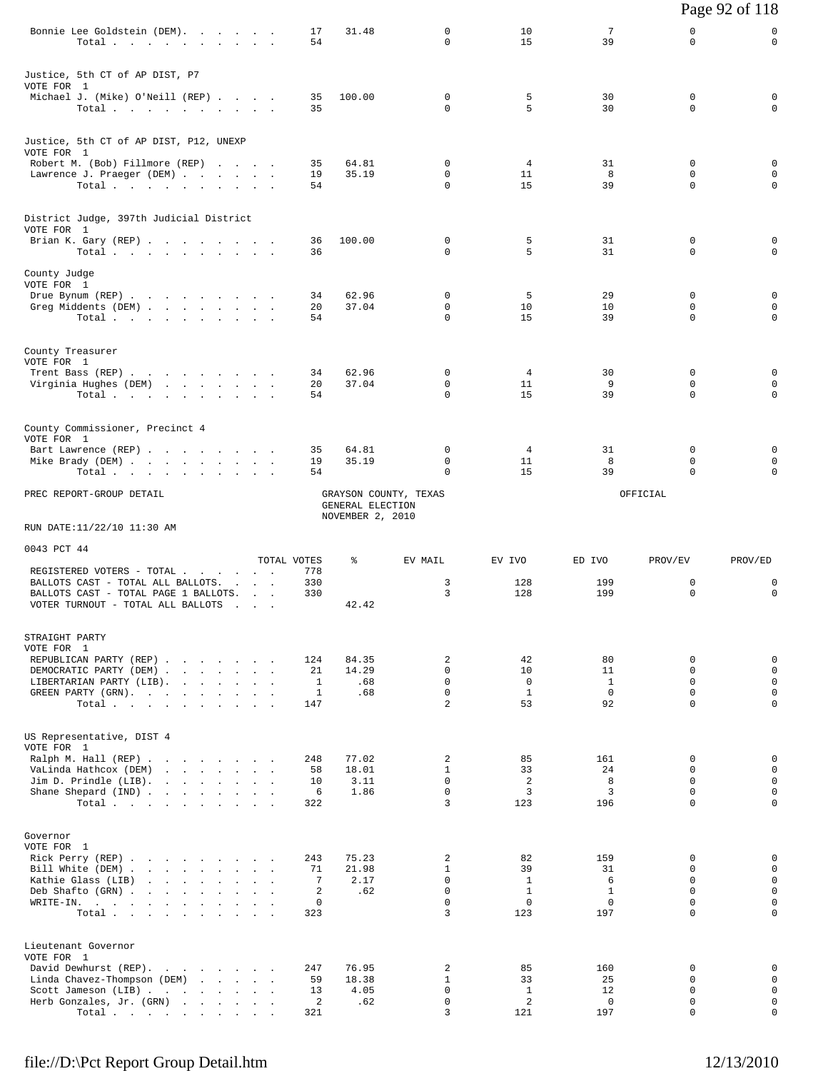|                                                                                                                                                                 |                       |                                           |                              |                                    |                                    |                                        | Page 92 of 118                         |
|-----------------------------------------------------------------------------------------------------------------------------------------------------------------|-----------------------|-------------------------------------------|------------------------------|------------------------------------|------------------------------------|----------------------------------------|----------------------------------------|
| Bonnie Lee Goldstein (DEM).<br>Total                                                                                                                            | 17<br>54              | 31.48                                     | 0<br>$\Omega$                | 10<br>15                           | $7\phantom{.0}$<br>39              | 0<br>$\Omega$                          | 0<br>$\mathbf 0$                       |
| Justice, 5th CT of AP DIST, P7                                                                                                                                  |                       |                                           |                              |                                    |                                    |                                        |                                        |
| VOTE FOR 1<br>Michael J. (Mike) O'Neill (REP)<br>Total.                                                                                                         | 35<br>35              | 100.00                                    | 0<br>$\Omega$                | 5<br>5                             | 30<br>30                           | $\mathbf 0$<br>$\Omega$                | 0<br>$\Omega$                          |
| Justice, 5th CT of AP DIST, P12, UNEXP                                                                                                                          |                       |                                           |                              |                                    |                                    |                                        |                                        |
| VOTE FOR 1<br>Robert M. (Bob) Fillmore (REP)<br>Lawrence J. Praeger (DEM)                                                                                       | 35<br>19              | 64.81<br>35.19                            | 0<br>0                       | $\overline{4}$<br>11               | 31<br>8                            | $\mathbf 0$<br>$\mathbf 0$             | 0<br>$\mathbf 0$                       |
| Total.                                                                                                                                                          | 54                    |                                           | 0                            | 15                                 | 39                                 | $\mathbf 0$                            | $\mathbf 0$                            |
| District Judge, 397th Judicial District<br>VOTE FOR 1                                                                                                           |                       |                                           |                              |                                    |                                    |                                        |                                        |
| Brian K. Gary (REP)<br>Total                                                                                                                                    | 36<br>36              | 100.00                                    | 0<br>$\Omega$                | 5<br>5                             | 31<br>31                           | $\mathbf 0$<br>$\Omega$                | 0<br>0                                 |
| County Judge<br>VOTE FOR 1                                                                                                                                      |                       |                                           |                              |                                    |                                    |                                        |                                        |
| Drue Bynum (REP)<br>Greg Middents (DEM)                                                                                                                         | 34<br>20              | 62.96<br>37.04                            | $\mathbf 0$<br>0             | 5<br>10                            | 29<br>10                           | $\mathbf 0$<br>0                       | $\mathbf 0$<br>0                       |
| Total                                                                                                                                                           | 54                    |                                           | $\Omega$                     | 15                                 | 39                                 | $\Omega$                               | $\mathbf 0$                            |
| County Treasurer<br>VOTE FOR 1                                                                                                                                  |                       |                                           |                              |                                    |                                    |                                        |                                        |
| Trent Bass (REP)<br>Virginia Hughes (DEM)                                                                                                                       | 34<br>20              | 62.96<br>37.04                            | 0<br>$\mathbf 0$             | 4<br>11                            | 30<br>9                            | 0<br>$\mathbf 0$                       | 0<br>$\mathbf 0$                       |
| Total                                                                                                                                                           | 54                    |                                           | 0                            | 15                                 | 39                                 | $\Omega$                               | $\mathbf 0$                            |
| County Commissioner, Precinct 4<br>VOTE FOR 1                                                                                                                   |                       |                                           |                              |                                    |                                    |                                        |                                        |
| Bart Lawrence (REP)<br>Mike Brady (DEM)                                                                                                                         | 35<br>19              | 64.81<br>35.19                            | 0<br>0                       | $\overline{4}$<br>11               | 31<br>8                            | 0<br>0                                 | 0<br>0                                 |
| Total                                                                                                                                                           | 54                    |                                           | 0                            | 15                                 | 39                                 | $\mathbf 0$                            | $\mathbf 0$                            |
| PREC REPORT-GROUP DETAIL                                                                                                                                        |                       | GRAYSON COUNTY, TEXAS<br>GENERAL ELECTION |                              |                                    |                                    | OFFICIAL                               |                                        |
| RUN DATE:11/22/10 11:30 AM                                                                                                                                      |                       | NOVEMBER 2, 2010                          |                              |                                    |                                    |                                        |                                        |
| 0043 PCT 44                                                                                                                                                     | TOTAL VOTES           | ႜ                                         | EV MAIL                      | EV IVO                             | ED IVO                             | PROV/EV                                | PROV/ED                                |
| REGISTERED VOTERS - TOTAL<br>BALLOTS CAST - TOTAL ALL BALLOTS.<br><b>Contract Contract</b>                                                                      | 778<br>330            |                                           | 3                            | 128                                | 199                                | 0                                      | 0                                      |
| BALLOTS CAST - TOTAL PAGE 1 BALLOTS.<br>VOTER TURNOUT - TOTAL ALL BALLOTS<br>.                                                                                  | 330                   | 42.42                                     | 3                            | 128                                | 199                                | $\mathbf 0$                            | $\mathbf 0$                            |
| STRAIGHT PARTY<br>VOTE FOR 1                                                                                                                                    |                       |                                           |                              |                                    |                                    |                                        |                                        |
| REPUBLICAN PARTY (REP)<br>DEMOCRATIC PARTY (DEM)                                                                                                                | 124<br>21             | 84.35<br>14.29                            | 2<br>$\Omega$                | 42<br>10                           | 80<br>11                           | $\mathbf 0$<br>$\Omega$                | 0<br>$\mathbf 0$                       |
| LIBERTARIAN PARTY (LIB).<br>GREEN PARTY (GRN).                                                                                                                  | 1<br>1                | .68<br>.68                                | $\Omega$<br>$\mathbf 0$      | $\Omega$<br>$\mathbf{1}$           | $\mathbf{1}$<br>$\mathbf 0$        | $\Omega$<br>$\mathbf 0$                | $\mathbf{0}$<br>$\mathbf 0$            |
| Total.                                                                                                                                                          | 147                   |                                           | $\overline{a}$               | 53                                 | 92                                 | $\Omega$                               | $\mathbf 0$                            |
| US Representative, DIST 4<br>VOTE FOR 1                                                                                                                         |                       |                                           |                              |                                    |                                    |                                        |                                        |
| Ralph M. Hall (REP)<br>VaLinda Hathcox (DEM)<br>the contract of the contract of the contract of the contract of the contract of the contract of the contract of | 248<br>58             | 77.02<br>18.01                            | 2<br>$\mathbf{1}$            | 85<br>33                           | 161<br>24                          | $\Omega$<br>$\mathbf 0$                | $\mathbf 0$<br>$\mathbf 0$             |
| Jim D. Prindle (LIB).<br>the company of the company of the<br>Shane Shepard (IND)                                                                               | 10<br>6               | 3.11<br>1.86                              | $\Omega$<br>$\Omega$         | 2<br>3                             | 8<br>3                             | $\mathbf 0$<br>$\Omega$                | $\mathbf 0$<br>$\mathbf 0$             |
| Total                                                                                                                                                           | 322                   |                                           | 3                            | 123                                | 196                                | $\Omega$                               | $\mathbf 0$                            |
| Governor                                                                                                                                                        |                       |                                           |                              |                                    |                                    |                                        |                                        |
| VOTE FOR 1<br>Rick Perry (REP)<br>Bill White (DEM)                                                                                                              | 243                   | 75.23<br>21.98                            | 2<br>$\mathbf{1}$            | 82<br>39                           | 159<br>31                          | $\mathbf 0$<br>$\Omega$                | 0<br>$\mathbf 0$                       |
|                                                                                                                                                                 |                       |                                           |                              |                                    |                                    |                                        |                                        |
| Kathie Glass (LIB)<br>the contract of the contract of the contract of                                                                                           | 71<br>$7\phantom{.0}$ | 2.17                                      | $\Omega$                     | $\mathbf{1}$                       | 6                                  | $\Omega$                               | $\mathbf{0}$                           |
| Deb Shafto (GRN)<br>WRITE-IN.                                                                                                                                   | 2<br>$\mathbf 0$      | .62                                       | $\mathbf 0$<br>$\Omega$<br>3 | $\mathbf{1}$<br>$\mathbf 0$<br>123 | $\mathbf{1}$<br>$\mathbf 0$<br>197 | $\mathbf 0$<br>$\Omega$<br>$\Omega$    | $\mathsf 0$<br>$\mathbf 0$<br>$\Omega$ |
| Total.                                                                                                                                                          | 323                   |                                           |                              |                                    |                                    |                                        |                                        |
| Lieutenant Governor<br>VOTE FOR 1                                                                                                                               |                       |                                           |                              |                                    |                                    |                                        |                                        |
| David Dewhurst (REP).<br>Linda Chavez-Thompson (DEM)                                                                                                            | 247<br>59             | 76.95<br>18.38                            | 2<br>$\mathbf{1}$            | 85<br>33                           | 160<br>25                          | 0<br>$\Omega$                          | 0<br>$\mathbf 0$                       |
| Scott Jameson (LIB)<br>Herb Gonzales, Jr. (GRN)<br>Total.                                                                                                       | 13<br>2<br>321        | 4.05<br>.62                               | $\Omega$<br>$\mathbf 0$<br>3 | $\mathbf{1}$<br>2<br>121           | 12<br>$\mathbf 0$<br>197           | $\Omega$<br>$\mathbf 0$<br>$\mathbf 0$ | $\mathbf 0$<br>$\mathbf 0$<br>0        |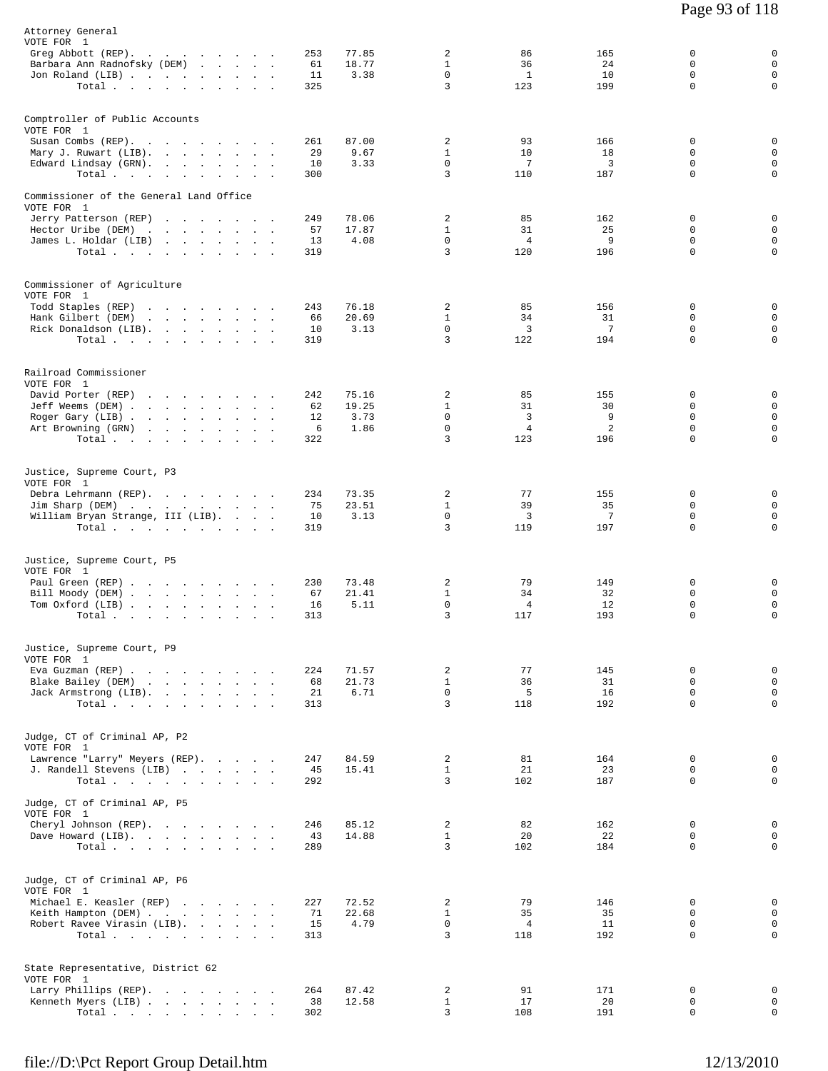| Attorney General<br>VOTE FOR 1<br>Greg Abbott (REP).<br>Barbara Ann Radnofsky (DEM)<br>Jon Roland (LIB)                       | Total.                                                                                                                                                                                                                                                                                                                                | 253<br>61<br>11<br>325      | 77.85<br>18.77<br>3.38         | 2<br>$\mathbf{1}$<br>$\Omega$<br>3                   | 86<br>36<br><sup>1</sup><br>123        | 165<br>24<br>10<br>199              | 0<br>$\mathbf 0$<br>$\Omega$<br>$\mathbf 0$       | 0<br>$\mathbf 0$<br>$\mathsf 0$<br>$\mathsf{O}$               |
|-------------------------------------------------------------------------------------------------------------------------------|---------------------------------------------------------------------------------------------------------------------------------------------------------------------------------------------------------------------------------------------------------------------------------------------------------------------------------------|-----------------------------|--------------------------------|------------------------------------------------------|----------------------------------------|-------------------------------------|---------------------------------------------------|---------------------------------------------------------------|
| Comptroller of Public Accounts<br>VOTE FOR 1<br>Susan Combs (REP).<br>Mary J. Ruwart (LIB).<br>Edward Lindsay (GRN).          | Total                                                                                                                                                                                                                                                                                                                                 | 261<br>29<br>10<br>300      | 87.00<br>9.67<br>3.33          | 2<br>$\mathbf{1}$<br>$\mathbf 0$<br>3                | 93<br>10<br>7<br>110                   | 166<br>18<br>3<br>187               | 0<br>$\Omega$<br>$\mathbf 0$<br>0                 | 0<br>$\mathbf 0$<br>$\mathbf 0$<br>$\mathbf 0$                |
| Commissioner of the General Land Office<br>VOTE FOR 1<br>Jerry Patterson (REP)<br>Hector Uribe (DEM)<br>James L. Holdar (LIB) | Total                                                                                                                                                                                                                                                                                                                                 | 249<br>57<br>13<br>319      | 78.06<br>17.87<br>4.08         | $\overline{c}$<br>$\mathbf{1}$<br>$\mathbf 0$<br>3   | 85<br>31<br>4<br>120                   | 162<br>25<br>9<br>196               | 0<br>$\Omega$<br>$\mathbf 0$<br>$\Omega$          | 0<br>$\mathbf 0$<br>$\mathbf 0$<br>$\mathbf 0$                |
| Commissioner of Agriculture<br>VOTE FOR 1<br>Todd Staples (REP)<br>Hank Gilbert (DEM)<br>Rick Donaldson (LIB).                | the contract of the contract of the contract of<br>the contract of the contract of the contract of<br>Total                                                                                                                                                                                                                           | 243<br>66<br>10<br>319      | 76.18<br>20.69<br>3.13         | 2<br>$\mathbf{1}$<br>$\mathbf 0$<br>3                | 85<br>34<br>$\overline{3}$<br>122      | 156<br>31<br>7<br>194               | $\Omega$<br>$\mathbf 0$<br>0<br>$\Omega$          | 0<br>$\mathbf 0$<br>$\mathsf{O}$<br>$\mathbf 0$               |
| Railroad Commissioner<br>VOTE FOR 1<br>David Porter (REP)<br>Jeff Weems (DEM)<br>Roger Gary (LIB)<br>Art Browning (GRN)       | and the contract of the contract of the contract of the contract of the contract of the contract of the contract of the contract of the contract of the contract of the contract of the contract of the contract of the contra<br>$\sim$<br>the contract of the contract of the contract of the contract of the contract of<br>Total. | 242<br>62<br>12<br>6<br>322 | 75.16<br>19.25<br>3.73<br>1.86 | 2<br>$\mathbf{1}$<br>$\mathbf 0$<br>$\mathbf 0$<br>3 | 85<br>31<br>3<br>$\overline{4}$<br>123 | 155<br>30<br>9<br>2<br>196          | 0<br>$\Omega$<br>$\mathbf 0$<br>$\Omega$<br>0     | 0<br>$\mathbf 0$<br>$\mathbf 0$<br>$\mathsf 0$<br>$\mathbf 0$ |
| Justice, Supreme Court, P3<br>VOTE FOR 1<br>Debra Lehrmann (REP).<br>Jim Sharp (DEM)<br>William Bryan Strange, III (LIB).     | Total.                                                                                                                                                                                                                                                                                                                                | 234<br>75<br>10<br>319      | 73.35<br>23.51<br>3.13         | 2<br>$\mathbf{1}$<br>$\mathsf 0$<br>3                | 77<br>39<br>3<br>119                   | 155<br>35<br>$7\phantom{.0}$<br>197 | 0<br>$\Omega$<br>0<br>$\Omega$                    | 0<br>$\mathbf 0$<br>$\mathbf 0$<br>$\mathbf 0$                |
| Justice, Supreme Court, P5<br>VOTE FOR 1<br>Paul Green (REP)<br>Bill Moody (DEM)<br>Tom Oxford (LIB)<br>Total                 | $\sim$<br>$\sim$                                                                                                                                                                                                                                                                                                                      | 230<br>67<br>16<br>313      | 73.48<br>21.41<br>5.11         | 2<br>$\mathbf{1}$<br>0<br>3                          | 79<br>34<br>4<br>117                   | 149<br>32<br>12<br>193              | 0<br>$\mathbf 0$<br>0<br>$\Omega$                 | 0<br>$\mathbf 0$<br>$\mathsf{O}$<br>$\mathbf 0$               |
| Justice, Supreme Court, P9<br>VOTE FOR 1<br>Eva Guzman (REP)<br>Blake Bailey (DEM)<br>Jack Armstrong (LIB).                   | $\texttt{Total}~~.~~.~~.~~.~~.~~.~~.~~.~~.$                                                                                                                                                                                                                                                                                           | 224<br>68<br>21<br>313      | 71.57<br>21.73<br>6.71         | $\overline{2}$<br>$\mathbf{1}$<br>$\Omega$<br>3      | 77<br>36<br>5<br>118                   | 145<br>31<br>16<br>192              | $\mathbf 0$<br>$\Omega$<br>$\Omega$<br>$\Omega$   | 0<br>$\mathsf 0$<br>$\mathbf 0$<br>$\mathbf 0$                |
| Judge, CT of Criminal AP, P2<br>VOTE FOR 1<br>Lawrence "Larry" Meyers (REP).<br>J. Randell Stevens (LIB)                      | Total                                                                                                                                                                                                                                                                                                                                 | 247<br>45<br>292            | 84.59<br>15.41                 | 2<br>$\mathbf{1}$<br>3                               | 81<br>21<br>102                        | 164<br>23<br>187                    | 0<br>0<br>$\Omega$                                | 0<br>$\mathbf 0$<br>$\mathbf 0$                               |
| Judge, CT of Criminal AP, P5<br>VOTE FOR 1<br>Cheryl Johnson (REP).<br>Dave Howard (LIB).                                     | Total,                                                                                                                                                                                                                                                                                                                                | 246<br>43<br>289            | 85.12<br>14.88                 | $\overline{a}$<br>$\mathbf{1}$<br>3                  | 82<br>20<br>102                        | 162<br>22<br>184                    | 0<br>$\Omega$<br>$\Omega$                         | 0<br>$\mathbf 0$<br>$\mathbf 0$                               |
| Judge, CT of Criminal AP, P6<br>VOTE FOR 1<br>Michael E. Keasler (REP)<br>Keith Hampton (DEM)<br>Robert Ravee Virasin (LIB).  | Total                                                                                                                                                                                                                                                                                                                                 | 227<br>71<br>15<br>313      | 72.52<br>22.68<br>4.79         | 2<br>$\mathbf{1}$<br>$\mathbf 0$<br>3                | 79<br>35<br>$\overline{4}$<br>118      | 146<br>35<br>11<br>192              | $^{\circ}$<br>$\Omega$<br>$\mathbf 0$<br>$\Omega$ | $\mathbf 0$<br>0<br>$\mathbf 0$<br>$\Omega$                   |
| State Representative, District 62<br>VOTE FOR 1<br>Larry Phillips (REP).<br>Kenneth Myers (LIB)                               | Total                                                                                                                                                                                                                                                                                                                                 | 264<br>38<br>302            | 87.42<br>12.58                 | 2<br>$\mathbf{1}$<br>3                               | 91<br>17<br>108                        | 171<br>20<br>191                    | 0<br>0<br>$\Omega$                                | 0<br>$\mathbf 0$<br>$\Omega$                                  |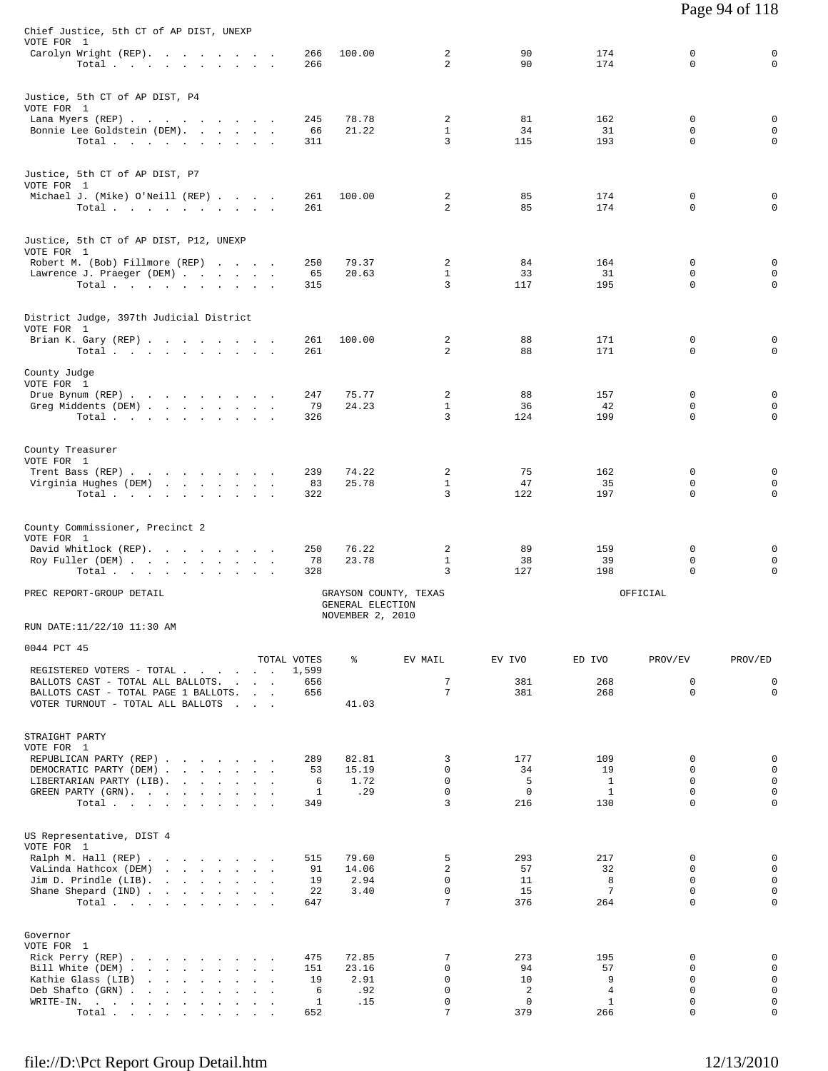| Chief Justice, 5th CT of AP DIST, UNEXP<br>VOTE FOR 1<br>Carolyn Wright (REP).                                                           | 266              | 100.00                               | 2                          | 90                 | 174                    | 0                               | 0                                         |
|------------------------------------------------------------------------------------------------------------------------------------------|------------------|--------------------------------------|----------------------------|--------------------|------------------------|---------------------------------|-------------------------------------------|
| Total<br>Justice, 5th CT of AP DIST, P4                                                                                                  | 266              |                                      | $\overline{a}$             | 90                 | 174                    | $\mathbf 0$                     | $\mathbf 0$                               |
| VOTE FOR 1                                                                                                                               |                  |                                      |                            |                    |                        |                                 |                                           |
| Lana Myers (REP)<br>Bonnie Lee Goldstein (DEM).<br>Total                                                                                 | 245<br>66<br>311 | 78.78<br>21.22                       | 2<br>$\mathbf{1}$<br>3     | 81<br>34<br>115    | 162<br>31<br>193       | 0<br>$\mathbf 0$<br>$\mathbf 0$ | 0<br>$\mathsf 0$<br>$\mathbf 0$           |
| Justice, 5th CT of AP DIST, P7<br>VOTE FOR 1                                                                                             |                  |                                      |                            |                    |                        |                                 |                                           |
| Michael J. (Mike) O'Neill (REP)<br>Total                                                                                                 | 261<br>261       | 100.00                               | 2<br>2                     | 85<br>85           | 174<br>174             | 0<br>$\mathbf 0$                | 0<br>$\mathbf 0$                          |
| Justice, 5th CT of AP DIST, P12, UNEXP<br>VOTE FOR 1                                                                                     |                  |                                      |                            |                    |                        |                                 |                                           |
| Robert M. (Bob) Fillmore (REP)<br>Lawrence J. Praeger (DEM)<br>Total                                                                     | 250<br>65<br>315 | 79.37<br>20.63                       | 2<br>$\mathbf{1}$<br>3     | 84<br>33<br>117    | 164<br>31<br>195       | 0<br>0<br>$\mathbf 0$           | $\mathbf 0$<br>$\mathsf 0$<br>$\mathbf 0$ |
| District Judge, 397th Judicial District<br>VOTE FOR 1                                                                                    |                  |                                      |                            |                    |                        |                                 |                                           |
| Brian K. Gary (REP)<br>Total $\cdots$                                                                                                    | 261<br>261       | 100.00                               | 2<br>2                     | 88<br>88           | 171<br>171             | 0<br>0                          | 0<br>$\mathbf 0$                          |
| County Judge<br>VOTE FOR 1                                                                                                               |                  |                                      |                            |                    |                        |                                 |                                           |
| Drue Bynum (REP)<br>Greg Middents (DEM)                                                                                                  | 247<br>79        | 75.77<br>24.23                       | 2<br>$\mathbf{1}$          | 88<br>36           | 157<br>42              | 0<br>0                          | 0<br>$\mathbf 0$                          |
| Total                                                                                                                                    | 326              |                                      | 3                          | 124                | 199                    | $\mathbf 0$                     | $\mathbf 0$                               |
| County Treasurer<br>VOTE FOR 1                                                                                                           |                  |                                      |                            |                    |                        |                                 |                                           |
| Trent Bass (REP)<br>Virginia Hughes (DEM)                                                                                                | 239<br>83        | 74.22<br>25.78                       | 2<br>$\mathbf{1}$          | 75<br>47           | 162<br>35              | 0<br>0                          | 0<br>0                                    |
| Total                                                                                                                                    | 322              |                                      | 3                          | 122                | 197                    | $\mathbf 0$                     | $\mathbf 0$                               |
| County Commissioner, Precinct 2<br>VOTE FOR 1<br>David Whitlock (REP).                                                                   | 250              | 76.22                                | 2                          | 89                 | 159                    | 0                               | 0                                         |
| Roy Fuller (DEM)<br>Total                                                                                                                | 78<br>328        | 23.78                                | $\mathbf{1}$<br>3          | 38<br>127          | 39<br>198              | 0<br>$\mathbf 0$                | $\mathsf 0$<br>$\mathbf 0$                |
| PREC REPORT-GROUP DETAIL                                                                                                                 |                  | GENERAL ELECTION<br>NOVEMBER 2, 2010 | GRAYSON COUNTY, TEXAS      |                    |                        | OFFICIAL                        |                                           |
| RUN DATE:11/22/10 11:30 AM                                                                                                               |                  |                                      |                            |                    |                        |                                 |                                           |
| 0044 PCT 45                                                                                                                              | TOTAL VOTES      | နွ                                   | EV MAIL                    | EV IVO             | ED IVO                 | PROV/EV                         | PROV/ED                                   |
| REGISTERED VOTERS - TOTAL<br>BALLOTS CAST - TOTAL ALL BALLOTS.                                                                           | 1,599<br>656     |                                      | 7                          | 381                | 268                    | $\mathsf 0$                     | $\mathbf 0$                               |
| BALLOTS CAST - TOTAL PAGE 1 BALLOTS.<br>VOTER TURNOUT - TOTAL ALL BALLOTS<br><b>Carl Corp.</b>                                           | 656              | 41.03                                | 7                          | 381                | 268                    | $\mathbf 0$                     | $\mathbf 0$                               |
| STRAIGHT PARTY<br>VOTE FOR 1                                                                                                             |                  |                                      |                            |                    |                        |                                 |                                           |
| REPUBLICAN PARTY (REP)                                                                                                                   | 289              | 82.81                                | 3                          | 177                | 109                    | 0                               | $\mathsf 0$                               |
| DEMOCRATIC PARTY (DEM)<br>LIBERTARIAN PARTY (LIB).                                                                                       | 53<br>6          | 15.19<br>1.72                        | $\mathbf 0$<br>$\mathbf 0$ | 34<br>5            | 19<br>$\mathbf{1}$     | $\mathbf 0$<br>$\Omega$         | $\mathbf 0$<br>$\mathsf 0$                |
| GREEN PARTY (GRN).<br>Total                                                                                                              | 1<br>349         | .29                                  | $\mathbf 0$<br>3           | $\mathbf 0$<br>216 | <sup>1</sup><br>130    | $\mathbf 0$<br>$\Omega$         | $\mathbf 0$<br>$\mathbf 0$                |
| US Representative, DIST 4<br>VOTE FOR 1                                                                                                  |                  |                                      |                            |                    |                        |                                 |                                           |
| Ralph M. Hall (REP)<br>VaLinda Hathcox (DEM)                                                                                             | 515<br>91        | 79.60<br>14.06                       | 5<br>2                     | 293<br>57          | 217<br>32              | 0<br>$\mathbf 0$                | 0<br>$\mathsf 0$                          |
| Jim D. Prindle (LIB).<br>the contract of the contract of the contract of the contract of the contract of the contract of the contract of | 19               | 2.94                                 | $\Omega$                   | 11                 | 8                      | $\Omega$                        | $\mathbf 0$                               |
| Shane Shepard (IND)<br>Total $\cdots$ $\cdots$ $\cdots$ $\cdots$                                                                         | 22<br>647        | 3.40                                 | $\mathbf 0$<br>7           | 15<br>376          | $7\phantom{.0}$<br>264 | $\mathbf 0$<br>$\Omega$         | $\mathbf 0$<br>$\mathbf 0$                |
| Governor<br>VOTE FOR 1                                                                                                                   |                  |                                      |                            |                    |                        |                                 |                                           |
| Rick Perry (REP)<br>Bill White (DEM)                                                                                                     | 475<br>151       | 72.85<br>23.16                       | 7<br>$\mathbf 0$           | 273<br>94          | 195<br>57              | $\Omega$<br>$\mathbf 0$         | $\mathbf 0$<br>$\mathbf 0$                |
| Kathie Glass (LIB)                                                                                                                       | 19<br>6          | 2.91                                 | $\mathbf 0$<br>$\mathbf 0$ | 10<br>2            | 9<br>$\overline{4}$    | $\mathbf 0$<br>$\mathbf 0$      | $\mathbf 0$<br>$\mathbf 0$                |
| Deb Shafto (GRN)<br>WRITE-IN.<br>the contract of the contract of the contract of                                                         | $\mathbf{1}$     | .92<br>.15                           | $\mathbf 0$                | $\mathbf 0$        | $\mathbf{1}$           | $\mathbf 0$                     | $\mathbf 0$                               |
| Total                                                                                                                                    | 652              |                                      | 7                          | 379                | 266                    | $\mathbf 0$                     | $\mathbf 0$                               |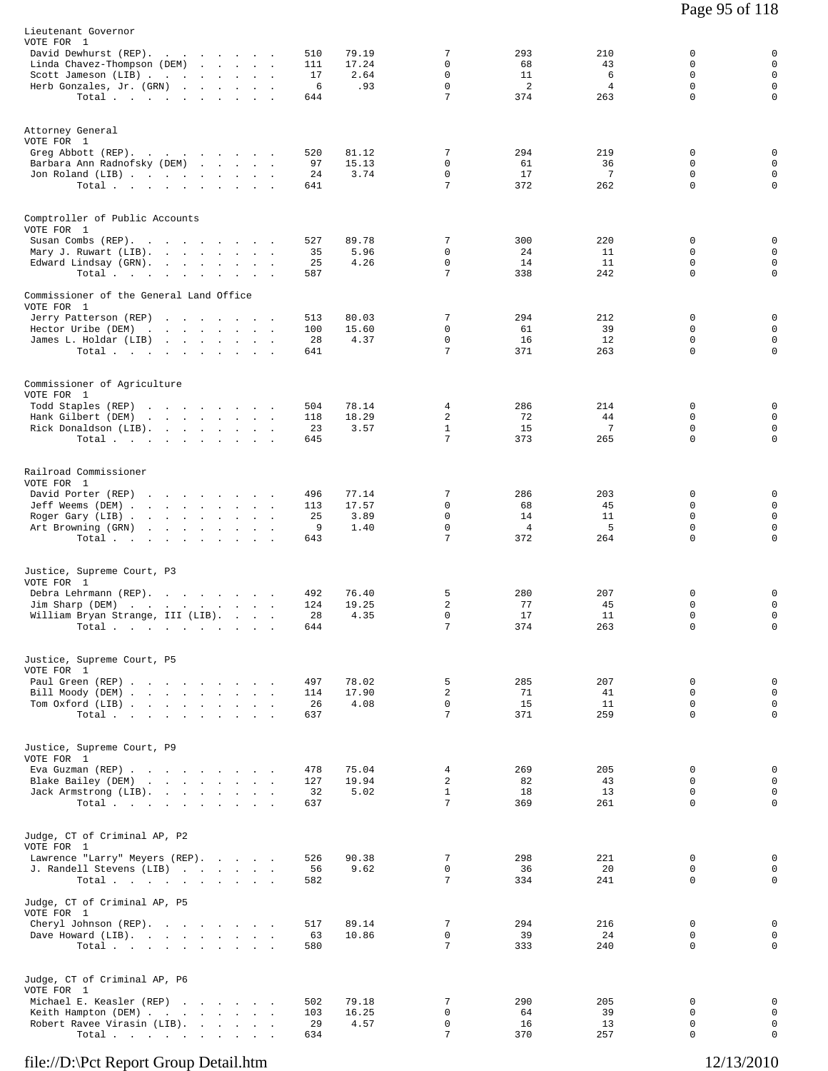| Lieutenant Governor<br>VOTE FOR 1                                                   |                                |            |                |                     |                |           |                         |                            |
|-------------------------------------------------------------------------------------|--------------------------------|------------|----------------|---------------------|----------------|-----------|-------------------------|----------------------------|
| David Dewhurst (REP).                                                               |                                | 510        | 79.19          | 7<br>0              | 293            | 210       | 0<br>0                  | 0<br>$\mathsf 0$           |
| Linda Chavez-Thompson (DEM)<br>the company of the company of<br>Scott Jameson (LIB) |                                | 111<br>17  | 17.24<br>2.64  | $\mathbf 0$         | 68<br>11       | 43<br>6   | $\mathbf 0$             | $\mathbf 0$                |
| Herb Gonzales, Jr. (GRN)<br>$\sim$                                                  |                                | 6          | .93            | 0                   | 2              | 4         | $\mathbf 0$             | $\mathsf 0$                |
| Total $\cdots$ $\cdots$ $\cdots$                                                    |                                | 644        |                | 7                   | 374            | 263       | $\mathbf 0$             | $\mathbf 0$                |
| Attorney General                                                                    |                                |            |                |                     |                |           |                         |                            |
| VOTE FOR 1                                                                          |                                |            |                | 7                   |                |           |                         |                            |
| Greg Abbott (REP).<br>Barbara Ann Radnofsky (DEM)                                   |                                | 520<br>97  | 81.12<br>15.13 | 0                   | 294<br>61      | 219<br>36 | 0<br>0                  | 0<br>$\mathsf 0$           |
| Jon Roland (LIB)                                                                    |                                | 24         | 3.74           | 0                   | 17             | 7         | 0                       | $\mathbf 0$                |
| Total                                                                               |                                | 641        |                | 7                   | 372            | 262       | $\mathbf 0$             | $\mathbf 0$                |
| Comptroller of Public Accounts                                                      |                                |            |                |                     |                |           |                         |                            |
| VOTE FOR 1                                                                          |                                |            |                |                     |                |           |                         |                            |
| Susan Combs (REP).<br>Mary J. Ruwart (LIB).<br>$\sim$                               |                                | 527<br>35  | 89.78<br>5.96  | 7<br>0              | 300<br>24      | 220<br>11 | 0<br>0                  | 0<br>$\mathsf 0$           |
| Edward Lindsay (GRN).                                                               |                                | 25         | 4.26           | 0                   | 14             | 11        | 0                       | $\mathsf 0$                |
| Total                                                                               |                                | 587        |                | 7                   | 338            | 242       | 0                       | 0                          |
| Commissioner of the General Land Office<br>VOTE FOR 1                               |                                |            |                |                     |                |           |                         |                            |
| Jerry Patterson (REP)                                                               |                                | 513        | 80.03          | 7                   | 294            | 212       | 0                       | 0                          |
| Hector Uribe (DEM)<br>the contract of the contract of the<br>James L. Holdar (LIB)  |                                | 100<br>28  | 15.60<br>4.37  | 0<br>$\mathbf 0$    | 61<br>16       | 39<br>12  | $\mathbf 0$<br>0        | $\mathsf 0$<br>$\mathsf 0$ |
| Total                                                                               |                                | 641        |                | 7                   | 371            | 263       | 0                       | $\mathbf 0$                |
|                                                                                     |                                |            |                |                     |                |           |                         |                            |
| Commissioner of Agriculture<br>VOTE FOR 1                                           |                                |            |                |                     |                |           |                         |                            |
| Todd Staples (REP)<br>the contract of the contract of the                           |                                | 504        | 78.14<br>18.29 | 4<br>2              | 286<br>72      | 214<br>44 | 0<br>0                  | 0<br>0                     |
| Hank Gilbert (DEM)<br>Rick Donaldson (LIB).                                         |                                | 118<br>23  | 3.57           | $\mathbf{1}$        | 15             | 7         | $\mathbf 0$             | $\mathsf 0$                |
| Total $\cdots$ $\cdots$ $\cdots$                                                    |                                | 645        |                | 7                   | 373            | 265       | $\mathbf 0$             | $\mathbf 0$                |
| Railroad Commissioner                                                               |                                |            |                |                     |                |           |                         |                            |
| VOTE FOR 1                                                                          |                                |            |                |                     |                |           |                         |                            |
| David Porter (REP)<br>Jeff Weems (DEM)                                              |                                | 496<br>113 | 77.14<br>17.57 | 7<br>0              | 286<br>68      | 203<br>45 | 0<br>0                  | 0<br>$\mathbf 0$           |
| Roger Gary (LIB).<br>the company of the company<br>$\sim$                           | $\sim$<br>$\ddot{\phantom{a}}$ | 25         | 3.89           | 0                   | 14             | 11        | $\mathbf 0$             | $\mathsf 0$                |
| Art Browning (GRN)<br>the contract of the contract of the                           |                                | 9          | 1.40           | 0                   | $\overline{4}$ | 5         | 0                       | $\mathbf 0$                |
| Total                                                                               |                                | 643        |                | 7                   | 372            | 264       | $\mathbf 0$             | $\mathbf 0$                |
| Justice, Supreme Court, P3                                                          |                                |            |                |                     |                |           |                         |                            |
| VOTE FOR 1<br>Debra Lehrmann (REP).                                                 |                                | 492        | 76.40          | 5                   | 280            | 207       | 0                       | 0                          |
| Jim Sharp (DEM)                                                                     |                                | 124        | 19.25          | 2                   | 77             | 45        | 0                       | $\mathsf 0$                |
| William Bryan Strange, III (LIB).                                                   | $\sim$ $\sim$ $\sim$ $\sim$    | 28         | 4.35           | $\mathbf 0$         | 17             | 11        | 0                       | $\mathbf 0$                |
| Total                                                                               |                                | 644        |                | 7                   | 374            | 263       | $\mathbf 0$             | $\mathbf 0$                |
| Justice, Supreme Court, P5                                                          |                                |            |                |                     |                |           |                         |                            |
| VOTE FOR 1                                                                          |                                |            |                |                     |                |           | 0                       |                            |
| Paul Green (REP)<br>Bill Moody (DEM)                                                |                                | 497<br>114 | 78.02<br>17.90 | 5<br>2              | 285<br>71      | 207<br>41 | 0                       | 0<br>$\mathbf 0$           |
| Tom Oxford (LIB)                                                                    |                                | 26         | 4.08           | $\Omega$            | 15             | 11        | $\Omega$                | $\mathbf 0$                |
| Total                                                                               |                                | 637        |                | 7                   | 371            | 259       | $\mathbf 0$             | $\mathbf 0$                |
| Justice, Supreme Court, P9                                                          |                                |            |                |                     |                |           |                         |                            |
| VOTE FOR 1                                                                          |                                |            |                |                     |                |           |                         |                            |
| Eva Guzman (REP)<br>Blake Bailey (DEM)                                              |                                | 478<br>127 | 75.04<br>19.94 | 4<br>$\overline{a}$ | 269<br>82      | 205<br>43 | $\mathbf 0$<br>$\Omega$ | 0<br>$\mathbf 0$           |
| Jack Armstrong (LIB).                                                               |                                | 32         | 5.02           | $\mathbf{1}$        | 18             | 13        | $\mathbf 0$             | $\mathbf 0$                |
| Total                                                                               |                                | 637        |                | $7\overline{ }$     | 369            | 261       | 0                       | $\mathbf 0$                |
| Judge, CT of Criminal AP, P2                                                        |                                |            |                |                     |                |           |                         |                            |
| VOTE FOR 1                                                                          |                                |            |                |                     |                |           |                         |                            |
| Lawrence "Larry" Meyers (REP).<br>J. Randell Stevens (LIB)                          |                                | 526<br>56  | 90.38<br>9.62  | 7<br>0              | 298<br>36      | 221<br>20 | 0<br>0                  | 0<br>$\mathbf 0$           |
| Total                                                                               |                                | 582        |                | 7                   | 334            | 241       | 0                       | 0                          |
| Judge, CT of Criminal AP, P5                                                        |                                |            |                |                     |                |           |                         |                            |
| VOTE FOR 1<br>Cheryl Johnson (REP).                                                 |                                | 517        | 89.14          | 7                   | 294            | 216       | 0                       | 0                          |
| Dave Howard (LIB).                                                                  |                                | 63         | 10.86          | $\mathbf 0$         | 39             | 24        | 0                       | $\mathbf 0$                |
| Total                                                                               |                                | 580        |                | 7                   | 333            | 240       | 0                       | $\mathbf 0$                |
| Judge, CT of Criminal AP, P6                                                        |                                |            |                |                     |                |           |                         |                            |
| VOTE FOR 1                                                                          |                                |            |                |                     |                |           |                         |                            |
| Michael E. Keasler (REP)<br>Keith Hampton (DEM)                                     |                                | 502<br>103 | 79.18<br>16.25 | 7<br>$\mathbf 0$    | 290<br>64      | 205<br>39 | 0<br>0                  | 0<br>$\mathbf 0$           |
| Robert Ravee Virasin (LIB).                                                         |                                | 29         | 4.57           | 0                   | 16             | 13        | 0                       | $\mathbf 0$                |
| Total $\cdots$                                                                      |                                | 634        |                | 7                   | 370            | 257       | 0                       | $\mathbf 0$                |
|                                                                                     |                                |            |                |                     |                |           |                         |                            |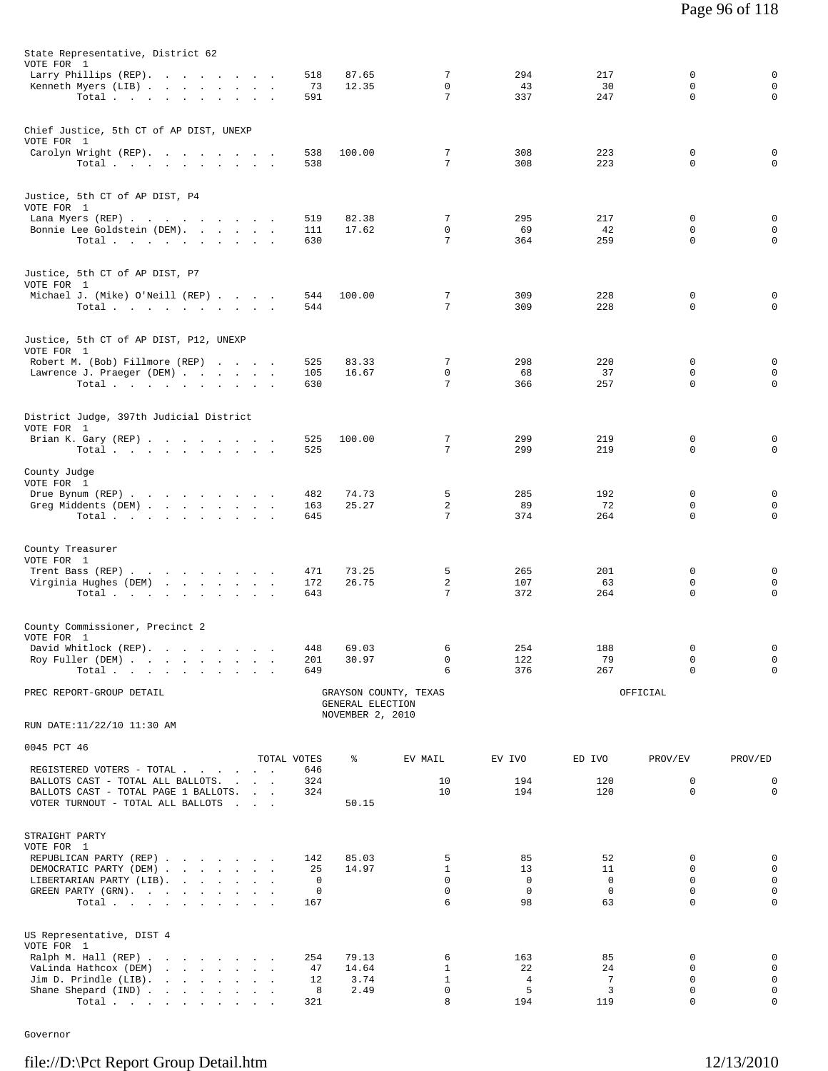| State Representative, District 62                         |                    |                  |                             |                  |                  |             |                            |
|-----------------------------------------------------------|--------------------|------------------|-----------------------------|------------------|------------------|-------------|----------------------------|
| VOTE FOR 1                                                |                    |                  | 7                           | 294              | 217              | 0           | $\mathsf 0$                |
| Larry Phillips (REP).<br>Kenneth Myers (LIB)              | 518<br>73          | 87.65<br>12.35   | $\mathbf 0$                 | 43               | 30               | $\mathbf 0$ | $\mathbf 0$                |
| Total.                                                    | 591                |                  | 7                           | 337              | 247              | 0           | $\mathbf 0$                |
|                                                           |                    |                  |                             |                  |                  |             |                            |
| Chief Justice, 5th CT of AP DIST, UNEXP                   |                    |                  |                             |                  |                  |             |                            |
| VOTE FOR 1                                                |                    |                  |                             |                  |                  |             |                            |
| Carolyn Wright (REP).<br>Total $\cdots$ $\cdots$ $\cdots$ | 538<br>538         | 100.00           | 7<br>7                      | 308<br>308       | 223<br>223       | 0<br>0      | 0<br>0                     |
|                                                           |                    |                  |                             |                  |                  |             |                            |
|                                                           |                    |                  |                             |                  |                  |             |                            |
| Justice, 5th CT of AP DIST, P4<br>VOTE FOR 1              |                    |                  |                             |                  |                  |             |                            |
| Lana Myers (REP)                                          | 519                | 82.38            | 7                           | 295              | 217              | 0           | 0                          |
| Bonnie Lee Goldstein (DEM).                               | 111                | 17.62            | 0                           | 69               | 42               | $\mathbf 0$ | $\mathsf 0$                |
| Total.                                                    | 630                |                  | 7                           | 364              | 259              | 0           | $\mathbf 0$                |
|                                                           |                    |                  |                             |                  |                  |             |                            |
| Justice, 5th CT of AP DIST, P7                            |                    |                  |                             |                  |                  |             |                            |
| VOTE FOR 1<br>Michael J. (Mike) O'Neill (REP)             | 544                | 100.00           | 7                           | 309              | 228              | 0           | 0                          |
| Total.                                                    | 544                |                  | 7                           | 309              | 228              | 0           | $\mathbf 0$                |
|                                                           |                    |                  |                             |                  |                  |             |                            |
| Justice, 5th CT of AP DIST, P12, UNEXP                    |                    |                  |                             |                  |                  |             |                            |
| VOTE FOR 1                                                |                    |                  |                             |                  |                  |             |                            |
| Robert M. (Bob) Fillmore (REP)                            | 525                | 83.33            | 7                           | 298              | 220              | 0           | $\mathsf 0$                |
| Lawrence J. Praeger (DEM)<br>Total                        | 105<br>630         | 16.67            | 0<br>7                      | 68<br>366        | 37<br>257        | 0<br>0      | 0<br>$\mathbf 0$           |
|                                                           |                    |                  |                             |                  |                  |             |                            |
|                                                           |                    |                  |                             |                  |                  |             |                            |
| District Judge, 397th Judicial District<br>VOTE FOR 1     |                    |                  |                             |                  |                  |             |                            |
| Brian K. Gary (REP)                                       | 525                | 100.00           | 7                           | 299              | 219              | 0           | 0                          |
| Total $\cdots$ $\cdots$ $\cdots$ $\cdots$                 | 525                |                  | 7                           | 299              | 219              | 0           | 0                          |
| County Judge                                              |                    |                  |                             |                  |                  |             |                            |
| VOTE FOR 1                                                |                    |                  |                             |                  |                  |             |                            |
| Drue Bynum (REP)                                          | 482                | 74.73            | 5                           | 285              | 192              | 0<br>0      | 0                          |
| Greg Middents (DEM)<br>Total                              | 163<br>645         | 25.27            | 2<br>7                      | 89<br>374        | 72<br>264        | 0           | $\mathsf 0$<br>$\mathbf 0$ |
|                                                           |                    |                  |                             |                  |                  |             |                            |
|                                                           |                    |                  |                             |                  |                  |             |                            |
| County Treasurer<br>VOTE FOR 1                            |                    |                  |                             |                  |                  |             |                            |
| Trent Bass (REP)                                          | 471                | 73.25            | 5                           | 265              | 201              | 0           | 0                          |
| Virginia Hughes (DEM)                                     | 172                | 26.75            | 2<br>7                      | 107              | 63               | 0<br>0      | $\mathsf 0$<br>$\mathbf 0$ |
| Total                                                     | 643                |                  |                             | 372              | 264              |             |                            |
|                                                           |                    |                  |                             |                  |                  |             |                            |
| County Commissioner, Precinct 2<br>VOTE FOR 1             |                    |                  |                             |                  |                  |             |                            |
| David Whitlock (REP).                                     | 448                | 69.03            | 6                           | 254              | 188              | 0           | 0                          |
| Roy Fuller (DEM)                                          | 201                | 30.97            | 0                           | 122              | 79               | 0           | $\mathbf 0$                |
| Total $\cdots$ $\cdots$ $\cdots$                          | 649                |                  | 6                           | 376              | 267              | $\Omega$    | $\mathbf 0$                |
| PREC REPORT-GROUP DETAIL                                  |                    |                  | GRAYSON COUNTY, TEXAS       |                  |                  | OFFICIAL    |                            |
|                                                           |                    | GENERAL ELECTION |                             |                  |                  |             |                            |
| RUN DATE:11/22/10 11:30 AM                                |                    | NOVEMBER 2, 2010 |                             |                  |                  |             |                            |
|                                                           |                    |                  |                             |                  |                  |             |                            |
| 0045 PCT 46                                               |                    |                  |                             |                  |                  |             |                            |
| REGISTERED VOTERS - TOTAL                                 | TOTAL VOTES<br>646 | ៖                | EV MAIL                     | EV IVO           | ED IVO           | PROV/EV     | PROV/ED                    |
| BALLOTS CAST - TOTAL ALL BALLOTS.                         | 324                |                  | 10                          | 194              | 120              | 0           | 0                          |
| BALLOTS CAST - TOTAL PAGE 1 BALLOTS.                      | 324                |                  | 10                          | 194              | 120              | $\mathbf 0$ | $\mathbf 0$                |
| VOTER TURNOUT - TOTAL ALL BALLOTS                         |                    | 50.15            |                             |                  |                  |             |                            |
|                                                           |                    |                  |                             |                  |                  |             |                            |
| STRAIGHT PARTY                                            |                    |                  |                             |                  |                  |             |                            |
| VOTE FOR 1<br>REPUBLICAN PARTY (REP)                      | 142                | 85.03            | 5                           | 85               | 52               | 0           | $\mathsf 0$                |
| DEMOCRATIC PARTY (DEM)                                    | 25                 | 14.97            | $\mathbf{1}$                | 13               | 11               | $\Omega$    | $\mathbf 0$                |
| LIBERTARIAN PARTY (LIB).                                  | 0                  |                  | 0                           | $\mathbf 0$      | $\mathbf 0$      | 0           | 0                          |
| GREEN PARTY (GRN).<br>Total.                              | 0<br>167           |                  | 0<br>6                      | $^{\circ}$<br>98 | $^{\circ}$<br>63 | 0<br>0      | $\mathsf 0$<br>$\mathbf 0$ |
|                                                           |                    |                  |                             |                  |                  |             |                            |
|                                                           |                    |                  |                             |                  |                  |             |                            |
| US Representative, DIST 4<br>VOTE FOR 1                   |                    |                  |                             |                  |                  |             |                            |
| Ralph M. Hall (REP)                                       | 254                | 79.13            | 6                           | 163              | 85               | 0           | 0                          |
| VaLinda Hathcox (DEM)                                     | 47                 | 14.64            | $\mathbf{1}$                | 22               | 24               | 0           | $\mathsf 0$                |
| Jim D. Prindle $(LIB)$ .<br>Shane Shepard (IND)           | 12<br>8            | 3.74<br>2.49     | $\mathbf{1}$<br>$\mathbf 0$ | 4<br>5           | 7<br>3           | 0<br>0      | $\mathbf 0$<br>$\mathsf 0$ |
| Total.                                                    | 321                |                  | 8                           | 194              | 119              | 0           | $\mathbf 0$                |

Governor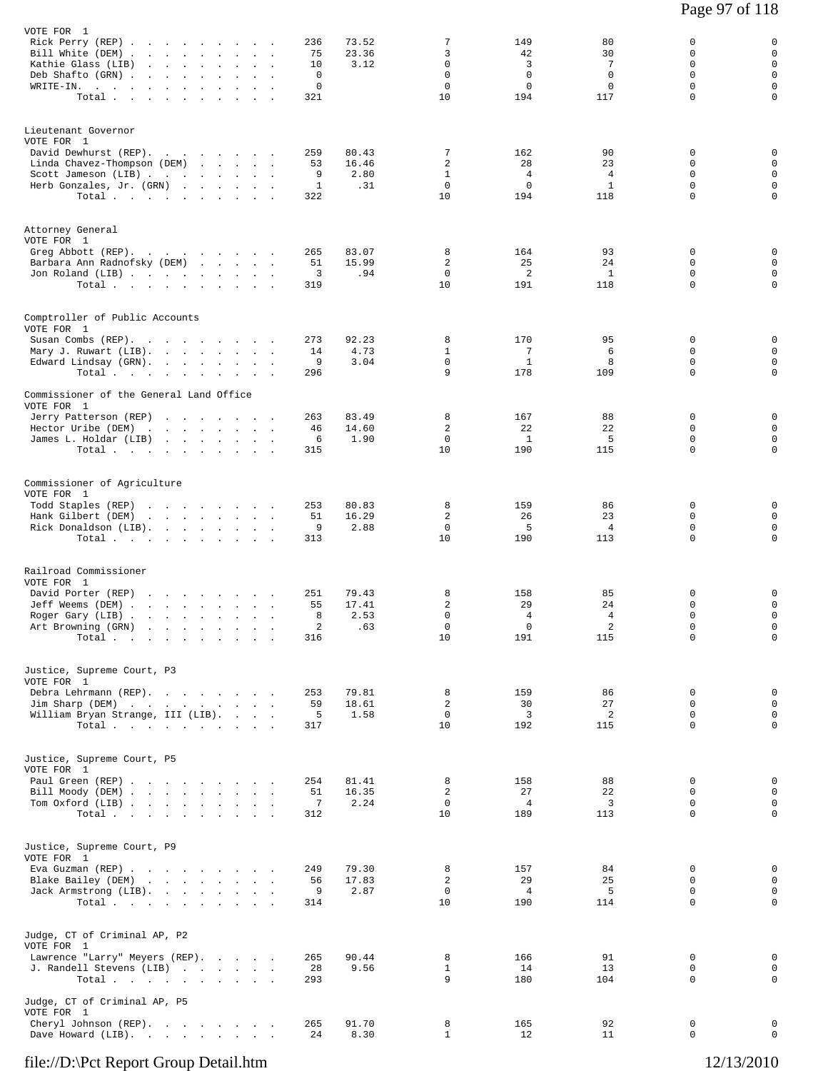| VOTE FOR 1<br>Rick Perry (REP)<br>Bill White (DEM)<br>Kathie Glass (LIB)<br>Deb Shafto (GRN)<br>WRITE-IN.<br>Total                                    | the contract of the contract of                                    | $\cdot$<br>$\cdot$ |        | 236<br>75<br>10<br>0<br>0<br>321 | 73.52<br>23.36<br>3.12        | 7<br>3<br>$\Omega$<br>$\mathbf 0$<br>0<br>10 | 149<br>42<br>3<br>$\mathbf 0$<br>$\mathbf 0$<br>194 | 80<br>30<br>7<br>$\mathbf 0$<br>$\mathbf 0$<br>117 | 0<br>0<br>$\Omega$<br>$\mathbf 0$<br>0<br>$\Omega$ | 0<br>$\mathbf 0$<br>$\mathsf 0$<br>$\mathbf 0$<br>$\mathsf 0$<br>$\mathbf 0$ |
|-------------------------------------------------------------------------------------------------------------------------------------------------------|--------------------------------------------------------------------|--------------------|--------|----------------------------------|-------------------------------|----------------------------------------------|-----------------------------------------------------|----------------------------------------------------|----------------------------------------------------|------------------------------------------------------------------------------|
| Lieutenant Governor<br>VOTE FOR 1<br>David Dewhurst (REP).<br>Linda Chavez-Thompson (DEM)<br>Scott Jameson (LIB)<br>Herb Gonzales, Jr. (GRN)<br>Total |                                                                    |                    |        | 259<br>53<br>9<br>1<br>322       | 80.43<br>16.46<br>2.80<br>.31 | 7<br>2<br>$\mathbf{1}$<br>$\mathbf 0$<br>10  | 162<br>28<br>$\overline{4}$<br>$\mathbf 0$<br>194   | 90<br>23<br>$\overline{4}$<br>$\mathbf{1}$<br>118  | 0<br>$\Omega$<br>$\Omega$<br>$\mathbf 0$<br>0      | 0<br>$\mathbf 0$<br>$\mathbf 0$<br>$\mathbf 0$<br>$\mathbf 0$                |
| Attorney General<br>VOTE FOR 1<br>Greg Abbott (REP).<br>Barbara Ann Radnofsky (DEM)<br>Jon Roland (LIB)<br>Total                                      |                                                                    |                    |        | 265<br>51<br>3<br>319            | 83.07<br>15.99<br>.94         | 8<br>2<br>0<br>10                            | 164<br>25<br>2<br>191                               | 93<br>24<br>1<br>118                               | 0<br>0<br>$\mathbf 0$<br>$\mathbf 0$               | 0<br>$\mathbf 0$<br>$\mathbf 0$<br>$\mathsf{O}$                              |
| Comptroller of Public Accounts<br>VOTE FOR 1<br>Susan Combs (REP).<br>Mary J. Ruwart (LIB).<br>Edward Lindsay (GRN).<br>Total.                        |                                                                    |                    |        | 273<br>14<br>9<br>296            | 92.23<br>4.73<br>3.04         | 8<br>$\mathbf{1}$<br>$\mathbf 0$<br>9        | 170<br>7<br>$\mathbf{1}$<br>178                     | 95<br>6<br>8<br>109                                | $\Omega$<br>0<br>0<br>$\Omega$                     | 0<br>$\mathsf 0$<br>$\mathbf 0$<br>$\mathbf 0$                               |
| Commissioner of the General Land Office<br>VOTE FOR 1<br>Jerry Patterson (REP)<br>Hector Uribe (DEM)<br>James L. Holdar (LIB)<br>Total.               |                                                                    |                    | $\sim$ | 263<br>46<br>6<br>315            | 83.49<br>14.60<br>1.90        | 8<br>2<br>0<br>10                            | 167<br>22<br>$\mathbf{1}$<br>190                    | 88<br>22<br>5<br>115                               | $\Omega$<br>$\mathbf 0$<br>0<br>$\Omega$           | 0<br>$\mathbf 0$<br>$\mathsf{O}$<br>$\mathbf 0$                              |
| Commissioner of Agriculture<br>VOTE FOR 1<br>Todd Staples (REP)<br>Hank Gilbert (DEM)<br>Rick Donaldson (LIB).<br>Total                               | the company of the company of the company of                       |                    |        | 253<br>51<br>9<br>313            | 80.83<br>16.29<br>2.88        | 8<br>2<br>$\mathbf 0$<br>10                  | 159<br>26<br>5<br>190                               | 86<br>23<br>$\overline{4}$<br>113                  | 0<br>0<br>$\Omega$<br>$\mathbf 0$                  | 0<br>$\mathbf 0$<br>$\mathbf 0$<br>$\mathbf 0$                               |
| Railroad Commissioner<br>VOTE FOR 1<br>David Porter (REP)<br>Jeff Weems (DEM).<br>Roger Gary (LIB).<br>Art Browning (GRN)<br>Total                    | the contract of the contract of<br>the contract of the contract of | <b>Service</b>     |        | 251<br>55<br>8<br>2<br>316       | 79.43<br>17.41<br>2.53<br>.63 | 8<br>2<br>$\mathbf 0$<br>0<br>10             | 158<br>29<br>$\overline{4}$<br>0<br>191             | 85<br>24<br>$\overline{4}$<br>2<br>115             | 0<br>0<br>$\mathbf 0$<br>0<br>0                    | 0<br>$\mathsf 0$<br>$\mathbf 0$<br>$\mathsf{O}$<br>$\mathbf{0}$              |
| Justice, Supreme Court, P3<br>VOTE FOR 1<br>Debra Lehrmann (REP).<br>Jim Sharp (DEM)<br>William Bryan Strange, III (LIB).<br>Total, , , , , , , , ,   |                                                                    |                    |        | 253<br>59<br>5<br>317            | 79.81<br>18.61<br>1.58        | 8<br>2<br>$\mathbf 0$<br>10                  | 159<br>30<br>$\overline{3}$<br>192                  | 86<br>27<br>2<br>115                               | $\mathbf 0$<br>$\mathbf 0$<br>0<br>$\Omega$        | $\mathbf 0$<br>$\mathbf 0$<br>$\mathbf 0$<br>$\mathbf 0$                     |
| Justice, Supreme Court, P5<br>VOTE FOR 1<br>Paul Green (REP)<br>Bill Moody (DEM)<br>Tom Oxford (LIB)<br>Total $\cdots$ $\cdots$ $\cdots$ $\cdots$     |                                                                    |                    |        | 254<br>51<br>7<br>312            | 81.41<br>16.35<br>2.24        | 8<br>2<br>$\mathbf 0$<br>10                  | 158<br>27<br>$\overline{4}$<br>189                  | 88<br>22<br>3<br>113                               | $\mathbf 0$<br>$\mathbf 0$<br>$\Omega$<br>0        | 0<br>$\mathbf 0$<br>$\mathbf 0$<br>$\mathsf{O}$                              |
| Justice, Supreme Court, P9<br>VOTE FOR 1<br>Eva Guzman (REP)<br>Blake Bailey (DEM)<br>Jack Armstrong (LIB).<br>Total                                  |                                                                    |                    |        | 249<br>56<br>9<br>314            | 79.30<br>17.83<br>2.87        | 8<br>2<br>$\mathbf 0$<br>10                  | 157<br>29<br>$\overline{4}$<br>190                  | 84<br>25<br>5<br>114                               | 0<br>$\Omega$<br>$\mathbf 0$<br>0                  | 0<br>$\mathbf 0$<br>$\mathbf 0$<br>$\mathbf 0$                               |
| Judge, CT of Criminal AP, P2<br>VOTE FOR 1<br>Lawrence "Larry" Meyers (REP).<br>J. Randell Stevens (LIB)<br>Total                                     |                                                                    |                    |        | 265<br>28<br>293                 | 90.44<br>9.56                 | 8<br>$\mathbf{1}$<br>9                       | 166<br>14<br>180                                    | 91<br>13<br>104                                    | 0<br>$\mathbf 0$<br>0                              | 0<br>$\mathbf 0$<br>0                                                        |
| Judge, CT of Criminal AP, P5<br>VOTE FOR 1<br>Cheryl Johnson (REP).<br>Dave Howard (LIB).                                                             |                                                                    |                    |        | 265<br>24                        | 91.70<br>8.30                 | 8<br>$\mathbf{1}$                            | 165<br>12                                           | 92<br>11                                           | 0<br>0                                             | 0<br>$\mathbf 0$                                                             |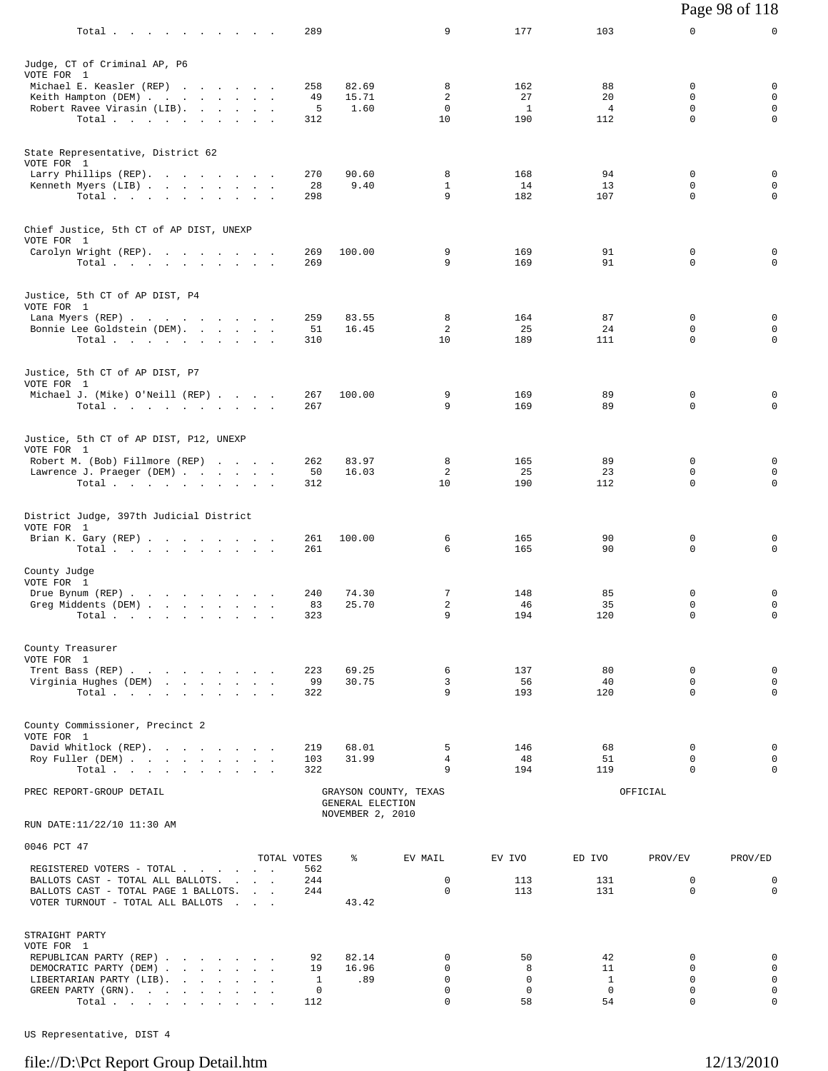| Total                                                            | 289         |                  | 9                     | 177                | 103                  | 0                       | 0                           |
|------------------------------------------------------------------|-------------|------------------|-----------------------|--------------------|----------------------|-------------------------|-----------------------------|
|                                                                  |             |                  |                       |                    |                      |                         |                             |
| Judge, CT of Criminal AP, P6<br>VOTE FOR 1                       |             |                  |                       |                    |                      |                         |                             |
| Michael E. Keasler (REP)                                         | 258         | 82.69            | 8                     | 162                | 88                   | 0                       | 0                           |
| Keith Hampton (DEM)<br>Robert Ravee Virasin (LIB).               | 49<br>5     | 15.71<br>1.60    | 2<br>$\mathbf 0$      | 27<br><sup>1</sup> | 20<br>$\overline{4}$ | $\Omega$<br>$\mathbf 0$ | $\mathbf 0$<br>$\mathbf 0$  |
| Total.                                                           | 312         |                  | 10                    | 190                | 112                  | 0                       | $\mathbf 0$                 |
|                                                                  |             |                  |                       |                    |                      |                         |                             |
| State Representative, District 62<br>VOTE FOR 1                  |             |                  |                       |                    |                      |                         |                             |
| Larry Phillips (REP).                                            | 270         | 90.60            | 8                     | 168                | 94                   | $\Omega$                | $\mathbf 0$                 |
| Kenneth Myers (LIB)<br>Total $\cdots$ $\cdots$ $\cdots$ $\cdots$ | 28<br>298   | 9.40             | $\mathbf{1}$<br>9     | 14<br>182          | 13<br>107            | $\mathbf 0$<br>$\Omega$ | $\mathbf 0$<br>0            |
|                                                                  |             |                  |                       |                    |                      |                         |                             |
| Chief Justice, 5th CT of AP DIST, UNEXP                          |             |                  |                       |                    |                      |                         |                             |
| VOTE FOR 1<br>Carolyn Wright (REP).                              | 269         | 100.00           | 9                     | 169                | 91                   | 0                       | 0                           |
| Total                                                            | 269         |                  | 9                     | 169                | 91                   | $\mathbf 0$             | 0                           |
|                                                                  |             |                  |                       |                    |                      |                         |                             |
| Justice, 5th CT of AP DIST, P4<br>VOTE FOR 1                     |             |                  |                       |                    |                      |                         |                             |
| Lana Myers (REP)                                                 | 259         | 83.55            | 8                     | 164                | 87                   | 0                       | 0                           |
| Bonnie Lee Goldstein (DEM).<br>Total                             | 51<br>310   | 16.45            | 2<br>10               | 25<br>189          | 24<br>111            | $\Omega$<br>$\mathbf 0$ | 0<br>$\mathbf 0$            |
|                                                                  |             |                  |                       |                    |                      |                         |                             |
| Justice, 5th CT of AP DIST, P7                                   |             |                  |                       |                    |                      |                         |                             |
| VOTE FOR 1<br>Michael J. (Mike) O'Neill (REP)                    | 267         | 100.00           | 9                     | 169                | 89                   | 0                       | 0                           |
| Total.                                                           | 267         |                  | 9                     | 169                | 89                   | $\Omega$                | 0                           |
|                                                                  |             |                  |                       |                    |                      |                         |                             |
| Justice, 5th CT of AP DIST, P12, UNEXP                           |             |                  |                       |                    |                      |                         |                             |
| VOTE FOR 1<br>Robert M. (Bob) Fillmore (REP)                     | 262         | 83.97            | 8                     | 165                | 89                   | 0                       | 0                           |
| Lawrence J. Praeger (DEM)                                        | 50          | 16.03            | 2                     | 25                 | 23                   | 0                       | 0                           |
| Total.                                                           | 312         |                  | 10                    | 190                | 112                  | $\Omega$                | 0                           |
|                                                                  |             |                  |                       |                    |                      |                         |                             |
| District Judge, 397th Judicial District<br>VOTE FOR 1            |             |                  |                       |                    |                      |                         |                             |
| Brian K. Gary (REP)                                              | 261         | 100.00           | 6                     | 165                | 90                   | 0                       | 0                           |
| Total.                                                           | 261         |                  | 6                     | 165                | 90                   | $\Omega$                | $\mathbf 0$                 |
| County Judge<br>VOTE FOR 1                                       |             |                  |                       |                    |                      |                         |                             |
| Drue Bynum (REP)                                                 | 240         | 74.30            | $7\phantom{.0}$       | 148                | 85                   | 0                       | 0                           |
| Greg Middents (DEM)                                              | 83          | 25.70            | 2<br>9                | 46                 | 35                   | $\Omega$                | 0<br>$\mathbf 0$            |
| Total                                                            | 323         |                  |                       | 194                | 120                  | 0                       |                             |
| County Treasurer                                                 |             |                  |                       |                    |                      |                         |                             |
| VOTE FOR 1                                                       |             |                  |                       |                    |                      |                         |                             |
| Trent Bass (REP)<br>Virginia Hughes (DEM)                        | 223<br>99   | 69.25<br>30.75   | 6<br>3                | 137<br>56          | 80<br>40             | $\mathbf 0$<br>$\Omega$ | 0<br>$\mathbf 0$            |
| Total $\cdots$ $\cdots$ $\cdots$ $\cdots$                        | 322         |                  | 9                     | 193                | 120                  | $\Omega$                | 0                           |
|                                                                  |             |                  |                       |                    |                      |                         |                             |
| County Commissioner, Precinct 2<br>VOTE FOR 1                    |             |                  |                       |                    |                      |                         |                             |
| David Whitlock (REP).                                            | 219         | 68.01            | 5                     | 146                | 68                   | 0                       | 0                           |
| Roy Fuller (DEM)<br>Total                                        | 103<br>322  | 31.99            | $\overline{4}$<br>9   | 48<br>194          | 51<br>119            | $\Omega$<br>0           | $\mathbf 0$<br>0            |
| PREC REPORT-GROUP DETAIL                                         |             |                  | GRAYSON COUNTY, TEXAS |                    |                      | OFFICIAL                |                             |
|                                                                  |             | GENERAL ELECTION |                       |                    |                      |                         |                             |
| RUN DATE:11/22/10 11:30 AM                                       |             | NOVEMBER 2, 2010 |                       |                    |                      |                         |                             |
| 0046 PCT 47                                                      |             |                  |                       |                    |                      |                         |                             |
|                                                                  | TOTAL VOTES | နွ               | EV MAIL               | EV IVO             | ED IVO               | PROV/EV                 | PROV/ED                     |
| REGISTERED VOTERS - TOTAL<br>BALLOTS CAST - TOTAL ALL BALLOTS.   | 562<br>244  |                  | $\mathbf 0$           | 113                | 131                  | $\mathbf 0$             | $\mathbf 0$                 |
| BALLOTS CAST - TOTAL PAGE 1 BALLOTS.                             | 244         |                  | $\mathbf 0$           | 113                | 131                  | $\mathbf 0$             | $\mathbf 0$                 |
| VOTER TURNOUT - TOTAL ALL BALLOTS                                |             | 43.42            |                       |                    |                      |                         |                             |
| STRAIGHT PARTY                                                   |             |                  |                       |                    |                      |                         |                             |
| VOTE FOR 1                                                       |             |                  |                       |                    |                      |                         |                             |
| REPUBLICAN PARTY (REP)<br>DEMOCRATIC PARTY (DEM)                 | 92<br>19    | 82.14<br>16.96   | 0<br>$\mathbf 0$      | 50<br>8            | 42<br>11             | $\Omega$<br>$\mathbf 0$ | 0<br>$\mathbf 0$            |
| LIBERTARIAN PARTY (LIB).                                         | 1           | .89              | 0                     | $\mathbf 0$        | <sup>1</sup>         | $\Omega$                | $\mathsf{O}$                |
| GREEN PARTY (GRN).<br>Total                                      | 0<br>112    |                  | 0<br>$\mathbf 0$      | $\mathbf 0$<br>58  | $\Omega$<br>54       | 0<br>0                  | $\mathsf{O}$<br>$\mathbf 0$ |
|                                                                  |             |                  |                       |                    |                      |                         |                             |

US Representative, DIST 4

# file://D:\Pct Report Group Detail.htm 12/13/2010

Page 98 of 118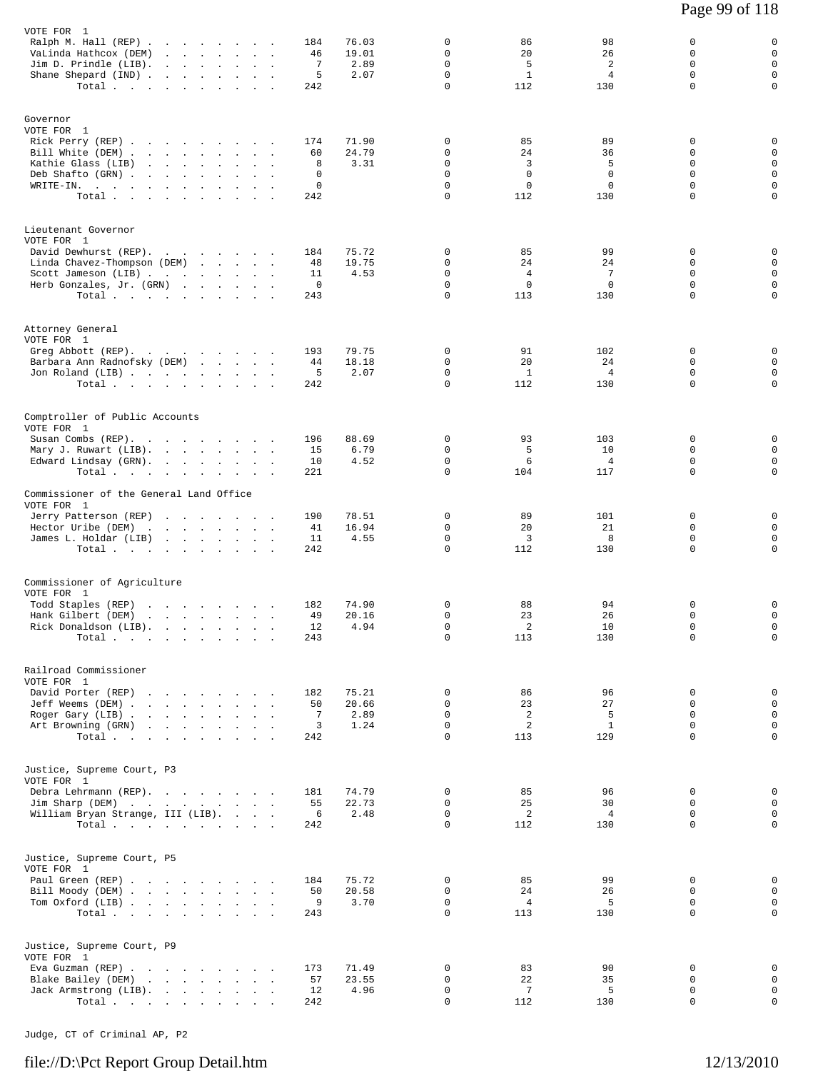| VOTE FOR 1                                                                      |                                          |                                |                   |          |               |                         |                       |                       |                      |                             |
|---------------------------------------------------------------------------------|------------------------------------------|--------------------------------|-------------------|----------|---------------|-------------------------|-----------------------|-----------------------|----------------------|-----------------------------|
| Ralph M. Hall (REP)                                                             |                                          |                                |                   | 184      | 76.03         | 0                       | 86                    | 98                    | 0                    | 0                           |
| VaLinda Hathcox (DEM)                                                           | the contract of the contract of          |                                | $\sim$<br>$\cdot$ | 46<br>7  | 19.01<br>2.89 | 0<br>$\mathbf 0$        | 20<br>5               | 26<br>$\overline{a}$  | 0<br>$\mathbf 0$     | $\mathbf 0$<br>$\mathbf 0$  |
| Jim D. Prindle (LIB).<br><b>Contract</b><br>Shane Shepard (IND)                 | <b>Contract</b>                          | $\mathbf{r}$<br>$\cdot$        |                   | 5        | 2.07          | $\mathbf 0$             | $\mathbf{1}$          | $\overline{4}$        | $\Omega$             | $\mathsf 0$                 |
| Total                                                                           |                                          | $\sim$<br>$\cdot$              |                   | 242      |               | $\Omega$                | 112                   | 130                   | $\mathbf 0$          | $\mathsf{O}$                |
|                                                                                 |                                          |                                |                   |          |               |                         |                       |                       |                      |                             |
|                                                                                 |                                          |                                |                   |          |               |                         |                       |                       |                      |                             |
| Governor                                                                        |                                          |                                |                   |          |               |                         |                       |                       |                      |                             |
| VOTE FOR 1<br>Rick Perry (REP).<br>the company of the company of the company of |                                          |                                |                   | 174      | 71.90         | 0                       | 85                    | 89                    | 0                    | 0                           |
| Bill White (DEM).<br>the contract of the contract of the contract of            |                                          |                                |                   | 60       | 24.79         | $\Omega$                | 24                    | 36                    | $\Omega$             | $\mathbf 0$                 |
| Kathie Glass (LIB)                                                              | and the company                          | $\sim$<br>$\mathbf{r}$         |                   | 8        | 3.31          | $\mathbf 0$             | 3                     | 5                     | $\mathbf 0$          | $\mathbf 0$                 |
| Deb Shafto (GRN).                                                               | the contract of the contract of          | $\ddot{\phantom{0}}$           |                   | 0        |               | $\mathbf 0$             | $\mathbf 0$           | 0                     | 0                    | $\mathsf 0$                 |
| WRITE-IN.<br>the contract of the contract of the                                |                                          |                                |                   | 0        |               | $\Omega$                | $\mathbf 0$           | $\mathbf 0$           | $\Omega$             | $\mathbf 0$                 |
| Total                                                                           |                                          | $\ddot{\phantom{0}}$           |                   | 242      |               | $\mathbf 0$             | 112                   | 130                   | $\mathbf 0$          | $\mathbf 0$                 |
|                                                                                 |                                          |                                |                   |          |               |                         |                       |                       |                      |                             |
| Lieutenant Governor                                                             |                                          |                                |                   |          |               |                         |                       |                       |                      |                             |
| VOTE FOR 1                                                                      |                                          |                                |                   |          |               |                         |                       |                       |                      |                             |
| David Dewhurst (REP).                                                           |                                          |                                |                   | 184      | 75.72         | 0                       | 85                    | 99                    | 0                    | 0                           |
| Linda Chavez-Thompson (DEM)                                                     |                                          |                                |                   | 48       | 19.75         | $\mathbf 0$             | 24                    | 24                    | $\Omega$             | $\mathbf 0$                 |
| Scott Jameson (LIB)                                                             |                                          |                                |                   | 11       | 4.53          | $\mathbf 0$             | $\overline{4}$        | 7                     | $\mathbf 0$          | $\mathbf 0$                 |
| Herb Gonzales, Jr. (GRN)                                                        |                                          |                                |                   | 0        |               | $\mathbf 0$             | $\mathbf 0$           | 0                     | $\mathbf 0$          | $\mathsf 0$                 |
| Total $\cdots$                                                                  |                                          |                                |                   | 243      |               | $\mathbf 0$             | 113                   | 130                   | $\mathbf 0$          | $\mathbf 0$                 |
|                                                                                 |                                          |                                |                   |          |               |                         |                       |                       |                      |                             |
| Attorney General                                                                |                                          |                                |                   |          |               |                         |                       |                       |                      |                             |
| VOTE FOR 1                                                                      |                                          |                                |                   |          |               |                         |                       |                       |                      |                             |
| Greg Abbott (REP).<br>the contract of the contract of the                       |                                          |                                |                   | 193      | 79.75         | $\mathbf 0$             | 91                    | 102                   | 0                    | 0                           |
| Barbara Ann Radnofsky (DEM)                                                     |                                          |                                |                   | 44       | 18.18         | 0                       | 20                    | 24                    | 0                    | $\mathbf 0$                 |
| Jon Roland (LIB)                                                                |                                          |                                |                   | 5        | 2.07          | 0                       | $\mathbf{1}$          | 4                     | 0                    | $\mathsf 0$                 |
| Total                                                                           |                                          |                                |                   | 242      |               | $\mathbf 0$             | 112                   | 130                   | $\Omega$             | $\mathbf 0$                 |
|                                                                                 |                                          |                                |                   |          |               |                         |                       |                       |                      |                             |
| Comptroller of Public Accounts                                                  |                                          |                                |                   |          |               |                         |                       |                       |                      |                             |
| VOTE FOR 1                                                                      |                                          |                                |                   |          |               |                         |                       |                       |                      |                             |
| Susan Combs (REP).                                                              |                                          |                                |                   | 196      | 88.69         | 0                       | 93                    | 103                   | 0                    | 0                           |
| Mary J. Ruwart (LIB).                                                           |                                          |                                | $\sim$            | 15       | 6.79          | 0                       | 5                     | 10                    | 0                    | $\mathbf 0$                 |
| Edward Lindsay (GRN).                                                           |                                          |                                |                   | 10       | 4.52          | $\mathbf 0$             | 6                     | $\overline{4}$        | $\Omega$             | $\mathbf 0$                 |
| Total                                                                           |                                          | $\sim$<br>$\ddot{\phantom{0}}$ |                   | 221      |               | $\mathbf 0$             | 104                   | 117                   | $\mathbf 0$          | $\mathbf 0$                 |
| Commissioner of the General Land Office                                         |                                          |                                |                   |          |               |                         |                       |                       |                      |                             |
| VOTE FOR 1                                                                      |                                          |                                |                   |          |               |                         |                       |                       |                      |                             |
| Jerry Patterson (REP)                                                           |                                          |                                |                   | 190      | 78.51         | 0                       | 89                    | 101                   | 0                    | 0                           |
| Hector Uribe (DEM)                                                              |                                          |                                |                   | 41       | 16.94         | 0                       | 20                    | 21                    | 0                    | $\mathbf 0$                 |
| James L. Holdar (LIB)                                                           |                                          |                                |                   | 11       | 4.55          | 0                       | 3                     | 8                     | $\mathbf 0$          | $\mathbf 0$                 |
| Total                                                                           |                                          |                                |                   | 242      |               | $\Omega$                | 112                   | 130                   | $\mathbf 0$          | $\mathbf 0$                 |
|                                                                                 |                                          |                                |                   |          |               |                         |                       |                       |                      |                             |
| Commissioner of Agriculture                                                     |                                          |                                |                   |          |               |                         |                       |                       |                      |                             |
| VOTE FOR 1                                                                      |                                          |                                |                   |          |               |                         |                       |                       |                      |                             |
| Todd Staples (REP)                                                              | the contract of the contract of          |                                |                   | 182      | 74.90         | $\mathbf 0$             | 88                    | 94                    | 0                    | 0                           |
| Hank Gilbert (DEM)                                                              | and a strong control of the state of the |                                |                   | 49       | 20.16         | $\mathbf 0$             | 23                    | 26                    | 0                    | 0                           |
| Rick Donaldson (LIB).                                                           |                                          |                                |                   | 12       | 4.94          | $\mathbf 0$             | $\overline{a}$        | 10                    | $\mathbf 0$          | $\mathsf 0$                 |
| $Total \cdot \cdot \cdot \cdot \cdot \cdot \cdot \cdot \cdot \cdot$             |                                          |                                |                   | 243      |               | 0                       | 113                   | 130                   | 0                    | 0                           |
|                                                                                 |                                          |                                |                   |          |               |                         |                       |                       |                      |                             |
| Railroad Commissioner                                                           |                                          |                                |                   |          |               |                         |                       |                       |                      |                             |
| VOTE FOR 1                                                                      |                                          |                                |                   |          |               |                         |                       |                       |                      |                             |
| David Porter (REP)                                                              |                                          |                                |                   | 182      | 75.21         | 0                       | 86                    | 96                    | $\mathbf 0$          | 0                           |
| Jeff Weems (DEM)                                                                |                                          |                                |                   | 50       | 20.66         | $\mathbf 0$             | 23                    | 27                    | $\Omega$             | $\mathbf{0}$                |
| Roger Gary (LIB)                                                                |                                          |                                |                   | 7        | 2.89          | $\mathbf 0$             | $\overline{a}$        | 5                     | 0                    | $\mathbf 0$                 |
| Art Browning (GRN)                                                              |                                          |                                |                   | 3        | 1.24          | $\mathbf 0$             | $\overline{a}$        | $\mathbf{1}$          | $\mathbf 0$          | $\mathsf 0$                 |
| Total                                                                           |                                          |                                |                   | 242      |               | $\Omega$                | 113                   | 129                   | $\Omega$             | $\Omega$                    |
|                                                                                 |                                          |                                |                   |          |               |                         |                       |                       |                      |                             |
| Justice, Supreme Court, P3                                                      |                                          |                                |                   |          |               |                         |                       |                       |                      |                             |
| VOTE FOR 1                                                                      |                                          |                                |                   |          |               |                         |                       |                       |                      |                             |
| Debra Lehrmann (REP).                                                           |                                          |                                |                   | 181      | 74.79         | 0                       | 85                    | 96                    | $\mathbf 0$          | 0                           |
| Jim Sharp (DEM)                                                                 |                                          |                                |                   | 55       | 22.73         | $\Omega$                | 25                    | 30                    | $\Omega$             | $\mathbf 0$                 |
| William Bryan Strange, III (LIB).<br>Total                                      |                                          |                                |                   | 6<br>242 | 2.48          | 0<br>$\Omega$           | 2<br>112              | $\overline{4}$<br>130 | $\Omega$<br>$\Omega$ | $\mathbf 0$<br>$\mathbf 0$  |
|                                                                                 |                                          |                                |                   |          |               |                         |                       |                       |                      |                             |
|                                                                                 |                                          |                                |                   |          |               |                         |                       |                       |                      |                             |
| Justice, Supreme Court, P5                                                      |                                          |                                |                   |          |               |                         |                       |                       |                      |                             |
| VOTE FOR 1                                                                      |                                          |                                |                   |          |               |                         |                       |                       |                      |                             |
| Paul Green (REP)                                                                |                                          |                                |                   | 184      | 75.72         | $\mathbf 0$             | 85                    | 99                    | 0                    | 0                           |
| Bill Moody (DEM)                                                                |                                          |                                |                   | 50       | 20.58         | $\Omega$                | 24                    | 26                    | $\Omega$             | $\mathbf 0$                 |
| Tom Oxford (LIB)<br>Total                                                       |                                          |                                |                   | 9<br>243 | 3.70          | $\mathbf 0$<br>$\Omega$ | $\overline{4}$<br>113 | 5<br>130              | 0<br>$\Omega$        | $\mathsf 0$<br>$\mathbf 0$  |
|                                                                                 |                                          |                                |                   |          |               |                         |                       |                       |                      |                             |
|                                                                                 |                                          |                                |                   |          |               |                         |                       |                       |                      |                             |
| Justice, Supreme Court, P9                                                      |                                          |                                |                   |          |               |                         |                       |                       |                      |                             |
| VOTE FOR 1                                                                      |                                          |                                |                   |          |               |                         |                       |                       |                      |                             |
| Eva Guzman (REP)                                                                |                                          |                                |                   | 173      | 71.49         | $\mathbf 0$             | 83                    | 90                    | $\mathbf 0$          | 0                           |
| Blake Bailey (DEM)                                                              |                                          |                                |                   | 57<br>12 | 23.55<br>4.96 | $\mathbf 0$<br>0        | 22<br>-7              | 35<br>5               | $\mathbf 0$<br>0     | $\mathbf 0$<br>$\mathsf{O}$ |
| Jack Armstrong (LIB).<br>Total                                                  |                                          |                                |                   | 242      |               | $\mathbf 0$             | 112                   | 130                   | 0                    | $\mathbf 0$                 |
|                                                                                 |                                          |                                |                   |          |               |                         |                       |                       |                      |                             |

Judge, CT of Criminal AP, P2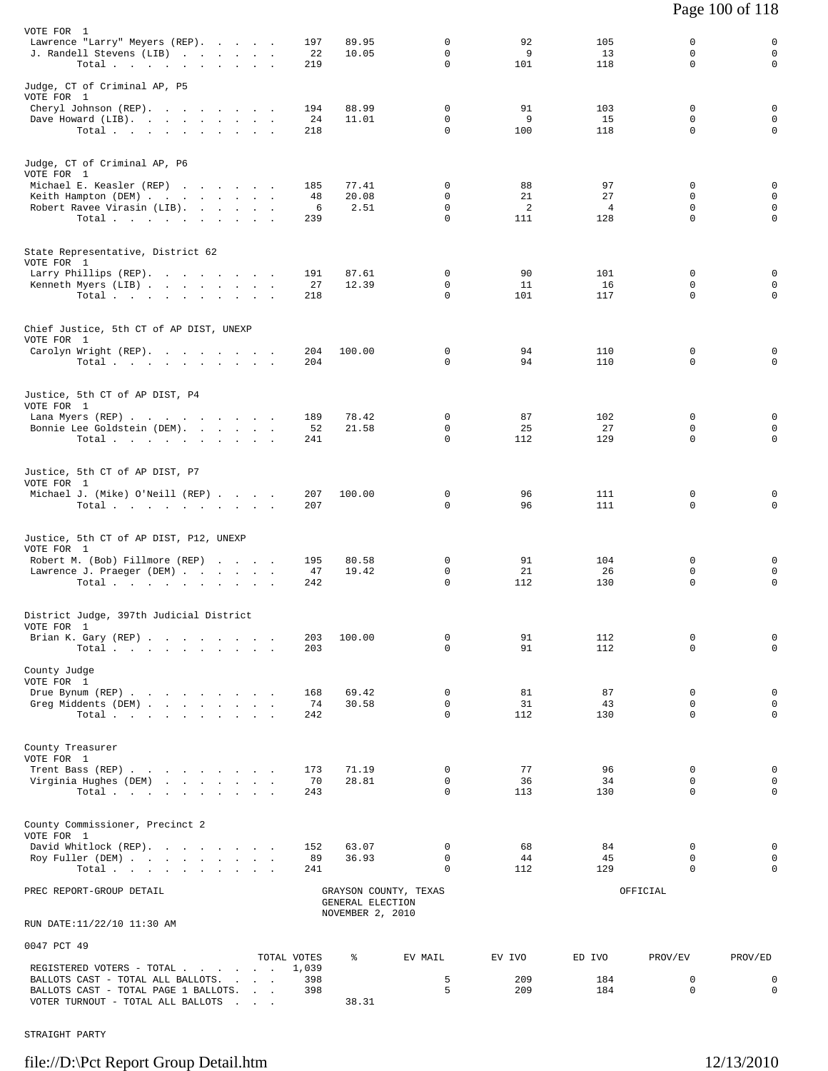| VOTE FOR 1                                                                                                                    |                                                     |                  |                  | 0                           |                 |                       | 0                     |                       |
|-------------------------------------------------------------------------------------------------------------------------------|-----------------------------------------------------|------------------|------------------|-----------------------------|-----------------|-----------------------|-----------------------|-----------------------|
| Lawrence "Larry" Meyers (REP).<br>J. Randell Stevens (LIB)                                                                    |                                                     | 197<br>22        | 89.95<br>10.05   | 0                           | 92<br>9         | 105<br>13             | $\mathbf 0$           | 0<br>$\mathbf 0$      |
| Total.                                                                                                                        |                                                     | 219              |                  | 0                           | 101             | 118                   | 0                     | 0                     |
| Judge, CT of Criminal AP, P5<br>VOTE FOR 1                                                                                    |                                                     |                  |                  |                             |                 |                       |                       |                       |
| Cheryl Johnson (REP).                                                                                                         |                                                     | 194<br>24        | 88.99<br>11.01   | 0<br>$\Omega$               | 91<br>9         | 103<br>15             | 0<br>$\Omega$         | 0<br>0                |
| Dave Howard (LIB).<br>Total $\cdots$                                                                                          |                                                     | 218              |                  | 0                           | 100             | 118                   | $\mathbf 0$           | $\mathbf 0$           |
| Judge, CT of Criminal AP, P6                                                                                                  |                                                     |                  |                  |                             |                 |                       |                       |                       |
| VOTE FOR 1<br>Michael E. Keasler (REP)                                                                                        |                                                     | 185              | 77.41            | 0                           | 88              | 97                    | 0                     | 0                     |
| Keith Hampton (DEM)                                                                                                           |                                                     | 48               | 20.08            | 0                           | 21              | 27                    | 0                     | 0                     |
| Robert Ravee Virasin (LIB).                                                                                                   |                                                     | 6<br>239         | 2.51             | $\mathbf 0$<br>0            | 2<br>111        | $\overline{4}$<br>128 | $\mathbf 0$<br>0      | $\mathbf 0$<br>0      |
| Total $\cdots$                                                                                                                |                                                     |                  |                  |                             |                 |                       |                       |                       |
| State Representative, District 62<br>VOTE FOR 1                                                                               |                                                     |                  |                  |                             |                 |                       |                       |                       |
| Larry Phillips (REP).                                                                                                         |                                                     | 191              | 87.61            | $\mathbf{0}$                | 90              | 101                   | 0                     | 0                     |
| Kenneth Myers (LIB)<br>Total                                                                                                  |                                                     | 27<br>218        | 12.39            | 0<br>0                      | 11<br>101       | 16<br>117             | 0<br>0                | $\mathbf 0$<br>0      |
|                                                                                                                               |                                                     |                  |                  |                             |                 |                       |                       |                       |
| Chief Justice, 5th CT of AP DIST, UNEXP<br>VOTE FOR 1                                                                         |                                                     |                  |                  |                             |                 |                       |                       |                       |
| Carolyn Wright (REP).<br>Total $\cdots$ $\cdots$ $\cdots$                                                                     |                                                     | 204<br>204       | 100.00           | 0<br>$\Omega$               | 94<br>94        | 110<br>110            | 0<br>0                | 0<br>$\mathbf 0$      |
|                                                                                                                               |                                                     |                  |                  |                             |                 |                       |                       |                       |
| Justice, 5th CT of AP DIST, P4<br>VOTE FOR 1                                                                                  |                                                     |                  |                  |                             |                 |                       |                       |                       |
| Lana Myers (REP)<br>Bonnie Lee Goldstein (DEM).                                                                               |                                                     | 189<br>52        | 78.42<br>21.58   | $\mathbf{0}$<br>$\mathbf 0$ | 87<br>25        | 102<br>27             | 0<br>0                | 0<br>$\mathbf 0$      |
| Total $\cdots$                                                                                                                |                                                     | 241              |                  | 0                           | 112             | 129                   | 0                     | $\mathbf 0$           |
| Justice, 5th CT of AP DIST, P7                                                                                                |                                                     |                  |                  |                             |                 |                       |                       |                       |
| VOTE FOR 1<br>Michael J. (Mike) O'Neill (REP)                                                                                 |                                                     | 207              | 100.00           | 0                           | 96              | 111                   | 0                     | 0                     |
| Total $\cdots$ $\cdots$ $\cdots$ $\cdots$                                                                                     |                                                     | 207              |                  | $\Omega$                    | 96              | 111                   | $\mathbf 0$           | $\mathbf 0$           |
| Justice, 5th CT of AP DIST, P12, UNEXP<br>VOTE FOR 1<br>Robert M. (Bob) Fillmore (REP)<br>Lawrence J. Praeger (DEM)<br>Total. |                                                     | 195<br>47<br>242 | 80.58<br>19.42   | 0<br>0<br>0                 | 91<br>21<br>112 | 104<br>26<br>130      | 0<br>0<br>$\mathbf 0$ | 0<br>$\mathbf 0$<br>0 |
|                                                                                                                               |                                                     |                  |                  |                             |                 |                       |                       |                       |
| District Judge, 397th Judicial District<br>VOTE FOR 1                                                                         |                                                     |                  |                  |                             |                 |                       |                       |                       |
| Brian K. Gary (REP)                                                                                                           |                                                     | 203              | 100.00           | 0                           | 91              | 112                   | 0                     | 0                     |
| Total $\cdots$ $\cdots$ $\cdots$ $\cdots$                                                                                     |                                                     | 203              |                  | 0                           | 91              | 112                   | 0                     | $\mathsf 0$           |
| County Judge<br>VOTE FOR 1                                                                                                    |                                                     |                  |                  |                             |                 |                       |                       |                       |
| Drue Bynum (REP)                                                                                                              |                                                     | 168              | 69.42            | $\mathbf{0}$                | 81              | 87                    | 0                     | 0                     |
| Greg Middents (DEM)                                                                                                           |                                                     | 74               | 30.58            | $\Omega$<br>0               | 31              | 43                    | 0<br>$\mathbf 0$      | 0<br>$\mathbf 0$      |
| Total                                                                                                                         |                                                     | 242              |                  |                             | 112             | 130                   |                       |                       |
| County Treasurer<br>VOTE FOR 1                                                                                                |                                                     |                  |                  |                             |                 |                       |                       |                       |
| Trent Bass (REP)                                                                                                              |                                                     | 173              | 71.19            | $\mathbf{0}$<br>0           | 77<br>36        | 96<br>34              | 0<br>0                | 0<br>$\mathbf 0$      |
| Virginia Hughes (DEM)<br>Total $\cdots$                                                                                       |                                                     | 70<br>243        | 28.81            | $\Omega$                    | 113             | 130                   | 0                     | $\mathbf 0$           |
|                                                                                                                               |                                                     |                  |                  |                             |                 |                       |                       |                       |
| County Commissioner, Precinct 2<br>VOTE FOR 1                                                                                 |                                                     |                  |                  |                             |                 |                       |                       |                       |
| David Whitlock (REP).<br>Roy Fuller (DEM)                                                                                     |                                                     | 152<br>89        | 63.07<br>36.93   | 0<br>$\mathbf 0$            | 68<br>44        | 84<br>45              | 0<br>$\mathbf 0$      | 0<br>$\mathbf 0$      |
| Total                                                                                                                         |                                                     | 241              |                  | 0                           | 112             | 129                   | 0                     | 0                     |
| PREC REPORT-GROUP DETAIL                                                                                                      |                                                     |                  | GENERAL ELECTION | GRAYSON COUNTY, TEXAS       |                 |                       | OFFICIAL              |                       |
| RUN DATE:11/22/10 11:30 AM                                                                                                    |                                                     |                  | NOVEMBER 2, 2010 |                             |                 |                       |                       |                       |
| 0047 PCT 49                                                                                                                   |                                                     |                  |                  |                             |                 |                       |                       |                       |
|                                                                                                                               |                                                     | TOTAL VOTES      | ႜ                | EV MAIL                     | EV IVO          | ED IVO                | PROV/EV               | PROV/ED               |
| REGISTERED VOTERS - TOTAL                                                                                                     |                                                     | 1,039            |                  |                             |                 |                       |                       |                       |
| BALLOTS CAST - TOTAL ALL BALLOTS.<br>BALLOTS CAST - TOTAL PAGE 1 BALLOTS.                                                     | and the contract of the<br><b>Contract Contract</b> | 398<br>398       |                  | 5<br>5                      | 209<br>209      | 184<br>184            | 0<br>0                | 0<br>0                |
| VOTER TURNOUT - TOTAL ALL BALLOTS                                                                                             | <b>Contract Contract Contract</b>                   |                  | 38.31            |                             |                 |                       |                       |                       |

STRAIGHT PARTY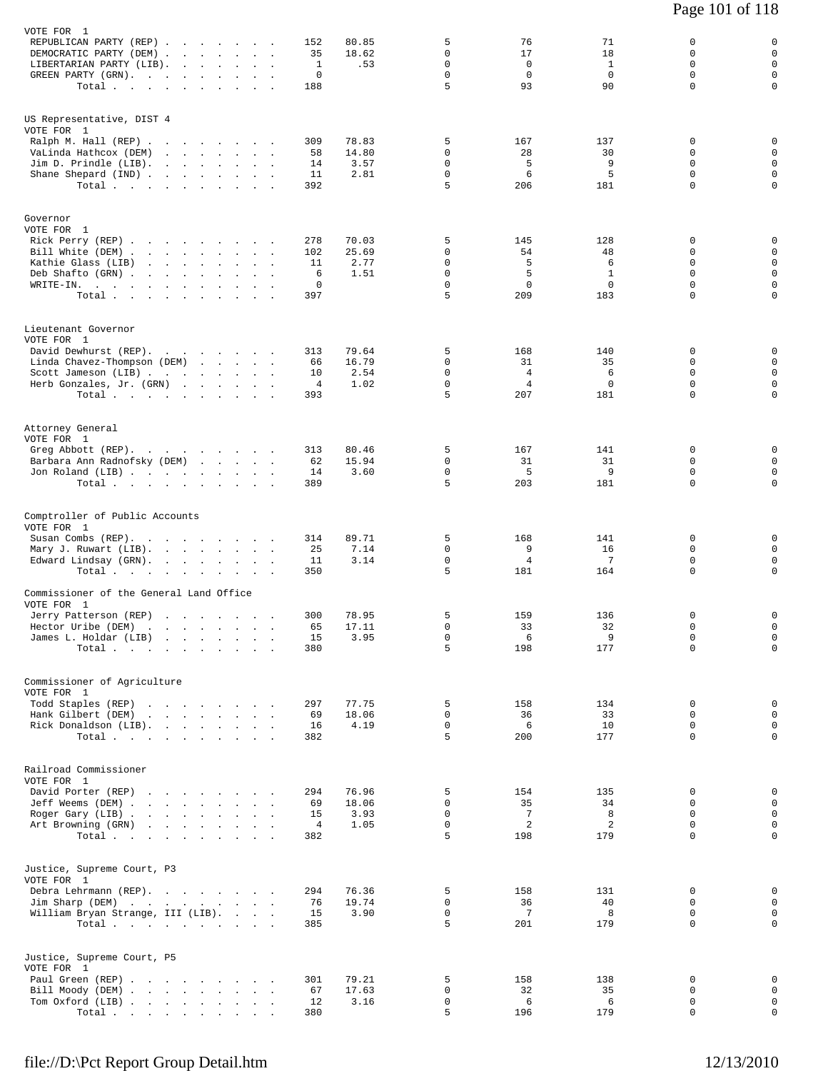| VOTE FOR 1<br>REPUBLICAN PARTY (REP)<br>DEMOCRATIC PARTY (DEM)<br>LIBERTARIAN PARTY (LIB).<br>$\ddot{\phantom{a}}$<br>GREEN PARTY (GRN).<br>and the state of the state of the<br>$\sim$<br>$\sim$<br>Total $\cdots$ $\cdots$ $\cdots$                                                                 | $\sim$<br>$\sim$ $\sim$ | 80.85<br>152<br>35<br>18.62<br>$\mathbf{1}$<br>.53<br>0<br>188      | 5<br>0<br>0<br>$\mathbf 0$<br>5                     | 76<br>17<br>$\mathbf 0$<br>$\mathbf 0$<br>93          | 71<br>18<br>$\mathbf{1}$<br>$\mathbf 0$<br>90        | 0<br>0<br>$\Omega$<br>$\mathbf 0$<br>$\Omega$                   | 0<br>$\mathbf 0$<br>$\mathbf 0$<br>$\mathsf 0$<br>$\mathbf 0$                        |
|-------------------------------------------------------------------------------------------------------------------------------------------------------------------------------------------------------------------------------------------------------------------------------------------------------|-------------------------|---------------------------------------------------------------------|-----------------------------------------------------|-------------------------------------------------------|------------------------------------------------------|-----------------------------------------------------------------|--------------------------------------------------------------------------------------|
| US Representative, DIST 4<br>VOTE FOR 1<br>Ralph M. Hall $(REP)$<br>VaLinda Hathcox (DEM)<br>$Jim D. Prindle (LIB).$<br>Shane Shepard (IND)<br>Total $\cdots$ $\cdots$ $\cdots$                                                                                                                       |                         | 78.83<br>309<br>14.80<br>58<br>14<br>3.57<br>2.81<br>11<br>392      | 5<br>$\mathbf 0$<br>0<br>0<br>5                     | 167<br>28<br>5<br>6<br>206                            | 137<br>30<br>9<br>5<br>181                           | 0<br>0<br>0<br>$\mathbf 0$<br>$\Omega$                          | 0<br>$\mathbf 0$<br>$\mathsf 0$<br>$\mathbf 0$<br>$\mathbf 0$                        |
| Governor<br>VOTE FOR 1<br>Rick Perry (REP)<br>Bill White (DEM).<br>the contract of the contract of the contract of<br>Kathie Glass (LIB)<br>and a series of the series of the series of<br>Deb Shafto (GRN).<br>and the company<br>$\sim$<br>$\cdot$<br>WRITE-IN.<br>Total $\cdots$ $\cdots$ $\cdots$ |                         | 278<br>70.03<br>102<br>25.69<br>2.77<br>11<br>1.51<br>6<br>0<br>397 | 5<br>0<br>0<br>$\mathbf 0$<br>$\mathbf 0$<br>5      | 145<br>54<br>5<br>5<br>$\mathbf{0}$<br>209            | 128<br>48<br>6<br>$\mathbf{1}$<br>$\mathbf 0$<br>183 | 0<br>0<br>$\Omega$<br>$\mathbf 0$<br>$\mathbf 0$<br>$\mathbf 0$ | 0<br>$\mathbf 0$<br>$\mathbf 0$<br>$\mathsf{O}\xspace$<br>$\mathbf 0$<br>$\mathbf 0$ |
| Lieutenant Governor<br>VOTE FOR 1<br>David Dewhurst (REP).<br>Linda Chavez-Thompson (DEM)<br>Scott Jameson (LIB)<br>Herb Gonzales, Jr. (GRN)<br>Total $\cdots$ $\cdots$ $\cdots$                                                                                                                      | $\sim$                  | 79.64<br>313<br>16.79<br>66<br>10<br>2.54<br>4<br>1.02<br>393       | 5<br>$\mathbf 0$<br>$\mathbf 0$<br>$\mathbf 0$<br>5 | 168<br>31<br>$\overline{4}$<br>4<br>207               | 140<br>35<br>6<br>$\mathbf 0$<br>181                 | 0<br>0<br>$\mathbf 0$<br>$\Omega$<br>0                          | 0<br>$\mathsf 0$<br>$\mathbf 0$<br>$\mathsf 0$<br>$\mathsf 0$                        |
| Attorney General<br>VOTE FOR 1<br>Greg Abbott (REP).<br>Barbara Ann Radnofsky (DEM)<br>Jon Roland (LIB)<br>Total                                                                                                                                                                                      |                         | 80.46<br>313<br>15.94<br>62<br>14<br>3.60<br>389                    | 5<br>$\mathbf 0$<br>$\mathsf 0$<br>5                | 167<br>31<br>5<br>203                                 | 141<br>31<br>9<br>181                                | 0<br>$\Omega$<br>$\mathbf 0$<br>0                               | 0<br>$\mathbf 0$<br>$\mathbf 0$<br>$\mathbf 0$                                       |
| Comptroller of Public Accounts<br>VOTE FOR 1<br>Susan Combs (REP).<br>Mary J. Ruwart (LIB).<br>Edward Lindsay (GRN).<br>Total<br>$\sim$                                                                                                                                                               | $\sim$                  | 314<br>89.71<br>25<br>7.14<br>11<br>3.14<br>350                     | 5<br>$\mathbf 0$<br>$\mathbf 0$<br>5                | 168<br>9<br>4<br>181                                  | 141<br>16<br>7<br>164                                | 0<br>$\mathbf 0$<br>0<br>$\Omega$                               | 0<br>$\mathbf 0$<br>$\mathbf 0$<br>$\mathbf 0$                                       |
| Commissioner of the General Land Office<br>VOTE FOR 1<br>Jerry Patterson (REP)<br>Hector Uribe (DEM)<br>James L. Holdar (LIB)<br>Total $\cdots$                                                                                                                                                       |                         | 78.95<br>300<br>65<br>17.11<br>15<br>3.95<br>380                    | 5<br>0<br>0<br>5                                    | 159<br>33<br>6<br>198                                 | 136<br>32<br>9<br>177                                | 0<br>0<br>0<br>$\mathbf 0$                                      | 0<br>$\mathsf{O}$<br>$\overline{0}$<br>$\mathbf 0$                                   |
| Commissioner of Agriculture<br>VOTE FOR 1<br>Todd Staples (REP)<br>Hank Gilbert (DEM)<br>Rick Donaldson (LIB).<br>Total $\cdots$                                                                                                                                                                      |                         | 297<br>77.75<br>18.06<br>69<br>4.19<br>16<br>382                    | 5<br>$\mathbf 0$<br>$\mathsf{O}$<br>5               | 158<br>36<br>6<br>200                                 | 134<br>33<br>10<br>177                               | 0<br>$\Omega$<br>0<br>0                                         | 0<br>$\mathbf 0$<br>$\mathbf 0$<br>$\mathbf 0$                                       |
| Railroad Commissioner<br>VOTE FOR 1<br>David Porter (REP)<br>Jeff Weems (DEM)<br>Roger Gary (LIB)<br>Art Browning (GRN)<br>Total $\cdots$                                                                                                                                                             |                         | 76.96<br>294<br>69<br>18.06<br>15<br>3.93<br>4<br>1.05<br>382       | 5<br>0<br>0<br>$\mathsf{O}$<br>5                    | 154<br>35<br>$7\phantom{.0}$<br>$\overline{a}$<br>198 | 135<br>34<br>8<br>2<br>179                           | 0<br>0<br>0<br>0<br>0                                           | 0<br>$\mathbf 0$<br>$\mathbf 0$<br>$\mathbf 0$<br>$\mathbf 0$                        |
| Justice, Supreme Court, P3<br>VOTE FOR 1<br>Debra Lehrmann (REP).<br>Jim Sharp (DEM)<br>William Bryan Strange, III (LIB).<br>Total                                                                                                                                                                    |                         | 76.36<br>294<br>76<br>19.74<br>15<br>3.90<br>385                    | 5<br>0<br>0<br>5                                    | 158<br>36<br>7<br>201                                 | 131<br>40<br>8<br>179                                | $\Omega$<br>0<br>0<br>$\Omega$                                  | 0<br>$\mathbf 0$<br>$\mathbf 0$<br>$\mathbf 0$                                       |
| Justice, Supreme Court, P5<br>VOTE FOR 1<br>Paul Green (REP)<br>Bill Moody (DEM)<br>Tom Oxford (LIB)<br>Total $\cdots$                                                                                                                                                                                |                         | 79.21<br>301<br>17.63<br>67<br>12<br>3.16<br>380                    | 5<br>0<br>0<br>5                                    | 158<br>32<br>6<br>196                                 | 138<br>35<br>6<br>179                                | 0<br>0<br>$\mathbf 0$<br>0                                      | 0<br>0<br>$\mathbf 0$<br>$\mathbf 0$                                                 |

Page 101 of 118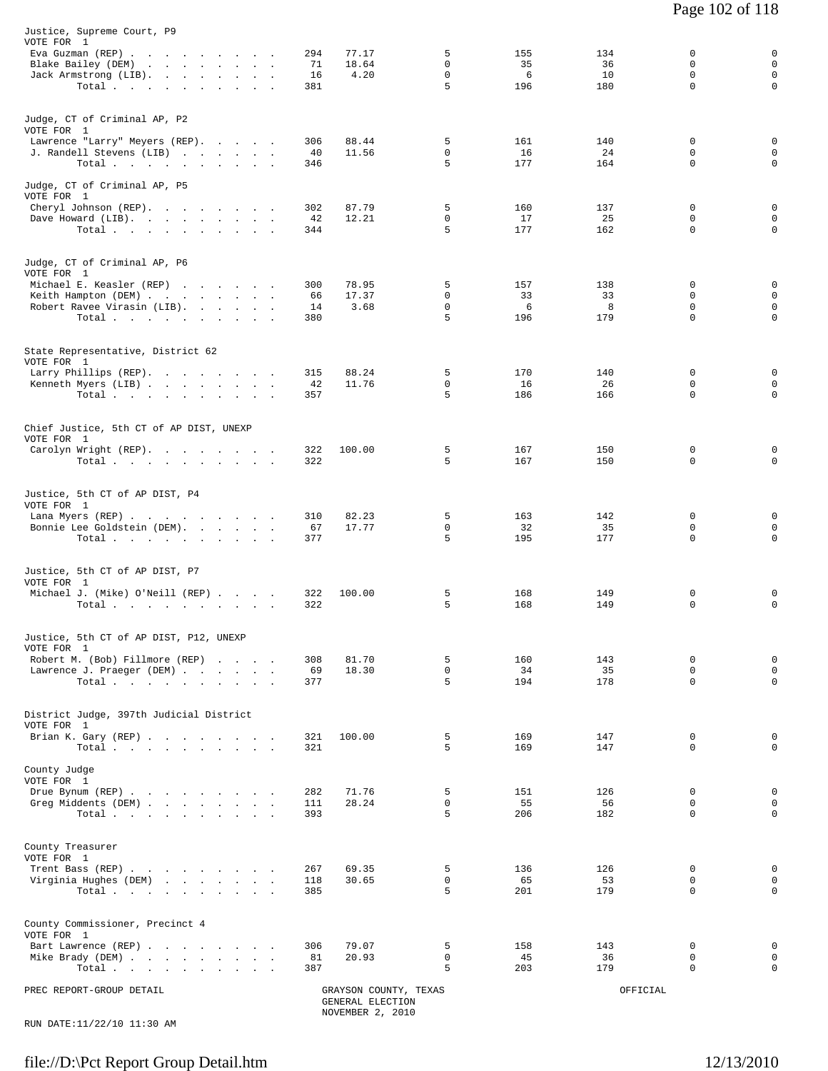| Justice, Supreme Court, P9<br>VOTE FOR 1<br>Eva Guzman (REP)<br>Blake Bailey (DEM)<br>Jack Armstrong (LIB).<br>Total. | 294<br>77.17<br>71<br>18.64<br>4.20<br>16<br>381 | 5<br>$\mathbf 0$<br>$\mathbf 0$<br>5 | 155<br>35<br>6<br>196 | 134<br>36<br>10<br>180 | 0<br>$\Omega$<br>$\mathbf 0$<br>$\Omega$ | 0<br>$\mathbf 0$<br>$\mathbf 0$<br>$\mathbf 0$ |
|-----------------------------------------------------------------------------------------------------------------------|--------------------------------------------------|--------------------------------------|-----------------------|------------------------|------------------------------------------|------------------------------------------------|
| Judge, CT of Criminal AP, P2<br>VOTE FOR 1<br>Lawrence "Larry" Meyers (REP).<br>J. Randell Stevens (LIB)<br>Total     | 306<br>88.44<br>11.56<br>40<br>346               | 5<br>$\mathbf 0$<br>5                | 161<br>16<br>177      | 140<br>24<br>164       | $\Omega$<br>$\mathbf 0$<br>$\Omega$      | $\mathbf 0$<br>$\mathbf 0$<br>0                |
| Judge, CT of Criminal AP, P5<br>VOTE FOR 1<br>Cheryl Johnson (REP).                                                   | 87.79<br>302                                     | 5                                    | 160                   | 137                    | $\Omega$                                 | $\mathbf 0$                                    |
| Dave Howard (LIB).<br>Total $\cdots$ $\cdots$ $\cdots$ $\cdots$                                                       | 42<br>12.21<br>344                               | 0<br>5                               | 17<br>177             | 25<br>162              | 0<br>$\Omega$                            | $\mathbf 0$<br>$\mathbf 0$                     |
| Judge, CT of Criminal AP, P6<br>VOTE FOR 1<br>Michael E. Keasler (REP)                                                | 78.95<br>300                                     | 5                                    | 157                   | 138                    | 0                                        | 0                                              |
| Keith Hampton (DEM)                                                                                                   | 66<br>17.37                                      | $\Omega$                             | 33                    | 33                     | $\Omega$                                 | $\mathbf 0$                                    |
| Robert Ravee Virasin (LIB).<br>Total.                                                                                 | 3.68<br>14<br>380                                | $\mathbf 0$<br>5                     | 6<br>196              | 8<br>179               | $\mathbf 0$<br>$\Omega$                  | $\mathbf 0$<br>0                               |
| State Representative, District 62                                                                                     |                                                  |                                      |                       |                        |                                          |                                                |
| VOTE FOR 1<br>Larry Phillips (REP).                                                                                   | 315<br>88.24                                     | 5                                    | 170                   | 140                    | $\mathbf 0$                              | 0                                              |
| Kenneth Myers (LIB)                                                                                                   | 11.76<br>42                                      | $\Omega$                             | 16                    | 26                     | $\Omega$                                 | $\mathbf 0$                                    |
| Total                                                                                                                 | 357                                              | 5                                    | 186                   | 166                    | 0                                        | $\mathbf 0$                                    |
| Chief Justice, 5th CT of AP DIST, UNEXP                                                                               |                                                  |                                      |                       |                        |                                          |                                                |
| VOTE FOR 1<br>Carolyn Wright (REP).                                                                                   | 322<br>100.00                                    | 5                                    | 167                   | 150                    | $\mathbf 0$                              | $\mathbf 0$                                    |
| Total $\cdots$ $\cdots$ $\cdots$ $\cdots$                                                                             | 322                                              | 5                                    | 167                   | 150                    | $\Omega$                                 | $\Omega$                                       |
| Justice, 5th CT of AP DIST, P4<br>VOTE FOR 1                                                                          | 82.23<br>310                                     | 5                                    | 163                   | 142                    | 0                                        | 0                                              |
| Lana Myers (REP)<br>Bonnie Lee Goldstein (DEM).                                                                       | 67<br>17.77                                      | $\mathbf 0$                          | 32                    | 35                     | 0                                        | $\mathbf 0$                                    |
| Total.                                                                                                                | 377                                              | 5                                    | 195                   | 177                    | $\Omega$                                 | $\Omega$                                       |
| Justice, 5th CT of AP DIST, P7<br>VOTE FOR 1<br>Michael J. (Mike) O'Neill (REP)                                       | 322<br>100.00                                    | 5                                    | 168                   | 149                    | 0                                        | 0                                              |
| Total $\cdots$ $\cdots$ $\cdots$                                                                                      | 322                                              | 5                                    | 168                   | 149                    | 0                                        | 0                                              |
| Justice, 5th CT of AP DIST, P12, UNEXP<br>VOTE FOR 1                                                                  |                                                  |                                      |                       |                        |                                          |                                                |
| Robert M. (Bob) Fillmore (REP)                                                                                        | 308<br>81.70                                     | 5                                    | 160                   | 143                    | 0                                        | 0                                              |
| Lawrence J. Praeger (DEM)                                                                                             | 69<br>18.30                                      | $\mathsf{O}$                         | 34                    | 35                     | 0                                        | $\mathbf 0$                                    |
| Total.                                                                                                                | 377                                              | 5                                    | 194                   | 178                    | $\Omega$                                 | $\mathbf 0$                                    |
| District Judge, 397th Judicial District                                                                               |                                                  |                                      |                       |                        |                                          |                                                |
| VOTE FOR 1<br>Brian K. Gary (REP)<br>Total                                                                            | 321<br>100.00<br>321                             | 5<br>5                               | 169<br>169            | 147<br>147             | $\mathbf 0$<br>0                         | 0<br>0                                         |
| County Judge<br>VOTE FOR 1                                                                                            |                                                  |                                      |                       |                        |                                          |                                                |
| Drue Bynum (REP)<br>Greg Middents (DEM)                                                                               | 282<br>71.76<br>28.24<br>111                     | 5<br>$\mathbf 0$                     | 151<br>55             | 126<br>56              | 0<br>0                                   | 0<br>$\mathbf 0$                               |
| Total                                                                                                                 | 393                                              | 5                                    | 206                   | 182                    | $\mathbf 0$                              | $\mathbf 0$                                    |
| County Treasurer<br>VOTE FOR 1                                                                                        |                                                  |                                      |                       |                        |                                          |                                                |
| Trent Bass (REP)                                                                                                      | 69.35<br>267                                     | 5                                    | 136                   | 126                    | 0                                        | 0                                              |
| Virginia Hughes (DEM)<br>Total                                                                                        | 118<br>30.65<br>385                              | $\mathbf 0$<br>5                     | 65<br>201             | 53<br>179              | 0<br>$\Omega$                            | $\mathbf 0$<br>$\mathbf 0$                     |
| County Commissioner, Precinct 4                                                                                       |                                                  |                                      |                       |                        |                                          |                                                |
| VOTE FOR 1                                                                                                            |                                                  | 5                                    |                       |                        | 0                                        | 0                                              |
| Bart Lawrence (REP)<br>Mike Brady (DEM)                                                                               | 306<br>79.07<br>20.93<br>81                      | $\mathbf 0$                          | 158<br>45             | 143<br>36              | 0                                        | $\mathbf 0$                                    |
| Total                                                                                                                 | 387                                              | 5                                    | 203                   | 179                    | $\Omega$                                 | $\mathbf 0$                                    |
| PREC REPORT-GROUP DETAIL                                                                                              | GRAYSON COUNTY, TEXAS<br>GENERAL ELECTION        |                                      |                       | OFFICIAL               |                                          |                                                |

NOVEMBER 2, 2010 RUN DATE:11/22/10 11:30 AM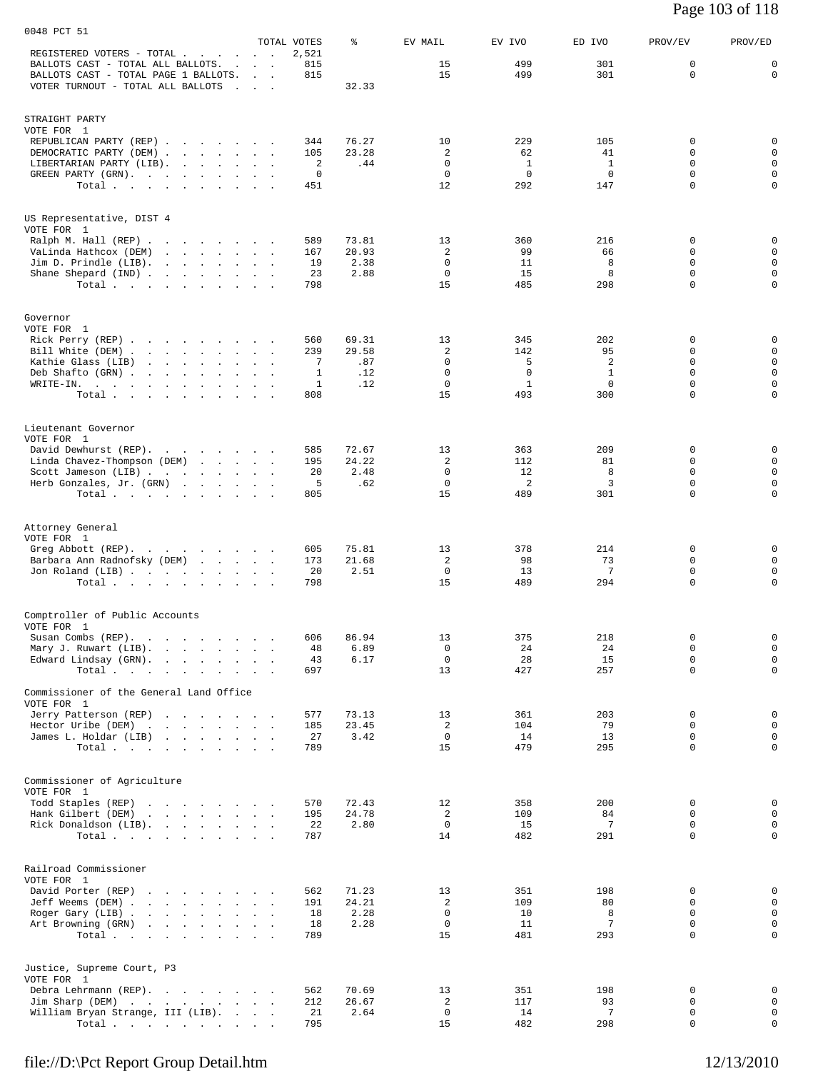| Page 103 of 118 |
|-----------------|
|-----------------|

| 0048 PCT 51                                                                          |                                   |                      |                |                            |                    |                    |                         |                            |
|--------------------------------------------------------------------------------------|-----------------------------------|----------------------|----------------|----------------------------|--------------------|--------------------|-------------------------|----------------------------|
| REGISTERED VOTERS - TOTAL                                                            | <b>Contract Contract</b>          | TOTAL VOTES<br>2,521 | နွ             | EV MAIL                    | EV IVO             | ED IVO             | PROV/EV                 | PROV/ED                    |
| BALLOTS CAST - TOTAL ALL BALLOTS.<br>BALLOTS CAST - TOTAL PAGE 1 BALLOTS.            | and the contract of the           | 815<br>815           |                | 15<br>15                   | 499<br>499         | 301<br>301         | 0<br>$\mathbf 0$        | 0<br>$\mathbf 0$           |
| VOTER TURNOUT - TOTAL ALL BALLOTS                                                    | <b>Contract Contract Contract</b> |                      | 32.33          |                            |                    |                    |                         |                            |
|                                                                                      |                                   |                      |                |                            |                    |                    |                         |                            |
| STRAIGHT PARTY<br>VOTE FOR 1                                                         |                                   |                      |                |                            |                    |                    |                         |                            |
| REPUBLICAN PARTY (REP)                                                               |                                   | 344                  | 76.27          | 10                         | 229                | 105                | 0                       | 0                          |
| DEMOCRATIC PARTY (DEM)<br>LIBERTARIAN PARTY (LIB).                                   |                                   | 105<br>2             | 23.28<br>.44   | 2<br>$\Omega$              | 62<br>$\mathbf{1}$ | 41<br>$\mathbf{1}$ | $\mathbf 0$<br>$\Omega$ | $\mathbf 0$<br>$\mathbf 0$ |
| GREEN PARTY (GRN).                                                                   |                                   | 0                    |                | 0                          | 0                  | 0                  | 0                       | 0                          |
| Total                                                                                |                                   | 451                  |                | 12                         | 292                | 147                | $\mathbf 0$             | 0                          |
| US Representative, DIST 4                                                            |                                   |                      |                |                            |                    |                    |                         |                            |
| VOTE FOR 1                                                                           |                                   |                      |                |                            |                    |                    |                         |                            |
| Ralph M. Hall (REP)<br>VaLinda Hathcox (DEM)<br>the contract of the contract of the  |                                   | 589<br>167           | 73.81<br>20.93 | 13<br>$\overline{c}$       | 360<br>99          | 216<br>66          | 0<br>$\mathbf 0$        | 0<br>$\mathbf 0$           |
| Jim D. Prindle (LIB). $\ldots$                                                       |                                   | 19                   | 2.38           | 0                          | 11                 | 8                  | 0                       | $\mathbf 0$                |
| Shane Shepard (IND)<br>Total                                                         |                                   | 23<br>798            | 2.88           | $\mathbf 0$<br>15          | 15<br>485          | 8<br>298           | 0<br>$\mathbf 0$        | $\mathsf 0$<br>0           |
|                                                                                      |                                   |                      |                |                            |                    |                    |                         |                            |
| Governor                                                                             |                                   |                      |                |                            |                    |                    |                         |                            |
| VOTE FOR 1<br>Rick Perry (REP)                                                       |                                   | 560                  | 69.31          | 13                         | 345                | 202                | 0                       | 0                          |
| Bill White (DEM)                                                                     |                                   | 239                  | 29.58          | 2                          | 142                | 95                 | 0                       | 0                          |
| Kathie Glass (LIB)<br>Deb Shafto (GRN)                                               |                                   | 7<br>1               | .87<br>.12     | $\mathbf 0$<br>$\mathbf 0$ | 5<br>$\mathbf 0$   | 2<br>$\mathbf{1}$  | $\mathbf 0$<br>0        | $\mathbf 0$<br>$\mathsf 0$ |
| WRITE-IN.                                                                            |                                   | 1                    | .12            | $\mathbf 0$                | $\mathbf{1}$       | $\mathbf 0$        | $\mathbf 0$             | 0                          |
| Total $\cdots$ $\cdots$<br>$\sim$                                                    | $\sim$                            | 808                  |                | 15                         | 493                | 300                | $\Omega$                | 0                          |
| Lieutenant Governor                                                                  |                                   |                      |                |                            |                    |                    |                         |                            |
| VOTE FOR 1                                                                           |                                   |                      |                |                            |                    |                    |                         |                            |
| David Dewhurst (REP).<br>Linda Chavez-Thompson (DEM)                                 |                                   | 585<br>195           | 72.67<br>24.22 | 13<br>2                    | 363<br>112         | 209<br>81          | 0<br>0                  | 0<br>$\mathbf 0$           |
| Scott Jameson (LIB)                                                                  |                                   | 20                   | 2.48           | $\Omega$                   | 12                 | 8                  | $\Omega$                | $\mathsf 0$                |
| Herb Gonzales, Jr. (GRN)<br>Total.                                                   |                                   | 5<br>805             | .62            | $\mathbf 0$<br>15          | 2<br>489           | 3<br>301           | $\mathbf 0$<br>$\Omega$ | 0<br>0                     |
|                                                                                      |                                   |                      |                |                            |                    |                    |                         |                            |
| Attorney General                                                                     |                                   |                      |                |                            |                    |                    |                         |                            |
| VOTE FOR 1<br>Greg Abbott (REP).                                                     |                                   | 605                  | 75.81          | 13                         | 378                | 214                | 0                       | 0                          |
| Barbara Ann Radnofsky (DEM)                                                          |                                   | 173                  | 21.68          | 2                          | 98                 | 73                 | $\mathbf 0$             | $\mathbf 0$                |
| Jon Roland (LIB)<br>Total                                                            |                                   | 20<br>798            | 2.51           | $\mathbf 0$<br>15          | 13<br>489          | 7<br>294           | 0<br>$\mathbf 0$        | 0<br>0                     |
|                                                                                      |                                   |                      |                |                            |                    |                    |                         |                            |
| Comptroller of Public Accounts                                                       |                                   |                      |                |                            |                    |                    |                         |                            |
| VOTE FOR 1<br>Susan Combs (REP).                                                     |                                   | 606                  | 86.94          | 13                         | 375                | 218                | 0                       | $\mathsf 0$                |
| Mary J. Ruwart (LIB).                                                                | $\sim$                            | 48                   | 6.89           | $\mathbf 0$                | 24                 | 24                 | 0                       | $\mathsf 0$                |
| Edward Lindsay (GRN).<br>Total                                                       | <b>Carl Carl</b>                  | 43<br>697            | 6.17           | $\mathbf 0$<br>13          | 28<br>427          | 15<br>257          | $\mathbf 0$<br>0        | $\mathsf 0$<br>0           |
|                                                                                      |                                   |                      |                |                            |                    |                    |                         |                            |
| Commissioner of the General Land Office<br>VOTE FOR 1                                |                                   |                      |                |                            |                    |                    |                         |                            |
| Jerry Patterson (REP)<br>Hector Uribe (DEM)<br>the contract of the contract of the   |                                   | 577<br>185           | 73.13<br>23.45 | 13<br>2                    | 361<br>104         | 203<br>79          | 0<br>0                  | 0<br>$\mathsf 0$           |
| James L. Holdar (LIB)                                                                |                                   | 27                   | 3.42           | $\mathbf 0$                | 14                 | 13                 | $\mathbf 0$             | $\mathsf 0$                |
| Total.                                                                               |                                   | 789                  |                | 15                         | 479                | 295                | 0                       | 0                          |
|                                                                                      |                                   |                      |                |                            |                    |                    |                         |                            |
| Commissioner of Agriculture<br>VOTE FOR 1                                            |                                   |                      |                |                            |                    |                    |                         |                            |
| Todd Staples (REP)<br>Hank Gilbert (DEM)<br>the contract of the contract of the con- |                                   | 570<br>195           | 72.43<br>24.78 | 12<br>2                    | 358<br>109         | 200<br>84          | 0<br>0                  | 0<br>$\mathsf 0$           |
| Rick Donaldson (LIB).                                                                |                                   | 22                   | 2.80           | $\mathbf 0$                | 15                 | 7                  | 0                       | $\mathsf 0$                |
| Total.                                                                               |                                   | 787                  |                | 14                         | 482                | 291                | $\mathbf 0$             | 0                          |
| Railroad Commissioner                                                                |                                   |                      |                |                            |                    |                    |                         |                            |
| VOTE FOR 1                                                                           |                                   |                      |                |                            |                    |                    |                         |                            |
| David Porter (REP)<br>Jeff Weems (DEM)                                               |                                   | 562<br>191           | 71.23<br>24.21 | 13<br>2                    | 351<br>109         | 198<br>80          | 0<br>0                  | 0<br>0                     |
| Roger Gary (LIB)                                                                     |                                   | 18                   | 2.28           | 0                          | 10                 | 8                  | $\mathbf 0$             | 0                          |
| Art Browning (GRN)<br>Total.                                                         |                                   | 18<br>789            | 2.28           | 0<br>15                    | 11<br>481          | 7<br>293           | 0<br>$\mathbf 0$        | 0<br>0                     |
|                                                                                      |                                   |                      |                |                            |                    |                    |                         |                            |
| Justice, Supreme Court, P3                                                           |                                   |                      |                |                            |                    |                    |                         |                            |
| VOTE FOR 1                                                                           |                                   |                      |                |                            |                    |                    |                         |                            |
| Debra Lehrmann (REP).<br>Jim Sharp (DEM)                                             |                                   | 562<br>212           | 70.69<br>26.67 | 13<br>2                    | 351<br>117         | 198<br>93          | 0<br>0                  | 0<br>0                     |
| William Bryan Strange, III (LIB).                                                    |                                   | 21                   | 2.64           | 0                          | 14                 | 7                  | 0                       | 0                          |
| Total                                                                                |                                   | 795                  |                | 15                         | 482                | 298                | 0                       | 0                          |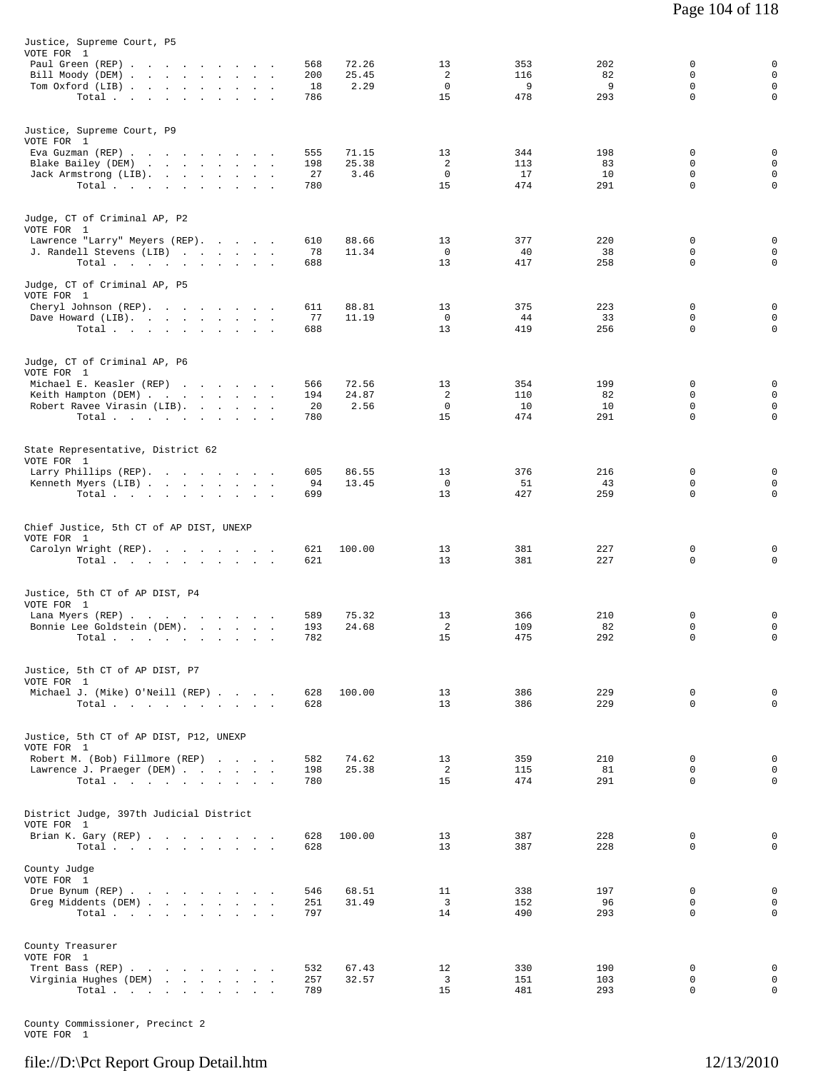| Justice, Supreme Court, P5<br>VOTE FOR 1<br>Paul Green (REP)<br>Bill Moody (DEM)<br>Tom Oxford (LIB)<br>Total                             | 72.26<br>568<br>200<br>25.45<br>2.29<br>18<br>786 | 13<br>2<br>$\mathbf 0$<br>15 | 353<br>116<br>9<br>478  | 202<br>82<br>9<br>293  | 0<br>$\mathbf 0$<br>0<br>$\mathbf 0$ | 0<br>$\mathbf 0$<br>$\mathsf 0$<br>0 |
|-------------------------------------------------------------------------------------------------------------------------------------------|---------------------------------------------------|------------------------------|-------------------------|------------------------|--------------------------------------|--------------------------------------|
| Justice, Supreme Court, P9<br>VOTE FOR 1<br>Eva Guzman (REP)<br>Blake Bailey (DEM)<br>Jack Armstrong (LIB).<br>Total                      | 555<br>71.15<br>25.38<br>198<br>27<br>3.46<br>780 | 13<br>2<br>0<br>15           | 344<br>113<br>17<br>474 | 198<br>83<br>10<br>291 | 0<br>0<br>0<br>$\mathbf 0$           | 0<br>$\mathsf 0$<br>0<br>0           |
| Judge, CT of Criminal AP, P2<br>VOTE FOR 1<br>Lawrence "Larry" Meyers (REP).<br>J. Randell Stevens (LIB)<br>Total                         | 610<br>88.66<br>78<br>11.34<br>688                | 13<br>$\mathbf{0}$<br>13     | 377<br>40<br>417        | 220<br>38<br>258       | 0<br>$\mathbf 0$<br>$\mathbf 0$      | 0<br>0<br>0                          |
| Judge, CT of Criminal AP, P5<br>VOTE FOR 1<br>Cheryl Johnson (REP).<br>Dave Howard (LIB).<br>Total                                        | 611<br>88.81<br>77<br>11.19<br>688                | 13<br>$\mathbf 0$<br>13      | 375<br>44<br>419        | 223<br>33<br>256       | 0<br>0<br>$\mathbf 0$                | 0<br>0<br>$\mathbf 0$                |
| Judge, CT of Criminal AP, P6<br>VOTE FOR 1<br>Michael E. Keasler (REP)<br>Keith Hampton (DEM)<br>Robert Ravee Virasin (LIB).<br>Total.    | 566<br>72.56<br>194<br>24.87<br>20<br>2.56<br>780 | 13<br>2<br>$\mathbf 0$<br>15 | 354<br>110<br>10<br>474 | 199<br>82<br>10<br>291 | 0<br>0<br>0<br>0                     | 0<br>0<br>$\mathsf 0$<br>0           |
| State Representative, District 62<br>VOTE FOR 1<br>Larry Phillips (REP).<br>Kenneth Myers (LIB)<br>Total.                                 | 605<br>86.55<br>94<br>13.45<br>699                | 13<br>$^{\circ}$<br>13       | 376<br>51<br>427        | 216<br>43<br>259       | 0<br>0<br>0                          | 0<br>$\mathbf 0$<br>0                |
| Chief Justice, 5th CT of AP DIST, UNEXP<br>VOTE FOR 1<br>Carolyn Wright (REP).<br>Total                                                   | 100.00<br>621<br>621                              | 13<br>13                     | 381<br>381              | 227<br>227             | 0<br>0                               | 0<br>0                               |
| Justice, 5th CT of AP DIST, P4<br>VOTE FOR 1<br>Lana Myers (REP)<br>Bonnie Lee Goldstein (DEM).<br>Total $\cdots$ $\cdots$<br>$\bullet$ . | 75.32<br>589<br>24.68<br>193<br>782               | 13<br>2<br>15                | 366<br>109<br>475       | 210<br>82<br>292       | 0<br>0<br>$\Omega$                   | 0<br>0<br>0                          |
| Justice, 5th CT of AP DIST, P7<br>VOTE FOR 1<br>Michael J. (Mike) O'Neill (REP)<br>Total $\cdots$                                         | 100.00<br>628<br>628                              | 13<br>13                     | 386<br>386              | 229<br>229             | $\mathbf 0$<br>$\Omega$              | 0<br>$\Omega$                        |
| Justice, 5th CT of AP DIST, P12, UNEXP<br>VOTE FOR 1<br>Robert M. (Bob) Fillmore (REP)<br>Lawrence J. Praeger (DEM)<br>Total              | 582<br>74.62<br>198<br>25.38<br>780               | 13<br>2<br>15                | 359<br>115<br>474       | 210<br>81<br>291       | 0<br>$\Omega$<br>$\mathbf 0$         | 0<br>$\mathbf 0$<br>$\mathbf 0$      |
| District Judge, 397th Judicial District<br>VOTE FOR 1<br>Brian K. Gary (REP)<br>Total.                                                    | 628<br>100.00<br>628                              | 13<br>13                     | 387<br>387              | 228<br>228             | 0<br>$\Omega$                        | 0<br>$\Omega$                        |
| County Judge<br>VOTE FOR 1<br>Drue Bynum (REP)<br>Greg Middents (DEM)<br>Total                                                            | 546<br>68.51<br>251<br>31.49<br>797               | 11<br>$\overline{3}$<br>14   | 338<br>152<br>490       | 197<br>96<br>293       | 0<br>$\mathbf 0$<br>$\Omega$         | 0<br>$\mathbf 0$<br>0                |
| County Treasurer<br>VOTE FOR 1<br>Trent Bass (REP)<br>Virginia Hughes (DEM)<br>Total                                                      | 532<br>67.43<br>257<br>32.57<br>789               | 12<br>3<br>15                | 330<br>151<br>481       | 190<br>103<br>293      | 0<br>$\mathbf 0$<br>0                | 0<br>$\mathbf 0$<br>0                |

County Commissioner, Precinct 2 VOTE FOR 1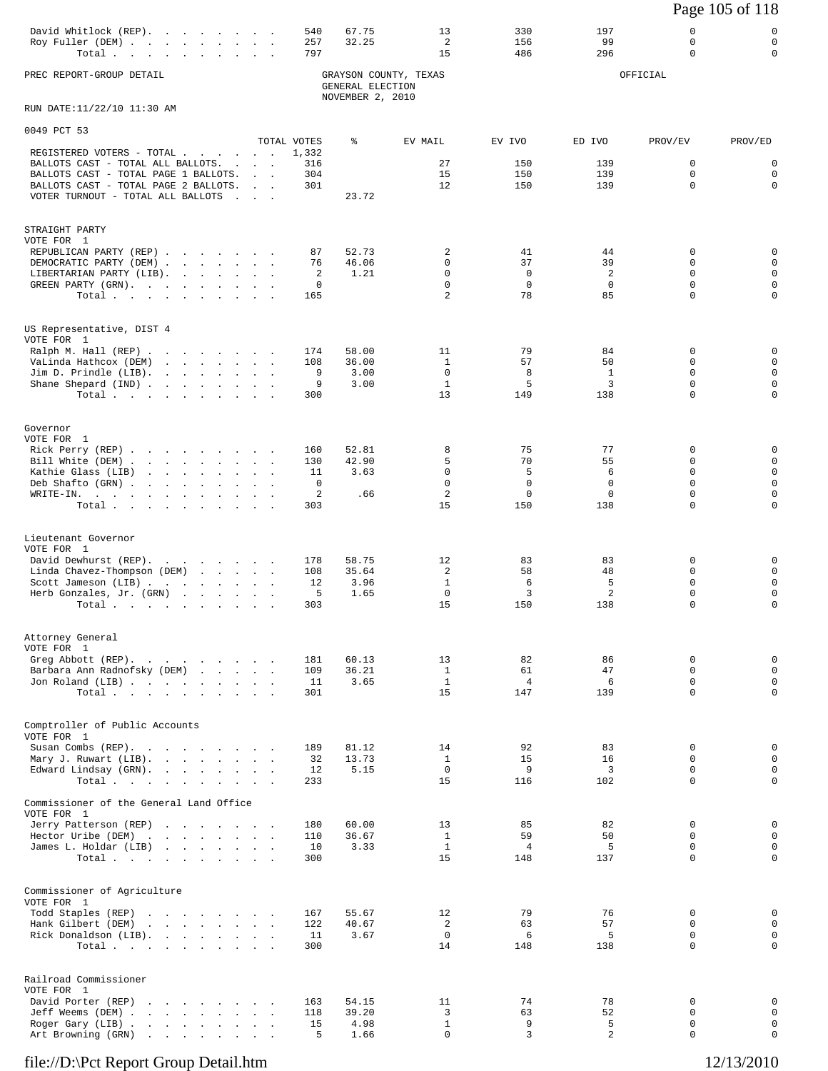# Page 105 of 118

| David Whitlock (REP). 540 67.75 |  |  |  |  |  | 330 | 197 |  |
|---------------------------------|--|--|--|--|--|-----|-----|--|
| Roy Fuller (DEM) 257 32.25      |  |  |  |  |  | 156 |     |  |
| Total 797                       |  |  |  |  |  | 486 | 296 |  |
|                                 |  |  |  |  |  |     |     |  |

PREC REPORT-GROUP DETAIL GRAYSON COUNTY, TEXAS OFFICIAL GENERAL ELECTION NOVEMBER 2, 2010

RUN DATE:11/22/10 11:30 AM

| 0049 PCT 53                                                                        |                                                             |                      |                |                             |                       |                |                         |                         |
|------------------------------------------------------------------------------------|-------------------------------------------------------------|----------------------|----------------|-----------------------------|-----------------------|----------------|-------------------------|-------------------------|
| REGISTERED VOTERS - TOTAL                                                          |                                                             | TOTAL VOTES<br>1,332 | ៖              | EV MAIL                     | EV IVO                | ED IVO         | PROV/EV                 | PROV/ED                 |
| BALLOTS CAST - TOTAL ALL BALLOTS.                                                  |                                                             | 316                  |                | 27                          | 150                   | 139            | 0                       | $\mathbf 0$             |
| BALLOTS CAST - TOTAL PAGE 1 BALLOTS.<br>BALLOTS CAST - TOTAL PAGE 2 BALLOTS.       |                                                             | 304<br>301           |                | 15<br>12                    | 150<br>150            | 139<br>139     | 0<br>$\Omega$           | $\mathbf 0$<br>$\Omega$ |
| VOTER TURNOUT - TOTAL ALL BALLOTS                                                  | $\mathcal{L}^{\text{max}}$ , and $\mathcal{L}^{\text{max}}$ |                      | 23.72          |                             |                       |                |                         |                         |
|                                                                                    |                                                             |                      |                |                             |                       |                |                         |                         |
| STRAIGHT PARTY                                                                     |                                                             |                      |                |                             |                       |                |                         |                         |
| VOTE FOR 1                                                                         |                                                             |                      |                |                             |                       |                |                         |                         |
| REPUBLICAN PARTY (REP)                                                             |                                                             | 87<br>76             | 52.73<br>46.06 | 2<br>$\Omega$               | 41<br>37              | 44<br>39       | 0<br>0                  | $\mathbf 0$<br>$\Omega$ |
| DEMOCRATIC PARTY (DEM)<br>LIBERTARIAN PARTY (LIB).                                 |                                                             | 2                    | 1.21           | $\mathbf 0$                 | $\mathbf 0$           | 2              | $\mathbf 0$             | 0                       |
| GREEN PARTY (GRN), , , , , , , , ,                                                 |                                                             | 0                    |                | $\mathbf 0$                 | $\mathbf 0$           | $\mathbf 0$    | 0                       | 0                       |
| Total                                                                              |                                                             | 165                  |                | 2                           | 78                    | 85             | $\mathbf 0$             | $\Omega$                |
|                                                                                    |                                                             |                      |                |                             |                       |                |                         |                         |
| US Representative, DIST 4                                                          |                                                             |                      |                |                             |                       |                |                         |                         |
| VOTE FOR 1<br>Ralph M. Hall (REP)                                                  |                                                             | 174                  | 58.00          | 11                          | 79                    | 84             | 0                       | 0                       |
| VaLinda Hathcox (DEM)                                                              |                                                             | 108                  | 36.00          | 1                           | 57                    | 50             | 0                       | 0                       |
| Join D. Prindle (LIB).                                                             |                                                             | 9                    | 3.00           | $\mathbf 0$                 | 8<br>5                | $\mathbf{1}$   | 0<br>0                  | 0<br>$\Omega$           |
| Shane Shepard (IND)<br>Total.                                                      |                                                             | 9<br>300             | 3.00           | $\mathbf{1}$<br>13          | 149                   | 3<br>138       | 0                       | 0                       |
|                                                                                    |                                                             |                      |                |                             |                       |                |                         |                         |
| Governor                                                                           |                                                             |                      |                |                             |                       |                |                         |                         |
| VOTE FOR 1                                                                         |                                                             |                      |                |                             |                       |                |                         |                         |
| Rick Perry (REP)                                                                   |                                                             | 160                  | 52.81          | 8                           | 75                    | 77             | 0                       | 0                       |
| Bill White (DEM)<br>Kathie Glass (LIB)                                             |                                                             | 130<br>11            | 42.90<br>3.63  | 5<br>$\mathbf 0$            | 70<br>5               | 55<br>6        | $\Omega$<br>$\mathbf 0$ | 0<br>0                  |
| Deb Shafto (GRN)                                                                   |                                                             | 0                    |                | $\mathbf 0$                 | $\mathbf 0$           | 0              | 0                       | $\Omega$                |
| WRITE-IN.                                                                          |                                                             | 2                    | .66            | $\overline{2}$              | $\mathbf 0$           | 0              | 0                       | 0                       |
| Total.                                                                             |                                                             | 303                  |                | 15                          | 150                   | 138            | $\mathbf 0$             | $\Omega$                |
|                                                                                    |                                                             |                      |                |                             |                       |                |                         |                         |
| Lieutenant Governor<br>VOTE FOR 1                                                  |                                                             |                      |                |                             |                       |                |                         |                         |
| David Dewhurst (REP).                                                              |                                                             | 178                  | 58.75          | 12                          | 83                    | 83             | 0                       | 0                       |
| Linda Chavez-Thompson (DEM)                                                        |                                                             | 108<br>12            | 35.64<br>3.96  | 2<br>$\mathbf{1}$           | 58<br>6               | 48<br>5        | 0<br>$\mathbf 0$        | 0<br>0                  |
| Scott Jameson (LIB)<br>Herb Gonzales, Jr. (GRN)                                    |                                                             | 5                    | 1.65           | 0                           | 3                     | $\overline{a}$ | 0                       | 0                       |
| Total                                                                              |                                                             | 303                  |                | 15                          | 150                   | 138            | $\mathbf 0$             | $\Omega$                |
|                                                                                    |                                                             |                      |                |                             |                       |                |                         |                         |
| Attorney General                                                                   |                                                             |                      |                |                             |                       |                |                         |                         |
| VOTE FOR 1<br>Greg Abbott (REP).                                                   |                                                             | 181                  | 60.13          | 13                          | 82                    | 86             | $\mathbf 0$             | 0                       |
| Barbara Ann Radnofsky (DEM)                                                        |                                                             | 109                  | 36.21          | $\mathbf{1}$                | 61                    | 47             | 0                       | 0                       |
| Jon Roland (LIB)                                                                   |                                                             | 11                   | 3.65           | 1                           | $\overline{4}$        | 6              | 0                       | 0                       |
| Total $\cdots$ $\cdots$ $\cdots$                                                   |                                                             | 301                  |                | 15                          | 147                   | 139            | 0                       | $\Omega$                |
|                                                                                    |                                                             |                      |                |                             |                       |                |                         |                         |
| Comptroller of Public Accounts<br>VOTE FOR 1                                       |                                                             |                      |                |                             |                       |                |                         |                         |
| Susan Combs (REP).                                                                 |                                                             | 189                  | 81.12          | 14                          | 92                    | 83             | 0                       | 0                       |
| Mary J. Ruwart (LIB).                                                              |                                                             | 32                   | 13.73          | $\mathbf{1}$<br>$\mathbf 0$ | 15<br>9               | 16<br>3        | $\mathbf 0$<br>$\Omega$ | $\mathbf 0$<br>0        |
| Edward Lindsay (GRN).<br>Total.                                                    |                                                             | 12<br>233            | 5.15           | 15                          | 116                   | 102            | $\mathbf 0$             | $\mathbf 0$             |
|                                                                                    |                                                             |                      |                |                             |                       |                |                         |                         |
| Commissioner of the General Land Office<br>VOTE FOR 1                              |                                                             |                      |                |                             |                       |                |                         |                         |
| Jerry Patterson (REP)                                                              |                                                             | 180                  | 60.00          | 13                          | 85                    | 82             | 0                       | 0                       |
| Hector Uribe (DEM)                                                                 |                                                             | 110                  | 36.67          | $\mathbf{1}$                | 59                    | 50             | 0                       | 0                       |
| James L. Holdar (LIB)<br>Total $\cdots$                                            |                                                             | 10<br>300            | 3.33           | $\mathbf{1}$<br>15          | $\overline{4}$<br>148 | 5<br>137       | 0<br>$\mathbf 0$        | 0<br>$\mathbf 0$        |
|                                                                                    |                                                             |                      |                |                             |                       |                |                         |                         |
| Commissioner of Agriculture                                                        |                                                             |                      |                |                             |                       |                |                         |                         |
| VOTE FOR 1                                                                         |                                                             |                      |                |                             |                       |                |                         |                         |
| Todd Staples (REP)                                                                 |                                                             | 167                  | 55.67          | 12                          | 79                    | 76             | 0<br>$\Omega$           | 0                       |
| Hank Gilbert (DEM)<br>the contract of the contract of the<br>Rick Donaldson (LIB). |                                                             | 122<br>11            | 40.67<br>3.67  | 2<br>$\mathbf 0$            | 63<br>6               | 57<br>5        | $\mathbf 0$             | 0<br>$\mathbf 0$        |
| Total $\cdots$                                                                     |                                                             | 300                  |                | 14                          | 148                   | 138            | 0                       | 0                       |
|                                                                                    |                                                             |                      |                |                             |                       |                |                         |                         |
| Railroad Commissioner                                                              |                                                             |                      |                |                             |                       |                |                         |                         |
| VOTE FOR 1<br>David Porter (REP)<br>and the company of the company of              |                                                             | 163                  | 54.15          | 11                          | 74                    | 78             | $\mathbf 0$             | 0                       |
| Jeff Weems (DEM)                                                                   |                                                             | 118                  | 39.20          | 3                           | 63                    | 52             | $\mathbf 0$             | $\mathbf 0$             |
| Roger Gary (LIB)                                                                   |                                                             | 15                   | 4.98           | $\mathbf{1}$                | 9                     | 5              | 0                       | $\mathbf 0$             |
| Art Browning (GRN)                                                                 |                                                             | 5                    | 1.66           | $\mathbf 0$                 | $\overline{3}$        | $\overline{a}$ | 0                       | $\Omega$                |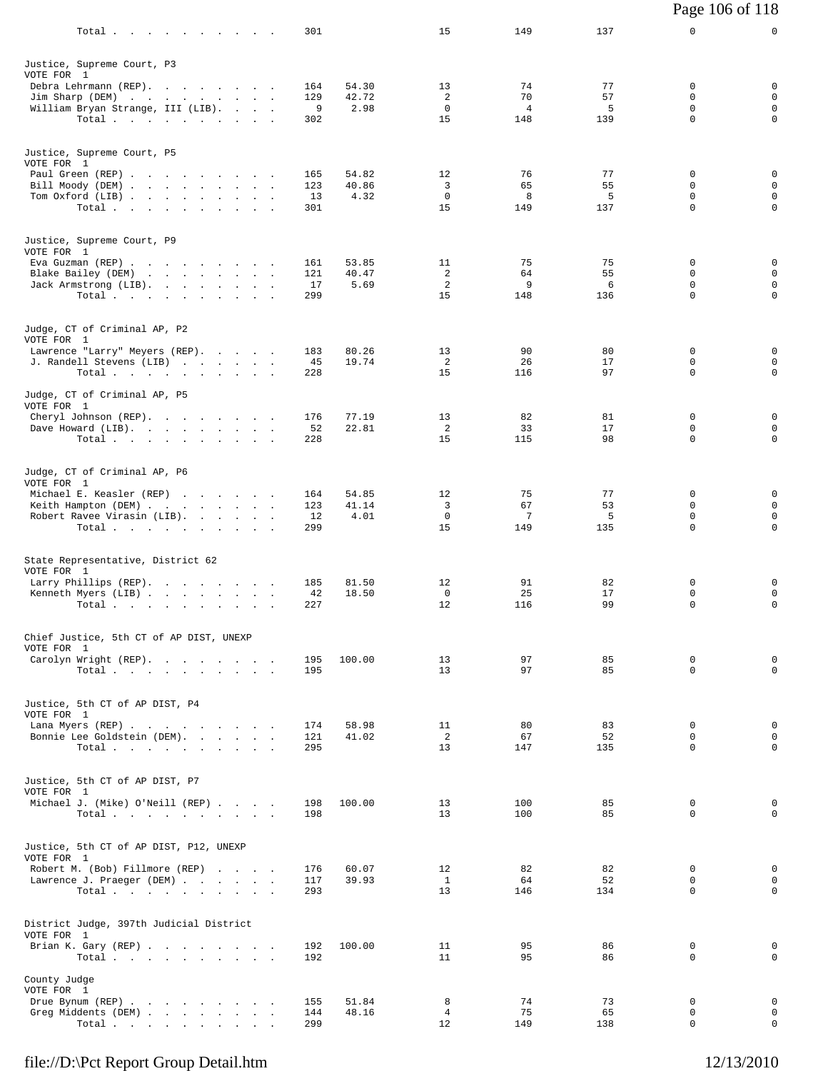|                                                       |            |                |                  |                |          | Page 106 of 118  |                            |
|-------------------------------------------------------|------------|----------------|------------------|----------------|----------|------------------|----------------------------|
| Total.                                                | 301        |                | 15               | 149            | 137      | 0                | 0                          |
| Justice, Supreme Court, P3<br>VOTE FOR 1              |            |                |                  |                |          |                  |                            |
| Debra Lehrmann (REP).<br>Jim Sharp (DEM)              | 164<br>129 | 54.30<br>42.72 | 13<br>2          | 74<br>70       | 77<br>57 | $\mathbf 0$<br>0 | 0<br>0                     |
| William Bryan Strange, III (LIB).                     | 9          | 2.98           | 0                | $\overline{4}$ | 5        | 0                | $\mathsf 0$                |
| Total                                                 | 302        |                | 15               | 148            | 139      | 0                | $\mathbf 0$                |
| Justice, Supreme Court, P5<br>VOTE FOR 1              |            |                |                  |                |          |                  |                            |
| Paul Green (REP)                                      | 165        | 54.82          | 12               | 76             | 77       | 0                | 0                          |
| Bill Moody (DEM)<br>Tom Oxford (LIB)                  | 123<br>13  | 40.86<br>4.32  | 3<br>$\mathbf 0$ | 65<br>8        | 55<br>5  | 0<br>0           | $\mathsf 0$<br>$\mathsf 0$ |
| Total                                                 | 301        |                | 15               | 149            | 137      | 0                | $\mathsf 0$                |
| Justice, Supreme Court, P9                            |            |                |                  |                |          |                  |                            |
| VOTE FOR 1<br>Eva Guzman (REP)                        | 161        | 53.85          | 11               | 75             | 75       | 0                | 0                          |
| Blake Bailey (DEM)<br>Jack Armstrong (LIB).           | 121<br>17  | 40.47<br>5.69  | 2<br>2           | 64<br>9        | 55<br>6  | 0<br>0           | $\mathsf 0$<br>$\mathsf 0$ |
| Total                                                 | 299        |                | 15               | 148            | 136      | $\mathbf 0$      | $\mathbf 0$                |
| Judge, CT of Criminal AP, P2                          |            |                |                  |                |          |                  |                            |
| VOTE FOR 1<br>Lawrence "Larry" Meyers (REP).          | 183        | 80.26          | 13               | 90             | 80       | 0                | 0                          |
| J. Randell Stevens (LIB)<br>Total                     | 45<br>228  | 19.74          | 2<br>15          | 26<br>116      | 17<br>97 | 0<br>$\mathbf 0$ | 0<br>$\mathbf 0$           |
| Judge, CT of Criminal AP, P5                          |            |                |                  |                |          |                  |                            |
| VOTE FOR 1<br>Cheryl Johnson (REP).                   | 176        | 77.19          | 13               | 82             | 81       | 0                | 0                          |
| Dave Howard (LIB).<br>$\sim$                          | 52         | 22.81          | 2                | 33             | 17       | 0                | $\mathsf 0$                |
| Total                                                 | 228        |                | 15               | 115            | 98       | 0                | 0                          |
| Judge, CT of Criminal AP, P6                          |            |                |                  |                |          |                  |                            |
| VOTE FOR 1<br>Michael E. Keasler (REP)                | 164        | 54.85          | 12               | 75             | 77       | 0                | 0                          |
| Keith Hampton (DEM)<br>Robert Ravee Virasin (LIB).    | 123<br>12  | 41.14<br>4.01  | 3<br>$^{\circ}$  | 67<br>7        | 53<br>5  | 0<br>0           | $\mathsf 0$<br>$\mathsf 0$ |
| Total                                                 | 299        |                | 15               | 149            | 135      | $\mathbf 0$      | 0                          |
| State Representative, District 62                     |            |                |                  |                |          |                  |                            |
| VOTE FOR 1<br>Larry Phillips (REP).                   | 185        | 81.50          | 12               | 91             | 82       | 0                | 0                          |
| Kenneth Myers (LIB)                                   | 42         | 18.50          | $\mathbf 0$      | 25             | 17<br>99 | 0<br>0           | $\mathsf 0$<br>0           |
| Total $\cdots$                                        | 227        |                | 12               | 116            |          |                  |                            |
| Chief Justice, 5th CT of AP DIST, UNEXP<br>VOTE FOR 1 |            |                |                  |                |          |                  |                            |
| Carolyn Wright (REP).                                 | 195        | 100.00         | 13               | 97             | 85       | 0                | 0                          |
| Total.                                                | 195        |                | 13               | 97             | 85       | $\Omega$         | $\mathbf 0$                |
| Justice, 5th CT of AP DIST, P4<br>VOTE FOR 1          |            |                |                  |                |          |                  |                            |
| Lana Myers (REP)<br>Bonnie Lee Goldstein (DEM).       | 174<br>121 | 58.98<br>41.02 | 11<br>2          | 80<br>67       | 83<br>52 | 0<br>0           | 0<br>0                     |
| Total.                                                | 295        |                | 13               | 147            | 135      | $\Omega$         | $\mathbf 0$                |
| Justice, 5th CT of AP DIST, P7                        |            |                |                  |                |          |                  |                            |
| VOTE FOR 1<br>Michael J. (Mike) O'Neill (REP)         | 198        | 100.00         | 13               | 100            | 85       | 0                | 0                          |
| Total $\cdots$                                        | 198        |                | 13 <sup>°</sup>  | 100            | 85       | $\Omega$         | $\Omega$                   |
| Justice, 5th CT of AP DIST, P12, UNEXP                |            |                |                  |                |          |                  |                            |
| VOTE FOR 1<br>Robert M. (Bob) Fillmore (REP)          | 176        | 60.07          | 12               | 82             | 82       | 0                | 0                          |
| Lawrence J. Praeger (DEM)                             | 117        | 39.93          | $\mathbf{1}$     | 64             | 52       | $\mathbf 0$      | $\mathbf 0$                |
| Total.                                                | 293        |                | 13               | 146            | 134      | 0                | 0                          |
| District Judge, 397th Judicial District<br>VOTE FOR 1 |            |                |                  |                |          |                  |                            |
| Brian K. Gary (REP)<br>Total                          | 192<br>192 | 100.00         | 11<br>11         | 95<br>95       | 86<br>86 | 0<br>$\mathbf 0$ | 0<br>$\mathbf 0$           |
| County Judge                                          |            |                |                  |                |          |                  |                            |
| VOTE FOR 1<br>Drue Bynum (REP)                        | 155        | 51.84          | 8                | 74             | 73       | 0                | $\mathbf 0$                |
| Greg Middents (DEM)                                   | 144        | 48.16          | 4                | 75             | 65       | 0                | 0                          |
| Total                                                 | 299        |                | 12               | 149            | 138      | $\mathbf 0$      | 0                          |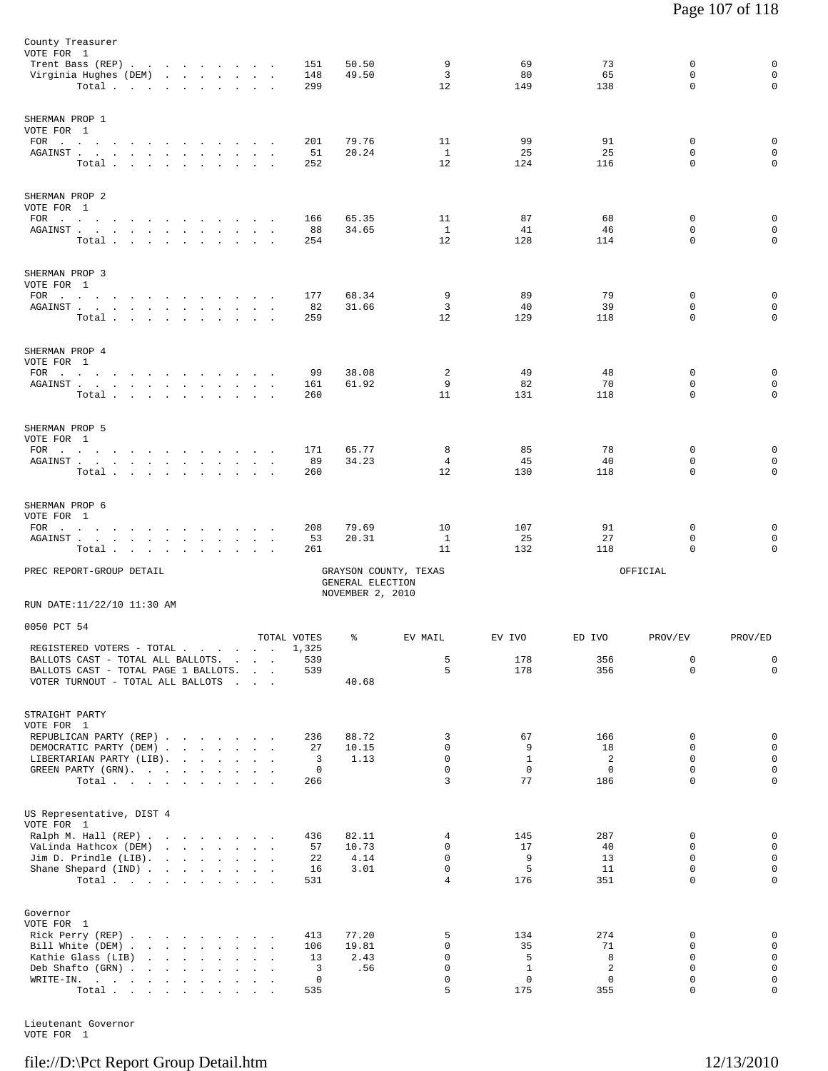| REPUBLICAN PARTY (REP)<br>DEMOCRATIC PARTY (DEM)<br>LIBERTARIAN PARTY (LIB).<br>GREEN PARTY (GRN).                                                                                                                                                                                                                                                                                                                 | Total                                                                                       |                          |        |              |                                                               | 236<br>27<br>3<br>$\mathsf{O}$<br>266 | 88.72<br>10.15<br>1.13               | 3<br>$\mathbf 0$<br>$\mathbf 0$<br>$\mathbf 0$<br>3 | 67<br>9<br>$\mathbf{1}$<br>$\mathbf 0$<br>77 | 166<br>18<br>2<br>$\overline{0}$<br>186 | 0<br>$\mathbf 0$<br>$\Omega$<br>$\mathbf 0$<br>0 | $\mathbf 0$<br>$\mathbf 0$<br>$\mathsf 0$<br>$\mathbf 0$<br>$\mathbf 0$ |
|--------------------------------------------------------------------------------------------------------------------------------------------------------------------------------------------------------------------------------------------------------------------------------------------------------------------------------------------------------------------------------------------------------------------|---------------------------------------------------------------------------------------------|--------------------------|--------|--------------|---------------------------------------------------------------|---------------------------------------|--------------------------------------|-----------------------------------------------------|----------------------------------------------|-----------------------------------------|--------------------------------------------------|-------------------------------------------------------------------------|
| REGISTERED VOTERS - TOTAL<br>BALLOTS CAST - TOTAL ALL BALLOTS.<br>BALLOTS CAST - TOTAL PAGE 1 BALLOTS.<br>VOTER TURNOUT - TOTAL ALL BALLOTS<br>STRAIGHT PARTY<br>VOTE FOR 1                                                                                                                                                                                                                                        |                                                                                             |                          |        |              | <b>Contract Contract</b><br><b>Contract Contract Contract</b> | TOTAL VOTES<br>1,325<br>539<br>539    | ៖<br>40.68                           | EV MAIL<br>5<br>5                                   | EV IVO<br>178<br>178                         | ED IVO<br>356<br>356                    | PROV/EV<br>0<br>$\Omega$                         | PROV/ED<br>0<br>$\mathbf 0$                                             |
| PREC REPORT-GROUP DETAIL<br>RUN DATE:11/22/10 11:30 AM<br>0050 PCT 54                                                                                                                                                                                                                                                                                                                                              |                                                                                             |                          |        |              |                                                               |                                       | GENERAL ELECTION<br>NOVEMBER 2, 2010 | GRAYSON COUNTY, TEXAS                               |                                              |                                         | OFFICIAL                                         |                                                                         |
| SHERMAN PROP 6<br>VOTE FOR 1<br>$FOR$<br>AGAINST                                                                                                                                                                                                                                                                                                                                                                   | Total                                                                                       | <b>Contract Contract</b> |        | $\sim$       | $\sim$                                                        | 208<br>53<br>261                      | 79.69<br>20.31                       | 10<br>$\mathbf{1}$<br>11                            | 107<br>25<br>132                             | 91<br>27<br>118                         | 0<br>0<br>0                                      | 0<br>0<br>$\mathbf 0$                                                   |
| SHERMAN PROP 5<br>VOTE FOR 1<br>FOR $\qquad \qquad \ldots \qquad \qquad \ldots \qquad \qquad \ldots \qquad \ldots$<br>AGAINST.                                                                                                                                                                                                                                                                                     | the company of the company of the company of<br>Total $\cdots$ $\cdots$ $\cdots$            |                          |        |              |                                                               | 171<br>89<br>260                      | 65.77<br>34.23                       | 8<br>$\overline{4}$<br>12                           | 85<br>45<br>130                              | 78<br>40<br>118                         | 0<br>0<br>$\mathbf 0$                            | 0<br>0<br>$\mathbf 0$                                                   |
| SHERMAN PROP 4<br>VOTE FOR 1<br>FOR $\cdots$ $\cdots$ $\cdots$<br>AGAINST                                                                                                                                                                                                                                                                                                                                          | Total $\cdots$ $\cdots$ $\cdots$                                                            | $\sim$ $\sim$            |        | $\sim$       | $\sim$                                                        | 99<br>161<br>260                      | 38.08<br>61.92                       | 2<br>9<br>11                                        | 49<br>82<br>131                              | 48<br>70<br>118                         | 0<br>0<br>0                                      | 0<br>0<br>$\mathbf 0$                                                   |
| SHERMAN PROP 3<br>VOTE FOR 1<br>$FOR$<br>AGAINST.<br>Total .                                                                                                                                                                                                                                                                                                                                                       | the contract of the contract of the con-<br>the contract of the contract of the contract of |                          | $\sim$ | $\mathbf{r}$ | $\sim$                                                        | 177<br>82<br>259                      | 68.34<br>31.66                       | 9<br>3<br>12                                        | 89<br>40<br>129                              | 79<br>39<br>118                         | 0<br>$\Omega$<br>0                               | 0<br>0<br>$\mathbf 0$                                                   |
| SHERMAN PROP 2<br>VOTE FOR 1<br>FOR $\qquad \qquad \ldots \qquad \qquad \ldots \qquad \qquad \ldots \qquad \ldots \qquad \ldots$<br>${\tt AGAINST} \hspace{0.1in} . \hspace{0.1in} . \hspace{0.1in} . \hspace{0.1in} . \hspace{0.1in} . \hspace{0.1in} . \hspace{0.1in} . \hspace{0.1in} . \hspace{0.1in} . \hspace{0.1in} . \hspace{0.1in} . \hspace{0.1in} . \hspace{0.1in} . \hspace{0.1in} . \hspace{0.1in} .$ | Total $\cdots$ $\cdots$ $\cdots$                                                            |                          |        |              | $\sim 10^{-11}$<br>$\sim$                                     | 166<br>88<br>254                      | 65.35<br>34.65                       | 11<br><sup>1</sup><br>12                            | 87<br>41<br>128                              | 68<br>46<br>114                         | 0<br>0<br>$\mathbf 0$                            | 0<br>0<br>$\mathbf 0$                                                   |
| SHERMAN PROP 1<br>VOTE FOR 1<br>FOR $\qquad \qquad \ldots \qquad \qquad \ldots \qquad \qquad \ldots \qquad \ldots$<br>AGAINST.                                                                                                                                                                                                                                                                                     | the state of the state of the state of<br>Total                                             | $\sim 10^{-11}$          |        | $\mathbf{r}$ | $\sim$<br>$\ddot{\phantom{a}}$                                | 201<br>51<br>252                      | 79.76<br>20.24                       | 11<br>1<br>12                                       | 99<br>25<br>124                              | 91<br>25<br>116                         | 0<br>0<br>$\mathbf 0$                            | $\mathbf 0$<br>0<br>$\mathbf 0$                                         |
| VOTE FOR 1<br>Trent Bass (REP)<br>Virginia Hughes (DEM)                                                                                                                                                                                                                                                                                                                                                            | Total                                                                                       |                          |        |              | $\sim$ $\sim$                                                 | 151<br>148<br>299                     | 50.50<br>49.50                       | 9<br>3<br>12                                        | 69<br>80<br>149                              | 73<br>65<br>138                         | 0<br>0<br>0                                      | 0<br>$\mathbf 0$<br>$\mathbf 0$                                         |

Lieutenant Governor

VOTE FOR 1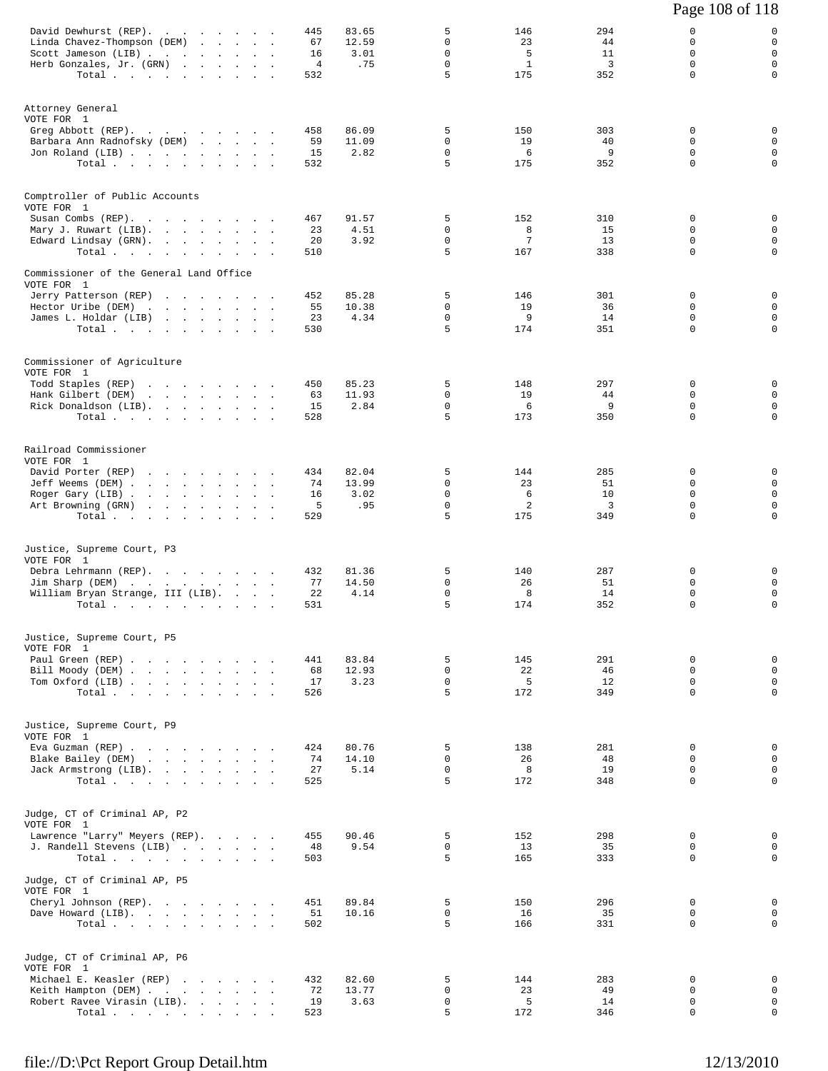|                                                                                                                                                          |  |                                          |                               |                                                      |                                        |                                          | Page 108 of 118                                         |                                                               |
|----------------------------------------------------------------------------------------------------------------------------------------------------------|--|------------------------------------------|-------------------------------|------------------------------------------------------|----------------------------------------|------------------------------------------|---------------------------------------------------------|---------------------------------------------------------------|
| David Dewhurst (REP).<br>Linda Chavez-Thompson (DEM)<br>Scott Jameson (LIB)<br>Herb Gonzales, Jr. (GRN)<br>Total $\cdots$                                |  | 445<br>67<br>16<br>$\overline{4}$<br>532 | 83.65<br>12.59<br>3.01<br>.75 | 5<br>$\mathbf 0$<br>$\mathbf 0$<br>$\mathsf{O}$<br>5 | 146<br>23<br>-5<br>$\mathbf{1}$<br>175 | 294<br>44<br>11<br>$\overline{3}$<br>352 | 0<br>$\mathbf 0$<br>$\Omega$<br>$\mathbf 0$<br>$\Omega$ | 0<br>$\mathbf 0$<br>$\mathbf 0$<br>$\mathbf 0$<br>$\mathbf 0$ |
| Attorney General<br>VOTE FOR 1<br>Greg Abbott (REP).<br>Barbara Ann Radnofsky (DEM)<br>Jon Roland (LIB)<br>Total                                         |  | 458<br>59<br>15<br>532                   | 86.09<br>11.09<br>2.82        | 5<br>0<br>$\mathbf 0$<br>5                           | 150<br>19<br>6<br>175                  | 303<br>40<br>9<br>352                    | 0<br>0<br>0<br>$\mathbf 0$                              | 0<br>$\mathbf 0$<br>$\mathbf 0$<br>$\mathbf 0$                |
| Comptroller of Public Accounts<br>VOTE FOR 1<br>Susan Combs (REP).<br>Mary J. Ruwart (LIB).<br>Edward Lindsay (GRN).<br>Total $\cdots$ $\cdots$ $\cdots$ |  | 467<br>23<br>20<br>510                   | 91.57<br>4.51<br>3.92         | 5<br>0<br>$\mathbf 0$<br>5                           | 152<br>8<br>7<br>167                   | 310<br>15<br>13<br>338                   | 0<br>0<br>$\mathbf 0$<br>0                              | 0<br>$\mathbf 0$<br>$\mathbf 0$<br>$\mathbf 0$                |
| Commissioner of the General Land Office<br>VOTE FOR 1<br>Jerry Patterson (REP)<br>Hector Uribe (DEM)<br>James L. Holdar (LIB)<br>Total $\cdots$          |  | 452<br>55<br>23<br>530                   | 85.28<br>10.38<br>4.34        | 5<br>$\mathbf 0$<br>$\mathsf{O}$<br>5                | 146<br>19<br>9<br>174                  | 301<br>36<br>14<br>351                   | 0<br>0<br>$\mathbf 0$<br>$\Omega$                       | $\mathbf 0$<br>0<br>$\mathbf 0$<br>$\mathbf 0$                |
| Commissioner of Agriculture<br>VOTE FOR 1<br>Todd Staples (REP)<br>Hank Gilbert (DEM)<br>Rick Donaldson (LIB).<br>Total $\cdots$                         |  | 450<br>63<br>15<br>528                   | 85.23<br>11.93<br>2.84        | 5<br>$\mathbf 0$<br>$\mathbf 0$<br>5                 | 148<br>19<br>6<br>173                  | 297<br>44<br>9<br>350                    | 0<br>0<br>0<br>$\mathbf 0$                              | 0<br>$\mathbf 0$<br>$\mathsf 0$<br>$\mathbf 0$                |
| Railroad Commissioner<br>VOTE FOR 1<br>David Porter (REP)<br>Jeff Weems (DEM)<br>Roger Gary (LIB)<br>Art Browning (GRN)<br>Total                         |  | 434<br>$\sim$<br>74<br>16<br>5<br>529    | 82.04<br>13.99<br>3.02<br>.95 | 5<br>$\Omega$<br>$\mathsf 0$<br>$\mathbf 0$<br>5     | 144<br>23<br>6<br>2<br>175             | 285<br>51<br>10<br>3<br>349              | 0<br>$\Omega$<br>$\mathbf 0$<br>0<br>$\Omega$           | 0<br>$\mathbf 0$<br>$\mathbf 0$<br>$\mathsf 0$<br>$\mathbf 0$ |
| Justice, Supreme Court, P3<br>VOTE FOR 1<br>Debra Lehrmann (REP).<br>Jim Sharp (DEM)<br>William Bryan Strange, III (LIB).<br>Total                       |  | 432<br>77<br>22<br>531                   | 81.36<br>14.50<br>4.14        | 5<br>$\mathbf 0$<br>$\mathbf 0$<br>5                 | 140<br>26<br>8<br>174                  | 287<br>51<br>14<br>352                   | 0<br>0<br>$\mathbf 0$<br>$\Omega$                       | 0<br>$\mathbf 0$<br>$\mathsf 0$<br>$\mathbf 0$                |
| Justice, Supreme Court, P5<br>VOTE FOR 1<br>Paul Green (REP)<br>Bill Moody (DEM)<br>Tom Oxford (LIB)<br>Total                                            |  | 441<br>68<br>17<br>526                   | 83.84<br>12.93<br>3.23        | 5<br>$\mathbf 0$<br>$\mathbf 0$<br>5                 | 145<br>22<br>5<br>172                  | 291<br>46<br>12<br>349                   | $\mathbf 0$<br>$\Omega$<br>0<br>$\Omega$                | 0<br>$\mathbf 0$<br>$\mathbf 0$<br>$\mathbf 0$                |
| Justice, Supreme Court, P9<br>VOTE FOR 1<br>Eva Guzman (REP)<br>Blake Bailey (DEM)<br>Jack Armstrong (LIB).<br>Total                                     |  | 424<br>74<br>27<br>525                   | 80.76<br>14.10<br>5.14        | 5<br>$\Omega$<br>$\mathbf 0$<br>5                    | 138<br>26<br>8<br>172                  | 281<br>48<br>19<br>348                   | $\mathbf 0$<br>$\Omega$<br>$\mathbf 0$<br>$\Omega$      | 0<br>$\mathbf 0$<br>$\mathbf 0$<br>$\mathbf 0$                |
| Judge, CT of Criminal AP, P2<br>VOTE FOR 1<br>Lawrence "Larry" Meyers (REP).<br>J. Randell Stevens (LIB)<br>Total                                        |  | 455<br>48<br>503                         | 90.46<br>9.54                 | 5<br>$\mathbf 0$<br>5                                | 152<br>13<br>165                       | 298<br>35<br>333                         | $\mathbf 0$<br>$\mathbf 0$<br>$\Omega$                  | $\mathbf 0$<br>$\mathbf 0$<br>$\mathbf 0$                     |
| Judge, CT of Criminal AP, P5<br>VOTE FOR 1<br>Cheryl Johnson (REP).<br>Dave Howard (LIB).<br>Total                                                       |  | 451<br>51<br>502                         | 89.84<br>10.16                | 5<br>$\Omega$<br>5                                   | 150<br>16<br>166                       | 296<br>35<br>331                         | 0<br>$\Omega$<br>$\mathbf 0$                            | $\mathbf{0}$<br>$\mathbf{0}$<br>$\mathbf 0$                   |
| Judge, CT of Criminal AP, P6<br>VOTE FOR 1<br>Michael E. Keasler (REP)<br>Keith Hampton (DEM)<br>Robert Ravee Virasin (LIB).<br>Total                    |  | 432<br>72<br>19<br>523                   | 82.60<br>13.77<br>3.63        | 5<br>0<br>$\mathsf{O}$<br>5                          | 144<br>23<br>5<br>172                  | 283<br>49<br>14<br>346                   | 0<br>$\mathbf 0$<br>0<br>$\mathbf 0$                    | $\mathbf 0$<br>$\mathbf 0$<br>$\mathbf 0$<br>$\mathbf 0$      |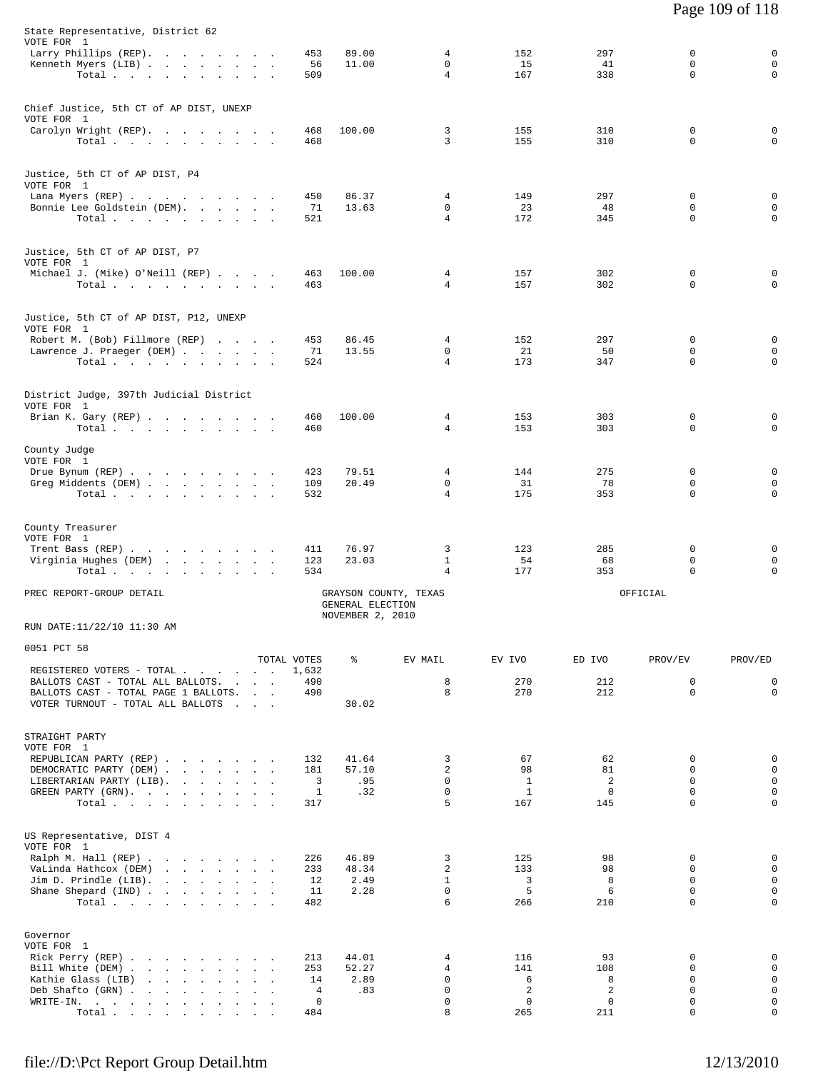| Jim D. Prindle $(LIB)$ .<br>Shane Shepard (IND)<br>Total<br>Governor<br>VOTE FOR 1<br>Rick Perry (REP)                                                     | 12<br>11<br>482<br>213      | 2.49<br>2.28<br>44.01                                         | $\mathbf{1}$<br>$\mathbf 0$<br>6<br>4  | $\overline{3}$<br>5<br>266<br>116               | 8<br>6<br>210<br>93                 | $\Omega$<br>$\mathbf 0$<br>$\Omega$<br>0                | $\mathbf{0}$<br>$\mathbf 0$<br>$\mathbf 0$<br>0     |
|------------------------------------------------------------------------------------------------------------------------------------------------------------|-----------------------------|---------------------------------------------------------------|----------------------------------------|-------------------------------------------------|-------------------------------------|---------------------------------------------------------|-----------------------------------------------------|
| US Representative, DIST 4<br>VOTE FOR 1<br>Ralph M. Hall (REP)<br>VaLinda Hathcox (DEM)                                                                    | 226<br>233                  | 46.89<br>48.34                                                | 3<br>2                                 | 125<br>133                                      | 98<br>98                            | $\Omega$<br>0                                           | $\mathbf 0$<br>$\mathbf 0$                          |
| STRAIGHT PARTY<br>VOTE FOR 1<br>REPUBLICAN PARTY (REP)<br>DEMOCRATIC PARTY (DEM)<br>LIBERTARIAN PARTY (LIB).<br>GREEN PARTY (GRN).<br>Total,               | 132<br>181<br>3<br>1<br>317 | 41.64<br>57.10<br>.95<br>.32                                  | 3<br>2<br>$\Omega$<br>$\mathbf 0$<br>5 | 67<br>98<br>$\mathbf{1}$<br>$\mathbf{1}$<br>167 | 62<br>81<br>2<br>$\mathbf 0$<br>145 | 0<br>$\mathbf 0$<br>$\Omega$<br>$\mathbf 0$<br>$\Omega$ | 0<br>$\mathbf 0$<br>$\mathbf 0$<br>0<br>$\mathbf 0$ |
| TOTAL VOTES<br>REGISTERED VOTERS - TOTAL<br>BALLOTS CAST - TOTAL ALL BALLOTS.<br>BALLOTS CAST - TOTAL PAGE 1 BALLOTS.<br>VOTER TURNOUT - TOTAL ALL BALLOTS | 1,632<br>490<br>490         | ៖<br>30.02                                                    | EV MAIL<br>8<br>8                      | EV IVO<br>270<br>270                            | ED IVO<br>212<br>212                | PROV/EV<br>0<br>$\Omega$                                | PROV/ED<br>$\mathsf 0$<br>$\Omega$                  |
| RUN DATE:11/22/10 11:30 AM<br>0051 PCT 58                                                                                                                  |                             |                                                               |                                        |                                                 |                                     |                                                         |                                                     |
| PREC REPORT-GROUP DETAIL                                                                                                                                   |                             | GRAYSON COUNTY, TEXAS<br>GENERAL ELECTION<br>NOVEMBER 2, 2010 |                                        |                                                 |                                     | OFFICIAL                                                |                                                     |
| County Treasurer<br>VOTE FOR 1<br>Trent Bass (REP)<br>Virginia Hughes (DEM)<br>Total                                                                       | 411<br>123<br>534           | 76.97<br>23.03                                                | 3<br>$\mathbf{1}$<br>4                 | 123<br>54<br>177                                | 285<br>68<br>353                    | $\mathbf 0$<br>0<br>$\mathbf 0$                         | 0<br>$\mathbf 0$<br>$\mathbf 0$                     |
| County Judge<br>VOTE FOR 1<br>Drue Bynum (REP)<br>Greg Middents (DEM)<br>Total                                                                             | 423<br>109<br>532           | 79.51<br>20.49                                                | 4<br>$\mathbf 0$<br>$\overline{4}$     | 144<br>31<br>175                                | 275<br>78<br>353                    | 0<br>0<br>$\mathbf 0$                                   | 0<br>$\mathsf 0$<br>$\mathbf 0$                     |
| District Judge, 397th Judicial District<br>VOTE FOR 1<br>Brian K. Gary (REP)<br>Total                                                                      | 460<br>460                  | 100.00                                                        | 4<br>4                                 | 153<br>153                                      | 303<br>303                          | 0<br>0                                                  | 0<br>$\mathbf 0$                                    |
| Justice, 5th CT of AP DIST, P12, UNEXP<br>VOTE FOR 1<br>Robert M. (Bob) Fillmore (REP)<br>Lawrence J. Praeger (DEM)<br>Total.                              | 453<br>71<br>524            | 86.45<br>13.55                                                | 4<br>$\mathbf 0$<br>4                  | 152<br>21<br>173                                | 297<br>50<br>347                    | $\mathbf 0$<br>$\mathbf 0$<br>0                         | 0<br>$\mathbf 0$<br>$\mathbf 0$                     |
| Justice, 5th CT of AP DIST, P7<br>VOTE FOR 1<br>Michael J. (Mike) O'Neill (REP)<br>Total $\cdots$ $\cdots$ $\cdots$ $\cdots$                               | 463<br>463                  | 100.00                                                        | 4<br>4                                 | 157<br>157                                      | 302<br>302                          | $\mathbf 0$<br>0                                        | 0<br>0                                              |
| Justice, 5th CT of AP DIST, P4<br>VOTE FOR 1<br>Lana Myers (REP)<br>Bonnie Lee Goldstein (DEM).<br>Total                                                   | 450<br>71<br>521            | 86.37<br>13.63                                                | 4<br>0<br>$\overline{4}$               | 149<br>23<br>172                                | 297<br>48<br>345                    | 0<br>0<br>$\mathbf 0$                                   | 0<br>0<br>$\mathbf 0$                               |
| Chief Justice, 5th CT of AP DIST, UNEXP<br>VOTE FOR 1<br>Carolyn Wright (REP).<br>Total                                                                    | 468<br>468                  | 100.00                                                        | 3<br>3                                 | 155<br>155                                      | 310<br>310                          | 0<br>$\mathbf 0$                                        | 0<br>$\mathbf 0$                                    |
| State Representative, District 62<br>VOTE FOR 1<br>Larry Phillips (REP).<br>Kenneth Myers (LIB)<br>Total                                                   | 453<br>56<br>509            | 89.00<br>11.00                                                | 4<br>$\mathbf 0$<br>4                  | 152<br>15<br>167                                | 297<br>41<br>338                    | 0<br>$\mathbf 0$<br>0                                   | 0<br>$\mathbf 0$<br>$\mathbf 0$                     |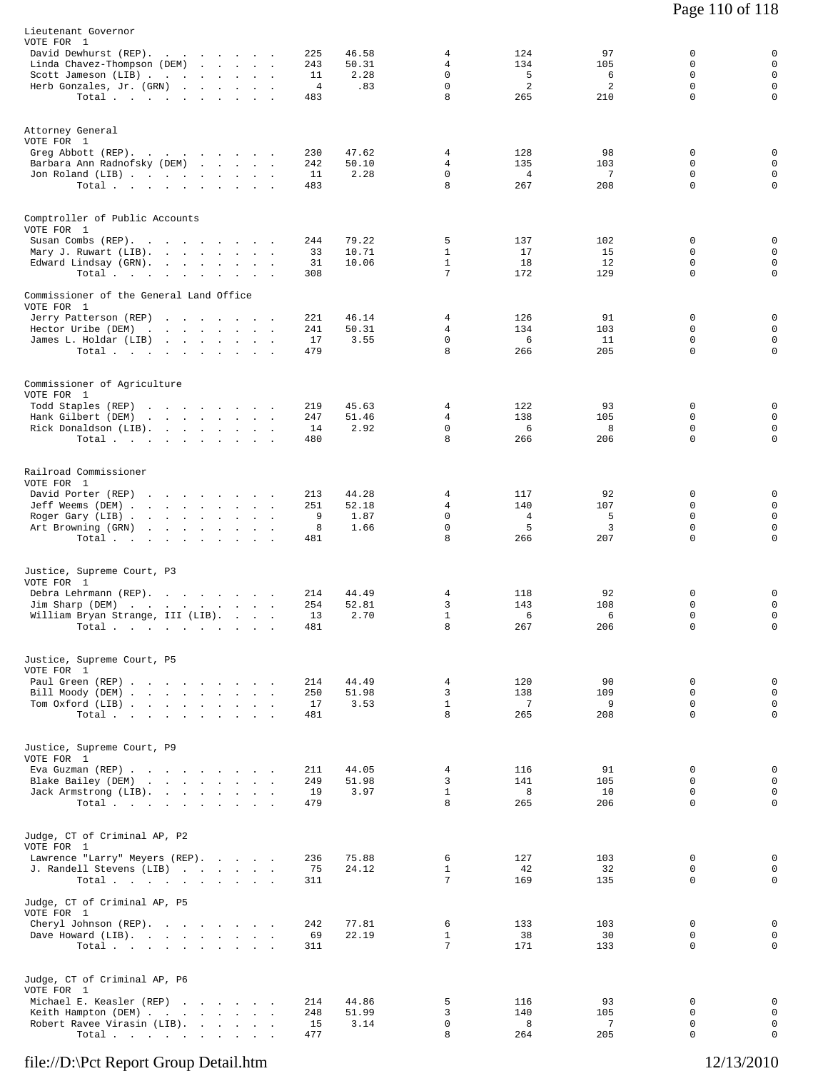| Lieutenant Governor<br>VOTE FOR 1<br>David Dewhurst (REP).<br>Linda Chavez-Thompson (DEM)<br>Scott Jameson (LIB)<br>Herb Gonzales, Jr. (GRN)<br>Total $\cdots$ | the company of the company of | the contract of the contract |        | 225<br>243<br>11<br>$\overline{4}$<br>483 | 46.58<br>50.31<br>2.28<br>.83  | 4<br>4<br>0<br>0<br>8                  | 124<br>134<br>5<br>$\overline{a}$<br>265 | 97<br>105<br>6<br>2<br>210 | 0<br>$\mathbf 0$<br>0<br>$\mathsf 0$<br>$\mathbf 0$      | 0<br>$\mathsf 0$<br>$\mathsf 0$<br>$\mathsf 0$<br>0 |
|----------------------------------------------------------------------------------------------------------------------------------------------------------------|-------------------------------|------------------------------|--------|-------------------------------------------|--------------------------------|----------------------------------------|------------------------------------------|----------------------------|----------------------------------------------------------|-----------------------------------------------------|
| Attorney General<br>VOTE FOR 1<br>Greg Abbott (REP).<br>Barbara Ann Radnofsky (DEM)<br>Jon Roland (LIB)<br>Total                                               |                               | the company of the company   |        | 230<br>242<br>11<br>483                   | 47.62<br>50.10<br>2.28         | 4<br>4<br>0<br>8                       | 128<br>135<br>$\overline{4}$<br>267      | 98<br>103<br>7<br>208      | 0<br>0<br>0<br>0                                         | 0<br>$\mathsf 0$<br>$\mathsf 0$<br>$\mathsf 0$      |
| Comptroller of Public Accounts<br>VOTE FOR 1<br>Susan Combs (REP).<br>Mary J. Ruwart (LIB).<br>Edward Lindsay (GRN).<br>Total                                  |                               |                              |        | 244<br>33<br>31<br>308                    | 79.22<br>10.71<br>10.06        | 5<br>$\mathbf{1}$<br>$\mathbf{1}$<br>7 | 137<br>17<br>18<br>172                   | 102<br>15<br>12<br>129     | 0<br>0<br>0<br>$\mathbf 0$                               | 0<br>0<br>$\mathsf 0$<br>$\mathbf 0$                |
| Commissioner of the General Land Office<br>VOTE FOR 1<br>Jerry Patterson (REP)<br>Hector Uribe (DEM)<br>James L. Holdar (LIB)<br>Total                         |                               |                              |        | 221<br>241<br>17<br>479                   | 46.14<br>50.31<br>3.55         | 4<br>4<br>$\mathbf 0$<br>8             | 126<br>134<br>6<br>266                   | 91<br>103<br>11<br>205     | 0<br>0<br>$\mathbf 0$<br>$\mathbf 0$                     | 0<br>0<br>0<br>$\mathbf 0$                          |
| Commissioner of Agriculture<br>VOTE FOR 1<br>Todd Staples (REP)<br>Hank Gilbert (DEM)<br>Rick Donaldson (LIB).<br>Total                                        |                               |                              |        | 219<br>247<br>14<br>480                   | 45.63<br>51.46<br>2.92         | 4<br>$\overline{4}$<br>$\Omega$<br>8   | 122<br>138<br>6<br>266                   | 93<br>105<br>8<br>206      | 0<br>0<br>0<br>0                                         | 0<br>0<br>0<br>0                                    |
| Railroad Commissioner<br>VOTE FOR 1<br>David Porter (REP)<br>Jeff Weems (DEM)<br>Roger Gary (LIB)<br>Art Browning (GRN)<br>Total                               |                               | <b>Service</b>               | $\sim$ | 213<br>251<br>9<br>8<br>481               | 44.28<br>52.18<br>1.87<br>1.66 | 4<br>4<br>0<br>$\mathbf 0$<br>8        | 117<br>140<br>4<br>5<br>266              | 92<br>107<br>5<br>3<br>207 | 0<br>0<br>0<br>$\mathbf 0$<br>$\Omega$                   | 0<br>0<br>$\mathsf 0$<br>0<br>0                     |
| Justice, Supreme Court, P3<br>VOTE FOR 1<br>Debra Lehrmann (REP).<br>Jim Sharp (DEM)<br>William Bryan Strange, III (LIB).<br>Total                             |                               | $\ddot{\phantom{a}}$         |        | 214<br>254<br>13<br>481                   | 44.49<br>52.81<br>2.70         | 4<br>3<br>$\mathbf{1}$<br>8            | 118<br>143<br>6<br>267                   | 92<br>108<br>6<br>206      | 0<br>0<br>0<br>$\mathbf 0$                               | 0<br>$\mathsf 0$<br>0<br>0                          |
| Justice, Supreme Court, P5<br>VOTE FOR 1<br>Paul Green (REP)<br>Bill Moody (DEM)<br>Tom Oxford (LIB)<br>Total                                                  |                               |                              |        | 214<br>250<br>17<br>481                   | 44.49<br>51.98<br>3.53         | 4<br>3<br>$\mathbf{1}$<br>8            | 120<br>138<br>7<br>265                   | 90<br>109<br>9<br>208      | $\mathbf 0$<br>$\mathbf 0$<br>$\mathbf 0$<br>$\mathbf 0$ | 0<br>$\mathbf 0$<br>$\mathbf 0$<br>0                |
| Justice, Supreme Court, P9<br>VOTE FOR 1<br>Eva Guzman (REP)<br>Blake Bailey (DEM)<br>Jack Armstrong (LIB).<br>Total.                                          |                               |                              |        | 211<br>249<br>19<br>479                   | 44.05<br>51.98<br>3.97         | 4<br>3<br>$\mathbf{1}$<br>8            | 116<br>141<br>8<br>265                   | 91<br>105<br>10<br>206     | $\mathbf 0$<br>0<br>0<br>$\mathbf 0$                     | 0<br>$\mathbf 0$<br>$\mathsf 0$<br>$\mathbf 0$      |
| Judge, CT of Criminal AP, P2<br>VOTE FOR 1<br>Lawrence "Larry" Meyers (REP).<br>J. Randell Stevens (LIB)<br>Total                                              |                               |                              |        | 236<br>75<br>311                          | 75.88<br>24.12                 | 6<br>$\mathbf{1}$<br>7                 | 127<br>42<br>169                         | 103<br>32<br>135           | $\Omega$<br>0<br>0                                       | 0<br>0<br>$\mathbf 0$                               |
| Judge, CT of Criminal AP, P5<br>VOTE FOR 1<br>Cheryl Johnson (REP).<br>Dave Howard (LIB).<br>Total                                                             |                               |                              |        | 242<br>69<br>311                          | 77.81<br>22.19                 | 6<br>$\mathbf{1}$<br>7                 | 133<br>38<br>171                         | 103<br>30<br>133           | 0<br>$\mathbf 0$<br>0                                    | 0<br>$\mathbf 0$<br>0                               |
| Judge, CT of Criminal AP, P6<br>VOTE FOR 1<br>Michael E. Keasler (REP)<br>Keith Hampton (DEM)<br>Robert Ravee Virasin (LIB).<br>Total.                         |                               |                              |        | 214<br>248<br>15<br>477                   | 44.86<br>51.99<br>3.14         | 5<br>3<br>$\mathbf 0$<br>8             | 116<br>140<br>8<br>264                   | 93<br>105<br>7<br>205      | 0<br>$\Omega$<br>$\mathsf 0$<br>0                        | 0<br>$\mathbf 0$<br>0<br>0                          |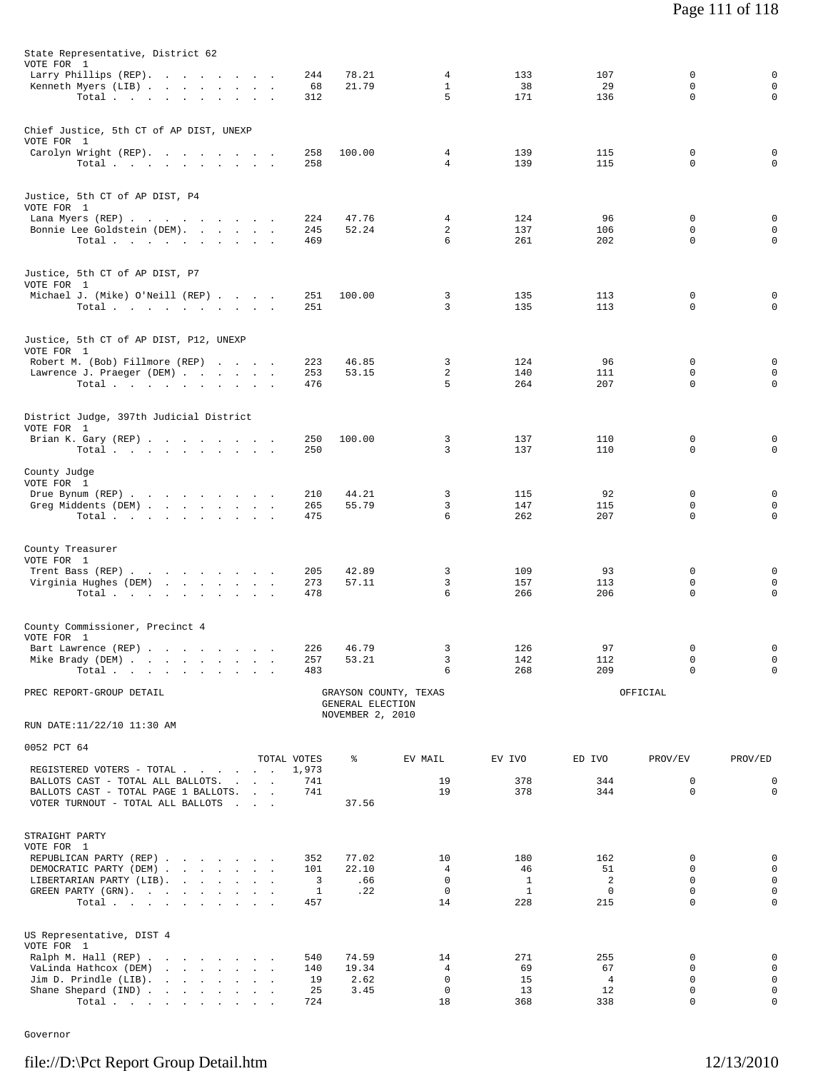| State Representative, District 62                                         |              |                                      |                       |                    |                      |                  |          |
|---------------------------------------------------------------------------|--------------|--------------------------------------|-----------------------|--------------------|----------------------|------------------|----------|
| VOTE FOR 1<br>Larry Phillips (REP).                                       | 244          | 78.21                                | 4                     | 133                | 107                  | 0                | 0        |
| Kenneth Myers (LIB)                                                       | 68           | 21.79                                | $\mathbf{1}$          | 38                 | 29                   | 0                |          |
| Total.                                                                    | 312          |                                      | 5                     | 171                | 136                  | 0                | 0        |
| Chief Justice, 5th CT of AP DIST, UNEXP                                   |              |                                      |                       |                    |                      |                  |          |
| VOTE FOR 1                                                                | 258          | 100.00                               | 4                     | 139                | 115                  | 0                | 0        |
| Carolyn Wright (REP).<br>Total                                            | 258          |                                      | $\overline{4}$        | 139                | 115                  | $\mathbf 0$      | O        |
|                                                                           |              |                                      |                       |                    |                      |                  |          |
| Justice, 5th CT of AP DIST, P4<br>VOTE FOR 1                              |              |                                      |                       |                    |                      |                  |          |
| Lana Myers (REP)                                                          | 224          | 47.76                                | 4                     | 124                | 96                   | 0                | 0        |
| Bonnie Lee Goldstein (DEM).<br>Total.                                     | 245<br>469   | 52.24                                | 2<br>6                | 137<br>261         | 106<br>202           | 0<br>$\mathbf 0$ | O        |
|                                                                           |              |                                      |                       |                    |                      |                  |          |
| Justice, 5th CT of AP DIST, P7<br>VOTE FOR 1                              |              |                                      |                       |                    |                      |                  |          |
| Michael J. (Mike) O'Neill (REP)                                           | 251          | 100.00                               | 3                     | 135                | 113                  | 0                | 0        |
| Total $\cdots$                                                            | 251          |                                      | 3                     | 135                | 113                  | 0                | 0        |
| Justice, 5th CT of AP DIST, P12, UNEXP                                    |              |                                      |                       |                    |                      |                  |          |
| VOTE FOR 1                                                                |              |                                      |                       |                    |                      |                  |          |
| Robert M. (Bob) Fillmore (REP)<br>Lawrence J. Praeger (DEM)               | 223<br>253   | 46.85<br>53.15                       | 3<br>2                | 124<br>140         | 96<br>111            | 0<br>0           | U        |
| Total.                                                                    | 476          |                                      | 5                     | 264                | 207                  | 0                | 0        |
|                                                                           |              |                                      |                       |                    |                      |                  |          |
| District Judge, 397th Judicial District<br>VOTE FOR 1                     |              |                                      |                       |                    |                      |                  |          |
| Brian K. Gary (REP)                                                       | 250          | 100.00                               | 3                     | 137                | 110                  | 0                | 0        |
| Total $\cdots$                                                            | 250          |                                      | 3                     | 137                | 110                  | 0                | 0        |
| County Judge                                                              |              |                                      |                       |                    |                      |                  |          |
| VOTE FOR 1<br>Drue Bynum (REP)                                            | 210          | 44.21                                | 3                     | 115                | 92                   | 0                |          |
| Greg Middents (DEM)                                                       | 265          | 55.79                                | 3                     | 147                | 115                  | 0                | 0        |
| Total                                                                     | 475          |                                      | 6                     | 262                | 207                  | $\mathbf 0$      | $\Omega$ |
| County Treasurer                                                          |              |                                      |                       |                    |                      |                  |          |
| VOTE FOR 1                                                                |              |                                      |                       |                    |                      |                  |          |
| Trent Bass (REP)                                                          | 205          | 42.89                                | 3                     | 109                | 93                   | 0                | 0        |
| Virginia Hughes (DEM)<br>Total.                                           | 273<br>478   | 57.11                                | 3<br>6                | 157<br>266         | 113<br>206           | 0<br>$\mathbf 0$ | O        |
|                                                                           |              |                                      |                       |                    |                      |                  |          |
| County Commissioner, Precinct 4                                           |              |                                      |                       |                    |                      |                  |          |
| VOTE FOR 1<br>Bart Lawrence (REP)                                         | 226          | 46.79                                | 3                     | 126                | 97                   | 0                | 0        |
| Mike Brady (DEM)                                                          | 257          | 53.21                                | 3                     | 142                | 112                  | 0                |          |
| Total                                                                     | 483          |                                      | 6                     | 268                | 209                  | $\mathbf 0$      |          |
| PREC REPORT-GROUP DETAIL                                                  |              |                                      | GRAYSON COUNTY, TEXAS |                    |                      | OFFICIAL         |          |
|                                                                           |              | GENERAL ELECTION<br>NOVEMBER 2, 2010 |                       |                    |                      |                  |          |
| RUN DATE:11/22/10 11:30 AM                                                |              |                                      |                       |                    |                      |                  |          |
| 0052 PCT 64                                                               | TOTAL VOTES  | ៖                                    | EV MAIL               | EV IVO             | ED IVO               | PROV/EV          | PROV/ED  |
| REGISTERED VOTERS - TOTAL                                                 | 1,973        |                                      |                       |                    |                      |                  |          |
| BALLOTS CAST - TOTAL ALL BALLOTS.<br>BALLOTS CAST - TOTAL PAGE 1 BALLOTS. | 741<br>741   |                                      | 19<br>19              | 378<br>378         | 344<br>344           | 0<br>$\mathbf 0$ | 0<br>0   |
| VOTER TURNOUT - TOTAL ALL BALLOTS                                         |              | 37.56                                |                       |                    |                      |                  |          |
|                                                                           |              |                                      |                       |                    |                      |                  |          |
| STRAIGHT PARTY<br>VOTE FOR 1                                              |              |                                      |                       |                    |                      |                  |          |
| REPUBLICAN PARTY (REP)                                                    | 352          | 77.02                                | 10                    | 180                | 162                  | 0                |          |
| DEMOCRATIC PARTY (DEM)<br>LIBERTARIAN PARTY (LIB).                        | 101<br>3     | 22.10<br>.66                         | 4<br>$\mathbf 0$      | 46<br>$\mathbf{1}$ | 51<br>2              | 0<br>0           |          |
| GREEN PARTY (GRN).                                                        | $\mathbf{1}$ | .22                                  | $\mathbf 0$           | $\mathbf{1}$       | $\mathbf 0$          | 0                |          |
| Total.                                                                    | 457          |                                      | 14                    | 228                | 215                  | $\Omega$         | $\Omega$ |
|                                                                           |              |                                      |                       |                    |                      |                  |          |
| US Representative, DIST 4<br>VOTE FOR 1                                   |              |                                      |                       |                    |                      |                  |          |
| Ralph M. Hall (REP)                                                       | 540          | 74.59                                | 14<br>4               | 271                | 255                  | 0<br>0           |          |
| VaLinda Hathcox (DEM)<br>Jim D. Prindle $(LIB)$ .                         | 140<br>19    | 19.34<br>2.62                        | $\mathbf 0$           | 69<br>15           | 67<br>$\overline{4}$ | 0                | 0        |
| Shane Shepard (IND)                                                       | 25           | 3.45                                 | $\mathbf 0$           | 13                 | 12                   | $\mathbf 0$      | O        |

Total . . . . . . . . . . 724 18 368 338 0 0

Governor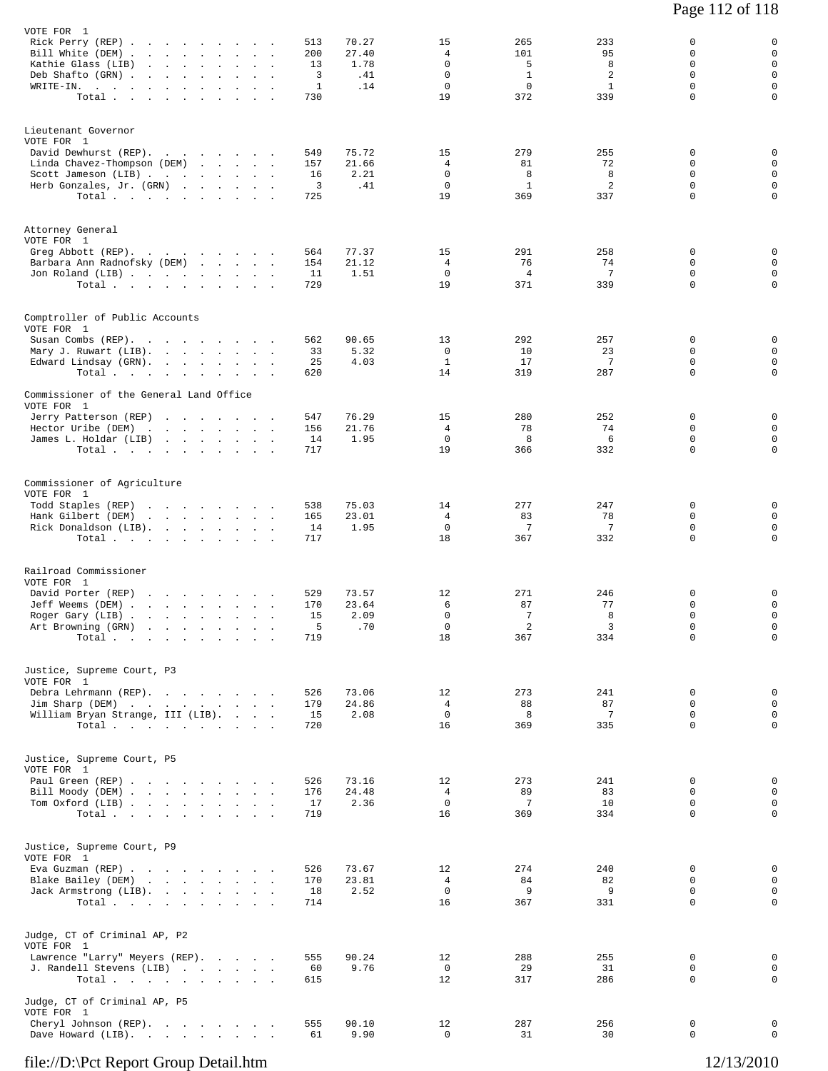| VOTE FOR 1                                                                                                                                   |                      |                                |            |                |                               |              |                        |                  |                  |
|----------------------------------------------------------------------------------------------------------------------------------------------|----------------------|--------------------------------|------------|----------------|-------------------------------|--------------|------------------------|------------------|------------------|
| Rick Perry (REP)<br>Bill White (DEM) .                                                                                                       |                      |                                | 513<br>200 | 70.27<br>27.40 | 15<br>4                       | 265<br>101   | 233<br>95              | 0<br>0           | 0<br>$\mathsf 0$ |
| the contract of the contract of the<br>Kathie Glass (LIB)<br>$\mathbf{r} = \mathbf{r} \times \mathbf{r}$ . The set of $\mathbf{r}$<br>$\sim$ |                      |                                | 13         | 1.78           | $\Omega$                      | 5            | 8                      | $\Omega$         | $\mathbf 0$      |
| Deb Shafto (GRN)<br>$\ddot{\phantom{a}}$                                                                                                     |                      |                                | 3          | .41            | $\mathbf 0$                   | $\mathbf{1}$ | 2                      | $\mathbf 0$      | $\mathsf 0$      |
| WRITE-IN.                                                                                                                                    | $\blacksquare$       | $\sim$                         | 1          | .14            | $\mathbf 0$                   | $\mathbf 0$  | $\mathbf{1}$           | $\mathbf 0$      | 0                |
| Total                                                                                                                                        |                      |                                | 730        |                | 19                            | 372          | 339                    | $\Omega$         | 0                |
| Lieutenant Governor                                                                                                                          |                      |                                |            |                |                               |              |                        |                  |                  |
| VOTE FOR 1                                                                                                                                   |                      |                                |            |                |                               |              |                        |                  |                  |
| David Dewhurst (REP).                                                                                                                        |                      |                                | 549        | 75.72          | 15                            | 279          | 255                    | 0                | 0                |
| Linda Chavez-Thompson (DEM)                                                                                                                  |                      |                                | 157        | 21.66          | 4<br>$\mathbf 0$              | 81<br>8      | 72<br>8                | 0<br>0           | 0<br>0           |
| Scott Jameson (LIB)<br>Herb Gonzales, Jr. (GRN)                                                                                              |                      |                                | 16<br>3    | 2.21<br>.41    | $\mathbf 0$                   | 1            | 2                      | $\mathbf 0$      | $\mathsf 0$      |
| Total                                                                                                                                        |                      |                                | 725        |                | 19                            | 369          | 337                    | 0                | 0                |
|                                                                                                                                              |                      |                                |            |                |                               |              |                        |                  |                  |
| Attorney General<br>VOTE FOR 1                                                                                                               |                      |                                |            |                |                               |              |                        |                  |                  |
| Greg Abbott (REP).                                                                                                                           |                      |                                | 564        | 77.37          | 15                            | 291          | 258                    | 0                | 0                |
| Barbara Ann Radnofsky (DEM)                                                                                                                  |                      |                                | 154        | 21.12          | 4                             | 76           | 74                     | 0                | $\mathsf 0$      |
| Jon Roland (LIB)<br>Total                                                                                                                    |                      |                                | 11<br>729  | 1.51           | 0<br>19                       | 4<br>371     | $7\phantom{.0}$<br>339 | 0<br>$\mathbf 0$ | $\mathsf 0$<br>0 |
|                                                                                                                                              |                      |                                |            |                |                               |              |                        |                  |                  |
| Comptroller of Public Accounts                                                                                                               |                      |                                |            |                |                               |              |                        |                  |                  |
| VOTE FOR 1                                                                                                                                   |                      |                                | 562        | 90.65          | 13                            | 292          | 257                    | $\Omega$         | 0                |
| Susan Combs (REP).<br>Mary J. Ruwart (LIB).                                                                                                  |                      |                                | 33         | 5.32           | 0                             | 10           | 23                     | 0                | 0                |
| Edward Lindsay (GRN).                                                                                                                        |                      |                                | 25         | 4.03           | $\mathbf{1}$                  | 17           | 7                      | 0                | 0                |
| Total $\cdots$                                                                                                                               |                      |                                | 620        |                | 14                            | 319          | 287                    | 0                | 0                |
| Commissioner of the General Land Office                                                                                                      |                      |                                |            |                |                               |              |                        |                  |                  |
| VOTE FOR 1<br>Jerry Patterson (REP)<br>the contract of the contract of the                                                                   |                      |                                | 547        | 76.29          | 15                            | 280          | 252                    | 0                | 0                |
| Hector Uribe (DEM)<br>the contract of the contract of                                                                                        |                      |                                | 156        | 21.76          | $\overline{4}$                | 78           | 74                     | $\mathbf 0$      | $\mathbf 0$      |
| James L. Holdar (LIB)                                                                                                                        |                      |                                | 14         | 1.95           | $\mathbf 0$                   | 8            | 6                      | 0                | 0                |
| Total                                                                                                                                        |                      |                                | 717        |                | 19                            | 366          | 332                    | 0                | 0                |
| Commissioner of Agriculture                                                                                                                  |                      |                                |            |                |                               |              |                        |                  |                  |
| VOTE FOR 1                                                                                                                                   |                      |                                |            |                |                               |              |                        |                  |                  |
| Todd Staples (REP)<br>the contract of the contract of the                                                                                    |                      |                                | 538        | 75.03          | 14                            | 277          | 247                    | 0                | 0                |
| Hank Gilbert (DEM)<br>the contract of the contract of the                                                                                    |                      |                                | 165        | 23.01          | 4                             | 83           | 78                     | 0                | $\mathsf 0$      |
| Rick Donaldson (LIB).<br>Total                                                                                                               |                      |                                | 14<br>717  | 1.95           | $\mathbf{0}$<br>18            | 7<br>367     | 7<br>332               | 0<br>$\mathbf 0$ | 0<br>0           |
|                                                                                                                                              |                      |                                |            |                |                               |              |                        |                  |                  |
| Railroad Commissioner                                                                                                                        |                      |                                |            |                |                               |              |                        |                  |                  |
| VOTE FOR 1                                                                                                                                   |                      |                                |            |                |                               |              |                        |                  |                  |
| David Porter (REP)<br>the contract of the contract of the                                                                                    |                      |                                | 529        | 73.57          | 12<br>6                       | 271<br>87    | 246<br>77              | 0<br>0           | 0<br>0           |
| Jeff Weems (DEM).<br>the contract of the contract of<br>Roger Gary (LIB).<br>and a strain and a strain and                                   | $\ddot{\phantom{a}}$ | $\sim$<br>$\ddot{\phantom{a}}$ | 170<br>15  | 23.64<br>2.09  | $\mathbf 0$                   | 7            | 8                      | $\mathbf 0$      | 0                |
| Art Browning (GRN)<br>and the control of the                                                                                                 |                      |                                | 5          | .70            | 0                             | 2            | 3                      | 0                | 0                |
| Total                                                                                                                                        |                      |                                | 719        |                | $18\,$                        | 367          | 334                    | 0                | $\circ$          |
| Justice, Supreme Court, P3                                                                                                                   |                      |                                |            |                |                               |              |                        |                  |                  |
| VOTE FOR 1                                                                                                                                   |                      |                                |            |                |                               |              |                        |                  |                  |
| Debra Lehrmann (REP).                                                                                                                        |                      |                                | 526        | 73.06          | 12                            | 273          | 241                    | $\mathbf 0$      | $\mathbf 0$      |
| Jim Sharp (DEM)                                                                                                                              |                      |                                | 179        | 24.86          | $\overline{4}$<br>$\mathbf 0$ | 88<br>8      | 87<br>7                | $\mathbf 0$<br>0 | $\mathbf 0$<br>0 |
| William Bryan Strange, III (LIB).<br>Total                                                                                                   |                      |                                | 15<br>720  | 2.08           | 16                            | 369          | 335                    | $\Omega$         | $\mathbf 0$      |
|                                                                                                                                              |                      |                                |            |                |                               |              |                        |                  |                  |
| Justice, Supreme Court, P5                                                                                                                   |                      |                                |            |                |                               |              |                        |                  |                  |
| VOTE FOR 1                                                                                                                                   |                      |                                |            |                |                               |              |                        |                  |                  |
| Paul Green (REP)<br>Bill Moody (DEM)                                                                                                         |                      |                                | 526<br>176 | 73.16<br>24.48 | 12<br>$\overline{4}$          | 273<br>89    | 241<br>83              | 0<br>0           | 0<br>$\mathbf 0$ |
| Tom Oxford (LIB)                                                                                                                             |                      |                                | 17         | 2.36           | $\overline{0}$                | -7           | 10                     | $\Omega$         | 0                |
| Total $\cdots$ $\cdots$ $\cdots$ $\cdots$                                                                                                    |                      |                                | 719        |                | 16                            | 369          | 334                    | $\mathbf 0$      | 0                |
|                                                                                                                                              |                      |                                |            |                |                               |              |                        |                  |                  |
| Justice, Supreme Court, P9<br>VOTE FOR 1                                                                                                     |                      |                                |            |                |                               |              |                        |                  |                  |
| Eva Guzman (REP)                                                                                                                             |                      |                                | 526        | 73.67          | 12                            | 274          | 240                    | 0                | 0                |
| Blake Bailey (DEM)                                                                                                                           |                      |                                | 170        | 23.81          | $\overline{4}$                | 84           | 82                     | 0                | $\mathbf 0$      |
| Jack Armstrong (LIB).                                                                                                                        |                      |                                | 18         | 2.52           | $\overline{0}$                | 9            | 9                      | $\mathbf 0$      | 0                |
| Total                                                                                                                                        |                      |                                | 714        |                | 16                            | 367          | 331                    | 0                | $\mathbf 0$      |
| Judge, CT of Criminal AP, P2                                                                                                                 |                      |                                |            |                |                               |              |                        |                  |                  |
| VOTE FOR 1<br>Lawrence "Larry" Meyers (REP).                                                                                                 |                      |                                | 555        | 90.24          | 12                            | 288          | 255                    | 0                | 0                |
| J. Randell Stevens (LIB)                                                                                                                     |                      |                                | 60         | 9.76           | $\mathbf 0$                   | 29           | 31                     | $\mathbf 0$      | $\mathbf 0$      |
| Total                                                                                                                                        |                      |                                | 615        |                | 12                            | 317          | 286                    | 0                | 0                |
| Judge, CT of Criminal AP, P5                                                                                                                 |                      |                                |            |                |                               |              |                        |                  |                  |
| VOTE FOR 1                                                                                                                                   |                      |                                | 555        | 90.10          |                               |              |                        | 0                | 0                |
| Cheryl Johnson (REP).<br>Dave Howard (LIB).                                                                                                  |                      |                                | 61         | 9.90           | 12<br>$\Omega$                | 287<br>31    | 256<br>30              | $\Omega$         | $\mathbf 0$      |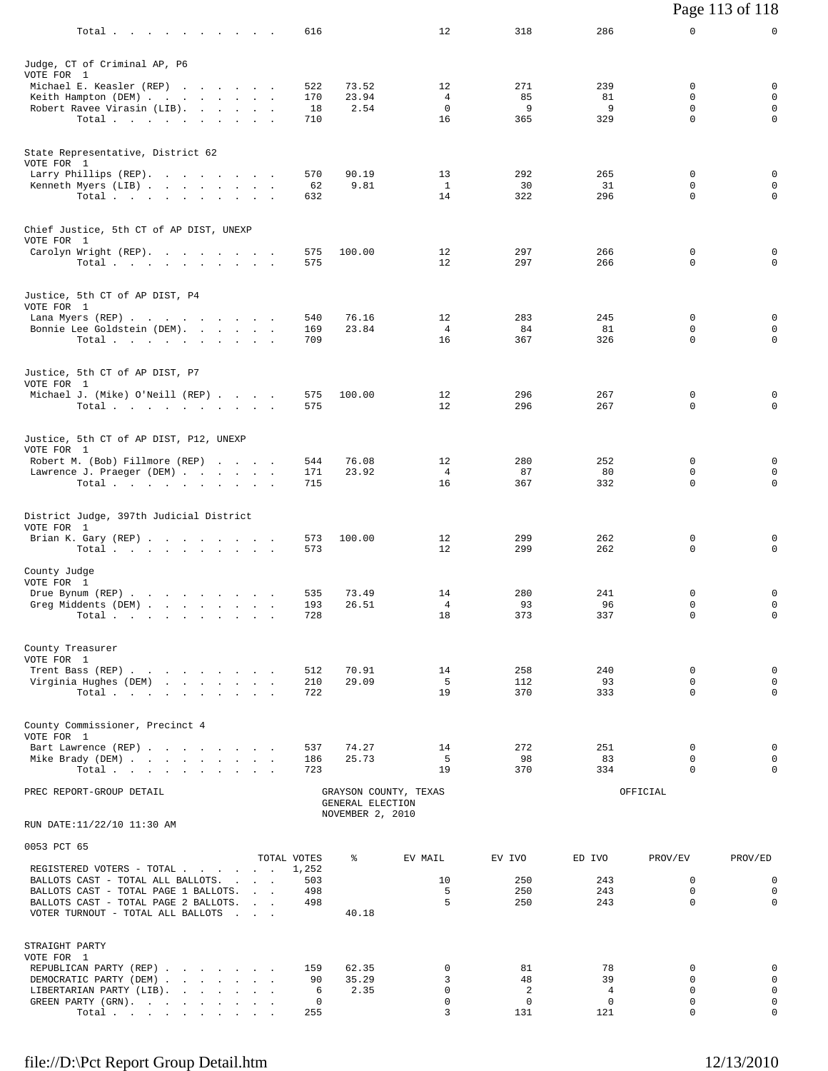|                                                                              |                      |                  |                       |                   |                    |                  | Page 113 of 118            |
|------------------------------------------------------------------------------|----------------------|------------------|-----------------------|-------------------|--------------------|------------------|----------------------------|
| Total.                                                                       | 616                  |                  | 12                    | 318               | 286                | 0                | 0                          |
| Judge, CT of Criminal AP, P6                                                 |                      |                  |                       |                   |                    |                  |                            |
| VOTE FOR 1                                                                   |                      |                  |                       |                   |                    |                  |                            |
| Michael E. Keasler (REP)<br>Keith Hampton (DEM)                              | 522<br>170           | 73.52<br>23.94   | 12<br>4               | 271<br>85         | 239<br>81          | 0<br>0           | 0<br>$\mathbf 0$           |
| Robert Ravee Virasin (LIB).                                                  | 18                   | 2.54             | 0                     | 9                 | 9                  | 0                | 0                          |
| Total $\cdots$                                                               | 710                  |                  | 16                    | 365               | 329                | 0                | $\mathbf 0$                |
| State Representative, District 62                                            |                      |                  |                       |                   |                    |                  |                            |
| VOTE FOR 1<br>Larry Phillips (REP).                                          | 570                  | 90.19            | 13                    | 292               | 265                | 0                | 0                          |
| Kenneth Myers (LIB)                                                          | 62                   | 9.81             | $\mathbf{1}$          | 30                | 31                 | 0                | 0                          |
| Total                                                                        | 632                  |                  | 14                    | 322               | 296                | 0                | 0                          |
| Chief Justice, 5th CT of AP DIST, UNEXP<br>VOTE FOR 1                        |                      |                  |                       |                   |                    |                  |                            |
| Carolyn Wright (REP).                                                        | 575                  | 100.00           | 12                    | 297               | 266                | $\mathbf 0$      | 0                          |
| Total $\cdots$ $\cdots$ $\cdots$                                             | 575                  |                  | 12                    | 297               | 266                | 0                | 0                          |
| Justice, 5th CT of AP DIST, P4<br>VOTE FOR 1                                 |                      |                  |                       |                   |                    |                  |                            |
| Lana Myers (REP)                                                             | 540                  | 76.16            | 12                    | 283               | 245                | 0                | 0                          |
| Bonnie Lee Goldstein (DEM).<br>Total                                         | 169<br>709           | 23.84            | $\overline{4}$<br>16  | 84<br>367         | 81<br>326          | 0<br>$\mathbf 0$ | 0<br>0                     |
|                                                                              |                      |                  |                       |                   |                    |                  |                            |
| Justice, 5th CT of AP DIST, P7                                               |                      |                  |                       |                   |                    |                  |                            |
| VOTE FOR 1<br>Michael J. (Mike) O'Neill (REP)                                | 575                  | 100.00           | 12                    | 296               | 267                | 0                | 0                          |
| Total                                                                        | 575                  |                  | 12                    | 296               | 267                | 0                | 0                          |
| Justice, 5th CT of AP DIST, P12, UNEXP<br>VOTE FOR 1                         |                      |                  |                       |                   |                    |                  |                            |
| Robert M. (Bob) Fillmore (REP)                                               | 544                  | 76.08            | 12                    | 280               | 252                | 0                | 0                          |
| Lawrence J. Praeger (DEM)<br>Total                                           | 171<br>715           | 23.92            | $\overline{4}$<br>16  | 87<br>367         | 80<br>332          | 0<br>0           | 0<br>0                     |
|                                                                              |                      |                  |                       |                   |                    |                  |                            |
| District Judge, 397th Judicial District<br>VOTE FOR 1                        |                      |                  |                       |                   |                    |                  |                            |
| Brian K. Gary (REP)<br>Total                                                 | 573<br>573           | 100.00           | 12<br>12              | 299<br>299        | 262<br>262         | 0<br>0           | 0<br>0                     |
| County Judge                                                                 |                      |                  |                       |                   |                    |                  |                            |
| VOTE FOR 1<br>Drue Bynum (REP)                                               | 535                  | 73.49            | 14                    | 280               | 241                | 0                | 0                          |
| Greg Middents (DEM)                                                          | 193                  | 26.51            | 4                     | 93                | 96                 | 0                | $\mathbf 0$                |
| Total                                                                        | 728                  |                  | 18                    | 373               | 337                | 0                | 0                          |
| County Treasurer                                                             |                      |                  |                       |                   |                    |                  |                            |
| VOTE FOR 1<br>Trent Bass (REP)                                               | 512                  | 70.91            | 14                    | 258               | 240                | $\mathbf 0$      | 0                          |
| Virginia Hughes (DEM)                                                        | 210                  | 29.09            | - 5                   | 112               | 93                 | $\Omega$         | $\mathbf 0$                |
| Total                                                                        | 722                  |                  | 19                    | 370               | 333                | $\Omega$         | 0                          |
| County Commissioner, Precinct 4<br>VOTE FOR 1                                |                      |                  |                       |                   |                    |                  |                            |
| Bart Lawrence (REP)                                                          | 537                  | 74.27            | 14                    | 272               | 251                | $\mathbf 0$      | 0                          |
| Mike Brady (DEM)<br>Total.                                                   | 186<br>723           | 25.73            | - 5<br>19             | 98<br>370         | 83<br>334          | $\Omega$<br>0    | 0<br>0                     |
| PREC REPORT-GROUP DETAIL                                                     |                      | GENERAL ELECTION | GRAYSON COUNTY, TEXAS |                   |                    | OFFICIAL         |                            |
| RUN DATE:11/22/10 11:30 AM                                                   |                      | NOVEMBER 2, 2010 |                       |                   |                    |                  |                            |
| 0053 PCT 65                                                                  |                      |                  |                       |                   |                    |                  |                            |
| REGISTERED VOTERS - TOTAL                                                    | TOTAL VOTES<br>1,252 | ៖                | EV MAIL               | EV IVO            | ED IVO             | PROV/EV          | PROV/ED                    |
| BALLOTS CAST - TOTAL ALL BALLOTS.                                            | 503                  |                  | 10                    | 250               | 243                | $\mathbf 0$      | 0                          |
| BALLOTS CAST - TOTAL PAGE 1 BALLOTS.<br>BALLOTS CAST - TOTAL PAGE 2 BALLOTS. | 498<br>498           |                  | 5<br>5                | 250<br>250        | 243<br>243         | 0<br>$\Omega$    | $\mathbf 0$<br>$\mathbf 0$ |
| VOTER TURNOUT - TOTAL ALL BALLOTS                                            |                      | 40.18            |                       |                   |                    |                  |                            |
| STRAIGHT PARTY                                                               |                      |                  |                       |                   |                    |                  |                            |
| VOTE FOR 1                                                                   |                      |                  |                       |                   |                    |                  |                            |
| REPUBLICAN PARTY (REP)<br>DEMOCRATIC PARTY (DEM)                             | 159<br>90            | 62.35<br>35.29   | $\mathbf 0$<br>3      | 81<br>48          | 78<br>39           | 0<br>0           | 0<br>0                     |
| LIBERTARIAN PARTY (LIB).                                                     | 6                    | 2.35             | $\Omega$              | 2                 | $\overline{4}$     | $\Omega$         | $\mathbf 0$                |
| GREEN PARTY (GRN).<br>Total                                                  | 0<br>255             |                  | 0<br>3                | $^{\circ}$<br>131 | $\mathbf 0$<br>121 | 0<br>$\mathbf 0$ | 0<br>0                     |
|                                                                              |                      |                  |                       |                   |                    |                  |                            |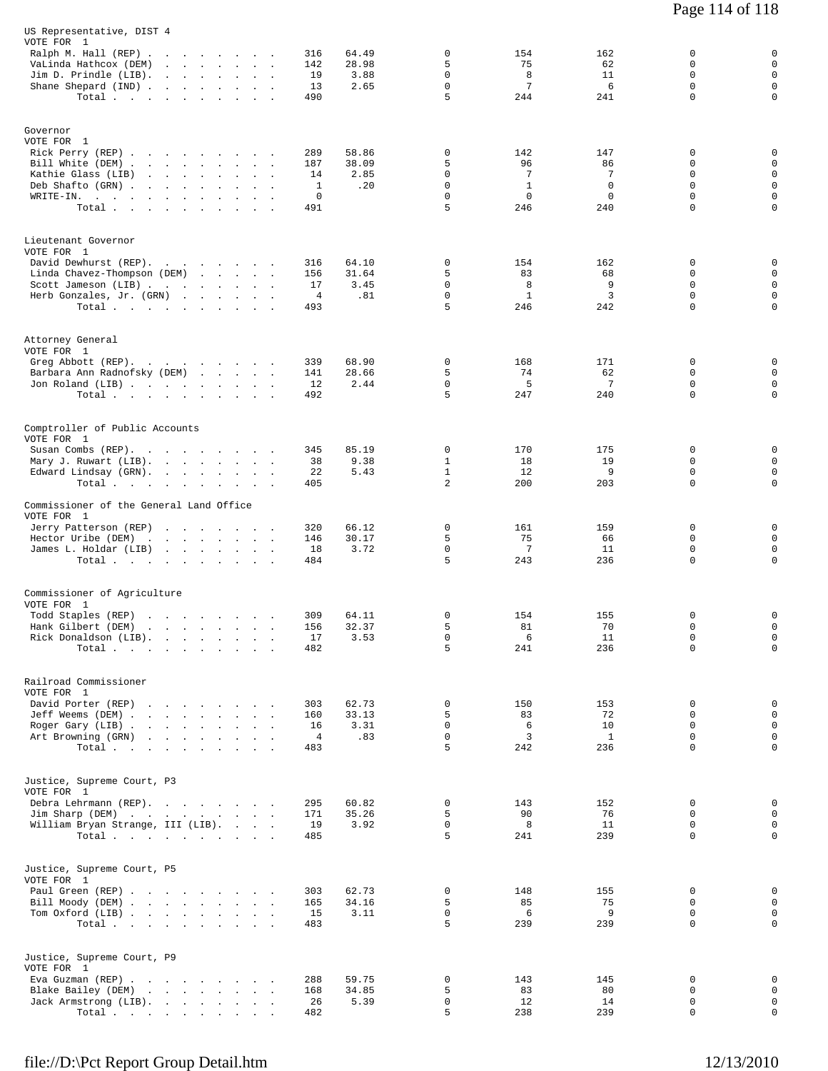| US Representative, DIST 4<br>VOTE FOR 1<br>Ralph M. Hall (REP)<br>VaLinda Hathcox (DEM)<br>Jim D. Prindle (LIB).<br>Shane Shepard (IND)<br>Total.        | $\ddot{\phantom{a}}$<br>$\sim 100$ | 64.49<br>316<br>28.98<br>142<br>19<br>3.88<br>13<br>2.65<br>490    | $\mathbf 0$<br>5<br>$\mathbf 0$<br>$\mathbf 0$<br>5      | 154<br>75<br>8<br>7<br>244                 | 162<br>62<br>11<br>6<br>241               | 0<br>$\Omega$<br>$\mathbf 0$<br>0<br>$\mathbf 0$ | $\mathbf 0$<br>$\mathbf 0$<br>$\mathbf 0$<br>$\mathbf 0$<br>$\mathbf 0$ |
|----------------------------------------------------------------------------------------------------------------------------------------------------------|------------------------------------|--------------------------------------------------------------------|----------------------------------------------------------|--------------------------------------------|-------------------------------------------|--------------------------------------------------|-------------------------------------------------------------------------|
| Governor<br>VOTE FOR 1<br>Rick Perry (REP)<br>Bill White (DEM)<br>Kathie Glass (LIB)<br>Deb Shafto (GRN)<br>$\texttt{WRTTE-IN.}$ , , , , , , ,<br>Total  | $\sim$                             | 289<br>58.86<br>38.09<br>187<br>2.85<br>14<br>.20<br>1<br>0<br>491 | $\mathbf 0$<br>5<br>0<br>$\mathbf 0$<br>$\mathbf 0$<br>5 | 142<br>96<br>7<br>$\mathbf{1}$<br>0<br>246 | 147<br>86<br>7<br>$\mathbf 0$<br>0<br>240 | 0<br>0<br>0<br>$\mathbf 0$<br>0<br>$\mathbf 0$   | 0<br>0<br>$\mathbf 0$<br>$\mathsf 0$<br>$\mathbf 0$<br>$\mathbf 0$      |
| Lieutenant Governor<br>VOTE FOR 1<br>David Dewhurst (REP).<br>Linda Chavez-Thompson (DEM)<br>Scott Jameson (LIB)<br>Herb Gonzales, Jr. (GRN)<br>Total.   |                                    | 316<br>64.10<br>156<br>31.64<br>17<br>3.45<br>4<br>.81<br>493      | $\mathbf 0$<br>5<br>0<br>0<br>5                          | 154<br>83<br>8<br>$\mathbf{1}$<br>246      | 162<br>68<br>9<br>3<br>242                | 0<br>0<br>0<br>0<br>$\mathbf 0$                  | 0<br>$\mathbf 0$<br>$\mathbf 0$<br>$\mathbf 0$<br>$\mathbf 0$           |
| Attorney General<br>VOTE FOR 1<br>Greg Abbott (REP).<br>Barbara Ann Radnofsky (DEM)<br>Jon Roland (LIB)<br>Total                                         | and the state of the state of      | 339<br>68.90<br>141<br>28.66<br>12<br>2.44<br>492                  | $\mathbf 0$<br>5<br>$\mathbf 0$<br>5                     | 168<br>74<br>5<br>247                      | 171<br>62<br>$7\phantom{.0}$<br>240       | 0<br>0<br>$\mathbf 0$<br>0                       | 0<br>0<br>$\mathbf 0$<br>$\mathbf 0$                                    |
| Comptroller of Public Accounts<br>VOTE FOR 1<br>Susan Combs (REP).<br>Mary J. Ruwart (LIB).<br>Edward Lindsay (GRN).<br>Total $\cdots$ $\cdots$ $\cdots$ | $\sim$                             | 85.19<br>345<br>9.38<br>38<br>22<br>5.43<br>405                    | 0<br>$\mathbf{1}$<br>$\mathbf{1}$<br>2                   | 170<br>18<br>12<br>200                     | 175<br>19<br>9<br>203                     | 0<br>0<br>0<br>$\mathbf 0$                       | 0<br>$\mathbf 0$<br>$\mathbf 0$<br>$\mathbf 0$                          |
| Commissioner of the General Land Office<br>VOTE FOR 1<br>Jerry Patterson (REP)<br>Hector Uribe (DEM)<br>James L. Holdar (LIB)<br>Total.                  |                                    | 320<br>66.12<br>146<br>30.17<br>18<br>3.72<br>484                  | $\mathbf 0$<br>5<br>$\mathsf 0$<br>5                     | 161<br>75<br>7<br>243                      | 159<br>66<br>11<br>236                    | 0<br>0<br>0<br>$\mathbf 0$                       | 0<br>$\mathbf 0$<br>$\mathbf 0$<br>$\mathbf 0$                          |
| Commissioner of Agriculture<br>VOTE FOR 1<br>Todd Staples (REP)<br>Hank Gilbert (DEM)<br>Rick Donaldson (LIB)<br>Total                                   |                                    | 309<br>64.11<br>156<br>32.37<br>17<br>3.53<br>482                  | $\mathbf 0$<br>5<br>0<br>5                               | 154<br>81<br>6<br>241                      | 155<br>70<br>11<br>236                    | 0<br>0<br>0<br>0                                 | 0<br>$\mathbf 0$<br>$\mathbf 0$<br>$\mathbf 0$                          |
| Railroad Commissioner<br>VOTE FOR 1<br>David Porter (REP)<br>Jeff Weems (DEM)<br>Roger Gary (LIB)<br>Art Browning (GRN)<br>Total.                        |                                    | 62.73<br>303<br>33.13<br>160<br>3.31<br>16<br>.83<br>4<br>483      | 0<br>5<br>0<br>0<br>5                                    | 150<br>83<br>6<br>3<br>242                 | 153<br>72<br>10<br>$\mathbf{1}$<br>236    | 0<br>0<br>0<br>0<br>0                            | 0<br>0<br>$\mathbf 0$<br>$\mathbf 0$<br>0                               |
| Justice, Supreme Court, P3<br>VOTE FOR 1<br>Debra Lehrmann (REP).<br>Jim Sharp (DEM)<br>William Bryan Strange, III (LIB).<br>Total                       |                                    | 60.82<br>295<br>35.26<br>171<br>3.92<br>19<br>485                  | $\mathbf 0$<br>5<br>0<br>5                               | 143<br>90<br>8<br>241                      | 152<br>76<br>11<br>239                    | 0<br>0<br>0<br>0                                 | 0<br>$\mathsf 0$<br>0<br>$\mathsf{O}$                                   |
| Justice, Supreme Court, P5<br>VOTE FOR 1<br>Paul Green (REP)<br>Bill Moody (DEM)<br>Tom Oxford (LIB)<br>Total                                            |                                    | 62.73<br>303<br>34.16<br>165<br>15<br>3.11<br>483                  | 0<br>5<br>0<br>5                                         | 148<br>85<br>6<br>239                      | 155<br>75<br>9<br>239                     | 0<br>0<br>0<br>$\Omega$                          | 0<br>0<br>$\mathsf{O}$<br>$\mathbf 0$                                   |
| Justice, Supreme Court, P9<br>VOTE FOR 1<br>Eva Guzman (REP)<br>Blake Bailey (DEM)<br>Jack Armstrong (LIB).<br>Total $\ldots$                            |                                    | 59.75<br>288<br>34.85<br>168<br>5.39<br>26<br>482                  | 0<br>5<br>0<br>5                                         | 143<br>83<br>12<br>238                     | 145<br>80<br>14<br>239                    | 0<br>0<br>0<br>0                                 | 0<br>0<br>$\mathsf 0$<br>$\mathsf{O}$                                   |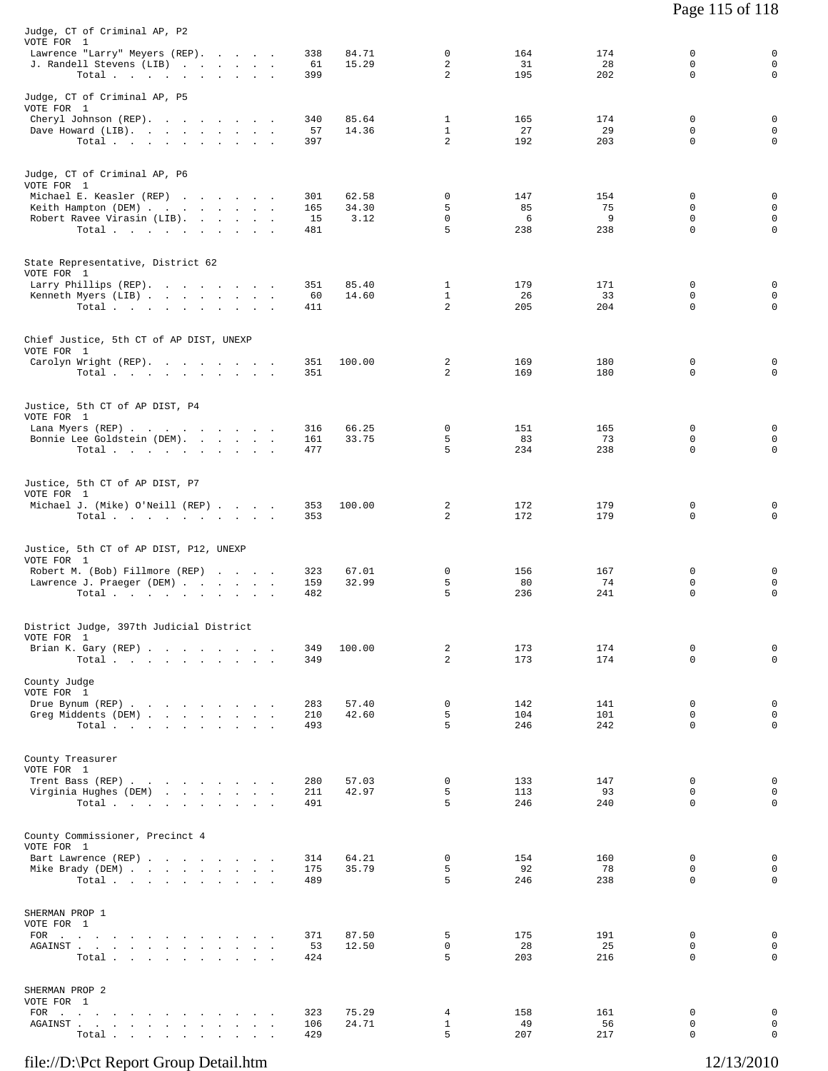| VOTE FOR 1<br>$\mathbf 0$<br>Lawrence "Larry" Meyers (REP).<br>84.71<br>164<br>174<br>338<br>15.29<br>2<br>31<br>28<br>J. Randell Stevens (LIB)<br>61<br>$\overline{a}$<br>195<br>202<br>399<br>Total<br>Judge, CT of Criminal AP, P5<br>VOTE FOR 1<br>85.64<br>174<br>Cheryl Johnson (REP).<br>340<br>$\mathbf{1}$<br>165<br>$\mathbf{1}$<br>27<br>29<br>Dave Howard (LIB).<br>57<br>14.36<br>397<br>2<br>192<br>203<br>Total<br>Judge, CT of Criminal AP, P6<br>VOTE FOR 1<br>Michael E. Keasler (REP)<br>62.58<br>0<br>147<br>154<br>301<br>5<br>85<br>75<br>Keith Hampton (DEM)<br>165<br>34.30 | 0<br>0<br>$\mathbf 0$<br>$\mathbf 0$<br>$\mathbf 0$<br>$\mathbf 0$<br>0<br>0<br>$\mathbf 0$<br>$\mathbf 0$<br>$\Omega$<br>0 |
|-----------------------------------------------------------------------------------------------------------------------------------------------------------------------------------------------------------------------------------------------------------------------------------------------------------------------------------------------------------------------------------------------------------------------------------------------------------------------------------------------------------------------------------------------------------------------------------------------------|-----------------------------------------------------------------------------------------------------------------------------|
|                                                                                                                                                                                                                                                                                                                                                                                                                                                                                                                                                                                                     |                                                                                                                             |
|                                                                                                                                                                                                                                                                                                                                                                                                                                                                                                                                                                                                     |                                                                                                                             |
|                                                                                                                                                                                                                                                                                                                                                                                                                                                                                                                                                                                                     |                                                                                                                             |
|                                                                                                                                                                                                                                                                                                                                                                                                                                                                                                                                                                                                     |                                                                                                                             |
|                                                                                                                                                                                                                                                                                                                                                                                                                                                                                                                                                                                                     |                                                                                                                             |
|                                                                                                                                                                                                                                                                                                                                                                                                                                                                                                                                                                                                     |                                                                                                                             |
|                                                                                                                                                                                                                                                                                                                                                                                                                                                                                                                                                                                                     |                                                                                                                             |
|                                                                                                                                                                                                                                                                                                                                                                                                                                                                                                                                                                                                     |                                                                                                                             |
|                                                                                                                                                                                                                                                                                                                                                                                                                                                                                                                                                                                                     |                                                                                                                             |
|                                                                                                                                                                                                                                                                                                                                                                                                                                                                                                                                                                                                     | 0<br>0                                                                                                                      |
| 0<br>6<br>9                                                                                                                                                                                                                                                                                                                                                                                                                                                                                                                                                                                         | $\mathbf 0$<br>0<br>0<br>0                                                                                                  |
| Robert Ravee Virasin (LIB).<br>15<br>3.12<br>5<br>238<br>481<br>238<br>Total.                                                                                                                                                                                                                                                                                                                                                                                                                                                                                                                       | $\mathbf 0$<br>0                                                                                                            |
|                                                                                                                                                                                                                                                                                                                                                                                                                                                                                                                                                                                                     |                                                                                                                             |
| State Representative, District 62                                                                                                                                                                                                                                                                                                                                                                                                                                                                                                                                                                   |                                                                                                                             |
| VOTE FOR 1                                                                                                                                                                                                                                                                                                                                                                                                                                                                                                                                                                                          |                                                                                                                             |
| 179<br>171<br>Larry Phillips (REP).<br>351<br>85.40<br>$\mathbf{1}$<br>14.60<br>$\mathbf{1}$<br>26<br>33<br>Kenneth Myers (LIB)<br>60                                                                                                                                                                                                                                                                                                                                                                                                                                                               | 0<br>0<br>0<br>0                                                                                                            |
| $\overline{a}$<br>205<br>204<br>Total<br>411                                                                                                                                                                                                                                                                                                                                                                                                                                                                                                                                                        | 0<br>0                                                                                                                      |
|                                                                                                                                                                                                                                                                                                                                                                                                                                                                                                                                                                                                     |                                                                                                                             |
| Chief Justice, 5th CT of AP DIST, UNEXP                                                                                                                                                                                                                                                                                                                                                                                                                                                                                                                                                             |                                                                                                                             |
| VOTE FOR 1<br>Carolyn Wright (REP).<br>351<br>100.00<br>2<br>169<br>180                                                                                                                                                                                                                                                                                                                                                                                                                                                                                                                             | 0<br>0                                                                                                                      |
| 2<br>169<br>180<br>Total $\cdots$ $\cdots$ $\cdots$ $\cdots$<br>351                                                                                                                                                                                                                                                                                                                                                                                                                                                                                                                                 | 0<br>0                                                                                                                      |
|                                                                                                                                                                                                                                                                                                                                                                                                                                                                                                                                                                                                     |                                                                                                                             |
| Justice, 5th CT of AP DIST, P4                                                                                                                                                                                                                                                                                                                                                                                                                                                                                                                                                                      |                                                                                                                             |
| VOTE FOR 1                                                                                                                                                                                                                                                                                                                                                                                                                                                                                                                                                                                          |                                                                                                                             |
| Lana Myers (REP)<br>316<br>66.25<br>0<br>151<br>165<br>5<br>Bonnie Lee Goldstein (DEM).<br>161<br>33.75<br>83<br>73                                                                                                                                                                                                                                                                                                                                                                                                                                                                                 | $\mathbf 0$<br>0<br>0<br>$\mathbf 0$                                                                                        |
| 477<br>5<br>234<br>238<br>Total.                                                                                                                                                                                                                                                                                                                                                                                                                                                                                                                                                                    | 0<br>0                                                                                                                      |
|                                                                                                                                                                                                                                                                                                                                                                                                                                                                                                                                                                                                     |                                                                                                                             |
| Justice, 5th CT of AP DIST, P7                                                                                                                                                                                                                                                                                                                                                                                                                                                                                                                                                                      |                                                                                                                             |
| VOTE FOR 1<br>Michael J. (Mike) O'Neill (REP)<br>2<br>172<br>179<br>353<br>100.00                                                                                                                                                                                                                                                                                                                                                                                                                                                                                                                   | 0<br>0                                                                                                                      |
| 2<br>172<br>Total $\cdots$ $\cdots$ $\cdots$<br>353<br>179                                                                                                                                                                                                                                                                                                                                                                                                                                                                                                                                          | 0<br>0                                                                                                                      |
|                                                                                                                                                                                                                                                                                                                                                                                                                                                                                                                                                                                                     |                                                                                                                             |
| Justice, 5th CT of AP DIST, P12, UNEXP                                                                                                                                                                                                                                                                                                                                                                                                                                                                                                                                                              |                                                                                                                             |
| VOTE FOR 1<br>Robert M. (Bob) Fillmore (REP)<br>323<br>67.01<br>$^{\circ}$<br>156<br>167                                                                                                                                                                                                                                                                                                                                                                                                                                                                                                            | 0<br>0                                                                                                                      |
| 5<br>74<br>32.99<br>80<br>Lawrence J. Praeger (DEM)<br>159                                                                                                                                                                                                                                                                                                                                                                                                                                                                                                                                          | 0<br>0                                                                                                                      |
| 5<br>236<br>241<br>Total $\cdots$<br>482                                                                                                                                                                                                                                                                                                                                                                                                                                                                                                                                                            | 0<br>0                                                                                                                      |
|                                                                                                                                                                                                                                                                                                                                                                                                                                                                                                                                                                                                     |                                                                                                                             |
|                                                                                                                                                                                                                                                                                                                                                                                                                                                                                                                                                                                                     |                                                                                                                             |
| District Judge, 397th Judicial District                                                                                                                                                                                                                                                                                                                                                                                                                                                                                                                                                             |                                                                                                                             |
| VOTE FOR 1<br>2<br>100.00<br>173<br>174<br>Brian K. Gary (REP)<br>349                                                                                                                                                                                                                                                                                                                                                                                                                                                                                                                               | 0<br>0                                                                                                                      |
| $\overline{a}$<br>173<br>174<br>$\texttt{Total} \quad . \qquad . \qquad . \qquad . \qquad . \qquad . \qquad . \qquad .$<br>349                                                                                                                                                                                                                                                                                                                                                                                                                                                                      | $\mathbf 0$<br>$\mathbf 0$                                                                                                  |
| County Judge                                                                                                                                                                                                                                                                                                                                                                                                                                                                                                                                                                                        |                                                                                                                             |
| VOTE FOR 1                                                                                                                                                                                                                                                                                                                                                                                                                                                                                                                                                                                          |                                                                                                                             |
| 283<br>57.40<br>0<br>142<br>141<br>Drue Bynum (REP)                                                                                                                                                                                                                                                                                                                                                                                                                                                                                                                                                 | 0<br>0<br>$\mathbf 0$<br>$\mathbf 0$                                                                                        |
| 5<br>104<br>101<br>Greg Middents (DEM)<br>210<br>42.60<br>5<br>246<br>242<br>493<br>Total.                                                                                                                                                                                                                                                                                                                                                                                                                                                                                                          | $\mathbf 0$<br>$\Omega$                                                                                                     |
|                                                                                                                                                                                                                                                                                                                                                                                                                                                                                                                                                                                                     |                                                                                                                             |
| County Treasurer                                                                                                                                                                                                                                                                                                                                                                                                                                                                                                                                                                                    |                                                                                                                             |
| VOTE FOR 1                                                                                                                                                                                                                                                                                                                                                                                                                                                                                                                                                                                          |                                                                                                                             |
| 280<br>57.03<br>0<br>133<br>147<br>Trent Bass (REP)<br>5<br>93<br>Virginia Hughes (DEM)<br>211<br>42.97<br>113                                                                                                                                                                                                                                                                                                                                                                                                                                                                                      | 0<br>0<br>$\mathbf 0$<br>0                                                                                                  |
| 5<br>246<br>Total<br>491<br>240                                                                                                                                                                                                                                                                                                                                                                                                                                                                                                                                                                     | $\mathbf 0$<br>$\Omega$                                                                                                     |
|                                                                                                                                                                                                                                                                                                                                                                                                                                                                                                                                                                                                     |                                                                                                                             |
| County Commissioner, Precinct 4                                                                                                                                                                                                                                                                                                                                                                                                                                                                                                                                                                     |                                                                                                                             |
| VOTE FOR 1<br>64.21<br>0<br>154<br>160<br>Bart Lawrence (REP)<br>314                                                                                                                                                                                                                                                                                                                                                                                                                                                                                                                                | 0<br>$\mathbf 0$                                                                                                            |
| 5<br>92<br>78<br>Mike Brady (DEM)<br>175<br>35.79                                                                                                                                                                                                                                                                                                                                                                                                                                                                                                                                                   | 0<br>$\mathbf 0$                                                                                                            |
| 489<br>5<br>246<br>238<br>Total.                                                                                                                                                                                                                                                                                                                                                                                                                                                                                                                                                                    | $\mathbf 0$<br>0                                                                                                            |
|                                                                                                                                                                                                                                                                                                                                                                                                                                                                                                                                                                                                     |                                                                                                                             |
| SHERMAN PROP 1<br>VOTE FOR 1                                                                                                                                                                                                                                                                                                                                                                                                                                                                                                                                                                        |                                                                                                                             |
| 87.50<br>175<br>191<br>FOR $\cdots$<br>371<br>5                                                                                                                                                                                                                                                                                                                                                                                                                                                                                                                                                     | 0<br>$\mathbf 0$                                                                                                            |
| 0<br>25<br>${\tt AGAINST} \hspace{1.5cm} . \hspace{1.5cm} . \hspace{1.5cm} . \hspace{1.5cm} . \hspace{1.5cm} . \hspace{1.5cm} . \hspace{1.5cm} . \hspace{1.5cm} . \hspace{1.5cm} . \hspace{1.5cm} . \hspace{1.5cm} . \hspace{1.5cm} .$<br>53<br>12.50<br>28<br>$\sim$<br>5<br>424<br>203<br>216                                                                                                                                                                                                                                                                                                     | $\mathbf 0$<br>0<br>$\mathbf 0$<br>$\mathbf 0$                                                                              |
| Total $\cdots$ $\cdots$ $\cdots$                                                                                                                                                                                                                                                                                                                                                                                                                                                                                                                                                                    |                                                                                                                             |
|                                                                                                                                                                                                                                                                                                                                                                                                                                                                                                                                                                                                     |                                                                                                                             |
| SHERMAN PROP 2<br>VOTE FOR 1                                                                                                                                                                                                                                                                                                                                                                                                                                                                                                                                                                        |                                                                                                                             |
| 323<br>75.29<br>4<br>158<br>FOR $\cdots$ $\cdots$ $\cdots$ $\cdots$ $\cdots$<br>161<br>$\sim$<br>$\mathbf{1}$<br>49<br>56<br>AGAINST<br>106<br>24.71                                                                                                                                                                                                                                                                                                                                                                                                                                                | 0<br>0<br>0<br>$\mathbf 0$                                                                                                  |

Page 115 of 118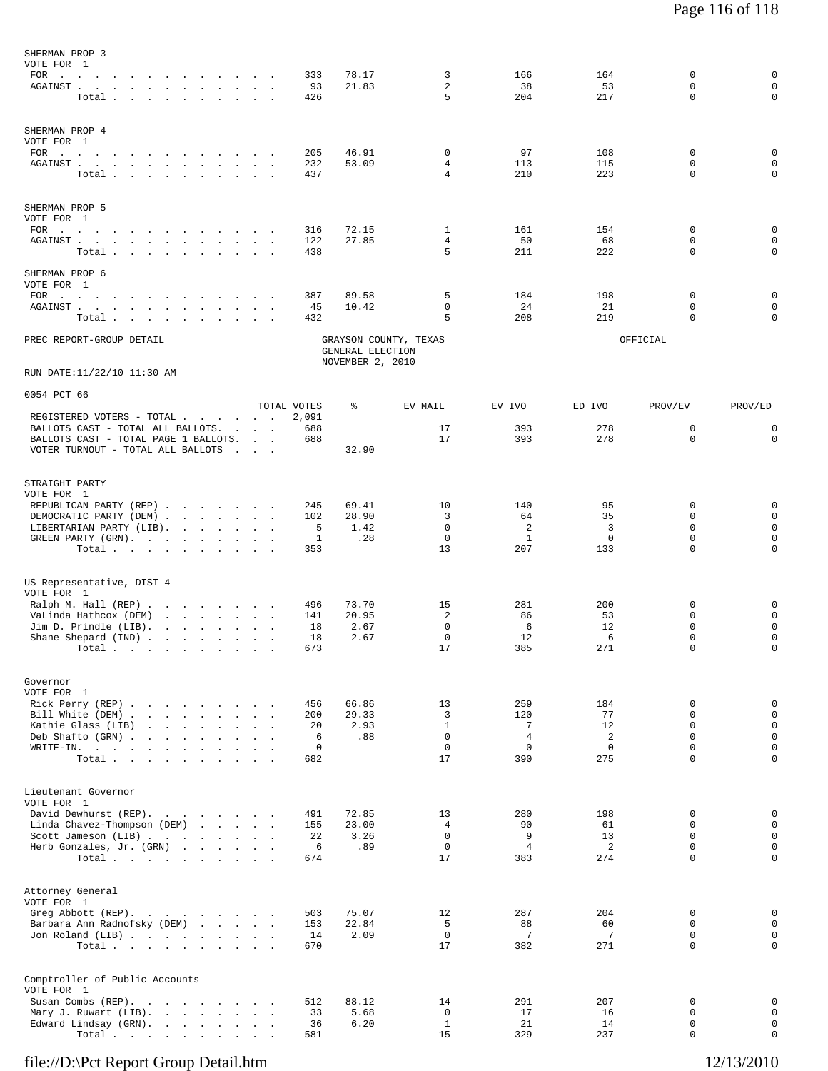| SHERMAN PROP 3<br>VOTE FOR 1<br>AGAINST<br>Total $\cdots$ $\cdots$ $\cdots$                                                                                                                                                                                                                                                                                                                                                           |                                                    | 333<br>93<br>426                            | 78.17<br>21.83                       | 3<br>$\overline{2}$<br>5                                 | 166<br>38<br>204                                         | 164<br>53<br>217                        | $\mathbf 0$<br>0<br>0                                                  | 0<br>$\mathbf 0$<br>$\mathbf 0$                                               |
|---------------------------------------------------------------------------------------------------------------------------------------------------------------------------------------------------------------------------------------------------------------------------------------------------------------------------------------------------------------------------------------------------------------------------------------|----------------------------------------------------|---------------------------------------------|--------------------------------------|----------------------------------------------------------|----------------------------------------------------------|-----------------------------------------|------------------------------------------------------------------------|-------------------------------------------------------------------------------|
| SHERMAN PROP 4<br>VOTE FOR 1<br>FOR $\cdots$<br>AGAINST.<br>the contract of the contract of the con-<br>Total                                                                                                                                                                                                                                                                                                                         | <b>Contract Contract</b>                           | 205<br>232<br>437                           | 46.91<br>53.09                       | $\mathbf 0$<br>4<br>4                                    | 97<br>113<br>210                                         | 108<br>115<br>223                       | $\mathbf 0$<br>$\Omega$<br>0                                           | 0<br>$\mathbf 0$<br>0                                                         |
| SHERMAN PROP 5<br>VOTE FOR 1<br>FOR $\qquad \qquad \ldots \qquad \qquad \ldots \qquad \qquad \ldots \qquad \ldots \qquad \ldots$<br>${\tt AGAINST} \hspace{0.1in} . \hspace{0.1in} . \hspace{0.1in} . \hspace{0.1in} . \hspace{0.1in} . \hspace{0.1in} . \hspace{0.1in} . \hspace{0.1in} . \hspace{0.1in} . \hspace{0.1in} . \hspace{0.1in} . \hspace{0.1in} . \hspace{0.1in} . \hspace{0.1in} .$<br>Total $\cdots$ $\cdots$ $\cdots$ | $\sim$                                             | 316<br>122<br>438                           | 72.15<br>27.85                       | 1<br>4<br>5                                              | 161<br>50<br>211                                         | 154<br>68<br>222                        | $\mathbf 0$<br>0<br>0                                                  | 0<br>$\mathbf 0$<br>0                                                         |
| SHERMAN PROP 6<br>VOTE FOR 1<br>$\texttt{FOR} \quad . \qquad . \qquad . \qquad . \qquad . \qquad . \qquad . \qquad .$<br>$\sim$<br>AGAINST                                                                                                                                                                                                                                                                                            |                                                    | 387<br>45                                   | 89.58<br>10.42                       | 5<br>$\mathbf 0$                                         | 184<br>24                                                | 198<br>21                               | 0<br>0                                                                 | 0<br>$\mathbf 0$                                                              |
| Total<br>PREC REPORT-GROUP DETAIL                                                                                                                                                                                                                                                                                                                                                                                                     |                                                    | 432                                         | GENERAL ELECTION<br>NOVEMBER 2, 2010 | 5<br>GRAYSON COUNTY, TEXAS                               | 208                                                      | 219                                     | $\Omega$<br>OFFICIAL                                                   | 0                                                                             |
| RUN DATE:11/22/10 11:30 AM                                                                                                                                                                                                                                                                                                                                                                                                            |                                                    |                                             |                                      |                                                          |                                                          |                                         |                                                                        |                                                                               |
| 0054 PCT 66                                                                                                                                                                                                                                                                                                                                                                                                                           |                                                    | TOTAL VOTES                                 | ႜ                                    | EV MAIL                                                  | EV IVO                                                   | ED IVO                                  | PROV/EV                                                                | PROV/ED                                                                       |
| REGISTERED VOTERS - TOTAL<br>BALLOTS CAST - TOTAL ALL BALLOTS.<br>BALLOTS CAST - TOTAL PAGE 1 BALLOTS.<br>VOTER TURNOUT - TOTAL ALL BALLOTS                                                                                                                                                                                                                                                                                           | $\sim$ $\sim$<br><b>Contract Contract Contract</b> | 2,091<br>688<br>688                         | 32.90                                | 17<br>17                                                 | 393<br>393                                               | 278<br>278                              | 0<br>$\mathbf 0$                                                       | 0<br>$\mathbf 0$                                                              |
| STRAIGHT PARTY<br>VOTE FOR 1<br>REPUBLICAN PARTY (REP)<br>DEMOCRATIC PARTY (DEM).<br>LIBERTARIAN PARTY (LIB).<br>GREEN PARTY (GRN).<br>Total $\cdots$ $\cdots$ $\cdots$                                                                                                                                                                                                                                                               | the company of the company of                      | 245<br>102<br>5<br>1<br>353                 | 69.41<br>28.90<br>1.42<br>.28        | 10<br>3<br>0<br>$\mathbf 0$<br>13                        | 140<br>64<br>2<br><sup>1</sup><br>207                    | 95<br>35<br>3<br>0<br>133               | 0<br>0<br>0<br>0<br>$\Omega$                                           | 0<br>$\mathbf 0$<br>$\mathsf 0$<br>0<br>0                                     |
| US Representative, DIST 4<br>VOTE FOR 1<br>Ralph M. Hall (REP)<br>VaLinda Hathcox (DEM)<br>Jim D. Prindle (LIB).<br>and the contract of the state of<br>Shane Shepard (IND)<br>Total<br>$\sim 1000$ km s $^{-1}$<br>$\cdot$                                                                                                                                                                                                           | $\sim$<br>$\cdot$<br>$\overline{\phantom{a}}$      | 496<br>141<br>18<br>18<br>673               | 73.70<br>20.95<br>2.67<br>2.67       | 15<br>2<br>$\mathbf 0$<br>$\mathbf 0$<br>17              | 281<br>86<br>6<br>12<br>385                              | 200<br>53<br>12<br>6<br>271             | 0<br>0<br>0<br>$\mathbf 0$<br>$\Omega$                                 | 0<br>0<br>0<br>$\mathsf 0$<br>0                                               |
| Governor<br>VOTE FOR 1<br>Rick Perry (REP)<br>Bill White (DEM)<br>Kathie Glass (LIB)<br>and the contract of the contract of the contract of the contract of the contract of the contract of the contract of<br>Deb Shafto (GRN)<br>WRITE-IN.<br>the contract of the contract of the contract of<br>Total                                                                                                                              |                                                    | 456<br>200<br>20<br>6<br>$\mathbf 0$<br>682 | 66.86<br>29.33<br>2.93<br>.88        | 13<br>3<br>$\mathbf{1}$<br>$\mathbf 0$<br>$\Omega$<br>17 | 259<br>120<br>7<br>$\overline{4}$<br>$\mathbf{0}$<br>390 | 184<br>77<br>12<br>2<br>$\Omega$<br>275 | 0<br>$\Omega$<br>$\mathbf 0$<br>$\mathbf 0$<br>$\Omega$<br>$\mathbf 0$ | $\mathsf 0$<br>$\mathbf{0}$<br>$\mathsf 0$<br>$\mathsf 0$<br>$\mathbf 0$<br>0 |
| Lieutenant Governor<br>VOTE FOR 1<br>David Dewhurst (REP).<br>Linda Chavez-Thompson (DEM)<br>Scott Jameson (LIB)<br>Herb Gonzales, Jr. (GRN)<br>Total                                                                                                                                                                                                                                                                                 |                                                    | 491<br>155<br>22<br>6<br>674                | 72.85<br>23.00<br>3.26<br>.89        | 13<br>$\overline{4}$<br>$\mathbf 0$<br>$\mathbf 0$<br>17 | 280<br>90<br>9<br>4<br>383                               | 198<br>61<br>13<br>2<br>274             | 0<br>$\Omega$<br>$\mathbf 0$<br>$\mathbf 0$<br>$\Omega$                | $\mathsf 0$<br>$\mathbf{0}$<br>$\mathbf 0$<br>0<br>0                          |
| Attorney General<br>VOTE FOR 1<br>Greg Abbott (REP).<br>Barbara Ann Radnofsky (DEM)<br>Jon Roland (LIB)<br>Total $\cdots$                                                                                                                                                                                                                                                                                                             |                                                    | 503<br>153<br>14<br>670                     | 75.07<br>22.84<br>2.09               | 12<br>-5<br>$\overline{0}$<br>17                         | 287<br>88<br>7<br>382                                    | 204<br>60<br>7<br>271                   | 0<br>$\Omega$<br>$\mathbf 0$<br>$\Omega$                               | $\mathsf 0$<br>$\mathbf 0$<br>$\mathbf 0$<br>$\mathbf 0$                      |
| Comptroller of Public Accounts<br>VOTE FOR 1<br>Susan Combs (REP).<br>Mary J. Ruwart (LIB).<br>Edward Lindsay (GRN).<br>Total.                                                                                                                                                                                                                                                                                                        |                                                    | 512<br>33<br>36<br>581                      | 88.12<br>5.68<br>6.20                | 14<br>$\overline{0}$<br>1<br>15                          | 291<br>17<br>21<br>329                                   | 207<br>16<br>14<br>237                  | 0<br>$\mathbf 0$<br>0<br>0                                             | 0<br>$\mathbf 0$<br>$\mathbf 0$<br>0                                          |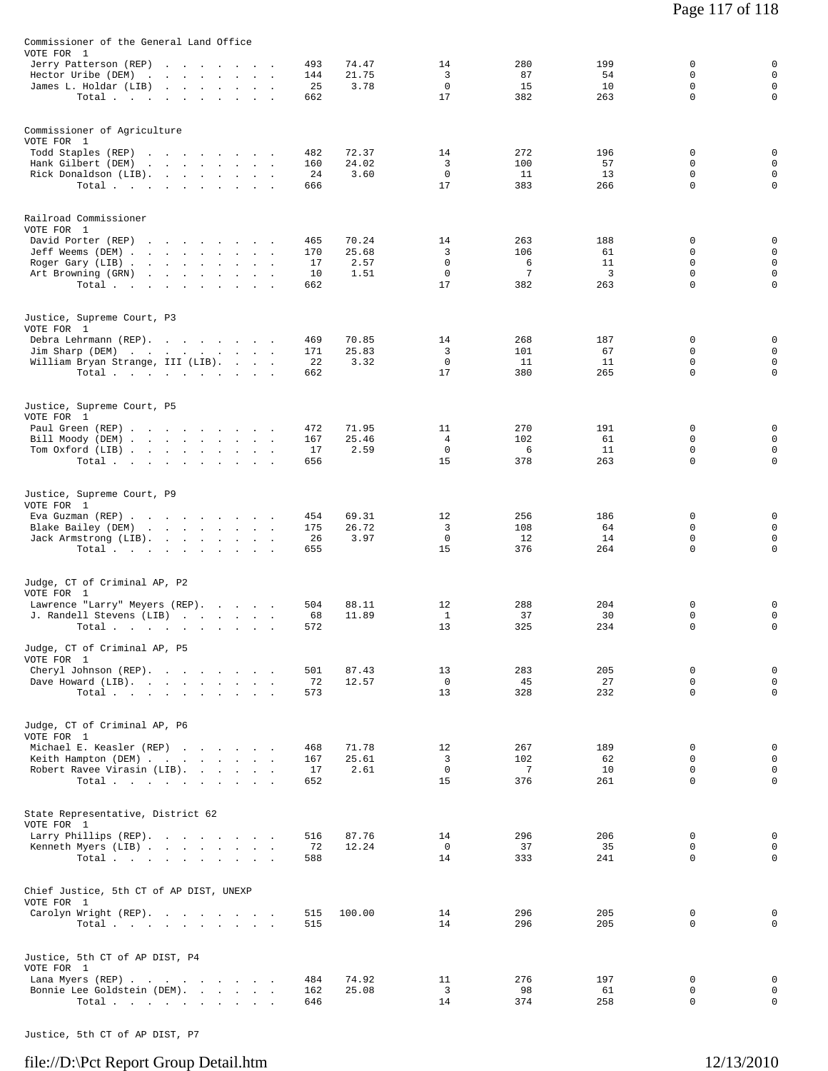| Commissioner of the General Land Office                                                                                                                                                                       |                               |                                |                                             |                             |                             |                                                     |                                                               |
|---------------------------------------------------------------------------------------------------------------------------------------------------------------------------------------------------------------|-------------------------------|--------------------------------|---------------------------------------------|-----------------------------|-----------------------------|-----------------------------------------------------|---------------------------------------------------------------|
| VOTE FOR 1<br>Jerry Patterson (REP)<br>the contract of the contract of<br>Hector Uribe (DEM)<br>and a strain and a strain and<br>James L. Holdar (LIB)<br>and a strong control of the state<br>$\sim 10^{-1}$ | 493<br>144<br>25              | 74.47<br>21.75<br>3.78         | 14<br>3<br>$\mathbf 0$                      | 280<br>87<br>15             | 199<br>54<br>10             | 0<br>$\mathbf 0$<br>$\mathbf 0$                     | 0<br>$\mathbf 0$<br>$\mathsf 0$                               |
| Total $\cdots$                                                                                                                                                                                                | 662                           |                                | 17                                          | 382                         | 263                         | $\mathbf 0$                                         | $\mathsf 0$                                                   |
| Commissioner of Agriculture<br>VOTE FOR 1<br>Todd Staples (REP)                                                                                                                                               | 482                           | 72.37                          | 14                                          | 272                         | 196                         | 0                                                   | 0                                                             |
| Hank Gilbert (DEM)<br>the contract of the contract of the contract of<br>Rick Donaldson (LIB).<br>Total                                                                                                       | 160<br>24<br>666              | 24.02<br>3.60                  | 3<br>0<br>17                                | 100<br>11<br>383            | 57<br>13<br>266             | $\mathbf 0$<br>0<br>$\mathbf 0$                     | $\mathsf 0$<br>$\mathsf 0$<br>$\mathbf 0$                     |
| Railroad Commissioner<br>VOTE FOR 1                                                                                                                                                                           |                               |                                |                                             |                             |                             |                                                     |                                                               |
| David Porter (REP)<br>Jeff Weems (DEM)<br>Roger Gary (LIB)<br>Art Browning (GRN)<br>Total $\cdots$                                                                                                            | 465<br>170<br>17<br>10<br>662 | 70.24<br>25.68<br>2.57<br>1.51 | 14<br>3<br>$\mathbf 0$<br>$\mathbf 0$<br>17 | 263<br>106<br>6<br>7<br>382 | 188<br>61<br>11<br>3<br>263 | 0<br>0<br>$\mathbf 0$<br>$\mathbf 0$<br>$\mathbf 0$ | 0<br>$\mathsf 0$<br>$\mathsf 0$<br>$\mathsf 0$<br>$\mathbf 0$ |
| Justice, Supreme Court, P3<br>VOTE FOR 1                                                                                                                                                                      |                               |                                |                                             |                             |                             |                                                     |                                                               |
| Debra Lehrmann (REP).<br>Jim Sharp (DEM)<br>William Bryan Strange, III (LIB).<br>Total                                                                                                                        | 469<br>171<br>22<br>662       | 70.85<br>25.83<br>3.32         | 14<br>3<br>$\mathbf 0$<br>17                | 268<br>101<br>11<br>380     | 187<br>67<br>11<br>265      | 0<br>0<br>$\mathbf 0$<br>0                          | 0<br>$\mathsf 0$<br>$\mathsf 0$<br>$\mathsf 0$                |
| Justice, Supreme Court, P5<br>VOTE FOR 1                                                                                                                                                                      |                               |                                |                                             |                             |                             |                                                     |                                                               |
| Paul Green (REP)<br>Bill Moody (DEM)<br>Tom Oxford (LIB)<br>Total                                                                                                                                             | 472<br>167<br>17<br>656       | 71.95<br>25.46<br>2.59         | 11<br>4<br>0<br>15                          | 270<br>102<br>6<br>378      | 191<br>61<br>11<br>263      | 0<br>0<br>0<br>$\mathbf 0$                          | 0<br>$\mathsf 0$<br>$\mathsf 0$<br>$\mathbf 0$                |
| Justice, Supreme Court, P9<br>VOTE FOR 1                                                                                                                                                                      |                               |                                |                                             |                             |                             |                                                     |                                                               |
| Eva Guzman (REP)<br>Blake Bailey (DEM)<br>Jack Armstrong (LIB).<br>Total                                                                                                                                      | 454<br>175<br>26<br>655       | 69.31<br>26.72<br>3.97         | 12<br>3<br>$\mathbf 0$<br>15                | 256<br>108<br>12<br>376     | 186<br>64<br>14<br>264      | 0<br>0<br>0<br>$\mathbf 0$                          | 0<br>$\mathsf 0$<br>$\mathsf 0$<br>$\mathbf 0$                |
| Judge, CT of Criminal AP, P2                                                                                                                                                                                  |                               |                                |                                             |                             |                             |                                                     |                                                               |
| VOTE FOR 1<br>Lawrence "Larry" Meyers (REP).<br>J. Randell Stevens (LIB)<br>Total                                                                                                                             | 504<br>68<br>572              | 88.11<br>11.89                 | 12<br>$\mathbf{1}$<br>13                    | 288<br>37<br>325            | 204<br>30<br>234            | 0<br>0<br>$\mathbf 0$                               | 0<br>$\mathsf 0$<br>$\mathbf 0$                               |
| Judge, CT of Criminal AP, P5<br>VOTE FOR 1                                                                                                                                                                    |                               |                                |                                             |                             |                             |                                                     |                                                               |
| Cheryl Johnson (REP).<br>Dave Howard (LIB).<br>Total                                                                                                                                                          | 501<br>72<br>573              | 87.43<br>12.57                 | 13<br>0<br>13                               | 283<br>45<br>328            | 205<br>27<br>232            | 0<br>$\mathbf 0$<br>$\mathbf 0$                     | 0<br>$\mathsf 0$<br>$\mathbf 0$                               |
| Judge, CT of Criminal AP, P6<br>VOTE FOR 1                                                                                                                                                                    |                               |                                |                                             |                             |                             |                                                     |                                                               |
| Michael E. Keasler (REP)<br>Keith Hampton (DEM)<br>Robert Ravee Virasin (LIB).<br>Total                                                                                                                       | 468<br>167<br>17<br>652       | 71.78<br>25.61<br>2.61         | 12<br>3<br>$^{\circ}$<br>15                 | 267<br>102<br>-7<br>376     | 189<br>62<br>10<br>261      | 0<br>$\mathbf 0$<br>$\mathbf 0$<br>$\Omega$         | $\mathsf 0$<br>$\mathsf 0$<br>$\mathsf 0$<br>$\mathbf 0$      |
| State Representative, District 62<br>VOTE FOR 1                                                                                                                                                               |                               |                                |                                             |                             |                             |                                                     |                                                               |
| Larry Phillips (REP).<br>Kenneth Myers (LIB)<br>Total                                                                                                                                                         | 516<br>72<br>588              | 87.76<br>12.24                 | 14<br>$\mathbf 0$<br>14                     | 296<br>37<br>333            | 206<br>35<br>241            | 0<br>0<br>0                                         | 0<br>$\mathbf 0$<br>$\mathbf 0$                               |
| Chief Justice, 5th CT of AP DIST, UNEXP<br>VOTE FOR 1                                                                                                                                                         |                               |                                |                                             |                             |                             |                                                     |                                                               |
| Carolyn Wright (REP).<br>Total $\cdots$                                                                                                                                                                       | 515<br>515                    | 100.00                         | 14<br>14                                    | 296<br>296                  | 205<br>205                  | 0<br>0                                              | 0<br>$\mathbf 0$                                              |
| Justice, 5th CT of AP DIST, P4<br>VOTE FOR 1                                                                                                                                                                  |                               |                                |                                             |                             |                             |                                                     |                                                               |
| Lana Myers (REP)<br>Bonnie Lee Goldstein (DEM).<br>Total $\cdots$ $\cdots$ $\cdots$                                                                                                                           | 484<br>162<br>646             | 74.92<br>25.08                 | 11<br>3<br>14                               | 276<br>98<br>374            | 197<br>61<br>258            | 0<br>0<br>0                                         | 0<br>$\mathsf 0$<br>$\mathsf 0$                               |

Justice, 5th CT of AP DIST, P7